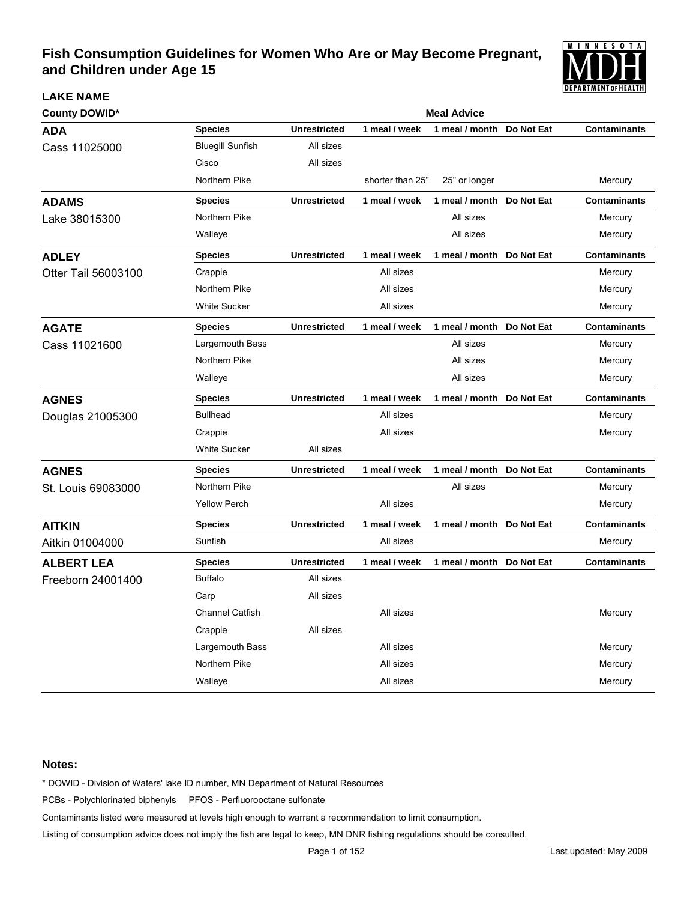

| <b>County DOWID*</b> | <b>Meal Advice</b>      |                     |                  |                           |            |                     |  |  |
|----------------------|-------------------------|---------------------|------------------|---------------------------|------------|---------------------|--|--|
| ADA                  | <b>Species</b>          | <b>Unrestricted</b> | 1 meal / week    | 1 meal / month            | Do Not Eat | <b>Contaminants</b> |  |  |
| Cass 11025000        | <b>Bluegill Sunfish</b> | All sizes           |                  |                           |            |                     |  |  |
|                      | Cisco                   | All sizes           |                  |                           |            |                     |  |  |
|                      | Northern Pike           |                     | shorter than 25" | 25" or longer             |            | Mercury             |  |  |
| <b>ADAMS</b>         | <b>Species</b>          | <b>Unrestricted</b> | 1 meal / week    | 1 meal / month            | Do Not Eat | <b>Contaminants</b> |  |  |
| Lake 38015300        | Northern Pike           |                     |                  | All sizes                 |            | Mercury             |  |  |
|                      | Walleye                 |                     |                  | All sizes                 |            | Mercury             |  |  |
| <b>ADLEY</b>         | <b>Species</b>          | <b>Unrestricted</b> | 1 meal / week    | 1 meal / month Do Not Eat |            | <b>Contaminants</b> |  |  |
| Otter Tail 56003100  | Crappie                 |                     | All sizes        |                           |            | Mercury             |  |  |
|                      | Northern Pike           |                     | All sizes        |                           |            | Mercury             |  |  |
|                      | <b>White Sucker</b>     |                     | All sizes        |                           |            | Mercury             |  |  |
| <b>AGATE</b>         | <b>Species</b>          | <b>Unrestricted</b> | 1 meal / week    | 1 meal / month            | Do Not Eat | <b>Contaminants</b> |  |  |
| Cass 11021600        | Largemouth Bass         |                     |                  | All sizes                 |            | Mercury             |  |  |
|                      | Northern Pike           |                     |                  | All sizes                 |            | Mercury             |  |  |
|                      | Walleye                 |                     |                  | All sizes                 |            | Mercury             |  |  |
| <b>AGNES</b>         | <b>Species</b>          | <b>Unrestricted</b> | 1 meal / week    | 1 meal / month Do Not Eat |            | <b>Contaminants</b> |  |  |
| Douglas 21005300     | <b>Bullhead</b>         |                     | All sizes        |                           |            | Mercury             |  |  |
|                      | Crappie                 |                     | All sizes        |                           |            | Mercury             |  |  |
|                      | <b>White Sucker</b>     | All sizes           |                  |                           |            |                     |  |  |
| <b>AGNES</b>         | <b>Species</b>          | <b>Unrestricted</b> | 1 meal / week    | 1 meal / month            | Do Not Eat | <b>Contaminants</b> |  |  |
| St. Louis 69083000   | Northern Pike           |                     |                  | All sizes                 |            | Mercury             |  |  |
|                      | <b>Yellow Perch</b>     |                     | All sizes        |                           |            | Mercury             |  |  |
| <b>AITKIN</b>        | <b>Species</b>          | <b>Unrestricted</b> | 1 meal / week    | 1 meal / month            | Do Not Eat | <b>Contaminants</b> |  |  |
| Aitkin 01004000      | Sunfish                 |                     | All sizes        |                           |            | Mercury             |  |  |
| <b>ALBERT LEA</b>    | <b>Species</b>          | <b>Unrestricted</b> | 1 meal / week    | 1 meal / month            | Do Not Eat | <b>Contaminants</b> |  |  |
| Freeborn 24001400    | <b>Buffalo</b>          | All sizes           |                  |                           |            |                     |  |  |
|                      | Carp                    | All sizes           |                  |                           |            |                     |  |  |
|                      | <b>Channel Catfish</b>  |                     | All sizes        |                           |            | Mercury             |  |  |
|                      | Crappie                 | All sizes           |                  |                           |            |                     |  |  |
|                      | Largemouth Bass         |                     | All sizes        |                           |            | Mercury             |  |  |
|                      | Northern Pike           |                     | All sizes        |                           |            | Mercury             |  |  |
|                      | Walleye                 |                     | All sizes        |                           |            | Mercury             |  |  |

### **Notes:**

**LAKE NAME**

\* DOWID - Division of Waters' lake ID number, MN Department of Natural Resources

PCBs - Polychlorinated biphenyls PFOS - Perfluorooctane sulfonate

Contaminants listed were measured at levels high enough to warrant a recommendation to limit consumption.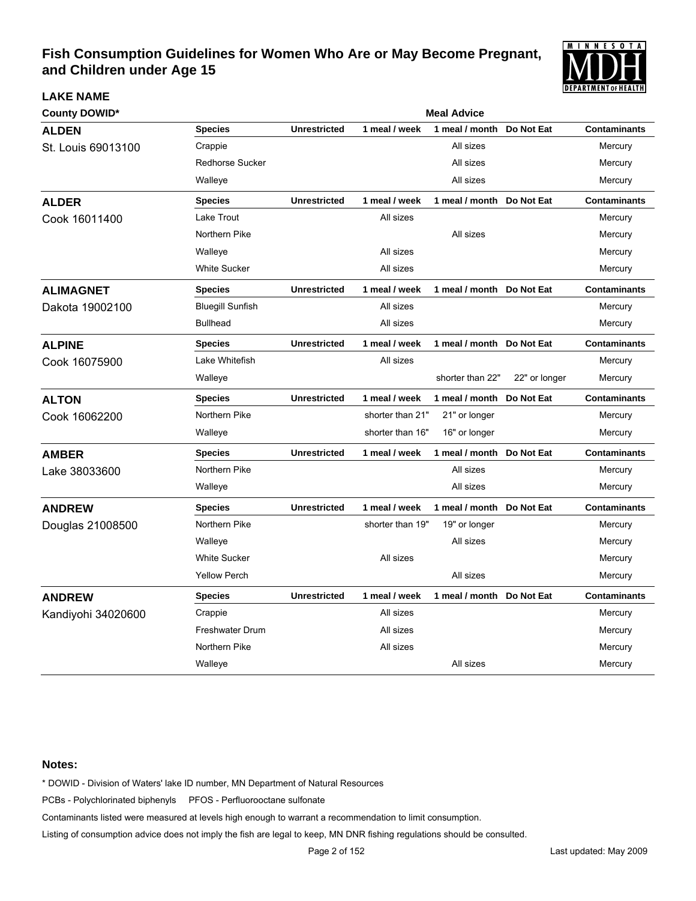

| <b>County DOWID*</b> |                         | <b>Meal Advice</b>  |                  |                           |               |                     |  |  |  |
|----------------------|-------------------------|---------------------|------------------|---------------------------|---------------|---------------------|--|--|--|
| <b>ALDEN</b>         | <b>Species</b>          | <b>Unrestricted</b> | 1 meal / week    | 1 meal / month            | Do Not Eat    | <b>Contaminants</b> |  |  |  |
| St. Louis 69013100   | Crappie                 |                     |                  | All sizes                 |               | Mercury             |  |  |  |
|                      | <b>Redhorse Sucker</b>  |                     |                  | All sizes                 |               | Mercury             |  |  |  |
|                      | Walleye                 |                     |                  | All sizes                 |               | Mercury             |  |  |  |
| <b>ALDER</b>         | <b>Species</b>          | <b>Unrestricted</b> | 1 meal / week    | 1 meal / month Do Not Eat |               | <b>Contaminants</b> |  |  |  |
| Cook 16011400        | Lake Trout              |                     | All sizes        |                           |               | Mercury             |  |  |  |
|                      | Northern Pike           |                     |                  | All sizes                 |               | Mercury             |  |  |  |
|                      | Walleye                 |                     | All sizes        |                           |               | Mercury             |  |  |  |
|                      | <b>White Sucker</b>     |                     | All sizes        |                           |               | Mercury             |  |  |  |
| <b>ALIMAGNET</b>     | <b>Species</b>          | <b>Unrestricted</b> | 1 meal / week    | 1 meal / month Do Not Eat |               | <b>Contaminants</b> |  |  |  |
| Dakota 19002100      | <b>Bluegill Sunfish</b> |                     | All sizes        |                           |               | Mercury             |  |  |  |
|                      | <b>Bullhead</b>         |                     | All sizes        |                           |               | Mercury             |  |  |  |
| <b>ALPINE</b>        | <b>Species</b>          | <b>Unrestricted</b> | 1 meal / week    | 1 meal / month Do Not Eat |               | <b>Contaminants</b> |  |  |  |
| Cook 16075900        | Lake Whitefish          |                     | All sizes        |                           |               | Mercury             |  |  |  |
|                      | Walleye                 |                     |                  | shorter than 22"          | 22" or longer | Mercury             |  |  |  |
| <b>ALTON</b>         | <b>Species</b>          | <b>Unrestricted</b> | 1 meal / week    | 1 meal / month            | Do Not Eat    | <b>Contaminants</b> |  |  |  |
| Cook 16062200        | Northern Pike           |                     | shorter than 21" | 21" or longer             |               | Mercury             |  |  |  |
|                      | Walleye                 |                     | shorter than 16" | 16" or longer             |               | Mercury             |  |  |  |
| <b>AMBER</b>         | <b>Species</b>          | <b>Unrestricted</b> | 1 meal / week    | 1 meal / month            | Do Not Eat    | <b>Contaminants</b> |  |  |  |
| Lake 38033600        | Northern Pike           |                     |                  | All sizes                 |               | Mercury             |  |  |  |
|                      | Walleye                 |                     |                  | All sizes                 |               | Mercury             |  |  |  |
| <b>ANDREW</b>        | <b>Species</b>          | <b>Unrestricted</b> | 1 meal / week    | 1 meal / month            | Do Not Eat    | <b>Contaminants</b> |  |  |  |
| Douglas 21008500     | Northern Pike           |                     | shorter than 19" | 19" or longer             |               | Mercury             |  |  |  |
|                      | Walleye                 |                     |                  | All sizes                 |               | Mercury             |  |  |  |
|                      | <b>White Sucker</b>     |                     | All sizes        |                           |               | Mercury             |  |  |  |
|                      | <b>Yellow Perch</b>     |                     |                  | All sizes                 |               | Mercury             |  |  |  |
| <b>ANDREW</b>        | <b>Species</b>          | <b>Unrestricted</b> | 1 meal / week    | 1 meal / month Do Not Eat |               | <b>Contaminants</b> |  |  |  |
| Kandiyohi 34020600   | Crappie                 |                     | All sizes        |                           |               | Mercury             |  |  |  |
|                      | <b>Freshwater Drum</b>  |                     | All sizes        |                           |               | Mercury             |  |  |  |
|                      | Northern Pike           |                     | All sizes        |                           |               | Mercury             |  |  |  |
|                      | Walleye                 |                     |                  | All sizes                 |               | Mercury             |  |  |  |

### **Notes:**

**LAKE NAME**

\* DOWID - Division of Waters' lake ID number, MN Department of Natural Resources

PCBs - Polychlorinated biphenyls PFOS - Perfluorooctane sulfonate

Contaminants listed were measured at levels high enough to warrant a recommendation to limit consumption.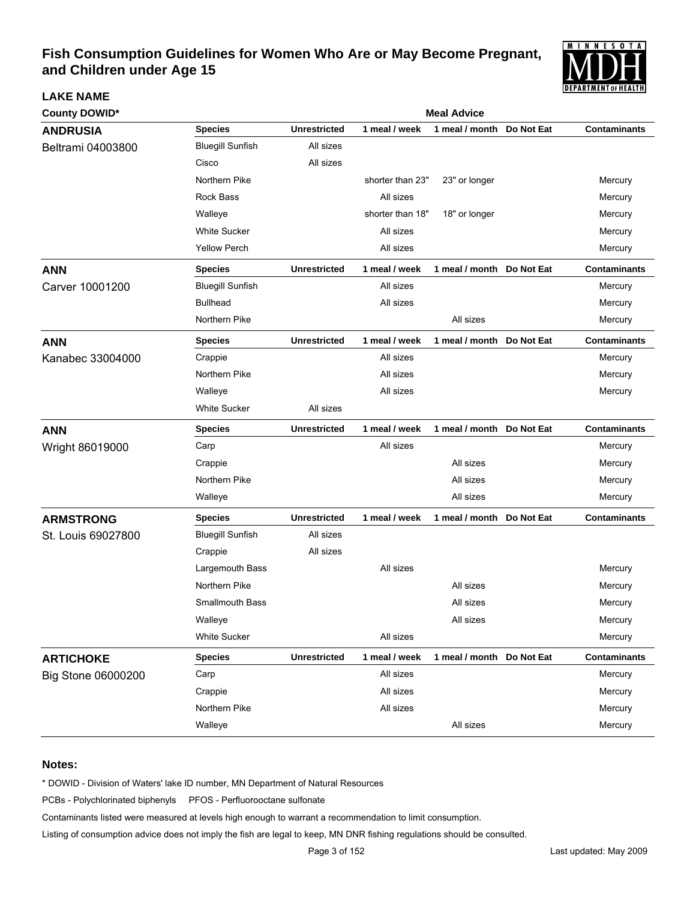

| <b>County DOWID*</b> |                         | <b>Meal Advice</b>  |                  |                           |            |                     |  |  |  |
|----------------------|-------------------------|---------------------|------------------|---------------------------|------------|---------------------|--|--|--|
| <b>ANDRUSIA</b>      | <b>Species</b>          | <b>Unrestricted</b> | 1 meal / week    | 1 meal / month            | Do Not Eat | <b>Contaminants</b> |  |  |  |
| Beltrami 04003800    | <b>Bluegill Sunfish</b> | All sizes           |                  |                           |            |                     |  |  |  |
|                      | Cisco                   | All sizes           |                  |                           |            |                     |  |  |  |
|                      | Northern Pike           |                     | shorter than 23" | 23" or longer             |            | Mercury             |  |  |  |
|                      | <b>Rock Bass</b>        |                     | All sizes        |                           |            | Mercury             |  |  |  |
|                      | Walleye                 |                     | shorter than 18" | 18" or longer             |            | Mercury             |  |  |  |
|                      | <b>White Sucker</b>     |                     | All sizes        |                           |            | Mercury             |  |  |  |
|                      | <b>Yellow Perch</b>     |                     | All sizes        |                           |            | Mercury             |  |  |  |
| <b>ANN</b>           | <b>Species</b>          | <b>Unrestricted</b> | 1 meal / week    | 1 meal / month            | Do Not Eat | <b>Contaminants</b> |  |  |  |
| Carver 10001200      | <b>Bluegill Sunfish</b> |                     | All sizes        |                           |            | Mercury             |  |  |  |
|                      | <b>Bullhead</b>         |                     | All sizes        |                           |            | Mercury             |  |  |  |
|                      | Northern Pike           |                     |                  | All sizes                 |            | Mercury             |  |  |  |
| <b>ANN</b>           | <b>Species</b>          | <b>Unrestricted</b> | 1 meal / week    | 1 meal / month Do Not Eat |            | <b>Contaminants</b> |  |  |  |
| Kanabec 33004000     | Crappie                 |                     | All sizes        |                           |            | Mercury             |  |  |  |
|                      | Northern Pike           |                     | All sizes        |                           |            | Mercury             |  |  |  |
|                      | Walleye                 |                     | All sizes        |                           |            | Mercury             |  |  |  |
|                      | <b>White Sucker</b>     | All sizes           |                  |                           |            |                     |  |  |  |
| <b>ANN</b>           | <b>Species</b>          | <b>Unrestricted</b> | 1 meal / week    | 1 meal / month Do Not Eat |            | <b>Contaminants</b> |  |  |  |
| Wright 86019000      | Carp                    |                     | All sizes        |                           |            | Mercury             |  |  |  |
|                      | Crappie                 |                     |                  | All sizes                 |            | Mercury             |  |  |  |
|                      | Northern Pike           |                     |                  | All sizes                 |            | Mercury             |  |  |  |
|                      | Walleye                 |                     |                  | All sizes                 |            | Mercury             |  |  |  |
| <b>ARMSTRONG</b>     | <b>Species</b>          | <b>Unrestricted</b> | 1 meal / week    | 1 meal / month Do Not Eat |            | <b>Contaminants</b> |  |  |  |
| St. Louis 69027800   | <b>Bluegill Sunfish</b> | All sizes           |                  |                           |            |                     |  |  |  |
|                      | Crappie                 | All sizes           |                  |                           |            |                     |  |  |  |
|                      | Largemouth Bass         |                     | All sizes        |                           |            | Mercury             |  |  |  |
|                      | Northern Pike           |                     |                  | All sizes                 |            | Mercury             |  |  |  |
|                      | <b>Smallmouth Bass</b>  |                     |                  | All sizes                 |            | Mercury             |  |  |  |
|                      | Walleye                 |                     |                  | All sizes                 |            | Mercury             |  |  |  |
|                      | White Sucker            |                     | All sizes        |                           |            | Mercury             |  |  |  |
| <b>ARTICHOKE</b>     | <b>Species</b>          | <b>Unrestricted</b> | 1 meal / week    | 1 meal / month Do Not Eat |            | <b>Contaminants</b> |  |  |  |
| Big Stone 06000200   | Carp                    |                     | All sizes        |                           |            | Mercury             |  |  |  |
|                      | Crappie                 |                     | All sizes        |                           |            | Mercury             |  |  |  |
|                      | Northern Pike           |                     | All sizes        |                           |            | Mercury             |  |  |  |
|                      | Walleye                 |                     |                  | All sizes                 |            | Mercury             |  |  |  |

#### **Notes:**

**LAKE NAME**

\* DOWID - Division of Waters' lake ID number, MN Department of Natural Resources

PCBs - Polychlorinated biphenyls PFOS - Perfluorooctane sulfonate

Contaminants listed were measured at levels high enough to warrant a recommendation to limit consumption.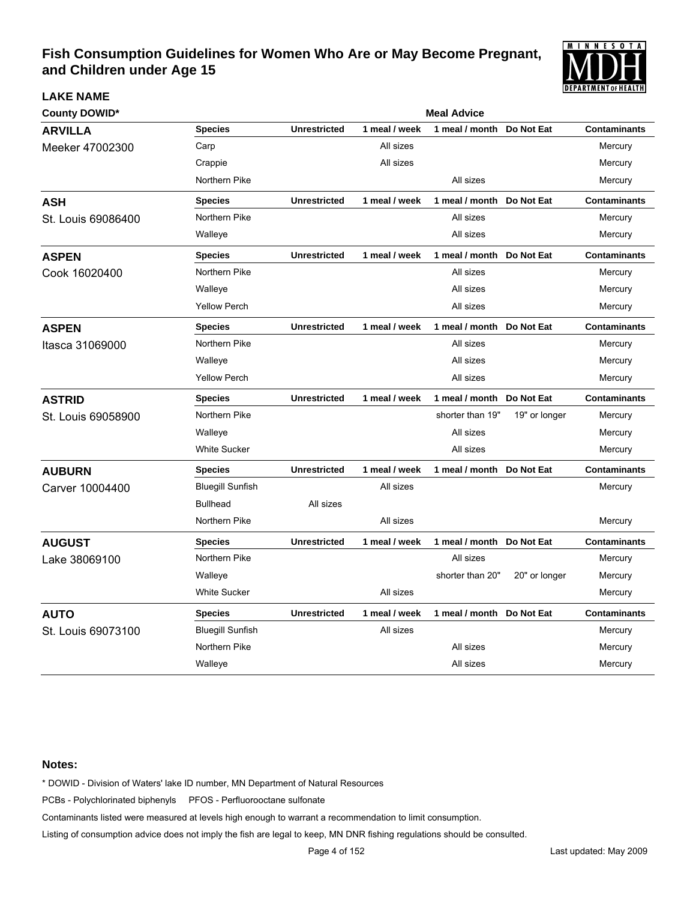

| <b>County DOWID*</b> |                         | <b>Meal Advice</b>  |               |                           |               |                     |  |  |
|----------------------|-------------------------|---------------------|---------------|---------------------------|---------------|---------------------|--|--|
| <b>ARVILLA</b>       | <b>Species</b>          | <b>Unrestricted</b> | 1 meal / week | 1 meal / month            | Do Not Eat    | <b>Contaminants</b> |  |  |
| Meeker 47002300      | Carp                    |                     | All sizes     |                           |               | Mercury             |  |  |
|                      | Crappie                 |                     | All sizes     |                           |               | Mercury             |  |  |
|                      | Northern Pike           |                     |               | All sizes                 |               | Mercury             |  |  |
| <b>ASH</b>           | <b>Species</b>          | <b>Unrestricted</b> | 1 meal / week | 1 meal / month            | Do Not Eat    | <b>Contaminants</b> |  |  |
| St. Louis 69086400   | Northern Pike           |                     |               | All sizes                 |               | Mercury             |  |  |
|                      | Walleye                 |                     |               | All sizes                 |               | Mercury             |  |  |
| <b>ASPEN</b>         | <b>Species</b>          | <b>Unrestricted</b> | 1 meal / week | 1 meal / month            | Do Not Eat    | <b>Contaminants</b> |  |  |
| Cook 16020400        | Northern Pike           |                     |               | All sizes                 |               | Mercury             |  |  |
|                      | Walleye                 |                     |               | All sizes                 |               | Mercury             |  |  |
|                      | <b>Yellow Perch</b>     |                     |               | All sizes                 |               | Mercury             |  |  |
| <b>ASPEN</b>         | <b>Species</b>          | <b>Unrestricted</b> | 1 meal / week | 1 meal / month Do Not Eat |               | <b>Contaminants</b> |  |  |
| Itasca 31069000      | Northern Pike           |                     |               | All sizes                 |               | Mercury             |  |  |
|                      | Walleye                 |                     |               | All sizes                 |               | Mercury             |  |  |
|                      | <b>Yellow Perch</b>     |                     |               | All sizes                 |               | Mercury             |  |  |
| <b>ASTRID</b>        | <b>Species</b>          | <b>Unrestricted</b> | 1 meal / week | 1 meal / month            | Do Not Eat    | <b>Contaminants</b> |  |  |
| St. Louis 69058900   | Northern Pike           |                     |               | shorter than 19"          | 19" or longer | Mercury             |  |  |
|                      | Walleye                 |                     |               | All sizes                 |               | Mercury             |  |  |
|                      | <b>White Sucker</b>     |                     |               | All sizes                 |               | Mercury             |  |  |
| <b>AUBURN</b>        | <b>Species</b>          | <b>Unrestricted</b> | 1 meal / week | 1 meal / month            | Do Not Eat    | <b>Contaminants</b> |  |  |
| Carver 10004400      | <b>Bluegill Sunfish</b> |                     | All sizes     |                           |               | Mercury             |  |  |
|                      | <b>Bullhead</b>         | All sizes           |               |                           |               |                     |  |  |
|                      | Northern Pike           |                     | All sizes     |                           |               | Mercury             |  |  |
| <b>AUGUST</b>        | <b>Species</b>          | <b>Unrestricted</b> | 1 meal / week | 1 meal / month            | Do Not Eat    | <b>Contaminants</b> |  |  |
| Lake 38069100        | Northern Pike           |                     |               | All sizes                 |               | Mercury             |  |  |
|                      | Walleye                 |                     |               | shorter than 20"          | 20" or longer | Mercury             |  |  |
|                      | <b>White Sucker</b>     |                     | All sizes     |                           |               | Mercury             |  |  |
| <b>AUTO</b>          | <b>Species</b>          | <b>Unrestricted</b> | 1 meal / week | 1 meal / month            | Do Not Eat    | <b>Contaminants</b> |  |  |
| St. Louis 69073100   | <b>Bluegill Sunfish</b> |                     | All sizes     |                           |               | Mercury             |  |  |
|                      | Northern Pike           |                     |               | All sizes                 |               | Mercury             |  |  |
|                      | Walleye                 |                     |               | All sizes                 |               | Mercury             |  |  |

#### **Notes:**

**LAKE NAME**

\* DOWID - Division of Waters' lake ID number, MN Department of Natural Resources

PCBs - Polychlorinated biphenyls PFOS - Perfluorooctane sulfonate

Contaminants listed were measured at levels high enough to warrant a recommendation to limit consumption.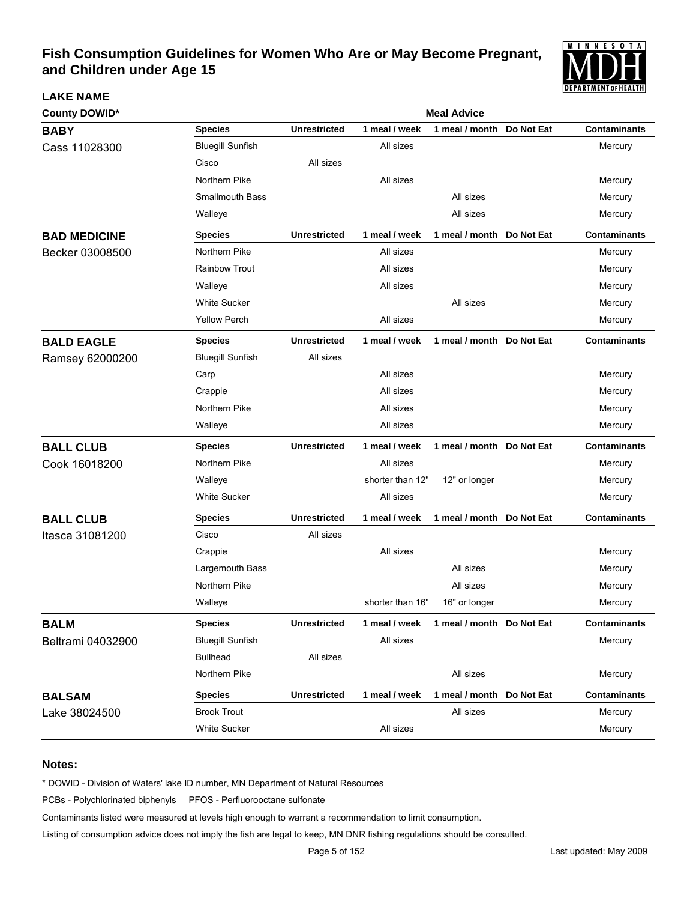

| <b>County DOWID*</b> |                         | <b>Meal Advice</b>  |                  |                            |            |                     |  |  |  |
|----------------------|-------------------------|---------------------|------------------|----------------------------|------------|---------------------|--|--|--|
| <b>BABY</b>          | <b>Species</b>          | <b>Unrestricted</b> | 1 meal / week    | 1 meal / month             | Do Not Eat | <b>Contaminants</b> |  |  |  |
| Cass 11028300        | <b>Bluegill Sunfish</b> |                     | All sizes        |                            |            | Mercury             |  |  |  |
|                      | Cisco                   | All sizes           |                  |                            |            |                     |  |  |  |
|                      | Northern Pike           |                     | All sizes        |                            |            | Mercury             |  |  |  |
|                      | <b>Smallmouth Bass</b>  |                     |                  | All sizes                  |            | Mercury             |  |  |  |
|                      | Walleye                 |                     |                  | All sizes                  |            | Mercury             |  |  |  |
| <b>BAD MEDICINE</b>  | <b>Species</b>          | <b>Unrestricted</b> | 1 meal / week    | 1 meal / month Do Not Eat  |            | <b>Contaminants</b> |  |  |  |
| Becker 03008500      | Northern Pike           |                     | All sizes        |                            |            | Mercury             |  |  |  |
|                      | <b>Rainbow Trout</b>    |                     | All sizes        |                            |            | Mercury             |  |  |  |
|                      | Walleye                 |                     | All sizes        |                            |            | Mercury             |  |  |  |
|                      | <b>White Sucker</b>     |                     |                  | All sizes                  |            | Mercury             |  |  |  |
|                      | <b>Yellow Perch</b>     |                     | All sizes        |                            |            | Mercury             |  |  |  |
| <b>BALD EAGLE</b>    | <b>Species</b>          | <b>Unrestricted</b> | 1 meal / week    | 1 meal / month Do Not Eat  |            | <b>Contaminants</b> |  |  |  |
| Ramsey 62000200      | <b>Bluegill Sunfish</b> | All sizes           |                  |                            |            |                     |  |  |  |
|                      | Carp                    |                     | All sizes        |                            |            | Mercury             |  |  |  |
|                      | Crappie                 |                     | All sizes        |                            |            | Mercury             |  |  |  |
|                      | Northern Pike           |                     | All sizes        |                            |            | Mercury             |  |  |  |
|                      | Walleye                 |                     | All sizes        |                            |            | Mercury             |  |  |  |
| <b>BALL CLUB</b>     | <b>Species</b>          | <b>Unrestricted</b> | 1 meal / week    | 1 meal / month Do Not Eat  |            | <b>Contaminants</b> |  |  |  |
| Cook 16018200        | Northern Pike           |                     | All sizes        |                            |            | Mercury             |  |  |  |
|                      | Walleye                 |                     | shorter than 12" | 12" or longer              |            | Mercury             |  |  |  |
|                      | <b>White Sucker</b>     |                     | All sizes        |                            |            | Mercury             |  |  |  |
| <b>BALL CLUB</b>     | <b>Species</b>          | <b>Unrestricted</b> | 1 meal / week    | 1 meal / month Do Not Eat  |            | <b>Contaminants</b> |  |  |  |
| Itasca 31081200      | Cisco                   | All sizes           |                  |                            |            |                     |  |  |  |
|                      | Crappie                 |                     | All sizes        |                            |            | Mercury             |  |  |  |
|                      | Largemouth Bass         |                     |                  | All sizes                  |            | Mercury             |  |  |  |
|                      | Northern Pike           |                     |                  | All sizes                  |            | Mercury             |  |  |  |
|                      | Walleye                 |                     | shorter than 16" | 16" or longer              |            | Mercury             |  |  |  |
| <b>BALM</b>          | <b>Species</b>          | <b>Unrestricted</b> | 1 meal / week    | 1 meal / month  Do Not Eat |            | <b>Contaminants</b> |  |  |  |
| Beltrami 04032900    | <b>Bluegill Sunfish</b> |                     | All sizes        |                            |            | Mercury             |  |  |  |
|                      | <b>Bullhead</b>         | All sizes           |                  |                            |            |                     |  |  |  |
|                      | Northern Pike           |                     |                  | All sizes                  |            | Mercury             |  |  |  |
| <b>BALSAM</b>        | <b>Species</b>          | <b>Unrestricted</b> | 1 meal / week    | 1 meal / month Do Not Eat  |            | <b>Contaminants</b> |  |  |  |
| Lake 38024500        | <b>Brook Trout</b>      |                     |                  | All sizes                  |            | Mercury             |  |  |  |
|                      | White Sucker            |                     | All sizes        |                            |            | Mercury             |  |  |  |

### **Notes:**

**LAKE NAME**

\* DOWID - Division of Waters' lake ID number, MN Department of Natural Resources

PCBs - Polychlorinated biphenyls PFOS - Perfluorooctane sulfonate

Contaminants listed were measured at levels high enough to warrant a recommendation to limit consumption.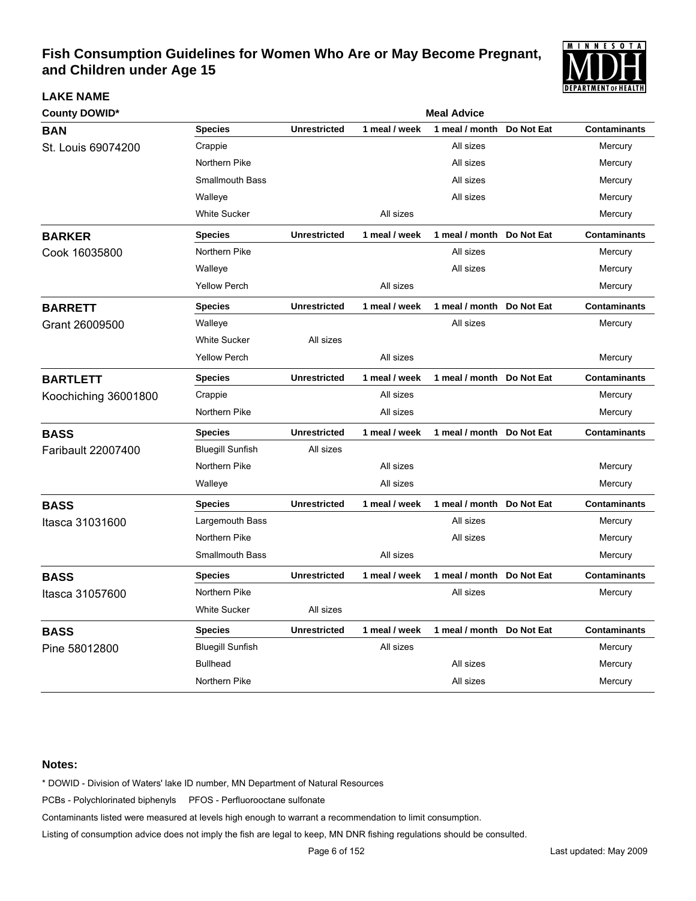

| <b>County DOWID*</b>      | <b>Meal Advice</b>      |                     |               |                           |            |                     |  |  |
|---------------------------|-------------------------|---------------------|---------------|---------------------------|------------|---------------------|--|--|
| <b>BAN</b>                | <b>Species</b>          | <b>Unrestricted</b> | 1 meal / week | 1 meal / month            | Do Not Eat | <b>Contaminants</b> |  |  |
| St. Louis 69074200        | Crappie                 |                     |               | All sizes                 |            | Mercury             |  |  |
|                           | Northern Pike           |                     |               | All sizes                 |            | Mercury             |  |  |
|                           | <b>Smallmouth Bass</b>  |                     |               | All sizes                 |            | Mercury             |  |  |
|                           | Walleye                 |                     |               | All sizes                 |            | Mercury             |  |  |
|                           | <b>White Sucker</b>     |                     | All sizes     |                           |            | Mercury             |  |  |
| <b>BARKER</b>             | <b>Species</b>          | <b>Unrestricted</b> | 1 meal / week | 1 meal / month Do Not Eat |            | <b>Contaminants</b> |  |  |
| Cook 16035800             | Northern Pike           |                     |               | All sizes                 |            | Mercury             |  |  |
|                           | Walleye                 |                     |               | All sizes                 |            | Mercury             |  |  |
|                           | <b>Yellow Perch</b>     |                     | All sizes     |                           |            | Mercury             |  |  |
| <b>BARRETT</b>            | <b>Species</b>          | <b>Unrestricted</b> | 1 meal / week | 1 meal / month            | Do Not Eat | <b>Contaminants</b> |  |  |
| Grant 26009500            | Walleye                 |                     |               | All sizes                 |            | Mercury             |  |  |
|                           | <b>White Sucker</b>     | All sizes           |               |                           |            |                     |  |  |
|                           | <b>Yellow Perch</b>     |                     | All sizes     |                           |            | Mercury             |  |  |
| <b>BARTLETT</b>           | <b>Species</b>          | <b>Unrestricted</b> | 1 meal / week | 1 meal / month Do Not Eat |            | <b>Contaminants</b> |  |  |
| Koochiching 36001800      | Crappie                 |                     | All sizes     |                           |            | Mercury             |  |  |
|                           | Northern Pike           |                     | All sizes     |                           |            | Mercury             |  |  |
| <b>BASS</b>               | Species                 | <b>Unrestricted</b> | 1 meal / week | 1 meal / month Do Not Eat |            | <b>Contaminants</b> |  |  |
| <b>Faribault 22007400</b> | <b>Bluegill Sunfish</b> | All sizes           |               |                           |            |                     |  |  |
|                           | Northern Pike           |                     | All sizes     |                           |            | Mercury             |  |  |
|                           | Walleye                 |                     | All sizes     |                           |            | Mercury             |  |  |
| <b>BASS</b>               | Species                 | <b>Unrestricted</b> | 1 meal / week | 1 meal / month            | Do Not Eat | <b>Contaminants</b> |  |  |
| Itasca 31031600           | Largemouth Bass         |                     |               | All sizes                 |            | Mercury             |  |  |
|                           | Northern Pike           |                     |               | All sizes                 |            | Mercury             |  |  |
|                           | Smallmouth Bass         |                     | All sizes     |                           |            | Mercury             |  |  |
| <b>BASS</b>               | <b>Species</b>          | <b>Unrestricted</b> | 1 meal / week | 1 meal / month Do Not Eat |            | <b>Contaminants</b> |  |  |
| ltasca 31057600           | Northern Pike           |                     |               | All sizes                 |            | Mercury             |  |  |
|                           | <b>White Sucker</b>     | All sizes           |               |                           |            |                     |  |  |
| <b>BASS</b>               | <b>Species</b>          | <b>Unrestricted</b> | 1 meal / week | 1 meal / month Do Not Eat |            | <b>Contaminants</b> |  |  |
| Pine 58012800             | <b>Bluegill Sunfish</b> |                     | All sizes     |                           |            | Mercury             |  |  |
|                           | <b>Bullhead</b>         |                     |               | All sizes                 |            | Mercury             |  |  |
|                           | Northern Pike           |                     |               | All sizes                 |            | Mercury             |  |  |

### **Notes:**

**LAKE NAME**

\* DOWID - Division of Waters' lake ID number, MN Department of Natural Resources

PCBs - Polychlorinated biphenyls PFOS - Perfluorooctane sulfonate

Contaminants listed were measured at levels high enough to warrant a recommendation to limit consumption.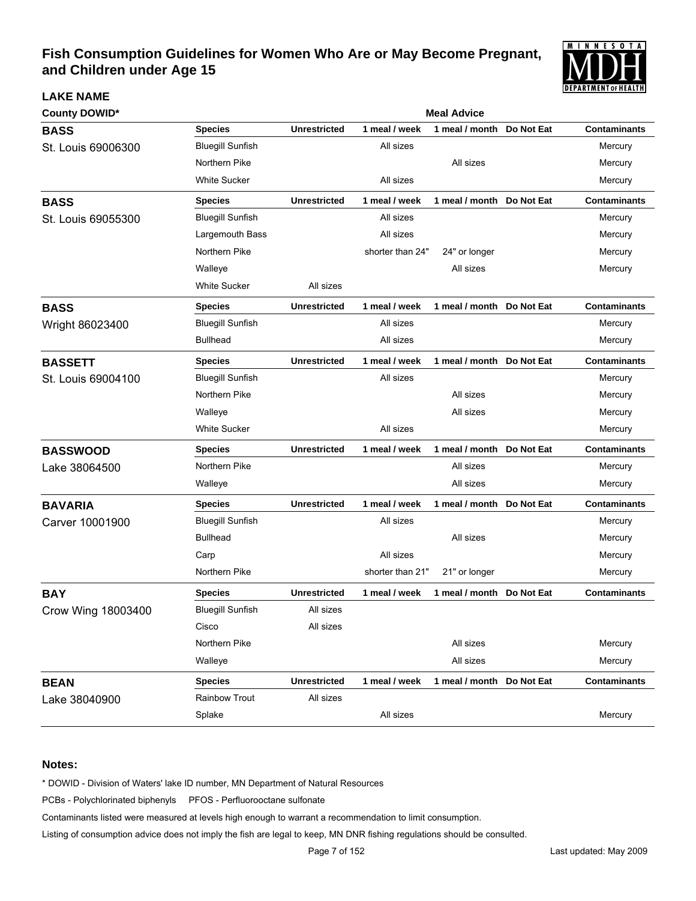

| <b>County DOWID*</b> |                         | <b>Meal Advice</b>  |                  |                           |            |                     |  |  |
|----------------------|-------------------------|---------------------|------------------|---------------------------|------------|---------------------|--|--|
| <b>BASS</b>          | <b>Species</b>          | <b>Unrestricted</b> | 1 meal / week    | 1 meal / month            | Do Not Eat | <b>Contaminants</b> |  |  |
| St. Louis 69006300   | <b>Bluegill Sunfish</b> |                     | All sizes        |                           |            | Mercury             |  |  |
|                      | Northern Pike           |                     |                  | All sizes                 |            | Mercury             |  |  |
|                      | <b>White Sucker</b>     |                     | All sizes        |                           |            | Mercury             |  |  |
| <b>BASS</b>          | <b>Species</b>          | <b>Unrestricted</b> | 1 meal / week    | 1 meal / month Do Not Eat |            | <b>Contaminants</b> |  |  |
| St. Louis 69055300   | <b>Bluegill Sunfish</b> |                     | All sizes        |                           |            | Mercury             |  |  |
|                      | Largemouth Bass         |                     | All sizes        |                           |            | Mercury             |  |  |
|                      | Northern Pike           |                     | shorter than 24" | 24" or longer             |            | Mercury             |  |  |
|                      | Walleye                 |                     |                  | All sizes                 |            | Mercury             |  |  |
|                      | <b>White Sucker</b>     | All sizes           |                  |                           |            |                     |  |  |
| <b>BASS</b>          | Species                 | <b>Unrestricted</b> | 1 meal / week    | 1 meal / month Do Not Eat |            | <b>Contaminants</b> |  |  |
| Wright 86023400      | <b>Bluegill Sunfish</b> |                     | All sizes        |                           |            | Mercury             |  |  |
|                      | <b>Bullhead</b>         |                     | All sizes        |                           |            | Mercury             |  |  |
| <b>BASSETT</b>       | <b>Species</b>          | <b>Unrestricted</b> | 1 meal / week    | 1 meal / month Do Not Eat |            | <b>Contaminants</b> |  |  |
| St. Louis 69004100   | <b>Bluegill Sunfish</b> |                     | All sizes        |                           |            | Mercury             |  |  |
|                      | Northern Pike           |                     |                  | All sizes                 |            | Mercury             |  |  |
|                      | Walleye                 |                     |                  | All sizes                 |            | Mercury             |  |  |
|                      | <b>White Sucker</b>     |                     | All sizes        |                           |            | Mercury             |  |  |
| <b>BASSWOOD</b>      | Species                 | <b>Unrestricted</b> | 1 meal / week    | 1 meal / month            | Do Not Eat | <b>Contaminants</b> |  |  |
| Lake 38064500        | Northern Pike           |                     |                  | All sizes                 |            | Mercury             |  |  |
|                      | Walleye                 |                     |                  | All sizes                 |            | Mercury             |  |  |
| <b>BAVARIA</b>       | Species                 | <b>Unrestricted</b> | 1 meal / week    | 1 meal / month            | Do Not Eat | <b>Contaminants</b> |  |  |
| Carver 10001900      | <b>Bluegill Sunfish</b> |                     | All sizes        |                           |            | Mercury             |  |  |
|                      | <b>Bullhead</b>         |                     |                  | All sizes                 |            | Mercury             |  |  |
|                      | Carp                    |                     | All sizes        |                           |            | Mercury             |  |  |
|                      | Northern Pike           |                     | shorter than 21" | 21" or longer             |            | Mercury             |  |  |
| <b>BAY</b>           | Species                 | <b>Unrestricted</b> | 1 meal / week    | 1 meal / month            | Do Not Eat | <b>Contaminants</b> |  |  |
| Crow Wing 18003400   | <b>Bluegill Sunfish</b> | All sizes           |                  |                           |            |                     |  |  |
|                      | Cisco                   | All sizes           |                  |                           |            |                     |  |  |
|                      | Northern Pike           |                     |                  | All sizes                 |            | Mercury             |  |  |
|                      | Walleye                 |                     |                  | All sizes                 |            | Mercury             |  |  |
| <b>BEAN</b>          | <b>Species</b>          | <b>Unrestricted</b> | 1 meal / week    | 1 meal / month            | Do Not Eat | <b>Contaminants</b> |  |  |
| Lake 38040900        | Rainbow Trout           | All sizes           |                  |                           |            |                     |  |  |
|                      | Splake                  |                     | All sizes        |                           |            | Mercury             |  |  |

### **Notes:**

**LAKE NAME**

\* DOWID - Division of Waters' lake ID number, MN Department of Natural Resources

PCBs - Polychlorinated biphenyls PFOS - Perfluorooctane sulfonate

Contaminants listed were measured at levels high enough to warrant a recommendation to limit consumption.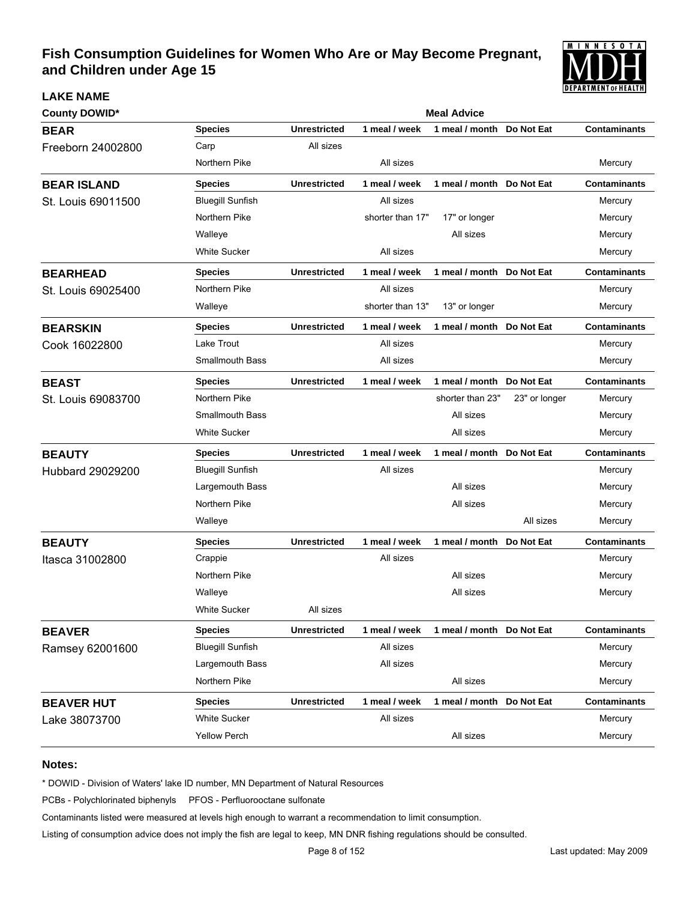

| <b>County DOWID*</b> | <b>Meal Advice</b>      |                     |                  |                            |               |                     |  |  |
|----------------------|-------------------------|---------------------|------------------|----------------------------|---------------|---------------------|--|--|
| <b>BEAR</b>          | <b>Species</b>          | <b>Unrestricted</b> | 1 meal / week    | 1 meal / month             | Do Not Eat    | <b>Contaminants</b> |  |  |
| Freeborn 24002800    | Carp                    | All sizes           |                  |                            |               |                     |  |  |
|                      | Northern Pike           |                     | All sizes        |                            |               | Mercury             |  |  |
| <b>BEAR ISLAND</b>   | <b>Species</b>          | <b>Unrestricted</b> | 1 meal / week    | 1 meal / month Do Not Eat  |               | <b>Contaminants</b> |  |  |
| St. Louis 69011500   | <b>Bluegill Sunfish</b> |                     | All sizes        |                            |               | Mercury             |  |  |
|                      | Northern Pike           |                     | shorter than 17" | 17" or longer              |               | Mercury             |  |  |
|                      | Walleye                 |                     |                  | All sizes                  |               | Mercury             |  |  |
|                      | <b>White Sucker</b>     |                     | All sizes        |                            |               | Mercury             |  |  |
| <b>BEARHEAD</b>      | <b>Species</b>          | <b>Unrestricted</b> | 1 meal / week    | 1 meal / month Do Not Eat  |               | <b>Contaminants</b> |  |  |
| St. Louis 69025400   | Northern Pike           |                     | All sizes        |                            |               | Mercury             |  |  |
|                      | Walleye                 |                     | shorter than 13" | 13" or longer              |               | Mercury             |  |  |
| <b>BEARSKIN</b>      | <b>Species</b>          | <b>Unrestricted</b> | 1 meal / week    | 1 meal / month Do Not Eat  |               | <b>Contaminants</b> |  |  |
| Cook 16022800        | Lake Trout              |                     | All sizes        |                            |               | Mercury             |  |  |
|                      | <b>Smallmouth Bass</b>  |                     | All sizes        |                            |               | Mercury             |  |  |
| <b>BEAST</b>         | <b>Species</b>          | <b>Unrestricted</b> | 1 meal / week    | 1 meal / month Do Not Eat  |               | <b>Contaminants</b> |  |  |
| St. Louis 69083700   | Northern Pike           |                     |                  | shorter than 23"           | 23" or longer | Mercury             |  |  |
|                      | <b>Smallmouth Bass</b>  |                     |                  | All sizes                  |               | Mercury             |  |  |
|                      | <b>White Sucker</b>     |                     |                  | All sizes                  |               | Mercury             |  |  |
| <b>BEAUTY</b>        | <b>Species</b>          | <b>Unrestricted</b> | 1 meal / week    | 1 meal / month Do Not Eat  |               | <b>Contaminants</b> |  |  |
| Hubbard 29029200     | <b>Bluegill Sunfish</b> |                     | All sizes        |                            |               | Mercury             |  |  |
|                      | Largemouth Bass         |                     |                  | All sizes                  |               | Mercury             |  |  |
|                      | Northern Pike           |                     |                  | All sizes                  |               | Mercury             |  |  |
|                      | Walleye                 |                     |                  |                            | All sizes     | Mercury             |  |  |
| <b>BEAUTY</b>        | <b>Species</b>          | <b>Unrestricted</b> | 1 meal / week    | 1 meal / month  Do Not Eat |               | <b>Contaminants</b> |  |  |
| Itasca 31002800      | Crappie                 |                     | All sizes        |                            |               | Mercury             |  |  |
|                      | Northern Pike           |                     |                  | All sizes                  |               | Mercury             |  |  |
|                      | Walleye                 |                     |                  | All sizes                  |               | Mercury             |  |  |
|                      | <b>White Sucker</b>     | All sizes           |                  |                            |               |                     |  |  |
| <b>BEAVER</b>        | <b>Species</b>          | <b>Unrestricted</b> | 1 meal / week    | 1 meal / month Do Not Eat  |               | <b>Contaminants</b> |  |  |
| Ramsey 62001600      | <b>Bluegill Sunfish</b> |                     | All sizes        |                            |               | Mercury             |  |  |
|                      | Largemouth Bass         |                     | All sizes        |                            |               | Mercury             |  |  |
|                      | Northern Pike           |                     |                  | All sizes                  |               | Mercury             |  |  |
| <b>BEAVER HUT</b>    | <b>Species</b>          | <b>Unrestricted</b> | 1 meal / week    | 1 meal / month Do Not Eat  |               | <b>Contaminants</b> |  |  |
| Lake 38073700        | <b>White Sucker</b>     |                     | All sizes        |                            |               | Mercury             |  |  |
|                      | <b>Yellow Perch</b>     |                     |                  | All sizes                  |               | Mercury             |  |  |

#### **Notes:**

**LAKE NAME**

\* DOWID - Division of Waters' lake ID number, MN Department of Natural Resources

PCBs - Polychlorinated biphenyls PFOS - Perfluorooctane sulfonate

Contaminants listed were measured at levels high enough to warrant a recommendation to limit consumption.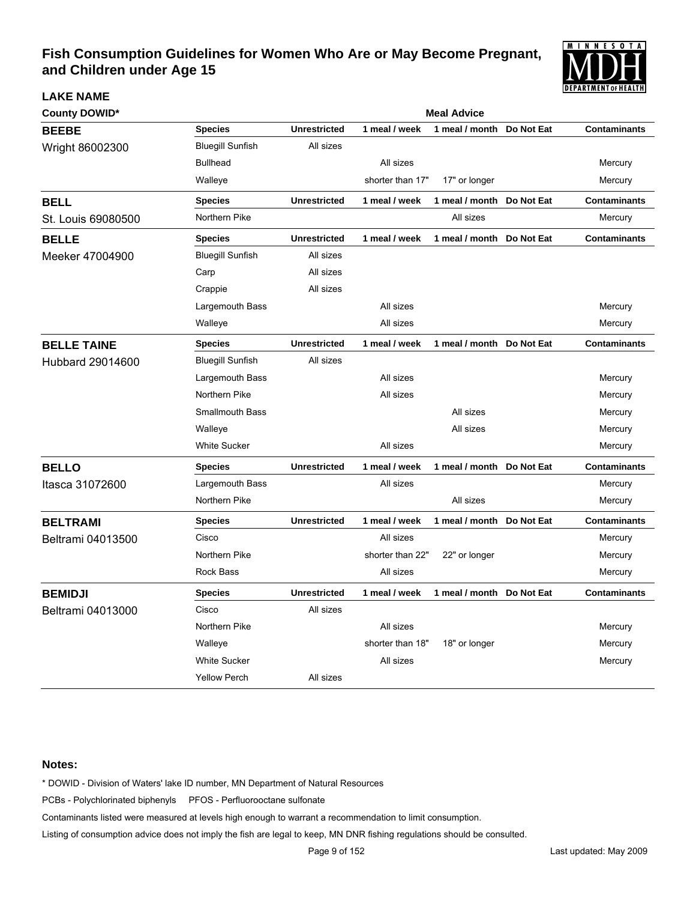

| <b>County DOWID*</b> |                         | <b>Meal Advice</b>  |                  |                           |            |                     |  |  |  |
|----------------------|-------------------------|---------------------|------------------|---------------------------|------------|---------------------|--|--|--|
| <b>BEEBE</b>         | <b>Species</b>          | <b>Unrestricted</b> | 1 meal / week    | 1 meal / month            | Do Not Eat | <b>Contaminants</b> |  |  |  |
| Wright 86002300      | <b>Bluegill Sunfish</b> | All sizes           |                  |                           |            |                     |  |  |  |
|                      | <b>Bullhead</b>         |                     | All sizes        |                           |            | Mercury             |  |  |  |
|                      | Walleye                 |                     | shorter than 17" | 17" or longer             |            | Mercury             |  |  |  |
| <b>BELL</b>          | Species                 | <b>Unrestricted</b> | 1 meal / week    | 1 meal / month            | Do Not Eat | <b>Contaminants</b> |  |  |  |
| St. Louis 69080500   | Northern Pike           |                     |                  | All sizes                 |            | Mercury             |  |  |  |
| <b>BELLE</b>         | <b>Species</b>          | <b>Unrestricted</b> | 1 meal / week    | 1 meal / month            | Do Not Eat | <b>Contaminants</b> |  |  |  |
| Meeker 47004900      | <b>Bluegill Sunfish</b> | All sizes           |                  |                           |            |                     |  |  |  |
|                      | Carp                    | All sizes           |                  |                           |            |                     |  |  |  |
|                      | Crappie                 | All sizes           |                  |                           |            |                     |  |  |  |
|                      | Largemouth Bass         |                     | All sizes        |                           |            | Mercury             |  |  |  |
|                      | Walleye                 |                     | All sizes        |                           |            | Mercury             |  |  |  |
| <b>BELLE TAINE</b>   | <b>Species</b>          | <b>Unrestricted</b> | 1 meal / week    | 1 meal / month Do Not Eat |            | <b>Contaminants</b> |  |  |  |
| Hubbard 29014600     | <b>Bluegill Sunfish</b> | All sizes           |                  |                           |            |                     |  |  |  |
|                      | Largemouth Bass         |                     | All sizes        |                           |            | Mercury             |  |  |  |
|                      | Northern Pike           |                     | All sizes        |                           |            | Mercury             |  |  |  |
|                      | <b>Smallmouth Bass</b>  |                     |                  | All sizes                 |            | Mercury             |  |  |  |
|                      | Walleye                 |                     |                  | All sizes                 |            | Mercury             |  |  |  |
|                      | <b>White Sucker</b>     |                     | All sizes        |                           |            | Mercury             |  |  |  |
| <b>BELLO</b>         | <b>Species</b>          | <b>Unrestricted</b> | 1 meal / week    | 1 meal / month            | Do Not Eat | <b>Contaminants</b> |  |  |  |
| Itasca 31072600      | Largemouth Bass         |                     | All sizes        |                           |            | Mercury             |  |  |  |
|                      | Northern Pike           |                     |                  | All sizes                 |            | Mercury             |  |  |  |
| <b>BELTRAMI</b>      | <b>Species</b>          | <b>Unrestricted</b> | 1 meal / week    | 1 meal / month            | Do Not Eat | <b>Contaminants</b> |  |  |  |
| Beltrami 04013500    | Cisco                   |                     | All sizes        |                           |            | Mercury             |  |  |  |
|                      | Northern Pike           |                     | shorter than 22" | 22" or longer             |            | Mercury             |  |  |  |
|                      | <b>Rock Bass</b>        |                     | All sizes        |                           |            | Mercury             |  |  |  |
| <b>BEMIDJI</b>       | <b>Species</b>          | <b>Unrestricted</b> | 1 meal / week    | 1 meal / month Do Not Eat |            | <b>Contaminants</b> |  |  |  |
| Beltrami 04013000    | Cisco                   | All sizes           |                  |                           |            |                     |  |  |  |
|                      | Northern Pike           |                     | All sizes        |                           |            | Mercury             |  |  |  |
|                      | Walleye                 |                     | shorter than 18" | 18" or longer             |            | Mercury             |  |  |  |
|                      | <b>White Sucker</b>     |                     | All sizes        |                           |            | Mercury             |  |  |  |
|                      | <b>Yellow Perch</b>     | All sizes           |                  |                           |            |                     |  |  |  |

#### **Notes:**

**LAKE NAME**

\* DOWID - Division of Waters' lake ID number, MN Department of Natural Resources

PCBs - Polychlorinated biphenyls PFOS - Perfluorooctane sulfonate

Contaminants listed were measured at levels high enough to warrant a recommendation to limit consumption.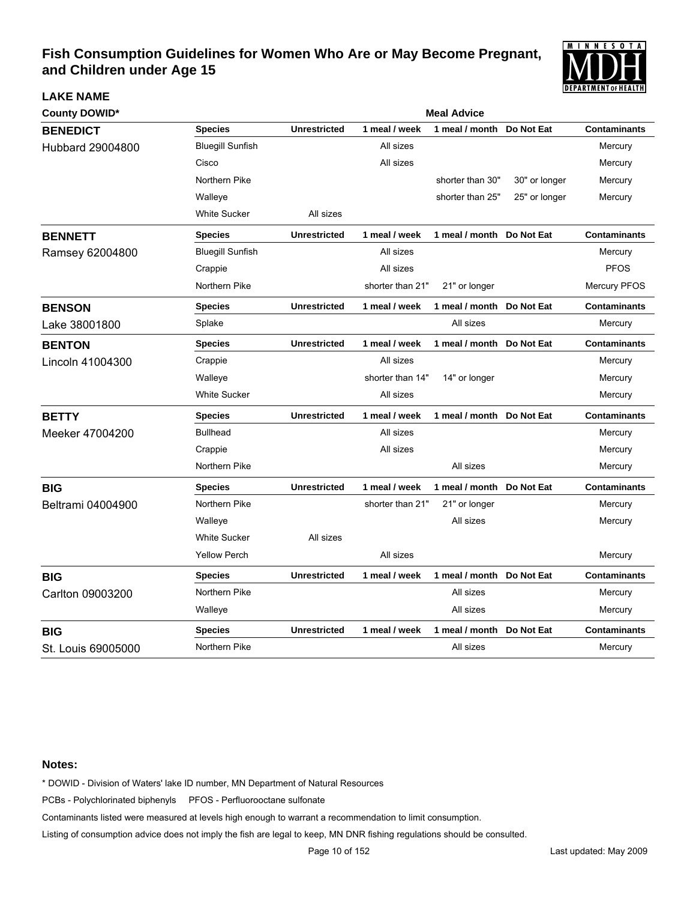

| <b>County DOWID*</b> |                         | <b>Meal Advice</b>  |                  |                           |               |                     |  |  |
|----------------------|-------------------------|---------------------|------------------|---------------------------|---------------|---------------------|--|--|
| <b>BENEDICT</b>      | <b>Species</b>          | <b>Unrestricted</b> | 1 meal / week    | 1 meal / month            | Do Not Eat    | <b>Contaminants</b> |  |  |
| Hubbard 29004800     | <b>Bluegill Sunfish</b> |                     | All sizes        |                           |               | Mercury             |  |  |
|                      | Cisco                   |                     | All sizes        |                           |               | Mercury             |  |  |
|                      | Northern Pike           |                     |                  | shorter than 30"          | 30" or longer | Mercury             |  |  |
|                      | Walleye                 |                     |                  | shorter than 25"          | 25" or longer | Mercury             |  |  |
|                      | <b>White Sucker</b>     | All sizes           |                  |                           |               |                     |  |  |
| <b>BENNETT</b>       | <b>Species</b>          | <b>Unrestricted</b> | 1 meal / week    | 1 meal / month Do Not Eat |               | <b>Contaminants</b> |  |  |
| Ramsey 62004800      | <b>Bluegill Sunfish</b> |                     | All sizes        |                           |               | Mercury             |  |  |
|                      | Crappie                 |                     | All sizes        |                           |               | <b>PFOS</b>         |  |  |
|                      | Northern Pike           |                     | shorter than 21" | 21" or longer             |               | <b>Mercury PFOS</b> |  |  |
| <b>BENSON</b>        | <b>Species</b>          | <b>Unrestricted</b> | 1 meal / week    | 1 meal / month Do Not Eat |               | <b>Contaminants</b> |  |  |
| Lake 38001800        | Splake                  |                     |                  | All sizes                 |               | Mercury             |  |  |
| <b>BENTON</b>        | <b>Species</b>          | <b>Unrestricted</b> | 1 meal / week    | 1 meal / month Do Not Eat |               | <b>Contaminants</b> |  |  |
| Lincoln 41004300     | Crappie                 |                     | All sizes        |                           |               | Mercury             |  |  |
|                      | Walleye                 |                     | shorter than 14" | 14" or longer             |               | Mercury             |  |  |
|                      | <b>White Sucker</b>     |                     | All sizes        |                           |               | Mercury             |  |  |
| <b>BETTY</b>         | <b>Species</b>          | <b>Unrestricted</b> | 1 meal / week    | 1 meal / month Do Not Eat |               | <b>Contaminants</b> |  |  |
| Meeker 47004200      | <b>Bullhead</b>         |                     | All sizes        |                           |               | Mercury             |  |  |
|                      | Crappie                 |                     | All sizes        |                           |               | Mercury             |  |  |
|                      | Northern Pike           |                     |                  | All sizes                 |               | Mercury             |  |  |
| <b>BIG</b>           | <b>Species</b>          | <b>Unrestricted</b> | 1 meal / week    | 1 meal / month Do Not Eat |               | <b>Contaminants</b> |  |  |
| Beltrami 04004900    | Northern Pike           |                     | shorter than 21" | 21" or longer             |               | Mercury             |  |  |
|                      | Walleye                 |                     |                  | All sizes                 |               | Mercury             |  |  |
|                      | <b>White Sucker</b>     | All sizes           |                  |                           |               |                     |  |  |
|                      | <b>Yellow Perch</b>     |                     | All sizes        |                           |               | Mercury             |  |  |
| <b>BIG</b>           | <b>Species</b>          | <b>Unrestricted</b> | 1 meal / week    | 1 meal / month Do Not Eat |               | <b>Contaminants</b> |  |  |
| Carlton 09003200     | Northern Pike           |                     |                  | All sizes                 |               | Mercury             |  |  |
|                      | Walleye                 |                     |                  | All sizes                 |               | Mercury             |  |  |
| <b>BIG</b>           | <b>Species</b>          | <b>Unrestricted</b> | 1 meal / week    | 1 meal / month            | Do Not Eat    | <b>Contaminants</b> |  |  |
| St. Louis 69005000   | Northern Pike           |                     |                  | All sizes                 |               | Mercury             |  |  |

#### **Notes:**

**LAKE NAME**

\* DOWID - Division of Waters' lake ID number, MN Department of Natural Resources

PCBs - Polychlorinated biphenyls PFOS - Perfluorooctane sulfonate

Contaminants listed were measured at levels high enough to warrant a recommendation to limit consumption.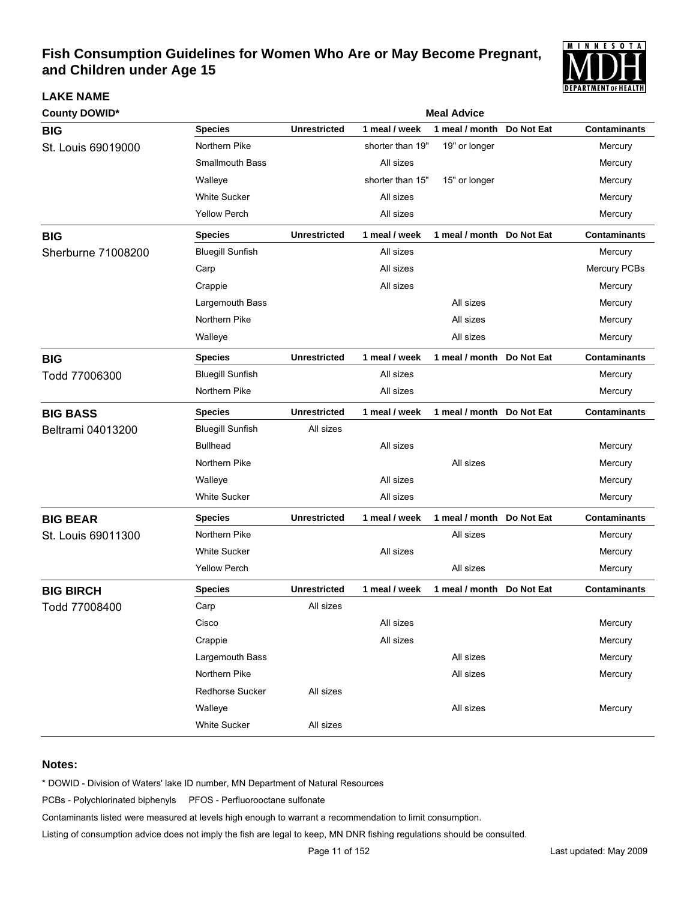

| <b>County DOWID*</b> | <b>Meal Advice</b>      |                     |                  |                           |            |                     |  |  |
|----------------------|-------------------------|---------------------|------------------|---------------------------|------------|---------------------|--|--|
| <b>BIG</b>           | <b>Species</b>          | <b>Unrestricted</b> | 1 meal / week    | 1 meal / month            | Do Not Eat | <b>Contaminants</b> |  |  |
| St. Louis 69019000   | Northern Pike           |                     | shorter than 19" | 19" or longer             |            | Mercury             |  |  |
|                      | <b>Smallmouth Bass</b>  |                     | All sizes        |                           |            | Mercury             |  |  |
|                      | Walleye                 |                     | shorter than 15" | 15" or longer             |            | Mercury             |  |  |
|                      | <b>White Sucker</b>     |                     | All sizes        |                           |            | Mercury             |  |  |
|                      | <b>Yellow Perch</b>     |                     | All sizes        |                           |            | Mercury             |  |  |
| <b>BIG</b>           | <b>Species</b>          | <b>Unrestricted</b> | 1 meal / week    | 1 meal / month Do Not Eat |            | <b>Contaminants</b> |  |  |
| Sherburne 71008200   | <b>Bluegill Sunfish</b> |                     | All sizes        |                           |            | Mercury             |  |  |
|                      | Carp                    |                     | All sizes        |                           |            | Mercury PCBs        |  |  |
|                      | Crappie                 |                     | All sizes        |                           |            | Mercury             |  |  |
|                      | Largemouth Bass         |                     |                  | All sizes                 |            | Mercury             |  |  |
|                      | Northern Pike           |                     |                  | All sizes                 |            | Mercury             |  |  |
|                      | Walleye                 |                     |                  | All sizes                 |            | Mercury             |  |  |
| <b>BIG</b>           | <b>Species</b>          | <b>Unrestricted</b> | 1 meal / week    | 1 meal / month Do Not Eat |            | <b>Contaminants</b> |  |  |
| Todd 77006300        | <b>Bluegill Sunfish</b> |                     | All sizes        |                           |            | Mercury             |  |  |
|                      | Northern Pike           |                     | All sizes        |                           |            | Mercury             |  |  |
| <b>BIG BASS</b>      | <b>Species</b>          | <b>Unrestricted</b> | 1 meal / week    | 1 meal / month Do Not Eat |            | <b>Contaminants</b> |  |  |
| Beltrami 04013200    | <b>Bluegill Sunfish</b> | All sizes           |                  |                           |            |                     |  |  |
|                      | <b>Bullhead</b>         |                     | All sizes        |                           |            | Mercury             |  |  |
|                      | Northern Pike           |                     |                  | All sizes                 |            | Mercury             |  |  |
|                      | Walleye                 |                     | All sizes        |                           |            | Mercury             |  |  |
|                      | <b>White Sucker</b>     |                     | All sizes        |                           |            | Mercury             |  |  |
| <b>BIG BEAR</b>      | <b>Species</b>          | <b>Unrestricted</b> | 1 meal / week    | 1 meal / month Do Not Eat |            | <b>Contaminants</b> |  |  |
| St. Louis 69011300   | Northern Pike           |                     |                  | All sizes                 |            | Mercury             |  |  |
|                      | <b>White Sucker</b>     |                     | All sizes        |                           |            | Mercury             |  |  |
|                      | <b>Yellow Perch</b>     |                     |                  | All sizes                 |            | Mercury             |  |  |
| <b>BIG BIRCH</b>     | <b>Species</b>          | <b>Unrestricted</b> | 1 meal / week    | 1 meal / month Do Not Eat |            | <b>Contaminants</b> |  |  |
| Todd 77008400        | Carp                    | All sizes           |                  |                           |            |                     |  |  |
|                      | Cisco                   |                     | All sizes        |                           |            | Mercury             |  |  |
|                      | Crappie                 |                     | All sizes        |                           |            | Mercury             |  |  |
|                      | Largemouth Bass         |                     |                  | All sizes                 |            | Mercury             |  |  |
|                      | Northern Pike           |                     |                  | All sizes                 |            | Mercury             |  |  |
|                      | Redhorse Sucker         | All sizes           |                  |                           |            |                     |  |  |
|                      | Walleye                 |                     |                  | All sizes                 |            | Mercury             |  |  |
|                      | White Sucker            | All sizes           |                  |                           |            |                     |  |  |

### **Notes:**

**LAKE NAME**

\* DOWID - Division of Waters' lake ID number, MN Department of Natural Resources

PCBs - Polychlorinated biphenyls PFOS - Perfluorooctane sulfonate

Contaminants listed were measured at levels high enough to warrant a recommendation to limit consumption.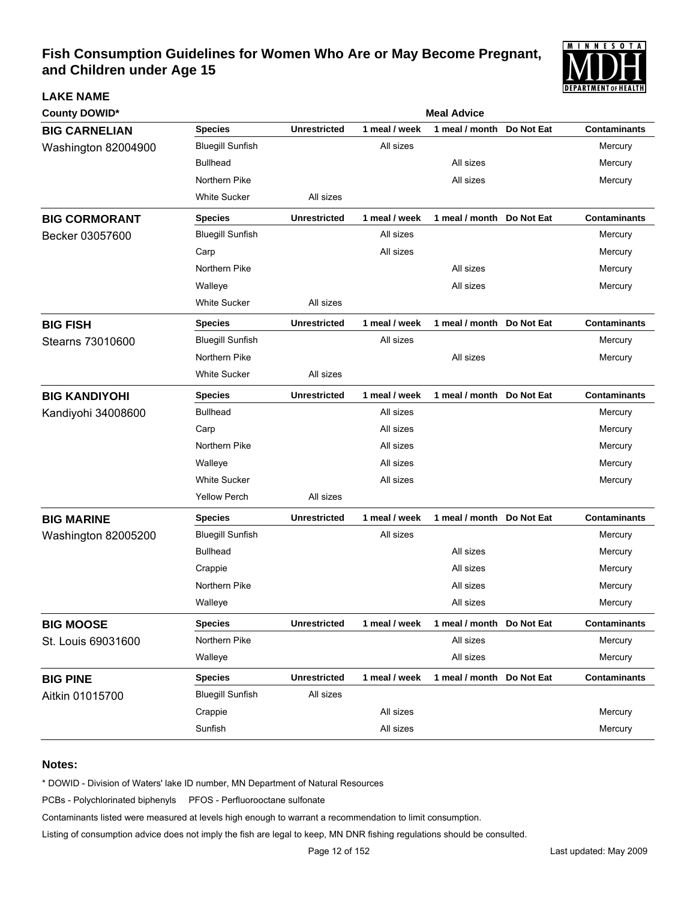

| <b>County DOWID*</b> |                         | <b>Meal Advice</b>  |               |                            |            |                     |  |
|----------------------|-------------------------|---------------------|---------------|----------------------------|------------|---------------------|--|
| <b>BIG CARNELIAN</b> | <b>Species</b>          | <b>Unrestricted</b> | 1 meal / week | 1 meal / month             | Do Not Eat | <b>Contaminants</b> |  |
| Washington 82004900  | <b>Bluegill Sunfish</b> |                     | All sizes     |                            |            | Mercury             |  |
|                      | <b>Bullhead</b>         |                     |               | All sizes                  |            | Mercury             |  |
|                      | Northern Pike           |                     |               | All sizes                  |            | Mercury             |  |
|                      | <b>White Sucker</b>     | All sizes           |               |                            |            |                     |  |
| <b>BIG CORMORANT</b> | <b>Species</b>          | <b>Unrestricted</b> | 1 meal / week | 1 meal / month Do Not Eat  |            | <b>Contaminants</b> |  |
| Becker 03057600      | <b>Bluegill Sunfish</b> |                     | All sizes     |                            |            | Mercury             |  |
|                      | Carp                    |                     | All sizes     |                            |            | Mercury             |  |
|                      | Northern Pike           |                     |               | All sizes                  |            | Mercury             |  |
|                      | Walleye                 |                     |               | All sizes                  |            | Mercury             |  |
|                      | <b>White Sucker</b>     | All sizes           |               |                            |            |                     |  |
| <b>BIG FISH</b>      | <b>Species</b>          | <b>Unrestricted</b> | 1 meal / week | 1 meal / month Do Not Eat  |            | <b>Contaminants</b> |  |
| Stearns 73010600     | <b>Bluegill Sunfish</b> |                     | All sizes     |                            |            | Mercury             |  |
|                      | Northern Pike           |                     |               | All sizes                  |            | Mercury             |  |
|                      | <b>White Sucker</b>     | All sizes           |               |                            |            |                     |  |
| <b>BIG KANDIYOHI</b> | <b>Species</b>          | <b>Unrestricted</b> | 1 meal / week | 1 meal / month Do Not Eat  |            | <b>Contaminants</b> |  |
| Kandiyohi 34008600   | <b>Bullhead</b>         |                     | All sizes     |                            |            | Mercury             |  |
|                      | Carp                    |                     | All sizes     |                            |            | Mercury             |  |
|                      | Northern Pike           |                     | All sizes     |                            |            | Mercury             |  |
|                      | Walleye                 |                     | All sizes     |                            |            | Mercury             |  |
|                      | <b>White Sucker</b>     |                     | All sizes     |                            |            | Mercury             |  |
|                      | <b>Yellow Perch</b>     | All sizes           |               |                            |            |                     |  |
| <b>BIG MARINE</b>    | <b>Species</b>          | <b>Unrestricted</b> | 1 meal / week | 1 meal / month Do Not Eat  |            | <b>Contaminants</b> |  |
| Washington 82005200  | <b>Bluegill Sunfish</b> |                     | All sizes     |                            |            | Mercury             |  |
|                      | <b>Bullhead</b>         |                     |               | All sizes                  |            | Mercury             |  |
|                      | Crappie                 |                     |               | All sizes                  |            | Mercury             |  |
|                      | Northern Pike           |                     |               | All sizes                  |            | Mercury             |  |
|                      | Walleye                 |                     |               | All sizes                  |            | Mercury             |  |
| <b>BIG MOOSE</b>     | <b>Species</b>          | <b>Unrestricted</b> | 1 meal / week | 1 meal / month Do Not Eat  |            | <b>Contaminants</b> |  |
| St. Louis 69031600   | Northern Pike           |                     |               | All sizes                  |            | Mercury             |  |
|                      | Walleye                 |                     |               | All sizes                  |            | Mercury             |  |
| <b>BIG PINE</b>      | <b>Species</b>          | <b>Unrestricted</b> | 1 meal / week | 1 meal / month  Do Not Eat |            | <b>Contaminants</b> |  |
| Aitkin 01015700      | <b>Bluegill Sunfish</b> | All sizes           |               |                            |            |                     |  |
|                      | Crappie                 |                     | All sizes     |                            |            | Mercury             |  |
|                      | Sunfish                 |                     | All sizes     |                            |            | Mercury             |  |

### **Notes:**

**LAKE NAME**

\* DOWID - Division of Waters' lake ID number, MN Department of Natural Resources

PCBs - Polychlorinated biphenyls PFOS - Perfluorooctane sulfonate

Contaminants listed were measured at levels high enough to warrant a recommendation to limit consumption.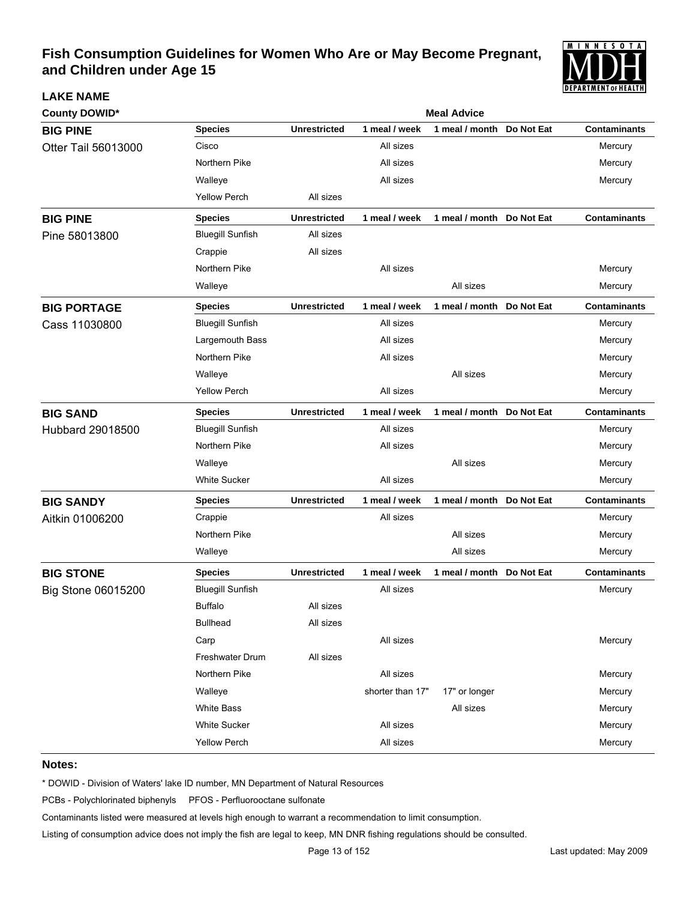

| <b>LAKE NAME</b>     |                         |                     |                  |                           |            | I PEFAN I MEN I VI FIEAL I FI |
|----------------------|-------------------------|---------------------|------------------|---------------------------|------------|-------------------------------|
| <b>County DOWID*</b> |                         |                     |                  | <b>Meal Advice</b>        |            |                               |
| <b>BIG PINE</b>      | <b>Species</b>          | <b>Unrestricted</b> | 1 meal / week    | 1 meal / month            | Do Not Eat | <b>Contaminants</b>           |
| Otter Tail 56013000  | Cisco                   |                     | All sizes        |                           |            | Mercury                       |
|                      | Northern Pike           |                     | All sizes        |                           |            | Mercury                       |
|                      | Walleye                 |                     | All sizes        |                           |            | Mercury                       |
|                      | <b>Yellow Perch</b>     | All sizes           |                  |                           |            |                               |
| <b>BIG PINE</b>      | <b>Species</b>          | <b>Unrestricted</b> | 1 meal / week    | 1 meal / month Do Not Eat |            | <b>Contaminants</b>           |
| Pine 58013800        | <b>Bluegill Sunfish</b> | All sizes           |                  |                           |            |                               |
|                      | Crappie                 | All sizes           |                  |                           |            |                               |
|                      | Northern Pike           |                     | All sizes        |                           |            | Mercury                       |
|                      | Walleye                 |                     |                  | All sizes                 |            | Mercury                       |
| <b>BIG PORTAGE</b>   | <b>Species</b>          | <b>Unrestricted</b> | 1 meal / week    | 1 meal / month Do Not Eat |            | <b>Contaminants</b>           |
| Cass 11030800        | <b>Bluegill Sunfish</b> |                     | All sizes        |                           |            | Mercury                       |
|                      | Largemouth Bass         |                     | All sizes        |                           |            | Mercury                       |
|                      | Northern Pike           |                     | All sizes        |                           |            | Mercury                       |
|                      | Walleye                 |                     |                  | All sizes                 |            | Mercury                       |
|                      | <b>Yellow Perch</b>     |                     | All sizes        |                           |            | Mercury                       |
| <b>BIG SAND</b>      | <b>Species</b>          | <b>Unrestricted</b> | 1 meal / week    | 1 meal / month Do Not Eat |            | <b>Contaminants</b>           |
| Hubbard 29018500     | <b>Bluegill Sunfish</b> |                     | All sizes        |                           |            | Mercury                       |
|                      | Northern Pike           |                     | All sizes        |                           |            | Mercury                       |
|                      | Walleye                 |                     |                  | All sizes                 |            | Mercury                       |
|                      | White Sucker            |                     | All sizes        |                           |            | Mercury                       |
| <b>BIG SANDY</b>     | <b>Species</b>          | <b>Unrestricted</b> | 1 meal / week    | 1 meal / month            | Do Not Eat | <b>Contaminants</b>           |
| Aitkin 01006200      | Crappie                 |                     | All sizes        |                           |            | Mercury                       |
|                      | Northern Pike           |                     |                  | All sizes                 |            | Mercury                       |
|                      | Walleye                 |                     |                  | All sizes                 |            | Mercury                       |
| <b>BIG STONE</b>     | <b>Species</b>          | <b>Unrestricted</b> | 1 meal / week    | 1 meal / month Do Not Eat |            | <b>Contaminants</b>           |
| Big Stone 06015200   | <b>Bluegill Sunfish</b> |                     | All sizes        |                           |            | Mercury                       |
|                      | <b>Buffalo</b>          | All sizes           |                  |                           |            |                               |
|                      | <b>Bullhead</b>         | All sizes           |                  |                           |            |                               |
|                      | Carp                    |                     | All sizes        |                           |            | Mercury                       |
|                      | <b>Freshwater Drum</b>  | All sizes           |                  |                           |            |                               |
|                      | Northern Pike           |                     | All sizes        |                           |            | Mercury                       |
|                      | Walleye                 |                     | shorter than 17" | 17" or longer             |            | Mercury                       |
|                      | White Bass              |                     |                  | All sizes                 |            | Mercury                       |
|                      | <b>White Sucker</b>     |                     | All sizes        |                           |            | Mercury                       |
|                      | <b>Yellow Perch</b>     |                     | All sizes        |                           |            | Mercury                       |

#### **Notes:**

\* DOWID - Division of Waters' lake ID number, MN Department of Natural Resources

PCBs - Polychlorinated biphenyls PFOS - Perfluorooctane sulfonate

Contaminants listed were measured at levels high enough to warrant a recommendation to limit consumption.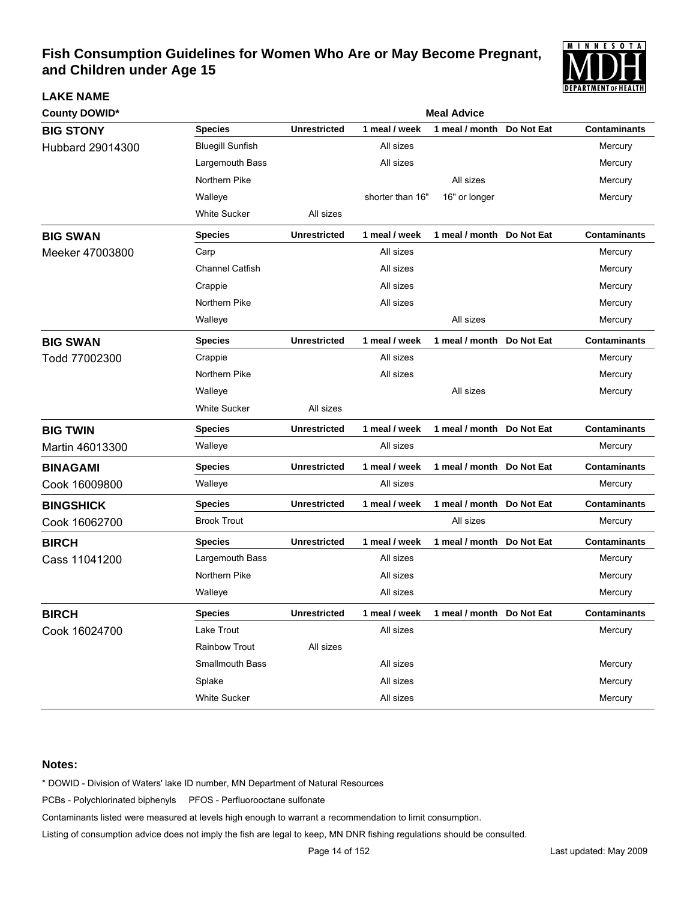

| <b>County DOWID*</b> |                         | <b>Meal Advice</b>  |                  |                           |            |                     |  |  |  |
|----------------------|-------------------------|---------------------|------------------|---------------------------|------------|---------------------|--|--|--|
| <b>BIG STONY</b>     | <b>Species</b>          | <b>Unrestricted</b> | 1 meal / week    | 1 meal / month            | Do Not Eat | <b>Contaminants</b> |  |  |  |
| Hubbard 29014300     | <b>Bluegill Sunfish</b> |                     | All sizes        |                           |            | Mercury             |  |  |  |
|                      | Largemouth Bass         |                     | All sizes        |                           |            | Mercury             |  |  |  |
|                      | Northern Pike           |                     |                  | All sizes                 |            | Mercury             |  |  |  |
|                      | Walleye                 |                     | shorter than 16" | 16" or longer             |            | Mercury             |  |  |  |
|                      | White Sucker            | All sizes           |                  |                           |            |                     |  |  |  |
| <b>BIG SWAN</b>      | <b>Species</b>          | <b>Unrestricted</b> | 1 meal / week    | 1 meal / month Do Not Eat |            | <b>Contaminants</b> |  |  |  |
| Meeker 47003800      | Carp                    |                     | All sizes        |                           |            | Mercury             |  |  |  |
|                      | <b>Channel Catfish</b>  |                     | All sizes        |                           |            | Mercury             |  |  |  |
|                      | Crappie                 |                     | All sizes        |                           |            | Mercury             |  |  |  |
|                      | Northern Pike           |                     | All sizes        |                           |            | Mercury             |  |  |  |
|                      | Walleye                 |                     |                  | All sizes                 |            | Mercury             |  |  |  |
| <b>BIG SWAN</b>      | <b>Species</b>          | <b>Unrestricted</b> | 1 meal / week    | 1 meal / month            | Do Not Eat | <b>Contaminants</b> |  |  |  |
| Todd 77002300        | Crappie                 |                     | All sizes        |                           |            | Mercury             |  |  |  |
|                      | Northern Pike           |                     | All sizes        |                           |            | Mercury             |  |  |  |
|                      | Walleye                 |                     |                  | All sizes                 |            | Mercury             |  |  |  |
|                      | <b>White Sucker</b>     | All sizes           |                  |                           |            |                     |  |  |  |
| <b>BIG TWIN</b>      | <b>Species</b>          | <b>Unrestricted</b> | 1 meal / week    | 1 meal / month Do Not Eat |            | <b>Contaminants</b> |  |  |  |
| Martin 46013300      | Walleye                 |                     | All sizes        |                           |            | Mercury             |  |  |  |
| <b>BINAGAMI</b>      | <b>Species</b>          | <b>Unrestricted</b> | 1 meal / week    | 1 meal / month Do Not Eat |            | <b>Contaminants</b> |  |  |  |
| Cook 16009800        | Walleye                 |                     | All sizes        |                           |            | Mercury             |  |  |  |
| <b>BINGSHICK</b>     | <b>Species</b>          | <b>Unrestricted</b> | 1 meal / week    | 1 meal / month Do Not Eat |            | <b>Contaminants</b> |  |  |  |
| Cook 16062700        | <b>Brook Trout</b>      |                     |                  | All sizes                 |            | Mercury             |  |  |  |
| <b>BIRCH</b>         | <b>Species</b>          | <b>Unrestricted</b> | 1 meal / week    | 1 meal / month Do Not Eat |            | <b>Contaminants</b> |  |  |  |
| Cass 11041200        | Largemouth Bass         |                     | All sizes        |                           |            | Mercury             |  |  |  |
|                      | Northern Pike           |                     | All sizes        |                           |            | Mercury             |  |  |  |
|                      | Walleye                 |                     | All sizes        |                           |            | Mercury             |  |  |  |
| <b>BIRCH</b>         | <b>Species</b>          | <b>Unrestricted</b> | 1 meal / week    | 1 meal / month Do Not Eat |            | <b>Contaminants</b> |  |  |  |
| Cook 16024700        | Lake Trout              |                     | All sizes        |                           |            | Mercury             |  |  |  |
|                      | <b>Rainbow Trout</b>    | All sizes           |                  |                           |            |                     |  |  |  |
|                      | <b>Smallmouth Bass</b>  |                     | All sizes        |                           |            | Mercury             |  |  |  |
|                      | Splake                  |                     | All sizes        |                           |            | Mercury             |  |  |  |
|                      | <b>White Sucker</b>     |                     | All sizes        |                           |            | Mercury             |  |  |  |

### **Notes:**

**LAKE NAME**

\* DOWID - Division of Waters' lake ID number, MN Department of Natural Resources

PCBs - Polychlorinated biphenyls PFOS - Perfluorooctane sulfonate

Contaminants listed were measured at levels high enough to warrant a recommendation to limit consumption.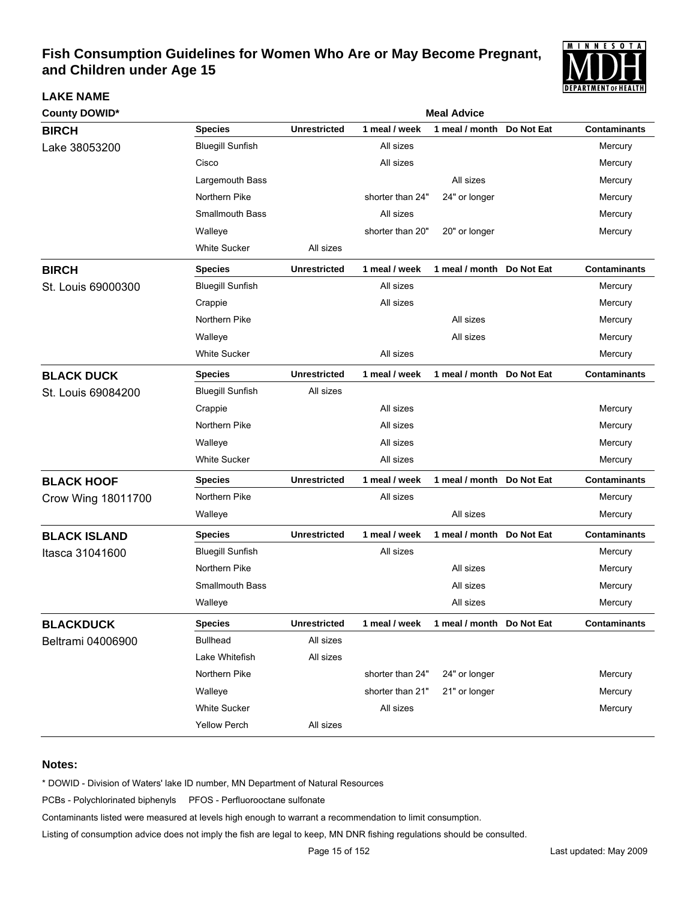

| <b>County DOWID*</b> | <b>Meal Advice</b>      |                     |                  |                           |            |                     |  |  |
|----------------------|-------------------------|---------------------|------------------|---------------------------|------------|---------------------|--|--|
| <b>BIRCH</b>         | <b>Species</b>          | <b>Unrestricted</b> | 1 meal / week    | 1 meal / month            | Do Not Eat | <b>Contaminants</b> |  |  |
| Lake 38053200        | <b>Bluegill Sunfish</b> |                     | All sizes        |                           |            | Mercury             |  |  |
|                      | Cisco                   |                     | All sizes        |                           |            | Mercury             |  |  |
|                      | Largemouth Bass         |                     |                  | All sizes                 |            | Mercury             |  |  |
|                      | Northern Pike           |                     | shorter than 24" | 24" or longer             |            | Mercury             |  |  |
|                      | <b>Smallmouth Bass</b>  |                     | All sizes        |                           |            | Mercury             |  |  |
|                      | Walleye                 |                     | shorter than 20" | 20" or longer             |            | Mercury             |  |  |
|                      | <b>White Sucker</b>     | All sizes           |                  |                           |            |                     |  |  |
| <b>BIRCH</b>         | <b>Species</b>          | <b>Unrestricted</b> | 1 meal / week    | 1 meal / month            | Do Not Eat | <b>Contaminants</b> |  |  |
| St. Louis 69000300   | <b>Bluegill Sunfish</b> |                     | All sizes        |                           |            | Mercury             |  |  |
|                      | Crappie                 |                     | All sizes        |                           |            | Mercury             |  |  |
|                      | Northern Pike           |                     |                  | All sizes                 |            | Mercury             |  |  |
|                      | Walleye                 |                     |                  | All sizes                 |            | Mercury             |  |  |
|                      | <b>White Sucker</b>     |                     | All sizes        |                           |            | Mercury             |  |  |
| <b>BLACK DUCK</b>    | <b>Species</b>          | <b>Unrestricted</b> | 1 meal / week    | 1 meal / month Do Not Eat |            | <b>Contaminants</b> |  |  |
| St. Louis 69084200   | <b>Bluegill Sunfish</b> | All sizes           |                  |                           |            |                     |  |  |
|                      | Crappie                 |                     | All sizes        |                           |            | Mercury             |  |  |
|                      | Northern Pike           |                     | All sizes        |                           |            | Mercury             |  |  |
|                      | Walleye                 |                     | All sizes        |                           |            | Mercury             |  |  |
|                      | <b>White Sucker</b>     |                     | All sizes        |                           |            | Mercury             |  |  |
| <b>BLACK HOOF</b>    | <b>Species</b>          | <b>Unrestricted</b> | 1 meal / week    | 1 meal / month Do Not Eat |            | <b>Contaminants</b> |  |  |
| Crow Wing 18011700   | Northern Pike           |                     | All sizes        |                           |            | Mercury             |  |  |
|                      | Walleye                 |                     |                  | All sizes                 |            | Mercury             |  |  |
| <b>BLACK ISLAND</b>  | <b>Species</b>          | <b>Unrestricted</b> | 1 meal / week    | 1 meal / month Do Not Eat |            | <b>Contaminants</b> |  |  |
| Itasca 31041600      | <b>Bluegill Sunfish</b> |                     | All sizes        |                           |            | Mercury             |  |  |
|                      | Northern Pike           |                     |                  | All sizes                 |            | Mercury             |  |  |
|                      | <b>Smallmouth Bass</b>  |                     |                  | All sizes                 |            | Mercury             |  |  |
|                      | Walleye                 |                     |                  | All sizes                 |            | Mercury             |  |  |
| <b>BLACKDUCK</b>     | <b>Species</b>          | <b>Unrestricted</b> | 1 meal / week    | 1 meal / month Do Not Eat |            | <b>Contaminants</b> |  |  |
| Beltrami 04006900    | <b>Bullhead</b>         | All sizes           |                  |                           |            |                     |  |  |
|                      | Lake Whitefish          | All sizes           |                  |                           |            |                     |  |  |
|                      | Northern Pike           |                     | shorter than 24" | 24" or longer             |            | Mercury             |  |  |
|                      | Walleye                 |                     | shorter than 21" | 21" or longer             |            | Mercury             |  |  |
|                      | <b>White Sucker</b>     |                     | All sizes        |                           |            | Mercury             |  |  |
|                      | Yellow Perch            | All sizes           |                  |                           |            |                     |  |  |

#### **Notes:**

**LAKE NAME**

\* DOWID - Division of Waters' lake ID number, MN Department of Natural Resources

PCBs - Polychlorinated biphenyls PFOS - Perfluorooctane sulfonate

Contaminants listed were measured at levels high enough to warrant a recommendation to limit consumption.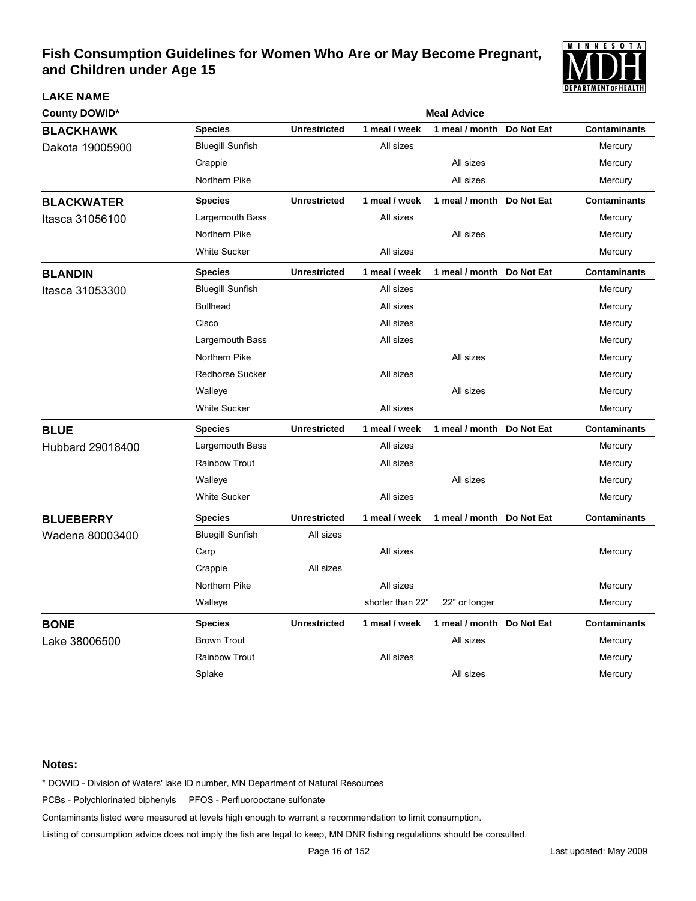

| <b>County DOWID*</b> | <b>Meal Advice</b>      |                     |                  |                           |            |                     |
|----------------------|-------------------------|---------------------|------------------|---------------------------|------------|---------------------|
| <b>BLACKHAWK</b>     | <b>Species</b>          | <b>Unrestricted</b> | 1 meal / week    | 1 meal / month            | Do Not Eat | <b>Contaminants</b> |
| Dakota 19005900      | <b>Bluegill Sunfish</b> |                     | All sizes        |                           |            | Mercury             |
|                      | Crappie                 |                     |                  | All sizes                 |            | Mercury             |
|                      | Northern Pike           |                     |                  | All sizes                 |            | Mercury             |
| <b>BLACKWATER</b>    | <b>Species</b>          | <b>Unrestricted</b> | 1 meal / week    | 1 meal / month            | Do Not Eat | <b>Contaminants</b> |
| Itasca 31056100      | Largemouth Bass         |                     | All sizes        |                           |            | Mercury             |
|                      | Northern Pike           |                     |                  | All sizes                 |            | Mercury             |
|                      | <b>White Sucker</b>     |                     | All sizes        |                           |            | Mercury             |
| <b>BLANDIN</b>       | <b>Species</b>          | <b>Unrestricted</b> | 1 meal / week    | 1 meal / month            | Do Not Eat | <b>Contaminants</b> |
| Itasca 31053300      | <b>Bluegill Sunfish</b> |                     | All sizes        |                           |            | Mercury             |
|                      | <b>Bullhead</b>         |                     | All sizes        |                           |            | Mercury             |
|                      | Cisco                   |                     | All sizes        |                           |            | Mercury             |
|                      | Largemouth Bass         |                     | All sizes        |                           |            | Mercury             |
|                      | Northern Pike           |                     |                  | All sizes                 |            | Mercury             |
|                      | <b>Redhorse Sucker</b>  |                     | All sizes        |                           |            | Mercury             |
|                      | Walleye                 |                     |                  | All sizes                 |            | Mercury             |
|                      | <b>White Sucker</b>     |                     | All sizes        |                           |            | Mercury             |
| <b>BLUE</b>          | <b>Species</b>          | <b>Unrestricted</b> | 1 meal / week    | 1 meal / month            | Do Not Eat | <b>Contaminants</b> |
| Hubbard 29018400     | Largemouth Bass         |                     | All sizes        |                           |            | Mercury             |
|                      | <b>Rainbow Trout</b>    |                     | All sizes        |                           |            | Mercury             |
|                      | Walleye                 |                     |                  | All sizes                 |            | Mercury             |
|                      | <b>White Sucker</b>     |                     | All sizes        |                           |            | Mercury             |
| <b>BLUEBERRY</b>     | <b>Species</b>          | <b>Unrestricted</b> | 1 meal / week    | 1 meal / month Do Not Eat |            | <b>Contaminants</b> |
| Wadena 80003400      | <b>Bluegill Sunfish</b> | All sizes           |                  |                           |            |                     |
|                      | Carp                    |                     | All sizes        |                           |            | Mercury             |
|                      | Crappie                 | All sizes           |                  |                           |            |                     |
|                      | Northern Pike           |                     | All sizes        |                           |            | Mercury             |
|                      | Walleye                 |                     | shorter than 22" | 22" or longer             |            | Mercury             |
| <b>BONE</b>          | <b>Species</b>          | <b>Unrestricted</b> | 1 meal / week    | 1 meal / month            | Do Not Eat | <b>Contaminants</b> |
| Lake 38006500        | <b>Brown Trout</b>      |                     |                  | All sizes                 |            | Mercury             |
|                      | <b>Rainbow Trout</b>    |                     | All sizes        |                           |            | Mercury             |
|                      | Splake                  |                     |                  | All sizes                 |            | Mercury             |

#### **Notes:**

**LAKE NAME**

\* DOWID - Division of Waters' lake ID number, MN Department of Natural Resources

PCBs - Polychlorinated biphenyls PFOS - Perfluorooctane sulfonate

Contaminants listed were measured at levels high enough to warrant a recommendation to limit consumption.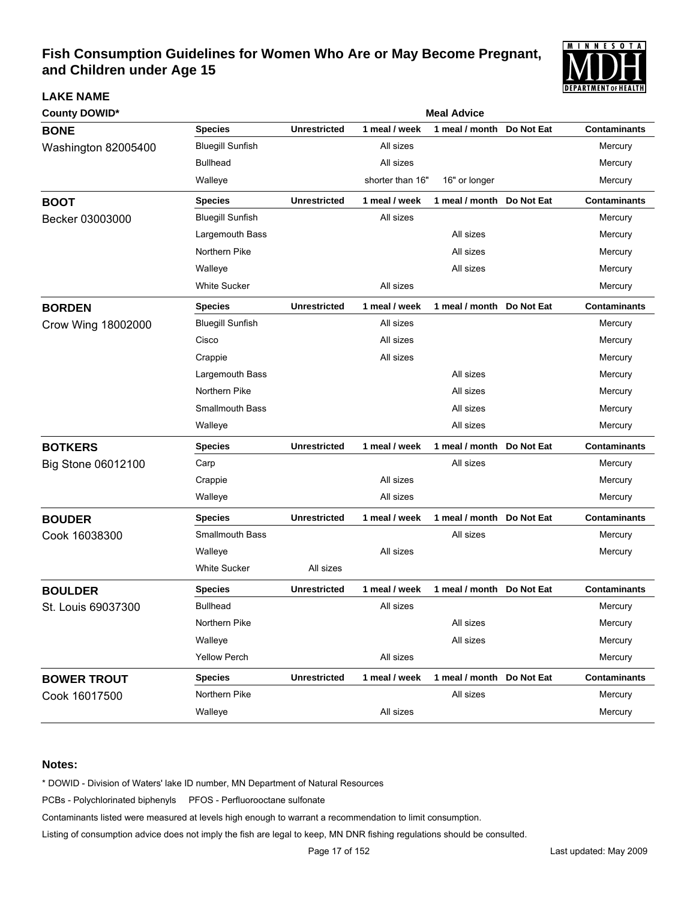

| <b>County DOWID*</b> | <b>Meal Advice</b>      |                     |                  |                           |            |                     |  |  |  |
|----------------------|-------------------------|---------------------|------------------|---------------------------|------------|---------------------|--|--|--|
| <b>BONE</b>          | <b>Species</b>          | <b>Unrestricted</b> | 1 meal / week    | 1 meal / month            | Do Not Eat | <b>Contaminants</b> |  |  |  |
| Washington 82005400  | <b>Bluegill Sunfish</b> |                     | All sizes        |                           |            | Mercury             |  |  |  |
|                      | <b>Bullhead</b>         |                     | All sizes        |                           |            | Mercury             |  |  |  |
|                      | Walleye                 |                     | shorter than 16" | 16" or longer             |            | Mercury             |  |  |  |
| <b>BOOT</b>          | <b>Species</b>          | <b>Unrestricted</b> | 1 meal / week    | 1 meal / month Do Not Eat |            | <b>Contaminants</b> |  |  |  |
| Becker 03003000      | <b>Bluegill Sunfish</b> |                     | All sizes        |                           |            | Mercury             |  |  |  |
|                      | Largemouth Bass         |                     |                  | All sizes                 |            | Mercury             |  |  |  |
|                      | Northern Pike           |                     |                  | All sizes                 |            | Mercury             |  |  |  |
|                      | Walleye                 |                     |                  | All sizes                 |            | Mercury             |  |  |  |
|                      | White Sucker            |                     | All sizes        |                           |            | Mercury             |  |  |  |
| <b>BORDEN</b>        | <b>Species</b>          | <b>Unrestricted</b> | 1 meal / week    | 1 meal / month            | Do Not Eat | <b>Contaminants</b> |  |  |  |
| Crow Wing 18002000   | <b>Bluegill Sunfish</b> |                     | All sizes        |                           |            | Mercury             |  |  |  |
|                      | Cisco                   |                     | All sizes        |                           |            | Mercury             |  |  |  |
|                      | Crappie                 |                     | All sizes        |                           |            | Mercury             |  |  |  |
|                      | Largemouth Bass         |                     |                  | All sizes                 |            | Mercury             |  |  |  |
|                      | Northern Pike           |                     |                  | All sizes                 |            | Mercury             |  |  |  |
|                      | <b>Smallmouth Bass</b>  |                     |                  | All sizes                 |            | Mercury             |  |  |  |
|                      | Walleye                 |                     |                  | All sizes                 |            | Mercury             |  |  |  |
| <b>BOTKERS</b>       | <b>Species</b>          | <b>Unrestricted</b> | 1 meal / week    | 1 meal / month            | Do Not Eat | <b>Contaminants</b> |  |  |  |
| Big Stone 06012100   | Carp                    |                     |                  | All sizes                 |            | Mercury             |  |  |  |
|                      | Crappie                 |                     | All sizes        |                           |            | Mercury             |  |  |  |
|                      | Walleye                 |                     | All sizes        |                           |            | Mercury             |  |  |  |
| <b>BOUDER</b>        | <b>Species</b>          | <b>Unrestricted</b> | 1 meal / week    | 1 meal / month            | Do Not Eat | <b>Contaminants</b> |  |  |  |
| Cook 16038300        | Smallmouth Bass         |                     |                  | All sizes                 |            | Mercury             |  |  |  |
|                      | Walleye                 |                     | All sizes        |                           |            | Mercury             |  |  |  |
|                      | <b>White Sucker</b>     | All sizes           |                  |                           |            |                     |  |  |  |
| <b>BOULDER</b>       | <b>Species</b>          | <b>Unrestricted</b> | 1 meal / week    | 1 meal / month            | Do Not Eat | <b>Contaminants</b> |  |  |  |
| St. Louis 69037300   | <b>Bullhead</b>         |                     | All sizes        |                           |            | Mercury             |  |  |  |
|                      | Northern Pike           |                     |                  | All sizes                 |            | Mercury             |  |  |  |
|                      | Walleye                 |                     |                  | All sizes                 |            | Mercury             |  |  |  |
|                      | <b>Yellow Perch</b>     |                     | All sizes        |                           |            | Mercury             |  |  |  |
| <b>BOWER TROUT</b>   | <b>Species</b>          | <b>Unrestricted</b> | 1 meal / week    | 1 meal / month Do Not Eat |            | <b>Contaminants</b> |  |  |  |
| Cook 16017500        | Northern Pike           |                     |                  | All sizes                 |            | Mercury             |  |  |  |
|                      | Walleye                 |                     | All sizes        |                           |            | Mercury             |  |  |  |

### **Notes:**

**LAKE NAME**

\* DOWID - Division of Waters' lake ID number, MN Department of Natural Resources

PCBs - Polychlorinated biphenyls PFOS - Perfluorooctane sulfonate

Contaminants listed were measured at levels high enough to warrant a recommendation to limit consumption.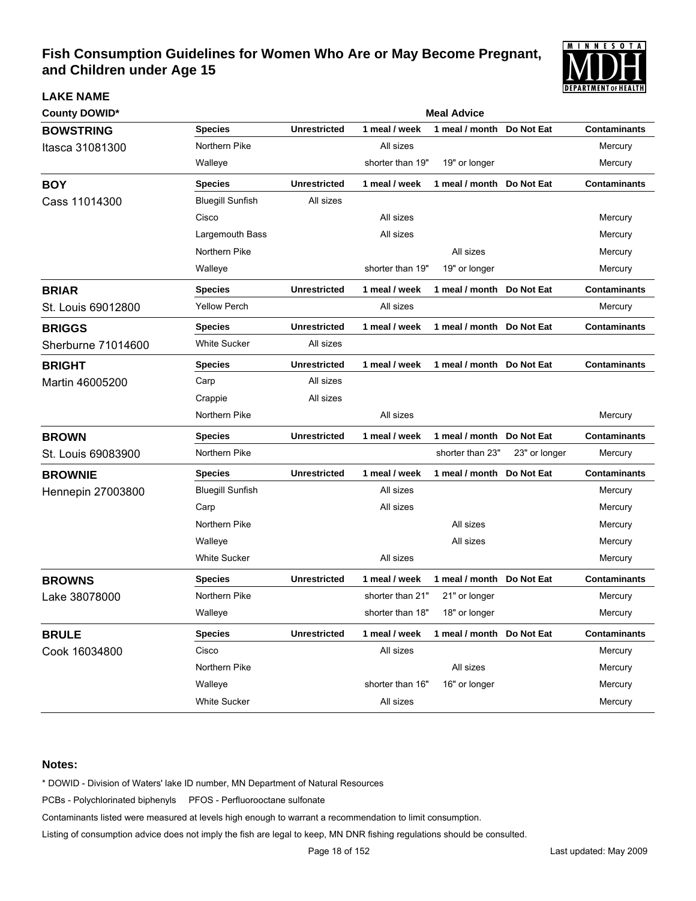

| <b>County DOWID*</b>     |                         |                     |                  | <b>Meal Advice</b>        |               |                     |
|--------------------------|-------------------------|---------------------|------------------|---------------------------|---------------|---------------------|
| <b>BOWSTRING</b>         | <b>Species</b>          | <b>Unrestricted</b> | 1 meal / week    | 1 meal / month            | Do Not Eat    | <b>Contaminants</b> |
| Itasca 31081300          | Northern Pike           |                     | All sizes        |                           |               | Mercury             |
|                          | Walleye                 |                     | shorter than 19" | 19" or longer             |               | Mercury             |
| <b>BOY</b>               | <b>Species</b>          | <b>Unrestricted</b> | 1 meal / week    | 1 meal / month            | Do Not Eat    | Contaminants        |
| Cass 11014300            | <b>Bluegill Sunfish</b> | All sizes           |                  |                           |               |                     |
|                          | Cisco                   |                     | All sizes        |                           |               | Mercury             |
|                          | Largemouth Bass         |                     | All sizes        |                           |               | Mercury             |
|                          | Northern Pike           |                     |                  | All sizes                 |               | Mercury             |
|                          | Walleye                 |                     | shorter than 19" | 19" or longer             |               | Mercury             |
| <b>BRIAR</b>             | <b>Species</b>          | <b>Unrestricted</b> | 1 meal / week    | 1 meal / month            | Do Not Eat    | Contaminants        |
| St. Louis 69012800       | <b>Yellow Perch</b>     |                     | All sizes        |                           |               | Mercury             |
| <b>BRIGGS</b>            | <b>Species</b>          | <b>Unrestricted</b> | 1 meal / week    | 1 meal / month            | Do Not Eat    | Contaminants        |
| Sherburne 71014600       | <b>White Sucker</b>     | All sizes           |                  |                           |               |                     |
| <b>BRIGHT</b>            | <b>Species</b>          | <b>Unrestricted</b> | 1 meal / week    | 1 meal / month            | Do Not Eat    | Contaminants        |
| Martin 46005200          | Carp                    | All sizes           |                  |                           |               |                     |
|                          | Crappie                 | All sizes           |                  |                           |               |                     |
|                          | Northern Pike           |                     | All sizes        |                           |               | Mercury             |
| <b>BROWN</b>             | <b>Species</b>          | <b>Unrestricted</b> | 1 meal / week    | 1 meal / month Do Not Eat |               | <b>Contaminants</b> |
| St. Louis 69083900       | Northern Pike           |                     |                  | shorter than 23"          | 23" or longer | Mercury             |
| <b>BROWNIE</b>           | <b>Species</b>          | <b>Unrestricted</b> | 1 meal / week    | 1 meal / month            | Do Not Eat    | <b>Contaminants</b> |
| <b>Hennepin 27003800</b> | <b>Bluegill Sunfish</b> |                     | All sizes        |                           |               | Mercury             |
|                          | Carp                    |                     | All sizes        |                           |               | Mercury             |
|                          | Northern Pike           |                     |                  | All sizes                 |               | Mercury             |
|                          | Walleye                 |                     |                  | All sizes                 |               | Mercury             |
|                          | <b>White Sucker</b>     |                     | All sizes        |                           |               | Mercury             |
| <b>BROWNS</b>            | <b>Species</b>          | <b>Unrestricted</b> | 1 meal / week    | 1 meal / month Do Not Eat |               | <b>Contaminants</b> |
| Lake 38078000            | Northern Pike           |                     | shorter than 21" | 21" or longer             |               | Mercury             |
|                          | Walleye                 |                     | shorter than 18" | 18" or longer             |               | Mercury             |
| <b>BRULE</b>             | <b>Species</b>          | <b>Unrestricted</b> | 1 meal / week    | 1 meal / month Do Not Eat |               | <b>Contaminants</b> |
| Cook 16034800            | Cisco                   |                     | All sizes        |                           |               | Mercury             |
|                          | Northern Pike           |                     |                  | All sizes                 |               | Mercury             |
|                          | Walleye                 |                     | shorter than 16" | 16" or longer             |               | Mercury             |
|                          | White Sucker            |                     | All sizes        |                           |               | Mercury             |

### **Notes:**

**LAKE NAME**

\* DOWID - Division of Waters' lake ID number, MN Department of Natural Resources

PCBs - Polychlorinated biphenyls PFOS - Perfluorooctane sulfonate

Contaminants listed were measured at levels high enough to warrant a recommendation to limit consumption.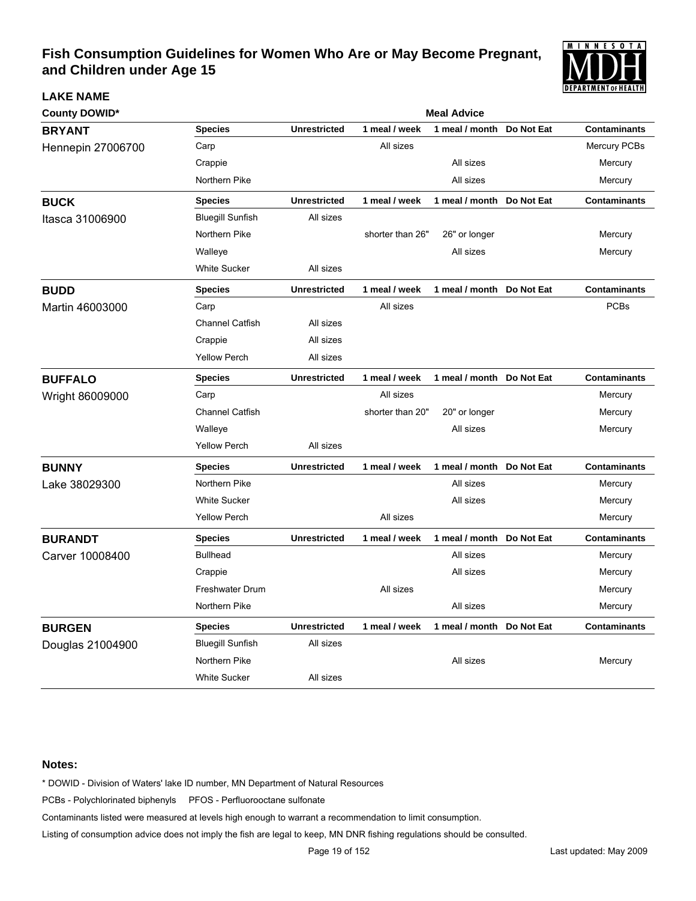

| <b>County DOWID*</b>     |                         | <b>Meal Advice</b>  |                  |                           |            |                     |  |  |  |
|--------------------------|-------------------------|---------------------|------------------|---------------------------|------------|---------------------|--|--|--|
| <b>BRYANT</b>            | <b>Species</b>          | <b>Unrestricted</b> | 1 meal / week    | 1 meal / month            | Do Not Eat | <b>Contaminants</b> |  |  |  |
| <b>Hennepin 27006700</b> | Carp                    |                     | All sizes        |                           |            | Mercury PCBs        |  |  |  |
|                          | Crappie                 |                     |                  | All sizes                 |            | Mercury             |  |  |  |
|                          | Northern Pike           |                     |                  | All sizes                 |            | Mercury             |  |  |  |
| <b>BUCK</b>              | <b>Species</b>          | <b>Unrestricted</b> | 1 meal / week    | 1 meal / month Do Not Eat |            | <b>Contaminants</b> |  |  |  |
| Itasca 31006900          | <b>Bluegill Sunfish</b> | All sizes           |                  |                           |            |                     |  |  |  |
|                          | Northern Pike           |                     | shorter than 26" | 26" or longer             |            | Mercury             |  |  |  |
|                          | Walleye                 |                     |                  | All sizes                 |            | Mercury             |  |  |  |
|                          | <b>White Sucker</b>     | All sizes           |                  |                           |            |                     |  |  |  |
| <b>BUDD</b>              | <b>Species</b>          | <b>Unrestricted</b> | 1 meal / week    | 1 meal / month Do Not Eat |            | <b>Contaminants</b> |  |  |  |
| Martin 46003000          | Carp                    |                     | All sizes        |                           |            | <b>PCBs</b>         |  |  |  |
|                          | <b>Channel Catfish</b>  | All sizes           |                  |                           |            |                     |  |  |  |
|                          | Crappie                 | All sizes           |                  |                           |            |                     |  |  |  |
|                          | <b>Yellow Perch</b>     | All sizes           |                  |                           |            |                     |  |  |  |
| <b>BUFFALO</b>           | <b>Species</b>          | <b>Unrestricted</b> | 1 meal / week    | 1 meal / month Do Not Eat |            | <b>Contaminants</b> |  |  |  |
| Wright 86009000          | Carp                    |                     | All sizes        |                           |            | Mercury             |  |  |  |
|                          | <b>Channel Catfish</b>  |                     | shorter than 20" | 20" or longer             |            | Mercury             |  |  |  |
|                          | Walleye                 |                     |                  | All sizes                 |            | Mercury             |  |  |  |
|                          | <b>Yellow Perch</b>     | All sizes           |                  |                           |            |                     |  |  |  |
| <b>BUNNY</b>             | <b>Species</b>          | <b>Unrestricted</b> | 1 meal / week    | 1 meal / month            | Do Not Eat | <b>Contaminants</b> |  |  |  |
| Lake 38029300            | Northern Pike           |                     |                  | All sizes                 |            | Mercury             |  |  |  |
|                          | <b>White Sucker</b>     |                     |                  | All sizes                 |            | Mercury             |  |  |  |
|                          | <b>Yellow Perch</b>     |                     | All sizes        |                           |            | Mercury             |  |  |  |
| <b>BURANDT</b>           | <b>Species</b>          | <b>Unrestricted</b> | 1 meal / week    | 1 meal / month            | Do Not Eat | <b>Contaminants</b> |  |  |  |
| Carver 10008400          | <b>Bullhead</b>         |                     |                  | All sizes                 |            | Mercury             |  |  |  |
|                          | Crappie                 |                     |                  | All sizes                 |            | Mercury             |  |  |  |
|                          | <b>Freshwater Drum</b>  |                     | All sizes        |                           |            | Mercury             |  |  |  |
|                          | Northern Pike           |                     |                  | All sizes                 |            | Mercury             |  |  |  |
| <b>BURGEN</b>            | <b>Species</b>          | <b>Unrestricted</b> | 1 meal / week    | 1 meal / month Do Not Eat |            | <b>Contaminants</b> |  |  |  |
| Douglas 21004900         | <b>Bluegill Sunfish</b> | All sizes           |                  |                           |            |                     |  |  |  |
|                          | Northern Pike           |                     |                  | All sizes                 |            | Mercury             |  |  |  |
|                          | <b>White Sucker</b>     | All sizes           |                  |                           |            |                     |  |  |  |

### **Notes:**

**LAKE NAME**

\* DOWID - Division of Waters' lake ID number, MN Department of Natural Resources

PCBs - Polychlorinated biphenyls PFOS - Perfluorooctane sulfonate

Contaminants listed were measured at levels high enough to warrant a recommendation to limit consumption.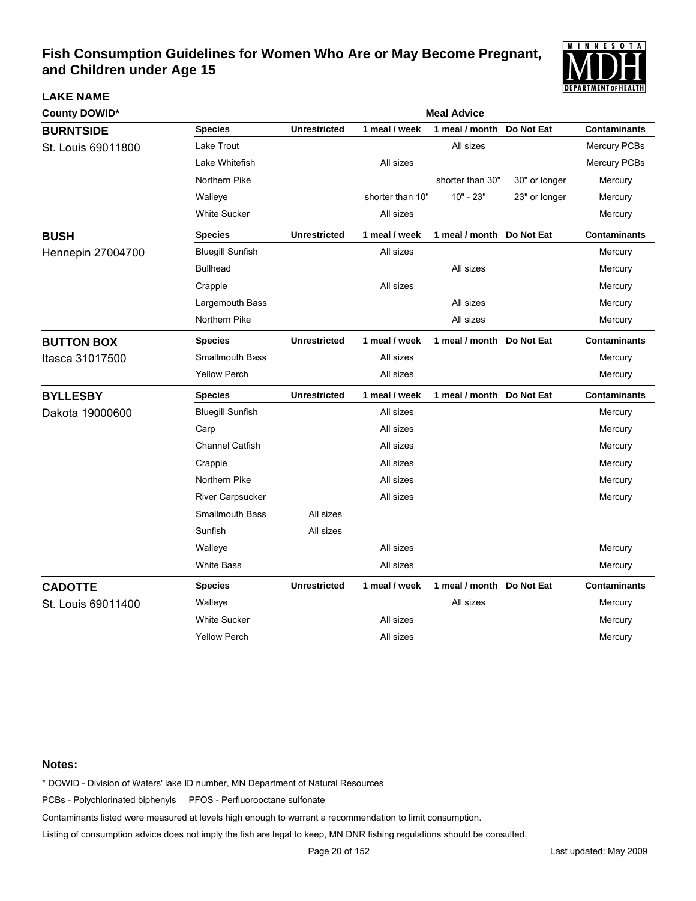

| <b>County DOWID*</b>     | <b>Meal Advice</b>      |                     |                  |                           |               |                     |  |
|--------------------------|-------------------------|---------------------|------------------|---------------------------|---------------|---------------------|--|
| <b>BURNTSIDE</b>         | <b>Species</b>          | <b>Unrestricted</b> | 1 meal / week    | 1 meal / month            | Do Not Eat    | <b>Contaminants</b> |  |
| St. Louis 69011800       | Lake Trout              |                     |                  | All sizes                 |               | Mercury PCBs        |  |
|                          | Lake Whitefish          |                     | All sizes        |                           |               | Mercury PCBs        |  |
|                          | Northern Pike           |                     |                  | shorter than 30"          | 30" or longer | Mercury             |  |
|                          | Walleye                 |                     | shorter than 10" | $10" - 23"$               | 23" or longer | Mercury             |  |
|                          | <b>White Sucker</b>     |                     | All sizes        |                           |               | Mercury             |  |
| <b>BUSH</b>              | <b>Species</b>          | <b>Unrestricted</b> | 1 meal / week    | 1 meal / month Do Not Eat |               | <b>Contaminants</b> |  |
| <b>Hennepin 27004700</b> | <b>Bluegill Sunfish</b> |                     | All sizes        |                           |               | Mercury             |  |
|                          | <b>Bullhead</b>         |                     |                  | All sizes                 |               | Mercury             |  |
|                          | Crappie                 |                     | All sizes        |                           |               | Mercury             |  |
|                          | Largemouth Bass         |                     |                  | All sizes                 |               | Mercury             |  |
|                          | Northern Pike           |                     |                  | All sizes                 |               | Mercury             |  |
| <b>BUTTON BOX</b>        | <b>Species</b>          | <b>Unrestricted</b> | 1 meal / week    | 1 meal / month Do Not Eat |               | <b>Contaminants</b> |  |
| Itasca 31017500          | <b>Smallmouth Bass</b>  |                     | All sizes        |                           |               | Mercury             |  |
|                          | <b>Yellow Perch</b>     |                     | All sizes        |                           |               | Mercury             |  |
| <b>BYLLESBY</b>          | <b>Species</b>          | <b>Unrestricted</b> | 1 meal / week    | 1 meal / month            | Do Not Eat    | <b>Contaminants</b> |  |
| Dakota 19000600          | <b>Bluegill Sunfish</b> |                     | All sizes        |                           |               | Mercury             |  |
|                          | Carp                    |                     | All sizes        |                           |               | Mercury             |  |
|                          | <b>Channel Catfish</b>  |                     | All sizes        |                           |               | Mercury             |  |
|                          | Crappie                 |                     | All sizes        |                           |               | Mercury             |  |
|                          | Northern Pike           |                     | All sizes        |                           |               | Mercury             |  |
|                          | River Carpsucker        |                     | All sizes        |                           |               | Mercury             |  |
|                          | <b>Smallmouth Bass</b>  | All sizes           |                  |                           |               |                     |  |
|                          | Sunfish                 | All sizes           |                  |                           |               |                     |  |
|                          | Walleye                 |                     | All sizes        |                           |               | Mercury             |  |
|                          | White Bass              |                     | All sizes        |                           |               | Mercury             |  |
| <b>CADOTTE</b>           | <b>Species</b>          | <b>Unrestricted</b> | 1 meal / week    | 1 meal / month Do Not Eat |               | <b>Contaminants</b> |  |
| St. Louis 69011400       | Walleye                 |                     |                  | All sizes                 |               | Mercury             |  |
|                          | <b>White Sucker</b>     |                     | All sizes        |                           |               | Mercury             |  |
|                          | <b>Yellow Perch</b>     |                     | All sizes        |                           |               | Mercury             |  |

### **Notes:**

**LAKE NAME**

\* DOWID - Division of Waters' lake ID number, MN Department of Natural Resources

PCBs - Polychlorinated biphenyls PFOS - Perfluorooctane sulfonate

Contaminants listed were measured at levels high enough to warrant a recommendation to limit consumption.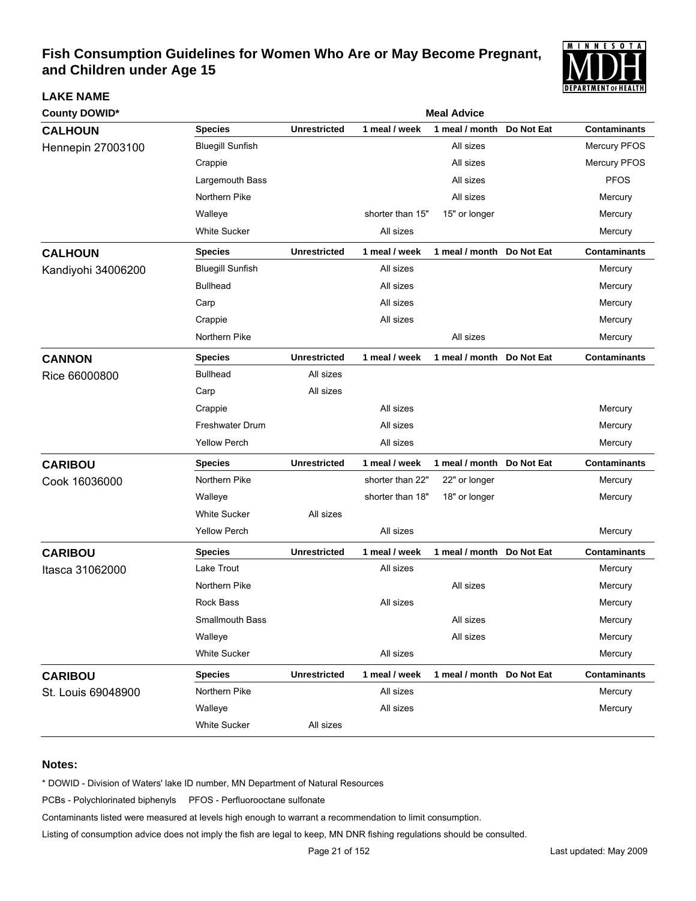

| County DOWID*      |                         |                     |                  | <b>Meal Advice</b>        |            |                     |
|--------------------|-------------------------|---------------------|------------------|---------------------------|------------|---------------------|
| <b>CALHOUN</b>     | <b>Species</b>          | <b>Unrestricted</b> | 1 meal / week    | 1 meal / month            | Do Not Eat | <b>Contaminants</b> |
| Hennepin 27003100  | <b>Bluegill Sunfish</b> |                     |                  | All sizes                 |            | Mercury PFOS        |
|                    | Crappie                 |                     |                  | All sizes                 |            | Mercury PFOS        |
|                    | Largemouth Bass         |                     |                  | All sizes                 |            | <b>PFOS</b>         |
|                    | Northern Pike           |                     |                  | All sizes                 |            | Mercury             |
|                    | Walleye                 |                     | shorter than 15" | 15" or longer             |            | Mercury             |
|                    | <b>White Sucker</b>     |                     | All sizes        |                           |            | Mercury             |
| <b>CALHOUN</b>     | <b>Species</b>          | <b>Unrestricted</b> | 1 meal / week    | 1 meal / month Do Not Eat |            | <b>Contaminants</b> |
| Kandiyohi 34006200 | <b>Bluegill Sunfish</b> |                     | All sizes        |                           |            | Mercury             |
|                    | <b>Bullhead</b>         |                     | All sizes        |                           |            | Mercury             |
|                    | Carp                    |                     | All sizes        |                           |            | Mercury             |
|                    | Crappie                 |                     | All sizes        |                           |            | Mercury             |
|                    | Northern Pike           |                     |                  | All sizes                 |            | Mercury             |
| <b>CANNON</b>      | <b>Species</b>          | <b>Unrestricted</b> | 1 meal / week    | 1 meal / month            | Do Not Eat | <b>Contaminants</b> |
| Rice 66000800      | <b>Bullhead</b>         | All sizes           |                  |                           |            |                     |
|                    | Carp                    | All sizes           |                  |                           |            |                     |
|                    | Crappie                 |                     | All sizes        |                           |            | Mercury             |
|                    | <b>Freshwater Drum</b>  |                     | All sizes        |                           |            | Mercury             |
|                    | <b>Yellow Perch</b>     |                     | All sizes        |                           |            | Mercury             |
| <b>CARIBOU</b>     | <b>Species</b>          | <b>Unrestricted</b> | 1 meal / week    | 1 meal / month Do Not Eat |            | <b>Contaminants</b> |
| Cook 16036000      | Northern Pike           |                     | shorter than 22" | 22" or longer             |            | Mercury             |
|                    | Walleye                 |                     | shorter than 18" | 18" or longer             |            | Mercury             |
|                    | <b>White Sucker</b>     | All sizes           |                  |                           |            |                     |
|                    | <b>Yellow Perch</b>     |                     | All sizes        |                           |            | Mercury             |
| <b>CARIBOU</b>     | <b>Species</b>          | <b>Unrestricted</b> | 1 meal / week    | 1 meal / month Do Not Eat |            | <b>Contaminants</b> |
| Itasca 31062000    | Lake Trout              |                     | All sizes        |                           |            | Mercury             |
|                    | Northern Pike           |                     |                  | All sizes                 |            | Mercury             |
|                    | Rock Bass               |                     | All sizes        |                           |            | Mercury             |
|                    | Smallmouth Bass         |                     |                  | All sizes                 |            | Mercury             |
|                    | Walleye                 |                     |                  | All sizes                 |            | Mercury             |
|                    | <b>White Sucker</b>     |                     | All sizes        |                           |            | Mercury             |
| <b>CARIBOU</b>     | <b>Species</b>          | <b>Unrestricted</b> | 1 meal / week    | 1 meal / month Do Not Eat |            | <b>Contaminants</b> |
| St. Louis 69048900 | Northern Pike           |                     | All sizes        |                           |            | Mercury             |
|                    | Walleye                 |                     | All sizes        |                           |            | Mercury             |
|                    | White Sucker            | All sizes           |                  |                           |            |                     |

### **Notes:**

**LAKE NAME**

\* DOWID - Division of Waters' lake ID number, MN Department of Natural Resources

PCBs - Polychlorinated biphenyls PFOS - Perfluorooctane sulfonate

Contaminants listed were measured at levels high enough to warrant a recommendation to limit consumption.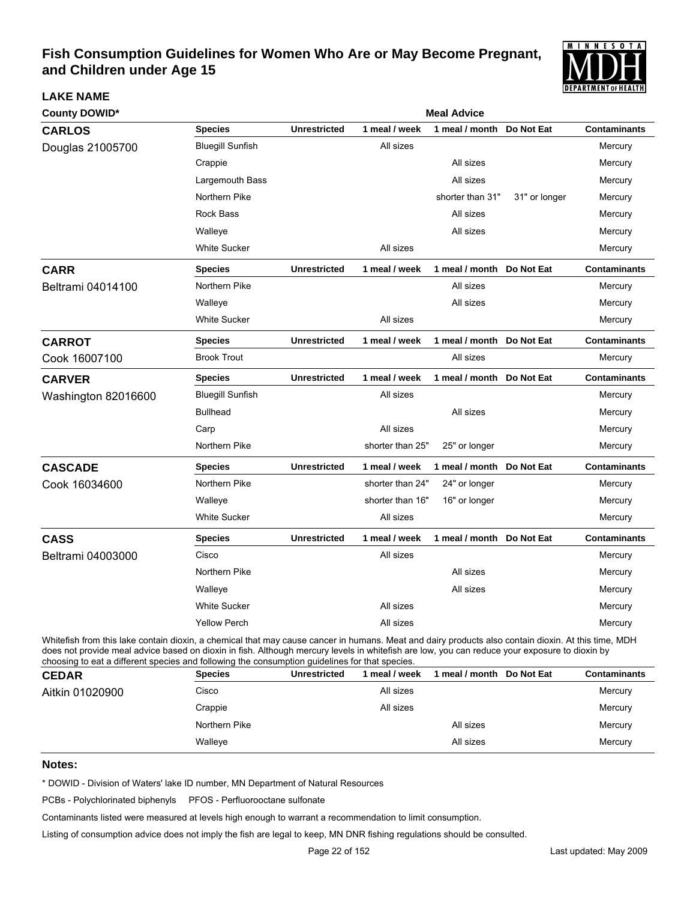

| <b>County DOWID*</b> |                         | <b>Meal Advice</b>  |                  |                           |               |                     |  |  |
|----------------------|-------------------------|---------------------|------------------|---------------------------|---------------|---------------------|--|--|
| <b>CARLOS</b>        | <b>Species</b>          | <b>Unrestricted</b> | 1 meal / week    | 1 meal / month Do Not Eat |               | <b>Contaminants</b> |  |  |
| Douglas 21005700     | <b>Bluegill Sunfish</b> |                     | All sizes        |                           |               | Mercury             |  |  |
|                      | Crappie                 |                     |                  | All sizes                 |               | Mercury             |  |  |
|                      | Largemouth Bass         |                     |                  | All sizes                 |               | Mercury             |  |  |
|                      | Northern Pike           |                     |                  | shorter than 31"          | 31" or longer | Mercury             |  |  |
|                      | Rock Bass               |                     |                  | All sizes                 |               | Mercury             |  |  |
|                      | Walleye                 |                     |                  | All sizes                 |               | Mercury             |  |  |
|                      | <b>White Sucker</b>     |                     | All sizes        |                           |               | Mercury             |  |  |
| <b>CARR</b>          | <b>Species</b>          | <b>Unrestricted</b> | 1 meal / week    | 1 meal / month            | Do Not Eat    | <b>Contaminants</b> |  |  |
| Beltrami 04014100    | Northern Pike           |                     |                  | All sizes                 |               | Mercury             |  |  |
|                      | Walleye                 |                     |                  | All sizes                 |               | Mercury             |  |  |
|                      | <b>White Sucker</b>     |                     | All sizes        |                           |               | Mercury             |  |  |
| <b>CARROT</b>        | <b>Species</b>          | <b>Unrestricted</b> | 1 meal / week    | 1 meal / month            | Do Not Eat    | <b>Contaminants</b> |  |  |
| Cook 16007100        | <b>Brook Trout</b>      |                     |                  | All sizes                 |               | Mercury             |  |  |
| <b>CARVER</b>        | <b>Species</b>          | <b>Unrestricted</b> | 1 meal / week    | 1 meal / month Do Not Eat |               | <b>Contaminants</b> |  |  |
| Washington 82016600  | <b>Bluegill Sunfish</b> |                     | All sizes        |                           |               | Mercury             |  |  |
|                      | <b>Bullhead</b>         |                     |                  | All sizes                 |               | Mercury             |  |  |
|                      | Carp                    |                     | All sizes        |                           |               | Mercury             |  |  |
|                      | Northern Pike           |                     | shorter than 25" | 25" or longer             |               | Mercury             |  |  |
| <b>CASCADE</b>       | <b>Species</b>          | <b>Unrestricted</b> | 1 meal / week    | 1 meal / month            | Do Not Eat    | <b>Contaminants</b> |  |  |
| Cook 16034600        | Northern Pike           |                     | shorter than 24" | 24" or longer             |               | Mercury             |  |  |
|                      | Walleye                 |                     | shorter than 16" | 16" or longer             |               | Mercury             |  |  |
|                      | <b>White Sucker</b>     |                     | All sizes        |                           |               | Mercury             |  |  |
| <b>CASS</b>          | <b>Species</b>          | <b>Unrestricted</b> | 1 meal / week    | 1 meal / month Do Not Eat |               | <b>Contaminants</b> |  |  |
| Beltrami 04003000    | Cisco                   |                     | All sizes        |                           |               | Mercury             |  |  |
|                      | Northern Pike           |                     |                  | All sizes                 |               | Mercury             |  |  |
|                      | Walleye                 |                     |                  | All sizes                 |               | Mercury             |  |  |
|                      | <b>White Sucker</b>     |                     | All sizes        |                           |               | Mercury             |  |  |
|                      | <b>Yellow Perch</b>     |                     | All sizes        |                           |               | Mercury             |  |  |

Whitefish from this lake contain dioxin, a chemical that may cause cancer in humans. Meat and dairy products also contain dioxin. At this time, MDH does not provide meal advice based on dioxin in fish. Although mercury levels in whitefish are low, you can reduce your exposure to dioxin by choosing to eat a different species and following the consumption guidelines for that species.

| <b>CEDAR</b>    | <b>Species</b> | <b>Unrestricted</b> | meal / week | meal / month Do Not Eat | <b>Contaminants</b> |
|-----------------|----------------|---------------------|-------------|-------------------------|---------------------|
| Aitkin 01020900 | Cisco          |                     | All sizes   |                         | Mercury             |
|                 | Crappie        |                     | All sizes   |                         | Mercury             |
|                 | Northern Pike  |                     |             | All sizes               | Mercury             |
|                 | Walleye        |                     |             | All sizes               | Mercury             |

### **Notes:**

**LAKE NAME**

\* DOWID - Division of Waters' lake ID number, MN Department of Natural Resources

PCBs - Polychlorinated biphenyls PFOS - Perfluorooctane sulfonate

Contaminants listed were measured at levels high enough to warrant a recommendation to limit consumption.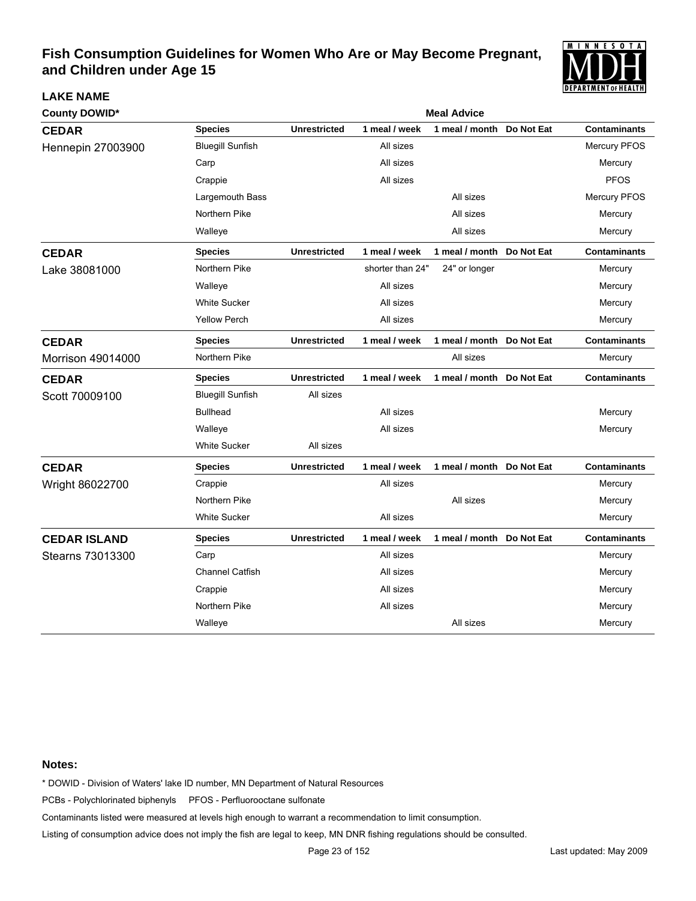

| <b>County DOWID*</b> |                         |                     |                  | <b>Meal Advice</b>         |            |                     |
|----------------------|-------------------------|---------------------|------------------|----------------------------|------------|---------------------|
| <b>CEDAR</b>         | <b>Species</b>          | <b>Unrestricted</b> | 1 meal / week    | 1 meal / month             | Do Not Eat | <b>Contaminants</b> |
| Hennepin 27003900    | <b>Bluegill Sunfish</b> |                     | All sizes        |                            |            | Mercury PFOS        |
|                      | Carp                    |                     | All sizes        |                            |            | Mercury             |
|                      | Crappie                 |                     | All sizes        |                            |            | <b>PFOS</b>         |
|                      | Largemouth Bass         |                     |                  | All sizes                  |            | Mercury PFOS        |
|                      | Northern Pike           |                     |                  | All sizes                  |            | Mercury             |
|                      | Walleye                 |                     |                  | All sizes                  |            | Mercury             |
| <b>CEDAR</b>         | <b>Species</b>          | <b>Unrestricted</b> | 1 meal / week    | 1 meal / month Do Not Eat  |            | <b>Contaminants</b> |
| Lake 38081000        | Northern Pike           |                     | shorter than 24" | 24" or longer              |            | Mercury             |
|                      | Walleye                 |                     | All sizes        |                            |            | Mercury             |
|                      | <b>White Sucker</b>     |                     | All sizes        |                            |            | Mercury             |
|                      | <b>Yellow Perch</b>     |                     | All sizes        |                            |            | Mercury             |
| <b>CEDAR</b>         | <b>Species</b>          | <b>Unrestricted</b> | 1 meal / week    | 1 meal / month             | Do Not Eat | <b>Contaminants</b> |
| Morrison 49014000    | Northern Pike           |                     |                  | All sizes                  |            | Mercury             |
| <b>CEDAR</b>         | <b>Species</b>          | <b>Unrestricted</b> | 1 meal / week    | 1 meal / month Do Not Eat  |            | <b>Contaminants</b> |
| Scott 70009100       | <b>Bluegill Sunfish</b> | All sizes           |                  |                            |            |                     |
|                      | <b>Bullhead</b>         |                     | All sizes        |                            |            | Mercury             |
|                      | Walleye                 |                     | All sizes        |                            |            | Mercury             |
|                      | <b>White Sucker</b>     | All sizes           |                  |                            |            |                     |
| <b>CEDAR</b>         | <b>Species</b>          | <b>Unrestricted</b> | 1 meal / week    | 1 meal / month Do Not Eat  |            | <b>Contaminants</b> |
| Wright 86022700      | Crappie                 |                     | All sizes        |                            |            | Mercury             |
|                      | Northern Pike           |                     |                  | All sizes                  |            | Mercury             |
|                      | <b>White Sucker</b>     |                     | All sizes        |                            |            | Mercury             |
| <b>CEDAR ISLAND</b>  | <b>Species</b>          | <b>Unrestricted</b> | 1 meal / week    | 1 meal / month  Do Not Eat |            | <b>Contaminants</b> |
| Stearns 73013300     | Carp                    |                     | All sizes        |                            |            | Mercury             |
|                      | <b>Channel Catfish</b>  |                     | All sizes        |                            |            | Mercury             |
|                      | Crappie                 |                     | All sizes        |                            |            | Mercury             |
|                      | Northern Pike           |                     | All sizes        |                            |            | Mercury             |
|                      | Walleye                 |                     |                  | All sizes                  |            | Mercury             |

#### **Notes:**

**LAKE NAME**

\* DOWID - Division of Waters' lake ID number, MN Department of Natural Resources

PCBs - Polychlorinated biphenyls PFOS - Perfluorooctane sulfonate

Contaminants listed were measured at levels high enough to warrant a recommendation to limit consumption.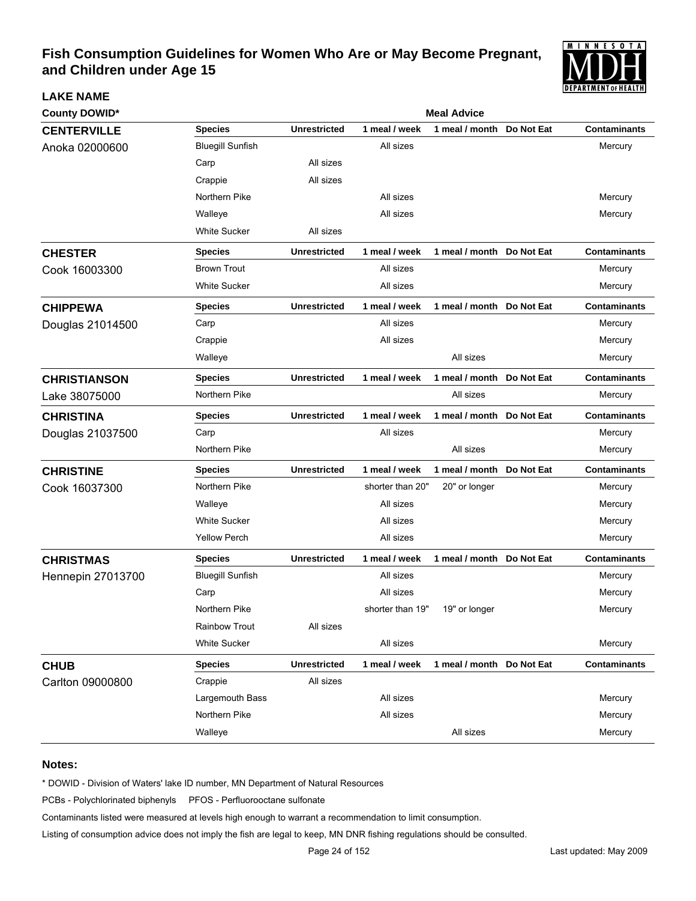

| <b>County DOWID*</b>     |                         | <b>Meal Advice</b>  |                  |                           |            |                     |  |  |
|--------------------------|-------------------------|---------------------|------------------|---------------------------|------------|---------------------|--|--|
| <b>CENTERVILLE</b>       | <b>Species</b>          | <b>Unrestricted</b> | 1 meal / week    | 1 meal / month            | Do Not Eat | <b>Contaminants</b> |  |  |
| Anoka 02000600           | <b>Bluegill Sunfish</b> |                     | All sizes        |                           |            | Mercury             |  |  |
|                          | Carp                    | All sizes           |                  |                           |            |                     |  |  |
|                          | Crappie                 | All sizes           |                  |                           |            |                     |  |  |
|                          | Northern Pike           |                     | All sizes        |                           |            | Mercury             |  |  |
|                          | Walleye                 |                     | All sizes        |                           |            | Mercury             |  |  |
|                          | <b>White Sucker</b>     | All sizes           |                  |                           |            |                     |  |  |
| <b>CHESTER</b>           | <b>Species</b>          | <b>Unrestricted</b> | 1 meal / week    | 1 meal / month Do Not Eat |            | <b>Contaminants</b> |  |  |
| Cook 16003300            | <b>Brown Trout</b>      |                     | All sizes        |                           |            | Mercury             |  |  |
|                          | <b>White Sucker</b>     |                     | All sizes        |                           |            | Mercury             |  |  |
| <b>CHIPPEWA</b>          | <b>Species</b>          | <b>Unrestricted</b> | 1 meal / week    | 1 meal / month Do Not Eat |            | <b>Contaminants</b> |  |  |
| Douglas 21014500         | Carp                    |                     | All sizes        |                           |            | Mercury             |  |  |
|                          | Crappie                 |                     | All sizes        |                           |            | Mercury             |  |  |
|                          | Walleye                 |                     |                  | All sizes                 |            | Mercury             |  |  |
| <b>CHRISTIANSON</b>      | <b>Species</b>          | <b>Unrestricted</b> | 1 meal / week    | 1 meal / month            | Do Not Eat | <b>Contaminants</b> |  |  |
| Lake 38075000            | Northern Pike           |                     |                  | All sizes                 |            | Mercury             |  |  |
| <b>CHRISTINA</b>         | <b>Species</b>          | <b>Unrestricted</b> | 1 meal / week    | 1 meal / month Do Not Eat |            | <b>Contaminants</b> |  |  |
| Douglas 21037500         | Carp                    |                     | All sizes        |                           |            | Mercury             |  |  |
|                          | Northern Pike           |                     |                  | All sizes                 |            | Mercury             |  |  |
| <b>CHRISTINE</b>         | <b>Species</b>          | <b>Unrestricted</b> | 1 meal / week    | 1 meal / month Do Not Eat |            | <b>Contaminants</b> |  |  |
| Cook 16037300            | Northern Pike           |                     | shorter than 20" | 20" or longer             |            | Mercury             |  |  |
|                          | Walleye                 |                     | All sizes        |                           |            | Mercury             |  |  |
|                          | <b>White Sucker</b>     |                     | All sizes        |                           |            | Mercury             |  |  |
|                          | <b>Yellow Perch</b>     |                     | All sizes        |                           |            | Mercury             |  |  |
| <b>CHRISTMAS</b>         | <b>Species</b>          | <b>Unrestricted</b> | 1 meal / week    | 1 meal / month Do Not Eat |            | <b>Contaminants</b> |  |  |
| <b>Hennepin 27013700</b> | <b>Bluegill Sunfish</b> |                     | All sizes        |                           |            | Mercury             |  |  |
|                          | Carp                    |                     | All sizes        |                           |            | Mercury             |  |  |
|                          | Northern Pike           |                     | shorter than 19" | 19" or longer             |            | Mercury             |  |  |
|                          | Rainbow Trout           | All sizes           |                  |                           |            |                     |  |  |
|                          | <b>White Sucker</b>     |                     | All sizes        |                           |            | Mercury             |  |  |
| <b>CHUB</b>              | <b>Species</b>          | <b>Unrestricted</b> | 1 meal / week    | 1 meal / month Do Not Eat |            | <b>Contaminants</b> |  |  |
| Carlton 09000800         | Crappie                 | All sizes           |                  |                           |            |                     |  |  |
|                          | Largemouth Bass         |                     | All sizes        |                           |            | Mercury             |  |  |
|                          | Northern Pike           |                     | All sizes        |                           |            | Mercury             |  |  |
|                          | Walleye                 |                     |                  | All sizes                 |            | Mercury             |  |  |

#### **Notes:**

**LAKE NAME**

\* DOWID - Division of Waters' lake ID number, MN Department of Natural Resources

PCBs - Polychlorinated biphenyls PFOS - Perfluorooctane sulfonate

Contaminants listed were measured at levels high enough to warrant a recommendation to limit consumption.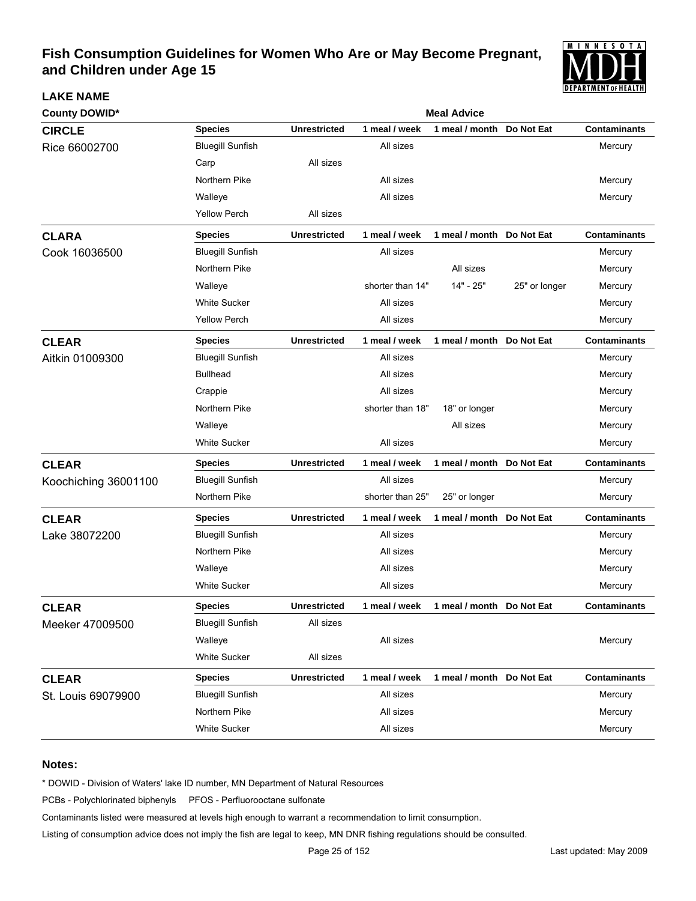

| <b>County DOWID*</b> | <b>Meal Advice</b>      |                     |                  |                           |               |                     |  |  |
|----------------------|-------------------------|---------------------|------------------|---------------------------|---------------|---------------------|--|--|
| <b>CIRCLE</b>        | <b>Species</b>          | <b>Unrestricted</b> | 1 meal / week    | 1 meal / month            | Do Not Eat    | <b>Contaminants</b> |  |  |
| Rice 66002700        | <b>Bluegill Sunfish</b> |                     | All sizes        |                           |               | Mercury             |  |  |
|                      | Carp                    | All sizes           |                  |                           |               |                     |  |  |
|                      | Northern Pike           |                     | All sizes        |                           |               | Mercury             |  |  |
|                      | Walleye                 |                     | All sizes        |                           |               | Mercury             |  |  |
|                      | <b>Yellow Perch</b>     | All sizes           |                  |                           |               |                     |  |  |
| <b>CLARA</b>         | <b>Species</b>          | <b>Unrestricted</b> | 1 meal / week    | 1 meal / month            | Do Not Eat    | <b>Contaminants</b> |  |  |
| Cook 16036500        | <b>Bluegill Sunfish</b> |                     | All sizes        |                           |               | Mercury             |  |  |
|                      | Northern Pike           |                     |                  | All sizes                 |               | Mercury             |  |  |
|                      | Walleye                 |                     | shorter than 14" | 14" - 25"                 | 25" or longer | Mercury             |  |  |
|                      | <b>White Sucker</b>     |                     | All sizes        |                           |               | Mercury             |  |  |
|                      | <b>Yellow Perch</b>     |                     | All sizes        |                           |               | Mercury             |  |  |
| <b>CLEAR</b>         | <b>Species</b>          | <b>Unrestricted</b> | 1 meal / week    | 1 meal / month Do Not Eat |               | <b>Contaminants</b> |  |  |
| Aitkin 01009300      | <b>Bluegill Sunfish</b> |                     | All sizes        |                           |               | Mercury             |  |  |
|                      | <b>Bullhead</b>         |                     | All sizes        |                           |               | Mercury             |  |  |
|                      | Crappie                 |                     | All sizes        |                           |               | Mercury             |  |  |
|                      | Northern Pike           |                     | shorter than 18" | 18" or longer             |               | Mercury             |  |  |
|                      | Walleye                 |                     |                  | All sizes                 |               | Mercury             |  |  |
|                      | <b>White Sucker</b>     |                     | All sizes        |                           |               | Mercury             |  |  |
| <b>CLEAR</b>         | <b>Species</b>          | <b>Unrestricted</b> | 1 meal / week    | 1 meal / month Do Not Eat |               | <b>Contaminants</b> |  |  |
| Koochiching 36001100 | <b>Bluegill Sunfish</b> |                     | All sizes        |                           |               | Mercury             |  |  |
|                      | Northern Pike           |                     | shorter than 25" | 25" or longer             |               | Mercury             |  |  |
| <b>CLEAR</b>         | <b>Species</b>          | <b>Unrestricted</b> | 1 meal / week    | 1 meal / month            | Do Not Eat    | <b>Contaminants</b> |  |  |
| Lake 38072200        | <b>Bluegill Sunfish</b> |                     | All sizes        |                           |               | Mercury             |  |  |
|                      | Northern Pike           |                     | All sizes        |                           |               | Mercury             |  |  |
|                      | Walleye                 |                     | All sizes        |                           |               | Mercury             |  |  |
|                      | <b>White Sucker</b>     |                     | All sizes        |                           |               | Mercury             |  |  |
| <b>CLEAR</b>         | <b>Species</b>          | <b>Unrestricted</b> | 1 meal / week    | 1 meal / month Do Not Eat |               | <b>Contaminants</b> |  |  |
| Meeker 47009500      | <b>Bluegill Sunfish</b> | All sizes           |                  |                           |               |                     |  |  |
|                      | Walleye                 |                     | All sizes        |                           |               | Mercury             |  |  |
|                      | <b>White Sucker</b>     | All sizes           |                  |                           |               |                     |  |  |
| <b>CLEAR</b>         | <b>Species</b>          | <b>Unrestricted</b> | 1 meal / week    | 1 meal / month Do Not Eat |               | <b>Contaminants</b> |  |  |
| St. Louis 69079900   | <b>Bluegill Sunfish</b> |                     | All sizes        |                           |               | Mercury             |  |  |
|                      | Northern Pike           |                     | All sizes        |                           |               | Mercury             |  |  |
|                      | White Sucker            |                     | All sizes        |                           |               | Mercury             |  |  |

### **Notes:**

**LAKE NAME**

\* DOWID - Division of Waters' lake ID number, MN Department of Natural Resources

PCBs - Polychlorinated biphenyls PFOS - Perfluorooctane sulfonate

Contaminants listed were measured at levels high enough to warrant a recommendation to limit consumption.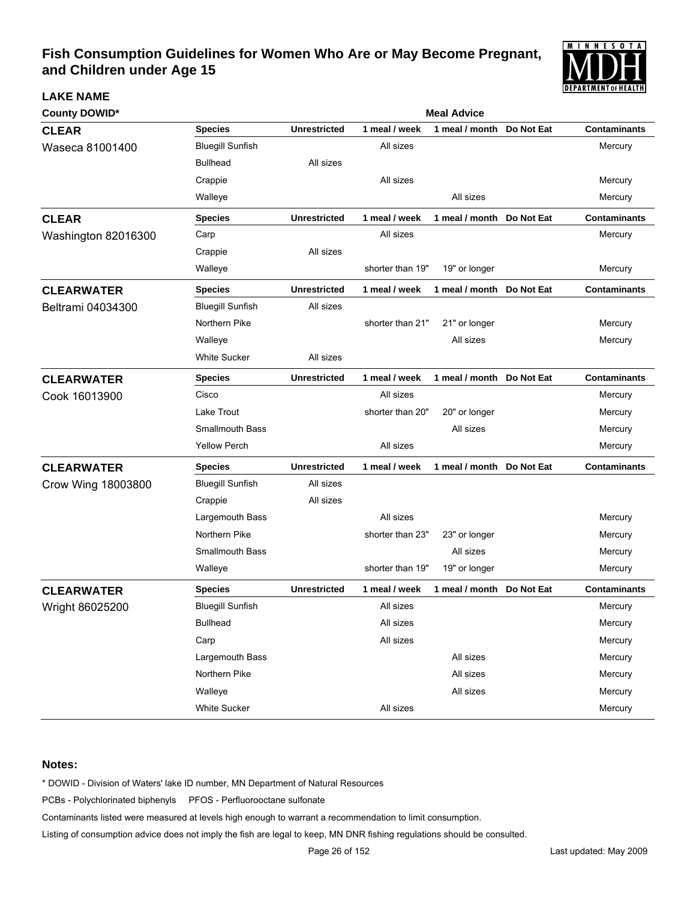

| <b>County DOWID*</b> | <b>Meal Advice</b>      |                     |                  |                           |            |                     |  |  |
|----------------------|-------------------------|---------------------|------------------|---------------------------|------------|---------------------|--|--|
| <b>CLEAR</b>         | <b>Species</b>          | <b>Unrestricted</b> | 1 meal / week    | 1 meal / month            | Do Not Eat | <b>Contaminants</b> |  |  |
| Waseca 81001400      | <b>Bluegill Sunfish</b> |                     | All sizes        |                           |            | Mercury             |  |  |
|                      | <b>Bullhead</b>         | All sizes           |                  |                           |            |                     |  |  |
|                      | Crappie                 |                     | All sizes        |                           |            | Mercury             |  |  |
|                      | Walleye                 |                     |                  | All sizes                 |            | Mercury             |  |  |
| <b>CLEAR</b>         | <b>Species</b>          | <b>Unrestricted</b> | 1 meal / week    | 1 meal / month Do Not Eat |            | <b>Contaminants</b> |  |  |
| Washington 82016300  | Carp                    |                     | All sizes        |                           |            | Mercury             |  |  |
|                      | Crappie                 | All sizes           |                  |                           |            |                     |  |  |
|                      | Walleye                 |                     | shorter than 19" | 19" or longer             |            | Mercury             |  |  |
| <b>CLEARWATER</b>    | <b>Species</b>          | <b>Unrestricted</b> | 1 meal / week    | 1 meal / month Do Not Eat |            | <b>Contaminants</b> |  |  |
| Beltrami 04034300    | <b>Bluegill Sunfish</b> | All sizes           |                  |                           |            |                     |  |  |
|                      | Northern Pike           |                     | shorter than 21" | 21" or longer             |            | Mercury             |  |  |
|                      | Walleye                 |                     |                  | All sizes                 |            | Mercury             |  |  |
|                      | <b>White Sucker</b>     | All sizes           |                  |                           |            |                     |  |  |
| <b>CLEARWATER</b>    | <b>Species</b>          | <b>Unrestricted</b> | 1 meal / week    | 1 meal / month Do Not Eat |            | <b>Contaminants</b> |  |  |
| Cook 16013900        | Cisco                   |                     | All sizes        |                           |            | Mercury             |  |  |
|                      | Lake Trout              |                     | shorter than 20" | 20" or longer             |            | Mercury             |  |  |
|                      | <b>Smallmouth Bass</b>  |                     |                  | All sizes                 |            | Mercury             |  |  |
|                      | <b>Yellow Perch</b>     |                     | All sizes        |                           |            | Mercury             |  |  |
| <b>CLEARWATER</b>    | <b>Species</b>          | <b>Unrestricted</b> | 1 meal / week    | 1 meal / month Do Not Eat |            | <b>Contaminants</b> |  |  |
| Crow Wing 18003800   | <b>Bluegill Sunfish</b> | All sizes           |                  |                           |            |                     |  |  |
|                      | Crappie                 | All sizes           |                  |                           |            |                     |  |  |
|                      | Largemouth Bass         |                     | All sizes        |                           |            | Mercury             |  |  |
|                      | Northern Pike           |                     | shorter than 23" | 23" or longer             |            | Mercury             |  |  |
|                      | <b>Smallmouth Bass</b>  |                     |                  | All sizes                 |            | Mercury             |  |  |
|                      | Walleye                 |                     | shorter than 19" | 19" or longer             |            | Mercury             |  |  |
| <b>CLEARWATER</b>    | <b>Species</b>          | <b>Unrestricted</b> | 1 meal / week    | 1 meal / month            | Do Not Eat | <b>Contaminants</b> |  |  |
| Wright 86025200      | <b>Bluegill Sunfish</b> |                     | All sizes        |                           |            | Mercury             |  |  |
|                      | <b>Bullhead</b>         |                     | All sizes        |                           |            | Mercury             |  |  |
|                      | Carp                    |                     | All sizes        |                           |            | Mercury             |  |  |
|                      | Largemouth Bass         |                     |                  | All sizes                 |            | Mercury             |  |  |
|                      | Northern Pike           |                     |                  | All sizes                 |            | Mercury             |  |  |
|                      | Walleye                 |                     |                  | All sizes                 |            | Mercury             |  |  |
|                      | White Sucker            |                     | All sizes        |                           |            | Mercury             |  |  |

### **Notes:**

**LAKE NAME**

\* DOWID - Division of Waters' lake ID number, MN Department of Natural Resources

PCBs - Polychlorinated biphenyls PFOS - Perfluorooctane sulfonate

Contaminants listed were measured at levels high enough to warrant a recommendation to limit consumption.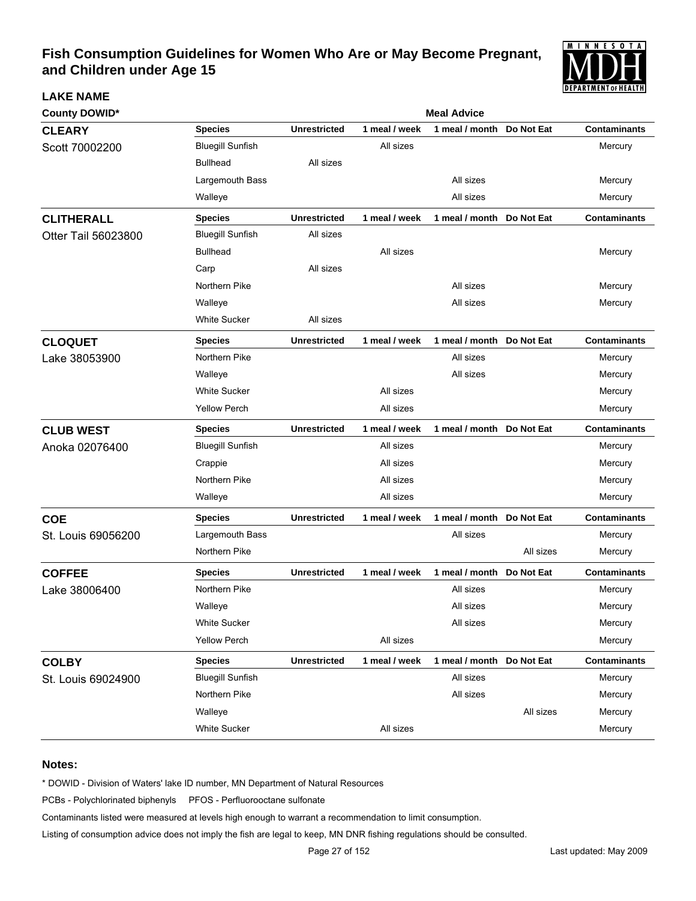

| <b>County DOWID*</b> |                         | <b>Meal Advice</b>  |               |                           |            |                     |  |  |  |
|----------------------|-------------------------|---------------------|---------------|---------------------------|------------|---------------------|--|--|--|
| <b>CLEARY</b>        | <b>Species</b>          | <b>Unrestricted</b> | 1 meal / week | 1 meal / month            | Do Not Eat | <b>Contaminants</b> |  |  |  |
| Scott 70002200       | <b>Bluegill Sunfish</b> |                     | All sizes     |                           |            | Mercury             |  |  |  |
|                      | <b>Bullhead</b>         | All sizes           |               |                           |            |                     |  |  |  |
|                      | Largemouth Bass         |                     |               | All sizes                 |            | Mercury             |  |  |  |
|                      | Walleye                 |                     |               | All sizes                 |            | Mercury             |  |  |  |
| <b>CLITHERALL</b>    | <b>Species</b>          | <b>Unrestricted</b> | 1 meal / week | 1 meal / month            | Do Not Eat | <b>Contaminants</b> |  |  |  |
| Otter Tail 56023800  | <b>Bluegill Sunfish</b> | All sizes           |               |                           |            |                     |  |  |  |
|                      | <b>Bullhead</b>         |                     | All sizes     |                           |            | Mercury             |  |  |  |
|                      | Carp                    | All sizes           |               |                           |            |                     |  |  |  |
|                      | Northern Pike           |                     |               | All sizes                 |            | Mercury             |  |  |  |
|                      | Walleye                 |                     |               | All sizes                 |            | Mercury             |  |  |  |
|                      | <b>White Sucker</b>     | All sizes           |               |                           |            |                     |  |  |  |
| <b>CLOQUET</b>       | <b>Species</b>          | <b>Unrestricted</b> | 1 meal / week | 1 meal / month            | Do Not Eat | <b>Contaminants</b> |  |  |  |
| Lake 38053900        | Northern Pike           |                     |               | All sizes                 |            | Mercury             |  |  |  |
|                      | Walleye                 |                     |               | All sizes                 |            | Mercury             |  |  |  |
|                      | <b>White Sucker</b>     |                     | All sizes     |                           |            | Mercury             |  |  |  |
|                      | <b>Yellow Perch</b>     |                     | All sizes     |                           |            | Mercury             |  |  |  |
| <b>CLUB WEST</b>     | <b>Species</b>          | <b>Unrestricted</b> | 1 meal / week | 1 meal / month Do Not Eat |            | <b>Contaminants</b> |  |  |  |
| Anoka 02076400       | <b>Bluegill Sunfish</b> |                     | All sizes     |                           |            | Mercury             |  |  |  |
|                      | Crappie                 |                     | All sizes     |                           |            | Mercury             |  |  |  |
|                      | Northern Pike           |                     | All sizes     |                           |            | Mercury             |  |  |  |
|                      | Walleye                 |                     | All sizes     |                           |            | Mercury             |  |  |  |
| <b>COE</b>           | <b>Species</b>          | <b>Unrestricted</b> | 1 meal / week | 1 meal / month            | Do Not Eat | <b>Contaminants</b> |  |  |  |
| St. Louis 69056200   | Largemouth Bass         |                     |               | All sizes                 |            | Mercury             |  |  |  |
|                      | Northern Pike           |                     |               |                           | All sizes  | Mercury             |  |  |  |
| <b>COFFEE</b>        | <b>Species</b>          | <b>Unrestricted</b> | 1 meal / week | 1 meal / month            | Do Not Eat | <b>Contaminants</b> |  |  |  |
| Lake 38006400        | Northern Pike           |                     |               | All sizes                 |            | Mercury             |  |  |  |
|                      | Walleye                 |                     |               | All sizes                 |            | Mercury             |  |  |  |
|                      | White Sucker            |                     |               | All sizes                 |            | Mercury             |  |  |  |
|                      | <b>Yellow Perch</b>     |                     | All sizes     |                           |            | Mercury             |  |  |  |
| <b>COLBY</b>         | <b>Species</b>          | <b>Unrestricted</b> | 1 meal / week | 1 meal / month Do Not Eat |            | <b>Contaminants</b> |  |  |  |
| St. Louis 69024900   | <b>Bluegill Sunfish</b> |                     |               | All sizes                 |            | Mercury             |  |  |  |
|                      | Northern Pike           |                     |               | All sizes                 |            | Mercury             |  |  |  |
|                      | Walleye                 |                     |               |                           | All sizes  | Mercury             |  |  |  |
|                      | White Sucker            |                     | All sizes     |                           |            | Mercury             |  |  |  |

### **Notes:**

**LAKE NAME**

\* DOWID - Division of Waters' lake ID number, MN Department of Natural Resources

PCBs - Polychlorinated biphenyls PFOS - Perfluorooctane sulfonate

Contaminants listed were measured at levels high enough to warrant a recommendation to limit consumption.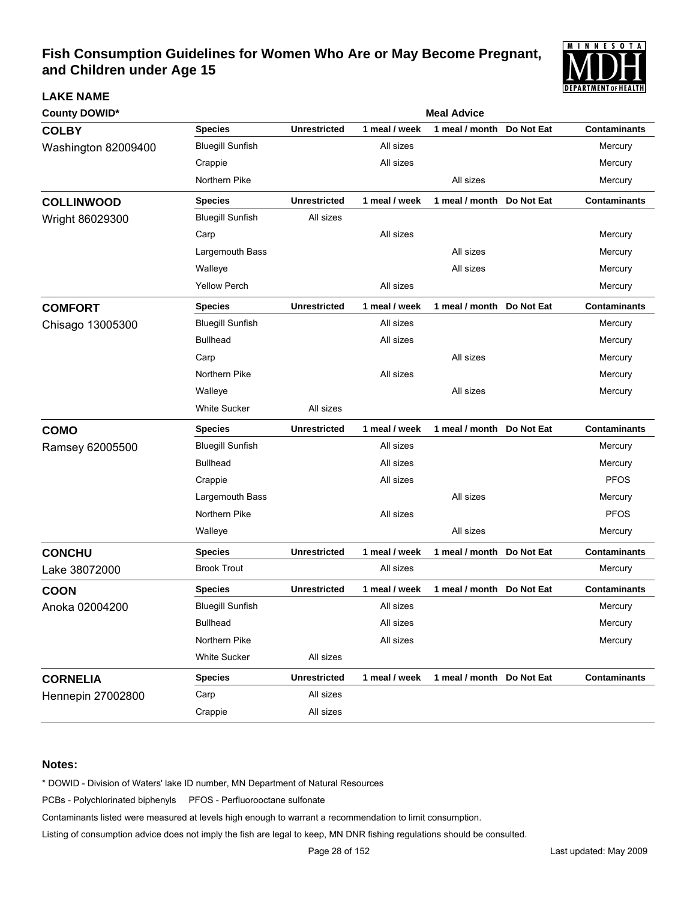

| <b>County DOWID*</b> |                         |                     |               | <b>Meal Advice</b>        |            |                     |
|----------------------|-------------------------|---------------------|---------------|---------------------------|------------|---------------------|
| <b>COLBY</b>         | <b>Species</b>          | <b>Unrestricted</b> | 1 meal / week | 1 meal / month            | Do Not Eat | <b>Contaminants</b> |
| Washington 82009400  | <b>Bluegill Sunfish</b> |                     | All sizes     |                           |            | Mercury             |
|                      | Crappie                 |                     | All sizes     |                           |            | Mercury             |
|                      | Northern Pike           |                     |               | All sizes                 |            | Mercury             |
| <b>COLLINWOOD</b>    | <b>Species</b>          | <b>Unrestricted</b> | 1 meal / week | 1 meal / month            | Do Not Eat | Contaminants        |
| Wright 86029300      | <b>Bluegill Sunfish</b> | All sizes           |               |                           |            |                     |
|                      | Carp                    |                     | All sizes     |                           |            | Mercury             |
|                      | Largemouth Bass         |                     |               | All sizes                 |            | Mercury             |
|                      | Walleye                 |                     |               | All sizes                 |            | Mercury             |
|                      | <b>Yellow Perch</b>     |                     | All sizes     |                           |            | Mercury             |
| <b>COMFORT</b>       | <b>Species</b>          | <b>Unrestricted</b> | 1 meal / week | 1 meal / month            | Do Not Eat | <b>Contaminants</b> |
| Chisago 13005300     | <b>Bluegill Sunfish</b> |                     | All sizes     |                           |            | Mercury             |
|                      | <b>Bullhead</b>         |                     | All sizes     |                           |            | Mercury             |
|                      | Carp                    |                     |               | All sizes                 |            | Mercury             |
|                      | Northern Pike           |                     | All sizes     |                           |            | Mercury             |
|                      | Walleye                 |                     |               | All sizes                 |            | Mercury             |
|                      | <b>White Sucker</b>     | All sizes           |               |                           |            |                     |
| <b>COMO</b>          | <b>Species</b>          | <b>Unrestricted</b> | 1 meal / week | 1 meal / month            | Do Not Eat | <b>Contaminants</b> |
| Ramsey 62005500      | <b>Bluegill Sunfish</b> |                     | All sizes     |                           |            | Mercury             |
|                      | <b>Bullhead</b>         |                     | All sizes     |                           |            | Mercury             |
|                      | Crappie                 |                     | All sizes     |                           |            | <b>PFOS</b>         |
|                      | Largemouth Bass         |                     |               | All sizes                 |            | Mercury             |
|                      | Northern Pike           |                     | All sizes     |                           |            | <b>PFOS</b>         |
|                      | Walleye                 |                     |               | All sizes                 |            | Mercury             |
| <b>CONCHU</b>        | <b>Species</b>          | <b>Unrestricted</b> | 1 meal / week | 1 meal / month            | Do Not Eat | <b>Contaminants</b> |
| Lake 38072000        | <b>Brook Trout</b>      |                     | All sizes     |                           |            | Mercury             |
| COON                 | <b>Species</b>          | <b>Unrestricted</b> | 1 meal / week | 1 meal / month Do Not Eat |            | <b>Contaminants</b> |
| Anoka 02004200       | <b>Bluegill Sunfish</b> |                     | All sizes     |                           |            | Mercury             |
|                      | <b>Bullhead</b>         |                     | All sizes     |                           |            | Mercury             |
|                      | Northern Pike           |                     | All sizes     |                           |            | Mercury             |
|                      | <b>White Sucker</b>     | All sizes           |               |                           |            |                     |
| <b>CORNELIA</b>      | <b>Species</b>          | <b>Unrestricted</b> | 1 meal / week | 1 meal / month Do Not Eat |            | <b>Contaminants</b> |
| Hennepin 27002800    | Carp                    | All sizes           |               |                           |            |                     |
|                      | Crappie                 | All sizes           |               |                           |            |                     |

### **Notes:**

**LAKE NAME**

\* DOWID - Division of Waters' lake ID number, MN Department of Natural Resources

PCBs - Polychlorinated biphenyls PFOS - Perfluorooctane sulfonate

Contaminants listed were measured at levels high enough to warrant a recommendation to limit consumption.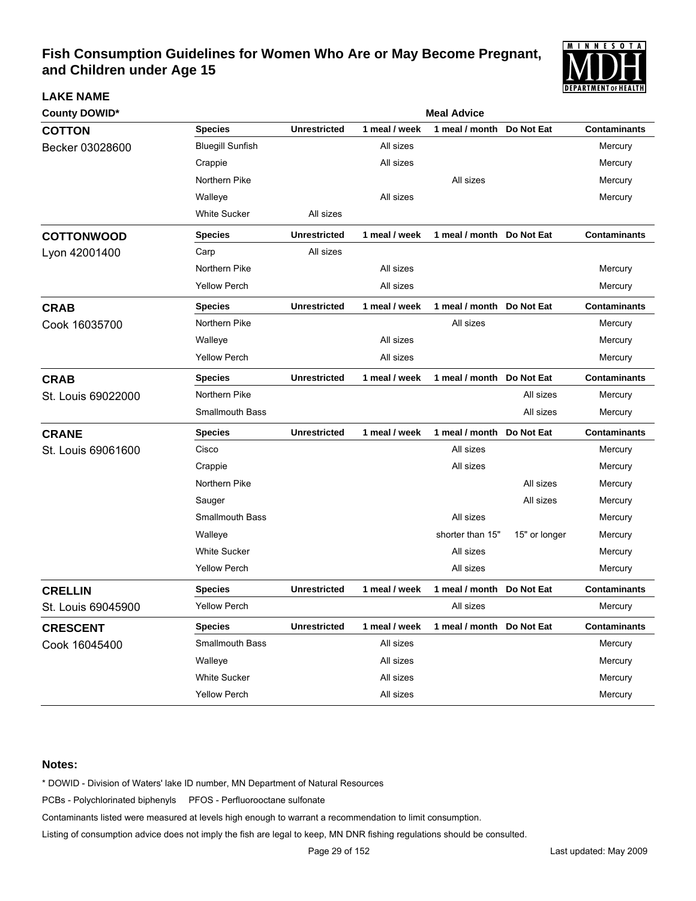

| <b>County DOWID*</b> |                         | <b>Meal Advice</b>  |               |                           |               |                     |  |  |  |  |
|----------------------|-------------------------|---------------------|---------------|---------------------------|---------------|---------------------|--|--|--|--|
| <b>COTTON</b>        | <b>Species</b>          | <b>Unrestricted</b> | 1 meal / week | 1 meal / month            | Do Not Eat    | <b>Contaminants</b> |  |  |  |  |
| Becker 03028600      | <b>Bluegill Sunfish</b> |                     | All sizes     |                           |               | Mercury             |  |  |  |  |
|                      | Crappie                 |                     | All sizes     |                           |               | Mercury             |  |  |  |  |
|                      | Northern Pike           |                     |               | All sizes                 |               | Mercury             |  |  |  |  |
|                      | Walleye                 |                     | All sizes     |                           |               | Mercury             |  |  |  |  |
|                      | <b>White Sucker</b>     | All sizes           |               |                           |               |                     |  |  |  |  |
| <b>COTTONWOOD</b>    | <b>Species</b>          | <b>Unrestricted</b> | 1 meal / week | 1 meal / month Do Not Eat |               | <b>Contaminants</b> |  |  |  |  |
| Lyon 42001400        | Carp                    | All sizes           |               |                           |               |                     |  |  |  |  |
|                      | Northern Pike           |                     | All sizes     |                           |               | Mercury             |  |  |  |  |
|                      | <b>Yellow Perch</b>     |                     | All sizes     |                           |               | Mercury             |  |  |  |  |
| <b>CRAB</b>          | <b>Species</b>          | <b>Unrestricted</b> | 1 meal / week | 1 meal / month Do Not Eat |               | <b>Contaminants</b> |  |  |  |  |
| Cook 16035700        | Northern Pike           |                     |               | All sizes                 |               | Mercury             |  |  |  |  |
|                      | Walleye                 |                     | All sizes     |                           |               | Mercury             |  |  |  |  |
|                      | <b>Yellow Perch</b>     |                     | All sizes     |                           |               | Mercury             |  |  |  |  |
| <b>CRAB</b>          | <b>Species</b>          | <b>Unrestricted</b> | 1 meal / week | 1 meal / month Do Not Eat |               | <b>Contaminants</b> |  |  |  |  |
| St. Louis 69022000   | Northern Pike           |                     |               |                           | All sizes     | Mercury             |  |  |  |  |
|                      | <b>Smallmouth Bass</b>  |                     |               |                           | All sizes     | Mercury             |  |  |  |  |
| <b>CRANE</b>         | <b>Species</b>          | <b>Unrestricted</b> | 1 meal / week | 1 meal / month Do Not Eat |               | <b>Contaminants</b> |  |  |  |  |
| St. Louis 69061600   | Cisco                   |                     |               | All sizes                 |               | Mercury             |  |  |  |  |
|                      | Crappie                 |                     |               | All sizes                 |               | Mercury             |  |  |  |  |
|                      | Northern Pike           |                     |               |                           | All sizes     | Mercury             |  |  |  |  |
|                      | Sauger                  |                     |               |                           | All sizes     | Mercury             |  |  |  |  |
|                      | <b>Smallmouth Bass</b>  |                     |               | All sizes                 |               | Mercury             |  |  |  |  |
|                      | Walleye                 |                     |               | shorter than 15"          | 15" or longer | Mercury             |  |  |  |  |
|                      | <b>White Sucker</b>     |                     |               | All sizes                 |               | Mercury             |  |  |  |  |
|                      | <b>Yellow Perch</b>     |                     |               | All sizes                 |               | Mercury             |  |  |  |  |
| <b>CRELLIN</b>       | <b>Species</b>          | <b>Unrestricted</b> | 1 meal / week | 1 meal / month            | Do Not Eat    | <b>Contaminants</b> |  |  |  |  |
| St. Louis 69045900   | <b>Yellow Perch</b>     |                     |               | All sizes                 |               | Mercury             |  |  |  |  |
| <b>CRESCENT</b>      | <b>Species</b>          | <b>Unrestricted</b> | 1 meal / week | 1 meal / month Do Not Eat |               | <b>Contaminants</b> |  |  |  |  |
| Cook 16045400        | Smallmouth Bass         |                     | All sizes     |                           |               | Mercury             |  |  |  |  |
|                      | Walleye                 |                     | All sizes     |                           |               | Mercury             |  |  |  |  |
|                      | <b>White Sucker</b>     |                     | All sizes     |                           |               | Mercury             |  |  |  |  |
|                      | Yellow Perch            |                     | All sizes     |                           |               | Mercury             |  |  |  |  |

#### **Notes:**

**LAKE NAME**

\* DOWID - Division of Waters' lake ID number, MN Department of Natural Resources

PCBs - Polychlorinated biphenyls PFOS - Perfluorooctane sulfonate

Contaminants listed were measured at levels high enough to warrant a recommendation to limit consumption.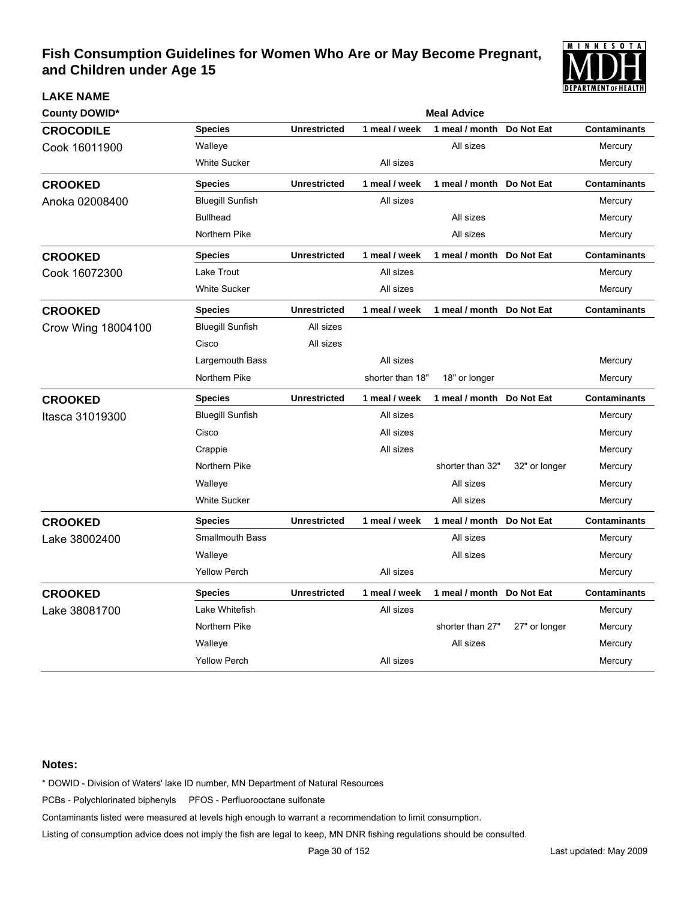

| <b>County DOWID*</b> |                         |                     |                  | <b>Meal Advice</b>        |               |                     |
|----------------------|-------------------------|---------------------|------------------|---------------------------|---------------|---------------------|
| <b>CROCODILE</b>     | <b>Species</b>          | <b>Unrestricted</b> | 1 meal / week    | 1 meal / month            | Do Not Eat    | <b>Contaminants</b> |
| Cook 16011900        | Walleye                 |                     |                  | All sizes                 |               | Mercury             |
|                      | <b>White Sucker</b>     |                     | All sizes        |                           |               | Mercury             |
| <b>CROOKED</b>       | <b>Species</b>          | <b>Unrestricted</b> | 1 meal / week    | 1 meal / month            | Do Not Eat    | <b>Contaminants</b> |
| Anoka 02008400       | <b>Bluegill Sunfish</b> |                     | All sizes        |                           |               | Mercury             |
|                      | <b>Bullhead</b>         |                     |                  | All sizes                 |               | Mercury             |
|                      | Northern Pike           |                     |                  | All sizes                 |               | Mercury             |
| <b>CROOKED</b>       | <b>Species</b>          | <b>Unrestricted</b> | 1 meal / week    | 1 meal / month            | Do Not Eat    | <b>Contaminants</b> |
| Cook 16072300        | Lake Trout              |                     | All sizes        |                           |               | Mercury             |
|                      | <b>White Sucker</b>     |                     | All sizes        |                           |               | Mercury             |
| <b>CROOKED</b>       | <b>Species</b>          | <b>Unrestricted</b> | 1 meal / week    | 1 meal / month Do Not Eat |               | <b>Contaminants</b> |
| Crow Wing 18004100   | <b>Bluegill Sunfish</b> | All sizes           |                  |                           |               |                     |
|                      | Cisco                   | All sizes           |                  |                           |               |                     |
|                      | Largemouth Bass         |                     | All sizes        |                           |               | Mercury             |
|                      | Northern Pike           |                     | shorter than 18" | 18" or longer             |               | Mercury             |
| <b>CROOKED</b>       | <b>Species</b>          | <b>Unrestricted</b> | 1 meal / week    | 1 meal / month            | Do Not Eat    | <b>Contaminants</b> |
| Itasca 31019300      | <b>Bluegill Sunfish</b> |                     | All sizes        |                           |               | Mercury             |
|                      | Cisco                   |                     | All sizes        |                           |               | Mercury             |
|                      | Crappie                 |                     | All sizes        |                           |               | Mercury             |
|                      | Northern Pike           |                     |                  | shorter than 32"          | 32" or longer | Mercury             |
|                      | Walleye                 |                     |                  | All sizes                 |               | Mercury             |
|                      | <b>White Sucker</b>     |                     |                  | All sizes                 |               | Mercury             |
| <b>CROOKED</b>       | <b>Species</b>          | <b>Unrestricted</b> | 1 meal / week    | 1 meal / month            | Do Not Eat    | <b>Contaminants</b> |
| Lake 38002400        | <b>Smallmouth Bass</b>  |                     |                  | All sizes                 |               | Mercury             |
|                      | Walleye                 |                     |                  | All sizes                 |               | Mercury             |
|                      | <b>Yellow Perch</b>     |                     | All sizes        |                           |               | Mercury             |
| <b>CROOKED</b>       | <b>Species</b>          | <b>Unrestricted</b> | 1 meal / week    | 1 meal / month Do Not Eat |               | <b>Contaminants</b> |
| Lake 38081700        | Lake Whitefish          |                     | All sizes        |                           |               | Mercury             |
|                      | Northern Pike           |                     |                  | shorter than 27"          | 27" or longer | Mercury             |
|                      | Walleye                 |                     |                  | All sizes                 |               | Mercury             |
|                      | <b>Yellow Perch</b>     |                     | All sizes        |                           |               | Mercury             |

#### **Notes:**

**LAKE NAME**

\* DOWID - Division of Waters' lake ID number, MN Department of Natural Resources

PCBs - Polychlorinated biphenyls PFOS - Perfluorooctane sulfonate

Contaminants listed were measured at levels high enough to warrant a recommendation to limit consumption.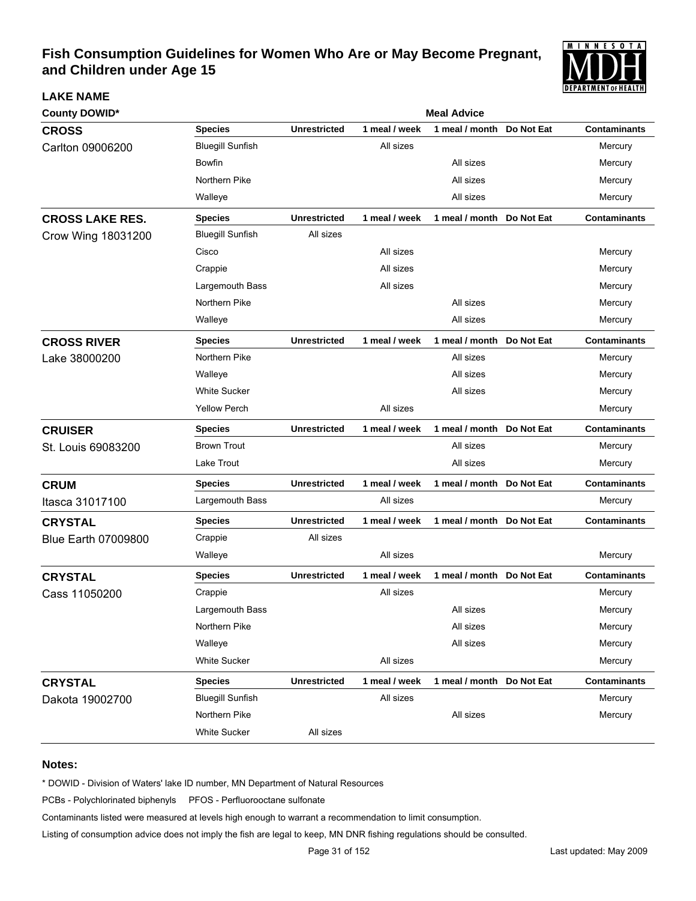

| <b>County DOWID*</b>       |                         | <b>Meal Advice</b>  |               |                            |            |                     |  |  |  |
|----------------------------|-------------------------|---------------------|---------------|----------------------------|------------|---------------------|--|--|--|
| <b>CROSS</b>               | <b>Species</b>          | <b>Unrestricted</b> | 1 meal / week | 1 meal / month             | Do Not Eat | <b>Contaminants</b> |  |  |  |
| Carlton 09006200           | <b>Bluegill Sunfish</b> |                     | All sizes     |                            |            | Mercury             |  |  |  |
|                            | <b>Bowfin</b>           |                     |               | All sizes                  |            | Mercury             |  |  |  |
|                            | Northern Pike           |                     |               | All sizes                  |            | Mercury             |  |  |  |
|                            | Walleye                 |                     |               | All sizes                  |            | Mercury             |  |  |  |
| <b>CROSS LAKE RES.</b>     | <b>Species</b>          | <b>Unrestricted</b> | 1 meal / week | 1 meal / month Do Not Eat  |            | <b>Contaminants</b> |  |  |  |
| Crow Wing 18031200         | <b>Bluegill Sunfish</b> | All sizes           |               |                            |            |                     |  |  |  |
|                            | Cisco                   |                     | All sizes     |                            |            | Mercury             |  |  |  |
|                            | Crappie                 |                     | All sizes     |                            |            | Mercury             |  |  |  |
|                            | Largemouth Bass         |                     | All sizes     |                            |            | Mercury             |  |  |  |
|                            | Northern Pike           |                     |               | All sizes                  |            | Mercury             |  |  |  |
|                            | Walleye                 |                     |               | All sizes                  |            | Mercury             |  |  |  |
| <b>CROSS RIVER</b>         | <b>Species</b>          | <b>Unrestricted</b> | 1 meal / week | 1 meal / month Do Not Eat  |            | <b>Contaminants</b> |  |  |  |
| Lake 38000200              | Northern Pike           |                     |               | All sizes                  |            | Mercury             |  |  |  |
|                            | Walleye                 |                     |               | All sizes                  |            | Mercury             |  |  |  |
|                            | <b>White Sucker</b>     |                     |               | All sizes                  |            | Mercury             |  |  |  |
|                            | <b>Yellow Perch</b>     |                     | All sizes     |                            |            | Mercury             |  |  |  |
| <b>CRUISER</b>             | <b>Species</b>          | <b>Unrestricted</b> | 1 meal / week | 1 meal / month Do Not Eat  |            | <b>Contaminants</b> |  |  |  |
| St. Louis 69083200         | <b>Brown Trout</b>      |                     |               | All sizes                  |            | Mercury             |  |  |  |
|                            | Lake Trout              |                     |               | All sizes                  |            | Mercury             |  |  |  |
| <b>CRUM</b>                | <b>Species</b>          | <b>Unrestricted</b> | 1 meal / week | 1 meal / month Do Not Eat  |            | <b>Contaminants</b> |  |  |  |
| Itasca 31017100            | Largemouth Bass         |                     | All sizes     |                            |            | Mercury             |  |  |  |
| <b>CRYSTAL</b>             | <b>Species</b>          | <b>Unrestricted</b> | 1 meal / week | 1 meal / month Do Not Eat  |            | <b>Contaminants</b> |  |  |  |
| <b>Blue Earth 07009800</b> | Crappie                 | All sizes           |               |                            |            |                     |  |  |  |
|                            | Walleye                 |                     | All sizes     |                            |            | Mercury             |  |  |  |
| <b>CRYSTAL</b>             | <b>Species</b>          | <b>Unrestricted</b> | 1 meal / week | 1 meal / month Do Not Eat  |            | <b>Contaminants</b> |  |  |  |
| Cass 11050200              | Crappie                 |                     | All sizes     |                            |            | Mercury             |  |  |  |
|                            | Largemouth Bass         |                     |               | All sizes                  |            | Mercury             |  |  |  |
|                            | Northern Pike           |                     |               | All sizes                  |            | Mercury             |  |  |  |
|                            | Walleye                 |                     |               | All sizes                  |            | Mercury             |  |  |  |
|                            | <b>White Sucker</b>     |                     | All sizes     |                            |            | Mercury             |  |  |  |
| <b>CRYSTAL</b>             | <b>Species</b>          | <b>Unrestricted</b> | 1 meal / week | 1 meal / month  Do Not Eat |            | <b>Contaminants</b> |  |  |  |
| Dakota 19002700            | <b>Bluegill Sunfish</b> |                     | All sizes     |                            |            | Mercury             |  |  |  |
|                            | Northern Pike           |                     |               | All sizes                  |            | Mercury             |  |  |  |
|                            | White Sucker            | All sizes           |               |                            |            |                     |  |  |  |

### **Notes:**

**LAKE NAME**

\* DOWID - Division of Waters' lake ID number, MN Department of Natural Resources

PCBs - Polychlorinated biphenyls PFOS - Perfluorooctane sulfonate

Contaminants listed were measured at levels high enough to warrant a recommendation to limit consumption.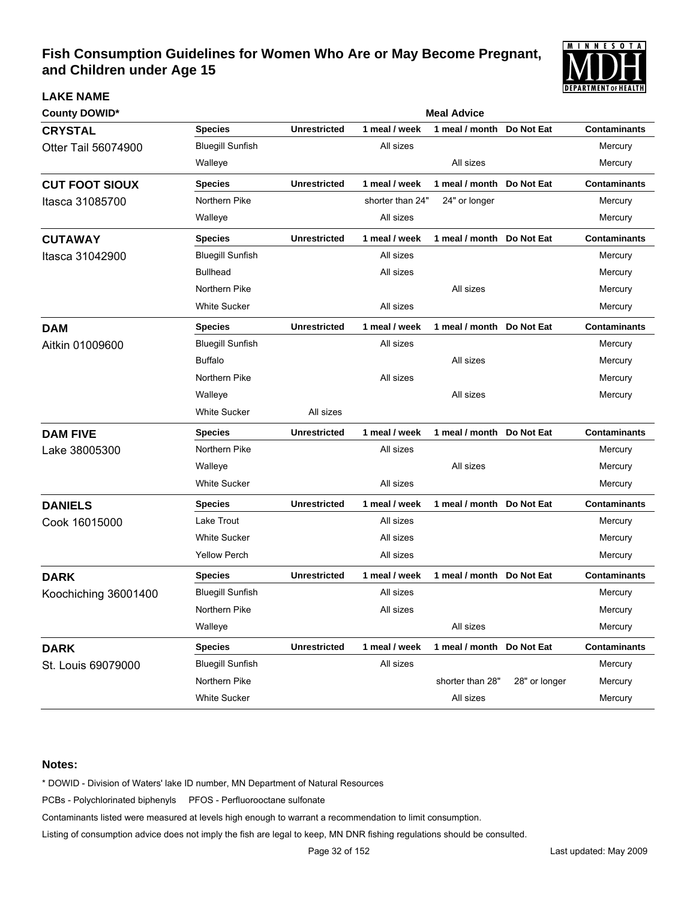

| County DOWID*         |                         | <b>Meal Advice</b>  |                  |                           |               |                     |  |  |  |  |
|-----------------------|-------------------------|---------------------|------------------|---------------------------|---------------|---------------------|--|--|--|--|
| <b>CRYSTAL</b>        | <b>Species</b>          | <b>Unrestricted</b> | 1 meal / week    | 1 meal / month            | Do Not Eat    | <b>Contaminants</b> |  |  |  |  |
| Otter Tail 56074900   | <b>Bluegill Sunfish</b> |                     | All sizes        |                           |               | Mercury             |  |  |  |  |
|                       | Walleye                 |                     |                  | All sizes                 |               | Mercury             |  |  |  |  |
| <b>CUT FOOT SIOUX</b> | <b>Species</b>          | <b>Unrestricted</b> | 1 meal / week    | 1 meal / month            | Do Not Eat    | <b>Contaminants</b> |  |  |  |  |
| Itasca 31085700       | Northern Pike           |                     | shorter than 24" | 24" or longer             |               | Mercury             |  |  |  |  |
|                       | Walleye                 |                     | All sizes        |                           |               | Mercury             |  |  |  |  |
| <b>CUTAWAY</b>        | <b>Species</b>          | <b>Unrestricted</b> | 1 meal / week    | 1 meal / month Do Not Eat |               | <b>Contaminants</b> |  |  |  |  |
| Itasca 31042900       | <b>Bluegill Sunfish</b> |                     | All sizes        |                           |               | Mercury             |  |  |  |  |
|                       | <b>Bullhead</b>         |                     | All sizes        |                           |               | Mercury             |  |  |  |  |
|                       | Northern Pike           |                     |                  | All sizes                 |               | Mercury             |  |  |  |  |
|                       | <b>White Sucker</b>     |                     | All sizes        |                           |               | Mercury             |  |  |  |  |
| <b>DAM</b>            | <b>Species</b>          | <b>Unrestricted</b> | 1 meal / week    | 1 meal / month Do Not Eat |               | <b>Contaminants</b> |  |  |  |  |
| Aitkin 01009600       | <b>Bluegill Sunfish</b> |                     | All sizes        |                           |               | Mercury             |  |  |  |  |
|                       | <b>Buffalo</b>          |                     |                  | All sizes                 |               | Mercury             |  |  |  |  |
|                       | Northern Pike           |                     | All sizes        |                           |               | Mercury             |  |  |  |  |
|                       | Walleye                 |                     |                  | All sizes                 |               | Mercury             |  |  |  |  |
|                       | <b>White Sucker</b>     | All sizes           |                  |                           |               |                     |  |  |  |  |
| <b>DAM FIVE</b>       | <b>Species</b>          | <b>Unrestricted</b> | 1 meal / week    | 1 meal / month            | Do Not Eat    | <b>Contaminants</b> |  |  |  |  |
| Lake 38005300         | Northern Pike           |                     | All sizes        |                           |               | Mercury             |  |  |  |  |
|                       | Walleye                 |                     |                  | All sizes                 |               | Mercury             |  |  |  |  |
|                       | <b>White Sucker</b>     |                     | All sizes        |                           |               | Mercury             |  |  |  |  |
| <b>DANIELS</b>        | <b>Species</b>          | <b>Unrestricted</b> | 1 meal / week    | 1 meal / month            | Do Not Eat    | <b>Contaminants</b> |  |  |  |  |
| Cook 16015000         | Lake Trout              |                     | All sizes        |                           |               | Mercury             |  |  |  |  |
|                       | <b>White Sucker</b>     |                     | All sizes        |                           |               | Mercury             |  |  |  |  |
|                       | <b>Yellow Perch</b>     |                     | All sizes        |                           |               | Mercury             |  |  |  |  |
| <b>DARK</b>           | <b>Species</b>          | <b>Unrestricted</b> | 1 meal / week    | 1 meal / month            | Do Not Eat    | <b>Contaminants</b> |  |  |  |  |
| Koochiching 36001400  | <b>Bluegill Sunfish</b> |                     | All sizes        |                           |               | Mercury             |  |  |  |  |
|                       | Northern Pike           |                     | All sizes        |                           |               | Mercury             |  |  |  |  |
|                       | Walleye                 |                     |                  | All sizes                 |               | Mercury             |  |  |  |  |
| <b>DARK</b>           | <b>Species</b>          | <b>Unrestricted</b> | 1 meal / week    | 1 meal / month            | Do Not Eat    | <b>Contaminants</b> |  |  |  |  |
| St. Louis 69079000    | <b>Bluegill Sunfish</b> |                     | All sizes        |                           |               | Mercury             |  |  |  |  |
|                       | Northern Pike           |                     |                  | shorter than 28"          | 28" or longer | Mercury             |  |  |  |  |
|                       | <b>White Sucker</b>     |                     |                  | All sizes                 |               | Mercury             |  |  |  |  |

### **Notes:**

**LAKE NAME**

\* DOWID - Division of Waters' lake ID number, MN Department of Natural Resources

PCBs - Polychlorinated biphenyls PFOS - Perfluorooctane sulfonate

Contaminants listed were measured at levels high enough to warrant a recommendation to limit consumption.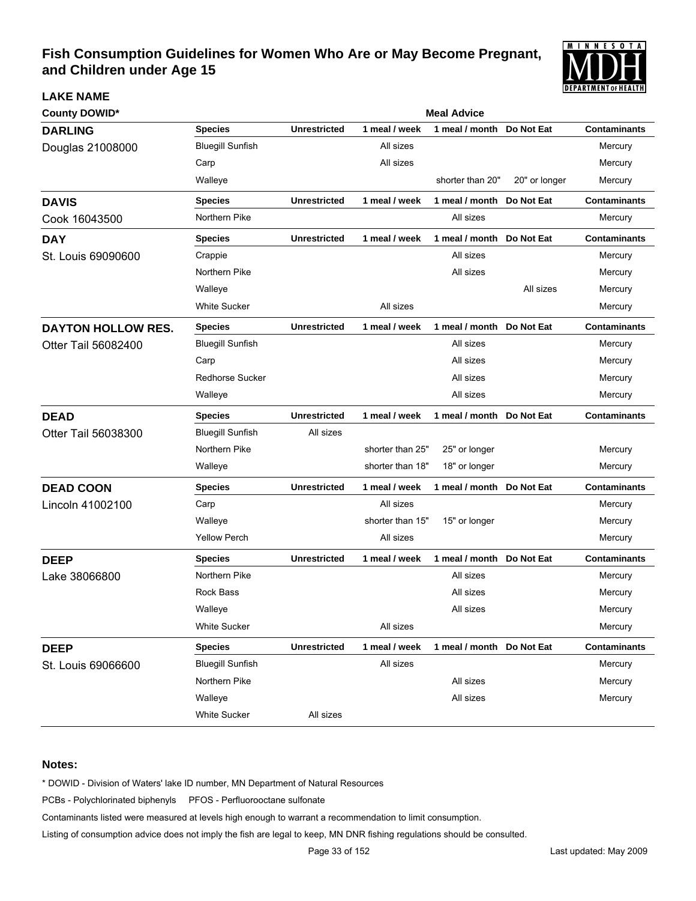

| <b>County DOWID*</b>      |                         | <b>Meal Advice</b>  |                  |                           |               |                     |  |  |
|---------------------------|-------------------------|---------------------|------------------|---------------------------|---------------|---------------------|--|--|
| <b>DARLING</b>            | <b>Species</b>          | <b>Unrestricted</b> | 1 meal / week    | 1 meal / month            | Do Not Eat    | <b>Contaminants</b> |  |  |
| Douglas 21008000          | <b>Bluegill Sunfish</b> |                     | All sizes        |                           |               | Mercury             |  |  |
|                           | Carp                    |                     | All sizes        |                           |               | Mercury             |  |  |
|                           | Walleye                 |                     |                  | shorter than 20"          | 20" or longer | Mercury             |  |  |
| <b>DAVIS</b>              | <b>Species</b>          | <b>Unrestricted</b> | 1 meal / week    | 1 meal / month Do Not Eat |               | <b>Contaminants</b> |  |  |
| Cook 16043500             | Northern Pike           |                     |                  | All sizes                 |               | Mercury             |  |  |
| <b>DAY</b>                | <b>Species</b>          | <b>Unrestricted</b> | 1 meal / week    | 1 meal / month Do Not Eat |               | <b>Contaminants</b> |  |  |
| St. Louis 69090600        | Crappie                 |                     |                  | All sizes                 |               | Mercury             |  |  |
|                           | Northern Pike           |                     |                  | All sizes                 |               | Mercury             |  |  |
|                           | Walleye                 |                     |                  |                           | All sizes     | Mercury             |  |  |
|                           | <b>White Sucker</b>     |                     | All sizes        |                           |               | Mercury             |  |  |
| <b>DAYTON HOLLOW RES.</b> | <b>Species</b>          | <b>Unrestricted</b> | 1 meal / week    | 1 meal / month Do Not Eat |               | <b>Contaminants</b> |  |  |
| Otter Tail 56082400       | <b>Bluegill Sunfish</b> |                     |                  | All sizes                 |               | Mercury             |  |  |
|                           | Carp                    |                     |                  | All sizes                 |               | Mercury             |  |  |
|                           | <b>Redhorse Sucker</b>  |                     |                  | All sizes                 |               | Mercury             |  |  |
|                           | Walleye                 |                     |                  | All sizes                 |               | Mercury             |  |  |
| <b>DEAD</b>               | <b>Species</b>          | <b>Unrestricted</b> | 1 meal / week    | 1 meal / month Do Not Eat |               | <b>Contaminants</b> |  |  |
| Otter Tail 56038300       | <b>Bluegill Sunfish</b> | All sizes           |                  |                           |               |                     |  |  |
|                           | Northern Pike           |                     | shorter than 25" | 25" or longer             |               | Mercury             |  |  |
|                           | Walleye                 |                     | shorter than 18" | 18" or longer             |               | Mercury             |  |  |
| <b>DEAD COON</b>          | <b>Species</b>          | <b>Unrestricted</b> | 1 meal / week    | 1 meal / month Do Not Eat |               | <b>Contaminants</b> |  |  |
| Lincoln 41002100          | Carp                    |                     | All sizes        |                           |               | Mercury             |  |  |
|                           | Walleye                 |                     | shorter than 15" | 15" or longer             |               | Mercury             |  |  |
|                           | <b>Yellow Perch</b>     |                     | All sizes        |                           |               | Mercury             |  |  |
| <b>DEEP</b>               | <b>Species</b>          | <b>Unrestricted</b> | 1 meal / week    | 1 meal / month Do Not Eat |               | <b>Contaminants</b> |  |  |
| Lake 38066800             | Northern Pike           |                     |                  | All sizes                 |               | Mercury             |  |  |
|                           | Rock Bass               |                     |                  | All sizes                 |               | Mercury             |  |  |
|                           | Walleye                 |                     |                  | All sizes                 |               | Mercury             |  |  |
|                           | White Sucker            |                     | All sizes        |                           |               | Mercury             |  |  |
| <b>DEEP</b>               | <b>Species</b>          | <b>Unrestricted</b> | 1 meal / week    | 1 meal / month Do Not Eat |               | <b>Contaminants</b> |  |  |
| St. Louis 69066600        | <b>Bluegill Sunfish</b> |                     | All sizes        |                           |               | Mercury             |  |  |
|                           | Northern Pike           |                     |                  | All sizes                 |               | Mercury             |  |  |
|                           | Walleye                 |                     |                  | All sizes                 |               | Mercury             |  |  |
|                           | <b>White Sucker</b>     | All sizes           |                  |                           |               |                     |  |  |

### **Notes:**

**LAKE NAME**

\* DOWID - Division of Waters' lake ID number, MN Department of Natural Resources

PCBs - Polychlorinated biphenyls PFOS - Perfluorooctane sulfonate

Contaminants listed were measured at levels high enough to warrant a recommendation to limit consumption.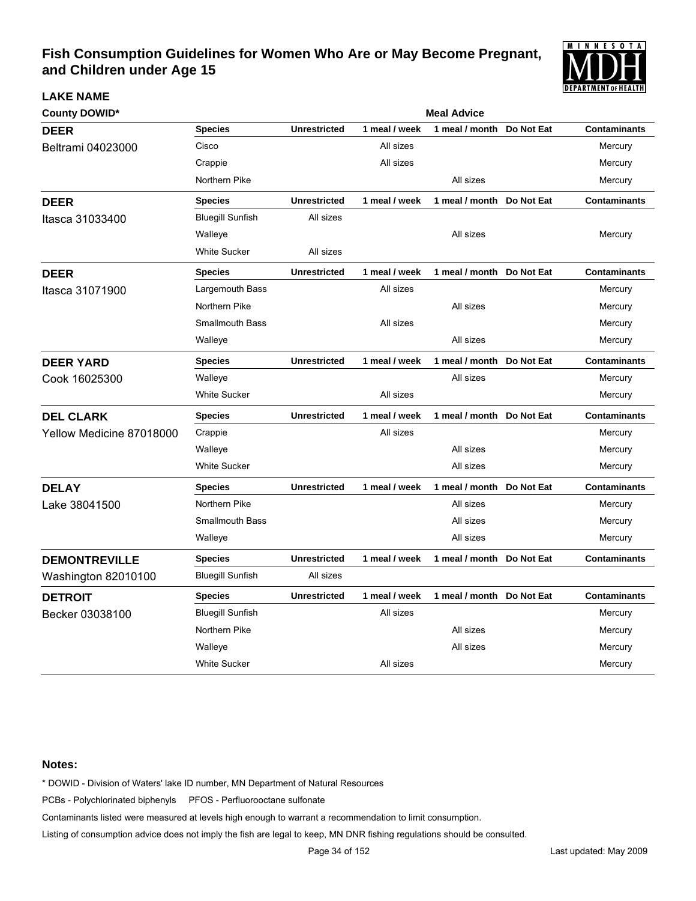

| <b>County DOWID*</b>     |                         | <b>Meal Advice</b>  |               |                           |            |                     |  |  |
|--------------------------|-------------------------|---------------------|---------------|---------------------------|------------|---------------------|--|--|
| <b>DEER</b>              | <b>Species</b>          | <b>Unrestricted</b> | 1 meal / week | 1 meal / month            | Do Not Eat | <b>Contaminants</b> |  |  |
| Beltrami 04023000        | Cisco                   |                     | All sizes     |                           |            | Mercury             |  |  |
|                          | Crappie                 |                     | All sizes     |                           |            | Mercury             |  |  |
|                          | Northern Pike           |                     |               | All sizes                 |            | Mercury             |  |  |
| <b>DEER</b>              | <b>Species</b>          | <b>Unrestricted</b> | 1 meal / week | 1 meal / month            | Do Not Eat | <b>Contaminants</b> |  |  |
| Itasca 31033400          | <b>Bluegill Sunfish</b> | All sizes           |               |                           |            |                     |  |  |
|                          | Walleye                 |                     |               | All sizes                 |            | Mercury             |  |  |
|                          | <b>White Sucker</b>     | All sizes           |               |                           |            |                     |  |  |
| <b>DEER</b>              | <b>Species</b>          | <b>Unrestricted</b> | 1 meal / week | 1 meal / month            | Do Not Eat | <b>Contaminants</b> |  |  |
| Itasca 31071900          | Largemouth Bass         |                     | All sizes     |                           |            | Mercury             |  |  |
|                          | Northern Pike           |                     |               | All sizes                 |            | Mercury             |  |  |
|                          | <b>Smallmouth Bass</b>  |                     | All sizes     |                           |            | Mercury             |  |  |
|                          | Walleye                 |                     |               | All sizes                 |            | Mercury             |  |  |
| <b>DEER YARD</b>         | <b>Species</b>          | <b>Unrestricted</b> | 1 meal / week | 1 meal / month            | Do Not Eat | <b>Contaminants</b> |  |  |
| Cook 16025300            | Walleye                 |                     |               | All sizes                 |            | Mercury             |  |  |
|                          | <b>White Sucker</b>     |                     | All sizes     |                           |            | Mercury             |  |  |
| <b>DEL CLARK</b>         | <b>Species</b>          | <b>Unrestricted</b> | 1 meal / week | 1 meal / month Do Not Eat |            | <b>Contaminants</b> |  |  |
| Yellow Medicine 87018000 | Crappie                 |                     | All sizes     |                           |            | Mercury             |  |  |
|                          | Walleye                 |                     |               | All sizes                 |            | Mercury             |  |  |
|                          | <b>White Sucker</b>     |                     |               | All sizes                 |            | Mercury             |  |  |
| <b>DELAY</b>             | <b>Species</b>          | <b>Unrestricted</b> | 1 meal / week | 1 meal / month Do Not Eat |            | <b>Contaminants</b> |  |  |
| Lake 38041500            | Northern Pike           |                     |               | All sizes                 |            | Mercury             |  |  |
|                          | <b>Smallmouth Bass</b>  |                     |               | All sizes                 |            | Mercury             |  |  |
|                          | Walleye                 |                     |               | All sizes                 |            | Mercury             |  |  |
| <b>DEMONTREVILLE</b>     | <b>Species</b>          | <b>Unrestricted</b> | 1 meal / week | 1 meal / month            | Do Not Eat | <b>Contaminants</b> |  |  |
| Washington 82010100      | <b>Bluegill Sunfish</b> | All sizes           |               |                           |            |                     |  |  |
| <b>DETROIT</b>           | <b>Species</b>          | <b>Unrestricted</b> | 1 meal / week | 1 meal / month Do Not Eat |            | <b>Contaminants</b> |  |  |
| Becker 03038100          | <b>Bluegill Sunfish</b> |                     | All sizes     |                           |            | Mercury             |  |  |
|                          | Northern Pike           |                     |               | All sizes                 |            | Mercury             |  |  |
|                          | Walleye                 |                     |               | All sizes                 |            | Mercury             |  |  |
|                          | <b>White Sucker</b>     |                     | All sizes     |                           |            | Mercury             |  |  |

#### **Notes:**

**LAKE NAME**

\* DOWID - Division of Waters' lake ID number, MN Department of Natural Resources

PCBs - Polychlorinated biphenyls PFOS - Perfluorooctane sulfonate

Contaminants listed were measured at levels high enough to warrant a recommendation to limit consumption.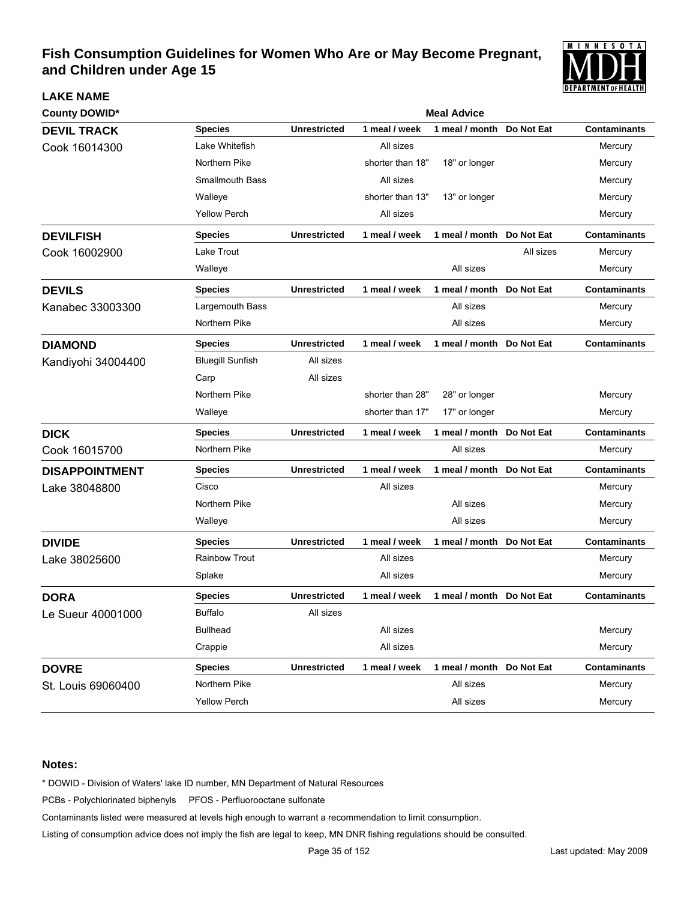

| <b>County DOWID*</b>  |                         |                     |                  | <b>Meal Advice</b>        |            |                     |
|-----------------------|-------------------------|---------------------|------------------|---------------------------|------------|---------------------|
| <b>DEVIL TRACK</b>    | <b>Species</b>          | <b>Unrestricted</b> | 1 meal / week    | 1 meal / month            | Do Not Eat | <b>Contaminants</b> |
| Cook 16014300         | Lake Whitefish          |                     | All sizes        |                           |            | Mercury             |
|                       | Northern Pike           |                     | shorter than 18" | 18" or longer             |            | Mercury             |
|                       | <b>Smallmouth Bass</b>  |                     | All sizes        |                           |            | Mercury             |
|                       | Walleye                 |                     | shorter than 13" | 13" or longer             |            | Mercury             |
|                       | <b>Yellow Perch</b>     |                     | All sizes        |                           |            | Mercury             |
| <b>DEVILFISH</b>      | <b>Species</b>          | <b>Unrestricted</b> | 1 meal / week    | 1 meal / month            | Do Not Eat | <b>Contaminants</b> |
| Cook 16002900         | Lake Trout              |                     |                  |                           | All sizes  | Mercury             |
|                       | Walleye                 |                     |                  | All sizes                 |            | Mercury             |
| <b>DEVILS</b>         | <b>Species</b>          | <b>Unrestricted</b> | 1 meal / week    | 1 meal / month            | Do Not Eat | <b>Contaminants</b> |
| Kanabec 33003300      | Largemouth Bass         |                     |                  | All sizes                 |            | Mercury             |
|                       | Northern Pike           |                     |                  | All sizes                 |            | Mercury             |
| <b>DIAMOND</b>        | <b>Species</b>          | <b>Unrestricted</b> | 1 meal / week    | 1 meal / month            | Do Not Eat | Contaminants        |
| Kandiyohi 34004400    | <b>Bluegill Sunfish</b> | All sizes           |                  |                           |            |                     |
|                       | Carp                    | All sizes           |                  |                           |            |                     |
|                       | Northern Pike           |                     | shorter than 28" | 28" or longer             |            | Mercury             |
|                       | Walleye                 |                     | shorter than 17" | 17" or longer             |            | Mercury             |
| <b>DICK</b>           | <b>Species</b>          | <b>Unrestricted</b> | 1 meal / week    | 1 meal / month            | Do Not Eat | <b>Contaminants</b> |
| Cook 16015700         | Northern Pike           |                     |                  | All sizes                 |            | Mercury             |
| <b>DISAPPOINTMENT</b> | <b>Species</b>          | <b>Unrestricted</b> | 1 meal / week    | 1 meal / month            | Do Not Eat | <b>Contaminants</b> |
| Lake 38048800         | Cisco                   |                     | All sizes        |                           |            | Mercury             |
|                       | Northern Pike           |                     |                  | All sizes                 |            | Mercury             |
|                       | Walleye                 |                     |                  | All sizes                 |            | Mercury             |
| <b>DIVIDE</b>         | <b>Species</b>          | <b>Unrestricted</b> | 1 meal / week    | 1 meal / month            | Do Not Eat | <b>Contaminants</b> |
| Lake 38025600         | Rainbow Trout           |                     | All sizes        |                           |            | Mercury             |
|                       | Splake                  |                     | All sizes        |                           |            | Mercury             |
| <b>DORA</b>           | <b>Species</b>          | <b>Unrestricted</b> | 1 meal / week    | 1 meal / month            | Do Not Eat | <b>Contaminants</b> |
| Le Sueur 40001000     | <b>Buffalo</b>          | All sizes           |                  |                           |            |                     |
|                       | <b>Bullhead</b>         |                     | All sizes        |                           |            | Mercury             |
|                       | Crappie                 |                     | All sizes        |                           |            | Mercury             |
| <b>DOVRE</b>          | <b>Species</b>          | <b>Unrestricted</b> | 1 meal / week    | 1 meal / month Do Not Eat |            | <b>Contaminants</b> |
| St. Louis 69060400    | Northern Pike           |                     |                  | All sizes                 |            | Mercury             |
|                       | <b>Yellow Perch</b>     |                     |                  | All sizes                 |            | Mercury             |

#### **Notes:**

**LAKE NAME**

\* DOWID - Division of Waters' lake ID number, MN Department of Natural Resources

PCBs - Polychlorinated biphenyls PFOS - Perfluorooctane sulfonate

Contaminants listed were measured at levels high enough to warrant a recommendation to limit consumption.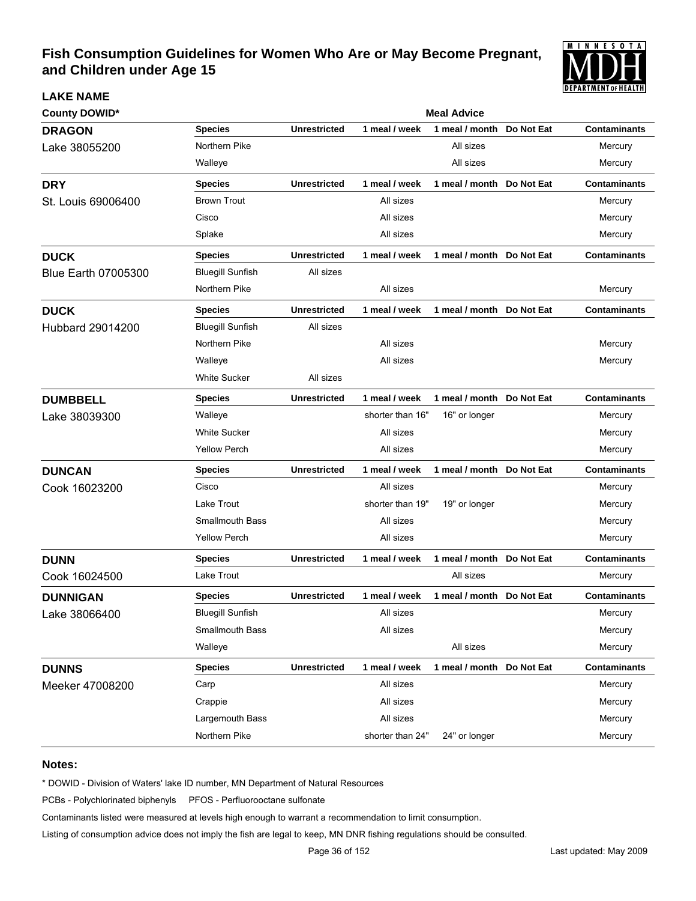

| <b>County DOWID*</b>       | <b>Meal Advice</b>      |                     |                  |                            |            |                     |
|----------------------------|-------------------------|---------------------|------------------|----------------------------|------------|---------------------|
| <b>DRAGON</b>              | <b>Species</b>          | <b>Unrestricted</b> | 1 meal / week    | 1 meal / month             | Do Not Eat | <b>Contaminants</b> |
| Lake 38055200              | Northern Pike           |                     |                  | All sizes                  |            | Mercury             |
|                            | Walleye                 |                     |                  | All sizes                  |            | Mercury             |
| <b>DRY</b>                 | <b>Species</b>          | <b>Unrestricted</b> | 1 meal / week    | 1 meal / month Do Not Eat  |            | <b>Contaminants</b> |
| St. Louis 69006400         | <b>Brown Trout</b>      |                     | All sizes        |                            |            | Mercury             |
|                            | Cisco                   |                     | All sizes        |                            |            | Mercury             |
|                            | Splake                  |                     | All sizes        |                            |            | Mercury             |
| <b>DUCK</b>                | <b>Species</b>          | <b>Unrestricted</b> | 1 meal / week    | 1 meal / month Do Not Eat  |            | <b>Contaminants</b> |
| <b>Blue Earth 07005300</b> | <b>Bluegill Sunfish</b> | All sizes           |                  |                            |            |                     |
|                            | Northern Pike           |                     | All sizes        |                            |            | Mercury             |
| <b>DUCK</b>                | <b>Species</b>          | <b>Unrestricted</b> | 1 meal / week    | 1 meal / month Do Not Eat  |            | <b>Contaminants</b> |
| <b>Hubbard 29014200</b>    | <b>Bluegill Sunfish</b> | All sizes           |                  |                            |            |                     |
|                            | Northern Pike           |                     | All sizes        |                            |            | Mercury             |
|                            | Walleye                 |                     | All sizes        |                            |            | Mercury             |
|                            | <b>White Sucker</b>     | All sizes           |                  |                            |            |                     |
| <b>DUMBBELL</b>            | <b>Species</b>          | <b>Unrestricted</b> | 1 meal / week    | 1 meal / month             | Do Not Eat | <b>Contaminants</b> |
| Lake 38039300              | Walleye                 |                     | shorter than 16" | 16" or longer              |            | Mercury             |
|                            | <b>White Sucker</b>     |                     | All sizes        |                            |            | Mercury             |
|                            | <b>Yellow Perch</b>     |                     | All sizes        |                            |            | Mercury             |
| <b>DUNCAN</b>              | <b>Species</b>          | <b>Unrestricted</b> | 1 meal / week    | 1 meal / month Do Not Eat  |            | <b>Contaminants</b> |
| Cook 16023200              | Cisco                   |                     | All sizes        |                            |            | Mercury             |
|                            | Lake Trout              |                     | shorter than 19" | 19" or longer              |            | Mercury             |
|                            | <b>Smallmouth Bass</b>  |                     | All sizes        |                            |            | Mercury             |
|                            | <b>Yellow Perch</b>     |                     | All sizes        |                            |            | Mercury             |
| <b>DUNN</b>                | <b>Species</b>          | <b>Unrestricted</b> | 1 meal / week    | 1 meal / month Do Not Eat  |            | <b>Contaminants</b> |
| Cook 16024500              | Lake Trout              |                     |                  | All sizes                  |            | Mercury             |
| <b>DUNNIGAN</b>            | <b>Species</b>          | <b>Unrestricted</b> | 1 meal / week    | 1 meal / month             | Do Not Eat | <b>Contaminants</b> |
| Lake 38066400              | <b>Bluegill Sunfish</b> |                     | All sizes        |                            |            | Mercury             |
|                            | <b>Smallmouth Bass</b>  |                     | All sizes        |                            |            | Mercury             |
|                            | Walleye                 |                     |                  | All sizes                  |            | Mercury             |
| <b>DUNNS</b>               | <b>Species</b>          | <b>Unrestricted</b> | 1 meal / week    | 1 meal / month  Do Not Eat |            | <b>Contaminants</b> |
| Meeker 47008200            | Carp                    |                     | All sizes        |                            |            | Mercury             |
|                            | Crappie                 |                     | All sizes        |                            |            | Mercury             |
|                            | Largemouth Bass         |                     | All sizes        |                            |            | Mercury             |
|                            | Northern Pike           |                     | shorter than 24" | 24" or longer              |            | Mercury             |

#### **Notes:**

**LAKE NAME**

\* DOWID - Division of Waters' lake ID number, MN Department of Natural Resources

PCBs - Polychlorinated biphenyls PFOS - Perfluorooctane sulfonate

Contaminants listed were measured at levels high enough to warrant a recommendation to limit consumption.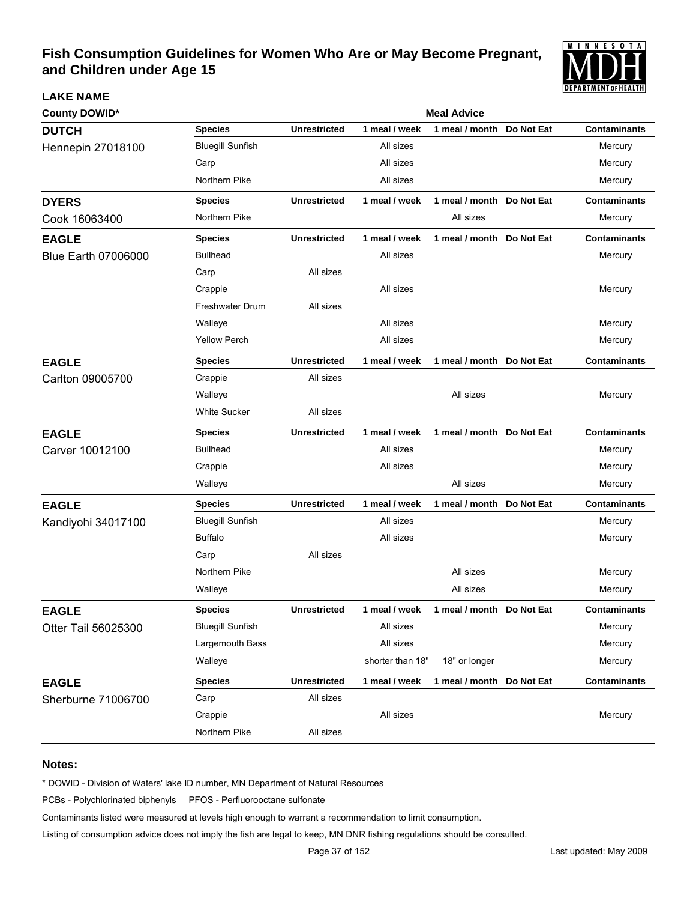

| <b>County DOWID*</b>       | <b>Meal Advice</b>      |                     |                  |                           |            |                     |  |  |
|----------------------------|-------------------------|---------------------|------------------|---------------------------|------------|---------------------|--|--|
| <b>DUTCH</b>               | <b>Species</b>          | <b>Unrestricted</b> | 1 meal / week    | 1 meal / month            | Do Not Eat | <b>Contaminants</b> |  |  |
| <b>Hennepin 27018100</b>   | <b>Bluegill Sunfish</b> |                     | All sizes        |                           |            | Mercury             |  |  |
|                            | Carp                    |                     | All sizes        |                           |            | Mercury             |  |  |
|                            | Northern Pike           |                     | All sizes        |                           |            | Mercury             |  |  |
| <b>DYERS</b>               | <b>Species</b>          | <b>Unrestricted</b> | 1 meal / week    | 1 meal / month Do Not Eat |            | <b>Contaminants</b> |  |  |
| Cook 16063400              | Northern Pike           |                     |                  | All sizes                 |            | Mercury             |  |  |
| <b>EAGLE</b>               | <b>Species</b>          | <b>Unrestricted</b> | 1 meal / week    | 1 meal / month Do Not Eat |            | <b>Contaminants</b> |  |  |
| <b>Blue Earth 07006000</b> | <b>Bullhead</b>         |                     | All sizes        |                           |            | Mercury             |  |  |
|                            | Carp                    | All sizes           |                  |                           |            |                     |  |  |
|                            | Crappie                 |                     | All sizes        |                           |            | Mercury             |  |  |
|                            | <b>Freshwater Drum</b>  | All sizes           |                  |                           |            |                     |  |  |
|                            | Walleye                 |                     | All sizes        |                           |            | Mercury             |  |  |
|                            | <b>Yellow Perch</b>     |                     | All sizes        |                           |            | Mercury             |  |  |
| <b>EAGLE</b>               | <b>Species</b>          | <b>Unrestricted</b> | 1 meal / week    | 1 meal / month Do Not Eat |            | <b>Contaminants</b> |  |  |
| Carlton 09005700           | Crappie                 | All sizes           |                  |                           |            |                     |  |  |
|                            | Walleye                 |                     |                  | All sizes                 |            | Mercury             |  |  |
|                            | <b>White Sucker</b>     | All sizes           |                  |                           |            |                     |  |  |
| <b>EAGLE</b>               | <b>Species</b>          | <b>Unrestricted</b> | 1 meal / week    | 1 meal / month            | Do Not Eat | <b>Contaminants</b> |  |  |
| Carver 10012100            | <b>Bullhead</b>         |                     | All sizes        |                           |            | Mercury             |  |  |
|                            | Crappie                 |                     | All sizes        |                           |            | Mercury             |  |  |
|                            | Walleye                 |                     |                  | All sizes                 |            | Mercury             |  |  |
| <b>EAGLE</b>               | <b>Species</b>          | <b>Unrestricted</b> | 1 meal / week    | 1 meal / month            | Do Not Eat | <b>Contaminants</b> |  |  |
| Kandiyohi 34017100         | <b>Bluegill Sunfish</b> |                     | All sizes        |                           |            | Mercury             |  |  |
|                            | <b>Buffalo</b>          |                     | All sizes        |                           |            | Mercury             |  |  |
|                            | Carp                    | All sizes           |                  |                           |            |                     |  |  |
|                            | Northern Pike           |                     |                  | All sizes                 |            | Mercury             |  |  |
|                            | Walleye                 |                     |                  | All sizes                 |            | Mercury             |  |  |
| <b>EAGLE</b>               | <b>Species</b>          | <b>Unrestricted</b> | 1 meal / week    | 1 meal / month Do Not Eat |            | <b>Contaminants</b> |  |  |
| Otter Tail 56025300        | <b>Bluegill Sunfish</b> |                     | All sizes        |                           |            | Mercury             |  |  |
|                            | Largemouth Bass         |                     | All sizes        |                           |            | Mercury             |  |  |
|                            | Walleye                 |                     | shorter than 18" | 18" or longer             |            | Mercury             |  |  |
| <b>EAGLE</b>               | <b>Species</b>          | <b>Unrestricted</b> | 1 meal / week    | 1 meal / month Do Not Eat |            | <b>Contaminants</b> |  |  |
| Sherburne 71006700         | Carp                    | All sizes           |                  |                           |            |                     |  |  |
|                            | Crappie                 |                     | All sizes        |                           |            | Mercury             |  |  |
|                            | Northern Pike           | All sizes           |                  |                           |            |                     |  |  |

#### **Notes:**

**LAKE NAME**

\* DOWID - Division of Waters' lake ID number, MN Department of Natural Resources

PCBs - Polychlorinated biphenyls PFOS - Perfluorooctane sulfonate

Contaminants listed were measured at levels high enough to warrant a recommendation to limit consumption.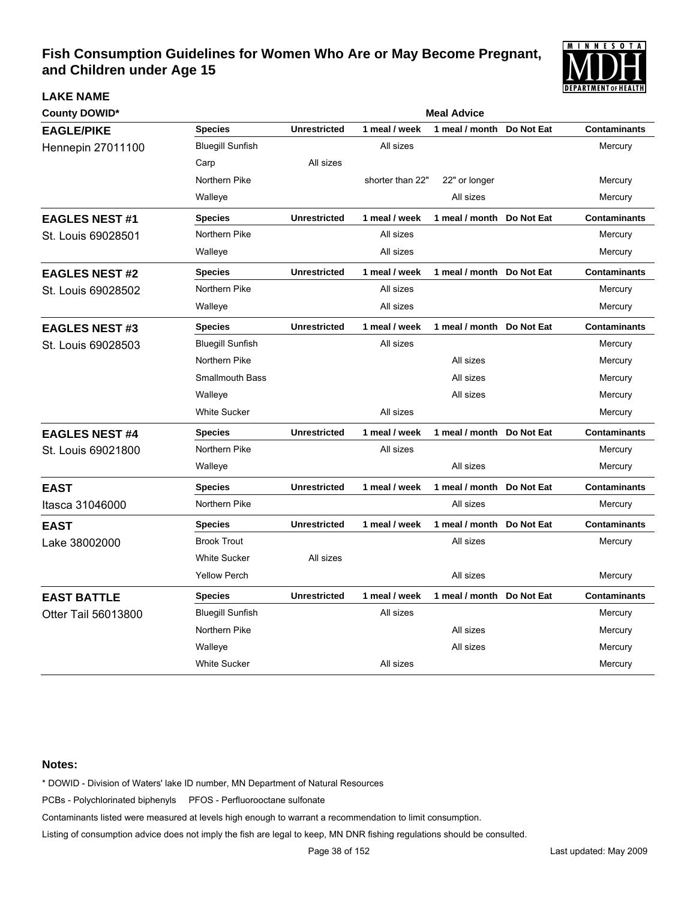

| <b>County DOWID*</b>     |                         |                     |                  | <b>Meal Advice</b>        |            |                     |
|--------------------------|-------------------------|---------------------|------------------|---------------------------|------------|---------------------|
| <b>EAGLE/PIKE</b>        | <b>Species</b>          | <b>Unrestricted</b> | 1 meal / week    | 1 meal / month            | Do Not Eat | <b>Contaminants</b> |
| <b>Hennepin 27011100</b> | <b>Bluegill Sunfish</b> |                     | All sizes        |                           |            | Mercury             |
|                          | Carp                    | All sizes           |                  |                           |            |                     |
|                          | Northern Pike           |                     | shorter than 22" | 22" or longer             |            | Mercury             |
|                          | Walleye                 |                     |                  | All sizes                 |            | Mercury             |
| <b>EAGLES NEST #1</b>    | <b>Species</b>          | <b>Unrestricted</b> | 1 meal / week    | 1 meal / month Do Not Eat |            | <b>Contaminants</b> |
| St. Louis 69028501       | Northern Pike           |                     | All sizes        |                           |            | Mercury             |
|                          | Walleye                 |                     | All sizes        |                           |            | Mercury             |
| <b>EAGLES NEST #2</b>    | <b>Species</b>          | <b>Unrestricted</b> | 1 meal / week    | 1 meal / month Do Not Eat |            | <b>Contaminants</b> |
| St. Louis 69028502       | Northern Pike           |                     | All sizes        |                           |            | Mercury             |
|                          | Walleye                 |                     | All sizes        |                           |            | Mercury             |
| <b>EAGLES NEST #3</b>    | <b>Species</b>          | <b>Unrestricted</b> | 1 meal / week    | 1 meal / month Do Not Eat |            | <b>Contaminants</b> |
| St. Louis 69028503       | <b>Bluegill Sunfish</b> |                     | All sizes        |                           |            | Mercury             |
|                          | Northern Pike           |                     |                  | All sizes                 |            | Mercury             |
|                          | <b>Smallmouth Bass</b>  |                     |                  | All sizes                 |            | Mercury             |
|                          | Walleye                 |                     |                  | All sizes                 |            | Mercury             |
|                          | <b>White Sucker</b>     |                     | All sizes        |                           |            | Mercury             |
| <b>EAGLES NEST #4</b>    | <b>Species</b>          | <b>Unrestricted</b> | 1 meal / week    | 1 meal / month Do Not Eat |            | <b>Contaminants</b> |
| St. Louis 69021800       | Northern Pike           |                     | All sizes        |                           |            | Mercury             |
|                          | Walleye                 |                     |                  | All sizes                 |            | Mercury             |
| <b>EAST</b>              | <b>Species</b>          | <b>Unrestricted</b> | 1 meal / week    | 1 meal / month            | Do Not Eat | <b>Contaminants</b> |
| Itasca 31046000          | Northern Pike           |                     |                  | All sizes                 |            | Mercury             |
| <b>EAST</b>              | <b>Species</b>          | <b>Unrestricted</b> | 1 meal / week    | 1 meal / month            | Do Not Eat | <b>Contaminants</b> |
| Lake 38002000            | <b>Brook Trout</b>      |                     |                  | All sizes                 |            | Mercury             |
|                          | <b>White Sucker</b>     | All sizes           |                  |                           |            |                     |
|                          | <b>Yellow Perch</b>     |                     |                  | All sizes                 |            | Mercury             |
| <b>EAST BATTLE</b>       | <b>Species</b>          | <b>Unrestricted</b> | 1 meal / week    | 1 meal / month            | Do Not Eat | <b>Contaminants</b> |
| Otter Tail 56013800      | <b>Bluegill Sunfish</b> |                     | All sizes        |                           |            | Mercury             |
|                          | Northern Pike           |                     |                  | All sizes                 |            | Mercury             |
|                          | Walleye                 |                     |                  | All sizes                 |            | Mercury             |
|                          | <b>White Sucker</b>     |                     | All sizes        |                           |            | Mercury             |

#### **Notes:**

**LAKE NAME**

\* DOWID - Division of Waters' lake ID number, MN Department of Natural Resources

PCBs - Polychlorinated biphenyls PFOS - Perfluorooctane sulfonate

Contaminants listed were measured at levels high enough to warrant a recommendation to limit consumption.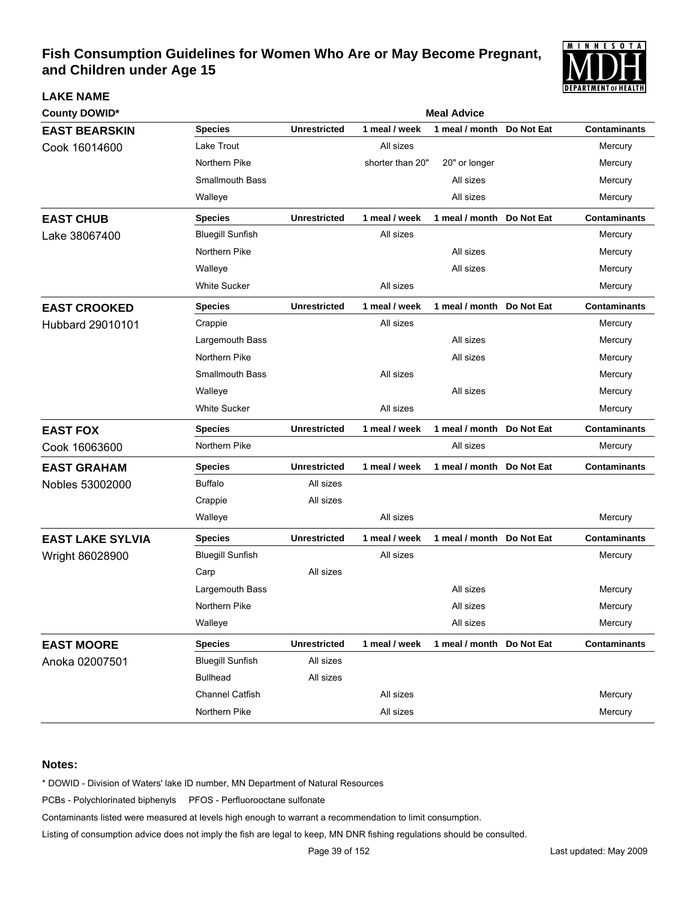

| <b>LAKE NAME</b>        |                         |                     |                  |                           |            | <b>PETANIMENI VI BEALIN</b> |
|-------------------------|-------------------------|---------------------|------------------|---------------------------|------------|-----------------------------|
| <b>County DOWID*</b>    |                         |                     |                  | <b>Meal Advice</b>        |            |                             |
| <b>EAST BEARSKIN</b>    | <b>Species</b>          | <b>Unrestricted</b> | 1 meal / week    | 1 meal / month            | Do Not Eat | <b>Contaminants</b>         |
| Cook 16014600           | Lake Trout              |                     | All sizes        |                           |            | Mercury                     |
|                         | Northern Pike           |                     | shorter than 20" | 20" or longer             |            | Mercury                     |
|                         | <b>Smallmouth Bass</b>  |                     |                  | All sizes                 |            | Mercury                     |
|                         | Walleye                 |                     |                  | All sizes                 |            | Mercury                     |
| <b>EAST CHUB</b>        | <b>Species</b>          | <b>Unrestricted</b> | 1 meal / week    | 1 meal / month            | Do Not Eat | <b>Contaminants</b>         |
| Lake 38067400           | <b>Bluegill Sunfish</b> |                     | All sizes        |                           |            | Mercury                     |
|                         | Northern Pike           |                     |                  | All sizes                 |            | Mercury                     |
|                         | Walleye                 |                     |                  | All sizes                 |            | Mercury                     |
|                         | <b>White Sucker</b>     |                     | All sizes        |                           |            | Mercury                     |
| <b>EAST CROOKED</b>     | <b>Species</b>          | <b>Unrestricted</b> | 1 meal / week    | 1 meal / month Do Not Eat |            | <b>Contaminants</b>         |
| <b>Hubbard 29010101</b> | Crappie                 |                     | All sizes        |                           |            | Mercury                     |
|                         | Largemouth Bass         |                     |                  | All sizes                 |            | Mercury                     |
|                         | Northern Pike           |                     |                  | All sizes                 |            | Mercury                     |
|                         | <b>Smallmouth Bass</b>  |                     | All sizes        |                           |            | Mercury                     |
|                         | Walleye                 |                     |                  | All sizes                 |            | Mercury                     |
|                         | <b>White Sucker</b>     |                     | All sizes        |                           |            | Mercury                     |
| <b>EAST FOX</b>         | <b>Species</b>          | <b>Unrestricted</b> | 1 meal / week    | 1 meal / month            | Do Not Eat | <b>Contaminants</b>         |
| Cook 16063600           | Northern Pike           |                     |                  | All sizes                 |            | Mercury                     |
| <b>EAST GRAHAM</b>      | <b>Species</b>          | <b>Unrestricted</b> | 1 meal / week    | 1 meal / month            | Do Not Eat | <b>Contaminants</b>         |
| Nobles 53002000         | <b>Buffalo</b>          | All sizes           |                  |                           |            |                             |
|                         | Crappie                 | All sizes           |                  |                           |            |                             |
|                         | Walleye                 |                     | All sizes        |                           |            | Mercury                     |
| <b>EAST LAKE SYLVIA</b> | <b>Species</b>          | <b>Unrestricted</b> | 1 meal / week    | 1 meal / month Do Not Eat |            | <b>Contaminants</b>         |
| Wright 86028900         | <b>Bluegill Sunfish</b> |                     | All sizes        |                           |            | Mercury                     |
|                         | Carp                    | All sizes           |                  |                           |            |                             |
|                         | Largemouth Bass         |                     |                  | All sizes                 |            | Mercury                     |
|                         | Northern Pike           |                     |                  | All sizes                 |            | Mercury                     |
|                         | Walleye                 |                     |                  | All sizes                 |            | Mercury                     |
| <b>EAST MOORE</b>       | <b>Species</b>          | <b>Unrestricted</b> | 1 meal / week    | 1 meal / month Do Not Eat |            | <b>Contaminants</b>         |
| Anoka 02007501          | <b>Bluegill Sunfish</b> | All sizes           |                  |                           |            |                             |
|                         | <b>Bullhead</b>         | All sizes           |                  |                           |            |                             |
|                         | <b>Channel Catfish</b>  |                     | All sizes        |                           |            | Mercury                     |
|                         | Northern Pike           |                     | All sizes        |                           |            | Mercury                     |

#### **Notes:**

\* DOWID - Division of Waters' lake ID number, MN Department of Natural Resources

PCBs - Polychlorinated biphenyls PFOS - Perfluorooctane sulfonate

Contaminants listed were measured at levels high enough to warrant a recommendation to limit consumption.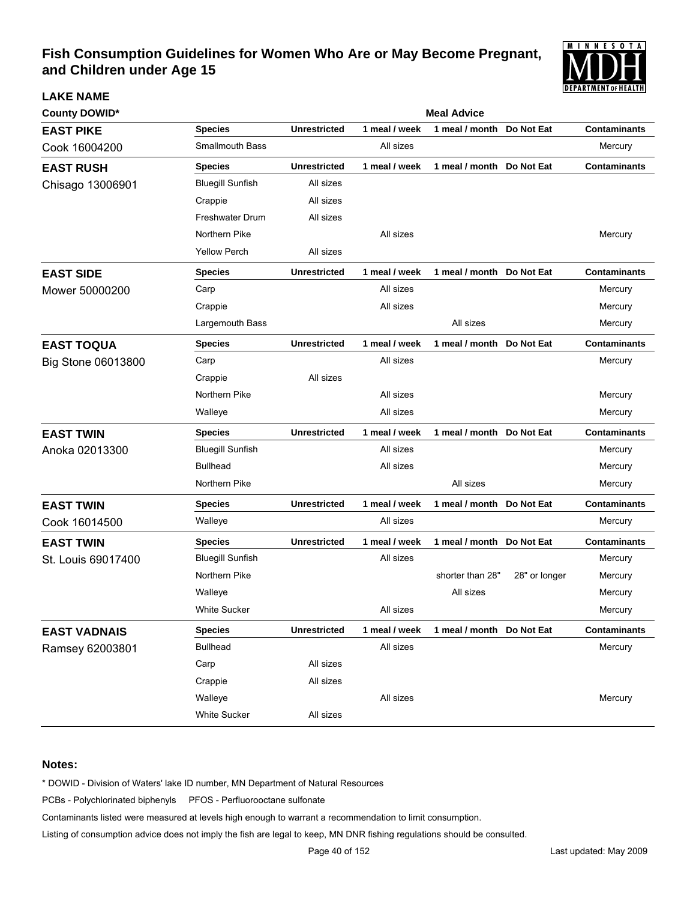

| <b>County DOWID*</b> | <b>Meal Advice</b>      |                     |               |                           |               |                     |  |  |
|----------------------|-------------------------|---------------------|---------------|---------------------------|---------------|---------------------|--|--|
| <b>EAST PIKE</b>     | <b>Species</b>          | <b>Unrestricted</b> | 1 meal / week | 1 meal / month            | Do Not Eat    | <b>Contaminants</b> |  |  |
| Cook 16004200        | <b>Smallmouth Bass</b>  |                     | All sizes     |                           |               | Mercury             |  |  |
| <b>EAST RUSH</b>     | <b>Species</b>          | <b>Unrestricted</b> | 1 meal / week | 1 meal / month            | Do Not Eat    | <b>Contaminants</b> |  |  |
| Chisago 13006901     | <b>Bluegill Sunfish</b> | All sizes           |               |                           |               |                     |  |  |
|                      | Crappie                 | All sizes           |               |                           |               |                     |  |  |
|                      | <b>Freshwater Drum</b>  | All sizes           |               |                           |               |                     |  |  |
|                      | Northern Pike           |                     | All sizes     |                           |               | Mercury             |  |  |
|                      | <b>Yellow Perch</b>     | All sizes           |               |                           |               |                     |  |  |
| <b>EAST SIDE</b>     | <b>Species</b>          | <b>Unrestricted</b> | 1 meal / week | 1 meal / month            | Do Not Eat    | <b>Contaminants</b> |  |  |
| Mower 50000200       | Carp                    |                     | All sizes     |                           |               | Mercury             |  |  |
|                      | Crappie                 |                     | All sizes     |                           |               | Mercury             |  |  |
|                      | Largemouth Bass         |                     |               | All sizes                 |               | Mercury             |  |  |
| <b>EAST TOQUA</b>    | <b>Species</b>          | <b>Unrestricted</b> | 1 meal / week | 1 meal / month            | Do Not Eat    | <b>Contaminants</b> |  |  |
| Big Stone 06013800   | Carp                    |                     | All sizes     |                           |               | Mercury             |  |  |
|                      | Crappie                 | All sizes           |               |                           |               |                     |  |  |
|                      | Northern Pike           |                     | All sizes     |                           |               | Mercury             |  |  |
|                      | Walleye                 |                     | All sizes     |                           |               | Mercury             |  |  |
| <b>EAST TWIN</b>     | <b>Species</b>          | <b>Unrestricted</b> | 1 meal / week | 1 meal / month            | Do Not Eat    | <b>Contaminants</b> |  |  |
| Anoka 02013300       | <b>Bluegill Sunfish</b> |                     | All sizes     |                           |               | Mercury             |  |  |
|                      | <b>Bullhead</b>         |                     | All sizes     |                           |               | Mercury             |  |  |
|                      | Northern Pike           |                     |               | All sizes                 |               | Mercury             |  |  |
| <b>EAST TWIN</b>     | <b>Species</b>          | <b>Unrestricted</b> | 1 meal / week | 1 meal / month Do Not Eat |               | <b>Contaminants</b> |  |  |
| Cook 16014500        | Walleye                 |                     | All sizes     |                           |               | Mercury             |  |  |
| <b>EAST TWIN</b>     | <b>Species</b>          | <b>Unrestricted</b> | 1 meal / week | 1 meal / month            | Do Not Eat    | <b>Contaminants</b> |  |  |
| St. Louis 69017400   | <b>Bluegill Sunfish</b> |                     | All sizes     |                           |               | Mercury             |  |  |
|                      | Northern Pike           |                     |               | shorter than 28"          | 28" or longer | Mercury             |  |  |
|                      | Walleye                 |                     |               | All sizes                 |               | Mercury             |  |  |
|                      | <b>White Sucker</b>     |                     | All sizes     |                           |               | Mercury             |  |  |
| <b>EAST VADNAIS</b>  | <b>Species</b>          | <b>Unrestricted</b> | 1 meal / week | 1 meal / month Do Not Eat |               | <b>Contaminants</b> |  |  |
| Ramsey 62003801      | <b>Bullhead</b>         |                     | All sizes     |                           |               | Mercury             |  |  |
|                      | Carp                    | All sizes           |               |                           |               |                     |  |  |
|                      | Crappie                 | All sizes           |               |                           |               |                     |  |  |
|                      | Walleye                 |                     | All sizes     |                           |               | Mercury             |  |  |
|                      | White Sucker            | All sizes           |               |                           |               |                     |  |  |

#### **Notes:**

**LAKE NAME**

\* DOWID - Division of Waters' lake ID number, MN Department of Natural Resources

PCBs - Polychlorinated biphenyls PFOS - Perfluorooctane sulfonate

Contaminants listed were measured at levels high enough to warrant a recommendation to limit consumption.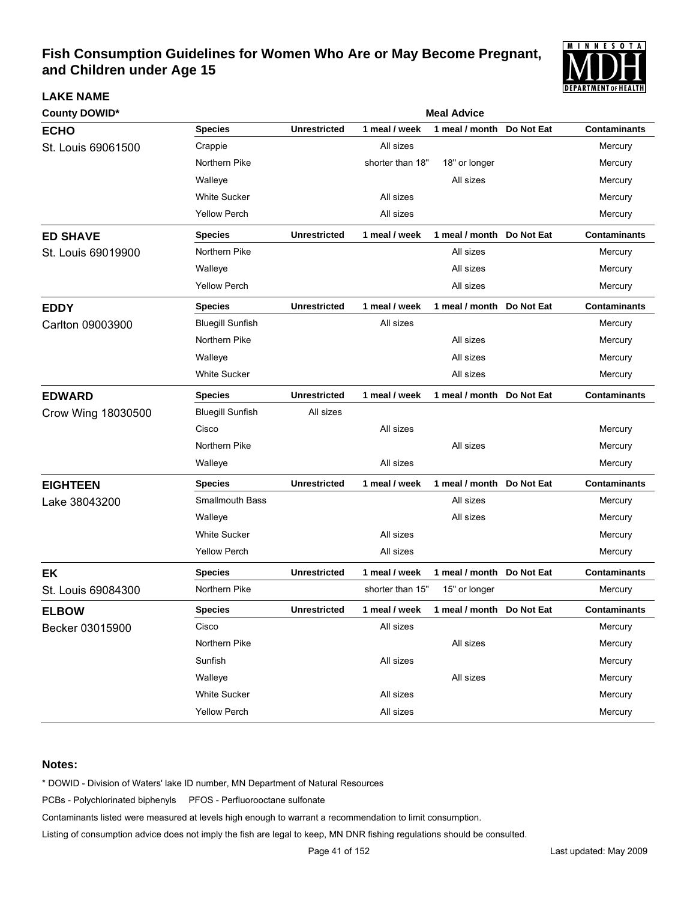

| <b>County DOWID*</b> |                         | <b>Meal Advice</b>  |                  |                           |            |                     |  |  |  |
|----------------------|-------------------------|---------------------|------------------|---------------------------|------------|---------------------|--|--|--|
| <b>ECHO</b>          | <b>Species</b>          | <b>Unrestricted</b> | 1 meal / week    | 1 meal / month            | Do Not Eat | <b>Contaminants</b> |  |  |  |
| St. Louis 69061500   | Crappie                 |                     | All sizes        |                           |            | Mercury             |  |  |  |
|                      | Northern Pike           |                     | shorter than 18" | 18" or longer             |            | Mercury             |  |  |  |
|                      | Walleye                 |                     |                  | All sizes                 |            | Mercury             |  |  |  |
|                      | <b>White Sucker</b>     |                     | All sizes        |                           |            | Mercury             |  |  |  |
|                      | <b>Yellow Perch</b>     |                     | All sizes        |                           |            | Mercury             |  |  |  |
| <b>ED SHAVE</b>      | <b>Species</b>          | <b>Unrestricted</b> | 1 meal / week    | 1 meal / month            | Do Not Eat | <b>Contaminants</b> |  |  |  |
| St. Louis 69019900   | Northern Pike           |                     |                  | All sizes                 |            | Mercury             |  |  |  |
|                      | Walleye                 |                     |                  | All sizes                 |            | Mercury             |  |  |  |
|                      | Yellow Perch            |                     |                  | All sizes                 |            | Mercury             |  |  |  |
| <b>EDDY</b>          | <b>Species</b>          | <b>Unrestricted</b> | 1 meal / week    | 1 meal / month Do Not Eat |            | <b>Contaminants</b> |  |  |  |
| Carlton 09003900     | <b>Bluegill Sunfish</b> |                     | All sizes        |                           |            | Mercury             |  |  |  |
|                      | Northern Pike           |                     |                  | All sizes                 |            | Mercury             |  |  |  |
|                      | Walleye                 |                     |                  | All sizes                 |            | Mercury             |  |  |  |
|                      | <b>White Sucker</b>     |                     |                  | All sizes                 |            | Mercury             |  |  |  |
| <b>EDWARD</b>        | <b>Species</b>          | <b>Unrestricted</b> | 1 meal / week    | 1 meal / month            | Do Not Eat | <b>Contaminants</b> |  |  |  |
| Crow Wing 18030500   | <b>Bluegill Sunfish</b> | All sizes           |                  |                           |            |                     |  |  |  |
|                      | Cisco                   |                     | All sizes        |                           |            | Mercury             |  |  |  |
|                      | Northern Pike           |                     |                  | All sizes                 |            | Mercury             |  |  |  |
|                      | Walleye                 |                     | All sizes        |                           |            | Mercury             |  |  |  |
| <b>EIGHTEEN</b>      | <b>Species</b>          | <b>Unrestricted</b> | 1 meal / week    | 1 meal / month            | Do Not Eat | <b>Contaminants</b> |  |  |  |
| Lake 38043200        | Smallmouth Bass         |                     |                  | All sizes                 |            | Mercury             |  |  |  |
|                      | Walleye                 |                     |                  | All sizes                 |            | Mercury             |  |  |  |
|                      | <b>White Sucker</b>     |                     | All sizes        |                           |            | Mercury             |  |  |  |
|                      | <b>Yellow Perch</b>     |                     | All sizes        |                           |            | Mercury             |  |  |  |
| <b>EK</b>            | <b>Species</b>          | <b>Unrestricted</b> | 1 meal / week    | 1 meal / month            | Do Not Eat | <b>Contaminants</b> |  |  |  |
| St. Louis 69084300   | Northern Pike           |                     | shorter than 15" | 15" or longer             |            | Mercury             |  |  |  |
| <b>ELBOW</b>         | <b>Species</b>          | <b>Unrestricted</b> | 1 meal / week    | 1 meal / month            | Do Not Eat | <b>Contaminants</b> |  |  |  |
| Becker 03015900      | Cisco                   |                     | All sizes        |                           |            | Mercury             |  |  |  |
|                      | Northern Pike           |                     |                  | All sizes                 |            | Mercury             |  |  |  |
|                      | Sunfish                 |                     | All sizes        |                           |            | Mercury             |  |  |  |
|                      | Walleye                 |                     |                  | All sizes                 |            | Mercury             |  |  |  |
|                      | White Sucker            |                     | All sizes        |                           |            | Mercury             |  |  |  |
|                      | <b>Yellow Perch</b>     |                     | All sizes        |                           |            | Mercury             |  |  |  |

#### **Notes:**

**LAKE NAME**

\* DOWID - Division of Waters' lake ID number, MN Department of Natural Resources

PCBs - Polychlorinated biphenyls PFOS - Perfluorooctane sulfonate

Contaminants listed were measured at levels high enough to warrant a recommendation to limit consumption.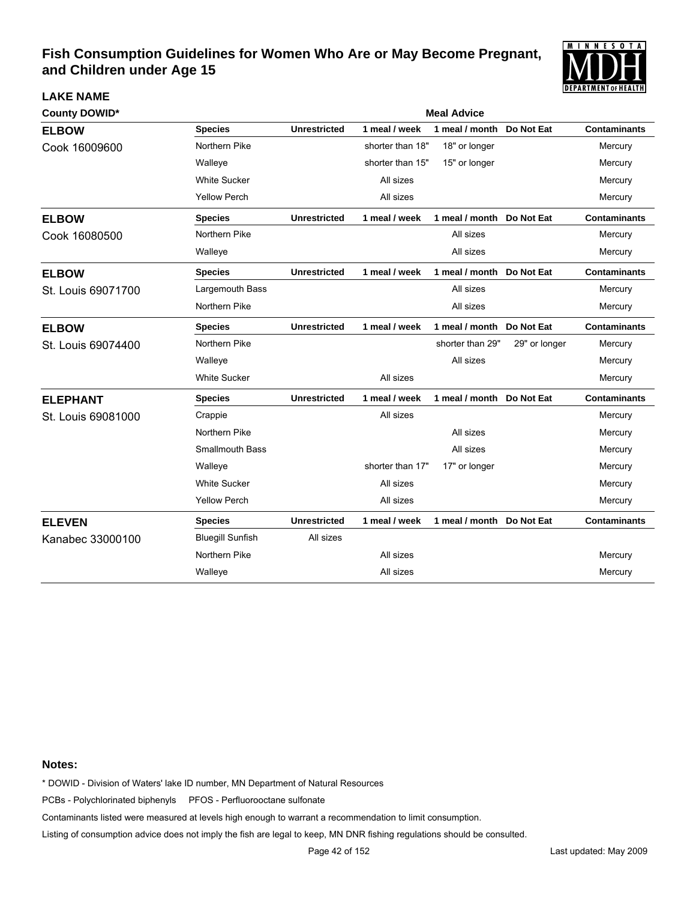

| <b>County DOWID*</b> |                         | <b>Meal Advice</b>  |                  |                           |               |                     |  |  |
|----------------------|-------------------------|---------------------|------------------|---------------------------|---------------|---------------------|--|--|
| <b>ELBOW</b>         | <b>Species</b>          | <b>Unrestricted</b> | 1 meal / week    | 1 meal / month            | Do Not Eat    | <b>Contaminants</b> |  |  |
| Cook 16009600        | Northern Pike           |                     | shorter than 18" | 18" or longer             |               | Mercury             |  |  |
|                      | Walleye                 |                     | shorter than 15" | 15" or longer             |               | Mercury             |  |  |
|                      | <b>White Sucker</b>     |                     | All sizes        |                           |               | Mercury             |  |  |
|                      | <b>Yellow Perch</b>     |                     | All sizes        |                           |               | Mercury             |  |  |
| <b>ELBOW</b>         | <b>Species</b>          | <b>Unrestricted</b> | 1 meal / week    | 1 meal / month Do Not Eat |               | <b>Contaminants</b> |  |  |
| Cook 16080500        | Northern Pike           |                     |                  | All sizes                 |               | Mercury             |  |  |
|                      | Walleye                 |                     |                  | All sizes                 |               | Mercury             |  |  |
| <b>ELBOW</b>         | <b>Species</b>          | <b>Unrestricted</b> | 1 meal / week    | 1 meal / month Do Not Eat |               | <b>Contaminants</b> |  |  |
| St. Louis 69071700   | Largemouth Bass         |                     |                  | All sizes                 |               | Mercury             |  |  |
|                      | Northern Pike           |                     |                  | All sizes                 |               | Mercury             |  |  |
| <b>ELBOW</b>         | <b>Species</b>          | <b>Unrestricted</b> | 1 meal / week    | 1 meal / month            | Do Not Eat    | <b>Contaminants</b> |  |  |
| St. Louis 69074400   | Northern Pike           |                     |                  | shorter than 29"          | 29" or longer | Mercury             |  |  |
|                      | Walleye                 |                     |                  | All sizes                 |               | Mercury             |  |  |
|                      | <b>White Sucker</b>     |                     | All sizes        |                           |               | Mercury             |  |  |
| <b>ELEPHANT</b>      | <b>Species</b>          | <b>Unrestricted</b> | 1 meal / week    | 1 meal / month Do Not Eat |               | <b>Contaminants</b> |  |  |
| St. Louis 69081000   | Crappie                 |                     | All sizes        |                           |               | Mercury             |  |  |
|                      | Northern Pike           |                     |                  | All sizes                 |               | Mercury             |  |  |
|                      | <b>Smallmouth Bass</b>  |                     |                  | All sizes                 |               | Mercury             |  |  |
|                      | Walleye                 |                     | shorter than 17" | 17" or longer             |               | Mercury             |  |  |
|                      | <b>White Sucker</b>     |                     | All sizes        |                           |               | Mercury             |  |  |
|                      | <b>Yellow Perch</b>     |                     | All sizes        |                           |               | Mercury             |  |  |
| <b>ELEVEN</b>        | <b>Species</b>          | <b>Unrestricted</b> | 1 meal / week    | 1 meal / month Do Not Eat |               | <b>Contaminants</b> |  |  |
| Kanabec 33000100     | <b>Bluegill Sunfish</b> | All sizes           |                  |                           |               |                     |  |  |
|                      | Northern Pike           |                     | All sizes        |                           |               | Mercury             |  |  |
|                      | Walleye                 |                     | All sizes        |                           |               | Mercury             |  |  |

#### **Notes:**

**LAKE NAME**

\* DOWID - Division of Waters' lake ID number, MN Department of Natural Resources

PCBs - Polychlorinated biphenyls PFOS - Perfluorooctane sulfonate

Contaminants listed were measured at levels high enough to warrant a recommendation to limit consumption.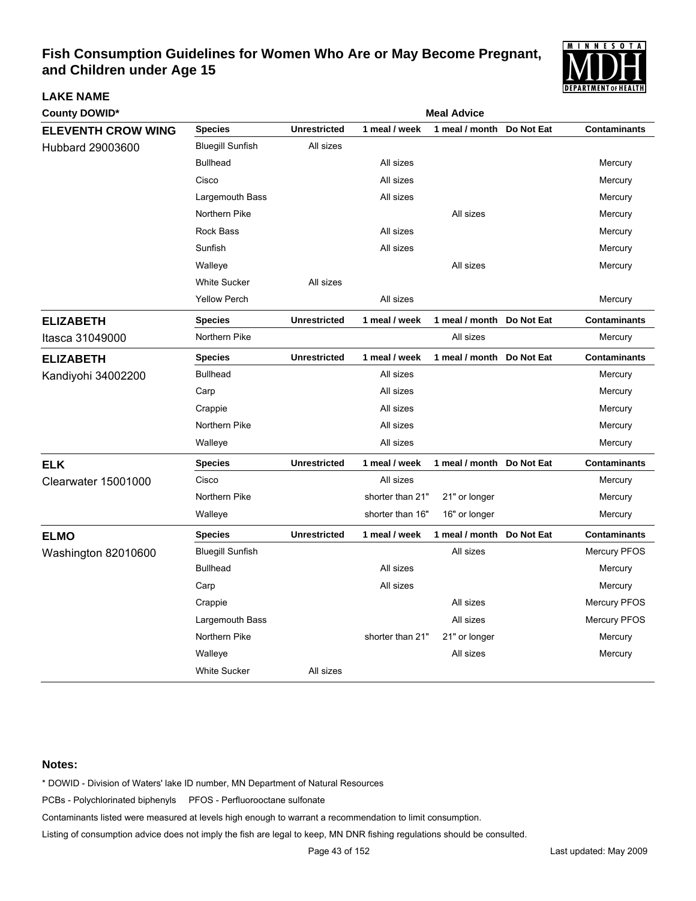

| <b>County DOWID*</b>      | <b>Meal Advice</b>      |                     |                  |                           |            |                     |  |  |
|---------------------------|-------------------------|---------------------|------------------|---------------------------|------------|---------------------|--|--|
| <b>ELEVENTH CROW WING</b> | <b>Species</b>          | <b>Unrestricted</b> | 1 meal / week    | 1 meal / month            | Do Not Eat | <b>Contaminants</b> |  |  |
| Hubbard 29003600          | <b>Bluegill Sunfish</b> | All sizes           |                  |                           |            |                     |  |  |
|                           | <b>Bullhead</b>         |                     | All sizes        |                           |            | Mercury             |  |  |
|                           | Cisco                   |                     | All sizes        |                           |            | Mercury             |  |  |
|                           | Largemouth Bass         |                     | All sizes        |                           |            | Mercury             |  |  |
|                           | Northern Pike           |                     |                  | All sizes                 |            | Mercury             |  |  |
|                           | <b>Rock Bass</b>        |                     | All sizes        |                           |            | Mercury             |  |  |
|                           | Sunfish                 |                     | All sizes        |                           |            | Mercury             |  |  |
|                           | Walleye                 |                     |                  | All sizes                 |            | Mercury             |  |  |
|                           | <b>White Sucker</b>     | All sizes           |                  |                           |            |                     |  |  |
|                           | <b>Yellow Perch</b>     |                     | All sizes        |                           |            | Mercury             |  |  |
| <b>ELIZABETH</b>          | <b>Species</b>          | <b>Unrestricted</b> | 1 meal / week    | 1 meal / month Do Not Eat |            | <b>Contaminants</b> |  |  |
| Itasca 31049000           | Northern Pike           |                     |                  | All sizes                 |            | Mercury             |  |  |
| <b>ELIZABETH</b>          | <b>Species</b>          | <b>Unrestricted</b> | 1 meal / week    | 1 meal / month            | Do Not Eat | <b>Contaminants</b> |  |  |
| Kandiyohi 34002200        | <b>Bullhead</b>         |                     | All sizes        |                           |            | Mercury             |  |  |
|                           | Carp                    |                     | All sizes        |                           |            | Mercury             |  |  |
|                           | Crappie                 |                     | All sizes        |                           |            | Mercury             |  |  |
|                           | Northern Pike           |                     | All sizes        |                           |            | Mercury             |  |  |
|                           | Walleye                 |                     | All sizes        |                           |            | Mercury             |  |  |
| <b>ELK</b>                | <b>Species</b>          | <b>Unrestricted</b> | 1 meal / week    | 1 meal / month Do Not Eat |            | <b>Contaminants</b> |  |  |
| Clearwater 15001000       | Cisco                   |                     | All sizes        |                           |            | Mercury             |  |  |
|                           | Northern Pike           |                     | shorter than 21" | 21" or longer             |            | Mercury             |  |  |
|                           | Walleye                 |                     | shorter than 16" | 16" or longer             |            | Mercury             |  |  |
| <b>ELMO</b>               | <b>Species</b>          | <b>Unrestricted</b> | 1 meal / week    | 1 meal / month            | Do Not Eat | <b>Contaminants</b> |  |  |
| Washington 82010600       | <b>Bluegill Sunfish</b> |                     |                  | All sizes                 |            | <b>Mercury PFOS</b> |  |  |
|                           | <b>Bullhead</b>         |                     | All sizes        |                           |            | Mercury             |  |  |
|                           | Carp                    |                     | All sizes        |                           |            | Mercury             |  |  |
|                           | Crappie                 |                     |                  | All sizes                 |            | <b>Mercury PFOS</b> |  |  |
|                           | Largemouth Bass         |                     |                  | All sizes                 |            | Mercury PFOS        |  |  |
|                           | Northern Pike           |                     | shorter than 21" | 21" or longer             |            | Mercury             |  |  |
|                           | Walleye                 |                     |                  | All sizes                 |            | Mercury             |  |  |
|                           | <b>White Sucker</b>     | All sizes           |                  |                           |            |                     |  |  |

#### **Notes:**

**LAKE NAME**

\* DOWID - Division of Waters' lake ID number, MN Department of Natural Resources

PCBs - Polychlorinated biphenyls PFOS - Perfluorooctane sulfonate

Contaminants listed were measured at levels high enough to warrant a recommendation to limit consumption.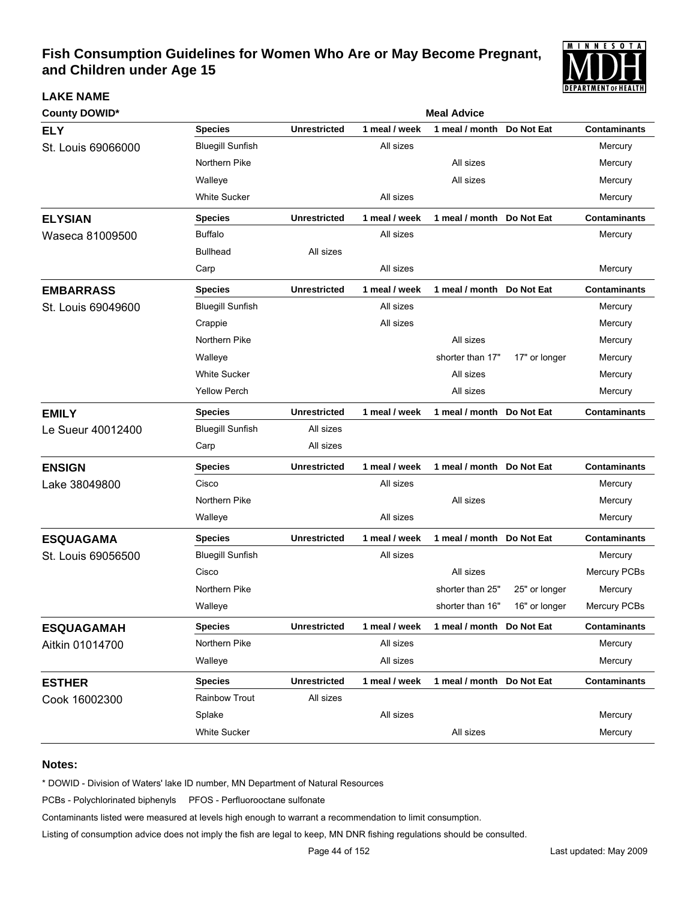

| <b>County DOWID*</b> | <b>Meal Advice</b>      |                     |               |                           |               |                     |  |  |  |
|----------------------|-------------------------|---------------------|---------------|---------------------------|---------------|---------------------|--|--|--|
| <b>ELY</b>           | <b>Species</b>          | <b>Unrestricted</b> | 1 meal / week | 1 meal / month            | Do Not Eat    | <b>Contaminants</b> |  |  |  |
| St. Louis 69066000   | <b>Bluegill Sunfish</b> |                     | All sizes     |                           |               | Mercury             |  |  |  |
|                      | Northern Pike           |                     |               | All sizes                 |               | Mercury             |  |  |  |
|                      | Walleye                 |                     |               | All sizes                 |               | Mercury             |  |  |  |
|                      | <b>White Sucker</b>     |                     | All sizes     |                           |               | Mercury             |  |  |  |
| <b>ELYSIAN</b>       | <b>Species</b>          | <b>Unrestricted</b> | 1 meal / week | 1 meal / month Do Not Eat |               | <b>Contaminants</b> |  |  |  |
| Waseca 81009500      | <b>Buffalo</b>          |                     | All sizes     |                           |               | Mercury             |  |  |  |
|                      | <b>Bullhead</b>         | All sizes           |               |                           |               |                     |  |  |  |
|                      | Carp                    |                     | All sizes     |                           |               | Mercury             |  |  |  |
| <b>EMBARRASS</b>     | <b>Species</b>          | <b>Unrestricted</b> | 1 meal / week | 1 meal / month Do Not Eat |               | <b>Contaminants</b> |  |  |  |
| St. Louis 69049600   | <b>Bluegill Sunfish</b> |                     | All sizes     |                           |               | Mercury             |  |  |  |
|                      | Crappie                 |                     | All sizes     |                           |               | Mercury             |  |  |  |
|                      | Northern Pike           |                     |               | All sizes                 |               | Mercury             |  |  |  |
|                      | Walleye                 |                     |               | shorter than 17"          | 17" or longer | Mercury             |  |  |  |
|                      | <b>White Sucker</b>     |                     |               | All sizes                 |               | Mercury             |  |  |  |
|                      | <b>Yellow Perch</b>     |                     |               | All sizes                 |               | Mercury             |  |  |  |
| <b>EMILY</b>         | <b>Species</b>          | <b>Unrestricted</b> | 1 meal / week | 1 meal / month Do Not Eat |               | <b>Contaminants</b> |  |  |  |
| Le Sueur 40012400    | <b>Bluegill Sunfish</b> | All sizes           |               |                           |               |                     |  |  |  |
|                      | Carp                    | All sizes           |               |                           |               |                     |  |  |  |
| <b>ENSIGN</b>        | <b>Species</b>          | <b>Unrestricted</b> | 1 meal / week | 1 meal / month Do Not Eat |               | <b>Contaminants</b> |  |  |  |
| Lake 38049800        | Cisco                   |                     | All sizes     |                           |               | Mercury             |  |  |  |
|                      | Northern Pike           |                     |               | All sizes                 |               | Mercury             |  |  |  |
|                      | Walleye                 |                     | All sizes     |                           |               | Mercury             |  |  |  |
| <b>ESQUAGAMA</b>     | <b>Species</b>          | <b>Unrestricted</b> | 1 meal / week | 1 meal / month Do Not Eat |               | <b>Contaminants</b> |  |  |  |
| St. Louis 69056500   | <b>Bluegill Sunfish</b> |                     | All sizes     |                           |               | Mercury             |  |  |  |
|                      | Cisco                   |                     |               | All sizes                 |               | <b>Mercury PCBs</b> |  |  |  |
|                      | Northern Pike           |                     |               | shorter than 25"          | 25" or longer | Mercury             |  |  |  |
|                      | Walleye                 |                     |               | shorter than 16"          | 16" or longer | Mercury PCBs        |  |  |  |
| <b>ESQUAGAMAH</b>    | <b>Species</b>          | <b>Unrestricted</b> | 1 meal / week | 1 meal / month Do Not Eat |               | <b>Contaminants</b> |  |  |  |
| Aitkin 01014700      | Northern Pike           |                     | All sizes     |                           |               | Mercury             |  |  |  |
|                      | Walleye                 |                     | All sizes     |                           |               | Mercury             |  |  |  |
| <b>ESTHER</b>        | <b>Species</b>          | <b>Unrestricted</b> | 1 meal / week | 1 meal / month            | Do Not Eat    | <b>Contaminants</b> |  |  |  |
| Cook 16002300        | Rainbow Trout           | All sizes           |               |                           |               |                     |  |  |  |
|                      | Splake                  |                     | All sizes     |                           |               | Mercury             |  |  |  |
|                      | White Sucker            |                     |               | All sizes                 |               | Mercury             |  |  |  |

#### **Notes:**

**LAKE NAME**

\* DOWID - Division of Waters' lake ID number, MN Department of Natural Resources

PCBs - Polychlorinated biphenyls PFOS - Perfluorooctane sulfonate

Contaminants listed were measured at levels high enough to warrant a recommendation to limit consumption.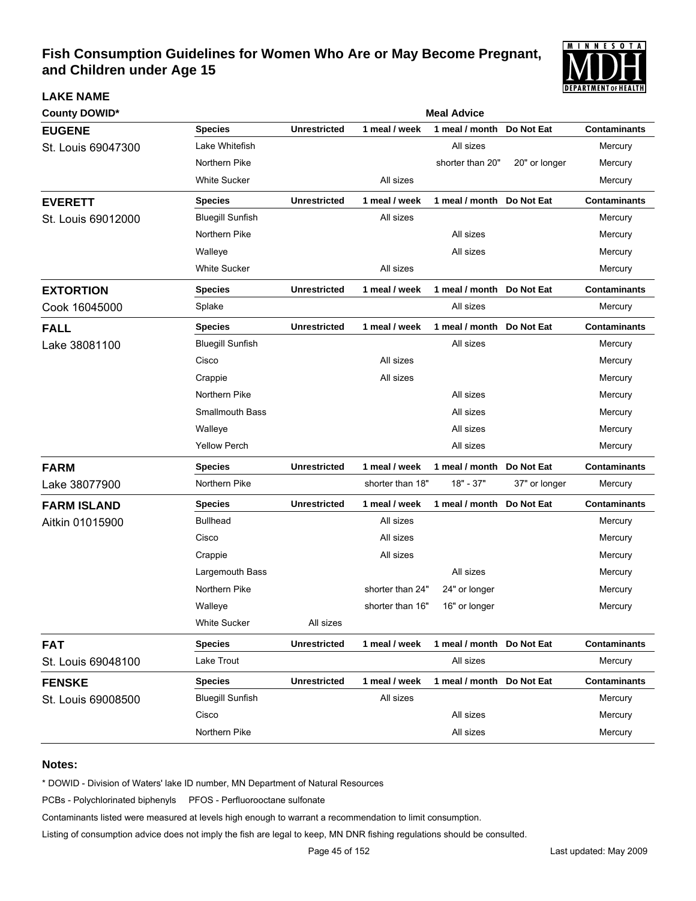

| <b>County DOWID*</b> |                         | <b>Meal Advice</b>  |                  |                            |               |                     |  |  |  |
|----------------------|-------------------------|---------------------|------------------|----------------------------|---------------|---------------------|--|--|--|
| <b>EUGENE</b>        | <b>Species</b>          | <b>Unrestricted</b> | 1 meal / week    | 1 meal / month             | Do Not Eat    | <b>Contaminants</b> |  |  |  |
| St. Louis 69047300   | Lake Whitefish          |                     |                  | All sizes                  |               | Mercury             |  |  |  |
|                      | Northern Pike           |                     |                  | shorter than 20"           | 20" or longer | Mercury             |  |  |  |
|                      | <b>White Sucker</b>     |                     | All sizes        |                            |               | Mercury             |  |  |  |
| <b>EVERETT</b>       | <b>Species</b>          | <b>Unrestricted</b> | 1 meal / week    | 1 meal / month             | Do Not Eat    | <b>Contaminants</b> |  |  |  |
| St. Louis 69012000   | <b>Bluegill Sunfish</b> |                     | All sizes        |                            |               | Mercury             |  |  |  |
|                      | Northern Pike           |                     |                  | All sizes                  |               | Mercury             |  |  |  |
|                      | Walleye                 |                     |                  | All sizes                  |               | Mercury             |  |  |  |
|                      | <b>White Sucker</b>     |                     | All sizes        |                            |               | Mercury             |  |  |  |
| <b>EXTORTION</b>     | <b>Species</b>          | <b>Unrestricted</b> | 1 meal / week    | 1 meal / month Do Not Eat  |               | <b>Contaminants</b> |  |  |  |
| Cook 16045000        | Splake                  |                     |                  | All sizes                  |               | Mercury             |  |  |  |
| <b>FALL</b>          | <b>Species</b>          | <b>Unrestricted</b> | 1 meal / week    | 1 meal / month Do Not Eat  |               | <b>Contaminants</b> |  |  |  |
| Lake 38081100        | <b>Bluegill Sunfish</b> |                     |                  | All sizes                  |               | Mercury             |  |  |  |
|                      | Cisco                   |                     | All sizes        |                            |               | Mercury             |  |  |  |
|                      | Crappie                 |                     | All sizes        |                            |               | Mercury             |  |  |  |
|                      | Northern Pike           |                     |                  | All sizes                  |               | Mercury             |  |  |  |
|                      | <b>Smallmouth Bass</b>  |                     |                  | All sizes                  |               | Mercury             |  |  |  |
|                      | Walleye                 |                     |                  | All sizes                  |               | Mercury             |  |  |  |
|                      | <b>Yellow Perch</b>     |                     |                  | All sizes                  |               | Mercury             |  |  |  |
| <b>FARM</b>          | <b>Species</b>          | <b>Unrestricted</b> | 1 meal / week    | 1 meal / month             | Do Not Eat    | <b>Contaminants</b> |  |  |  |
| Lake 38077900        | Northern Pike           |                     | shorter than 18" | $18" - 37"$                | 37" or longer | Mercury             |  |  |  |
| <b>FARM ISLAND</b>   | <b>Species</b>          | <b>Unrestricted</b> | 1 meal / week    | 1 meal / month             | Do Not Eat    | <b>Contaminants</b> |  |  |  |
| Aitkin 01015900      | <b>Bullhead</b>         |                     | All sizes        |                            |               | Mercury             |  |  |  |
|                      | Cisco                   |                     | All sizes        |                            |               | Mercury             |  |  |  |
|                      | Crappie                 |                     | All sizes        |                            |               | Mercury             |  |  |  |
|                      | Largemouth Bass         |                     |                  | All sizes                  |               | Mercury             |  |  |  |
|                      | Northern Pike           |                     | shorter than 24" | 24" or longer              |               | Mercury             |  |  |  |
|                      | Walleye                 |                     | shorter than 16" | 16" or longer              |               | Mercury             |  |  |  |
|                      | <b>White Sucker</b>     | All sizes           |                  |                            |               |                     |  |  |  |
| <b>FAT</b>           | <b>Species</b>          | <b>Unrestricted</b> | 1 meal / week    | 1 meal / month Do Not Eat  |               | <b>Contaminants</b> |  |  |  |
| St. Louis 69048100   | Lake Trout              |                     |                  | All sizes                  |               | Mercury             |  |  |  |
| <b>FENSKE</b>        | <b>Species</b>          | <b>Unrestricted</b> | 1 meal / week    | 1 meal / month  Do Not Eat |               | <b>Contaminants</b> |  |  |  |
| St. Louis 69008500   | <b>Bluegill Sunfish</b> |                     | All sizes        |                            |               | Mercury             |  |  |  |
|                      | Cisco                   |                     |                  | All sizes                  |               | Mercury             |  |  |  |
|                      | Northern Pike           |                     |                  | All sizes                  |               | Mercury             |  |  |  |

#### **Notes:**

**LAKE NAME**

\* DOWID - Division of Waters' lake ID number, MN Department of Natural Resources

PCBs - Polychlorinated biphenyls PFOS - Perfluorooctane sulfonate

Contaminants listed were measured at levels high enough to warrant a recommendation to limit consumption.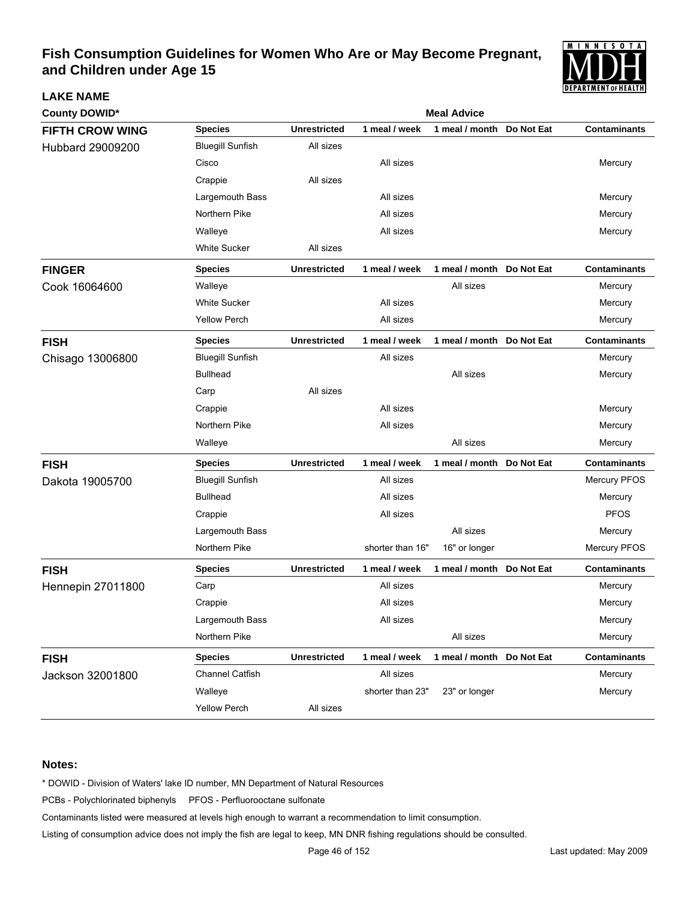

| <b>County DOWID*</b>     |                         | <b>Meal Advice</b>  |                  |                           |            |                     |  |  |
|--------------------------|-------------------------|---------------------|------------------|---------------------------|------------|---------------------|--|--|
| <b>FIFTH CROW WING</b>   | <b>Species</b>          | <b>Unrestricted</b> | 1 meal / week    | 1 meal / month            | Do Not Eat | <b>Contaminants</b> |  |  |
| Hubbard 29009200         | <b>Bluegill Sunfish</b> | All sizes           |                  |                           |            |                     |  |  |
|                          | Cisco                   |                     | All sizes        |                           |            | Mercury             |  |  |
|                          | Crappie                 | All sizes           |                  |                           |            |                     |  |  |
|                          | Largemouth Bass         |                     | All sizes        |                           |            | Mercury             |  |  |
|                          | Northern Pike           |                     | All sizes        |                           |            | Mercury             |  |  |
|                          | Walleye                 |                     | All sizes        |                           |            | Mercury             |  |  |
|                          | <b>White Sucker</b>     | All sizes           |                  |                           |            |                     |  |  |
| <b>FINGER</b>            | <b>Species</b>          | <b>Unrestricted</b> | 1 meal / week    | 1 meal / month            | Do Not Eat | <b>Contaminants</b> |  |  |
| Cook 16064600            | Walleye                 |                     |                  | All sizes                 |            | Mercury             |  |  |
|                          | <b>White Sucker</b>     |                     | All sizes        |                           |            | Mercury             |  |  |
|                          | <b>Yellow Perch</b>     |                     | All sizes        |                           |            | Mercury             |  |  |
| <b>FISH</b>              | <b>Species</b>          | <b>Unrestricted</b> | 1 meal / week    | 1 meal / month Do Not Eat |            | <b>Contaminants</b> |  |  |
| Chisago 13006800         | <b>Bluegill Sunfish</b> |                     | All sizes        |                           |            | Mercury             |  |  |
|                          | <b>Bullhead</b>         |                     |                  | All sizes                 |            | Mercury             |  |  |
|                          | Carp                    | All sizes           |                  |                           |            |                     |  |  |
|                          | Crappie                 |                     | All sizes        |                           |            | Mercury             |  |  |
|                          | Northern Pike           |                     | All sizes        |                           |            | Mercury             |  |  |
|                          | Walleye                 |                     |                  | All sizes                 |            | Mercury             |  |  |
| <b>FISH</b>              | <b>Species</b>          | <b>Unrestricted</b> | 1 meal / week    | 1 meal / month            | Do Not Eat | <b>Contaminants</b> |  |  |
| Dakota 19005700          | <b>Bluegill Sunfish</b> |                     | All sizes        |                           |            | <b>Mercury PFOS</b> |  |  |
|                          | <b>Bullhead</b>         |                     | All sizes        |                           |            | Mercury             |  |  |
|                          | Crappie                 |                     | All sizes        |                           |            | <b>PFOS</b>         |  |  |
|                          | Largemouth Bass         |                     |                  | All sizes                 |            | Mercury             |  |  |
|                          | Northern Pike           |                     | shorter than 16" | 16" or longer             |            | Mercury PFOS        |  |  |
| <b>FISH</b>              | <b>Species</b>          | <b>Unrestricted</b> | 1 meal / week    | 1 meal / month            | Do Not Eat | <b>Contaminants</b> |  |  |
| <b>Hennepin 27011800</b> | Carp                    |                     | All sizes        |                           |            | Mercury             |  |  |
|                          | Crappie                 |                     | All sizes        |                           |            | Mercury             |  |  |
|                          | Largemouth Bass         |                     | All sizes        |                           |            | Mercury             |  |  |
|                          | Northern Pike           |                     |                  | All sizes                 |            | Mercury             |  |  |
| <b>FISH</b>              | <b>Species</b>          | <b>Unrestricted</b> | 1 meal / week    | 1 meal / month Do Not Eat |            | <b>Contaminants</b> |  |  |
| Jackson 32001800         | Channel Catfish         |                     | All sizes        |                           |            | Mercury             |  |  |
|                          | Walleye                 |                     | shorter than 23" | 23" or longer             |            | Mercury             |  |  |
|                          | Yellow Perch            | All sizes           |                  |                           |            |                     |  |  |

#### **Notes:**

**LAKE NAME**

\* DOWID - Division of Waters' lake ID number, MN Department of Natural Resources

PCBs - Polychlorinated biphenyls PFOS - Perfluorooctane sulfonate

Contaminants listed were measured at levels high enough to warrant a recommendation to limit consumption.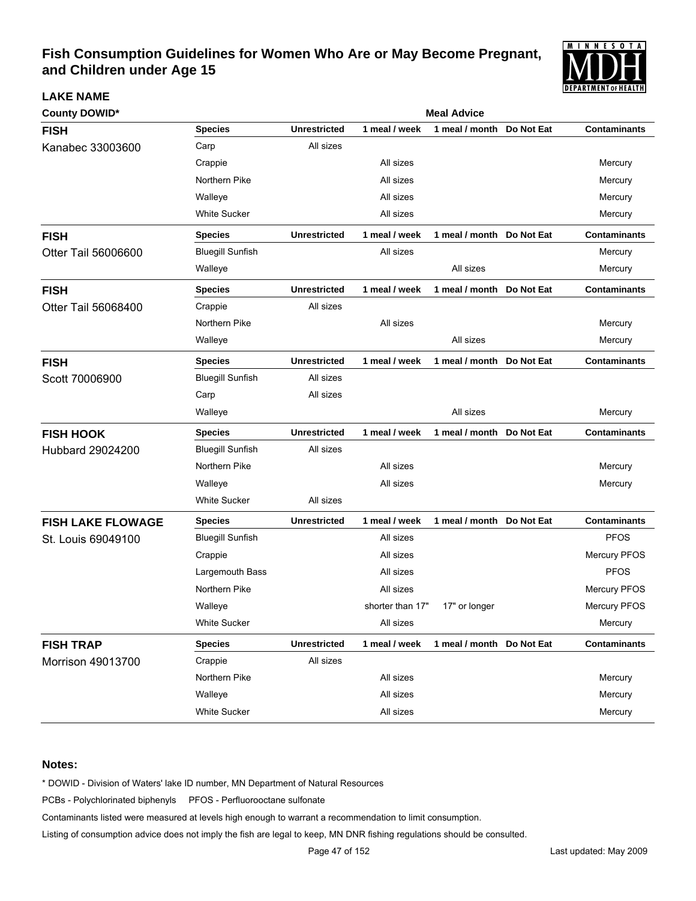

| <b>County DOWID*</b>     | <b>Meal Advice</b>      |                     |                  |                           |            |                     |  |  |
|--------------------------|-------------------------|---------------------|------------------|---------------------------|------------|---------------------|--|--|
| <b>FISH</b>              | <b>Species</b>          | <b>Unrestricted</b> | 1 meal / week    | 1 meal / month            | Do Not Eat | <b>Contaminants</b> |  |  |
| Kanabec 33003600         | Carp                    | All sizes           |                  |                           |            |                     |  |  |
|                          | Crappie                 |                     | All sizes        |                           |            | Mercury             |  |  |
|                          | Northern Pike           |                     | All sizes        |                           |            | Mercury             |  |  |
|                          | Walleye                 |                     | All sizes        |                           |            | Mercury             |  |  |
|                          | <b>White Sucker</b>     |                     | All sizes        |                           |            | Mercury             |  |  |
| <b>FISH</b>              | <b>Species</b>          | <b>Unrestricted</b> | 1 meal / week    | 1 meal / month Do Not Eat |            | <b>Contaminants</b> |  |  |
| Otter Tail 56006600      | <b>Bluegill Sunfish</b> |                     | All sizes        |                           |            | Mercury             |  |  |
|                          | Walleye                 |                     |                  | All sizes                 |            | Mercury             |  |  |
| <b>FISH</b>              | <b>Species</b>          | <b>Unrestricted</b> | 1 meal / week    | 1 meal / month            | Do Not Eat | <b>Contaminants</b> |  |  |
| Otter Tail 56068400      | Crappie                 | All sizes           |                  |                           |            |                     |  |  |
|                          | Northern Pike           |                     | All sizes        |                           |            | Mercury             |  |  |
|                          | Walleye                 |                     |                  | All sizes                 |            | Mercury             |  |  |
| <b>FISH</b>              | <b>Species</b>          | <b>Unrestricted</b> | 1 meal / week    | 1 meal / month Do Not Eat |            | <b>Contaminants</b> |  |  |
| Scott 70006900           | <b>Bluegill Sunfish</b> | All sizes           |                  |                           |            |                     |  |  |
|                          | Carp                    | All sizes           |                  |                           |            |                     |  |  |
|                          | Walleye                 |                     |                  | All sizes                 |            | Mercury             |  |  |
| <b>FISH HOOK</b>         | <b>Species</b>          | <b>Unrestricted</b> | 1 meal / week    | 1 meal / month            | Do Not Eat | <b>Contaminants</b> |  |  |
| Hubbard 29024200         | <b>Bluegill Sunfish</b> | All sizes           |                  |                           |            |                     |  |  |
|                          | Northern Pike           |                     | All sizes        |                           |            | Mercury             |  |  |
|                          | Walleye                 |                     | All sizes        |                           |            | Mercury             |  |  |
|                          | <b>White Sucker</b>     | All sizes           |                  |                           |            |                     |  |  |
| <b>FISH LAKE FLOWAGE</b> | <b>Species</b>          | <b>Unrestricted</b> | 1 meal / week    | 1 meal / month Do Not Eat |            | <b>Contaminants</b> |  |  |
| St. Louis 69049100       | <b>Bluegill Sunfish</b> |                     | All sizes        |                           |            | <b>PFOS</b>         |  |  |
|                          | Crappie                 |                     | All sizes        |                           |            | Mercury PFOS        |  |  |
|                          | Largemouth Bass         |                     | All sizes        |                           |            | <b>PFOS</b>         |  |  |
|                          | Northern Pike           |                     | All sizes        |                           |            | Mercury PFOS        |  |  |
|                          | Walleye                 |                     | shorter than 17" | 17" or longer             |            | Mercury PFOS        |  |  |
|                          | <b>White Sucker</b>     |                     | All sizes        |                           |            | Mercury             |  |  |
| <b>FISH TRAP</b>         | <b>Species</b>          | <b>Unrestricted</b> | 1 meal / week    | 1 meal / month Do Not Eat |            | <b>Contaminants</b> |  |  |
| Morrison 49013700        | Crappie                 | All sizes           |                  |                           |            |                     |  |  |
|                          | Northern Pike           |                     | All sizes        |                           |            | Mercury             |  |  |
|                          | Walleye                 |                     | All sizes        |                           |            | Mercury             |  |  |
|                          | <b>White Sucker</b>     |                     | All sizes        |                           |            | Mercury             |  |  |

#### **Notes:**

**LAKE NAME**

\* DOWID - Division of Waters' lake ID number, MN Department of Natural Resources

PCBs - Polychlorinated biphenyls PFOS - Perfluorooctane sulfonate

Contaminants listed were measured at levels high enough to warrant a recommendation to limit consumption.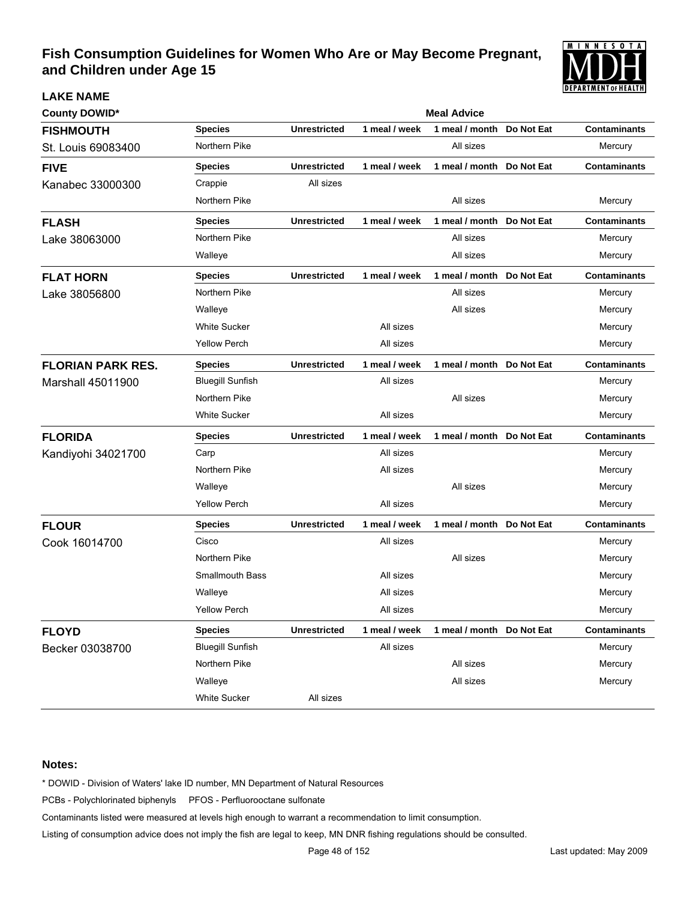

| <b>County DOWID*</b>     | <b>Meal Advice</b>      |                     |               |                           |            |                     |  |  |
|--------------------------|-------------------------|---------------------|---------------|---------------------------|------------|---------------------|--|--|
| <b>FISHMOUTH</b>         | <b>Species</b>          | <b>Unrestricted</b> | 1 meal / week | 1 meal / month            | Do Not Eat | <b>Contaminants</b> |  |  |
| St. Louis 69083400       | Northern Pike           |                     |               | All sizes                 |            | Mercury             |  |  |
| <b>FIVE</b>              | <b>Species</b>          | <b>Unrestricted</b> | 1 meal / week | 1 meal / month            | Do Not Eat | <b>Contaminants</b> |  |  |
| Kanabec 33000300         | Crappie                 | All sizes           |               |                           |            |                     |  |  |
|                          | Northern Pike           |                     |               | All sizes                 |            | Mercury             |  |  |
| <b>FLASH</b>             | <b>Species</b>          | <b>Unrestricted</b> | 1 meal / week | 1 meal / month            | Do Not Eat | <b>Contaminants</b> |  |  |
| Lake 38063000            | Northern Pike           |                     |               | All sizes                 |            | Mercury             |  |  |
|                          | Walleye                 |                     |               | All sizes                 |            | Mercury             |  |  |
| <b>FLAT HORN</b>         | <b>Species</b>          | <b>Unrestricted</b> | 1 meal / week | 1 meal / month Do Not Eat |            | <b>Contaminants</b> |  |  |
| Lake 38056800            | Northern Pike           |                     |               | All sizes                 |            | Mercury             |  |  |
|                          | Walleye                 |                     |               | All sizes                 |            | Mercury             |  |  |
|                          | <b>White Sucker</b>     |                     | All sizes     |                           |            | Mercury             |  |  |
|                          | <b>Yellow Perch</b>     |                     | All sizes     |                           |            | Mercury             |  |  |
| <b>FLORIAN PARK RES.</b> | <b>Species</b>          | <b>Unrestricted</b> | 1 meal / week | 1 meal / month Do Not Eat |            | <b>Contaminants</b> |  |  |
| <b>Marshall 45011900</b> | <b>Bluegill Sunfish</b> |                     | All sizes     |                           |            | Mercury             |  |  |
|                          | Northern Pike           |                     |               | All sizes                 |            | Mercury             |  |  |
|                          | <b>White Sucker</b>     |                     | All sizes     |                           |            | Mercury             |  |  |
| <b>FLORIDA</b>           | <b>Species</b>          | <b>Unrestricted</b> | 1 meal / week | 1 meal / month Do Not Eat |            | <b>Contaminants</b> |  |  |
| Kandiyohi 34021700       | Carp                    |                     | All sizes     |                           |            | Mercury             |  |  |
|                          | Northern Pike           |                     | All sizes     |                           |            | Mercury             |  |  |
|                          | Walleye                 |                     |               | All sizes                 |            | Mercury             |  |  |
|                          | <b>Yellow Perch</b>     |                     | All sizes     |                           |            | Mercury             |  |  |
| <b>FLOUR</b>             | <b>Species</b>          | <b>Unrestricted</b> | 1 meal / week | 1 meal / month Do Not Eat |            | <b>Contaminants</b> |  |  |
| Cook 16014700            | Cisco                   |                     | All sizes     |                           |            | Mercury             |  |  |
|                          | Northern Pike           |                     |               | All sizes                 |            | Mercury             |  |  |
|                          | <b>Smallmouth Bass</b>  |                     | All sizes     |                           |            | Mercury             |  |  |
|                          | Walleye                 |                     | All sizes     |                           |            | Mercury             |  |  |
|                          | <b>Yellow Perch</b>     |                     | All sizes     |                           |            | Mercury             |  |  |
| <b>FLOYD</b>             | <b>Species</b>          | <b>Unrestricted</b> | 1 meal / week | 1 meal / month Do Not Eat |            | <b>Contaminants</b> |  |  |
| Becker 03038700          | <b>Bluegill Sunfish</b> |                     | All sizes     |                           |            | Mercury             |  |  |
|                          | Northern Pike           |                     |               | All sizes                 |            | Mercury             |  |  |
|                          | Walleye                 |                     |               | All sizes                 |            | Mercury             |  |  |
|                          | White Sucker            | All sizes           |               |                           |            |                     |  |  |

#### **Notes:**

**LAKE NAME**

\* DOWID - Division of Waters' lake ID number, MN Department of Natural Resources

PCBs - Polychlorinated biphenyls PFOS - Perfluorooctane sulfonate

Contaminants listed were measured at levels high enough to warrant a recommendation to limit consumption.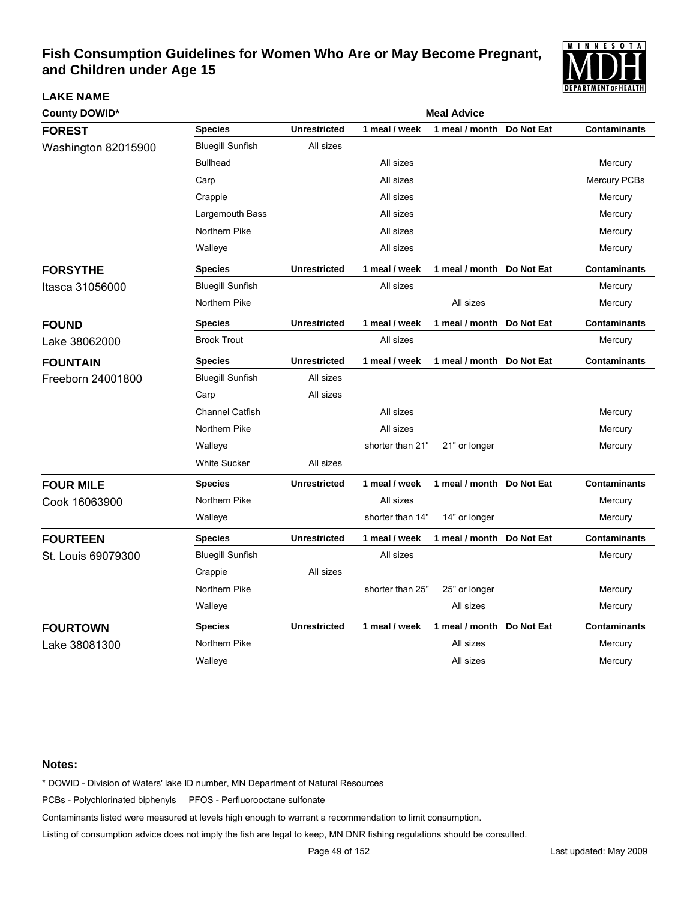

| <b>County DOWID*</b> | <b>Meal Advice</b>      |                     |                  |                           |            |                     |  |  |
|----------------------|-------------------------|---------------------|------------------|---------------------------|------------|---------------------|--|--|
| <b>FOREST</b>        | <b>Species</b>          | <b>Unrestricted</b> | 1 meal / week    | 1 meal / month            | Do Not Eat | <b>Contaminants</b> |  |  |
| Washington 82015900  | <b>Bluegill Sunfish</b> | All sizes           |                  |                           |            |                     |  |  |
|                      | <b>Bullhead</b>         |                     | All sizes        |                           |            | Mercury             |  |  |
|                      | Carp                    |                     | All sizes        |                           |            | Mercury PCBs        |  |  |
|                      | Crappie                 |                     | All sizes        |                           |            | Mercury             |  |  |
|                      | Largemouth Bass         |                     | All sizes        |                           |            | Mercury             |  |  |
|                      | Northern Pike           |                     | All sizes        |                           |            | Mercury             |  |  |
|                      | Walleye                 |                     | All sizes        |                           |            | Mercury             |  |  |
| <b>FORSYTHE</b>      | <b>Species</b>          | <b>Unrestricted</b> | 1 meal / week    | 1 meal / month Do Not Eat |            | <b>Contaminants</b> |  |  |
| Itasca 31056000      | <b>Bluegill Sunfish</b> |                     | All sizes        |                           |            | Mercury             |  |  |
|                      | Northern Pike           |                     |                  | All sizes                 |            | Mercury             |  |  |
| <b>FOUND</b>         | <b>Species</b>          | <b>Unrestricted</b> | 1 meal / week    | 1 meal / month            | Do Not Eat | <b>Contaminants</b> |  |  |
| Lake 38062000        | <b>Brook Trout</b>      |                     | All sizes        |                           |            | Mercury             |  |  |
| <b>FOUNTAIN</b>      | <b>Species</b>          | <b>Unrestricted</b> | 1 meal / week    | 1 meal / month Do Not Eat |            | <b>Contaminants</b> |  |  |
| Freeborn 24001800    | <b>Bluegill Sunfish</b> | All sizes           |                  |                           |            |                     |  |  |
|                      | Carp                    | All sizes           |                  |                           |            |                     |  |  |
|                      | <b>Channel Catfish</b>  |                     | All sizes        |                           |            | Mercury             |  |  |
|                      | Northern Pike           |                     | All sizes        |                           |            | Mercury             |  |  |
|                      | Walleye                 |                     | shorter than 21" | 21" or longer             |            | Mercury             |  |  |
|                      | <b>White Sucker</b>     | All sizes           |                  |                           |            |                     |  |  |
| <b>FOUR MILE</b>     | <b>Species</b>          | <b>Unrestricted</b> | 1 meal / week    | 1 meal / month Do Not Eat |            | <b>Contaminants</b> |  |  |
| Cook 16063900        | Northern Pike           |                     | All sizes        |                           |            | Mercury             |  |  |
|                      | Walleye                 |                     | shorter than 14" | 14" or longer             |            | Mercury             |  |  |
| <b>FOURTEEN</b>      | <b>Species</b>          | <b>Unrestricted</b> | 1 meal / week    | 1 meal / month Do Not Eat |            | <b>Contaminants</b> |  |  |
| St. Louis 69079300   | <b>Bluegill Sunfish</b> |                     | All sizes        |                           |            | Mercury             |  |  |
|                      | Crappie                 | All sizes           |                  |                           |            |                     |  |  |
|                      | Northern Pike           |                     | shorter than 25" | 25" or longer             |            | Mercury             |  |  |
|                      | Walleye                 |                     |                  | All sizes                 |            | Mercury             |  |  |
| <b>FOURTOWN</b>      | <b>Species</b>          | <b>Unrestricted</b> | 1 meal / week    | 1 meal / month Do Not Eat |            | <b>Contaminants</b> |  |  |
| Lake 38081300        | Northern Pike           |                     |                  | All sizes                 |            | Mercury             |  |  |
|                      | Walleye                 |                     |                  | All sizes                 |            | Mercury             |  |  |

#### **Notes:**

**LAKE NAME**

\* DOWID - Division of Waters' lake ID number, MN Department of Natural Resources

PCBs - Polychlorinated biphenyls PFOS - Perfluorooctane sulfonate

Contaminants listed were measured at levels high enough to warrant a recommendation to limit consumption.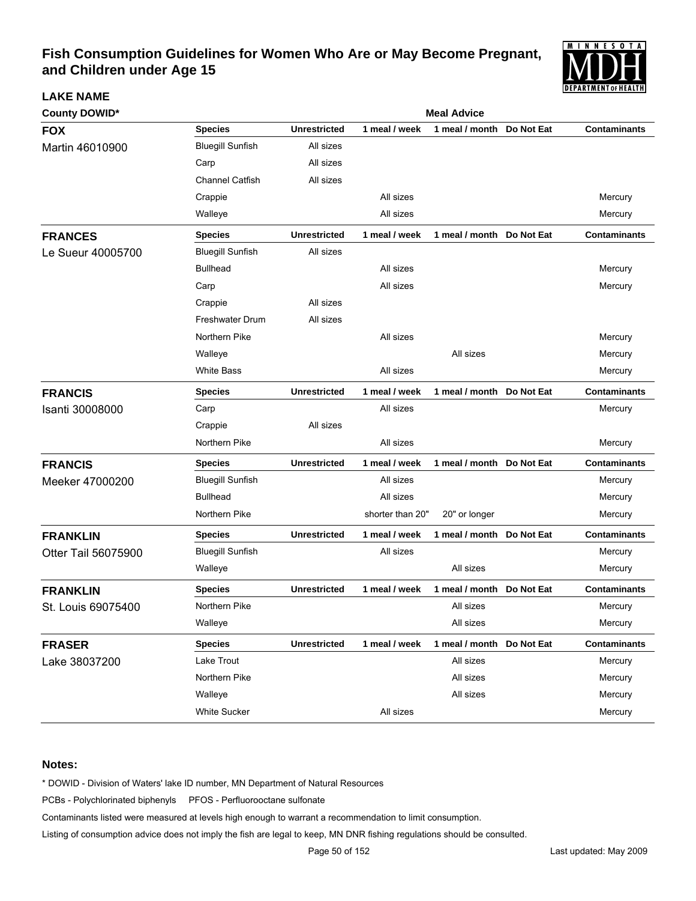

| <b>County DOWID*</b> | <b>Meal Advice</b>      |                     |                  |                           |            |                     |  |  |
|----------------------|-------------------------|---------------------|------------------|---------------------------|------------|---------------------|--|--|
| <b>FOX</b>           | <b>Species</b>          | <b>Unrestricted</b> | 1 meal / week    | 1 meal / month            | Do Not Eat | <b>Contaminants</b> |  |  |
| Martin 46010900      | <b>Bluegill Sunfish</b> | All sizes           |                  |                           |            |                     |  |  |
|                      | Carp                    | All sizes           |                  |                           |            |                     |  |  |
|                      | <b>Channel Catfish</b>  | All sizes           |                  |                           |            |                     |  |  |
|                      | Crappie                 |                     | All sizes        |                           |            | Mercury             |  |  |
|                      | Walleye                 |                     | All sizes        |                           |            | Mercury             |  |  |
| <b>FRANCES</b>       | <b>Species</b>          | <b>Unrestricted</b> | 1 meal / week    | 1 meal / month Do Not Eat |            | <b>Contaminants</b> |  |  |
| Le Sueur 40005700    | <b>Bluegill Sunfish</b> | All sizes           |                  |                           |            |                     |  |  |
|                      | <b>Bullhead</b>         |                     | All sizes        |                           |            | Mercury             |  |  |
|                      | Carp                    |                     | All sizes        |                           |            | Mercury             |  |  |
|                      | Crappie                 | All sizes           |                  |                           |            |                     |  |  |
|                      | <b>Freshwater Drum</b>  | All sizes           |                  |                           |            |                     |  |  |
|                      | Northern Pike           |                     | All sizes        |                           |            | Mercury             |  |  |
|                      | Walleye                 |                     |                  | All sizes                 |            | Mercury             |  |  |
|                      | <b>White Bass</b>       |                     | All sizes        |                           |            | Mercury             |  |  |
| <b>FRANCIS</b>       | <b>Species</b>          | <b>Unrestricted</b> | 1 meal / week    | 1 meal / month Do Not Eat |            | <b>Contaminants</b> |  |  |
| Isanti 30008000      | Carp                    |                     | All sizes        |                           |            | Mercury             |  |  |
|                      | Crappie                 | All sizes           |                  |                           |            |                     |  |  |
|                      | Northern Pike           |                     | All sizes        |                           |            | Mercury             |  |  |
| <b>FRANCIS</b>       | <b>Species</b>          | <b>Unrestricted</b> | 1 meal / week    | 1 meal / month Do Not Eat |            | <b>Contaminants</b> |  |  |
| Meeker 47000200      | <b>Bluegill Sunfish</b> |                     | All sizes        |                           |            | Mercury             |  |  |
|                      | <b>Bullhead</b>         |                     | All sizes        |                           |            | Mercury             |  |  |
|                      | Northern Pike           |                     | shorter than 20" | 20" or longer             |            | Mercury             |  |  |
| <b>FRANKLIN</b>      | Species                 | <b>Unrestricted</b> | 1 meal / week    | 1 meal / month            | Do Not Eat | <b>Contaminants</b> |  |  |
| Otter Tail 56075900  | <b>Bluegill Sunfish</b> |                     | All sizes        |                           |            | Mercury             |  |  |
|                      | Walleye                 |                     |                  | All sizes                 |            | Mercury             |  |  |
| <b>FRANKLIN</b>      | Species                 | <b>Unrestricted</b> | 1 meal / week    | 1 meal / month            | Do Not Eat | <b>Contaminants</b> |  |  |
| St. Louis 69075400   | Northern Pike           |                     |                  | All sizes                 |            | Mercury             |  |  |
|                      | Walleye                 |                     |                  | All sizes                 |            | Mercury             |  |  |
| <b>FRASER</b>        | <b>Species</b>          | <b>Unrestricted</b> | 1 meal / week    | 1 meal / month Do Not Eat |            | <b>Contaminants</b> |  |  |
| Lake 38037200        | Lake Trout              |                     |                  | All sizes                 |            | Mercury             |  |  |
|                      | Northern Pike           |                     |                  | All sizes                 |            | Mercury             |  |  |
|                      | Walleye                 |                     |                  | All sizes                 |            | Mercury             |  |  |
|                      | White Sucker            |                     | All sizes        |                           |            | Mercury             |  |  |

#### **Notes:**

**LAKE NAME**

\* DOWID - Division of Waters' lake ID number, MN Department of Natural Resources

PCBs - Polychlorinated biphenyls PFOS - Perfluorooctane sulfonate

Contaminants listed were measured at levels high enough to warrant a recommendation to limit consumption.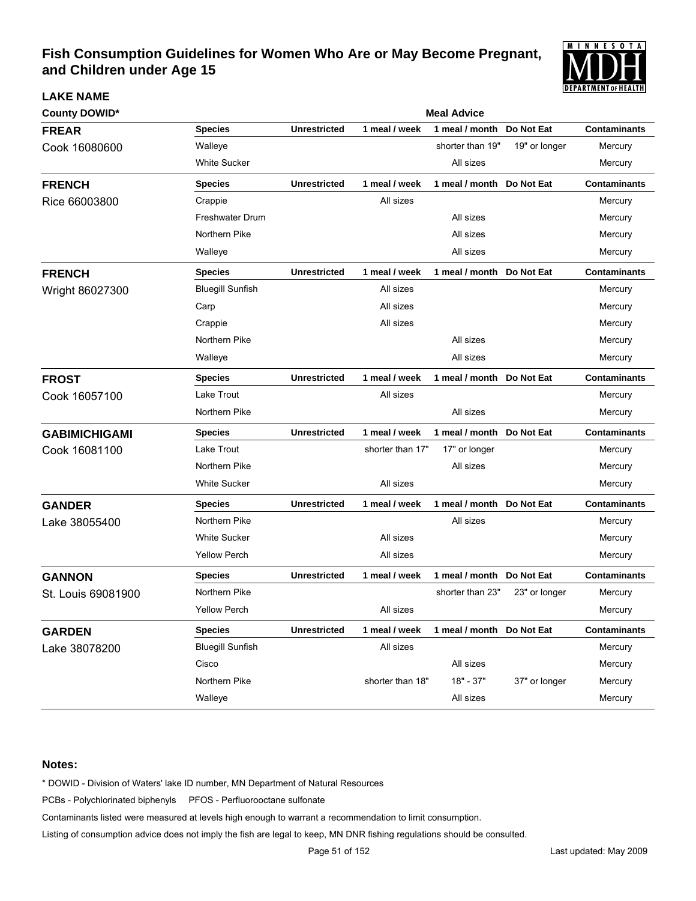

| <b>County DOWID*</b> |                         | <b>Meal Advice</b>  |                  |                           |               |                     |  |  |
|----------------------|-------------------------|---------------------|------------------|---------------------------|---------------|---------------------|--|--|
| <b>FREAR</b>         | <b>Species</b>          | <b>Unrestricted</b> | 1 meal / week    | 1 meal / month            | Do Not Eat    | <b>Contaminants</b> |  |  |
| Cook 16080600        | Walleye                 |                     |                  | shorter than 19"          | 19" or longer | Mercury             |  |  |
|                      | <b>White Sucker</b>     |                     |                  | All sizes                 |               | Mercury             |  |  |
| <b>FRENCH</b>        | <b>Species</b>          | <b>Unrestricted</b> | 1 meal / week    | 1 meal / month Do Not Eat |               | <b>Contaminants</b> |  |  |
| Rice 66003800        | Crappie                 |                     | All sizes        |                           |               | Mercury             |  |  |
|                      | <b>Freshwater Drum</b>  |                     |                  | All sizes                 |               | Mercury             |  |  |
|                      | Northern Pike           |                     |                  | All sizes                 |               | Mercury             |  |  |
|                      | Walleye                 |                     |                  | All sizes                 |               | Mercury             |  |  |
| <b>FRENCH</b>        | <b>Species</b>          | <b>Unrestricted</b> | 1 meal / week    | 1 meal / month            | Do Not Eat    | <b>Contaminants</b> |  |  |
| Wright 86027300      | <b>Bluegill Sunfish</b> |                     | All sizes        |                           |               | Mercury             |  |  |
|                      | Carp                    |                     | All sizes        |                           |               | Mercury             |  |  |
|                      | Crappie                 |                     | All sizes        |                           |               | Mercury             |  |  |
|                      | Northern Pike           |                     |                  | All sizes                 |               | Mercury             |  |  |
|                      | Walleye                 |                     |                  | All sizes                 |               | Mercury             |  |  |
| <b>FROST</b>         | <b>Species</b>          | <b>Unrestricted</b> | 1 meal / week    | 1 meal / month            | Do Not Eat    | <b>Contaminants</b> |  |  |
| Cook 16057100        | Lake Trout              |                     | All sizes        |                           |               | Mercury             |  |  |
|                      | Northern Pike           |                     |                  | All sizes                 |               | Mercury             |  |  |
| <b>GABIMICHIGAMI</b> | <b>Species</b>          | <b>Unrestricted</b> | 1 meal / week    | 1 meal / month Do Not Eat |               | <b>Contaminants</b> |  |  |
| Cook 16081100        | Lake Trout              |                     | shorter than 17" | 17" or longer             |               | Mercury             |  |  |
|                      | Northern Pike           |                     |                  | All sizes                 |               | Mercury             |  |  |
|                      | <b>White Sucker</b>     |                     | All sizes        |                           |               | Mercury             |  |  |
| <b>GANDER</b>        | <b>Species</b>          | <b>Unrestricted</b> | 1 meal / week    | 1 meal / month Do Not Eat |               | <b>Contaminants</b> |  |  |
| Lake 38055400        | Northern Pike           |                     |                  | All sizes                 |               | Mercury             |  |  |
|                      | <b>White Sucker</b>     |                     | All sizes        |                           |               | Mercury             |  |  |
|                      | <b>Yellow Perch</b>     |                     | All sizes        |                           |               | Mercury             |  |  |
| <b>GANNON</b>        | <b>Species</b>          | <b>Unrestricted</b> | 1 meal / week    | 1 meal / month            | Do Not Eat    | <b>Contaminants</b> |  |  |
| St. Louis 69081900   | Northern Pike           |                     |                  | shorter than 23"          | 23" or longer | Mercury             |  |  |
|                      | <b>Yellow Perch</b>     |                     | All sizes        |                           |               | Mercury             |  |  |
| <b>GARDEN</b>        | <b>Species</b>          | <b>Unrestricted</b> | 1 meal / week    | 1 meal / month Do Not Eat |               | <b>Contaminants</b> |  |  |
| Lake 38078200        | <b>Bluegill Sunfish</b> |                     | All sizes        |                           |               | Mercury             |  |  |
|                      | Cisco                   |                     |                  | All sizes                 |               | Mercury             |  |  |
|                      | Northern Pike           |                     | shorter than 18" | $18" - 37"$               | 37" or longer | Mercury             |  |  |
|                      | Walleye                 |                     |                  | All sizes                 |               | Mercury             |  |  |

#### **Notes:**

**LAKE NAME**

\* DOWID - Division of Waters' lake ID number, MN Department of Natural Resources

PCBs - Polychlorinated biphenyls PFOS - Perfluorooctane sulfonate

Contaminants listed were measured at levels high enough to warrant a recommendation to limit consumption.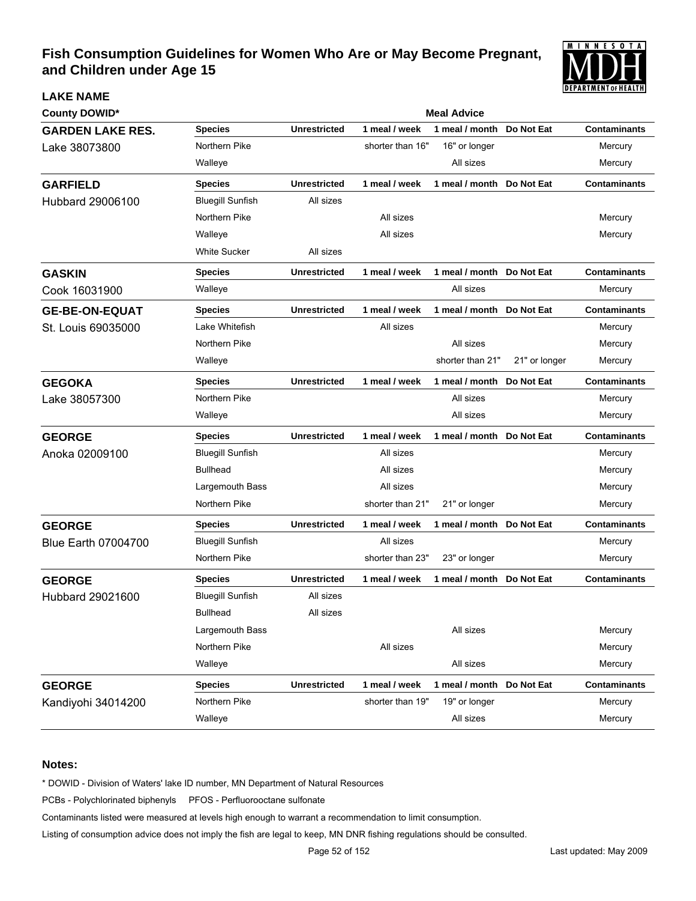

| <b>County DOWID*</b>       |                         |                     |                  | <b>Meal Advice</b>         |               |                     |
|----------------------------|-------------------------|---------------------|------------------|----------------------------|---------------|---------------------|
| <b>GARDEN LAKE RES.</b>    | <b>Species</b>          | <b>Unrestricted</b> | 1 meal / week    | 1 meal / month             | Do Not Eat    | <b>Contaminants</b> |
| Lake 38073800              | Northern Pike           |                     | shorter than 16" | 16" or longer              |               | Mercury             |
|                            | Walleye                 |                     |                  | All sizes                  |               | Mercury             |
| <b>GARFIELD</b>            | <b>Species</b>          | <b>Unrestricted</b> | 1 meal / week    | 1 meal / month             | Do Not Eat    | <b>Contaminants</b> |
| Hubbard 29006100           | <b>Bluegill Sunfish</b> | All sizes           |                  |                            |               |                     |
|                            | Northern Pike           |                     | All sizes        |                            |               | Mercury             |
|                            | Walleye                 |                     | All sizes        |                            |               | Mercury             |
|                            | <b>White Sucker</b>     | All sizes           |                  |                            |               |                     |
| <b>GASKIN</b>              | <b>Species</b>          | <b>Unrestricted</b> | 1 meal / week    | 1 meal / month             | Do Not Eat    | <b>Contaminants</b> |
| Cook 16031900              | Walleye                 |                     |                  | All sizes                  |               | Mercury             |
| <b>GE-BE-ON-EQUAT</b>      | <b>Species</b>          | <b>Unrestricted</b> | 1 meal / week    | 1 meal / month  Do Not Eat |               | <b>Contaminants</b> |
| St. Louis 69035000         | Lake Whitefish          |                     | All sizes        |                            |               | Mercury             |
|                            | Northern Pike           |                     |                  | All sizes                  |               | Mercury             |
|                            | Walleye                 |                     |                  | shorter than 21"           | 21" or longer | Mercury             |
| <b>GEGOKA</b>              | <b>Species</b>          | <b>Unrestricted</b> | 1 meal / week    | 1 meal / month             | Do Not Eat    | <b>Contaminants</b> |
| Lake 38057300              | Northern Pike           |                     |                  | All sizes                  |               | Mercury             |
|                            | Walleye                 |                     |                  | All sizes                  |               | Mercury             |
| <b>GEORGE</b>              | <b>Species</b>          | <b>Unrestricted</b> | 1 meal / week    | 1 meal / month             | Do Not Eat    | <b>Contaminants</b> |
| Anoka 02009100             | <b>Bluegill Sunfish</b> |                     | All sizes        |                            |               | Mercury             |
|                            | <b>Bullhead</b>         |                     | All sizes        |                            |               | Mercury             |
|                            | Largemouth Bass         |                     | All sizes        |                            |               | Mercury             |
|                            | Northern Pike           |                     | shorter than 21" | 21" or longer              |               | Mercury             |
| <b>GEORGE</b>              | <b>Species</b>          | <b>Unrestricted</b> | 1 meal / week    | 1 meal / month Do Not Eat  |               | <b>Contaminants</b> |
| <b>Blue Earth 07004700</b> | <b>Bluegill Sunfish</b> |                     | All sizes        |                            |               | Mercury             |
|                            | Northern Pike           |                     | shorter than 23" | 23" or longer              |               | Mercury             |
| <b>GEORGE</b>              | <b>Species</b>          | <b>Unrestricted</b> | 1 meal / week    | 1 meal / month             | Do Not Eat    | <b>Contaminants</b> |
| Hubbard 29021600           | <b>Bluegill Sunfish</b> | All sizes           |                  |                            |               |                     |
|                            | <b>Bullhead</b>         | All sizes           |                  |                            |               |                     |
|                            | Largemouth Bass         |                     |                  | All sizes                  |               | Mercury             |
|                            | Northern Pike           |                     | All sizes        |                            |               | Mercury             |
|                            | Walleye                 |                     |                  | All sizes                  |               | Mercury             |
| <b>GEORGE</b>              | <b>Species</b>          | <b>Unrestricted</b> | 1 meal / week    | 1 meal / month Do Not Eat  |               | <b>Contaminants</b> |
| Kandiyohi 34014200         | Northern Pike           |                     | shorter than 19" | 19" or longer              |               | Mercury             |
|                            | Walleye                 |                     |                  | All sizes                  |               | Mercury             |

#### **Notes:**

**LAKE NAME**

\* DOWID - Division of Waters' lake ID number, MN Department of Natural Resources

PCBs - Polychlorinated biphenyls PFOS - Perfluorooctane sulfonate

Contaminants listed were measured at levels high enough to warrant a recommendation to limit consumption.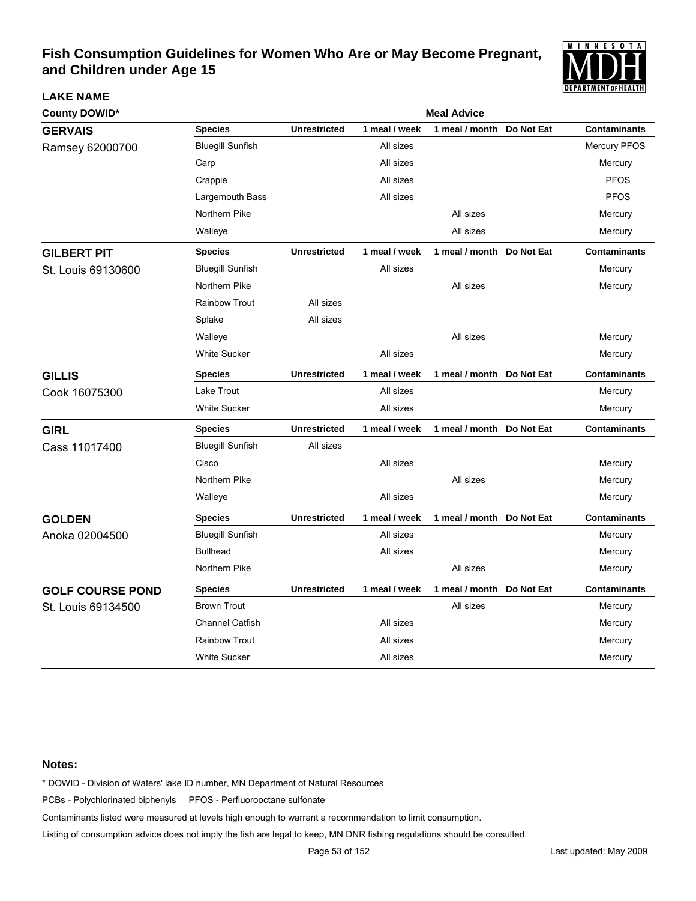

| <b>County DOWID*</b>    |                         | <b>Meal Advice</b>  |               |                           |            |                     |  |  |
|-------------------------|-------------------------|---------------------|---------------|---------------------------|------------|---------------------|--|--|
| <b>GERVAIS</b>          | <b>Species</b>          | <b>Unrestricted</b> | 1 meal / week | 1 meal / month            | Do Not Eat | <b>Contaminants</b> |  |  |
| Ramsey 62000700         | <b>Bluegill Sunfish</b> |                     | All sizes     |                           |            | <b>Mercury PFOS</b> |  |  |
|                         | Carp                    |                     | All sizes     |                           |            | Mercury             |  |  |
|                         | Crappie                 |                     | All sizes     |                           |            | <b>PFOS</b>         |  |  |
|                         | Largemouth Bass         |                     | All sizes     |                           |            | <b>PFOS</b>         |  |  |
|                         | Northern Pike           |                     |               | All sizes                 |            | Mercury             |  |  |
|                         | Walleye                 |                     |               | All sizes                 |            | Mercury             |  |  |
| <b>GILBERT PIT</b>      | <b>Species</b>          | <b>Unrestricted</b> | 1 meal / week | 1 meal / month Do Not Eat |            | <b>Contaminants</b> |  |  |
| St. Louis 69130600      | <b>Bluegill Sunfish</b> |                     | All sizes     |                           |            | Mercury             |  |  |
|                         | Northern Pike           |                     |               | All sizes                 |            | Mercury             |  |  |
|                         | <b>Rainbow Trout</b>    | All sizes           |               |                           |            |                     |  |  |
|                         | Splake                  | All sizes           |               |                           |            |                     |  |  |
|                         | Walleye                 |                     |               | All sizes                 |            | Mercury             |  |  |
|                         | White Sucker            |                     | All sizes     |                           |            | Mercury             |  |  |
| <b>GILLIS</b>           | <b>Species</b>          | <b>Unrestricted</b> | 1 meal / week | 1 meal / month Do Not Eat |            | <b>Contaminants</b> |  |  |
| Cook 16075300           | Lake Trout              |                     | All sizes     |                           |            | Mercury             |  |  |
|                         | <b>White Sucker</b>     |                     | All sizes     |                           |            | Mercury             |  |  |
| <b>GIRL</b>             | <b>Species</b>          | <b>Unrestricted</b> | 1 meal / week | 1 meal / month Do Not Eat |            | <b>Contaminants</b> |  |  |
| Cass 11017400           | <b>Bluegill Sunfish</b> | All sizes           |               |                           |            |                     |  |  |
|                         | Cisco                   |                     | All sizes     |                           |            | Mercury             |  |  |
|                         | Northern Pike           |                     |               | All sizes                 |            | Mercury             |  |  |
|                         | Walleye                 |                     | All sizes     |                           |            | Mercury             |  |  |
| <b>GOLDEN</b>           | <b>Species</b>          | <b>Unrestricted</b> | 1 meal / week | 1 meal / month Do Not Eat |            | <b>Contaminants</b> |  |  |
| Anoka 02004500          | <b>Bluegill Sunfish</b> |                     | All sizes     |                           |            | Mercury             |  |  |
|                         | <b>Bullhead</b>         |                     | All sizes     |                           |            | Mercury             |  |  |
|                         | Northern Pike           |                     |               | All sizes                 |            | Mercury             |  |  |
| <b>GOLF COURSE POND</b> | <b>Species</b>          | <b>Unrestricted</b> | 1 meal / week | 1 meal / month            | Do Not Eat | <b>Contaminants</b> |  |  |
| St. Louis 69134500      | <b>Brown Trout</b>      |                     |               | All sizes                 |            | Mercury             |  |  |
|                         | <b>Channel Catfish</b>  |                     | All sizes     |                           |            | Mercury             |  |  |
|                         | <b>Rainbow Trout</b>    |                     | All sizes     |                           |            | Mercury             |  |  |
|                         | <b>White Sucker</b>     |                     | All sizes     |                           |            | Mercury             |  |  |

#### **Notes:**

**LAKE NAME**

\* DOWID - Division of Waters' lake ID number, MN Department of Natural Resources

PCBs - Polychlorinated biphenyls PFOS - Perfluorooctane sulfonate

Contaminants listed were measured at levels high enough to warrant a recommendation to limit consumption.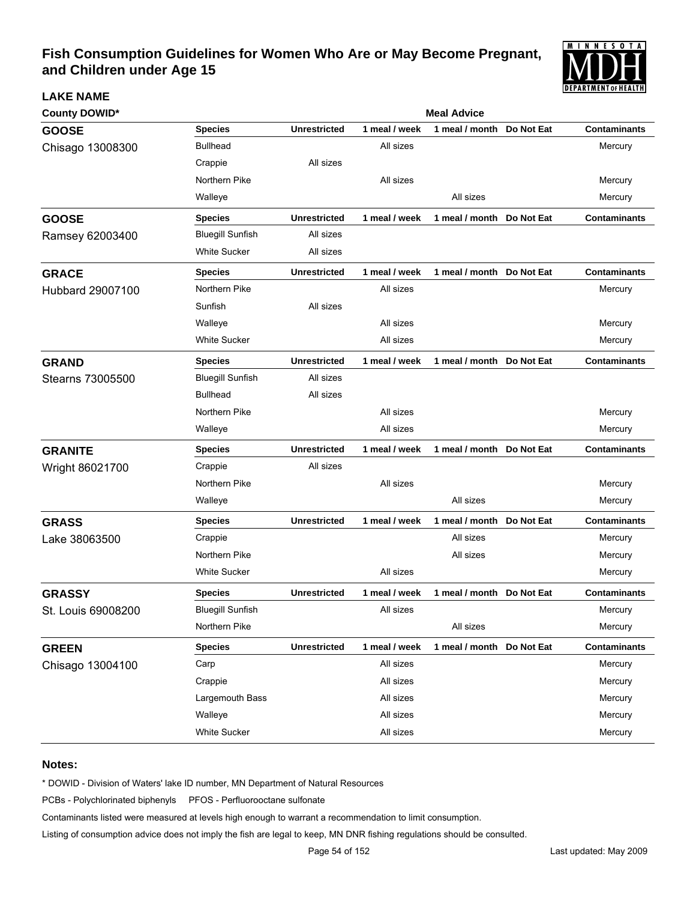

| <b>County DOWID*</b> | <b>Meal Advice</b>      |                     |               |                |            |                     |  |  |  |
|----------------------|-------------------------|---------------------|---------------|----------------|------------|---------------------|--|--|--|
| <b>GOOSE</b>         | <b>Species</b>          | <b>Unrestricted</b> | 1 meal / week | 1 meal / month | Do Not Eat | <b>Contaminants</b> |  |  |  |
| Chisago 13008300     | <b>Bullhead</b>         |                     | All sizes     |                |            | Mercury             |  |  |  |
|                      | Crappie                 | All sizes           |               |                |            |                     |  |  |  |
|                      | Northern Pike           |                     | All sizes     |                |            | Mercury             |  |  |  |
|                      | Walleye                 |                     |               | All sizes      |            | Mercury             |  |  |  |
| <b>GOOSE</b>         | <b>Species</b>          | <b>Unrestricted</b> | 1 meal / week | 1 meal / month | Do Not Eat | <b>Contaminants</b> |  |  |  |
| Ramsey 62003400      | <b>Bluegill Sunfish</b> | All sizes           |               |                |            |                     |  |  |  |
|                      | White Sucker            | All sizes           |               |                |            |                     |  |  |  |
| <b>GRACE</b>         | <b>Species</b>          | <b>Unrestricted</b> | 1 meal / week | 1 meal / month | Do Not Eat | <b>Contaminants</b> |  |  |  |
| Hubbard 29007100     | Northern Pike           |                     | All sizes     |                |            | Mercury             |  |  |  |
|                      | Sunfish                 | All sizes           |               |                |            |                     |  |  |  |
|                      | Walleye                 |                     | All sizes     |                |            | Mercury             |  |  |  |
|                      | White Sucker            |                     | All sizes     |                |            | Mercury             |  |  |  |
| <b>GRAND</b>         | <b>Species</b>          | <b>Unrestricted</b> | 1 meal / week | 1 meal / month | Do Not Eat | <b>Contaminants</b> |  |  |  |
| Stearns 73005500     | <b>Bluegill Sunfish</b> | All sizes           |               |                |            |                     |  |  |  |
|                      | <b>Bullhead</b>         | All sizes           |               |                |            |                     |  |  |  |
|                      | Northern Pike           |                     | All sizes     |                |            | Mercury             |  |  |  |
|                      | Walleye                 |                     | All sizes     |                |            | Mercury             |  |  |  |
| <b>GRANITE</b>       | <b>Species</b>          | <b>Unrestricted</b> | 1 meal / week | 1 meal / month | Do Not Eat | <b>Contaminants</b> |  |  |  |
| Wright 86021700      | Crappie                 | All sizes           |               |                |            |                     |  |  |  |
|                      | Northern Pike           |                     | All sizes     |                |            | Mercury             |  |  |  |
|                      | Walleye                 |                     |               | All sizes      |            | Mercury             |  |  |  |
| <b>GRASS</b>         | <b>Species</b>          | <b>Unrestricted</b> | 1 meal / week | 1 meal / month | Do Not Eat | <b>Contaminants</b> |  |  |  |
| Lake 38063500        | Crappie                 |                     |               | All sizes      |            | Mercury             |  |  |  |
|                      | Northern Pike           |                     |               | All sizes      |            | Mercury             |  |  |  |
|                      | <b>White Sucker</b>     |                     | All sizes     |                |            | Mercury             |  |  |  |
| <b>GRASSY</b>        | <b>Species</b>          | <b>Unrestricted</b> | 1 meal / week | 1 meal / month | Do Not Eat | <b>Contaminants</b> |  |  |  |
| St. Louis 69008200   | <b>Bluegill Sunfish</b> |                     | All sizes     |                |            | Mercury             |  |  |  |
|                      | Northern Pike           |                     |               | All sizes      |            | Mercury             |  |  |  |
| <b>GREEN</b>         | <b>Species</b>          | <b>Unrestricted</b> | 1 meal / week | 1 meal / month | Do Not Eat | <b>Contaminants</b> |  |  |  |
| Chisago 13004100     | Carp                    |                     | All sizes     |                |            | Mercury             |  |  |  |
|                      | Crappie                 |                     | All sizes     |                |            | Mercury             |  |  |  |
|                      | Largemouth Bass         |                     | All sizes     |                |            | Mercury             |  |  |  |
|                      | Walleye                 |                     | All sizes     |                |            | Mercury             |  |  |  |
|                      | White Sucker            |                     | All sizes     |                |            | Mercury             |  |  |  |

#### **Notes:**

**LAKE NAME**

\* DOWID - Division of Waters' lake ID number, MN Department of Natural Resources

PCBs - Polychlorinated biphenyls PFOS - Perfluorooctane sulfonate

Contaminants listed were measured at levels high enough to warrant a recommendation to limit consumption.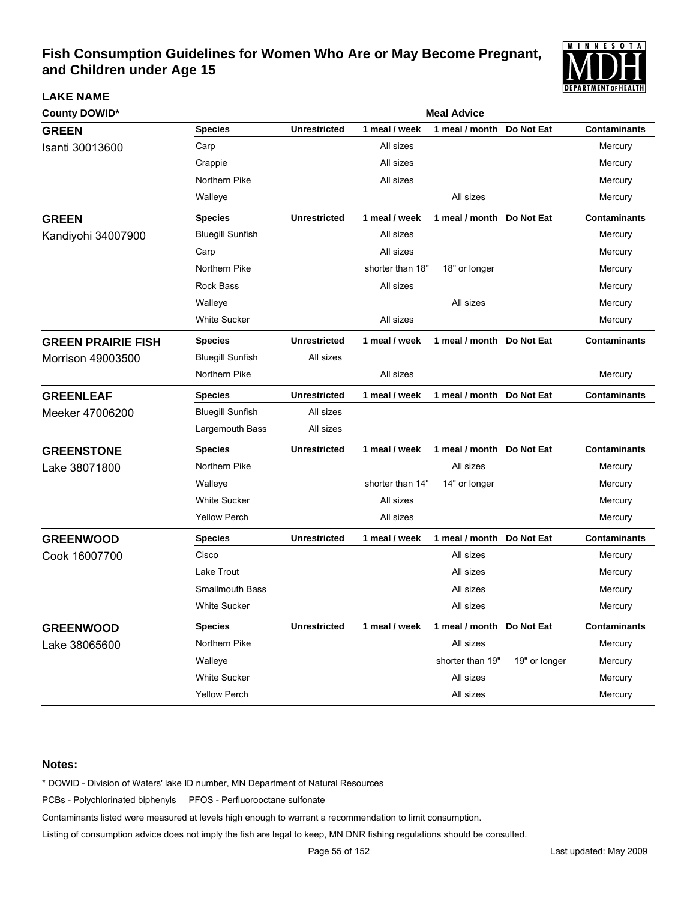

| County DOWID*             |                         | <b>Meal Advice</b>  |                  |                           |               |                     |  |  |
|---------------------------|-------------------------|---------------------|------------------|---------------------------|---------------|---------------------|--|--|
| <b>GREEN</b>              | <b>Species</b>          | <b>Unrestricted</b> | 1 meal / week    | 1 meal / month            | Do Not Eat    | <b>Contaminants</b> |  |  |
| Isanti 30013600           | Carp                    |                     | All sizes        |                           |               | Mercury             |  |  |
|                           | Crappie                 |                     | All sizes        |                           |               | Mercury             |  |  |
|                           | Northern Pike           |                     | All sizes        |                           |               | Mercury             |  |  |
|                           | Walleye                 |                     |                  | All sizes                 |               | Mercury             |  |  |
| <b>GREEN</b>              | <b>Species</b>          | <b>Unrestricted</b> | 1 meal / week    | 1 meal / month Do Not Eat |               | <b>Contaminants</b> |  |  |
| Kandiyohi 34007900        | <b>Bluegill Sunfish</b> |                     | All sizes        |                           |               | Mercury             |  |  |
|                           | Carp                    |                     | All sizes        |                           |               | Mercury             |  |  |
|                           | Northern Pike           |                     | shorter than 18" | 18" or longer             |               | Mercury             |  |  |
|                           | <b>Rock Bass</b>        |                     | All sizes        |                           |               | Mercury             |  |  |
|                           | Walleye                 |                     |                  | All sizes                 |               | Mercury             |  |  |
|                           | <b>White Sucker</b>     |                     | All sizes        |                           |               | Mercury             |  |  |
| <b>GREEN PRAIRIE FISH</b> | <b>Species</b>          | <b>Unrestricted</b> | 1 meal / week    | 1 meal / month Do Not Eat |               | <b>Contaminants</b> |  |  |
| Morrison 49003500         | <b>Bluegill Sunfish</b> | All sizes           |                  |                           |               |                     |  |  |
|                           | Northern Pike           |                     | All sizes        |                           |               | Mercury             |  |  |
| <b>GREENLEAF</b>          | <b>Species</b>          | <b>Unrestricted</b> | 1 meal / week    | 1 meal / month Do Not Eat |               | <b>Contaminants</b> |  |  |
| Meeker 47006200           | <b>Bluegill Sunfish</b> | All sizes           |                  |                           |               |                     |  |  |
|                           | Largemouth Bass         | All sizes           |                  |                           |               |                     |  |  |
| <b>GREENSTONE</b>         | <b>Species</b>          | <b>Unrestricted</b> | 1 meal / week    | 1 meal / month Do Not Eat |               | <b>Contaminants</b> |  |  |
| Lake 38071800             | Northern Pike           |                     |                  | All sizes                 |               | Mercury             |  |  |
|                           | Walleye                 |                     | shorter than 14" | 14" or longer             |               | Mercury             |  |  |
|                           | <b>White Sucker</b>     |                     | All sizes        |                           |               | Mercury             |  |  |
|                           | <b>Yellow Perch</b>     |                     | All sizes        |                           |               | Mercury             |  |  |
| <b>GREENWOOD</b>          | <b>Species</b>          | <b>Unrestricted</b> | 1 meal / week    | 1 meal / month Do Not Eat |               | <b>Contaminants</b> |  |  |
| Cook 16007700             | Cisco                   |                     |                  | All sizes                 |               | Mercury             |  |  |
|                           | Lake Trout              |                     |                  | All sizes                 |               | Mercury             |  |  |
|                           | Smallmouth Bass         |                     |                  | All sizes                 |               | Mercury             |  |  |
|                           | <b>White Sucker</b>     |                     |                  | All sizes                 |               | Mercury             |  |  |
| <b>GREENWOOD</b>          | <b>Species</b>          | <b>Unrestricted</b> | 1 meal / week    | 1 meal / month Do Not Eat |               | <b>Contaminants</b> |  |  |
| Lake 38065600             | Northern Pike           |                     |                  | All sizes                 |               | Mercury             |  |  |
|                           | Walleye                 |                     |                  | shorter than 19"          | 19" or longer | Mercury             |  |  |
|                           | <b>White Sucker</b>     |                     |                  | All sizes                 |               | Mercury             |  |  |
|                           | Yellow Perch            |                     |                  | All sizes                 |               | Mercury             |  |  |

#### **Notes:**

**LAKE NAME**

\* DOWID - Division of Waters' lake ID number, MN Department of Natural Resources

PCBs - Polychlorinated biphenyls PFOS - Perfluorooctane sulfonate

Contaminants listed were measured at levels high enough to warrant a recommendation to limit consumption.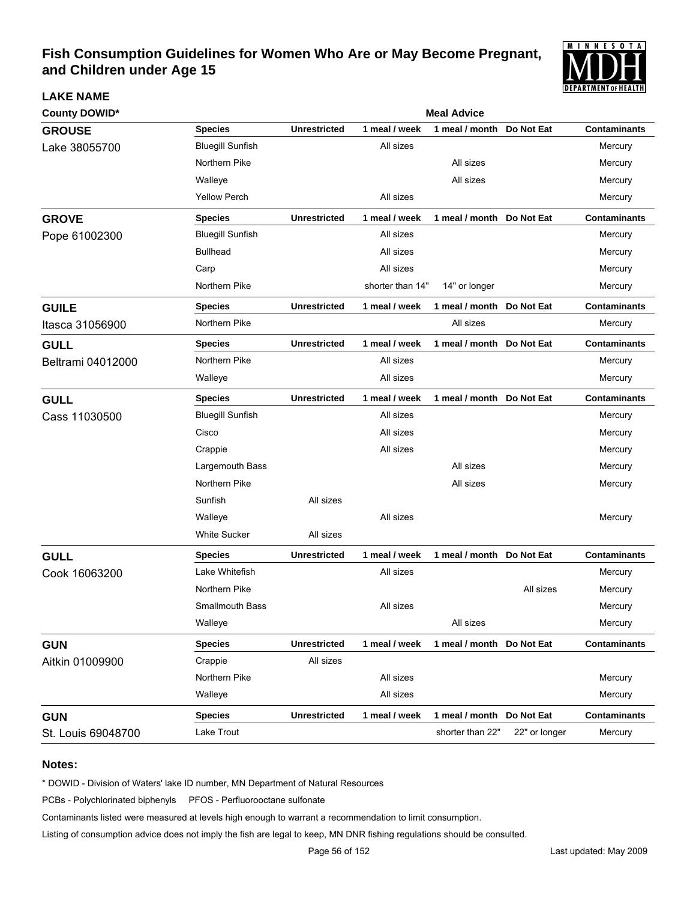

| <b>County DOWID*</b> |                         | <b>Meal Advice</b>  |                  |                           |               |                     |  |  |  |  |
|----------------------|-------------------------|---------------------|------------------|---------------------------|---------------|---------------------|--|--|--|--|
| <b>GROUSE</b>        | <b>Species</b>          | <b>Unrestricted</b> | 1 meal / week    | 1 meal / month            | Do Not Eat    | <b>Contaminants</b> |  |  |  |  |
| Lake 38055700        | <b>Bluegill Sunfish</b> |                     | All sizes        |                           |               | Mercury             |  |  |  |  |
|                      | Northern Pike           |                     |                  | All sizes                 |               | Mercury             |  |  |  |  |
|                      | Walleye                 |                     |                  | All sizes                 |               | Mercury             |  |  |  |  |
|                      | <b>Yellow Perch</b>     |                     | All sizes        |                           |               | Mercury             |  |  |  |  |
| <b>GROVE</b>         | <b>Species</b>          | <b>Unrestricted</b> | 1 meal / week    | 1 meal / month Do Not Eat |               | <b>Contaminants</b> |  |  |  |  |
| Pope 61002300        | <b>Bluegill Sunfish</b> |                     | All sizes        |                           |               | Mercury             |  |  |  |  |
|                      | <b>Bullhead</b>         |                     | All sizes        |                           |               | Mercury             |  |  |  |  |
|                      | Carp                    |                     | All sizes        |                           |               | Mercury             |  |  |  |  |
|                      | Northern Pike           |                     | shorter than 14" | 14" or longer             |               | Mercury             |  |  |  |  |
| <b>GUILE</b>         | <b>Species</b>          | <b>Unrestricted</b> | 1 meal / week    | 1 meal / month Do Not Eat |               | <b>Contaminants</b> |  |  |  |  |
| Itasca 31056900      | Northern Pike           |                     |                  | All sizes                 |               | Mercury             |  |  |  |  |
| <b>GULL</b>          | <b>Species</b>          | <b>Unrestricted</b> | 1 meal / week    | 1 meal / month            | Do Not Eat    | <b>Contaminants</b> |  |  |  |  |
| Beltrami 04012000    | Northern Pike           |                     | All sizes        |                           |               | Mercury             |  |  |  |  |
|                      | Walleye                 |                     | All sizes        |                           |               | Mercury             |  |  |  |  |
| <b>GULL</b>          | <b>Species</b>          | <b>Unrestricted</b> | 1 meal / week    | 1 meal / month Do Not Eat |               | <b>Contaminants</b> |  |  |  |  |
| Cass 11030500        | <b>Bluegill Sunfish</b> |                     | All sizes        |                           |               | Mercury             |  |  |  |  |
|                      | Cisco                   |                     | All sizes        |                           |               | Mercury             |  |  |  |  |
|                      | Crappie                 |                     | All sizes        |                           |               | Mercury             |  |  |  |  |
|                      | Largemouth Bass         |                     |                  | All sizes                 |               | Mercury             |  |  |  |  |
|                      | Northern Pike           |                     |                  | All sizes                 |               | Mercury             |  |  |  |  |
|                      | Sunfish                 | All sizes           |                  |                           |               |                     |  |  |  |  |
|                      | Walleye                 |                     | All sizes        |                           |               | Mercury             |  |  |  |  |
|                      | <b>White Sucker</b>     | All sizes           |                  |                           |               |                     |  |  |  |  |
| <b>GULL</b>          | <b>Species</b>          | <b>Unrestricted</b> | 1 meal / week    | 1 meal / month Do Not Eat |               | <b>Contaminants</b> |  |  |  |  |
| Cook 16063200        | Lake Whitefish          |                     | All sizes        |                           |               | Mercury             |  |  |  |  |
|                      | Northern Pike           |                     |                  |                           | All sizes     | Mercury             |  |  |  |  |
|                      | <b>Smallmouth Bass</b>  |                     | All sizes        |                           |               | Mercury             |  |  |  |  |
|                      | Walleye                 |                     |                  | All sizes                 |               | Mercury             |  |  |  |  |
| <b>GUN</b>           | <b>Species</b>          | <b>Unrestricted</b> | 1 meal / week    | 1 meal / month Do Not Eat |               | <b>Contaminants</b> |  |  |  |  |
| Aitkin 01009900      | Crappie                 | All sizes           |                  |                           |               |                     |  |  |  |  |
|                      | Northern Pike           |                     | All sizes        |                           |               | Mercury             |  |  |  |  |
|                      | Walleye                 |                     | All sizes        |                           |               | Mercury             |  |  |  |  |
| <b>GUN</b>           | <b>Species</b>          | <b>Unrestricted</b> | 1 meal / week    | 1 meal / month Do Not Eat |               | <b>Contaminants</b> |  |  |  |  |
| St. Louis 69048700   | Lake Trout              |                     |                  | shorter than 22"          | 22" or longer | Mercury             |  |  |  |  |

#### **Notes:**

**LAKE NAME**

\* DOWID - Division of Waters' lake ID number, MN Department of Natural Resources

PCBs - Polychlorinated biphenyls PFOS - Perfluorooctane sulfonate

Contaminants listed were measured at levels high enough to warrant a recommendation to limit consumption.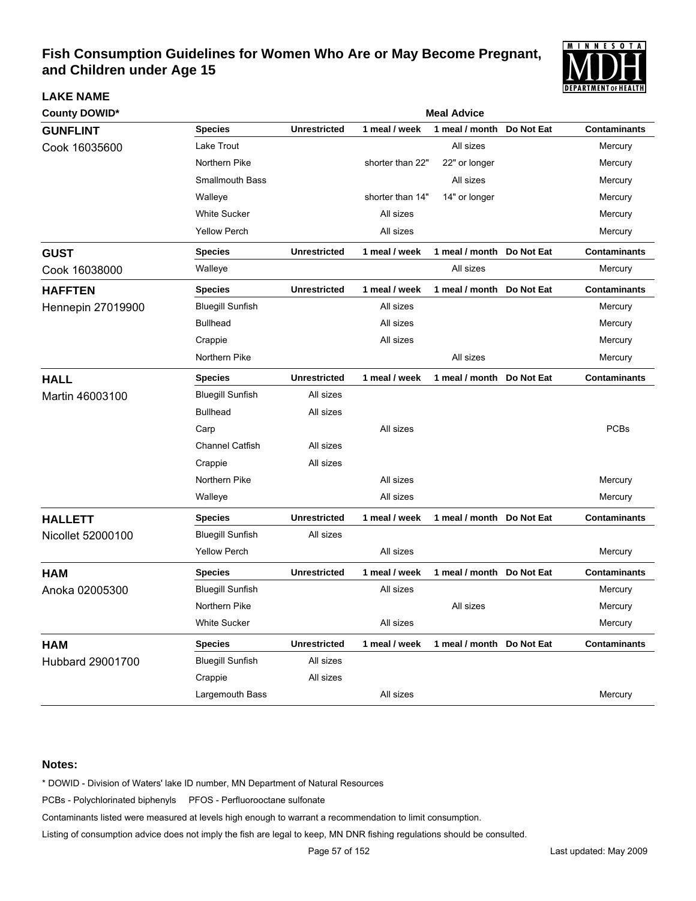

| <b>County DOWID*</b>     |                         | <b>Meal Advice</b>  |                  |                           |            |                     |  |  |  |
|--------------------------|-------------------------|---------------------|------------------|---------------------------|------------|---------------------|--|--|--|
| <b>GUNFLINT</b>          | <b>Species</b>          | <b>Unrestricted</b> | 1 meal / week    | 1 meal / month            | Do Not Eat | <b>Contaminants</b> |  |  |  |
| Cook 16035600            | Lake Trout              |                     |                  | All sizes                 |            | Mercury             |  |  |  |
|                          | Northern Pike           |                     | shorter than 22" | 22" or longer             |            | Mercury             |  |  |  |
|                          | <b>Smallmouth Bass</b>  |                     |                  | All sizes                 |            | Mercury             |  |  |  |
|                          | Walleye                 |                     | shorter than 14" | 14" or longer             |            | Mercury             |  |  |  |
|                          | <b>White Sucker</b>     |                     | All sizes        |                           |            | Mercury             |  |  |  |
|                          | <b>Yellow Perch</b>     |                     | All sizes        |                           |            | Mercury             |  |  |  |
| <b>GUST</b>              | <b>Species</b>          | <b>Unrestricted</b> | 1 meal / week    | 1 meal / month Do Not Eat |            | <b>Contaminants</b> |  |  |  |
| Cook 16038000            | Walleye                 |                     |                  | All sizes                 |            | Mercury             |  |  |  |
| <b>HAFFTEN</b>           | <b>Species</b>          | <b>Unrestricted</b> | 1 meal / week    | 1 meal / month Do Not Eat |            | <b>Contaminants</b> |  |  |  |
| <b>Hennepin 27019900</b> | <b>Bluegill Sunfish</b> |                     | All sizes        |                           |            | Mercury             |  |  |  |
|                          | <b>Bullhead</b>         |                     | All sizes        |                           |            | Mercury             |  |  |  |
|                          | Crappie                 |                     | All sizes        |                           |            | Mercury             |  |  |  |
|                          | Northern Pike           |                     |                  | All sizes                 |            | Mercury             |  |  |  |
| <b>HALL</b>              | <b>Species</b>          | <b>Unrestricted</b> | 1 meal / week    | 1 meal / month            | Do Not Eat | <b>Contaminants</b> |  |  |  |
| Martin 46003100          | <b>Bluegill Sunfish</b> | All sizes           |                  |                           |            |                     |  |  |  |
|                          | <b>Bullhead</b>         | All sizes           |                  |                           |            |                     |  |  |  |
|                          | Carp                    |                     | All sizes        |                           |            | <b>PCBs</b>         |  |  |  |
|                          | <b>Channel Catfish</b>  | All sizes           |                  |                           |            |                     |  |  |  |
|                          | Crappie                 | All sizes           |                  |                           |            |                     |  |  |  |
|                          | Northern Pike           |                     | All sizes        |                           |            | Mercury             |  |  |  |
|                          | Walleye                 |                     | All sizes        |                           |            | Mercury             |  |  |  |
| <b>HALLETT</b>           | <b>Species</b>          | <b>Unrestricted</b> | 1 meal / week    | 1 meal / month Do Not Eat |            | <b>Contaminants</b> |  |  |  |
| Nicollet 52000100        | <b>Bluegill Sunfish</b> | All sizes           |                  |                           |            |                     |  |  |  |
|                          | <b>Yellow Perch</b>     |                     | All sizes        |                           |            | Mercury             |  |  |  |
| <b>HAM</b>               | <b>Species</b>          | <b>Unrestricted</b> | 1 meal / week    | 1 meal / month            | Do Not Eat | <b>Contaminants</b> |  |  |  |
| Anoka 02005300           | <b>Bluegill Sunfish</b> |                     | All sizes        |                           |            | Mercury             |  |  |  |
|                          | Northern Pike           |                     |                  | All sizes                 |            | Mercury             |  |  |  |
|                          | <b>White Sucker</b>     |                     | All sizes        |                           |            | Mercury             |  |  |  |
| <b>HAM</b>               | <b>Species</b>          | <b>Unrestricted</b> | 1 meal / week    | 1 meal / month Do Not Eat |            | <b>Contaminants</b> |  |  |  |
| Hubbard 29001700         | <b>Bluegill Sunfish</b> | All sizes           |                  |                           |            |                     |  |  |  |
|                          | Crappie                 | All sizes           |                  |                           |            |                     |  |  |  |
|                          | Largemouth Bass         |                     | All sizes        |                           |            | Mercury             |  |  |  |

#### **Notes:**

**LAKE NAME**

\* DOWID - Division of Waters' lake ID number, MN Department of Natural Resources

PCBs - Polychlorinated biphenyls PFOS - Perfluorooctane sulfonate

Contaminants listed were measured at levels high enough to warrant a recommendation to limit consumption.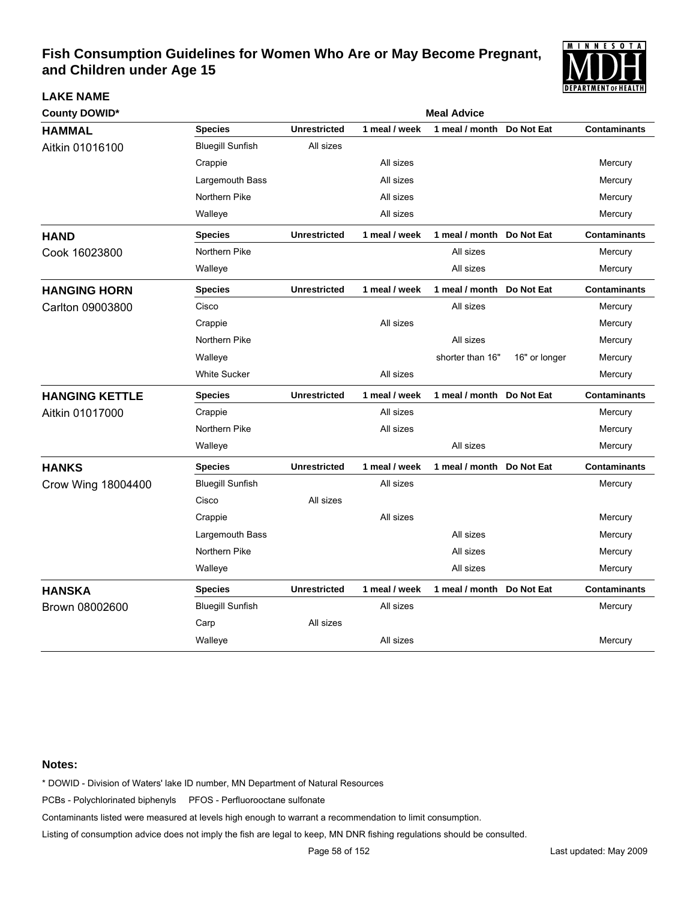

| <b>County DOWID*</b>  | <b>Meal Advice</b>      |                     |               |                           |               |                     |  |  |
|-----------------------|-------------------------|---------------------|---------------|---------------------------|---------------|---------------------|--|--|
| <b>HAMMAL</b>         | <b>Species</b>          | <b>Unrestricted</b> | 1 meal / week | 1 meal / month            | Do Not Eat    | <b>Contaminants</b> |  |  |
| Aitkin 01016100       | <b>Bluegill Sunfish</b> | All sizes           |               |                           |               |                     |  |  |
|                       | Crappie                 |                     | All sizes     |                           |               | Mercury             |  |  |
|                       | Largemouth Bass         |                     | All sizes     |                           |               | Mercury             |  |  |
|                       | Northern Pike           |                     | All sizes     |                           |               | Mercury             |  |  |
|                       | Walleye                 |                     | All sizes     |                           |               | Mercury             |  |  |
| <b>HAND</b>           | <b>Species</b>          | <b>Unrestricted</b> | 1 meal / week | 1 meal / month Do Not Eat |               | <b>Contaminants</b> |  |  |
| Cook 16023800         | Northern Pike           |                     |               | All sizes                 |               | Mercury             |  |  |
|                       | Walleye                 |                     |               | All sizes                 |               | Mercury             |  |  |
| <b>HANGING HORN</b>   | Species                 | <b>Unrestricted</b> | 1 meal / week | 1 meal / month            | Do Not Eat    | <b>Contaminants</b> |  |  |
| Carlton 09003800      | Cisco                   |                     |               | All sizes                 |               | Mercury             |  |  |
|                       | Crappie                 |                     | All sizes     |                           |               | Mercury             |  |  |
|                       | Northern Pike           |                     |               | All sizes                 |               | Mercury             |  |  |
|                       | Walleye                 |                     |               | shorter than 16"          | 16" or longer | Mercury             |  |  |
|                       | <b>White Sucker</b>     |                     | All sizes     |                           |               | Mercury             |  |  |
| <b>HANGING KETTLE</b> | <b>Species</b>          | <b>Unrestricted</b> | 1 meal / week | 1 meal / month            | Do Not Eat    | <b>Contaminants</b> |  |  |
| Aitkin 01017000       | Crappie                 |                     | All sizes     |                           |               | Mercury             |  |  |
|                       | Northern Pike           |                     | All sizes     |                           |               | Mercury             |  |  |
|                       | Walleye                 |                     |               | All sizes                 |               | Mercury             |  |  |
| <b>HANKS</b>          | <b>Species</b>          | <b>Unrestricted</b> | 1 meal / week | 1 meal / month            | Do Not Eat    | <b>Contaminants</b> |  |  |
| Crow Wing 18004400    | <b>Bluegill Sunfish</b> |                     | All sizes     |                           |               | Mercury             |  |  |
|                       | Cisco                   | All sizes           |               |                           |               |                     |  |  |
|                       | Crappie                 |                     | All sizes     |                           |               | Mercury             |  |  |
|                       | Largemouth Bass         |                     |               | All sizes                 |               | Mercury             |  |  |
|                       | Northern Pike           |                     |               | All sizes                 |               | Mercury             |  |  |
|                       | Walleye                 |                     |               | All sizes                 |               | Mercury             |  |  |
| <b>HANSKA</b>         | <b>Species</b>          | <b>Unrestricted</b> | 1 meal / week | 1 meal / month            | Do Not Eat    | <b>Contaminants</b> |  |  |
| Brown 08002600        | <b>Bluegill Sunfish</b> |                     | All sizes     |                           |               | Mercury             |  |  |
|                       | Carp                    | All sizes           |               |                           |               |                     |  |  |
|                       | Walleye                 |                     | All sizes     |                           |               | Mercury             |  |  |

#### **Notes:**

**LAKE NAME**

\* DOWID - Division of Waters' lake ID number, MN Department of Natural Resources

PCBs - Polychlorinated biphenyls PFOS - Perfluorooctane sulfonate

Contaminants listed were measured at levels high enough to warrant a recommendation to limit consumption.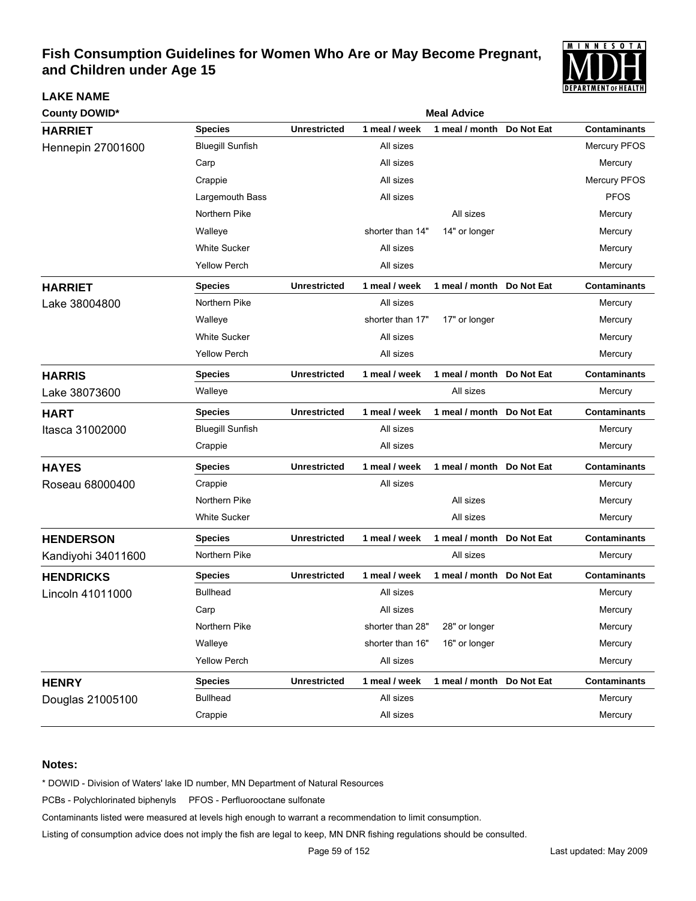

| <b>County DOWID*</b>     | <b>Meal Advice</b>      |                     |                  |                            |            |                     |  |  |
|--------------------------|-------------------------|---------------------|------------------|----------------------------|------------|---------------------|--|--|
| <b>HARRIET</b>           | <b>Species</b>          | <b>Unrestricted</b> | 1 meal / week    | 1 meal / month Do Not Eat  |            | <b>Contaminants</b> |  |  |
| <b>Hennepin 27001600</b> | <b>Bluegill Sunfish</b> |                     | All sizes        |                            |            | Mercury PFOS        |  |  |
|                          | Carp                    |                     | All sizes        |                            |            | Mercury             |  |  |
|                          | Crappie                 |                     | All sizes        |                            |            | Mercury PFOS        |  |  |
|                          | Largemouth Bass         |                     | All sizes        |                            |            | <b>PFOS</b>         |  |  |
|                          | Northern Pike           |                     |                  | All sizes                  |            | Mercury             |  |  |
|                          | Walleye                 |                     | shorter than 14" | 14" or longer              |            | Mercury             |  |  |
|                          | <b>White Sucker</b>     |                     | All sizes        |                            |            | Mercury             |  |  |
|                          | <b>Yellow Perch</b>     |                     | All sizes        |                            |            | Mercury             |  |  |
| <b>HARRIET</b>           | <b>Species</b>          | <b>Unrestricted</b> | 1 meal / week    | 1 meal / month Do Not Eat  |            | <b>Contaminants</b> |  |  |
| Lake 38004800            | Northern Pike           |                     | All sizes        |                            |            | Mercury             |  |  |
|                          | Walleye                 |                     | shorter than 17" | 17" or longer              |            | Mercury             |  |  |
|                          | <b>White Sucker</b>     |                     | All sizes        |                            |            | Mercury             |  |  |
|                          | <b>Yellow Perch</b>     |                     | All sizes        |                            |            | Mercury             |  |  |
| <b>HARRIS</b>            | <b>Species</b>          | <b>Unrestricted</b> | 1 meal / week    | 1 meal / month Do Not Eat  |            | <b>Contaminants</b> |  |  |
| Lake 38073600            | Walleye                 |                     |                  | All sizes                  |            | Mercury             |  |  |
| <b>HART</b>              | <b>Species</b>          | <b>Unrestricted</b> | 1 meal / week    | 1 meal / month Do Not Eat  |            | <b>Contaminants</b> |  |  |
| Itasca 31002000          | <b>Bluegill Sunfish</b> |                     | All sizes        |                            |            | Mercury             |  |  |
|                          | Crappie                 |                     | All sizes        |                            |            | Mercury             |  |  |
| <b>HAYES</b>             | <b>Species</b>          | <b>Unrestricted</b> | 1 meal / week    | 1 meal / month Do Not Eat  |            | <b>Contaminants</b> |  |  |
| Roseau 68000400          | Crappie                 |                     | All sizes        |                            |            | Mercury             |  |  |
|                          | Northern Pike           |                     |                  | All sizes                  |            | Mercury             |  |  |
|                          | <b>White Sucker</b>     |                     |                  | All sizes                  |            | Mercury             |  |  |
| <b>HENDERSON</b>         | <b>Species</b>          | <b>Unrestricted</b> | 1 meal / week    | 1 meal / month             | Do Not Eat | <b>Contaminants</b> |  |  |
| Kandiyohi 34011600       | Northern Pike           |                     |                  | All sizes                  |            | Mercury             |  |  |
| <b>HENDRICKS</b>         | <b>Species</b>          | <b>Unrestricted</b> | 1 meal / week    | 1 meal / month Do Not Eat  |            | <b>Contaminants</b> |  |  |
| Lincoln 41011000         | <b>Bullhead</b>         |                     | All sizes        |                            |            | Mercury             |  |  |
|                          | Carp                    |                     | All sizes        |                            |            | Mercury             |  |  |
|                          | Northern Pike           |                     | shorter than 28" | 28" or longer              |            | Mercury             |  |  |
|                          | Walleye                 |                     | shorter than 16" | 16" or longer              |            | Mercury             |  |  |
|                          | <b>Yellow Perch</b>     |                     | All sizes        |                            |            | Mercury             |  |  |
| <b>HENRY</b>             | <b>Species</b>          | <b>Unrestricted</b> | 1 meal / week    | 1 meal / month  Do Not Eat |            | <b>Contaminants</b> |  |  |
| Douglas 21005100         | <b>Bullhead</b>         |                     | All sizes        |                            |            | Mercury             |  |  |
|                          | Crappie                 |                     | All sizes        |                            |            | Mercury             |  |  |

#### **Notes:**

**LAKE NAME**

\* DOWID - Division of Waters' lake ID number, MN Department of Natural Resources

PCBs - Polychlorinated biphenyls PFOS - Perfluorooctane sulfonate

Contaminants listed were measured at levels high enough to warrant a recommendation to limit consumption.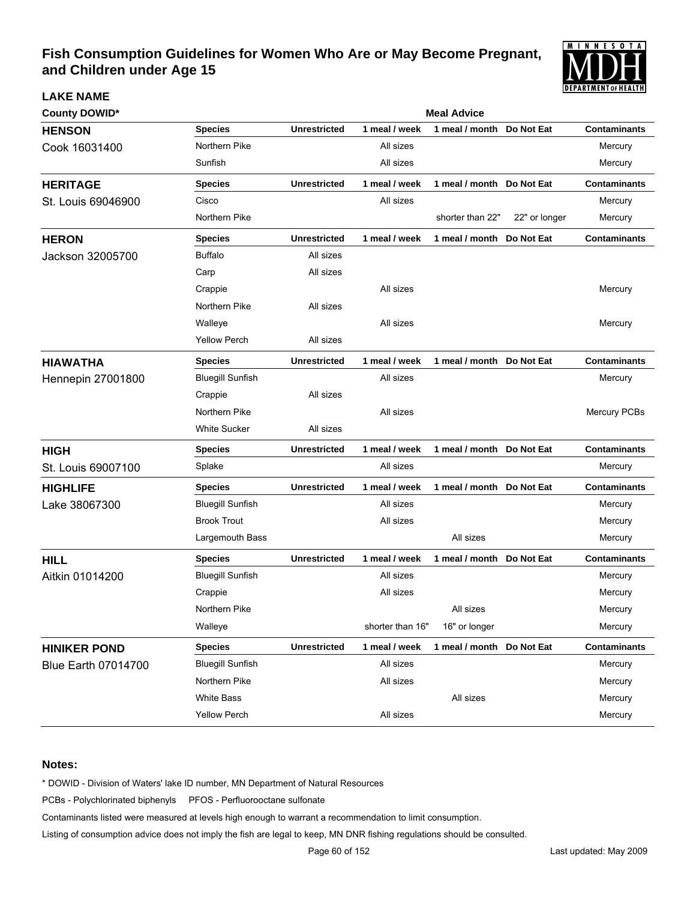

| <b>County DOWID*</b>       |                         | <b>Meal Advice</b>  |                  |                           |               |                     |  |  |  |  |
|----------------------------|-------------------------|---------------------|------------------|---------------------------|---------------|---------------------|--|--|--|--|
| <b>HENSON</b>              | <b>Species</b>          | <b>Unrestricted</b> | 1 meal / week    | 1 meal / month            | Do Not Eat    | <b>Contaminants</b> |  |  |  |  |
| Cook 16031400              | Northern Pike           |                     | All sizes        |                           |               | Mercury             |  |  |  |  |
|                            | Sunfish                 |                     | All sizes        |                           |               | Mercury             |  |  |  |  |
| <b>HERITAGE</b>            | <b>Species</b>          | <b>Unrestricted</b> | 1 meal / week    | 1 meal / month Do Not Eat |               | <b>Contaminants</b> |  |  |  |  |
| St. Louis 69046900         | Cisco                   |                     | All sizes        |                           |               | Mercury             |  |  |  |  |
|                            | Northern Pike           |                     |                  | shorter than 22"          | 22" or longer | Mercury             |  |  |  |  |
| <b>HERON</b>               | <b>Species</b>          | <b>Unrestricted</b> | 1 meal / week    | 1 meal / month Do Not Eat |               | <b>Contaminants</b> |  |  |  |  |
| Jackson 32005700           | <b>Buffalo</b>          | All sizes           |                  |                           |               |                     |  |  |  |  |
|                            | Carp                    | All sizes           |                  |                           |               |                     |  |  |  |  |
|                            | Crappie                 |                     | All sizes        |                           |               | Mercury             |  |  |  |  |
|                            | Northern Pike           | All sizes           |                  |                           |               |                     |  |  |  |  |
|                            | Walleye                 |                     | All sizes        |                           |               | Mercury             |  |  |  |  |
|                            | <b>Yellow Perch</b>     | All sizes           |                  |                           |               |                     |  |  |  |  |
| <b>HIAWATHA</b>            | <b>Species</b>          | <b>Unrestricted</b> | 1 meal / week    | 1 meal / month Do Not Eat |               | <b>Contaminants</b> |  |  |  |  |
| <b>Hennepin 27001800</b>   | <b>Bluegill Sunfish</b> |                     | All sizes        |                           |               | Mercury             |  |  |  |  |
|                            | Crappie                 | All sizes           |                  |                           |               |                     |  |  |  |  |
|                            | Northern Pike           |                     | All sizes        |                           |               | Mercury PCBs        |  |  |  |  |
|                            | <b>White Sucker</b>     | All sizes           |                  |                           |               |                     |  |  |  |  |
| <b>HIGH</b>                | <b>Species</b>          | <b>Unrestricted</b> | 1 meal / week    | 1 meal / month Do Not Eat |               | <b>Contaminants</b> |  |  |  |  |
| St. Louis 69007100         | Splake                  |                     | All sizes        |                           |               | Mercury             |  |  |  |  |
| <b>HIGHLIFE</b>            | <b>Species</b>          | <b>Unrestricted</b> | 1 meal / week    | 1 meal / month Do Not Eat |               | <b>Contaminants</b> |  |  |  |  |
| Lake 38067300              | <b>Bluegill Sunfish</b> |                     | All sizes        |                           |               | Mercury             |  |  |  |  |
|                            | <b>Brook Trout</b>      |                     | All sizes        |                           |               | Mercury             |  |  |  |  |
|                            | Largemouth Bass         |                     |                  | All sizes                 |               | Mercury             |  |  |  |  |
| <b>HILL</b>                | <b>Species</b>          | <b>Unrestricted</b> | 1 meal / week    | 1 meal / month Do Not Eat |               | <b>Contaminants</b> |  |  |  |  |
| Aitkin 01014200            | <b>Bluegill Sunfish</b> |                     | All sizes        |                           |               | Mercury             |  |  |  |  |
|                            | Crappie                 |                     | All sizes        |                           |               | Mercury             |  |  |  |  |
|                            | Northern Pike           |                     |                  | All sizes                 |               | Mercury             |  |  |  |  |
|                            | Walleye                 |                     | shorter than 16" | 16" or longer             |               | Mercury             |  |  |  |  |
| <b>HINIKER POND</b>        | <b>Species</b>          | <b>Unrestricted</b> | 1 meal / week    | 1 meal / month Do Not Eat |               | <b>Contaminants</b> |  |  |  |  |
| <b>Blue Earth 07014700</b> | <b>Bluegill Sunfish</b> |                     | All sizes        |                           |               | Mercury             |  |  |  |  |
|                            | Northern Pike           |                     | All sizes        |                           |               | Mercury             |  |  |  |  |
|                            | White Bass              |                     |                  | All sizes                 |               | Mercury             |  |  |  |  |
|                            | <b>Yellow Perch</b>     |                     | All sizes        |                           |               | Mercury             |  |  |  |  |

#### **Notes:**

**LAKE NAME**

\* DOWID - Division of Waters' lake ID number, MN Department of Natural Resources

PCBs - Polychlorinated biphenyls PFOS - Perfluorooctane sulfonate

Contaminants listed were measured at levels high enough to warrant a recommendation to limit consumption.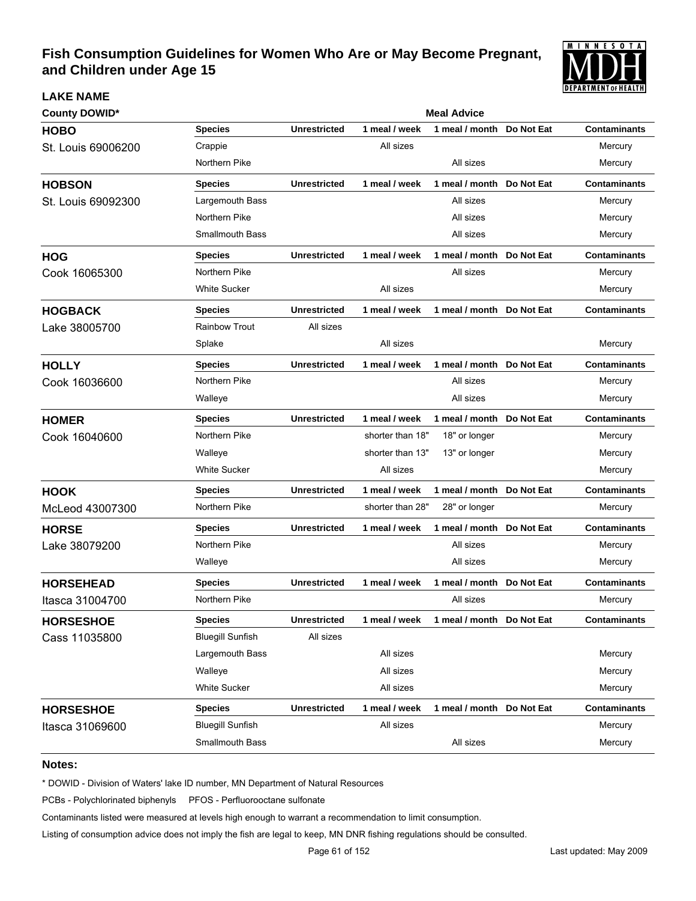

# **County DOWID\* Meal Advice Meal Advice Meal Advice Meal Advice Meal Advice HOBO Species Unrestricted 1 meal / week 1 meal / month Do Not Eat Contaminants** St. Louis 69006200 Crappie Crappie All sizes All sizes All sizes All sizes Mercury Northern Pike **Mercury All sizes** All sizes **Mercury HOBSON Species Unrestricted 1 meal / week 1 meal / month Do Not Eat Contaminants** St. Louis 69092300 Largemouth Bass All sizes All sizes All sizes Mercury Northern Pike All sizes All sizes All sizes All sizes All sizes All sizes All sizes All sizes All sizes All sizes All sizes All sizes All sizes All sizes All sizes All sizes All sizes All sizes All sizes All sizes All size Smallmouth Bass **All sizes** All sizes **All sizes** Mercury **HOG Species Unrestricted 1 meal / week 1 meal / month Do Not Eat Contaminants** Cook 16065300 Northern Pike All sizes All sizes Mercury White Sucker All sizes Mercury **HOGBACK Species Unrestricted 1 meal / week 1 meal / month Do Not Eat Contaminants** Lake 38005700 Rainbow Trout All sizes Splake All sizes Mercury **HOLLY Species Unrestricted 1 meal / week 1 meal / month Do Not Eat Contaminants** Cook 16036600 Northern Pike All sizes All sizes Mercury Walleye All sizes Mercury **HOMER Species Unrestricted 1 meal / week 1 meal / month Do Not Eat Contaminants** Cook 16040600 Morthern Pike shorter than 18" 18" or longer Mercury Walleye **Shorter than 13"** 13" or longer Mercury Mercury White Sucker **All sizes** All sizes **All sizes** Mercury **HOOK Species Unrestricted 1 meal / week 1 meal / month Do Not Eat Contaminants** McLeod 43007300 Morthern Pike shorter than 28" 28" or longer Mercury **HORSE Species Unrestricted 1 meal / week 1 meal / month Do Not Eat Contaminants** Lake 38079200 **Northern Pike** All sizes All sizes Mercury Walleye All sizes Mercury **HORSEHEAD Species Unrestricted 1 meal / week 1 meal / month Do Not Eat Contaminants Itasca 31004700** Northern Pike **Northern Pike All sizes** All sizes All sizes Mercury **HORSESHOE Species Unrestricted 1 meal / week 1 meal / month Do Not Eat Contaminants** Cass 11035800 Bluegill Sunfish All sizes Largemouth Bass **All sizes** All sizes **All sizes** Mercury Walleye All sizes Mercury White Sucker **Material sizes** All sizes **All sizes** Mercury **Material Sucker** Mercury **HORSESHOE Species Unrestricted 1 meal / week 1 meal / month Do Not Eat Contaminants** Itasca 31069600 Bluegill Sunfish All sizes All sizes All sizes All sizes Mercury Smallmouth Bass **All sizes** All sizes **All sizes** Mercury

#### **Notes:**

**LAKE NAME**

\* DOWID - Division of Waters' lake ID number, MN Department of Natural Resources

PCBs - Polychlorinated biphenyls PFOS - Perfluorooctane sulfonate

Contaminants listed were measured at levels high enough to warrant a recommendation to limit consumption.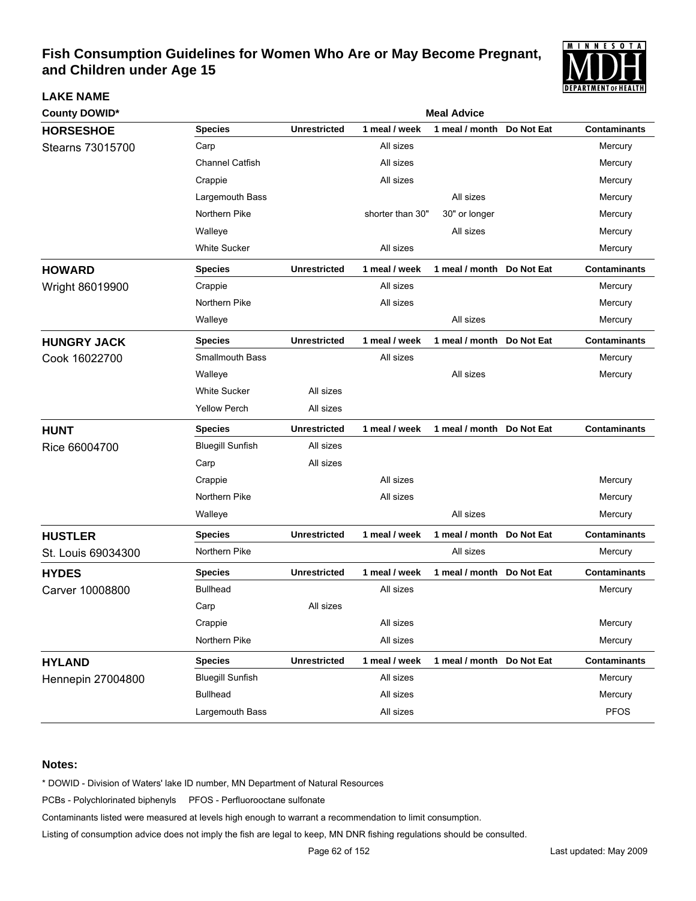

| <b>County DOWID*</b> |                         |                     |                  | <b>Meal Advice</b>        |            |                     |
|----------------------|-------------------------|---------------------|------------------|---------------------------|------------|---------------------|
| <b>HORSESHOE</b>     | <b>Species</b>          | <b>Unrestricted</b> | 1 meal / week    | 1 meal / month            | Do Not Eat | <b>Contaminants</b> |
| Stearns 73015700     | Carp                    |                     | All sizes        |                           |            | Mercury             |
|                      | <b>Channel Catfish</b>  |                     | All sizes        |                           |            | Mercury             |
|                      | Crappie                 |                     | All sizes        |                           |            | Mercury             |
|                      | Largemouth Bass         |                     |                  | All sizes                 |            | Mercury             |
|                      | Northern Pike           |                     | shorter than 30" | 30" or longer             |            | Mercury             |
|                      | Walleye                 |                     |                  | All sizes                 |            | Mercury             |
|                      | <b>White Sucker</b>     |                     | All sizes        |                           |            | Mercury             |
| <b>HOWARD</b>        | <b>Species</b>          | <b>Unrestricted</b> | 1 meal / week    | 1 meal / month Do Not Eat |            | <b>Contaminants</b> |
| Wright 86019900      | Crappie                 |                     | All sizes        |                           |            | Mercury             |
|                      | Northern Pike           |                     | All sizes        |                           |            | Mercury             |
|                      | Walleye                 |                     |                  | All sizes                 |            | Mercury             |
| <b>HUNGRY JACK</b>   | <b>Species</b>          | <b>Unrestricted</b> | 1 meal / week    | 1 meal / month Do Not Eat |            | <b>Contaminants</b> |
| Cook 16022700        | <b>Smallmouth Bass</b>  |                     | All sizes        |                           |            | Mercury             |
|                      | Walleye                 |                     |                  | All sizes                 |            | Mercury             |
|                      | <b>White Sucker</b>     | All sizes           |                  |                           |            |                     |
|                      | <b>Yellow Perch</b>     | All sizes           |                  |                           |            |                     |
| <b>HUNT</b>          | <b>Species</b>          | <b>Unrestricted</b> | 1 meal / week    | 1 meal / month Do Not Eat |            | <b>Contaminants</b> |
| Rice 66004700        | <b>Bluegill Sunfish</b> | All sizes           |                  |                           |            |                     |
|                      | Carp                    | All sizes           |                  |                           |            |                     |
|                      | Crappie                 |                     | All sizes        |                           |            | Mercury             |
|                      | Northern Pike           |                     | All sizes        |                           |            | Mercury             |
|                      | Walleye                 |                     |                  | All sizes                 |            | Mercury             |
| <b>HUSTLER</b>       | <b>Species</b>          | <b>Unrestricted</b> | 1 meal / week    | 1 meal / month Do Not Eat |            | <b>Contaminants</b> |
| St. Louis 69034300   | Northern Pike           |                     |                  | All sizes                 |            | Mercury             |
| <b>HYDES</b>         | <b>Species</b>          | <b>Unrestricted</b> | 1 meal / week    | 1 meal / month Do Not Eat |            | <b>Contaminants</b> |
| Carver 10008800      | <b>Bullhead</b>         |                     | All sizes        |                           |            | Mercury             |
|                      | Carp                    | All sizes           |                  |                           |            |                     |
|                      | Crappie                 |                     | All sizes        |                           |            | Mercury             |
|                      | Northern Pike           |                     | All sizes        |                           |            | Mercury             |
| <b>HYLAND</b>        | <b>Species</b>          | <b>Unrestricted</b> | 1 meal / week    | 1 meal / month Do Not Eat |            | <b>Contaminants</b> |
| Hennepin 27004800    | <b>Bluegill Sunfish</b> |                     | All sizes        |                           |            | Mercury             |
|                      | <b>Bullhead</b>         |                     | All sizes        |                           |            | Mercury             |
|                      | Largemouth Bass         |                     | All sizes        |                           |            | <b>PFOS</b>         |

#### **Notes:**

**LAKE NAME**

\* DOWID - Division of Waters' lake ID number, MN Department of Natural Resources

PCBs - Polychlorinated biphenyls PFOS - Perfluorooctane sulfonate

Contaminants listed were measured at levels high enough to warrant a recommendation to limit consumption.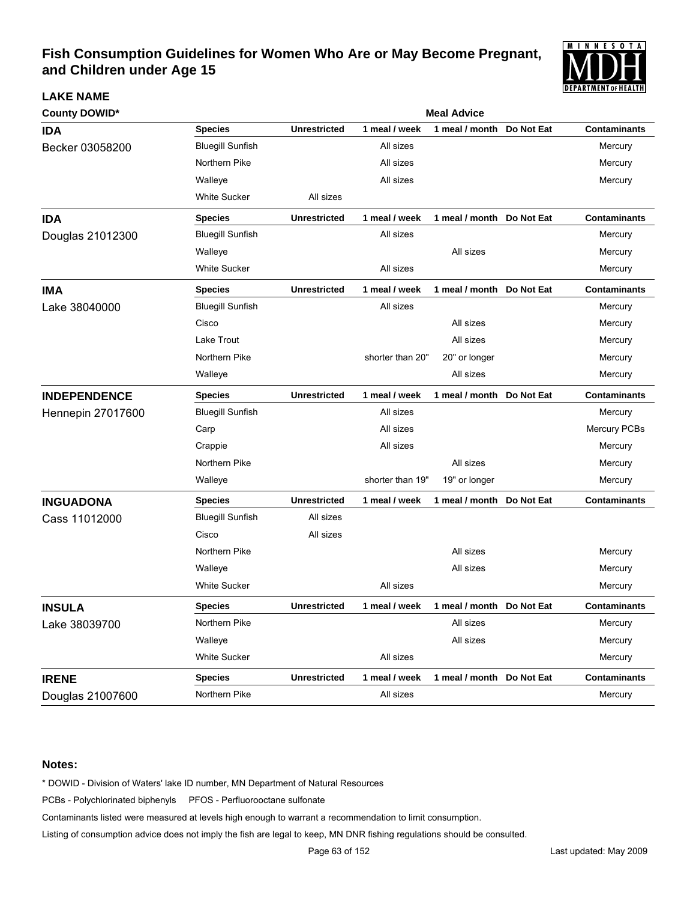

| <b>County DOWID*</b>     |                         | <b>Meal Advice</b>  |                  |                            |            |                     |  |  |  |
|--------------------------|-------------------------|---------------------|------------------|----------------------------|------------|---------------------|--|--|--|
| <b>IDA</b>               | <b>Species</b>          | <b>Unrestricted</b> | 1 meal / week    | 1 meal / month             | Do Not Eat | <b>Contaminants</b> |  |  |  |
| Becker 03058200          | <b>Bluegill Sunfish</b> |                     | All sizes        |                            |            | Mercury             |  |  |  |
|                          | Northern Pike           |                     | All sizes        |                            |            | Mercury             |  |  |  |
|                          | Walleye                 |                     | All sizes        |                            |            | Mercury             |  |  |  |
|                          | <b>White Sucker</b>     | All sizes           |                  |                            |            |                     |  |  |  |
| <b>IDA</b>               | <b>Species</b>          | <b>Unrestricted</b> | 1 meal / week    | 1 meal / month Do Not Eat  |            | <b>Contaminants</b> |  |  |  |
| Douglas 21012300         | <b>Bluegill Sunfish</b> |                     | All sizes        |                            |            | Mercury             |  |  |  |
|                          | Walleye                 |                     |                  | All sizes                  |            | Mercury             |  |  |  |
|                          | <b>White Sucker</b>     |                     | All sizes        |                            |            | Mercury             |  |  |  |
| <b>IMA</b>               | <b>Species</b>          | <b>Unrestricted</b> | 1 meal / week    | 1 meal / month Do Not Eat  |            | <b>Contaminants</b> |  |  |  |
| Lake 38040000            | <b>Bluegill Sunfish</b> |                     | All sizes        |                            |            | Mercury             |  |  |  |
|                          | Cisco                   |                     |                  | All sizes                  |            | Mercury             |  |  |  |
|                          | Lake Trout              |                     |                  | All sizes                  |            | Mercury             |  |  |  |
|                          | Northern Pike           |                     | shorter than 20" | 20" or longer              |            | Mercury             |  |  |  |
|                          | Walleye                 |                     |                  | All sizes                  |            | Mercury             |  |  |  |
| <b>INDEPENDENCE</b>      | <b>Species</b>          | <b>Unrestricted</b> | 1 meal / week    | 1 meal / month Do Not Eat  |            | <b>Contaminants</b> |  |  |  |
| <b>Hennepin 27017600</b> | <b>Bluegill Sunfish</b> |                     | All sizes        |                            |            | Mercury             |  |  |  |
|                          | Carp                    |                     | All sizes        |                            |            | Mercury PCBs        |  |  |  |
|                          | Crappie                 |                     | All sizes        |                            |            | Mercury             |  |  |  |
|                          | Northern Pike           |                     |                  | All sizes                  |            | Mercury             |  |  |  |
|                          | Walleye                 |                     | shorter than 19" | 19" or longer              |            | Mercury             |  |  |  |
| <b>INGUADONA</b>         | <b>Species</b>          | <b>Unrestricted</b> | 1 meal / week    | 1 meal / month Do Not Eat  |            | <b>Contaminants</b> |  |  |  |
| Cass 11012000            | <b>Bluegill Sunfish</b> | All sizes           |                  |                            |            |                     |  |  |  |
|                          | Cisco                   | All sizes           |                  |                            |            |                     |  |  |  |
|                          | Northern Pike           |                     |                  | All sizes                  |            | Mercury             |  |  |  |
|                          | Walleye                 |                     |                  | All sizes                  |            | Mercury             |  |  |  |
|                          | <b>White Sucker</b>     |                     | All sizes        |                            |            | Mercury             |  |  |  |
| <b>INSULA</b>            | <b>Species</b>          | Unrestricted        | 1 meal / week    | 1 meal / month Do Not Eat  |            | Contaminants        |  |  |  |
| Lake 38039700            | Northern Pike           |                     |                  | All sizes                  |            | Mercury             |  |  |  |
|                          | Walleye                 |                     |                  | All sizes                  |            | Mercury             |  |  |  |
|                          | White Sucker            |                     | All sizes        |                            |            | Mercury             |  |  |  |
| <b>IRENE</b>             | <b>Species</b>          | <b>Unrestricted</b> | 1 meal / week    | 1 meal / month  Do Not Eat |            | <b>Contaminants</b> |  |  |  |
| Douglas 21007600         | Northern Pike           |                     | All sizes        |                            |            | Mercury             |  |  |  |

#### **Notes:**

**LAKE NAME**

\* DOWID - Division of Waters' lake ID number, MN Department of Natural Resources

PCBs - Polychlorinated biphenyls PFOS - Perfluorooctane sulfonate

Contaminants listed were measured at levels high enough to warrant a recommendation to limit consumption.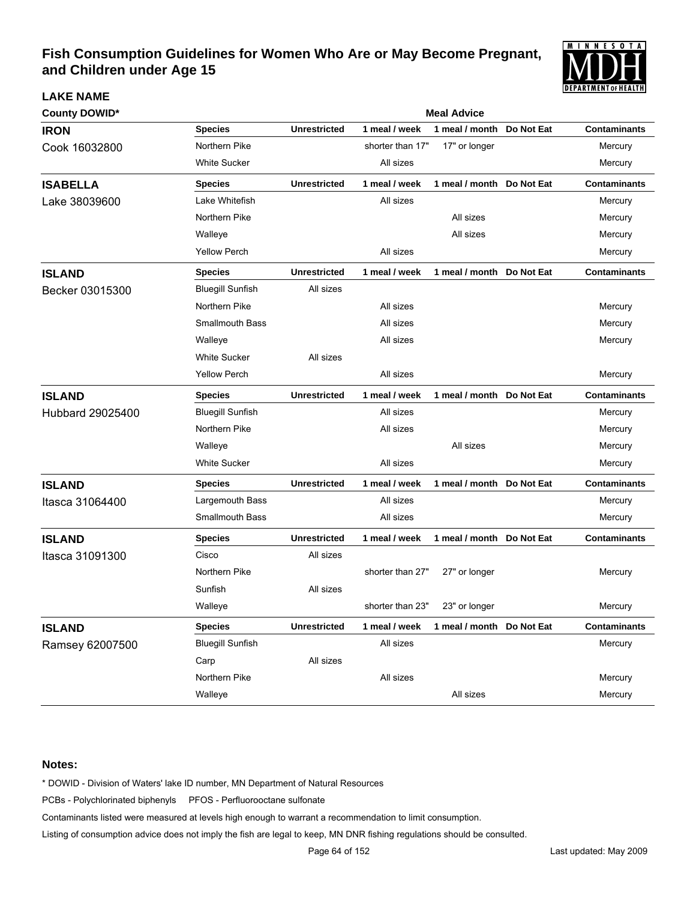

| <b>County DOWID*</b> |                         | <b>Meal Advice</b>  |                  |                           |            |                     |  |  |  |
|----------------------|-------------------------|---------------------|------------------|---------------------------|------------|---------------------|--|--|--|
| <b>IRON</b>          | <b>Species</b>          | <b>Unrestricted</b> | 1 meal / week    | 1 meal / month            | Do Not Eat | <b>Contaminants</b> |  |  |  |
| Cook 16032800        | Northern Pike           |                     | shorter than 17" | 17" or longer             |            | Mercury             |  |  |  |
|                      | <b>White Sucker</b>     |                     | All sizes        |                           |            | Mercury             |  |  |  |
| <b>ISABELLA</b>      | <b>Species</b>          | <b>Unrestricted</b> | 1 meal / week    | 1 meal / month Do Not Eat |            | <b>Contaminants</b> |  |  |  |
| Lake 38039600        | Lake Whitefish          |                     | All sizes        |                           |            | Mercury             |  |  |  |
|                      | Northern Pike           |                     |                  | All sizes                 |            | Mercury             |  |  |  |
|                      | Walleye                 |                     |                  | All sizes                 |            | Mercury             |  |  |  |
|                      | <b>Yellow Perch</b>     |                     | All sizes        |                           |            | Mercury             |  |  |  |
| <b>ISLAND</b>        | <b>Species</b>          | <b>Unrestricted</b> | 1 meal / week    | 1 meal / month            | Do Not Eat | <b>Contaminants</b> |  |  |  |
| Becker 03015300      | <b>Bluegill Sunfish</b> | All sizes           |                  |                           |            |                     |  |  |  |
|                      | Northern Pike           |                     | All sizes        |                           |            | Mercury             |  |  |  |
|                      | <b>Smallmouth Bass</b>  |                     | All sizes        |                           |            | Mercury             |  |  |  |
|                      | Walleye                 |                     | All sizes        |                           |            | Mercury             |  |  |  |
|                      | <b>White Sucker</b>     | All sizes           |                  |                           |            |                     |  |  |  |
|                      | <b>Yellow Perch</b>     |                     | All sizes        |                           |            | Mercury             |  |  |  |
| <b>ISLAND</b>        | <b>Species</b>          | <b>Unrestricted</b> | 1 meal / week    | 1 meal / month            | Do Not Eat | <b>Contaminants</b> |  |  |  |
| Hubbard 29025400     | <b>Bluegill Sunfish</b> |                     | All sizes        |                           |            | Mercury             |  |  |  |
|                      | Northern Pike           |                     | All sizes        |                           |            | Mercury             |  |  |  |
|                      | Walleye                 |                     |                  | All sizes                 |            | Mercury             |  |  |  |
|                      | <b>White Sucker</b>     |                     | All sizes        |                           |            | Mercury             |  |  |  |
| <b>ISLAND</b>        | <b>Species</b>          | <b>Unrestricted</b> | 1 meal / week    | 1 meal / month Do Not Eat |            | <b>Contaminants</b> |  |  |  |
| Itasca 31064400      | Largemouth Bass         |                     | All sizes        |                           |            | Mercury             |  |  |  |
|                      | <b>Smallmouth Bass</b>  |                     | All sizes        |                           |            | Mercury             |  |  |  |
| <b>ISLAND</b>        | <b>Species</b>          | <b>Unrestricted</b> | 1 meal / week    | 1 meal / month Do Not Eat |            | <b>Contaminants</b> |  |  |  |
| Itasca 31091300      | Cisco                   | All sizes           |                  |                           |            |                     |  |  |  |
|                      | Northern Pike           |                     | shorter than 27" | 27" or longer             |            | Mercury             |  |  |  |
|                      | Sunfish                 | All sizes           |                  |                           |            |                     |  |  |  |
|                      | Walleye                 |                     | shorter than 23" | 23" or longer             |            | Mercury             |  |  |  |
| <b>ISLAND</b>        | <b>Species</b>          | <b>Unrestricted</b> | 1 meal / week    | 1 meal / month Do Not Eat |            | <b>Contaminants</b> |  |  |  |
| Ramsey 62007500      | <b>Bluegill Sunfish</b> |                     | All sizes        |                           |            | Mercury             |  |  |  |
|                      | Carp                    | All sizes           |                  |                           |            |                     |  |  |  |
|                      | Northern Pike           |                     | All sizes        |                           |            | Mercury             |  |  |  |
|                      | Walleye                 |                     |                  | All sizes                 |            | Mercury             |  |  |  |

#### **Notes:**

**LAKE NAME**

\* DOWID - Division of Waters' lake ID number, MN Department of Natural Resources

PCBs - Polychlorinated biphenyls PFOS - Perfluorooctane sulfonate

Contaminants listed were measured at levels high enough to warrant a recommendation to limit consumption.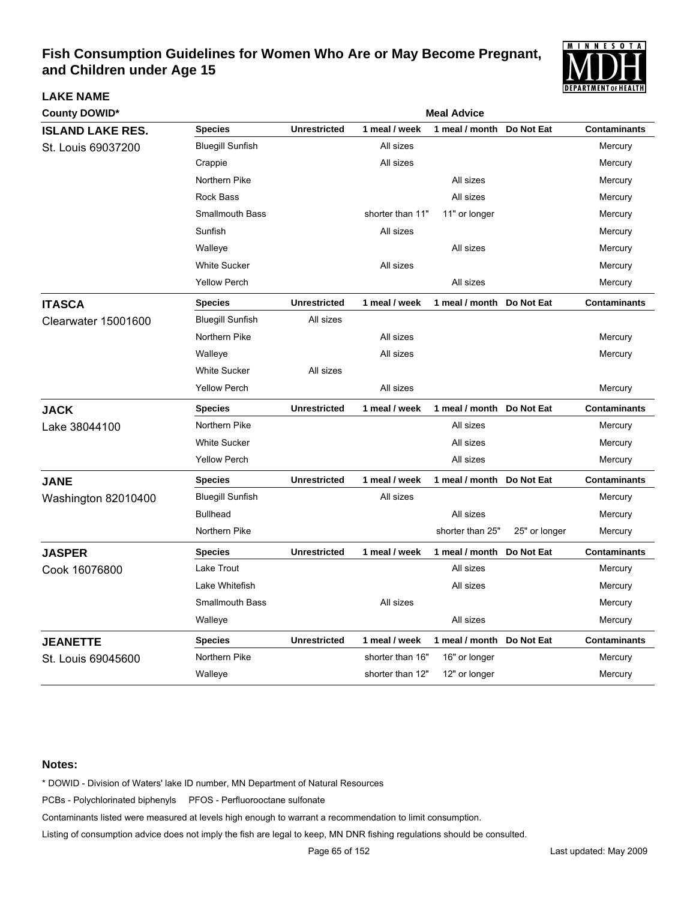

| <b>County DOWID*</b>    |                         | <b>Meal Advice</b>  |                  |                           |               |                     |  |  |
|-------------------------|-------------------------|---------------------|------------------|---------------------------|---------------|---------------------|--|--|
| <b>ISLAND LAKE RES.</b> | <b>Species</b>          | <b>Unrestricted</b> | 1 meal / week    | 1 meal / month            | Do Not Eat    | <b>Contaminants</b> |  |  |
| St. Louis 69037200      | <b>Bluegill Sunfish</b> |                     | All sizes        |                           |               | Mercury             |  |  |
|                         | Crappie                 |                     | All sizes        |                           |               | Mercury             |  |  |
|                         | Northern Pike           |                     |                  | All sizes                 |               | Mercury             |  |  |
|                         | Rock Bass               |                     |                  | All sizes                 |               | Mercury             |  |  |
|                         | <b>Smallmouth Bass</b>  |                     | shorter than 11" | 11" or longer             |               | Mercury             |  |  |
|                         | Sunfish                 |                     | All sizes        |                           |               | Mercury             |  |  |
|                         | Walleye                 |                     |                  | All sizes                 |               | Mercury             |  |  |
|                         | <b>White Sucker</b>     |                     | All sizes        |                           |               | Mercury             |  |  |
|                         | <b>Yellow Perch</b>     |                     |                  | All sizes                 |               | Mercury             |  |  |
| <b>ITASCA</b>           | <b>Species</b>          | <b>Unrestricted</b> | 1 meal / week    | 1 meal / month            | Do Not Eat    | <b>Contaminants</b> |  |  |
| Clearwater 15001600     | <b>Bluegill Sunfish</b> | All sizes           |                  |                           |               |                     |  |  |
|                         | Northern Pike           |                     | All sizes        |                           |               | Mercury             |  |  |
|                         | Walleye                 |                     | All sizes        |                           |               | Mercury             |  |  |
|                         | <b>White Sucker</b>     | All sizes           |                  |                           |               |                     |  |  |
|                         | <b>Yellow Perch</b>     |                     | All sizes        |                           |               | Mercury             |  |  |
| <b>JACK</b>             | <b>Species</b>          | <b>Unrestricted</b> | 1 meal / week    | 1 meal / month Do Not Eat |               | <b>Contaminants</b> |  |  |
| Lake 38044100           | Northern Pike           |                     |                  | All sizes                 |               | Mercury             |  |  |
|                         | <b>White Sucker</b>     |                     |                  | All sizes                 |               | Mercury             |  |  |
|                         | <b>Yellow Perch</b>     |                     |                  | All sizes                 |               | Mercury             |  |  |
| <b>JANE</b>             | <b>Species</b>          | <b>Unrestricted</b> | 1 meal / week    | 1 meal / month            | Do Not Eat    | <b>Contaminants</b> |  |  |
| Washington 82010400     | <b>Bluegill Sunfish</b> |                     | All sizes        |                           |               | Mercury             |  |  |
|                         | <b>Bullhead</b>         |                     |                  | All sizes                 |               | Mercury             |  |  |
|                         | Northern Pike           |                     |                  | shorter than 25"          | 25" or longer | Mercury             |  |  |
| <b>JASPER</b>           | <b>Species</b>          | <b>Unrestricted</b> | 1 meal / week    | 1 meal / month            | Do Not Eat    | <b>Contaminants</b> |  |  |
| Cook 16076800           | Lake Trout              |                     |                  | All sizes                 |               | Mercury             |  |  |
|                         | Lake Whitefish          |                     |                  | All sizes                 |               | Mercury             |  |  |
|                         | <b>Smallmouth Bass</b>  |                     | All sizes        |                           |               | Mercury             |  |  |
|                         | Walleye                 |                     |                  | All sizes                 |               | Mercury             |  |  |
| <b>JEANETTE</b>         | <b>Species</b>          | <b>Unrestricted</b> | 1 meal / week    | 1 meal / month            | Do Not Eat    | <b>Contaminants</b> |  |  |
| St. Louis 69045600      | Northern Pike           |                     | shorter than 16" | 16" or longer             |               | Mercury             |  |  |
|                         | Walleye                 |                     | shorter than 12" | 12" or longer             |               | Mercury             |  |  |

#### **Notes:**

**LAKE NAME**

\* DOWID - Division of Waters' lake ID number, MN Department of Natural Resources

PCBs - Polychlorinated biphenyls PFOS - Perfluorooctane sulfonate

Contaminants listed were measured at levels high enough to warrant a recommendation to limit consumption.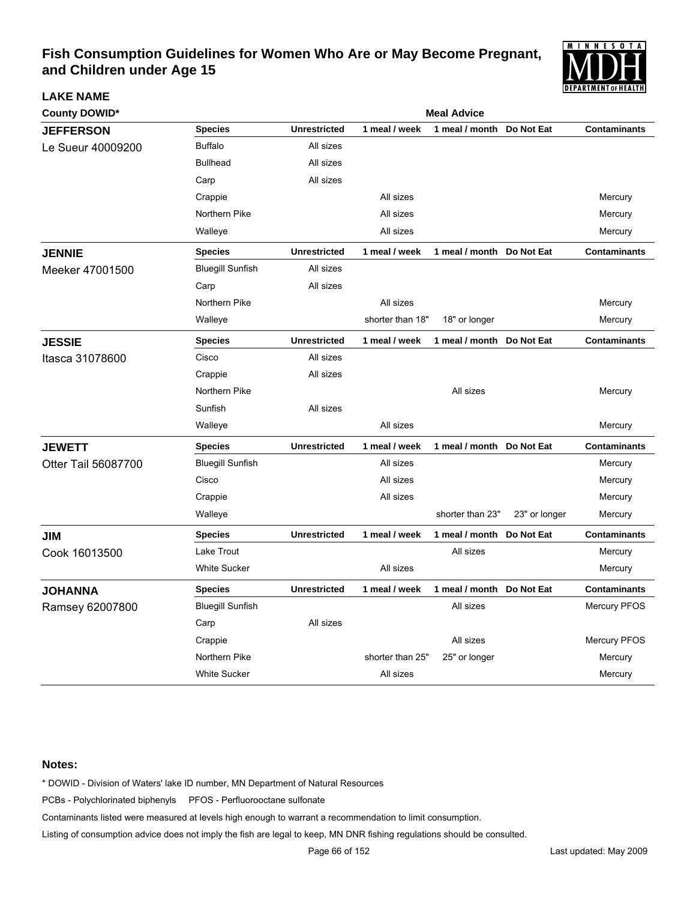

| <b>County DOWID*</b> |                         | <b>Meal Advice</b>  |                  |                  |               |                     |  |  |
|----------------------|-------------------------|---------------------|------------------|------------------|---------------|---------------------|--|--|
| <b>JEFFERSON</b>     | <b>Species</b>          | <b>Unrestricted</b> | 1 meal / week    | 1 meal / month   | Do Not Eat    | <b>Contaminants</b> |  |  |
| Le Sueur 40009200    | <b>Buffalo</b>          | All sizes           |                  |                  |               |                     |  |  |
|                      | <b>Bullhead</b>         | All sizes           |                  |                  |               |                     |  |  |
|                      | Carp                    | All sizes           |                  |                  |               |                     |  |  |
|                      | Crappie                 |                     | All sizes        |                  |               | Mercury             |  |  |
|                      | Northern Pike           |                     | All sizes        |                  |               | Mercury             |  |  |
|                      | Walleye                 |                     | All sizes        |                  |               | Mercury             |  |  |
| <b>JENNIE</b>        | <b>Species</b>          | <b>Unrestricted</b> | 1 meal / week    | 1 meal / month   | Do Not Eat    | <b>Contaminants</b> |  |  |
| Meeker 47001500      | <b>Bluegill Sunfish</b> | All sizes           |                  |                  |               |                     |  |  |
|                      | Carp                    | All sizes           |                  |                  |               |                     |  |  |
|                      | Northern Pike           |                     | All sizes        |                  |               | Mercury             |  |  |
|                      | Walleye                 |                     | shorter than 18" | 18" or longer    |               | Mercury             |  |  |
| <b>JESSIE</b>        | <b>Species</b>          | <b>Unrestricted</b> | 1 meal / week    | 1 meal / month   | Do Not Eat    | <b>Contaminants</b> |  |  |
| Itasca 31078600      | Cisco                   | All sizes           |                  |                  |               |                     |  |  |
|                      | Crappie                 | All sizes           |                  |                  |               |                     |  |  |
|                      | Northern Pike           |                     |                  | All sizes        |               | Mercury             |  |  |
|                      | Sunfish                 | All sizes           |                  |                  |               |                     |  |  |
|                      | Walleye                 |                     | All sizes        |                  |               | Mercury             |  |  |
| <b>JEWETT</b>        | <b>Species</b>          | <b>Unrestricted</b> | 1 meal / week    | 1 meal / month   | Do Not Eat    | <b>Contaminants</b> |  |  |
| Otter Tail 56087700  | <b>Bluegill Sunfish</b> |                     | All sizes        |                  |               | Mercury             |  |  |
|                      | Cisco                   |                     | All sizes        |                  |               | Mercury             |  |  |
|                      | Crappie                 |                     | All sizes        |                  |               | Mercury             |  |  |
|                      | Walleye                 |                     |                  | shorter than 23" | 23" or longer | Mercury             |  |  |
| JIM                  | <b>Species</b>          | <b>Unrestricted</b> | 1 meal / week    | 1 meal / month   | Do Not Eat    | <b>Contaminants</b> |  |  |
| Cook 16013500        | Lake Trout              |                     |                  | All sizes        |               | Mercury             |  |  |
|                      | <b>White Sucker</b>     |                     | All sizes        |                  |               | Mercury             |  |  |
| <b>JOHANNA</b>       | <b>Species</b>          | <b>Unrestricted</b> | 1 meal / week    | 1 meal / month   | Do Not Eat    | <b>Contaminants</b> |  |  |
| Ramsey 62007800      | <b>Bluegill Sunfish</b> |                     |                  | All sizes        |               | Mercury PFOS        |  |  |
|                      | Carp                    | All sizes           |                  |                  |               |                     |  |  |
|                      | Crappie                 |                     |                  | All sizes        |               | <b>Mercury PFOS</b> |  |  |
|                      | Northern Pike           |                     | shorter than 25" | 25" or longer    |               | Mercury             |  |  |
|                      | <b>White Sucker</b>     |                     | All sizes        |                  |               | Mercury             |  |  |

#### **Notes:**

**LAKE NAME**

\* DOWID - Division of Waters' lake ID number, MN Department of Natural Resources

PCBs - Polychlorinated biphenyls PFOS - Perfluorooctane sulfonate

Contaminants listed were measured at levels high enough to warrant a recommendation to limit consumption.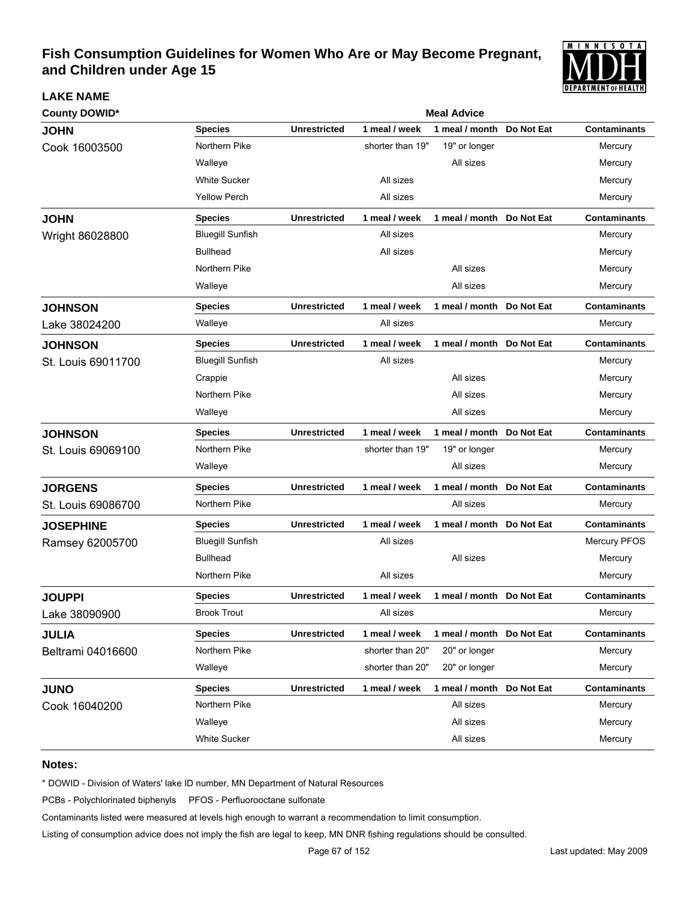

| <b>County DOWID*</b> |                         | <b>Meal Advice</b>  |                  |                           |            |                     |  |  |  |
|----------------------|-------------------------|---------------------|------------------|---------------------------|------------|---------------------|--|--|--|
| <b>JOHN</b>          | <b>Species</b>          | <b>Unrestricted</b> | 1 meal / week    | 1 meal / month            | Do Not Eat | <b>Contaminants</b> |  |  |  |
| Cook 16003500        | Northern Pike           |                     | shorter than 19" | 19" or longer             |            | Mercury             |  |  |  |
|                      | Walleye                 |                     |                  | All sizes                 |            | Mercury             |  |  |  |
|                      | <b>White Sucker</b>     |                     | All sizes        |                           |            | Mercury             |  |  |  |
|                      | <b>Yellow Perch</b>     |                     | All sizes        |                           |            | Mercury             |  |  |  |
| <b>JOHN</b>          | Species                 | <b>Unrestricted</b> | 1 meal / week    | 1 meal / month Do Not Eat |            | <b>Contaminants</b> |  |  |  |
| Wright 86028800      | <b>Bluegill Sunfish</b> |                     | All sizes        |                           |            | Mercury             |  |  |  |
|                      | <b>Bullhead</b>         |                     | All sizes        |                           |            | Mercury             |  |  |  |
|                      | Northern Pike           |                     |                  | All sizes                 |            | Mercury             |  |  |  |
|                      | Walleye                 |                     |                  | All sizes                 |            | Mercury             |  |  |  |
| <b>JOHNSON</b>       | Species                 | <b>Unrestricted</b> | 1 meal / week    | 1 meal / month Do Not Eat |            | <b>Contaminants</b> |  |  |  |
| Lake 38024200        | Walleye                 |                     | All sizes        |                           |            | Mercury             |  |  |  |
| <b>JOHNSON</b>       | <b>Species</b>          | <b>Unrestricted</b> | 1 meal / week    | 1 meal / month Do Not Eat |            | <b>Contaminants</b> |  |  |  |
| St. Louis 69011700   | <b>Bluegill Sunfish</b> |                     | All sizes        |                           |            | Mercury             |  |  |  |
|                      | Crappie                 |                     |                  | All sizes                 |            | Mercury             |  |  |  |
|                      | Northern Pike           |                     |                  | All sizes                 |            | Mercury             |  |  |  |
|                      | Walleye                 |                     |                  | All sizes                 |            | Mercury             |  |  |  |
| <b>JOHNSON</b>       | <b>Species</b>          | <b>Unrestricted</b> | 1 meal / week    | 1 meal / month Do Not Eat |            | <b>Contaminants</b> |  |  |  |
| St. Louis 69069100   | Northern Pike           |                     | shorter than 19" | 19" or longer             |            | Mercury             |  |  |  |
|                      | Walleye                 |                     |                  | All sizes                 |            | Mercury             |  |  |  |
| <b>JORGENS</b>       | <b>Species</b>          | <b>Unrestricted</b> | 1 meal / week    | 1 meal / month Do Not Eat |            | <b>Contaminants</b> |  |  |  |
| St. Louis 69086700   | Northern Pike           |                     |                  | All sizes                 |            | Mercury             |  |  |  |
| <b>JOSEPHINE</b>     | Species                 | <b>Unrestricted</b> | 1 meal / week    | 1 meal / month Do Not Eat |            | <b>Contaminants</b> |  |  |  |
| Ramsey 62005700      | <b>Bluegill Sunfish</b> |                     | All sizes        |                           |            | Mercury PFOS        |  |  |  |
|                      | <b>Bullhead</b>         |                     |                  | All sizes                 |            | Mercury             |  |  |  |
|                      | Northern Pike           |                     | All sizes        |                           |            | Mercury             |  |  |  |
| <b>JOUPPI</b>        | <b>Species</b>          | <b>Unrestricted</b> | 1 meal / week    | 1 meal / month Do Not Eat |            | <b>Contaminants</b> |  |  |  |
| Lake 38090900        | <b>Brook Trout</b>      |                     | All sizes        |                           |            | Mercury             |  |  |  |
| <b>JULIA</b>         | Species                 | <b>Unrestricted</b> | 1 meal / week    | 1 meal / month Do Not Eat |            | <b>Contaminants</b> |  |  |  |
| Beltrami 04016600    | Northern Pike           |                     | shorter than 20" | 20" or longer             |            | Mercury             |  |  |  |
|                      | Walleye                 |                     | shorter than 20" | 20" or longer             |            | Mercury             |  |  |  |
| <b>JUNO</b>          | Species                 | <b>Unrestricted</b> | 1 meal / week    | 1 meal / month Do Not Eat |            | <b>Contaminants</b> |  |  |  |
| Cook 16040200        | Northern Pike           |                     |                  | All sizes                 |            | Mercury             |  |  |  |
|                      | Walleye                 |                     |                  | All sizes                 |            | Mercury             |  |  |  |
|                      | <b>White Sucker</b>     |                     |                  | All sizes                 |            | Mercury             |  |  |  |

#### **Notes:**

**LAKE NAME**

\* DOWID - Division of Waters' lake ID number, MN Department of Natural Resources

PCBs - Polychlorinated biphenyls PFOS - Perfluorooctane sulfonate

Contaminants listed were measured at levels high enough to warrant a recommendation to limit consumption.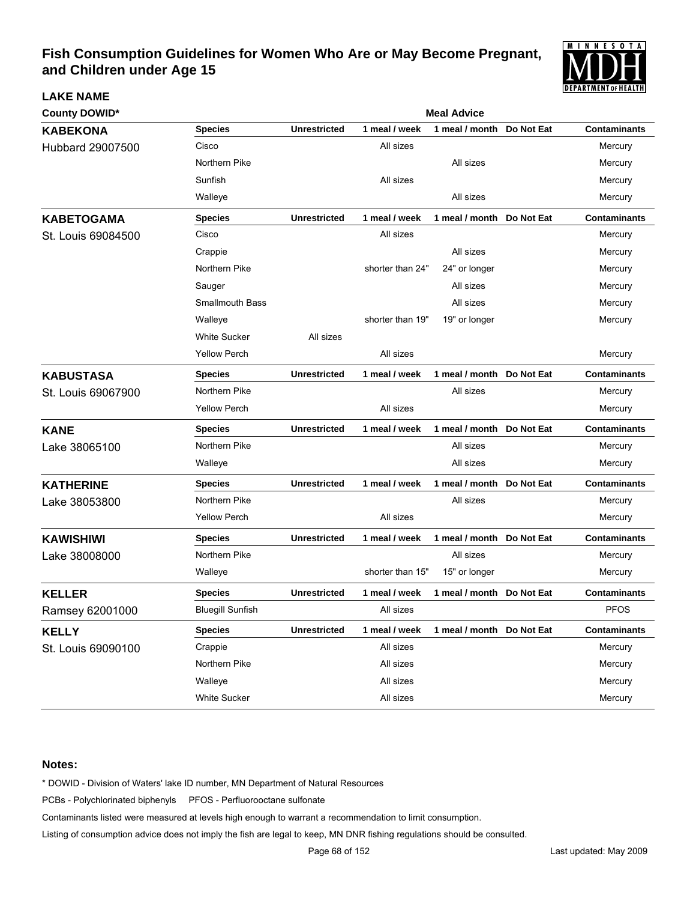

| <b>County DOWID*</b> |                         | <b>Meal Advice</b>  |                  |                           |            |                     |  |  |
|----------------------|-------------------------|---------------------|------------------|---------------------------|------------|---------------------|--|--|
| <b>KABEKONA</b>      | <b>Species</b>          | <b>Unrestricted</b> | 1 meal / week    | 1 meal / month            | Do Not Eat | <b>Contaminants</b> |  |  |
| Hubbard 29007500     | Cisco                   |                     | All sizes        |                           |            | Mercury             |  |  |
|                      | Northern Pike           |                     |                  | All sizes                 |            | Mercury             |  |  |
|                      | Sunfish                 |                     | All sizes        |                           |            | Mercury             |  |  |
|                      | Walleye                 |                     |                  | All sizes                 |            | Mercury             |  |  |
| <b>KABETOGAMA</b>    | <b>Species</b>          | <b>Unrestricted</b> | 1 meal / week    | 1 meal / month            | Do Not Eat | <b>Contaminants</b> |  |  |
| St. Louis 69084500   | Cisco                   |                     | All sizes        |                           |            | Mercury             |  |  |
|                      | Crappie                 |                     |                  | All sizes                 |            | Mercury             |  |  |
|                      | Northern Pike           |                     | shorter than 24" | 24" or longer             |            | Mercury             |  |  |
|                      | Sauger                  |                     |                  | All sizes                 |            | Mercury             |  |  |
|                      | <b>Smallmouth Bass</b>  |                     |                  | All sizes                 |            | Mercury             |  |  |
|                      | Walleye                 |                     | shorter than 19" | 19" or longer             |            | Mercury             |  |  |
|                      | <b>White Sucker</b>     | All sizes           |                  |                           |            |                     |  |  |
|                      | <b>Yellow Perch</b>     |                     | All sizes        |                           |            | Mercury             |  |  |
| <b>KABUSTASA</b>     | <b>Species</b>          | <b>Unrestricted</b> | 1 meal / week    | 1 meal / month            | Do Not Eat | <b>Contaminants</b> |  |  |
| St. Louis 69067900   | Northern Pike           |                     |                  | All sizes                 |            | Mercury             |  |  |
|                      | <b>Yellow Perch</b>     |                     | All sizes        |                           |            | Mercury             |  |  |
| <b>KANE</b>          | <b>Species</b>          | <b>Unrestricted</b> | 1 meal / week    | 1 meal / month            | Do Not Eat | <b>Contaminants</b> |  |  |
| Lake 38065100        | Northern Pike           |                     |                  | All sizes                 |            | Mercury             |  |  |
|                      | Walleye                 |                     |                  | All sizes                 |            | Mercury             |  |  |
| <b>KATHERINE</b>     | <b>Species</b>          | <b>Unrestricted</b> | 1 meal / week    | 1 meal / month            | Do Not Eat | <b>Contaminants</b> |  |  |
| Lake 38053800        | Northern Pike           |                     |                  | All sizes                 |            | Mercury             |  |  |
|                      | <b>Yellow Perch</b>     |                     | All sizes        |                           |            | Mercury             |  |  |
| <b>KAWISHIWI</b>     | <b>Species</b>          | <b>Unrestricted</b> | 1 meal / week    | 1 meal / month            | Do Not Eat | <b>Contaminants</b> |  |  |
| Lake 38008000        | Northern Pike           |                     |                  | All sizes                 |            | Mercury             |  |  |
|                      | Walleye                 |                     | shorter than 15" | 15" or longer             |            | Mercury             |  |  |
| <b>KELLER</b>        | <b>Species</b>          | <b>Unrestricted</b> | 1 meal / week    | 1 meal / month            | Do Not Eat | <b>Contaminants</b> |  |  |
| Ramsey 62001000      | <b>Bluegill Sunfish</b> |                     | All sizes        |                           |            | <b>PFOS</b>         |  |  |
| <b>KELLY</b>         | <b>Species</b>          | <b>Unrestricted</b> | 1 meal / week    | 1 meal / month Do Not Eat |            | <b>Contaminants</b> |  |  |
| St. Louis 69090100   | Crappie                 |                     | All sizes        |                           |            | Mercury             |  |  |
|                      | Northern Pike           |                     | All sizes        |                           |            | Mercury             |  |  |
|                      | Walleye                 |                     | All sizes        |                           |            | Mercury             |  |  |
|                      | White Sucker            |                     | All sizes        |                           |            | Mercury             |  |  |

#### **Notes:**

**LAKE NAME**

\* DOWID - Division of Waters' lake ID number, MN Department of Natural Resources

PCBs - Polychlorinated biphenyls PFOS - Perfluorooctane sulfonate

Contaminants listed were measured at levels high enough to warrant a recommendation to limit consumption.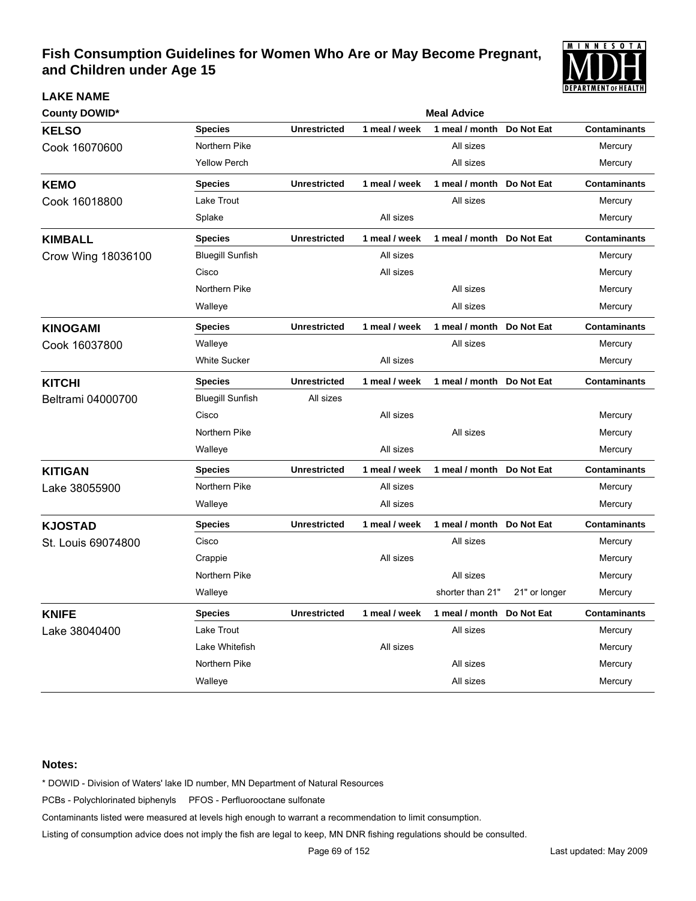

### **LAKE NAME**

| <b>County DOWID*</b> |                         | <b>Meal Advice</b>  |               |                            |               |                     |  |  |  |
|----------------------|-------------------------|---------------------|---------------|----------------------------|---------------|---------------------|--|--|--|
| <b>KELSO</b>         | <b>Species</b>          | <b>Unrestricted</b> | 1 meal / week | 1 meal / month             | Do Not Eat    | <b>Contaminants</b> |  |  |  |
| Cook 16070600        | Northern Pike           |                     |               | All sizes                  |               | Mercury             |  |  |  |
|                      | <b>Yellow Perch</b>     |                     |               | All sizes                  |               | Mercury             |  |  |  |
| <b>KEMO</b>          | <b>Species</b>          | <b>Unrestricted</b> | 1 meal / week | 1 meal / month             | Do Not Eat    | <b>Contaminants</b> |  |  |  |
| Cook 16018800        | Lake Trout              |                     |               | All sizes                  |               | Mercury             |  |  |  |
|                      | Splake                  |                     | All sizes     |                            |               | Mercury             |  |  |  |
| <b>KIMBALL</b>       | <b>Species</b>          | <b>Unrestricted</b> | 1 meal / week | 1 meal / month             | Do Not Eat    | <b>Contaminants</b> |  |  |  |
| Crow Wing 18036100   | <b>Bluegill Sunfish</b> |                     | All sizes     |                            |               | Mercury             |  |  |  |
|                      | Cisco                   |                     | All sizes     |                            |               | Mercury             |  |  |  |
|                      | Northern Pike           |                     |               | All sizes                  |               | Mercury             |  |  |  |
|                      | Walleye                 |                     |               | All sizes                  |               | Mercury             |  |  |  |
| <b>KINOGAMI</b>      | <b>Species</b>          | <b>Unrestricted</b> | 1 meal / week | 1 meal / month             | Do Not Eat    | <b>Contaminants</b> |  |  |  |
| Cook 16037800        | Walleye                 |                     |               | All sizes                  |               | Mercury             |  |  |  |
|                      | <b>White Sucker</b>     |                     | All sizes     |                            |               | Mercury             |  |  |  |
| <b>KITCHI</b>        | <b>Species</b>          | <b>Unrestricted</b> | 1 meal / week | 1 meal / month  Do Not Eat |               | <b>Contaminants</b> |  |  |  |
| Beltrami 04000700    | <b>Bluegill Sunfish</b> | All sizes           |               |                            |               |                     |  |  |  |
|                      | Cisco                   |                     | All sizes     |                            |               | Mercury             |  |  |  |
|                      | Northern Pike           |                     |               | All sizes                  |               | Mercury             |  |  |  |
|                      | Walleye                 |                     | All sizes     |                            |               | Mercury             |  |  |  |
| <b>KITIGAN</b>       | <b>Species</b>          | <b>Unrestricted</b> | 1 meal / week | 1 meal / month             | Do Not Eat    | <b>Contaminants</b> |  |  |  |
| Lake 38055900        | Northern Pike           |                     | All sizes     |                            |               | Mercury             |  |  |  |
|                      | Walleye                 |                     | All sizes     |                            |               | Mercury             |  |  |  |
| <b>KJOSTAD</b>       | <b>Species</b>          | <b>Unrestricted</b> | 1 meal / week | 1 meal / month             | Do Not Eat    | <b>Contaminants</b> |  |  |  |
| St. Louis 69074800   | Cisco                   |                     |               | All sizes                  |               | Mercury             |  |  |  |
|                      | Crappie                 |                     | All sizes     |                            |               | Mercury             |  |  |  |
|                      | Northern Pike           |                     |               | All sizes                  |               | Mercury             |  |  |  |
|                      | Walleye                 |                     |               | shorter than 21"           | 21" or longer | Mercury             |  |  |  |
| <b>KNIFE</b>         | <b>Species</b>          | <b>Unrestricted</b> | 1 meal / week | 1 meal / month             | Do Not Eat    | <b>Contaminants</b> |  |  |  |
| Lake 38040400        | Lake Trout              |                     |               | All sizes                  |               | Mercury             |  |  |  |
|                      | Lake Whitefish          |                     | All sizes     |                            |               | Mercury             |  |  |  |
|                      | Northern Pike           |                     |               | All sizes                  |               | Mercury             |  |  |  |
|                      | Walleye                 |                     |               | All sizes                  |               | Mercury             |  |  |  |

#### **Notes:**

\* DOWID - Division of Waters' lake ID number, MN Department of Natural Resources

PCBs - Polychlorinated biphenyls PFOS - Perfluorooctane sulfonate

Contaminants listed were measured at levels high enough to warrant a recommendation to limit consumption.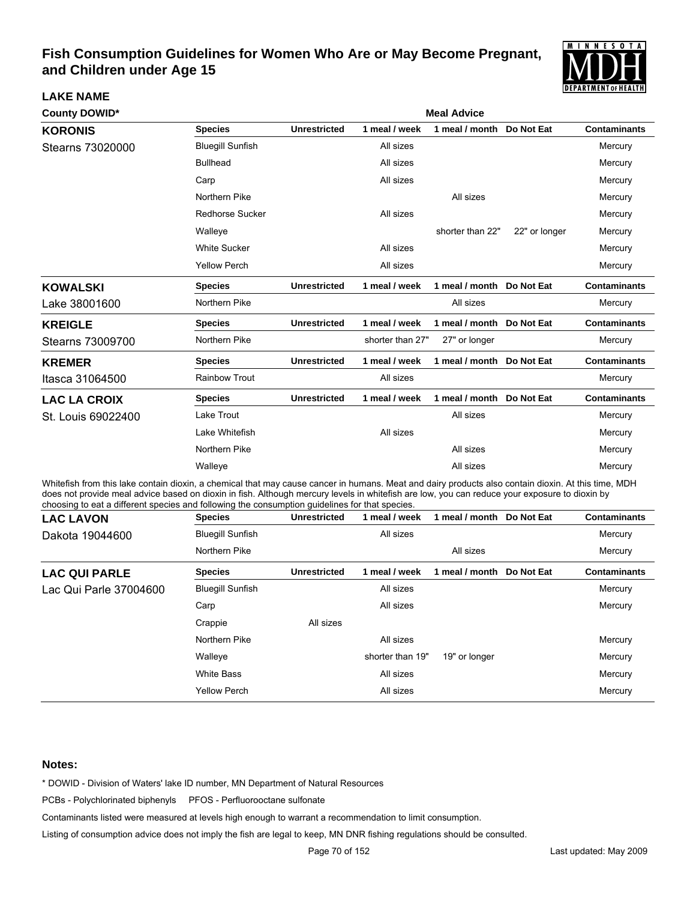

| <b>County DOWID*</b> | <b>Meal Advice</b>      |                     |                  |                           |               |                     |  |
|----------------------|-------------------------|---------------------|------------------|---------------------------|---------------|---------------------|--|
| <b>KORONIS</b>       | <b>Species</b>          | <b>Unrestricted</b> | 1 meal / week    | 1 meal / month            | Do Not Eat    | <b>Contaminants</b> |  |
| Stearns 73020000     | <b>Bluegill Sunfish</b> |                     | All sizes        |                           |               | Mercury             |  |
|                      | <b>Bullhead</b>         |                     | All sizes        |                           |               | Mercury             |  |
|                      | Carp                    |                     | All sizes        |                           |               | Mercury             |  |
|                      | Northern Pike           |                     |                  | All sizes                 |               | Mercury             |  |
|                      | <b>Redhorse Sucker</b>  |                     | All sizes        |                           |               | Mercury             |  |
|                      | Walleye                 |                     |                  | shorter than 22"          | 22" or longer | Mercury             |  |
|                      | <b>White Sucker</b>     |                     | All sizes        |                           |               | Mercury             |  |
|                      | <b>Yellow Perch</b>     |                     | All sizes        |                           |               | Mercury             |  |
| <b>KOWALSKI</b>      | <b>Species</b>          | <b>Unrestricted</b> | 1 meal / week    | 1 meal / month            | Do Not Eat    | <b>Contaminants</b> |  |
| Lake 38001600        | Northern Pike           |                     |                  | All sizes                 |               | Mercury             |  |
| <b>KREIGLE</b>       | <b>Species</b>          | <b>Unrestricted</b> | 1 meal / week    | 1 meal / month            | Do Not Eat    | <b>Contaminants</b> |  |
| Stearns 73009700     | Northern Pike           |                     | shorter than 27" | 27" or longer             |               | Mercury             |  |
| <b>KREMER</b>        | <b>Species</b>          | <b>Unrestricted</b> | 1 meal / week    | 1 meal / month            | Do Not Eat    | <b>Contaminants</b> |  |
| Itasca 31064500      | <b>Rainbow Trout</b>    |                     | All sizes        |                           |               | Mercury             |  |
| <b>LAC LA CROIX</b>  | <b>Species</b>          | <b>Unrestricted</b> | 1 meal / week    | 1 meal / month Do Not Eat |               | <b>Contaminants</b> |  |
| St. Louis 69022400   | Lake Trout              |                     |                  | All sizes                 |               | Mercury             |  |
|                      | Lake Whitefish          |                     | All sizes        |                           |               | Mercury             |  |
|                      | Northern Pike           |                     |                  | All sizes                 |               | Mercury             |  |
|                      | Walleye                 |                     |                  | All sizes                 |               | Mercury             |  |

Whitefish from this lake contain dioxin, a chemical that may cause cancer in humans. Meat and dairy products also contain dioxin. At this time, MDH does not provide meal advice based on dioxin in fish. Although mercury levels in whitefish are low, you can reduce your exposure to dioxin by choosing to eat a different species and following the consumption guidelines for that species.

| <b>LAC LAVON</b>       | <b>Species</b>          | <b>Unrestricted</b> | 1 meal / week    | meal / month   | Do Not Eat | <b>Contaminants</b> |
|------------------------|-------------------------|---------------------|------------------|----------------|------------|---------------------|
| Dakota 19044600        | <b>Bluegill Sunfish</b> |                     | All sizes        |                |            | Mercury             |
|                        | Northern Pike           |                     |                  | All sizes      |            | Mercury             |
| <b>LAC QUI PARLE</b>   | <b>Species</b>          | <b>Unrestricted</b> | 1 meal / week    | 1 meal / month | Do Not Eat | <b>Contaminants</b> |
| Lac Qui Parle 37004600 | <b>Bluegill Sunfish</b> |                     | All sizes        |                |            | Mercury             |
|                        | Carp                    |                     | All sizes        |                |            | Mercury             |
|                        | Crappie                 | All sizes           |                  |                |            |                     |
|                        | Northern Pike           |                     | All sizes        |                |            | Mercury             |
|                        | Walleye                 |                     | shorter than 19" | 19" or longer  |            | Mercury             |
|                        | <b>White Bass</b>       |                     | All sizes        |                |            | Mercury             |
|                        | <b>Yellow Perch</b>     |                     | All sizes        |                |            | Mercury             |

#### **Notes:**

**LAKE NAME**

\* DOWID - Division of Waters' lake ID number, MN Department of Natural Resources

PCBs - Polychlorinated biphenyls PFOS - Perfluorooctane sulfonate

Contaminants listed were measured at levels high enough to warrant a recommendation to limit consumption.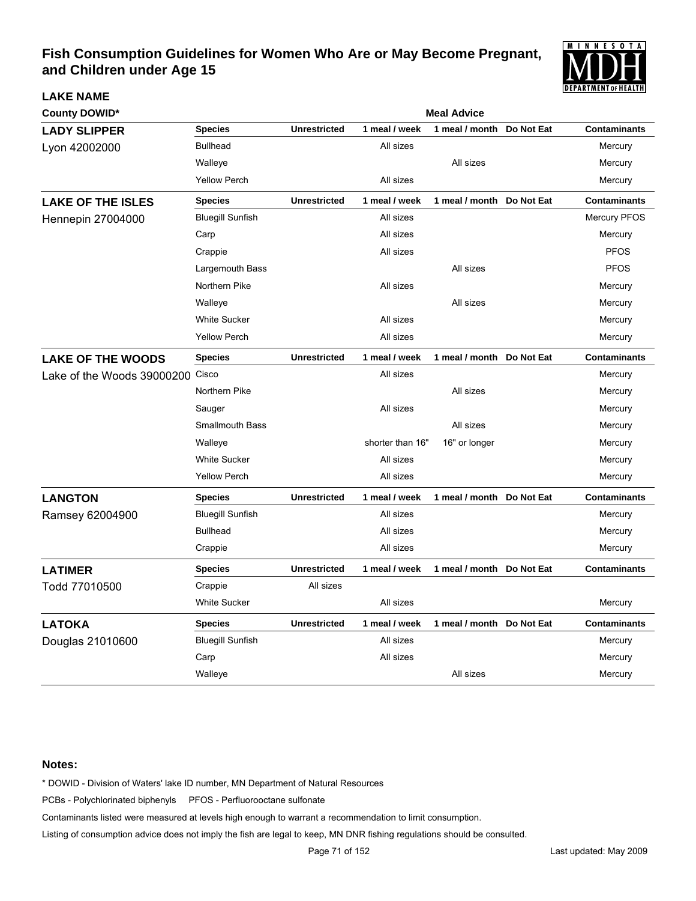

| <b>County DOWID*</b>             |                         |                     | <b>Meal Advice</b> |                           |            |                     |
|----------------------------------|-------------------------|---------------------|--------------------|---------------------------|------------|---------------------|
| <b>LADY SLIPPER</b>              | <b>Species</b>          | <b>Unrestricted</b> | 1 meal / week      | 1 meal / month            | Do Not Eat | <b>Contaminants</b> |
| Lyon 42002000                    | <b>Bullhead</b>         |                     | All sizes          |                           |            | Mercury             |
|                                  | Walleye                 |                     |                    | All sizes                 |            | Mercury             |
|                                  | <b>Yellow Perch</b>     |                     | All sizes          |                           |            | Mercury             |
| <b>LAKE OF THE ISLES</b>         | <b>Species</b>          | <b>Unrestricted</b> | 1 meal / week      | 1 meal / month            | Do Not Eat | <b>Contaminants</b> |
| <b>Hennepin 27004000</b>         | <b>Bluegill Sunfish</b> |                     | All sizes          |                           |            | <b>Mercury PFOS</b> |
|                                  | Carp                    |                     | All sizes          |                           |            | Mercury             |
|                                  | Crappie                 |                     | All sizes          |                           |            | <b>PFOS</b>         |
|                                  | Largemouth Bass         |                     |                    | All sizes                 |            | <b>PFOS</b>         |
|                                  | Northern Pike           |                     | All sizes          |                           |            | Mercury             |
|                                  | Walleye                 |                     |                    | All sizes                 |            | Mercury             |
|                                  | <b>White Sucker</b>     |                     | All sizes          |                           |            | Mercury             |
|                                  | <b>Yellow Perch</b>     |                     | All sizes          |                           |            | Mercury             |
| <b>LAKE OF THE WOODS</b>         | <b>Species</b>          | <b>Unrestricted</b> | 1 meal / week      | 1 meal / month Do Not Eat |            | <b>Contaminants</b> |
| Lake of the Woods 39000200 Cisco |                         |                     | All sizes          |                           |            | Mercury             |
|                                  | Northern Pike           |                     |                    | All sizes                 |            | Mercury             |
|                                  | Sauger                  |                     | All sizes          |                           |            | Mercury             |
|                                  | <b>Smallmouth Bass</b>  |                     |                    | All sizes                 |            | Mercury             |
|                                  | Walleye                 |                     | shorter than 16"   | 16" or longer             |            | Mercury             |
|                                  | <b>White Sucker</b>     |                     | All sizes          |                           |            | Mercury             |
|                                  | <b>Yellow Perch</b>     |                     | All sizes          |                           |            | Mercury             |
| <b>LANGTON</b>                   | <b>Species</b>          | <b>Unrestricted</b> | 1 meal / week      | 1 meal / month Do Not Eat |            | <b>Contaminants</b> |
| Ramsey 62004900                  | <b>Bluegill Sunfish</b> |                     | All sizes          |                           |            | Mercury             |
|                                  | <b>Bullhead</b>         |                     | All sizes          |                           |            | Mercury             |
|                                  | Crappie                 |                     | All sizes          |                           |            | Mercury             |
| <b>LATIMER</b>                   | <b>Species</b>          | <b>Unrestricted</b> | 1 meal / week      | 1 meal / month Do Not Eat |            | <b>Contaminants</b> |
| Todd 77010500                    | Crappie                 | All sizes           |                    |                           |            |                     |
|                                  | <b>White Sucker</b>     |                     | All sizes          |                           |            | Mercury             |
| <b>LATOKA</b>                    | <b>Species</b>          | <b>Unrestricted</b> | 1 meal / week      | 1 meal / month Do Not Eat |            | <b>Contaminants</b> |
| Douglas 21010600                 | <b>Bluegill Sunfish</b> |                     | All sizes          |                           |            | Mercury             |
|                                  | Carp                    |                     | All sizes          |                           |            | Mercury             |
|                                  | Walleye                 |                     |                    | All sizes                 |            | Mercury             |

#### **Notes:**

**LAKE NAME**

\* DOWID - Division of Waters' lake ID number, MN Department of Natural Resources

PCBs - Polychlorinated biphenyls PFOS - Perfluorooctane sulfonate

Contaminants listed were measured at levels high enough to warrant a recommendation to limit consumption.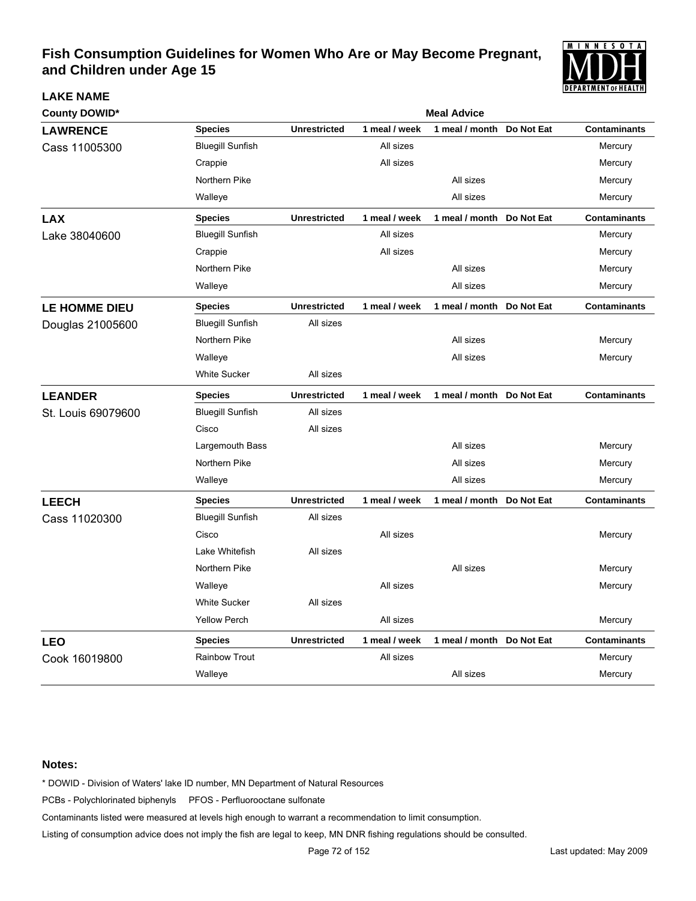

| <b>County DOWID*</b> |                         |                     | <b>Meal Advice</b> |                           |            |                     |  |  |
|----------------------|-------------------------|---------------------|--------------------|---------------------------|------------|---------------------|--|--|
| <b>LAWRENCE</b>      | <b>Species</b>          | <b>Unrestricted</b> | 1 meal / week      | 1 meal / month            | Do Not Eat | <b>Contaminants</b> |  |  |
| Cass 11005300        | <b>Bluegill Sunfish</b> |                     | All sizes          |                           |            | Mercury             |  |  |
|                      | Crappie                 |                     | All sizes          |                           |            | Mercury             |  |  |
|                      | Northern Pike           |                     |                    | All sizes                 |            | Mercury             |  |  |
|                      | Walleye                 |                     |                    | All sizes                 |            | Mercury             |  |  |
| <b>LAX</b>           | <b>Species</b>          | <b>Unrestricted</b> | 1 meal / week      | 1 meal / month            | Do Not Eat | <b>Contaminants</b> |  |  |
| Lake 38040600        | <b>Bluegill Sunfish</b> |                     | All sizes          |                           |            | Mercury             |  |  |
|                      | Crappie                 |                     | All sizes          |                           |            | Mercury             |  |  |
|                      | Northern Pike           |                     |                    | All sizes                 |            | Mercury             |  |  |
|                      | Walleye                 |                     |                    | All sizes                 |            | Mercury             |  |  |
| <b>LE HOMME DIEU</b> | <b>Species</b>          | <b>Unrestricted</b> | 1 meal / week      | 1 meal / month            | Do Not Eat | <b>Contaminants</b> |  |  |
| Douglas 21005600     | <b>Bluegill Sunfish</b> | All sizes           |                    |                           |            |                     |  |  |
|                      | Northern Pike           |                     |                    | All sizes                 |            | Mercury             |  |  |
|                      | Walleye                 |                     |                    | All sizes                 |            | Mercury             |  |  |
|                      | <b>White Sucker</b>     | All sizes           |                    |                           |            |                     |  |  |
| <b>LEANDER</b>       | <b>Species</b>          | <b>Unrestricted</b> | 1 meal / week      | 1 meal / month Do Not Eat |            | <b>Contaminants</b> |  |  |
| St. Louis 69079600   | <b>Bluegill Sunfish</b> | All sizes           |                    |                           |            |                     |  |  |
|                      | Cisco                   | All sizes           |                    |                           |            |                     |  |  |
|                      | Largemouth Bass         |                     |                    | All sizes                 |            | Mercury             |  |  |
|                      | Northern Pike           |                     |                    | All sizes                 |            | Mercury             |  |  |
|                      | Walleye                 |                     |                    | All sizes                 |            | Mercury             |  |  |
| <b>LEECH</b>         | <b>Species</b>          | <b>Unrestricted</b> | 1 meal / week      | 1 meal / month Do Not Eat |            | <b>Contaminants</b> |  |  |
| Cass 11020300        | <b>Bluegill Sunfish</b> | All sizes           |                    |                           |            |                     |  |  |
|                      | Cisco                   |                     | All sizes          |                           |            | Mercury             |  |  |
|                      | Lake Whitefish          | All sizes           |                    |                           |            |                     |  |  |
|                      | Northern Pike           |                     |                    | All sizes                 |            | Mercury             |  |  |
|                      | Walleye                 |                     | All sizes          |                           |            | Mercury             |  |  |
|                      | <b>White Sucker</b>     | All sizes           |                    |                           |            |                     |  |  |
|                      | <b>Yellow Perch</b>     |                     | All sizes          |                           |            | Mercury             |  |  |
| <b>LEO</b>           | <b>Species</b>          | <b>Unrestricted</b> | 1 meal / week      | 1 meal / month Do Not Eat |            | <b>Contaminants</b> |  |  |
| Cook 16019800        | <b>Rainbow Trout</b>    |                     | All sizes          |                           |            | Mercury             |  |  |
|                      | Walleye                 |                     |                    | All sizes                 |            | Mercury             |  |  |

#### **Notes:**

**LAKE NAME**

\* DOWID - Division of Waters' lake ID number, MN Department of Natural Resources

PCBs - Polychlorinated biphenyls PFOS - Perfluorooctane sulfonate

Contaminants listed were measured at levels high enough to warrant a recommendation to limit consumption.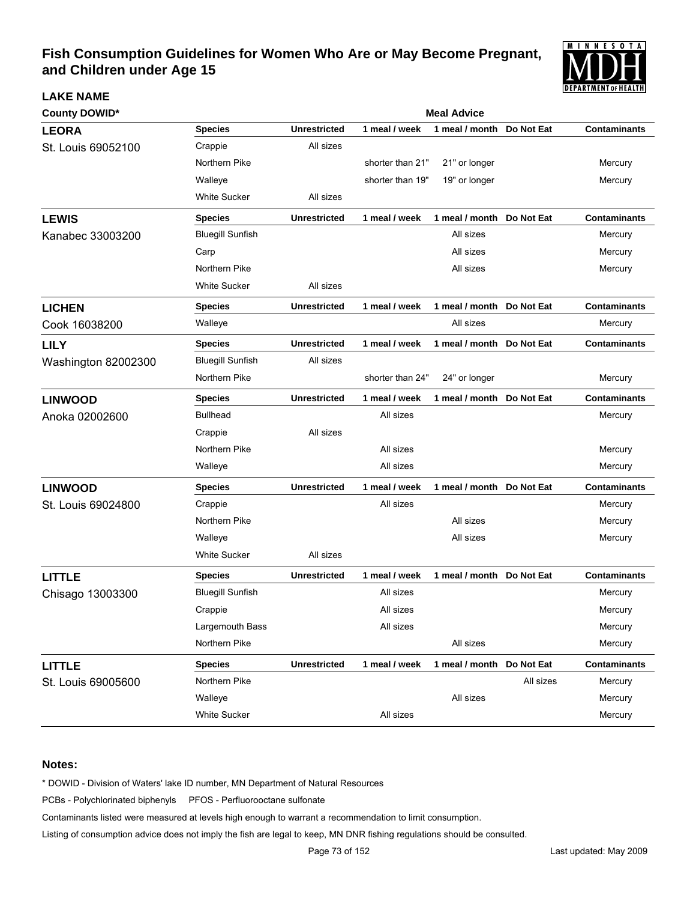

| <b>County DOWID*</b> |                         | <b>Meal Advice</b>  |                  |                           |            |                     |  |  |
|----------------------|-------------------------|---------------------|------------------|---------------------------|------------|---------------------|--|--|
| <b>LEORA</b>         | <b>Species</b>          | <b>Unrestricted</b> | 1 meal / week    | 1 meal / month            | Do Not Eat | <b>Contaminants</b> |  |  |
| St. Louis 69052100   | Crappie                 | All sizes           |                  |                           |            |                     |  |  |
|                      | Northern Pike           |                     | shorter than 21" | 21" or longer             |            | Mercury             |  |  |
|                      | Walleye                 |                     | shorter than 19" | 19" or longer             |            | Mercury             |  |  |
|                      | <b>White Sucker</b>     | All sizes           |                  |                           |            |                     |  |  |
| <b>LEWIS</b>         | <b>Species</b>          | <b>Unrestricted</b> | 1 meal / week    | 1 meal / month Do Not Eat |            | <b>Contaminants</b> |  |  |
| Kanabec 33003200     | <b>Bluegill Sunfish</b> |                     |                  | All sizes                 |            | Mercury             |  |  |
|                      | Carp                    |                     |                  | All sizes                 |            | Mercury             |  |  |
|                      | Northern Pike           |                     |                  | All sizes                 |            | Mercury             |  |  |
|                      | <b>White Sucker</b>     | All sizes           |                  |                           |            |                     |  |  |
| <b>LICHEN</b>        | <b>Species</b>          | <b>Unrestricted</b> | 1 meal / week    | 1 meal / month Do Not Eat |            | <b>Contaminants</b> |  |  |
| Cook 16038200        | Walleye                 |                     |                  | All sizes                 |            | Mercury             |  |  |
| <b>LILY</b>          | <b>Species</b>          | <b>Unrestricted</b> | 1 meal / week    | 1 meal / month Do Not Eat |            | <b>Contaminants</b> |  |  |
| Washington 82002300  | <b>Bluegill Sunfish</b> | All sizes           |                  |                           |            |                     |  |  |
|                      | Northern Pike           |                     | shorter than 24" | 24" or longer             |            | Mercury             |  |  |
| <b>LINWOOD</b>       | <b>Species</b>          | <b>Unrestricted</b> | 1 meal / week    | 1 meal / month Do Not Eat |            | <b>Contaminants</b> |  |  |
| Anoka 02002600       | <b>Bullhead</b>         |                     | All sizes        |                           |            | Mercury             |  |  |
|                      | Crappie                 | All sizes           |                  |                           |            |                     |  |  |
|                      | Northern Pike           |                     | All sizes        |                           |            | Mercury             |  |  |
|                      | Walleye                 |                     | All sizes        |                           |            | Mercury             |  |  |
| <b>LINWOOD</b>       | <b>Species</b>          | <b>Unrestricted</b> | 1 meal / week    | 1 meal / month Do Not Eat |            | <b>Contaminants</b> |  |  |
| St. Louis 69024800   | Crappie                 |                     | All sizes        |                           |            | Mercury             |  |  |
|                      | Northern Pike           |                     |                  | All sizes                 |            | Mercury             |  |  |
|                      | Walleye                 |                     |                  | All sizes                 |            | Mercury             |  |  |
|                      | <b>White Sucker</b>     | All sizes           |                  |                           |            |                     |  |  |
| <b>LITTLE</b>        | <b>Species</b>          | <b>Unrestricted</b> | 1 meal / week    | 1 meal / month Do Not Eat |            | <b>Contaminants</b> |  |  |
| Chisago 13003300     | <b>Bluegill Sunfish</b> |                     | All sizes        |                           |            | Mercury             |  |  |
|                      | Crappie                 |                     | All sizes        |                           |            | Mercury             |  |  |
|                      | Largemouth Bass         |                     | All sizes        |                           |            | Mercury             |  |  |
|                      | Northern Pike           |                     |                  | All sizes                 |            | Mercury             |  |  |
| <b>LITTLE</b>        | <b>Species</b>          | <b>Unrestricted</b> | 1 meal / week    | 1 meal / month Do Not Eat |            | <b>Contaminants</b> |  |  |
| St. Louis 69005600   | Northern Pike           |                     |                  |                           | All sizes  | Mercury             |  |  |
|                      | Walleye                 |                     |                  | All sizes                 |            | Mercury             |  |  |
|                      | White Sucker            |                     | All sizes        |                           |            | Mercury             |  |  |

### **Notes:**

**LAKE NAME**

\* DOWID - Division of Waters' lake ID number, MN Department of Natural Resources

PCBs - Polychlorinated biphenyls PFOS - Perfluorooctane sulfonate

Contaminants listed were measured at levels high enough to warrant a recommendation to limit consumption.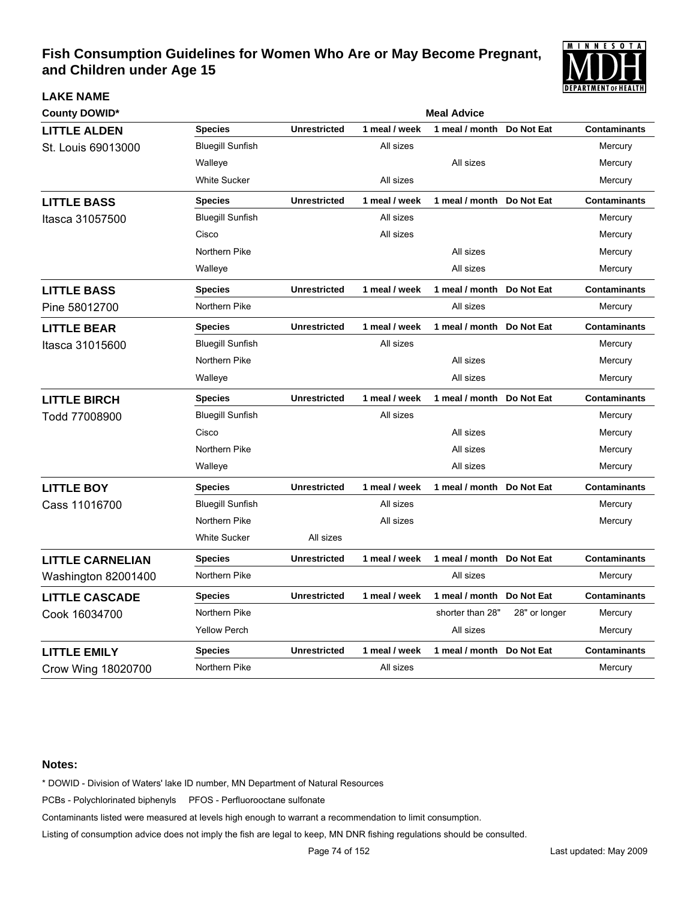

| <b>County DOWID*</b>    |                         | <b>Meal Advice</b>  |               |                           |               |                     |  |  |
|-------------------------|-------------------------|---------------------|---------------|---------------------------|---------------|---------------------|--|--|
| <b>LITTLE ALDEN</b>     | <b>Species</b>          | <b>Unrestricted</b> | 1 meal / week | 1 meal / month            | Do Not Eat    | <b>Contaminants</b> |  |  |
| St. Louis 69013000      | <b>Bluegill Sunfish</b> |                     | All sizes     |                           |               | Mercury             |  |  |
|                         | Walleye                 |                     |               | All sizes                 |               | Mercury             |  |  |
|                         | <b>White Sucker</b>     |                     | All sizes     |                           |               | Mercury             |  |  |
| <b>LITTLE BASS</b>      | <b>Species</b>          | <b>Unrestricted</b> | 1 meal / week | 1 meal / month            | Do Not Eat    | <b>Contaminants</b> |  |  |
| Itasca 31057500         | <b>Bluegill Sunfish</b> |                     | All sizes     |                           |               | Mercury             |  |  |
|                         | Cisco                   |                     | All sizes     |                           |               | Mercury             |  |  |
|                         | Northern Pike           |                     |               | All sizes                 |               | Mercury             |  |  |
|                         | Walleye                 |                     |               | All sizes                 |               | Mercury             |  |  |
| <b>LITTLE BASS</b>      | <b>Species</b>          | <b>Unrestricted</b> | 1 meal / week | 1 meal / month Do Not Eat |               | <b>Contaminants</b> |  |  |
| Pine 58012700           | Northern Pike           |                     |               | All sizes                 |               | Mercury             |  |  |
| <b>LITTLE BEAR</b>      | <b>Species</b>          | <b>Unrestricted</b> | 1 meal / week | 1 meal / month            | Do Not Eat    | <b>Contaminants</b> |  |  |
| Itasca 31015600         | <b>Bluegill Sunfish</b> |                     | All sizes     |                           |               | Mercury             |  |  |
|                         | Northern Pike           |                     |               | All sizes                 |               | Mercury             |  |  |
|                         | Walleye                 |                     |               | All sizes                 |               | Mercury             |  |  |
| <b>LITTLE BIRCH</b>     | <b>Species</b>          | <b>Unrestricted</b> | 1 meal / week | 1 meal / month Do Not Eat |               | <b>Contaminants</b> |  |  |
| Todd 77008900           | <b>Bluegill Sunfish</b> |                     | All sizes     |                           |               | Mercury             |  |  |
|                         | Cisco                   |                     |               | All sizes                 |               | Mercury             |  |  |
|                         | Northern Pike           |                     |               | All sizes                 |               | Mercury             |  |  |
|                         | Walleye                 |                     |               | All sizes                 |               | Mercury             |  |  |
| <b>LITTLE BOY</b>       | <b>Species</b>          | <b>Unrestricted</b> | 1 meal / week | 1 meal / month            | Do Not Eat    | <b>Contaminants</b> |  |  |
| Cass 11016700           | <b>Bluegill Sunfish</b> |                     | All sizes     |                           |               | Mercury             |  |  |
|                         | Northern Pike           |                     | All sizes     |                           |               | Mercury             |  |  |
|                         | <b>White Sucker</b>     | All sizes           |               |                           |               |                     |  |  |
| <b>LITTLE CARNELIAN</b> | <b>Species</b>          | <b>Unrestricted</b> | 1 meal / week | 1 meal / month Do Not Eat |               | <b>Contaminants</b> |  |  |
| Washington 82001400     | Northern Pike           |                     |               | All sizes                 |               | Mercury             |  |  |
| <b>LITTLE CASCADE</b>   | <b>Species</b>          | <b>Unrestricted</b> | 1 meal / week | 1 meal / month Do Not Eat |               | <b>Contaminants</b> |  |  |
| Cook 16034700           | Northern Pike           |                     |               | shorter than 28"          | 28" or longer | Mercury             |  |  |
|                         | <b>Yellow Perch</b>     |                     |               | All sizes                 |               | Mercury             |  |  |
| <b>LITTLE EMILY</b>     | <b>Species</b>          | <b>Unrestricted</b> | 1 meal / week | 1 meal / month            | Do Not Eat    | <b>Contaminants</b> |  |  |
| Crow Wing 18020700      | Northern Pike           |                     | All sizes     |                           |               | Mercury             |  |  |

#### **Notes:**

**LAKE NAME**

\* DOWID - Division of Waters' lake ID number, MN Department of Natural Resources

PCBs - Polychlorinated biphenyls PFOS - Perfluorooctane sulfonate

Contaminants listed were measured at levels high enough to warrant a recommendation to limit consumption.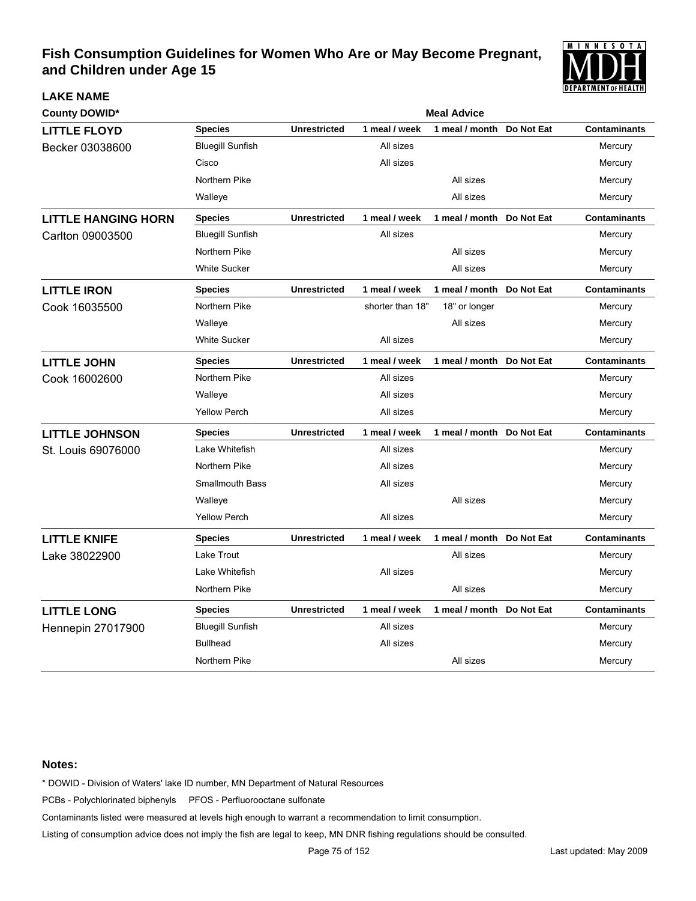

| <b>County DOWID*</b>       |                         | <b>Meal Advice</b>  |                  |                           |            |                     |  |
|----------------------------|-------------------------|---------------------|------------------|---------------------------|------------|---------------------|--|
| <b>LITTLE FLOYD</b>        | <b>Species</b>          | <b>Unrestricted</b> | 1 meal / week    | 1 meal / month            | Do Not Eat | <b>Contaminants</b> |  |
| Becker 03038600            | <b>Bluegill Sunfish</b> |                     | All sizes        |                           |            | Mercury             |  |
|                            | Cisco                   |                     | All sizes        |                           |            | Mercury             |  |
|                            | Northern Pike           |                     |                  | All sizes                 |            | Mercury             |  |
|                            | Walleye                 |                     |                  | All sizes                 |            | Mercury             |  |
| <b>LITTLE HANGING HORN</b> | <b>Species</b>          | <b>Unrestricted</b> | 1 meal / week    | 1 meal / month Do Not Eat |            | <b>Contaminants</b> |  |
| Carlton 09003500           | <b>Bluegill Sunfish</b> |                     | All sizes        |                           |            | Mercury             |  |
|                            | Northern Pike           |                     |                  | All sizes                 |            | Mercury             |  |
|                            | <b>White Sucker</b>     |                     |                  | All sizes                 |            | Mercury             |  |
| <b>LITTLE IRON</b>         | <b>Species</b>          | <b>Unrestricted</b> | 1 meal / week    | 1 meal / month Do Not Eat |            | <b>Contaminants</b> |  |
| Cook 16035500              | Northern Pike           |                     | shorter than 18" | 18" or longer             |            | Mercury             |  |
|                            | Walleye                 |                     |                  | All sizes                 |            | Mercury             |  |
|                            | <b>White Sucker</b>     |                     | All sizes        |                           |            | Mercury             |  |
| <b>LITTLE JOHN</b>         | <b>Species</b>          | <b>Unrestricted</b> | 1 meal / week    | 1 meal / month            | Do Not Eat | <b>Contaminants</b> |  |
| Cook 16002600              | Northern Pike           |                     | All sizes        |                           |            | Mercury             |  |
|                            | Walleye                 |                     | All sizes        |                           |            | Mercury             |  |
|                            | <b>Yellow Perch</b>     |                     | All sizes        |                           |            | Mercury             |  |
| <b>LITTLE JOHNSON</b>      | <b>Species</b>          | <b>Unrestricted</b> | 1 meal / week    | 1 meal / month Do Not Eat |            | <b>Contaminants</b> |  |
| St. Louis 69076000         | Lake Whitefish          |                     | All sizes        |                           |            | Mercury             |  |
|                            | Northern Pike           |                     | All sizes        |                           |            | Mercury             |  |
|                            | <b>Smallmouth Bass</b>  |                     | All sizes        |                           |            | Mercury             |  |
|                            | Walleye                 |                     |                  | All sizes                 |            | Mercury             |  |
|                            | <b>Yellow Perch</b>     |                     | All sizes        |                           |            | Mercury             |  |
| <b>LITTLE KNIFE</b>        | <b>Species</b>          | <b>Unrestricted</b> | 1 meal / week    | 1 meal / month Do Not Eat |            | <b>Contaminants</b> |  |
| Lake 38022900              | Lake Trout              |                     |                  | All sizes                 |            | Mercury             |  |
|                            | Lake Whitefish          |                     | All sizes        |                           |            | Mercury             |  |
|                            | Northern Pike           |                     |                  | All sizes                 |            | Mercury             |  |
| <b>LITTLE LONG</b>         | <b>Species</b>          | <b>Unrestricted</b> | 1 meal / week    | 1 meal / month Do Not Eat |            | <b>Contaminants</b> |  |
| Hennepin 27017900          | <b>Bluegill Sunfish</b> |                     | All sizes        |                           |            | Mercury             |  |
|                            | <b>Bullhead</b>         |                     | All sizes        |                           |            | Mercury             |  |
|                            | Northern Pike           |                     |                  | All sizes                 |            | Mercury             |  |

#### **Notes:**

**LAKE NAME**

\* DOWID - Division of Waters' lake ID number, MN Department of Natural Resources

PCBs - Polychlorinated biphenyls PFOS - Perfluorooctane sulfonate

Contaminants listed were measured at levels high enough to warrant a recommendation to limit consumption.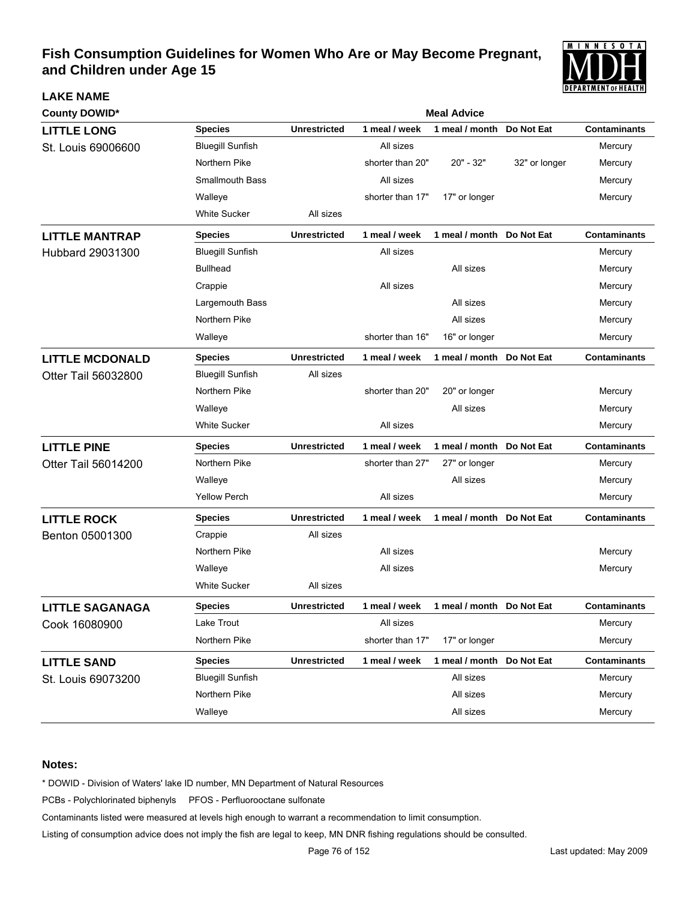

| <b>County DOWID*</b>    |                         | <b>Meal Advice</b>  |                  |                           |               |                     |  |  |  |
|-------------------------|-------------------------|---------------------|------------------|---------------------------|---------------|---------------------|--|--|--|
| <b>LITTLE LONG</b>      | <b>Species</b>          | <b>Unrestricted</b> | 1 meal / week    | 1 meal / month            | Do Not Eat    | <b>Contaminants</b> |  |  |  |
| St. Louis 69006600      | <b>Bluegill Sunfish</b> |                     | All sizes        |                           |               | Mercury             |  |  |  |
|                         | Northern Pike           |                     | shorter than 20" | 20" - 32"                 | 32" or longer | Mercury             |  |  |  |
|                         | <b>Smallmouth Bass</b>  |                     | All sizes        |                           |               | Mercury             |  |  |  |
|                         | Walleye                 |                     | shorter than 17" | 17" or longer             |               | Mercury             |  |  |  |
|                         | <b>White Sucker</b>     | All sizes           |                  |                           |               |                     |  |  |  |
| <b>LITTLE MANTRAP</b>   | <b>Species</b>          | <b>Unrestricted</b> | 1 meal / week    | 1 meal / month Do Not Eat |               | <b>Contaminants</b> |  |  |  |
| <b>Hubbard 29031300</b> | <b>Bluegill Sunfish</b> |                     | All sizes        |                           |               | Mercury             |  |  |  |
|                         | <b>Bullhead</b>         |                     |                  | All sizes                 |               | Mercury             |  |  |  |
|                         | Crappie                 |                     | All sizes        |                           |               | Mercury             |  |  |  |
|                         | Largemouth Bass         |                     |                  | All sizes                 |               | Mercury             |  |  |  |
|                         | Northern Pike           |                     |                  | All sizes                 |               | Mercury             |  |  |  |
|                         | Walleye                 |                     | shorter than 16" | 16" or longer             |               | Mercury             |  |  |  |
| <b>LITTLE MCDONALD</b>  | <b>Species</b>          | <b>Unrestricted</b> | 1 meal / week    | 1 meal / month            | Do Not Eat    | <b>Contaminants</b> |  |  |  |
| Otter Tail 56032800     | <b>Bluegill Sunfish</b> | All sizes           |                  |                           |               |                     |  |  |  |
|                         | Northern Pike           |                     | shorter than 20" | 20" or longer             |               | Mercury             |  |  |  |
|                         | Walleye                 |                     |                  | All sizes                 |               | Mercury             |  |  |  |
|                         | <b>White Sucker</b>     |                     | All sizes        |                           |               | Mercury             |  |  |  |
| <b>LITTLE PINE</b>      | <b>Species</b>          | <b>Unrestricted</b> | 1 meal / week    | 1 meal / month Do Not Eat |               | <b>Contaminants</b> |  |  |  |
| Otter Tail 56014200     | Northern Pike           |                     | shorter than 27" | 27" or longer             |               | Mercury             |  |  |  |
|                         | Walleye                 |                     |                  | All sizes                 |               | Mercury             |  |  |  |
|                         | <b>Yellow Perch</b>     |                     | All sizes        |                           |               | Mercury             |  |  |  |
| <b>LITTLE ROCK</b>      | <b>Species</b>          | <b>Unrestricted</b> | 1 meal / week    | 1 meal / month Do Not Eat |               | <b>Contaminants</b> |  |  |  |
| Benton 05001300         | Crappie                 | All sizes           |                  |                           |               |                     |  |  |  |
|                         | Northern Pike           |                     | All sizes        |                           |               | Mercury             |  |  |  |
|                         | Walleye                 |                     | All sizes        |                           |               | Mercury             |  |  |  |
|                         | <b>White Sucker</b>     | All sizes           |                  |                           |               |                     |  |  |  |
| <b>LITTLE SAGANAGA</b>  | <b>Species</b>          | <b>Unrestricted</b> | 1 meal / week    | 1 meal / month Do Not Eat |               | <b>Contaminants</b> |  |  |  |
| Cook 16080900           | Lake Trout              |                     | All sizes        |                           |               | Mercury             |  |  |  |
|                         | Northern Pike           |                     | shorter than 17" | 17" or longer             |               | Mercury             |  |  |  |
| <b>LITTLE SAND</b>      | <b>Species</b>          | <b>Unrestricted</b> | 1 meal / week    | 1 meal / month Do Not Eat |               | <b>Contaminants</b> |  |  |  |
| St. Louis 69073200      | <b>Bluegill Sunfish</b> |                     |                  | All sizes                 |               | Mercury             |  |  |  |
|                         | Northern Pike           |                     |                  | All sizes                 |               | Mercury             |  |  |  |
|                         | Walleye                 |                     |                  | All sizes                 |               | Mercury             |  |  |  |

### **Notes:**

**LAKE NAME**

\* DOWID - Division of Waters' lake ID number, MN Department of Natural Resources

PCBs - Polychlorinated biphenyls PFOS - Perfluorooctane sulfonate

Contaminants listed were measured at levels high enough to warrant a recommendation to limit consumption.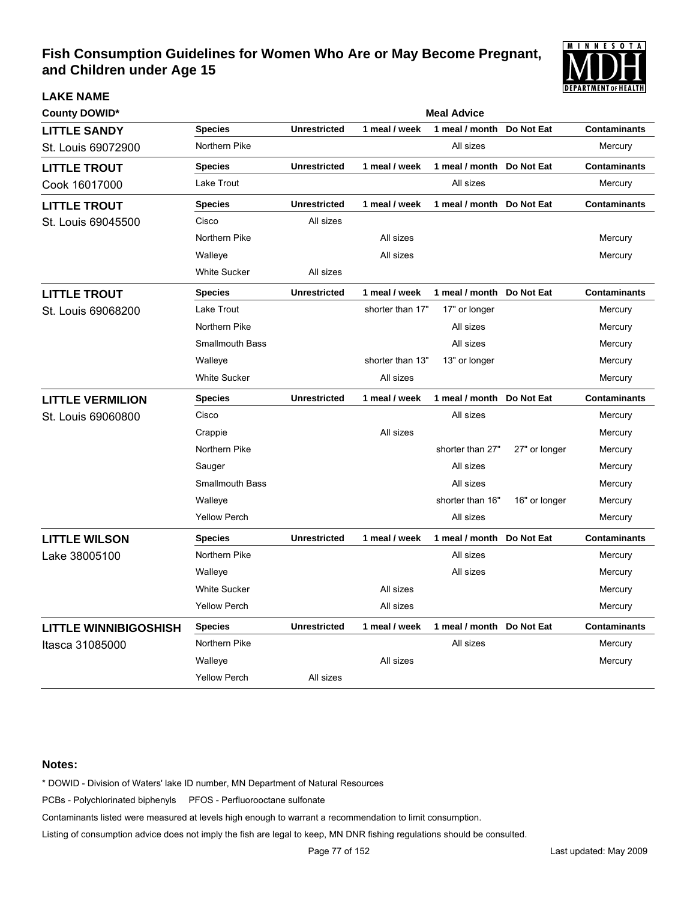

| <b>LAKE NAME</b>             |                        |                     |                  |                           |               | PEPAKIMENI OI MEALIM |
|------------------------------|------------------------|---------------------|------------------|---------------------------|---------------|----------------------|
| <b>County DOWID*</b>         |                        |                     |                  | <b>Meal Advice</b>        |               |                      |
| <b>LITTLE SANDY</b>          | <b>Species</b>         | <b>Unrestricted</b> | 1 meal / week    | 1 meal / month            | Do Not Eat    | <b>Contaminants</b>  |
| St. Louis 69072900           | Northern Pike          |                     |                  | All sizes                 |               | Mercury              |
| <b>LITTLE TROUT</b>          | <b>Species</b>         | <b>Unrestricted</b> | 1 meal / week    | 1 meal / month            | Do Not Eat    | <b>Contaminants</b>  |
| Cook 16017000                | Lake Trout             |                     |                  | All sizes                 |               | Mercury              |
| <b>LITTLE TROUT</b>          | <b>Species</b>         | <b>Unrestricted</b> | 1 meal / week    | 1 meal / month            | Do Not Eat    | <b>Contaminants</b>  |
| St. Louis 69045500           | Cisco                  | All sizes           |                  |                           |               |                      |
|                              | Northern Pike          |                     | All sizes        |                           |               | Mercury              |
|                              | Walleye                |                     | All sizes        |                           |               | Mercury              |
|                              | <b>White Sucker</b>    | All sizes           |                  |                           |               |                      |
| <b>LITTLE TROUT</b>          | <b>Species</b>         | <b>Unrestricted</b> | 1 meal / week    | 1 meal / month            | Do Not Eat    | <b>Contaminants</b>  |
| St. Louis 69068200           | Lake Trout             |                     | shorter than 17" | 17" or longer             |               | Mercury              |
|                              | Northern Pike          |                     |                  | All sizes                 |               | Mercury              |
|                              | <b>Smallmouth Bass</b> |                     |                  | All sizes                 |               | Mercury              |
|                              | Walleye                |                     | shorter than 13" | 13" or longer             |               | Mercury              |
|                              | <b>White Sucker</b>    |                     | All sizes        |                           |               | Mercury              |
| <b>LITTLE VERMILION</b>      | <b>Species</b>         | <b>Unrestricted</b> | 1 meal / week    | 1 meal / month Do Not Eat |               | <b>Contaminants</b>  |
| St. Louis 69060800           | Cisco                  |                     |                  | All sizes                 |               | Mercury              |
|                              | Crappie                |                     | All sizes        |                           |               | Mercury              |
|                              | Northern Pike          |                     |                  | shorter than 27"          | 27" or longer | Mercury              |
|                              | Sauger                 |                     |                  | All sizes                 |               | Mercury              |
|                              | <b>Smallmouth Bass</b> |                     |                  | All sizes                 |               | Mercury              |
|                              | Walleye                |                     |                  | shorter than 16"          | 16" or longer | Mercury              |
|                              | <b>Yellow Perch</b>    |                     |                  | All sizes                 |               | Mercury              |
| <b>LITTLE WILSON</b>         | <b>Species</b>         | <b>Unrestricted</b> | 1 meal / week    | 1 meal / month            | Do Not Eat    | <b>Contaminants</b>  |
| Lake 38005100                | Northern Pike          |                     |                  | All sizes                 |               | Mercury              |
|                              | Walleye                |                     |                  | All sizes                 |               | Mercury              |
|                              | <b>White Sucker</b>    |                     | All sizes        |                           |               | Mercury              |
|                              | <b>Yellow Perch</b>    |                     | All sizes        |                           |               | Mercury              |
| <b>LITTLE WINNIBIGOSHISH</b> | <b>Species</b>         | <b>Unrestricted</b> | 1 meal / week    | 1 meal / month            | Do Not Eat    | <b>Contaminants</b>  |
| Itasca 31085000              | Northern Pike          |                     |                  | All sizes                 |               | Mercury              |
|                              | Walleye                |                     | All sizes        |                           |               | Mercury              |
|                              | <b>Yellow Perch</b>    | All sizes           |                  |                           |               |                      |

### **Notes:**

\* DOWID - Division of Waters' lake ID number, MN Department of Natural Resources

PCBs - Polychlorinated biphenyls PFOS - Perfluorooctane sulfonate

Contaminants listed were measured at levels high enough to warrant a recommendation to limit consumption.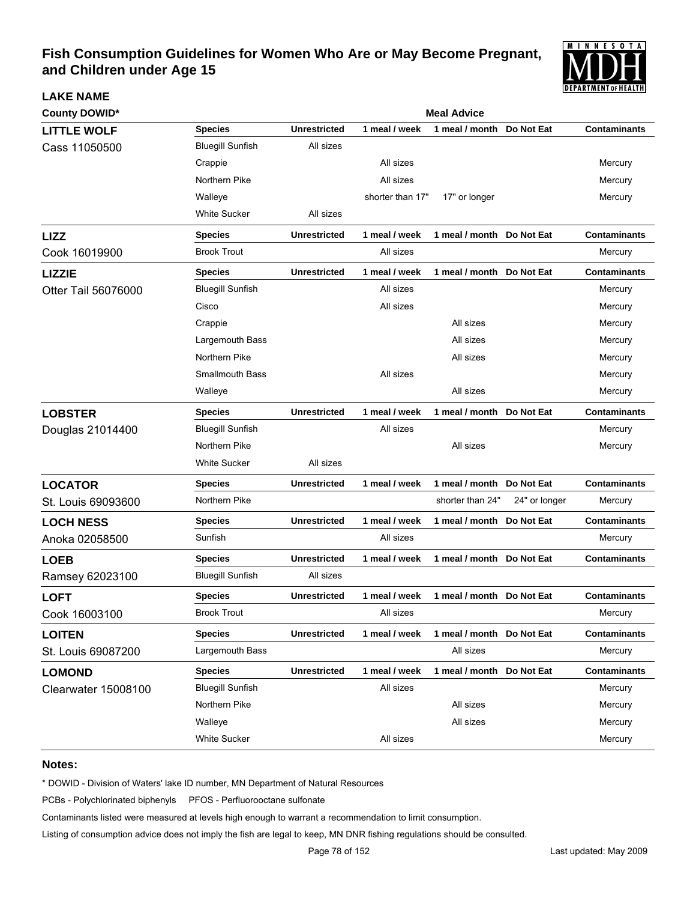

| <b>County DOWID*</b>       | <b>Meal Advice</b>      |                     |                  |                           |               |                     |  |  |
|----------------------------|-------------------------|---------------------|------------------|---------------------------|---------------|---------------------|--|--|
| <b>LITTLE WOLF</b>         | <b>Species</b>          | <b>Unrestricted</b> | 1 meal / week    | 1 meal / month            | Do Not Eat    | <b>Contaminants</b> |  |  |
| Cass 11050500              | <b>Bluegill Sunfish</b> | All sizes           |                  |                           |               |                     |  |  |
|                            | Crappie                 |                     | All sizes        |                           |               | Mercury             |  |  |
|                            | Northern Pike           |                     | All sizes        |                           |               | Mercury             |  |  |
|                            | Walleye                 |                     | shorter than 17" | 17" or longer             |               | Mercury             |  |  |
|                            | <b>White Sucker</b>     | All sizes           |                  |                           |               |                     |  |  |
| <b>LIZZ</b>                | <b>Species</b>          | <b>Unrestricted</b> | 1 meal / week    | 1 meal / month Do Not Eat |               | <b>Contaminants</b> |  |  |
| Cook 16019900              | <b>Brook Trout</b>      |                     | All sizes        |                           |               | Mercury             |  |  |
| <b>LIZZIE</b>              | <b>Species</b>          | <b>Unrestricted</b> | 1 meal / week    | 1 meal / month Do Not Eat |               | <b>Contaminants</b> |  |  |
| Otter Tail 56076000        | <b>Bluegill Sunfish</b> |                     | All sizes        |                           |               | Mercury             |  |  |
|                            | Cisco                   |                     | All sizes        |                           |               | Mercury             |  |  |
|                            | Crappie                 |                     |                  | All sizes                 |               | Mercury             |  |  |
|                            | Largemouth Bass         |                     |                  | All sizes                 |               | Mercury             |  |  |
|                            | Northern Pike           |                     |                  | All sizes                 |               | Mercury             |  |  |
|                            | <b>Smallmouth Bass</b>  |                     | All sizes        |                           |               | Mercury             |  |  |
|                            | Walleye                 |                     |                  | All sizes                 |               | Mercury             |  |  |
| <b>LOBSTER</b>             | <b>Species</b>          | <b>Unrestricted</b> | 1 meal / week    | 1 meal / month            | Do Not Eat    | <b>Contaminants</b> |  |  |
| Douglas 21014400           | <b>Bluegill Sunfish</b> |                     | All sizes        |                           |               | Mercury             |  |  |
|                            | Northern Pike           |                     |                  | All sizes                 |               | Mercury             |  |  |
|                            | <b>White Sucker</b>     | All sizes           |                  |                           |               |                     |  |  |
| <b>LOCATOR</b>             | <b>Species</b>          | <b>Unrestricted</b> | 1 meal / week    | 1 meal / month            | Do Not Eat    | <b>Contaminants</b> |  |  |
| St. Louis 69093600         | Northern Pike           |                     |                  | shorter than 24"          | 24" or longer | Mercury             |  |  |
| <b>LOCH NESS</b>           | <b>Species</b>          | <b>Unrestricted</b> | 1 meal / week    | 1 meal / month            | Do Not Eat    | <b>Contaminants</b> |  |  |
| Anoka 02058500             | Sunfish                 |                     | All sizes        |                           |               | Mercury             |  |  |
| <b>LOEB</b>                | <b>Species</b>          | <b>Unrestricted</b> | 1 meal / week    | 1 meal / month            | Do Not Eat    | <b>Contaminants</b> |  |  |
| Ramsey 62023100            | <b>Bluegill Sunfish</b> | All sizes           |                  |                           |               |                     |  |  |
| <b>LOFT</b>                | <b>Species</b>          | <b>Unrestricted</b> | 1 meal / week    | 1 meal / month            | Do Not Eat    | <b>Contaminants</b> |  |  |
| Cook 16003100              | <b>Brook Trout</b>      |                     | All sizes        |                           |               | Mercury             |  |  |
| <b>LOITEN</b>              | <b>Species</b>          | <b>Unrestricted</b> | 1 meal / week    | 1 meal / month Do Not Eat |               | <b>Contaminants</b> |  |  |
| St. Louis 69087200         | Largemouth Bass         |                     |                  | All sizes                 |               | Mercury             |  |  |
| <b>LOMOND</b>              | <b>Species</b>          | <b>Unrestricted</b> | 1 meal / week    | 1 meal / month            | Do Not Eat    | <b>Contaminants</b> |  |  |
| <b>Clearwater 15008100</b> | <b>Bluegill Sunfish</b> |                     | All sizes        |                           |               | Mercury             |  |  |
|                            | Northern Pike           |                     |                  | All sizes                 |               | Mercury             |  |  |
|                            | Walleye                 |                     |                  | All sizes                 |               | Mercury             |  |  |
|                            | White Sucker            |                     | All sizes        |                           |               | Mercury             |  |  |

### **Notes:**

**LAKE NAME**

\* DOWID - Division of Waters' lake ID number, MN Department of Natural Resources

PCBs - Polychlorinated biphenyls PFOS - Perfluorooctane sulfonate

Contaminants listed were measured at levels high enough to warrant a recommendation to limit consumption.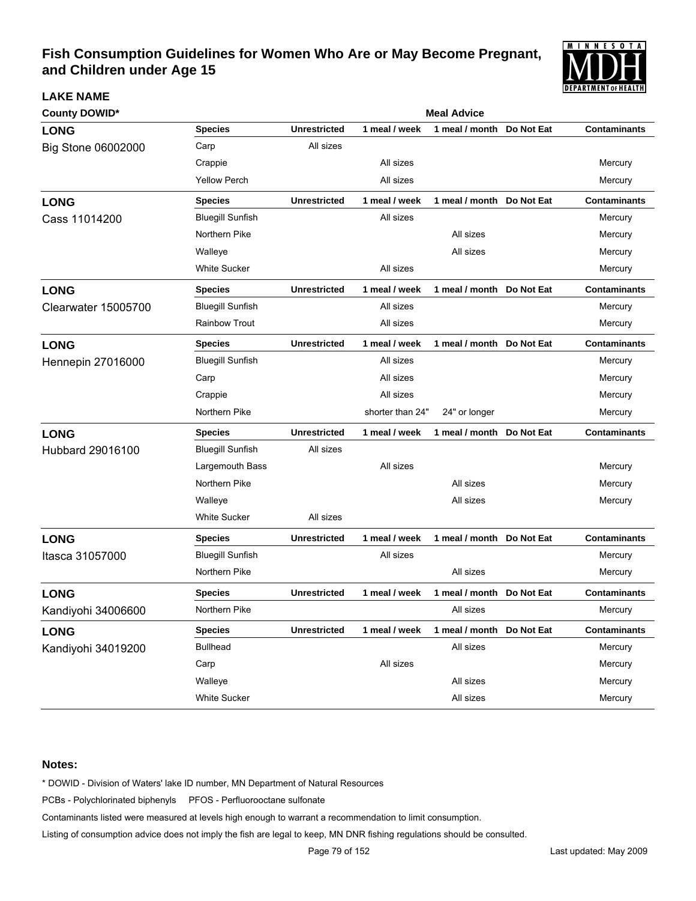

| <b>County DOWID*</b>       |                         | <b>Meal Advice</b>  |                  |                           |  |                     |  |  |
|----------------------------|-------------------------|---------------------|------------------|---------------------------|--|---------------------|--|--|
| <b>LONG</b>                | <b>Species</b>          | <b>Unrestricted</b> | 1 meal / week    | 1 meal / month Do Not Eat |  | <b>Contaminants</b> |  |  |
| Big Stone 06002000         | Carp                    | All sizes           |                  |                           |  |                     |  |  |
|                            | Crappie                 |                     | All sizes        |                           |  | Mercury             |  |  |
|                            | <b>Yellow Perch</b>     |                     | All sizes        |                           |  | Mercury             |  |  |
| <b>LONG</b>                | <b>Species</b>          | <b>Unrestricted</b> | 1 meal / week    | 1 meal / month Do Not Eat |  | <b>Contaminants</b> |  |  |
| Cass 11014200              | <b>Bluegill Sunfish</b> |                     | All sizes        |                           |  | Mercury             |  |  |
|                            | Northern Pike           |                     |                  | All sizes                 |  | Mercury             |  |  |
|                            | Walleye                 |                     |                  | All sizes                 |  | Mercury             |  |  |
|                            | <b>White Sucker</b>     |                     | All sizes        |                           |  | Mercury             |  |  |
| <b>LONG</b>                | <b>Species</b>          | <b>Unrestricted</b> | 1 meal / week    | 1 meal / month Do Not Eat |  | <b>Contaminants</b> |  |  |
| <b>Clearwater 15005700</b> | <b>Bluegill Sunfish</b> |                     | All sizes        |                           |  | Mercury             |  |  |
|                            | <b>Rainbow Trout</b>    |                     | All sizes        |                           |  | Mercury             |  |  |
| <b>LONG</b>                | <b>Species</b>          | <b>Unrestricted</b> | 1 meal / week    | 1 meal / month Do Not Eat |  | <b>Contaminants</b> |  |  |
| <b>Hennepin 27016000</b>   | <b>Bluegill Sunfish</b> |                     | All sizes        |                           |  | Mercury             |  |  |
|                            | Carp                    |                     | All sizes        |                           |  | Mercury             |  |  |
|                            | Crappie                 |                     | All sizes        |                           |  | Mercury             |  |  |
|                            | Northern Pike           |                     | shorter than 24" | 24" or longer             |  | Mercury             |  |  |
| <b>LONG</b>                | <b>Species</b>          | <b>Unrestricted</b> | 1 meal / week    | 1 meal / month Do Not Eat |  | <b>Contaminants</b> |  |  |
| Hubbard 29016100           | <b>Bluegill Sunfish</b> | All sizes           |                  |                           |  |                     |  |  |
|                            | Largemouth Bass         |                     | All sizes        |                           |  | Mercury             |  |  |
|                            | Northern Pike           |                     |                  | All sizes                 |  | Mercury             |  |  |
|                            | Walleye                 |                     |                  | All sizes                 |  | Mercury             |  |  |
|                            | <b>White Sucker</b>     | All sizes           |                  |                           |  |                     |  |  |
| <b>LONG</b>                | Species                 | <b>Unrestricted</b> | 1 meal / week    | 1 meal / month Do Not Eat |  | <b>Contaminants</b> |  |  |
| Itasca 31057000            | <b>Bluegill Sunfish</b> |                     | All sizes        |                           |  | Mercury             |  |  |
|                            | Northern Pike           |                     |                  | All sizes                 |  | Mercury             |  |  |
| <b>LONG</b>                | <b>Species</b>          | <b>Unrestricted</b> | 1 meal / week    | 1 meal / month Do Not Eat |  | <b>Contaminants</b> |  |  |
| Kandiyohi 34006600         | Northern Pike           |                     |                  | All sizes                 |  | Mercury             |  |  |
| <b>LONG</b>                | <b>Species</b>          | <b>Unrestricted</b> | 1 meal / week    | 1 meal / month Do Not Eat |  | <b>Contaminants</b> |  |  |
| Kandiyohi 34019200         | <b>Bullhead</b>         |                     |                  | All sizes                 |  | Mercury             |  |  |
|                            | Carp                    |                     | All sizes        |                           |  | Mercury             |  |  |
|                            | Walleye                 |                     |                  | All sizes                 |  | Mercury             |  |  |
|                            | <b>White Sucker</b>     |                     |                  | All sizes                 |  | Mercury             |  |  |

### **Notes:**

**LAKE NAME**

\* DOWID - Division of Waters' lake ID number, MN Department of Natural Resources

PCBs - Polychlorinated biphenyls PFOS - Perfluorooctane sulfonate

Contaminants listed were measured at levels high enough to warrant a recommendation to limit consumption.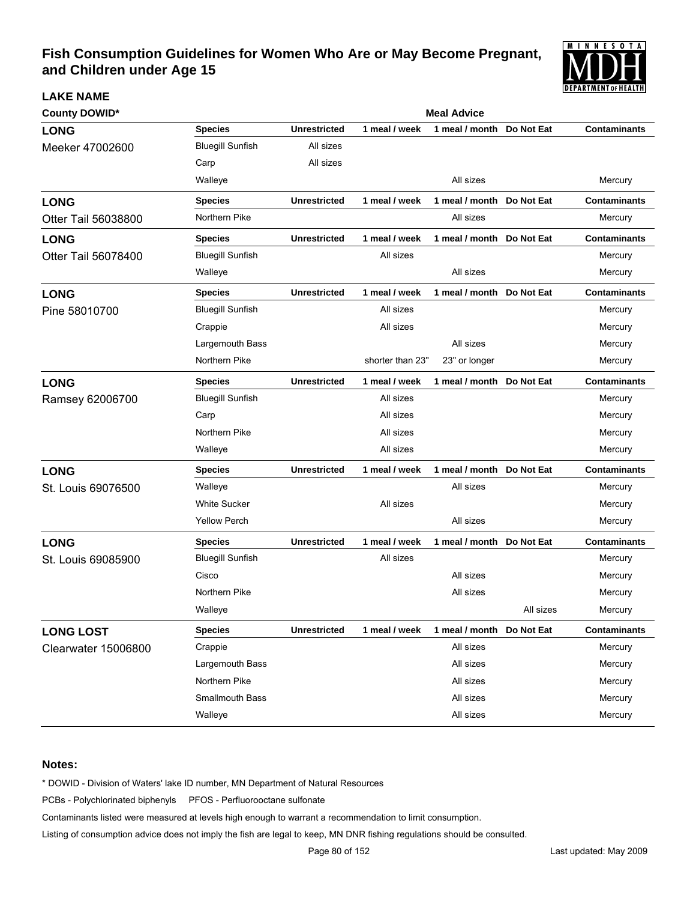

| <b>County DOWID*</b>       | <b>Meal Advice</b>      |                     |                  |                           |                   |                     |  |  |
|----------------------------|-------------------------|---------------------|------------------|---------------------------|-------------------|---------------------|--|--|
| <b>LONG</b>                | <b>Species</b>          | <b>Unrestricted</b> | 1 meal / week    | 1 meal / month            | Do Not Eat        | <b>Contaminants</b> |  |  |
| Meeker 47002600            | <b>Bluegill Sunfish</b> | All sizes           |                  |                           |                   |                     |  |  |
|                            | Carp                    | All sizes           |                  |                           |                   |                     |  |  |
|                            | Walleye                 |                     |                  | All sizes                 |                   | Mercury             |  |  |
| <b>LONG</b>                | <b>Species</b>          | <b>Unrestricted</b> | 1 meal / week    | 1 meal / month            | Do Not Eat        | <b>Contaminants</b> |  |  |
| Otter Tail 56038800        | Northern Pike           |                     |                  | All sizes                 |                   | Mercury             |  |  |
| <b>LONG</b>                | <b>Species</b>          | <b>Unrestricted</b> | 1 meal / week    | 1 meal / month            | Do Not Eat        | <b>Contaminants</b> |  |  |
| Otter Tail 56078400        | <b>Bluegill Sunfish</b> |                     | All sizes        |                           |                   | Mercury             |  |  |
|                            | Walleye                 |                     |                  | All sizes                 |                   | Mercury             |  |  |
| <b>LONG</b>                | <b>Species</b>          | <b>Unrestricted</b> | 1 meal / week    | 1 meal / month            | Do Not Eat        | <b>Contaminants</b> |  |  |
| Pine 58010700              | <b>Bluegill Sunfish</b> |                     | All sizes        |                           |                   | Mercury             |  |  |
|                            | Crappie                 |                     | All sizes        |                           |                   | Mercury             |  |  |
|                            | Largemouth Bass         |                     |                  | All sizes                 |                   | Mercury             |  |  |
|                            | Northern Pike           |                     | shorter than 23" | 23" or longer             |                   | Mercury             |  |  |
| <b>LONG</b>                | <b>Species</b>          | <b>Unrestricted</b> | 1 meal / week    | 1 meal / month            | <b>Do Not Eat</b> | <b>Contaminants</b> |  |  |
| Ramsey 62006700            | <b>Bluegill Sunfish</b> |                     | All sizes        |                           |                   | Mercury             |  |  |
|                            | Carp                    |                     | All sizes        |                           |                   | Mercury             |  |  |
|                            | Northern Pike           |                     | All sizes        |                           |                   | Mercury             |  |  |
|                            | Walleye                 |                     | All sizes        |                           |                   | Mercury             |  |  |
| <b>LONG</b>                | <b>Species</b>          | <b>Unrestricted</b> | 1 meal / week    | 1 meal / month            | Do Not Eat        | <b>Contaminants</b> |  |  |
| St. Louis 69076500         | Walleye                 |                     |                  | All sizes                 |                   | Mercury             |  |  |
|                            | <b>White Sucker</b>     |                     | All sizes        |                           |                   | Mercury             |  |  |
|                            | <b>Yellow Perch</b>     |                     |                  | All sizes                 |                   | Mercury             |  |  |
| <b>LONG</b>                | <b>Species</b>          | <b>Unrestricted</b> | 1 meal / week    | 1 meal / month            | Do Not Eat        | <b>Contaminants</b> |  |  |
| St. Louis 69085900         | <b>Bluegill Sunfish</b> |                     | All sizes        |                           |                   | Mercury             |  |  |
|                            | Cisco                   |                     |                  | All sizes                 |                   | Mercury             |  |  |
|                            | Northern Pike           |                     |                  | All sizes                 |                   | Mercury             |  |  |
|                            | Walleye                 |                     |                  |                           | All sizes         | Mercury             |  |  |
| <b>LONG LOST</b>           | <b>Species</b>          | <b>Unrestricted</b> | 1 meal / week    | 1 meal / month Do Not Eat |                   | Contaminants        |  |  |
| <b>Clearwater 15006800</b> | Crappie                 |                     |                  | All sizes                 |                   | Mercury             |  |  |
|                            | Largemouth Bass         |                     |                  | All sizes                 |                   | Mercury             |  |  |
|                            | Northern Pike           |                     |                  | All sizes                 |                   | Mercury             |  |  |
|                            | <b>Smallmouth Bass</b>  |                     |                  | All sizes                 |                   | Mercury             |  |  |
|                            | Walleye                 |                     |                  | All sizes                 |                   | Mercury             |  |  |

#### **Notes:**

**LAKE NAME**

\* DOWID - Division of Waters' lake ID number, MN Department of Natural Resources

PCBs - Polychlorinated biphenyls PFOS - Perfluorooctane sulfonate

Contaminants listed were measured at levels high enough to warrant a recommendation to limit consumption.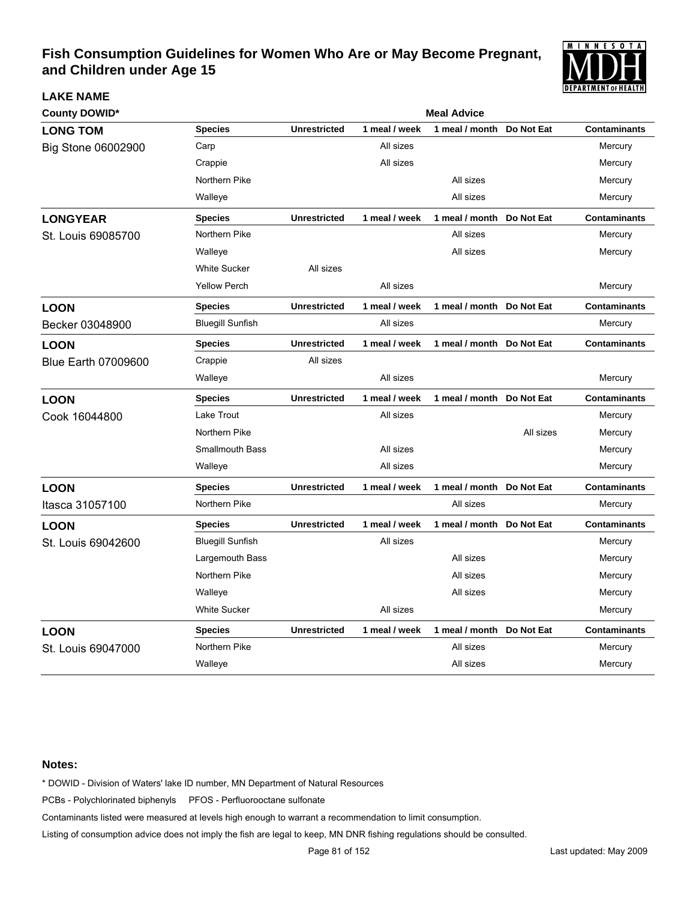

| <b>County DOWID*</b>       |                         |                     |               | <b>Meal Advice</b>        |            |                     |
|----------------------------|-------------------------|---------------------|---------------|---------------------------|------------|---------------------|
| <b>LONG TOM</b>            | <b>Species</b>          | <b>Unrestricted</b> | 1 meal / week | 1 meal / month            | Do Not Eat | <b>Contaminants</b> |
| Big Stone 06002900         | Carp                    |                     | All sizes     |                           |            | Mercury             |
|                            | Crappie                 |                     | All sizes     |                           |            | Mercury             |
|                            | Northern Pike           |                     |               | All sizes                 |            | Mercury             |
|                            | Walleye                 |                     |               | All sizes                 |            | Mercury             |
| <b>LONGYEAR</b>            | <b>Species</b>          | <b>Unrestricted</b> | 1 meal / week | 1 meal / month Do Not Eat |            | <b>Contaminants</b> |
| St. Louis 69085700         | Northern Pike           |                     |               | All sizes                 |            | Mercury             |
|                            | Walleye                 |                     |               | All sizes                 |            | Mercury             |
|                            | <b>White Sucker</b>     | All sizes           |               |                           |            |                     |
|                            | <b>Yellow Perch</b>     |                     | All sizes     |                           |            | Mercury             |
| <b>LOON</b>                | <b>Species</b>          | <b>Unrestricted</b> | 1 meal / week | 1 meal / month Do Not Eat |            | <b>Contaminants</b> |
| Becker 03048900            | <b>Bluegill Sunfish</b> |                     | All sizes     |                           |            | Mercury             |
| <b>LOON</b>                | <b>Species</b>          | <b>Unrestricted</b> | 1 meal / week | 1 meal / month Do Not Eat |            | <b>Contaminants</b> |
| <b>Blue Earth 07009600</b> | Crappie                 | All sizes           |               |                           |            |                     |
|                            | Walleye                 |                     | All sizes     |                           |            | Mercury             |
| <b>LOON</b>                | <b>Species</b>          | <b>Unrestricted</b> | 1 meal / week | 1 meal / month Do Not Eat |            | <b>Contaminants</b> |
| Cook 16044800              | Lake Trout              |                     | All sizes     |                           |            | Mercury             |
|                            | Northern Pike           |                     |               |                           | All sizes  | Mercury             |
|                            | <b>Smallmouth Bass</b>  |                     | All sizes     |                           |            | Mercury             |
|                            | Walleye                 |                     | All sizes     |                           |            | Mercury             |
| <b>LOON</b>                | <b>Species</b>          | <b>Unrestricted</b> | 1 meal / week | 1 meal / month Do Not Eat |            | <b>Contaminants</b> |
| Itasca 31057100            | Northern Pike           |                     |               | All sizes                 |            | Mercury             |
| <b>LOON</b>                | <b>Species</b>          | <b>Unrestricted</b> | 1 meal / week | 1 meal / month Do Not Eat |            | <b>Contaminants</b> |
| St. Louis 69042600         | <b>Bluegill Sunfish</b> |                     | All sizes     |                           |            | Mercury             |
|                            | Largemouth Bass         |                     |               | All sizes                 |            | Mercury             |
|                            | Northern Pike           |                     |               | All sizes                 |            | Mercury             |
|                            | Walleye                 |                     |               | All sizes                 |            | Mercury             |
|                            | <b>White Sucker</b>     |                     | All sizes     |                           |            | Mercury             |
| <b>LOON</b>                | <b>Species</b>          | <b>Unrestricted</b> | 1 meal / week | 1 meal / month            | Do Not Eat | <b>Contaminants</b> |
| St. Louis 69047000         | Northern Pike           |                     |               | All sizes                 |            | Mercury             |
|                            | Walleye                 |                     |               | All sizes                 |            | Mercury             |

#### **Notes:**

**LAKE NAME**

\* DOWID - Division of Waters' lake ID number, MN Department of Natural Resources

PCBs - Polychlorinated biphenyls PFOS - Perfluorooctane sulfonate

Contaminants listed were measured at levels high enough to warrant a recommendation to limit consumption.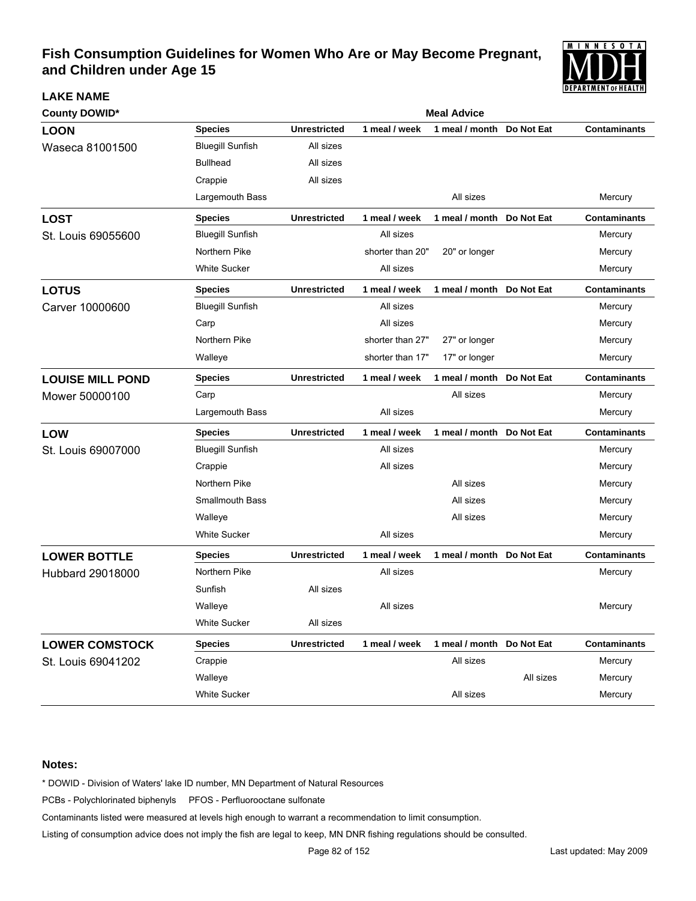

| <b>County DOWID*</b>    | <b>Meal Advice</b>      |                     |                  |                           |            |                     |  |  |
|-------------------------|-------------------------|---------------------|------------------|---------------------------|------------|---------------------|--|--|
| <b>LOON</b>             | <b>Species</b>          | <b>Unrestricted</b> | 1 meal / week    | 1 meal / month            | Do Not Eat | <b>Contaminants</b> |  |  |
| Waseca 81001500         | <b>Bluegill Sunfish</b> | All sizes           |                  |                           |            |                     |  |  |
|                         | <b>Bullhead</b>         | All sizes           |                  |                           |            |                     |  |  |
|                         | Crappie                 | All sizes           |                  |                           |            |                     |  |  |
|                         | Largemouth Bass         |                     |                  | All sizes                 |            | Mercury             |  |  |
| <b>LOST</b>             | <b>Species</b>          | <b>Unrestricted</b> | 1 meal / week    | 1 meal / month            | Do Not Eat | <b>Contaminants</b> |  |  |
| St. Louis 69055600      | <b>Bluegill Sunfish</b> |                     | All sizes        |                           |            | Mercury             |  |  |
|                         | Northern Pike           |                     | shorter than 20" | 20" or longer             |            | Mercury             |  |  |
|                         | <b>White Sucker</b>     |                     | All sizes        |                           |            | Mercury             |  |  |
| <b>LOTUS</b>            | <b>Species</b>          | <b>Unrestricted</b> | 1 meal / week    | 1 meal / month            | Do Not Eat | <b>Contaminants</b> |  |  |
| Carver 10000600         | <b>Bluegill Sunfish</b> |                     | All sizes        |                           |            | Mercury             |  |  |
|                         | Carp                    |                     | All sizes        |                           |            | Mercury             |  |  |
|                         | Northern Pike           |                     | shorter than 27" | 27" or longer             |            | Mercury             |  |  |
|                         | Walleye                 |                     | shorter than 17" | 17" or longer             |            | Mercury             |  |  |
| <b>LOUISE MILL POND</b> | <b>Species</b>          | <b>Unrestricted</b> | 1 meal / week    | 1 meal / month            | Do Not Eat | <b>Contaminants</b> |  |  |
| Mower 50000100          | Carp                    |                     |                  | All sizes                 |            | Mercury             |  |  |
|                         | Largemouth Bass         |                     | All sizes        |                           |            | Mercury             |  |  |
| <b>LOW</b>              | <b>Species</b>          | <b>Unrestricted</b> | 1 meal / week    | 1 meal / month            | Do Not Eat | <b>Contaminants</b> |  |  |
| St. Louis 69007000      | <b>Bluegill Sunfish</b> |                     | All sizes        |                           |            | Mercury             |  |  |
|                         | Crappie                 |                     | All sizes        |                           |            | Mercury             |  |  |
|                         | Northern Pike           |                     |                  | All sizes                 |            | Mercury             |  |  |
|                         | <b>Smallmouth Bass</b>  |                     |                  | All sizes                 |            | Mercury             |  |  |
|                         | Walleye                 |                     |                  | All sizes                 |            | Mercury             |  |  |
|                         | <b>White Sucker</b>     |                     | All sizes        |                           |            | Mercury             |  |  |
| <b>LOWER BOTTLE</b>     | <b>Species</b>          | <b>Unrestricted</b> | 1 meal / week    | 1 meal / month Do Not Eat |            | <b>Contaminants</b> |  |  |
| Hubbard 29018000        | Northern Pike           |                     | All sizes        |                           |            | Mercury             |  |  |
|                         | Sunfish                 | All sizes           |                  |                           |            |                     |  |  |
|                         | Walleye                 |                     | All sizes        |                           |            | Mercury             |  |  |
|                         | <b>White Sucker</b>     | All sizes           |                  |                           |            |                     |  |  |
| <b>LOWER COMSTOCK</b>   | <b>Species</b>          | <b>Unrestricted</b> | 1 meal / week    | 1 meal / month            | Do Not Eat | <b>Contaminants</b> |  |  |
| St. Louis 69041202      | Crappie                 |                     |                  | All sizes                 |            | Mercury             |  |  |
|                         | Walleye                 |                     |                  |                           | All sizes  | Mercury             |  |  |
|                         | <b>White Sucker</b>     |                     |                  | All sizes                 |            | Mercury             |  |  |

#### **Notes:**

**LAKE NAME**

\* DOWID - Division of Waters' lake ID number, MN Department of Natural Resources

PCBs - Polychlorinated biphenyls PFOS - Perfluorooctane sulfonate

Contaminants listed were measured at levels high enough to warrant a recommendation to limit consumption.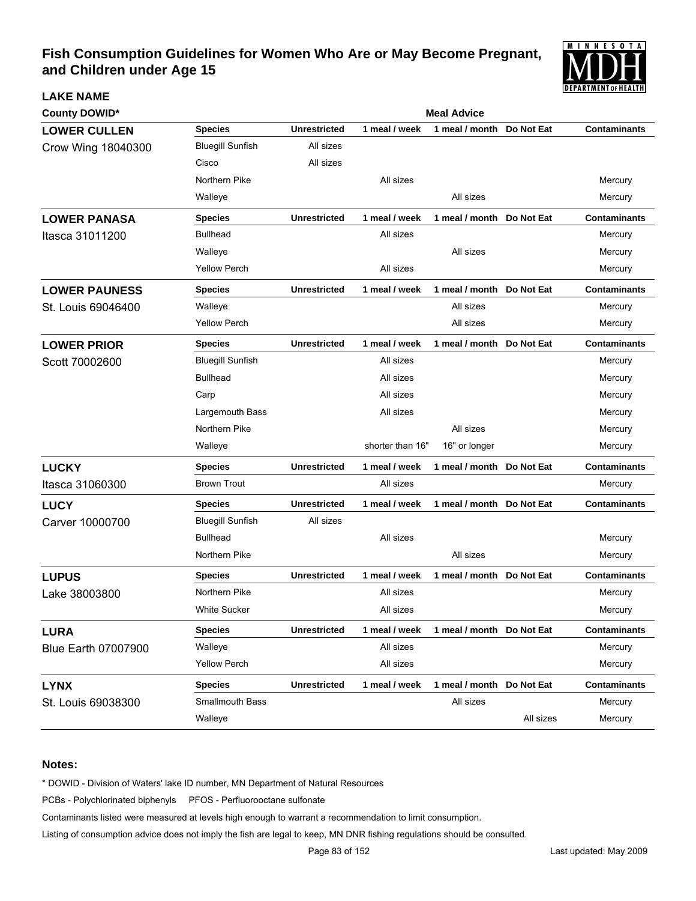

| <b>County DOWID*</b>       |                         | <b>Meal Advice</b>  |                  |                           |                   |                     |  |  |
|----------------------------|-------------------------|---------------------|------------------|---------------------------|-------------------|---------------------|--|--|
| <b>LOWER CULLEN</b>        | <b>Species</b>          | <b>Unrestricted</b> | 1 meal / week    | 1 meal / month            | Do Not Eat        | <b>Contaminants</b> |  |  |
| Crow Wing 18040300         | <b>Bluegill Sunfish</b> | All sizes           |                  |                           |                   |                     |  |  |
|                            | Cisco                   | All sizes           |                  |                           |                   |                     |  |  |
|                            | Northern Pike           |                     | All sizes        |                           |                   | Mercury             |  |  |
|                            | Walleye                 |                     |                  | All sizes                 |                   | Mercury             |  |  |
| <b>LOWER PANASA</b>        | <b>Species</b>          | <b>Unrestricted</b> | 1 meal / week    | 1 meal / month            | Do Not Eat        | <b>Contaminants</b> |  |  |
| Itasca 31011200            | <b>Bullhead</b>         |                     | All sizes        |                           |                   | Mercury             |  |  |
|                            | Walleye                 |                     |                  | All sizes                 |                   | Mercury             |  |  |
|                            | <b>Yellow Perch</b>     |                     | All sizes        |                           |                   | Mercury             |  |  |
| <b>LOWER PAUNESS</b>       | <b>Species</b>          | <b>Unrestricted</b> | 1 meal / week    | 1 meal / month Do Not Eat |                   | <b>Contaminants</b> |  |  |
| St. Louis 69046400         | Walleye                 |                     |                  | All sizes                 |                   | Mercury             |  |  |
|                            | <b>Yellow Perch</b>     |                     |                  | All sizes                 |                   | Mercury             |  |  |
| <b>LOWER PRIOR</b>         | <b>Species</b>          | <b>Unrestricted</b> | 1 meal / week    | 1 meal / month Do Not Eat |                   | <b>Contaminants</b> |  |  |
| Scott 70002600             | <b>Bluegill Sunfish</b> |                     | All sizes        |                           |                   | Mercury             |  |  |
|                            | <b>Bullhead</b>         |                     | All sizes        |                           |                   | Mercury             |  |  |
|                            | Carp                    |                     | All sizes        |                           |                   | Mercury             |  |  |
|                            | Largemouth Bass         |                     | All sizes        |                           |                   | Mercury             |  |  |
|                            | Northern Pike           |                     |                  | All sizes                 |                   | Mercury             |  |  |
|                            | Walleye                 |                     | shorter than 16" | 16" or longer             |                   | Mercury             |  |  |
| <b>LUCKY</b>               | <b>Species</b>          | <b>Unrestricted</b> | 1 meal / week    | 1 meal / month            | Do Not Eat        | <b>Contaminants</b> |  |  |
| Itasca 31060300            | <b>Brown Trout</b>      |                     | All sizes        |                           |                   | Mercury             |  |  |
| <b>LUCY</b>                | <b>Species</b>          | <b>Unrestricted</b> | 1 meal / week    | 1 meal / month            | Do Not Eat        | <b>Contaminants</b> |  |  |
| Carver 10000700            | <b>Bluegill Sunfish</b> | All sizes           |                  |                           |                   |                     |  |  |
|                            | <b>Bullhead</b>         |                     | All sizes        |                           |                   | Mercury             |  |  |
|                            | Northern Pike           |                     |                  | All sizes                 |                   | Mercury             |  |  |
| <b>LUPUS</b>               | <b>Species</b>          | <b>Unrestricted</b> | 1 meal / week    | 1 meal / month            | <b>Do Not Eat</b> | <b>Contaminants</b> |  |  |
| Lake 38003800              | Northern Pike           |                     | All sizes        |                           |                   | Mercury             |  |  |
|                            | <b>White Sucker</b>     |                     | All sizes        |                           |                   | Mercury             |  |  |
| <b>LURA</b>                | <b>Species</b>          | <b>Unrestricted</b> | 1 meal / week    | 1 meal / month Do Not Eat |                   | <b>Contaminants</b> |  |  |
| <b>Blue Earth 07007900</b> | Walleye                 |                     | All sizes        |                           |                   | Mercury             |  |  |
|                            | <b>Yellow Perch</b>     |                     | All sizes        |                           |                   | Mercury             |  |  |
| <b>LYNX</b>                | <b>Species</b>          | <b>Unrestricted</b> | 1 meal / week    | 1 meal / month Do Not Eat |                   | <b>Contaminants</b> |  |  |
| St. Louis 69038300         | Smallmouth Bass         |                     |                  | All sizes                 |                   | Mercury             |  |  |
|                            | Walleye                 |                     |                  |                           | All sizes         | Mercury             |  |  |

### **Notes:**

**LAKE NAME**

\* DOWID - Division of Waters' lake ID number, MN Department of Natural Resources

PCBs - Polychlorinated biphenyls PFOS - Perfluorooctane sulfonate

Contaminants listed were measured at levels high enough to warrant a recommendation to limit consumption.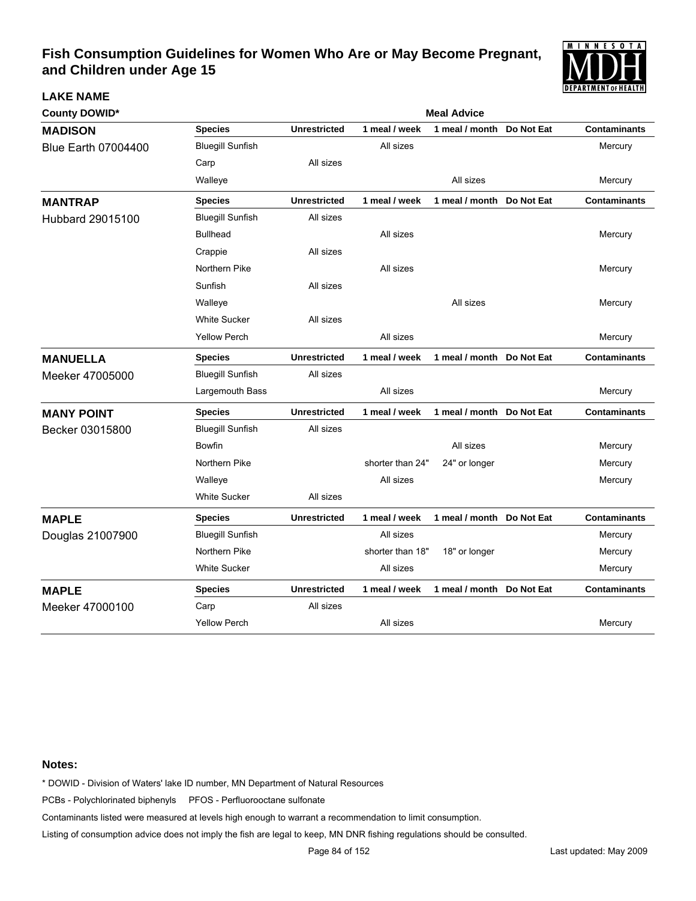

| <b>County DOWID*</b>       |                         | <b>Meal Advice</b>  |                  |                           |            |                     |  |  |
|----------------------------|-------------------------|---------------------|------------------|---------------------------|------------|---------------------|--|--|
| <b>MADISON</b>             | <b>Species</b>          | <b>Unrestricted</b> | 1 meal / week    | 1 meal / month            | Do Not Eat | <b>Contaminants</b> |  |  |
| <b>Blue Earth 07004400</b> | <b>Bluegill Sunfish</b> |                     | All sizes        |                           |            | Mercury             |  |  |
|                            | Carp                    | All sizes           |                  |                           |            |                     |  |  |
|                            | Walleye                 |                     |                  | All sizes                 |            | Mercury             |  |  |
| <b>MANTRAP</b>             | <b>Species</b>          | <b>Unrestricted</b> | 1 meal / week    | 1 meal / month            | Do Not Eat | <b>Contaminants</b> |  |  |
| Hubbard 29015100           | <b>Bluegill Sunfish</b> | All sizes           |                  |                           |            |                     |  |  |
|                            | <b>Bullhead</b>         |                     | All sizes        |                           |            | Mercury             |  |  |
|                            | Crappie                 | All sizes           |                  |                           |            |                     |  |  |
|                            | Northern Pike           |                     | All sizes        |                           |            | Mercury             |  |  |
|                            | Sunfish                 | All sizes           |                  |                           |            |                     |  |  |
|                            | Walleye                 |                     |                  | All sizes                 |            | Mercury             |  |  |
|                            | <b>White Sucker</b>     | All sizes           |                  |                           |            |                     |  |  |
|                            | <b>Yellow Perch</b>     |                     | All sizes        |                           |            | Mercury             |  |  |
| <b>MANUELLA</b>            | <b>Species</b>          | <b>Unrestricted</b> | 1 meal / week    | 1 meal / month            | Do Not Eat | <b>Contaminants</b> |  |  |
| Meeker 47005000            | <b>Bluegill Sunfish</b> | All sizes           |                  |                           |            |                     |  |  |
|                            | Largemouth Bass         |                     | All sizes        |                           |            | Mercury             |  |  |
| <b>MANY POINT</b>          | <b>Species</b>          | <b>Unrestricted</b> | 1 meal / week    | 1 meal / month            | Do Not Eat | <b>Contaminants</b> |  |  |
| Becker 03015800            | <b>Bluegill Sunfish</b> | All sizes           |                  |                           |            |                     |  |  |
|                            | <b>Bowfin</b>           |                     |                  | All sizes                 |            | Mercury             |  |  |
|                            | Northern Pike           |                     | shorter than 24" | 24" or longer             |            | Mercury             |  |  |
|                            | Walleye                 |                     | All sizes        |                           |            | Mercury             |  |  |
|                            | <b>White Sucker</b>     | All sizes           |                  |                           |            |                     |  |  |
| <b>MAPLE</b>               | <b>Species</b>          | <b>Unrestricted</b> | 1 meal / week    | 1 meal / month Do Not Eat |            | <b>Contaminants</b> |  |  |
| Douglas 21007900           | <b>Bluegill Sunfish</b> |                     | All sizes        |                           |            | Mercury             |  |  |
|                            | Northern Pike           |                     | shorter than 18" | 18" or longer             |            | Mercury             |  |  |
|                            | <b>White Sucker</b>     |                     | All sizes        |                           |            | Mercury             |  |  |
| <b>MAPLE</b>               | <b>Species</b>          | <b>Unrestricted</b> | 1 meal / week    | 1 meal / month            | Do Not Eat | <b>Contaminants</b> |  |  |
| Meeker 47000100            | Carp                    | All sizes           |                  |                           |            |                     |  |  |
|                            | <b>Yellow Perch</b>     |                     | All sizes        |                           |            | Mercury             |  |  |

#### **Notes:**

**LAKE NAME**

\* DOWID - Division of Waters' lake ID number, MN Department of Natural Resources

PCBs - Polychlorinated biphenyls PFOS - Perfluorooctane sulfonate

Contaminants listed were measured at levels high enough to warrant a recommendation to limit consumption.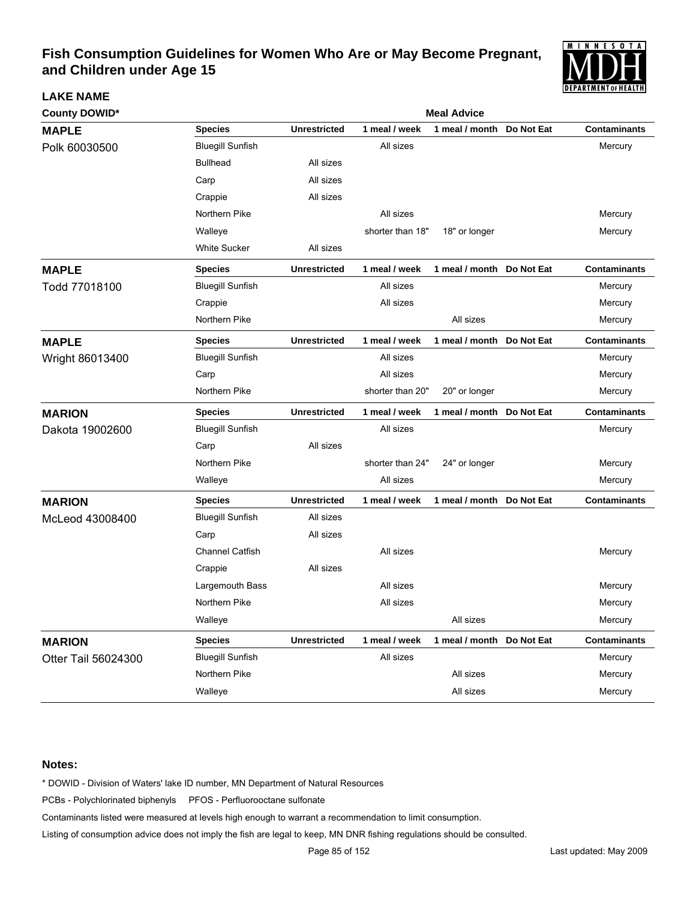

| <b>County DOWID*</b> | <b>Meal Advice</b>      |                     |                  |                           |            |                     |  |  |
|----------------------|-------------------------|---------------------|------------------|---------------------------|------------|---------------------|--|--|
| <b>MAPLE</b>         | <b>Species</b>          | <b>Unrestricted</b> | 1 meal / week    | 1 meal / month            | Do Not Eat | <b>Contaminants</b> |  |  |
| Polk 60030500        | <b>Bluegill Sunfish</b> |                     | All sizes        |                           |            | Mercury             |  |  |
|                      | <b>Bullhead</b>         | All sizes           |                  |                           |            |                     |  |  |
|                      | Carp                    | All sizes           |                  |                           |            |                     |  |  |
|                      | Crappie                 | All sizes           |                  |                           |            |                     |  |  |
|                      | Northern Pike           |                     | All sizes        |                           |            | Mercury             |  |  |
|                      | Walleye                 |                     | shorter than 18" | 18" or longer             |            | Mercury             |  |  |
|                      | <b>White Sucker</b>     | All sizes           |                  |                           |            |                     |  |  |
| <b>MAPLE</b>         | <b>Species</b>          | <b>Unrestricted</b> | 1 meal / week    | 1 meal / month            | Do Not Eat | <b>Contaminants</b> |  |  |
| Todd 77018100        | <b>Bluegill Sunfish</b> |                     | All sizes        |                           |            | Mercury             |  |  |
|                      | Crappie                 |                     | All sizes        |                           |            | Mercury             |  |  |
|                      | Northern Pike           |                     |                  | All sizes                 |            | Mercury             |  |  |
| <b>MAPLE</b>         | <b>Species</b>          | <b>Unrestricted</b> | 1 meal / week    | 1 meal / month            | Do Not Eat | <b>Contaminants</b> |  |  |
| Wright 86013400      | <b>Bluegill Sunfish</b> |                     | All sizes        |                           |            | Mercury             |  |  |
|                      | Carp                    |                     | All sizes        |                           |            | Mercury             |  |  |
|                      | Northern Pike           |                     | shorter than 20" | 20" or longer             |            | Mercury             |  |  |
| <b>MARION</b>        | <b>Species</b>          | <b>Unrestricted</b> | 1 meal / week    | 1 meal / month            | Do Not Eat | <b>Contaminants</b> |  |  |
| Dakota 19002600      | <b>Bluegill Sunfish</b> |                     | All sizes        |                           |            | Mercury             |  |  |
|                      | Carp                    | All sizes           |                  |                           |            |                     |  |  |
|                      | Northern Pike           |                     | shorter than 24" | 24" or longer             |            | Mercury             |  |  |
|                      | Walleye                 |                     | All sizes        |                           |            | Mercury             |  |  |
| <b>MARION</b>        | <b>Species</b>          | <b>Unrestricted</b> | 1 meal / week    | 1 meal / month Do Not Eat |            | <b>Contaminants</b> |  |  |
| McLeod 43008400      | <b>Bluegill Sunfish</b> | All sizes           |                  |                           |            |                     |  |  |
|                      | Carp                    | All sizes           |                  |                           |            |                     |  |  |
|                      | <b>Channel Catfish</b>  |                     | All sizes        |                           |            | Mercury             |  |  |
|                      | Crappie                 | All sizes           |                  |                           |            |                     |  |  |
|                      | Largemouth Bass         |                     | All sizes        |                           |            | Mercury             |  |  |
|                      | Northern Pike           |                     | All sizes        |                           |            | Mercury             |  |  |
|                      | Walleye                 |                     |                  | All sizes                 |            | Mercury             |  |  |
| <b>MARION</b>        | <b>Species</b>          | <b>Unrestricted</b> | 1 meal / week    | 1 meal / month            | Do Not Eat | <b>Contaminants</b> |  |  |
| Otter Tail 56024300  | <b>Bluegill Sunfish</b> |                     | All sizes        |                           |            | Mercury             |  |  |
|                      | Northern Pike           |                     |                  | All sizes                 |            | Mercury             |  |  |
|                      | Walleye                 |                     |                  | All sizes                 |            | Mercury             |  |  |

### **Notes:**

**LAKE NAME**

\* DOWID - Division of Waters' lake ID number, MN Department of Natural Resources

PCBs - Polychlorinated biphenyls PFOS - Perfluorooctane sulfonate

Contaminants listed were measured at levels high enough to warrant a recommendation to limit consumption.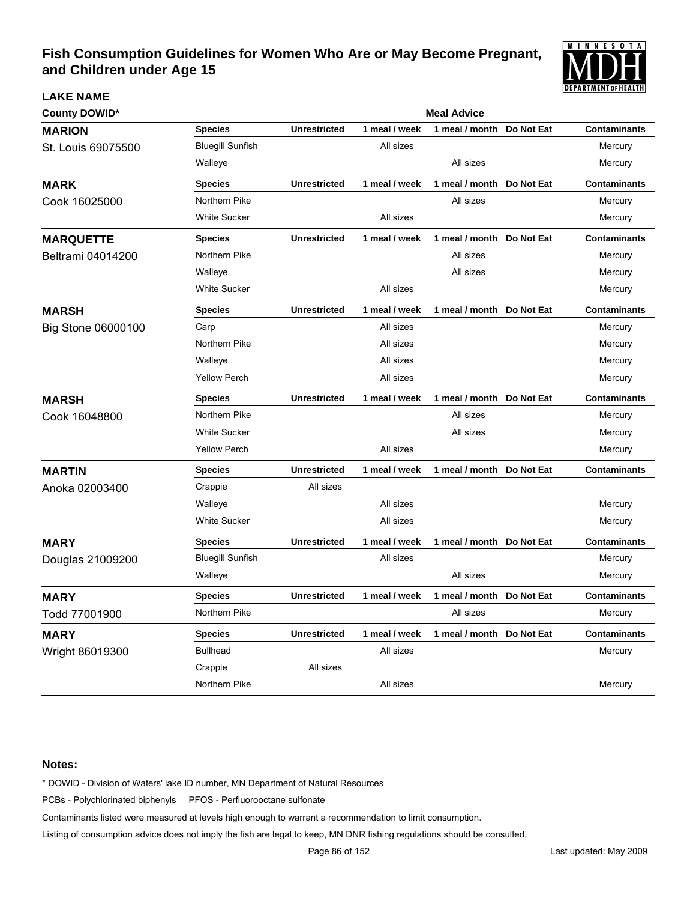

| <b>County DOWID*</b> | <b>Meal Advice</b>      |                     |               |                           |            |                     |  |  |  |
|----------------------|-------------------------|---------------------|---------------|---------------------------|------------|---------------------|--|--|--|
| <b>MARION</b>        | <b>Species</b>          | <b>Unrestricted</b> | 1 meal / week | 1 meal / month            | Do Not Eat | <b>Contaminants</b> |  |  |  |
| St. Louis 69075500   | <b>Bluegill Sunfish</b> |                     | All sizes     |                           |            | Mercury             |  |  |  |
|                      | Walleye                 |                     |               | All sizes                 |            | Mercury             |  |  |  |
| <b>MARK</b>          | <b>Species</b>          | <b>Unrestricted</b> | 1 meal / week | 1 meal / month            | Do Not Eat | <b>Contaminants</b> |  |  |  |
| Cook 16025000        | Northern Pike           |                     |               | All sizes                 |            | Mercury             |  |  |  |
|                      | <b>White Sucker</b>     |                     | All sizes     |                           |            | Mercury             |  |  |  |
| <b>MARQUETTE</b>     | <b>Species</b>          | <b>Unrestricted</b> | 1 meal / week | 1 meal / month Do Not Eat |            | <b>Contaminants</b> |  |  |  |
| Beltrami 04014200    | Northern Pike           |                     |               | All sizes                 |            | Mercury             |  |  |  |
|                      | Walleye                 |                     |               | All sizes                 |            | Mercury             |  |  |  |
|                      | <b>White Sucker</b>     |                     | All sizes     |                           |            | Mercury             |  |  |  |
| <b>MARSH</b>         | <b>Species</b>          | <b>Unrestricted</b> | 1 meal / week | 1 meal / month Do Not Eat |            | <b>Contaminants</b> |  |  |  |
| Big Stone 06000100   | Carp                    |                     | All sizes     |                           |            | Mercury             |  |  |  |
|                      | Northern Pike           |                     | All sizes     |                           |            | Mercury             |  |  |  |
|                      | Walleye                 |                     | All sizes     |                           |            | Mercury             |  |  |  |
|                      | <b>Yellow Perch</b>     |                     | All sizes     |                           |            | Mercury             |  |  |  |
| <b>MARSH</b>         | <b>Species</b>          | <b>Unrestricted</b> | 1 meal / week | 1 meal / month Do Not Eat |            | <b>Contaminants</b> |  |  |  |
| Cook 16048800        | Northern Pike           |                     |               | All sizes                 |            | Mercury             |  |  |  |
|                      | <b>White Sucker</b>     |                     |               | All sizes                 |            | Mercury             |  |  |  |
|                      | <b>Yellow Perch</b>     |                     | All sizes     |                           |            | Mercury             |  |  |  |
| <b>MARTIN</b>        | <b>Species</b>          | <b>Unrestricted</b> | 1 meal / week | 1 meal / month Do Not Eat |            | <b>Contaminants</b> |  |  |  |
| Anoka 02003400       | Crappie                 | All sizes           |               |                           |            |                     |  |  |  |
|                      | Walleye                 |                     | All sizes     |                           |            | Mercury             |  |  |  |
|                      | <b>White Sucker</b>     |                     | All sizes     |                           |            | Mercury             |  |  |  |
| <b>MARY</b>          | <b>Species</b>          | <b>Unrestricted</b> | 1 meal / week | 1 meal / month Do Not Eat |            | <b>Contaminants</b> |  |  |  |
| Douglas 21009200     | <b>Bluegill Sunfish</b> |                     | All sizes     |                           |            | Mercury             |  |  |  |
|                      | Walleye                 |                     |               | All sizes                 |            | Mercury             |  |  |  |
| <b>MARY</b>          | <b>Species</b>          | <b>Unrestricted</b> | 1 meal / week | 1 meal / month            | Do Not Eat | <b>Contaminants</b> |  |  |  |
| Todd 77001900        | Northern Pike           |                     |               | All sizes                 |            | Mercury             |  |  |  |
| <b>MARY</b>          | <b>Species</b>          | <b>Unrestricted</b> | 1 meal / week | 1 meal / month Do Not Eat |            | <b>Contaminants</b> |  |  |  |
| Wright 86019300      | <b>Bullhead</b>         |                     | All sizes     |                           |            | Mercury             |  |  |  |
|                      | Crappie                 | All sizes           |               |                           |            |                     |  |  |  |
|                      | Northern Pike           |                     | All sizes     |                           |            | Mercury             |  |  |  |

### **Notes:**

**LAKE NAME**

\* DOWID - Division of Waters' lake ID number, MN Department of Natural Resources

PCBs - Polychlorinated biphenyls PFOS - Perfluorooctane sulfonate

Contaminants listed were measured at levels high enough to warrant a recommendation to limit consumption.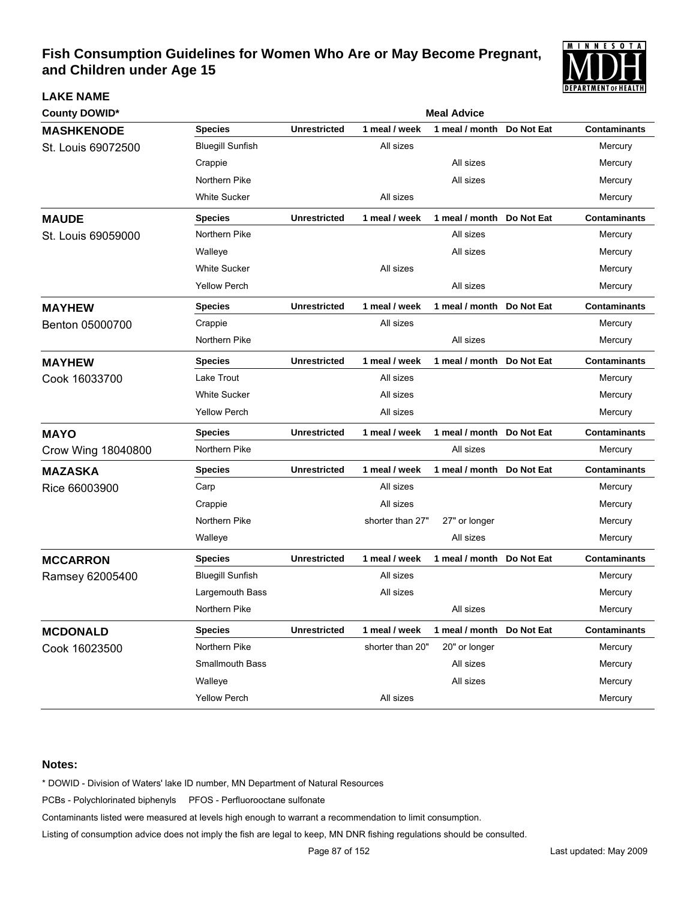

| <b>County DOWID*</b> |                         | <b>Meal Advice</b>  |                  |                           |            |                     |  |
|----------------------|-------------------------|---------------------|------------------|---------------------------|------------|---------------------|--|
| <b>MASHKENODE</b>    | <b>Species</b>          | <b>Unrestricted</b> | 1 meal / week    | 1 meal / month            | Do Not Eat | <b>Contaminants</b> |  |
| St. Louis 69072500   | <b>Bluegill Sunfish</b> |                     | All sizes        |                           |            | Mercury             |  |
|                      | Crappie                 |                     |                  | All sizes                 |            | Mercury             |  |
|                      | Northern Pike           |                     |                  | All sizes                 |            | Mercury             |  |
|                      | <b>White Sucker</b>     |                     | All sizes        |                           |            | Mercury             |  |
| <b>MAUDE</b>         | <b>Species</b>          | <b>Unrestricted</b> | 1 meal / week    | 1 meal / month Do Not Eat |            | <b>Contaminants</b> |  |
| St. Louis 69059000   | Northern Pike           |                     |                  | All sizes                 |            | Mercury             |  |
|                      | Walleye                 |                     |                  | All sizes                 |            | Mercury             |  |
|                      | <b>White Sucker</b>     |                     | All sizes        |                           |            | Mercury             |  |
|                      | <b>Yellow Perch</b>     |                     |                  | All sizes                 |            | Mercury             |  |
| <b>MAYHEW</b>        | <b>Species</b>          | <b>Unrestricted</b> | 1 meal / week    | 1 meal / month Do Not Eat |            | <b>Contaminants</b> |  |
| Benton 05000700      | Crappie                 |                     | All sizes        |                           |            | Mercury             |  |
|                      | Northern Pike           |                     |                  | All sizes                 |            | Mercury             |  |
| <b>MAYHEW</b>        | <b>Species</b>          | <b>Unrestricted</b> | 1 meal / week    | 1 meal / month Do Not Eat |            | <b>Contaminants</b> |  |
| Cook 16033700        | Lake Trout              |                     | All sizes        |                           |            | Mercury             |  |
|                      | <b>White Sucker</b>     |                     | All sizes        |                           |            | Mercury             |  |
|                      | <b>Yellow Perch</b>     |                     | All sizes        |                           |            | Mercury             |  |
| <b>MAYO</b>          | <b>Species</b>          | <b>Unrestricted</b> | 1 meal / week    | 1 meal / month Do Not Eat |            | <b>Contaminants</b> |  |
| Crow Wing 18040800   | Northern Pike           |                     |                  | All sizes                 |            | Mercury             |  |
| <b>MAZASKA</b>       | <b>Species</b>          | <b>Unrestricted</b> | 1 meal / week    | 1 meal / month Do Not Eat |            | <b>Contaminants</b> |  |
| Rice 66003900        | Carp                    |                     | All sizes        |                           |            | Mercury             |  |
|                      | Crappie                 |                     | All sizes        |                           |            | Mercury             |  |
|                      | Northern Pike           |                     | shorter than 27" | 27" or longer             |            | Mercury             |  |
|                      | Walleye                 |                     |                  | All sizes                 |            | Mercury             |  |
| <b>MCCARRON</b>      | <b>Species</b>          | <b>Unrestricted</b> | 1 meal / week    | 1 meal / month Do Not Eat |            | <b>Contaminants</b> |  |
| Ramsey 62005400      | <b>Bluegill Sunfish</b> |                     | All sizes        |                           |            | Mercury             |  |
|                      | Largemouth Bass         |                     | All sizes        |                           |            | Mercury             |  |
|                      | Northern Pike           |                     |                  | All sizes                 |            | Mercury             |  |
| <b>MCDONALD</b>      | <b>Species</b>          | <b>Unrestricted</b> | 1 meal / week    | 1 meal / month Do Not Eat |            | <b>Contaminants</b> |  |
| Cook 16023500        | Northern Pike           |                     | shorter than 20" | 20" or longer             |            | Mercury             |  |
|                      | Smallmouth Bass         |                     |                  | All sizes                 |            | Mercury             |  |
|                      | Walleye                 |                     |                  | All sizes                 |            | Mercury             |  |
|                      | <b>Yellow Perch</b>     |                     | All sizes        |                           |            | Mercury             |  |

### **Notes:**

**LAKE NAME**

\* DOWID - Division of Waters' lake ID number, MN Department of Natural Resources

PCBs - Polychlorinated biphenyls PFOS - Perfluorooctane sulfonate

Contaminants listed were measured at levels high enough to warrant a recommendation to limit consumption.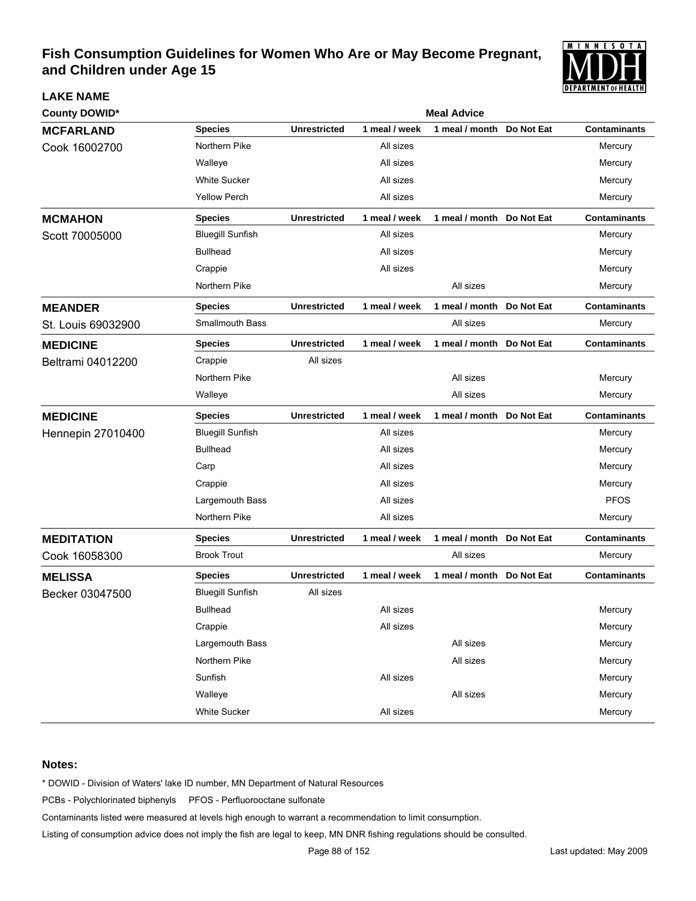

| <b>LAKE NAME</b>     |                         |                     |               |                           |            | <b>PETANIMENI VI HEALIN</b> |  |
|----------------------|-------------------------|---------------------|---------------|---------------------------|------------|-----------------------------|--|
| <b>County DOWID*</b> | <b>Meal Advice</b>      |                     |               |                           |            |                             |  |
| <b>MCFARLAND</b>     | <b>Species</b>          | <b>Unrestricted</b> | 1 meal / week | 1 meal / month            | Do Not Eat | <b>Contaminants</b>         |  |
| Cook 16002700        | Northern Pike           |                     | All sizes     |                           |            | Mercury                     |  |
|                      | Walleye                 |                     | All sizes     |                           |            | Mercury                     |  |
|                      | <b>White Sucker</b>     |                     | All sizes     |                           |            | Mercury                     |  |
|                      | <b>Yellow Perch</b>     |                     | All sizes     |                           |            | Mercury                     |  |
| <b>MCMAHON</b>       | <b>Species</b>          | <b>Unrestricted</b> | 1 meal / week | 1 meal / month Do Not Eat |            | <b>Contaminants</b>         |  |
| Scott 70005000       | <b>Bluegill Sunfish</b> |                     | All sizes     |                           |            | Mercury                     |  |
|                      | <b>Bullhead</b>         |                     | All sizes     |                           |            | Mercury                     |  |
|                      | Crappie                 |                     | All sizes     |                           |            | Mercury                     |  |
|                      | Northern Pike           |                     |               | All sizes                 |            | Mercury                     |  |
| <b>MEANDER</b>       | <b>Species</b>          | <b>Unrestricted</b> | 1 meal / week | 1 meal / month Do Not Eat |            | <b>Contaminants</b>         |  |
| St. Louis 69032900   | <b>Smallmouth Bass</b>  |                     |               | All sizes                 |            | Mercury                     |  |
| <b>MEDICINE</b>      | <b>Species</b>          | <b>Unrestricted</b> | 1 meal / week | 1 meal / month Do Not Eat |            | <b>Contaminants</b>         |  |
| Beltrami 04012200    | Crappie                 | All sizes           |               |                           |            |                             |  |
|                      | Northern Pike           |                     |               | All sizes                 |            | Mercury                     |  |
|                      | Walleye                 |                     |               | All sizes                 |            | Mercury                     |  |
| <b>MEDICINE</b>      | <b>Species</b>          | <b>Unrestricted</b> | 1 meal / week | 1 meal / month Do Not Eat |            | <b>Contaminants</b>         |  |
| Hennepin 27010400    | <b>Bluegill Sunfish</b> |                     | All sizes     |                           |            | Mercury                     |  |
|                      | <b>Bullhead</b>         |                     | All sizes     |                           |            | Mercury                     |  |
|                      | Carp                    |                     | All sizes     |                           |            | Mercury                     |  |
|                      | Crappie                 |                     | All sizes     |                           |            | Mercury                     |  |
|                      | Largemouth Bass         |                     | All sizes     |                           |            | <b>PFOS</b>                 |  |
|                      | Northern Pike           |                     | All sizes     |                           |            | Mercury                     |  |
| <b>MEDITATION</b>    | <b>Species</b>          | <b>Unrestricted</b> | 1 meal / week | 1 meal / month Do Not Eat |            | <b>Contaminants</b>         |  |
| Cook 16058300        | <b>Brook Trout</b>      |                     |               | All sizes                 |            | Mercury                     |  |
| <b>MELISSA</b>       | <b>Species</b>          | <b>Unrestricted</b> | 1 meal / week | 1 meal / month Do Not Eat |            | <b>Contaminants</b>         |  |
| Becker 03047500      | <b>Bluegill Sunfish</b> | All sizes           |               |                           |            |                             |  |
|                      | <b>Bullhead</b>         |                     | All sizes     |                           |            | Mercury                     |  |
|                      | Crappie                 |                     | All sizes     |                           |            | Mercury                     |  |
|                      | Largemouth Bass         |                     |               | All sizes                 |            | Mercury                     |  |
|                      | Northern Pike           |                     |               | All sizes                 |            | Mercury                     |  |
|                      | Sunfish                 |                     | All sizes     |                           |            | Mercury                     |  |
|                      | Walleye                 |                     |               | All sizes                 |            | Mercury                     |  |
|                      | White Sucker            |                     | All sizes     |                           |            | Mercury                     |  |

### **Notes:**

\* DOWID - Division of Waters' lake ID number, MN Department of Natural Resources

PCBs - Polychlorinated biphenyls PFOS - Perfluorooctane sulfonate

Contaminants listed were measured at levels high enough to warrant a recommendation to limit consumption.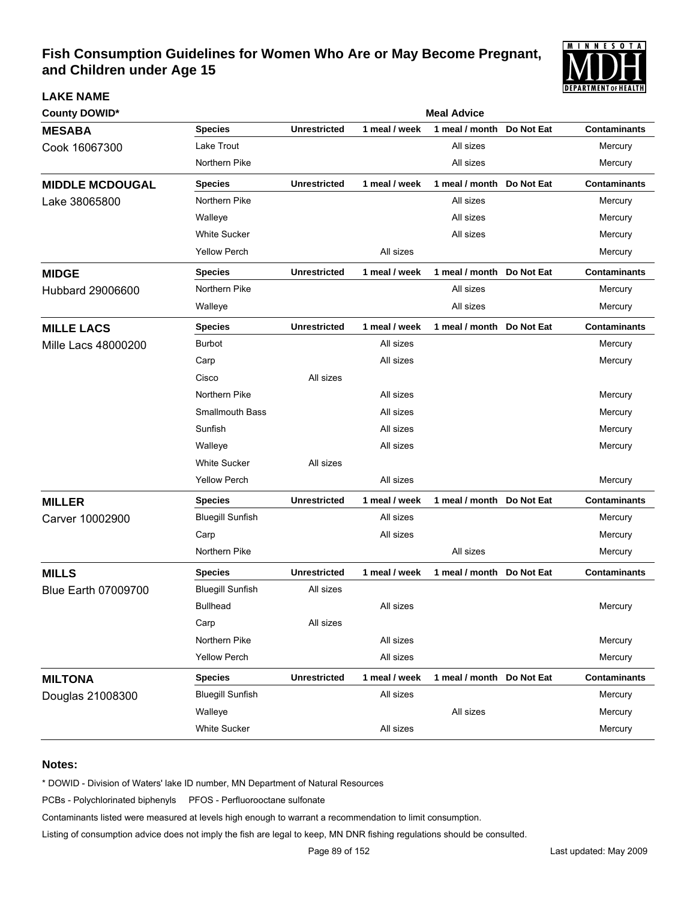

| <b>County DOWID*</b>       | <b>Meal Advice</b>      |                     |               |                           |            |                     |  |  |
|----------------------------|-------------------------|---------------------|---------------|---------------------------|------------|---------------------|--|--|
| <b>MESABA</b>              | <b>Species</b>          | <b>Unrestricted</b> | 1 meal / week | 1 meal / month            | Do Not Eat | <b>Contaminants</b> |  |  |
| Cook 16067300              | Lake Trout              |                     |               | All sizes                 |            | Mercury             |  |  |
|                            | Northern Pike           |                     |               | All sizes                 |            | Mercury             |  |  |
| <b>MIDDLE MCDOUGAL</b>     | <b>Species</b>          | <b>Unrestricted</b> | 1 meal / week | 1 meal / month Do Not Eat |            | <b>Contaminants</b> |  |  |
| Lake 38065800              | Northern Pike           |                     |               | All sizes                 |            | Mercury             |  |  |
|                            | Walleye                 |                     |               | All sizes                 |            | Mercury             |  |  |
|                            | <b>White Sucker</b>     |                     |               | All sizes                 |            | Mercury             |  |  |
|                            | <b>Yellow Perch</b>     |                     | All sizes     |                           |            | Mercury             |  |  |
| <b>MIDGE</b>               | <b>Species</b>          | <b>Unrestricted</b> | 1 meal / week | 1 meal / month Do Not Eat |            | <b>Contaminants</b> |  |  |
| Hubbard 29006600           | Northern Pike           |                     |               | All sizes                 |            | Mercury             |  |  |
|                            | Walleye                 |                     |               | All sizes                 |            | Mercury             |  |  |
| <b>MILLE LACS</b>          | <b>Species</b>          | <b>Unrestricted</b> | 1 meal / week | 1 meal / month Do Not Eat |            | <b>Contaminants</b> |  |  |
| <b>Mille Lacs 48000200</b> | <b>Burbot</b>           |                     | All sizes     |                           |            | Mercury             |  |  |
|                            | Carp                    |                     | All sizes     |                           |            | Mercury             |  |  |
|                            | Cisco                   | All sizes           |               |                           |            |                     |  |  |
|                            | Northern Pike           |                     | All sizes     |                           |            | Mercury             |  |  |
|                            | <b>Smallmouth Bass</b>  |                     | All sizes     |                           |            | Mercury             |  |  |
|                            | Sunfish                 |                     | All sizes     |                           |            | Mercury             |  |  |
|                            | Walleye                 |                     | All sizes     |                           |            | Mercury             |  |  |
|                            | <b>White Sucker</b>     | All sizes           |               |                           |            |                     |  |  |
|                            | <b>Yellow Perch</b>     |                     | All sizes     |                           |            | Mercury             |  |  |
| <b>MILLER</b>              | <b>Species</b>          | <b>Unrestricted</b> | 1 meal / week | 1 meal / month Do Not Eat |            | <b>Contaminants</b> |  |  |
| Carver 10002900            | <b>Bluegill Sunfish</b> |                     | All sizes     |                           |            | Mercury             |  |  |
|                            | Carp                    |                     | All sizes     |                           |            | Mercury             |  |  |
|                            | Northern Pike           |                     |               | All sizes                 |            | Mercury             |  |  |
| <b>MILLS</b>               | <b>Species</b>          | <b>Unrestricted</b> | 1 meal / week | 1 meal / month Do Not Eat |            | <b>Contaminants</b> |  |  |
| <b>Blue Earth 07009700</b> | <b>Bluegill Sunfish</b> | All sizes           |               |                           |            |                     |  |  |
|                            | <b>Bullhead</b>         |                     | All sizes     |                           |            | Mercury             |  |  |
|                            | Carp                    | All sizes           |               |                           |            |                     |  |  |
|                            | Northern Pike           |                     | All sizes     |                           |            | Mercury             |  |  |
|                            | <b>Yellow Perch</b>     |                     | All sizes     |                           |            | Mercury             |  |  |
| <b>MILTONA</b>             | <b>Species</b>          | <b>Unrestricted</b> | 1 meal / week | 1 meal / month Do Not Eat |            | <b>Contaminants</b> |  |  |
| Douglas 21008300           | <b>Bluegill Sunfish</b> |                     | All sizes     |                           |            | Mercury             |  |  |
|                            | Walleye                 |                     |               | All sizes                 |            | Mercury             |  |  |
|                            | White Sucker            |                     | All sizes     |                           |            | Mercury             |  |  |

### **Notes:**

**LAKE NAME**

\* DOWID - Division of Waters' lake ID number, MN Department of Natural Resources

PCBs - Polychlorinated biphenyls PFOS - Perfluorooctane sulfonate

Contaminants listed were measured at levels high enough to warrant a recommendation to limit consumption.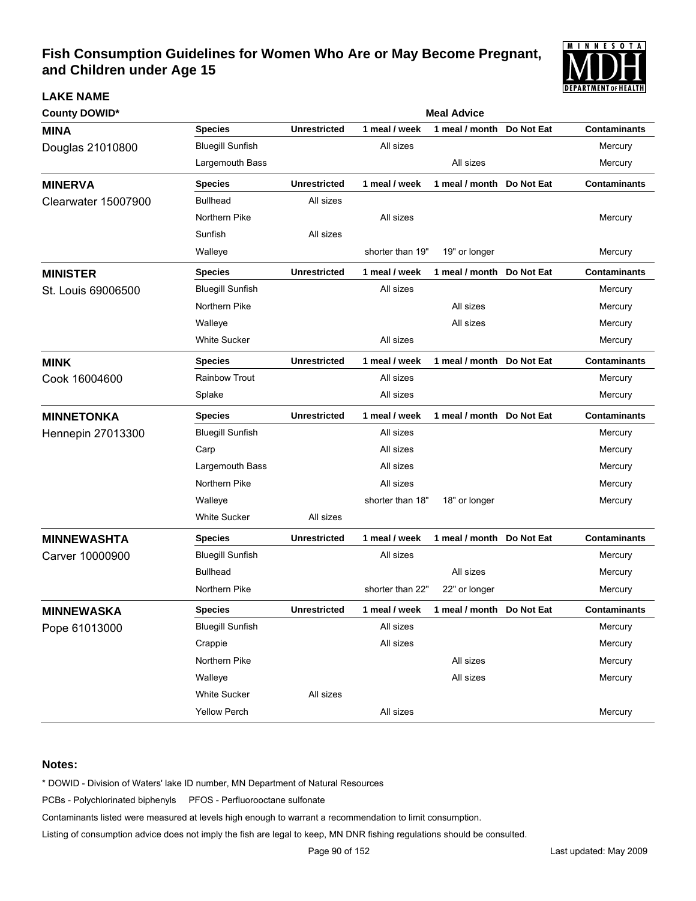

| <b>County DOWID*</b>       | <b>Meal Advice</b>      |                     |                  |                           |            |                     |  |  |
|----------------------------|-------------------------|---------------------|------------------|---------------------------|------------|---------------------|--|--|
| <b>MINA</b>                | <b>Species</b>          | <b>Unrestricted</b> | 1 meal / week    | 1 meal / month            | Do Not Eat | <b>Contaminants</b> |  |  |
| Douglas 21010800           | <b>Bluegill Sunfish</b> |                     | All sizes        |                           |            | Mercury             |  |  |
|                            | Largemouth Bass         |                     |                  | All sizes                 |            | Mercury             |  |  |
| <b>MINERVA</b>             | <b>Species</b>          | <b>Unrestricted</b> | 1 meal / week    | 1 meal / month            | Do Not Eat | <b>Contaminants</b> |  |  |
| <b>Clearwater 15007900</b> | <b>Bullhead</b>         | All sizes           |                  |                           |            |                     |  |  |
|                            | Northern Pike           |                     | All sizes        |                           |            | Mercury             |  |  |
|                            | Sunfish                 | All sizes           |                  |                           |            |                     |  |  |
|                            | Walleye                 |                     | shorter than 19" | 19" or longer             |            | Mercury             |  |  |
| <b>MINISTER</b>            | <b>Species</b>          | <b>Unrestricted</b> | 1 meal / week    | 1 meal / month Do Not Eat |            | <b>Contaminants</b> |  |  |
| St. Louis 69006500         | <b>Bluegill Sunfish</b> |                     | All sizes        |                           |            | Mercury             |  |  |
|                            | Northern Pike           |                     |                  | All sizes                 |            | Mercury             |  |  |
|                            | Walleye                 |                     |                  | All sizes                 |            | Mercury             |  |  |
|                            | <b>White Sucker</b>     |                     | All sizes        |                           |            | Mercury             |  |  |
| <b>MINK</b>                | <b>Species</b>          | <b>Unrestricted</b> | 1 meal / week    | 1 meal / month            | Do Not Eat | <b>Contaminants</b> |  |  |
| Cook 16004600              | <b>Rainbow Trout</b>    |                     | All sizes        |                           |            | Mercury             |  |  |
|                            | Splake                  |                     | All sizes        |                           |            | Mercury             |  |  |
| <b>MINNETONKA</b>          | <b>Species</b>          | <b>Unrestricted</b> | 1 meal / week    | 1 meal / month Do Not Eat |            | <b>Contaminants</b> |  |  |
| <b>Hennepin 27013300</b>   | <b>Bluegill Sunfish</b> |                     | All sizes        |                           |            | Mercury             |  |  |
|                            | Carp                    |                     | All sizes        |                           |            | Mercury             |  |  |
|                            | Largemouth Bass         |                     | All sizes        |                           |            | Mercury             |  |  |
|                            | Northern Pike           |                     | All sizes        |                           |            | Mercury             |  |  |
|                            | Walleye                 |                     | shorter than 18" | 18" or longer             |            | Mercury             |  |  |
|                            | <b>White Sucker</b>     | All sizes           |                  |                           |            |                     |  |  |
| <b>MINNEWASHTA</b>         | <b>Species</b>          | <b>Unrestricted</b> | 1 meal / week    | 1 meal / month Do Not Eat |            | <b>Contaminants</b> |  |  |
| Carver 10000900            | <b>Bluegill Sunfish</b> |                     | All sizes        |                           |            | Mercury             |  |  |
|                            | <b>Bullhead</b>         |                     |                  | All sizes                 |            | Mercury             |  |  |
|                            | Northern Pike           |                     | shorter than 22" | 22" or longer             |            | Mercury             |  |  |
| <b>MINNEWASKA</b>          | <b>Species</b>          | <b>Unrestricted</b> | 1 meal / week    | 1 meal / month Do Not Eat |            | <b>Contaminants</b> |  |  |
| Pope 61013000              | <b>Bluegill Sunfish</b> |                     | All sizes        |                           |            | Mercury             |  |  |
|                            | Crappie                 |                     | All sizes        |                           |            | Mercury             |  |  |
|                            | Northern Pike           |                     |                  | All sizes                 |            | Mercury             |  |  |
|                            | Walleye                 |                     |                  | All sizes                 |            | Mercury             |  |  |
|                            | White Sucker            | All sizes           |                  |                           |            |                     |  |  |
|                            | Yellow Perch            |                     | All sizes        |                           |            | Mercury             |  |  |

### **Notes:**

**LAKE NAME**

\* DOWID - Division of Waters' lake ID number, MN Department of Natural Resources

PCBs - Polychlorinated biphenyls PFOS - Perfluorooctane sulfonate

Contaminants listed were measured at levels high enough to warrant a recommendation to limit consumption.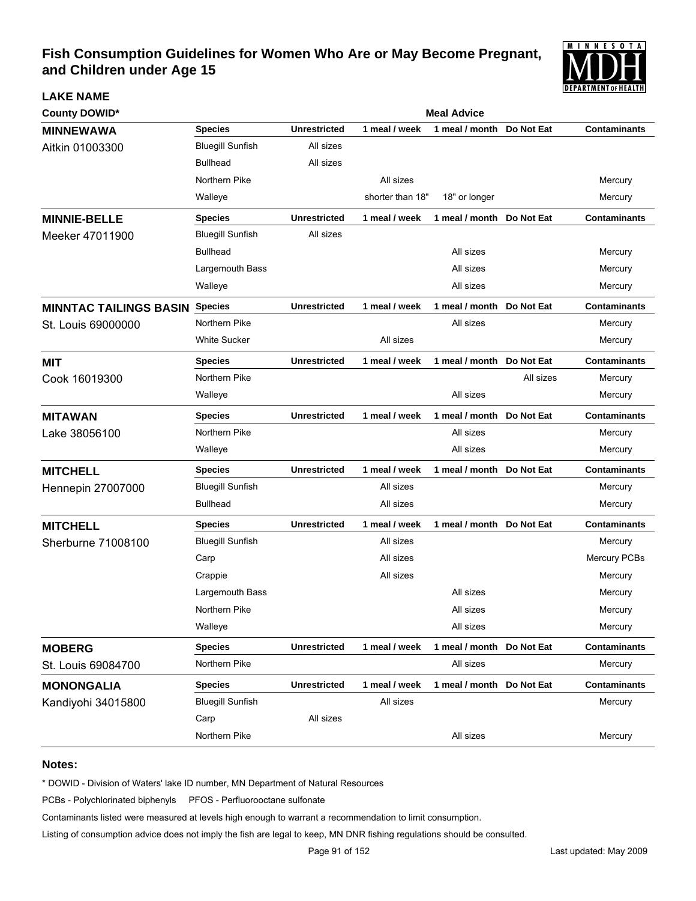

| <b>County DOWID*</b>          |                         | <b>Meal Advice</b>  |                  |                           |            |                     |  |  |
|-------------------------------|-------------------------|---------------------|------------------|---------------------------|------------|---------------------|--|--|
| <b>MINNEWAWA</b>              | <b>Species</b>          | <b>Unrestricted</b> | 1 meal / week    | 1 meal / month            | Do Not Eat | <b>Contaminants</b> |  |  |
| Aitkin 01003300               | <b>Bluegill Sunfish</b> | All sizes           |                  |                           |            |                     |  |  |
|                               | <b>Bullhead</b>         | All sizes           |                  |                           |            |                     |  |  |
|                               | Northern Pike           |                     | All sizes        |                           |            | Mercury             |  |  |
|                               | Walleye                 |                     | shorter than 18" | 18" or longer             |            | Mercury             |  |  |
| <b>MINNIE-BELLE</b>           | <b>Species</b>          | <b>Unrestricted</b> | 1 meal / week    | 1 meal / month            | Do Not Eat | <b>Contaminants</b> |  |  |
| Meeker 47011900               | <b>Bluegill Sunfish</b> | All sizes           |                  |                           |            |                     |  |  |
|                               | <b>Bullhead</b>         |                     |                  | All sizes                 |            | Mercury             |  |  |
|                               | Largemouth Bass         |                     |                  | All sizes                 |            | Mercury             |  |  |
|                               | Walleye                 |                     |                  | All sizes                 |            | Mercury             |  |  |
| <b>MINNTAC TAILINGS BASIN</b> | <b>Species</b>          | <b>Unrestricted</b> | 1 meal / week    | 1 meal / month Do Not Eat |            | <b>Contaminants</b> |  |  |
| St. Louis 69000000            | Northern Pike           |                     |                  | All sizes                 |            | Mercury             |  |  |
|                               | <b>White Sucker</b>     |                     | All sizes        |                           |            | Mercury             |  |  |
| <b>MIT</b>                    | <b>Species</b>          | <b>Unrestricted</b> | 1 meal / week    | 1 meal / month Do Not Eat |            | <b>Contaminants</b> |  |  |
| Cook 16019300                 | Northern Pike           |                     |                  |                           | All sizes  | Mercury             |  |  |
|                               | Walleye                 |                     |                  | All sizes                 |            | Mercury             |  |  |
| <b>MITAWAN</b>                | <b>Species</b>          | <b>Unrestricted</b> | 1 meal / week    | 1 meal / month            | Do Not Eat | <b>Contaminants</b> |  |  |
| Lake 38056100                 | Northern Pike           |                     |                  | All sizes                 |            | Mercury             |  |  |
|                               | Walleye                 |                     |                  | All sizes                 |            | Mercury             |  |  |
| <b>MITCHELL</b>               | <b>Species</b>          | <b>Unrestricted</b> | 1 meal / week    | 1 meal / month Do Not Eat |            | <b>Contaminants</b> |  |  |
| <b>Hennepin 27007000</b>      | <b>Bluegill Sunfish</b> |                     | All sizes        |                           |            | Mercury             |  |  |
|                               | <b>Bullhead</b>         |                     | All sizes        |                           |            | Mercury             |  |  |
| <b>MITCHELL</b>               | <b>Species</b>          | <b>Unrestricted</b> | 1 meal / week    | 1 meal / month Do Not Eat |            | <b>Contaminants</b> |  |  |
| Sherburne 71008100            | <b>Bluegill Sunfish</b> |                     | All sizes        |                           |            | Mercury             |  |  |
|                               | Carp                    |                     | All sizes        |                           |            | Mercury PCBs        |  |  |
|                               | Crappie                 |                     | All sizes        |                           |            | Mercury             |  |  |
|                               | Largemouth Bass         |                     |                  | All sizes                 |            | Mercury             |  |  |
|                               | Northern Pike           |                     |                  | All sizes                 |            | Mercury             |  |  |
|                               | Walleye                 |                     |                  | All sizes                 |            | Mercury             |  |  |
| <b>MOBERG</b>                 | <b>Species</b>          | <b>Unrestricted</b> | 1 meal / week    | 1 meal / month            | Do Not Eat | <b>Contaminants</b> |  |  |
| St. Louis 69084700            | Northern Pike           |                     |                  | All sizes                 |            | Mercury             |  |  |
| <b>MONONGALIA</b>             | <b>Species</b>          | <b>Unrestricted</b> | 1 meal / week    | 1 meal / month Do Not Eat |            | <b>Contaminants</b> |  |  |
| Kandiyohi 34015800            | <b>Bluegill Sunfish</b> |                     | All sizes        |                           |            | Mercury             |  |  |
|                               | Carp                    | All sizes           |                  |                           |            |                     |  |  |
|                               | Northern Pike           |                     |                  | All sizes                 |            | Mercury             |  |  |

#### **Notes:**

**LAKE NAME**

\* DOWID - Division of Waters' lake ID number, MN Department of Natural Resources

PCBs - Polychlorinated biphenyls PFOS - Perfluorooctane sulfonate

Contaminants listed were measured at levels high enough to warrant a recommendation to limit consumption.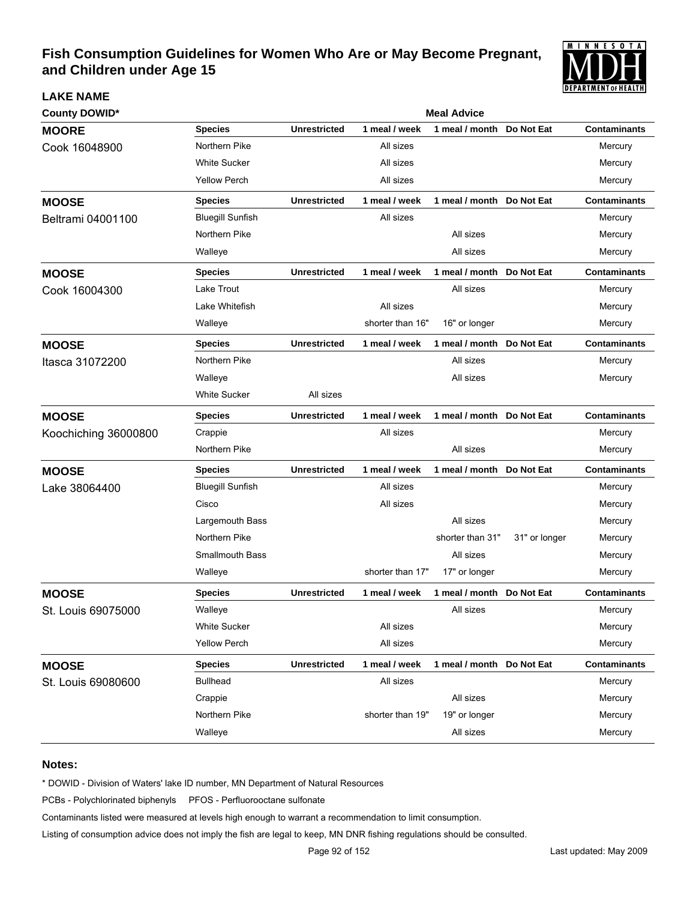

| <b>County DOWID*</b> | <b>Meal Advice</b>      |                     |                  |                           |               |                     |  |  |  |
|----------------------|-------------------------|---------------------|------------------|---------------------------|---------------|---------------------|--|--|--|
| <b>MOORE</b>         | <b>Species</b>          | <b>Unrestricted</b> | 1 meal / week    | 1 meal / month            | Do Not Eat    | <b>Contaminants</b> |  |  |  |
| Cook 16048900        | Northern Pike           |                     | All sizes        |                           |               | Mercury             |  |  |  |
|                      | <b>White Sucker</b>     |                     | All sizes        |                           |               | Mercury             |  |  |  |
|                      | <b>Yellow Perch</b>     |                     | All sizes        |                           |               | Mercury             |  |  |  |
| <b>MOOSE</b>         | <b>Species</b>          | <b>Unrestricted</b> | 1 meal / week    | 1 meal / month Do Not Eat |               | <b>Contaminants</b> |  |  |  |
| Beltrami 04001100    | <b>Bluegill Sunfish</b> |                     | All sizes        |                           |               | Mercury             |  |  |  |
|                      | Northern Pike           |                     |                  | All sizes                 |               | Mercury             |  |  |  |
|                      | Walleye                 |                     |                  | All sizes                 |               | Mercury             |  |  |  |
| <b>MOOSE</b>         | <b>Species</b>          | <b>Unrestricted</b> | 1 meal / week    | 1 meal / month Do Not Eat |               | <b>Contaminants</b> |  |  |  |
| Cook 16004300        | Lake Trout              |                     |                  | All sizes                 |               | Mercury             |  |  |  |
|                      | Lake Whitefish          |                     | All sizes        |                           |               | Mercury             |  |  |  |
|                      | Walleye                 |                     | shorter than 16" | 16" or longer             |               | Mercury             |  |  |  |
| <b>MOOSE</b>         | <b>Species</b>          | <b>Unrestricted</b> | 1 meal / week    | 1 meal / month            | Do Not Eat    | <b>Contaminants</b> |  |  |  |
| Itasca 31072200      | Northern Pike           |                     |                  | All sizes                 |               | Mercury             |  |  |  |
|                      | Walleye                 |                     |                  | All sizes                 |               | Mercury             |  |  |  |
|                      | <b>White Sucker</b>     | All sizes           |                  |                           |               |                     |  |  |  |
| <b>MOOSE</b>         | <b>Species</b>          | <b>Unrestricted</b> | 1 meal / week    | 1 meal / month Do Not Eat |               | <b>Contaminants</b> |  |  |  |
| Koochiching 36000800 | Crappie                 |                     | All sizes        |                           |               | Mercury             |  |  |  |
|                      | Northern Pike           |                     |                  | All sizes                 |               | Mercury             |  |  |  |
| <b>MOOSE</b>         | <b>Species</b>          | <b>Unrestricted</b> | 1 meal / week    | 1 meal / month            | Do Not Eat    | <b>Contaminants</b> |  |  |  |
| Lake 38064400        | <b>Bluegill Sunfish</b> |                     | All sizes        |                           |               | Mercury             |  |  |  |
|                      | Cisco                   |                     | All sizes        |                           |               | Mercury             |  |  |  |
|                      | Largemouth Bass         |                     |                  | All sizes                 |               | Mercury             |  |  |  |
|                      | Northern Pike           |                     |                  | shorter than 31"          | 31" or longer | Mercury             |  |  |  |
|                      | <b>Smallmouth Bass</b>  |                     |                  | All sizes                 |               | Mercury             |  |  |  |
|                      | Walleye                 |                     | shorter than 17" | 17" or longer             |               | Mercury             |  |  |  |
| <b>MOOSE</b>         | <b>Species</b>          | <b>Unrestricted</b> | 1 meal / week    | 1 meal / month            | Do Not Eat    | <b>Contaminants</b> |  |  |  |
| St. Louis 69075000   | Walleye                 |                     |                  | All sizes                 |               | Mercury             |  |  |  |
|                      | <b>White Sucker</b>     |                     | All sizes        |                           |               | Mercury             |  |  |  |
|                      | <b>Yellow Perch</b>     |                     | All sizes        |                           |               | Mercury             |  |  |  |
| <b>MOOSE</b>         | <b>Species</b>          | <b>Unrestricted</b> | 1 meal / week    | 1 meal / month Do Not Eat |               | <b>Contaminants</b> |  |  |  |
| St. Louis 69080600   | <b>Bullhead</b>         |                     | All sizes        |                           |               | Mercury             |  |  |  |
|                      | Crappie                 |                     |                  | All sizes                 |               | Mercury             |  |  |  |
|                      | Northern Pike           |                     | shorter than 19" | 19" or longer             |               | Mercury             |  |  |  |
|                      | Walleye                 |                     |                  | All sizes                 |               | Mercury             |  |  |  |

#### **Notes:**

**LAKE NAME**

\* DOWID - Division of Waters' lake ID number, MN Department of Natural Resources

PCBs - Polychlorinated biphenyls PFOS - Perfluorooctane sulfonate

Contaminants listed were measured at levels high enough to warrant a recommendation to limit consumption.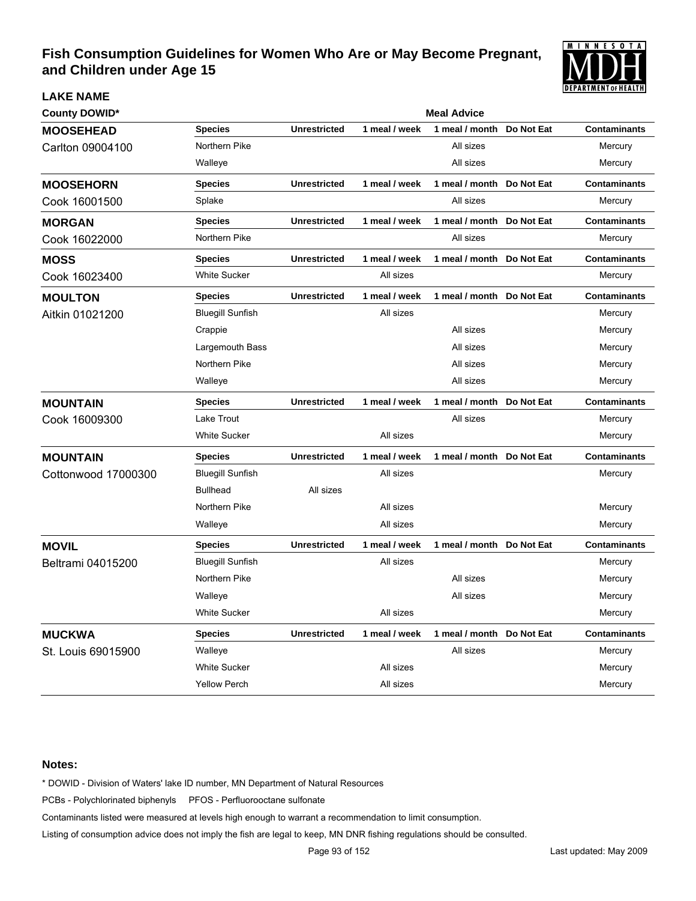

| <b>County DOWID*</b> |                         |                     |               | <b>Meal Advice</b>        |            |                     |
|----------------------|-------------------------|---------------------|---------------|---------------------------|------------|---------------------|
| <b>MOOSEHEAD</b>     | <b>Species</b>          | <b>Unrestricted</b> | 1 meal / week | 1 meal / month            | Do Not Eat | <b>Contaminants</b> |
| Carlton 09004100     | Northern Pike           |                     |               | All sizes                 |            | Mercury             |
|                      | Walleye                 |                     |               | All sizes                 |            | Mercury             |
| <b>MOOSEHORN</b>     | <b>Species</b>          | <b>Unrestricted</b> | 1 meal / week | 1 meal / month            | Do Not Eat | <b>Contaminants</b> |
| Cook 16001500        | Splake                  |                     |               | All sizes                 |            | Mercury             |
| <b>MORGAN</b>        | <b>Species</b>          | <b>Unrestricted</b> | 1 meal / week | 1 meal / month            | Do Not Eat | <b>Contaminants</b> |
| Cook 16022000        | Northern Pike           |                     |               | All sizes                 |            | Mercury             |
| <b>MOSS</b>          | <b>Species</b>          | <b>Unrestricted</b> | 1 meal / week | 1 meal / month Do Not Eat |            | <b>Contaminants</b> |
| Cook 16023400        | <b>White Sucker</b>     |                     | All sizes     |                           |            | Mercury             |
| <b>MOULTON</b>       | <b>Species</b>          | <b>Unrestricted</b> | 1 meal / week | 1 meal / month            | Do Not Eat | <b>Contaminants</b> |
| Aitkin 01021200      | <b>Bluegill Sunfish</b> |                     | All sizes     |                           |            | Mercury             |
|                      | Crappie                 |                     |               | All sizes                 |            | Mercury             |
|                      | Largemouth Bass         |                     |               | All sizes                 |            | Mercury             |
|                      | Northern Pike           |                     |               | All sizes                 |            | Mercury             |
|                      | Walleye                 |                     |               | All sizes                 |            | Mercury             |
| <b>MOUNTAIN</b>      | <b>Species</b>          | <b>Unrestricted</b> | 1 meal / week | 1 meal / month            | Do Not Eat | <b>Contaminants</b> |
| Cook 16009300        | Lake Trout              |                     |               | All sizes                 |            | Mercury             |
|                      | <b>White Sucker</b>     |                     | All sizes     |                           |            | Mercury             |
| <b>MOUNTAIN</b>      | <b>Species</b>          | <b>Unrestricted</b> | 1 meal / week | 1 meal / month Do Not Eat |            | <b>Contaminants</b> |
| Cottonwood 17000300  | <b>Bluegill Sunfish</b> |                     | All sizes     |                           |            | Mercury             |
|                      | <b>Bullhead</b>         | All sizes           |               |                           |            |                     |
|                      | Northern Pike           |                     | All sizes     |                           |            | Mercury             |
|                      | Walleye                 |                     | All sizes     |                           |            | Mercury             |
| <b>MOVIL</b>         | <b>Species</b>          | <b>Unrestricted</b> | 1 meal / week | 1 meal / month Do Not Eat |            | <b>Contaminants</b> |
| Beltrami 04015200    | <b>Bluegill Sunfish</b> |                     | All sizes     |                           |            | Mercury             |
|                      | Northern Pike           |                     |               | All sizes                 |            | Mercury             |
|                      | Walleye                 |                     |               | All sizes                 |            | Mercury             |
|                      | <b>White Sucker</b>     |                     | All sizes     |                           |            | Mercury             |
| <b>MUCKWA</b>        | <b>Species</b>          | <b>Unrestricted</b> | 1 meal / week | 1 meal / month            | Do Not Eat | <b>Contaminants</b> |
| St. Louis 69015900   | Walleye                 |                     |               | All sizes                 |            | Mercury             |
|                      | <b>White Sucker</b>     |                     | All sizes     |                           |            | Mercury             |
|                      | <b>Yellow Perch</b>     |                     | All sizes     |                           |            | Mercury             |

### **Notes:**

**LAKE NAME**

\* DOWID - Division of Waters' lake ID number, MN Department of Natural Resources

PCBs - Polychlorinated biphenyls PFOS - Perfluorooctane sulfonate

Contaminants listed were measured at levels high enough to warrant a recommendation to limit consumption.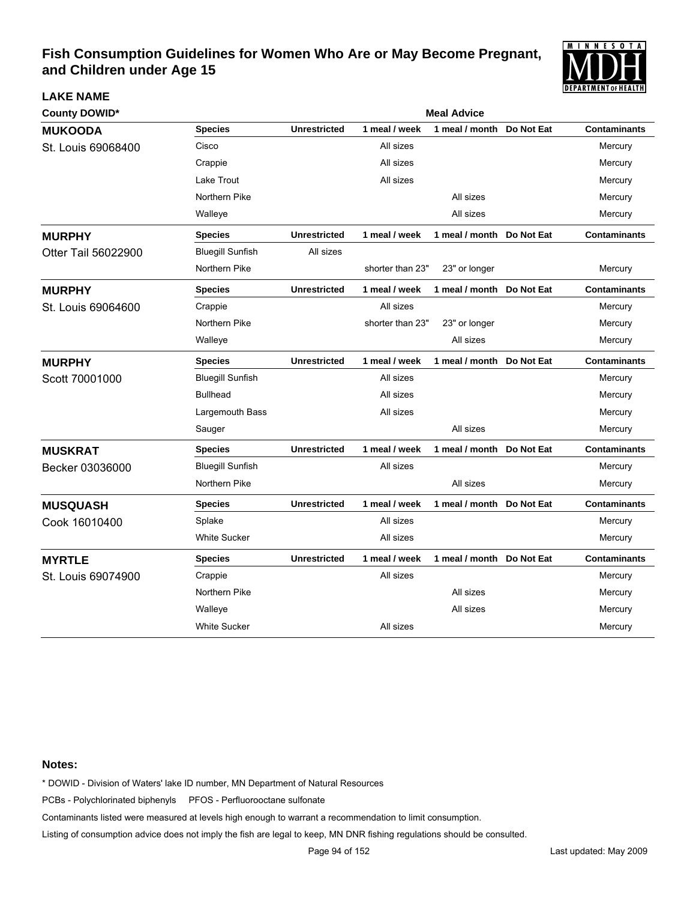

| <b>County DOWID*</b> | <b>Meal Advice</b>      |                     |                  |                           |            |                     |  |
|----------------------|-------------------------|---------------------|------------------|---------------------------|------------|---------------------|--|
| <b>MUKOODA</b>       | <b>Species</b>          | <b>Unrestricted</b> | 1 meal / week    | 1 meal / month            | Do Not Eat | <b>Contaminants</b> |  |
| St. Louis 69068400   | Cisco                   |                     | All sizes        |                           |            | Mercury             |  |
|                      | Crappie                 |                     | All sizes        |                           |            | Mercury             |  |
|                      | Lake Trout              |                     | All sizes        |                           |            | Mercury             |  |
|                      | Northern Pike           |                     |                  | All sizes                 |            | Mercury             |  |
|                      | Walleye                 |                     |                  | All sizes                 |            | Mercury             |  |
| <b>MURPHY</b>        | <b>Species</b>          | <b>Unrestricted</b> | 1 meal / week    | 1 meal / month Do Not Eat |            | <b>Contaminants</b> |  |
| Otter Tail 56022900  | <b>Bluegill Sunfish</b> | All sizes           |                  |                           |            |                     |  |
|                      | Northern Pike           |                     | shorter than 23" | 23" or longer             |            | Mercury             |  |
| <b>MURPHY</b>        | <b>Species</b>          | <b>Unrestricted</b> | 1 meal / week    | 1 meal / month            | Do Not Eat | <b>Contaminants</b> |  |
| St. Louis 69064600   | Crappie                 |                     | All sizes        |                           |            | Mercury             |  |
|                      | Northern Pike           |                     | shorter than 23" | 23" or longer             |            | Mercury             |  |
|                      | Walleye                 |                     |                  | All sizes                 |            | Mercury             |  |
| <b>MURPHY</b>        | <b>Species</b>          | <b>Unrestricted</b> | 1 meal / week    | 1 meal / month            | Do Not Eat | <b>Contaminants</b> |  |
| Scott 70001000       | <b>Bluegill Sunfish</b> |                     | All sizes        |                           |            | Mercury             |  |
|                      | <b>Bullhead</b>         |                     | All sizes        |                           |            | Mercury             |  |
|                      | Largemouth Bass         |                     | All sizes        |                           |            | Mercury             |  |
|                      | Sauger                  |                     |                  | All sizes                 |            | Mercury             |  |
| <b>MUSKRAT</b>       | <b>Species</b>          | <b>Unrestricted</b> | 1 meal / week    | 1 meal / month Do Not Eat |            | <b>Contaminants</b> |  |
| Becker 03036000      | <b>Bluegill Sunfish</b> |                     | All sizes        |                           |            | Mercury             |  |
|                      | Northern Pike           |                     |                  | All sizes                 |            | Mercury             |  |
| <b>MUSQUASH</b>      | Species                 | <b>Unrestricted</b> | 1 meal / week    | 1 meal / month Do Not Eat |            | <b>Contaminants</b> |  |
| Cook 16010400        | Splake                  |                     | All sizes        |                           |            | Mercury             |  |
|                      | White Sucker            |                     | All sizes        |                           |            | Mercury             |  |
| <b>MYRTLE</b>        | <b>Species</b>          | <b>Unrestricted</b> | 1 meal / week    | 1 meal / month Do Not Eat |            | <b>Contaminants</b> |  |
| St. Louis 69074900   | Crappie                 |                     | All sizes        |                           |            | Mercury             |  |
|                      | Northern Pike           |                     |                  | All sizes                 |            | Mercury             |  |
|                      | Walleye                 |                     |                  | All sizes                 |            | Mercury             |  |
|                      | <b>White Sucker</b>     |                     | All sizes        |                           |            | Mercury             |  |

#### **Notes:**

**LAKE NAME**

\* DOWID - Division of Waters' lake ID number, MN Department of Natural Resources

PCBs - Polychlorinated biphenyls PFOS - Perfluorooctane sulfonate

Contaminants listed were measured at levels high enough to warrant a recommendation to limit consumption.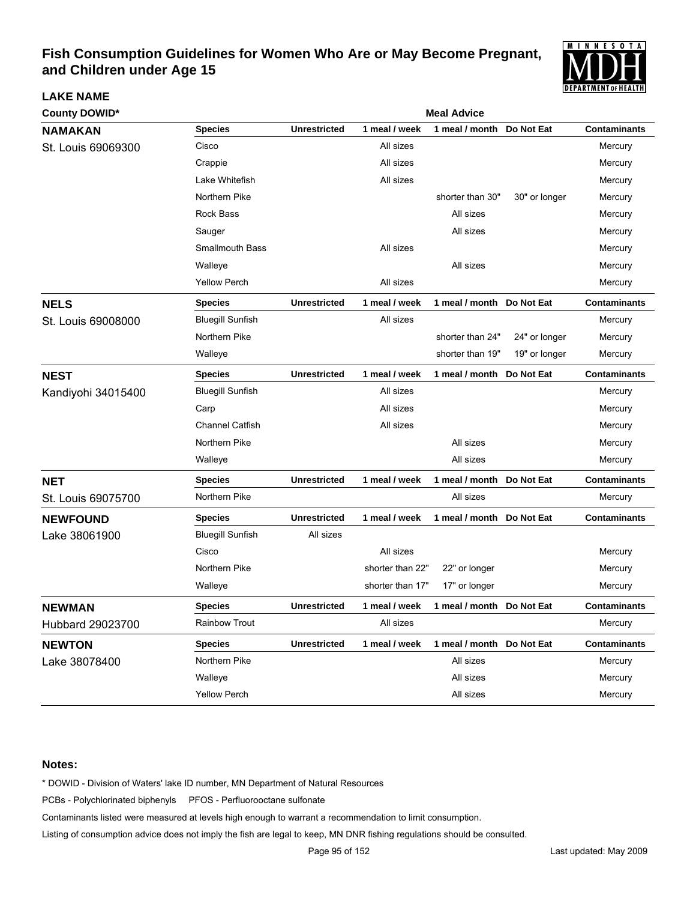

| <b>County DOWID*</b> |                         | <b>Meal Advice</b>  |                  |                           |               |                     |  |  |  |
|----------------------|-------------------------|---------------------|------------------|---------------------------|---------------|---------------------|--|--|--|
| <b>NAMAKAN</b>       | <b>Species</b>          | <b>Unrestricted</b> | 1 meal / week    | 1 meal / month            | Do Not Eat    | <b>Contaminants</b> |  |  |  |
| St. Louis 69069300   | Cisco                   |                     | All sizes        |                           |               | Mercury             |  |  |  |
|                      | Crappie                 |                     | All sizes        |                           |               | Mercury             |  |  |  |
|                      | Lake Whitefish          |                     | All sizes        |                           |               | Mercury             |  |  |  |
|                      | Northern Pike           |                     |                  | shorter than 30"          | 30" or longer | Mercury             |  |  |  |
|                      | <b>Rock Bass</b>        |                     |                  | All sizes                 |               | Mercury             |  |  |  |
|                      | Sauger                  |                     |                  | All sizes                 |               | Mercury             |  |  |  |
|                      | <b>Smallmouth Bass</b>  |                     | All sizes        |                           |               | Mercury             |  |  |  |
|                      | Walleye                 |                     |                  | All sizes                 |               | Mercury             |  |  |  |
|                      | <b>Yellow Perch</b>     |                     | All sizes        |                           |               | Mercury             |  |  |  |
| <b>NELS</b>          | <b>Species</b>          | <b>Unrestricted</b> | 1 meal / week    | 1 meal / month Do Not Eat |               | <b>Contaminants</b> |  |  |  |
| St. Louis 69008000   | <b>Bluegill Sunfish</b> |                     | All sizes        |                           |               | Mercury             |  |  |  |
|                      | Northern Pike           |                     |                  | shorter than 24"          | 24" or longer | Mercury             |  |  |  |
|                      | Walleye                 |                     |                  | shorter than 19"          | 19" or longer | Mercury             |  |  |  |
| <b>NEST</b>          | <b>Species</b>          | <b>Unrestricted</b> | 1 meal / week    | 1 meal / month            | Do Not Eat    | <b>Contaminants</b> |  |  |  |
| Kandiyohi 34015400   | <b>Bluegill Sunfish</b> |                     | All sizes        |                           |               | Mercury             |  |  |  |
|                      | Carp                    |                     | All sizes        |                           |               | Mercury             |  |  |  |
|                      | <b>Channel Catfish</b>  |                     | All sizes        |                           |               | Mercury             |  |  |  |
|                      | Northern Pike           |                     |                  | All sizes                 |               | Mercury             |  |  |  |
|                      | Walleye                 |                     |                  | All sizes                 |               | Mercury             |  |  |  |
| <b>NET</b>           | <b>Species</b>          | <b>Unrestricted</b> | 1 meal / week    | 1 meal / month            | Do Not Eat    | <b>Contaminants</b> |  |  |  |
| St. Louis 69075700   | Northern Pike           |                     |                  | All sizes                 |               | Mercury             |  |  |  |
| <b>NEWFOUND</b>      | <b>Species</b>          | <b>Unrestricted</b> | 1 meal / week    | 1 meal / month            | Do Not Eat    | <b>Contaminants</b> |  |  |  |
| Lake 38061900        | <b>Bluegill Sunfish</b> | All sizes           |                  |                           |               |                     |  |  |  |
|                      | Cisco                   |                     | All sizes        |                           |               | Mercury             |  |  |  |
|                      | Northern Pike           |                     | shorter than 22" | 22" or longer             |               | Mercury             |  |  |  |
|                      | Walleye                 |                     | shorter than 17" | 17" or longer             |               | Mercury             |  |  |  |
| <b>NEWMAN</b>        | <b>Species</b>          | <b>Unrestricted</b> | 1 meal / week    | 1 meal / month Do Not Eat |               | <b>Contaminants</b> |  |  |  |
| Hubbard 29023700     | Rainbow Trout           |                     | All sizes        |                           |               | Mercury             |  |  |  |
| <b>NEWTON</b>        | <b>Species</b>          | <b>Unrestricted</b> | 1 meal / week    | 1 meal / month Do Not Eat |               | <b>Contaminants</b> |  |  |  |
| Lake 38078400        | Northern Pike           |                     |                  | All sizes                 |               | Mercury             |  |  |  |
|                      | Walleye                 |                     |                  | All sizes                 |               | Mercury             |  |  |  |
|                      | Yellow Perch            |                     |                  | All sizes                 |               | Mercury             |  |  |  |

#### **Notes:**

**LAKE NAME**

\* DOWID - Division of Waters' lake ID number, MN Department of Natural Resources

PCBs - Polychlorinated biphenyls PFOS - Perfluorooctane sulfonate

Contaminants listed were measured at levels high enough to warrant a recommendation to limit consumption.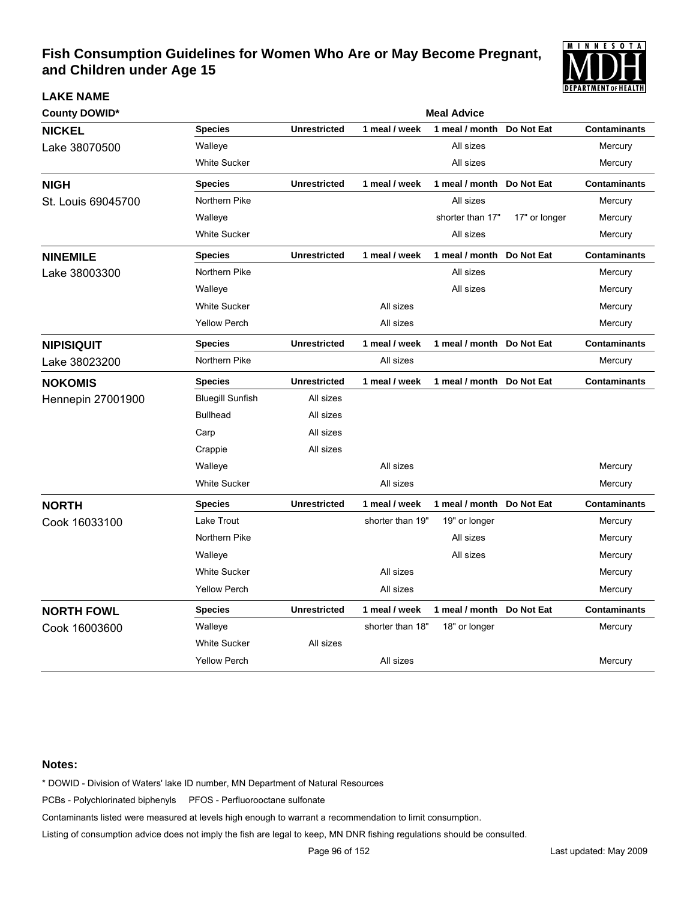

| <b>County DOWID*</b>     |                         | <b>Meal Advice</b>  |                  |                           |               |                     |  |  |
|--------------------------|-------------------------|---------------------|------------------|---------------------------|---------------|---------------------|--|--|
| <b>NICKEL</b>            | <b>Species</b>          | <b>Unrestricted</b> | 1 meal / week    | 1 meal / month            | Do Not Eat    | <b>Contaminants</b> |  |  |
| Lake 38070500            | Walleye                 |                     |                  | All sizes                 |               | Mercury             |  |  |
|                          | <b>White Sucker</b>     |                     |                  | All sizes                 |               | Mercury             |  |  |
| <b>NIGH</b>              | <b>Species</b>          | <b>Unrestricted</b> | 1 meal / week    | 1 meal / month Do Not Eat |               | <b>Contaminants</b> |  |  |
| St. Louis 69045700       | Northern Pike           |                     |                  | All sizes                 |               | Mercury             |  |  |
|                          | Walleye                 |                     |                  | shorter than 17"          | 17" or longer | Mercury             |  |  |
|                          | <b>White Sucker</b>     |                     |                  | All sizes                 |               | Mercury             |  |  |
| <b>NINEMILE</b>          | <b>Species</b>          | <b>Unrestricted</b> | 1 meal / week    | 1 meal / month Do Not Eat |               | <b>Contaminants</b> |  |  |
| Lake 38003300            | Northern Pike           |                     |                  | All sizes                 |               | Mercury             |  |  |
|                          | Walleye                 |                     |                  | All sizes                 |               | Mercury             |  |  |
|                          | <b>White Sucker</b>     |                     | All sizes        |                           |               | Mercury             |  |  |
|                          | <b>Yellow Perch</b>     |                     | All sizes        |                           |               | Mercury             |  |  |
| <b>NIPISIQUIT</b>        | <b>Species</b>          | <b>Unrestricted</b> | 1 meal / week    | 1 meal / month            | Do Not Eat    | <b>Contaminants</b> |  |  |
| Lake 38023200            | Northern Pike           |                     | All sizes        |                           |               | Mercury             |  |  |
| <b>NOKOMIS</b>           | <b>Species</b>          | <b>Unrestricted</b> | 1 meal / week    | 1 meal / month            | Do Not Eat    | <b>Contaminants</b> |  |  |
| <b>Hennepin 27001900</b> | <b>Bluegill Sunfish</b> | All sizes           |                  |                           |               |                     |  |  |
|                          | <b>Bullhead</b>         | All sizes           |                  |                           |               |                     |  |  |
|                          | Carp                    | All sizes           |                  |                           |               |                     |  |  |
|                          | Crappie                 | All sizes           |                  |                           |               |                     |  |  |
|                          | Walleye                 |                     | All sizes        |                           |               | Mercury             |  |  |
|                          | <b>White Sucker</b>     |                     | All sizes        |                           |               | Mercury             |  |  |
| <b>NORTH</b>             | <b>Species</b>          | <b>Unrestricted</b> | 1 meal / week    | 1 meal / month            | Do Not Eat    | <b>Contaminants</b> |  |  |
| Cook 16033100            | Lake Trout              |                     | shorter than 19" | 19" or longer             |               | Mercury             |  |  |
|                          | Northern Pike           |                     |                  | All sizes                 |               | Mercury             |  |  |
|                          | Walleye                 |                     |                  | All sizes                 |               | Mercury             |  |  |
|                          | <b>White Sucker</b>     |                     | All sizes        |                           |               | Mercury             |  |  |
|                          | <b>Yellow Perch</b>     |                     | All sizes        |                           |               | Mercury             |  |  |
| <b>NORTH FOWL</b>        | <b>Species</b>          | <b>Unrestricted</b> | 1 meal / week    | 1 meal / month Do Not Eat |               | <b>Contaminants</b> |  |  |
| Cook 16003600            | Walleye                 |                     | shorter than 18" | 18" or longer             |               | Mercury             |  |  |
|                          | <b>White Sucker</b>     | All sizes           |                  |                           |               |                     |  |  |
|                          | <b>Yellow Perch</b>     |                     | All sizes        |                           |               | Mercury             |  |  |

#### **Notes:**

**LAKE NAME**

\* DOWID - Division of Waters' lake ID number, MN Department of Natural Resources

PCBs - Polychlorinated biphenyls PFOS - Perfluorooctane sulfonate

Contaminants listed were measured at levels high enough to warrant a recommendation to limit consumption.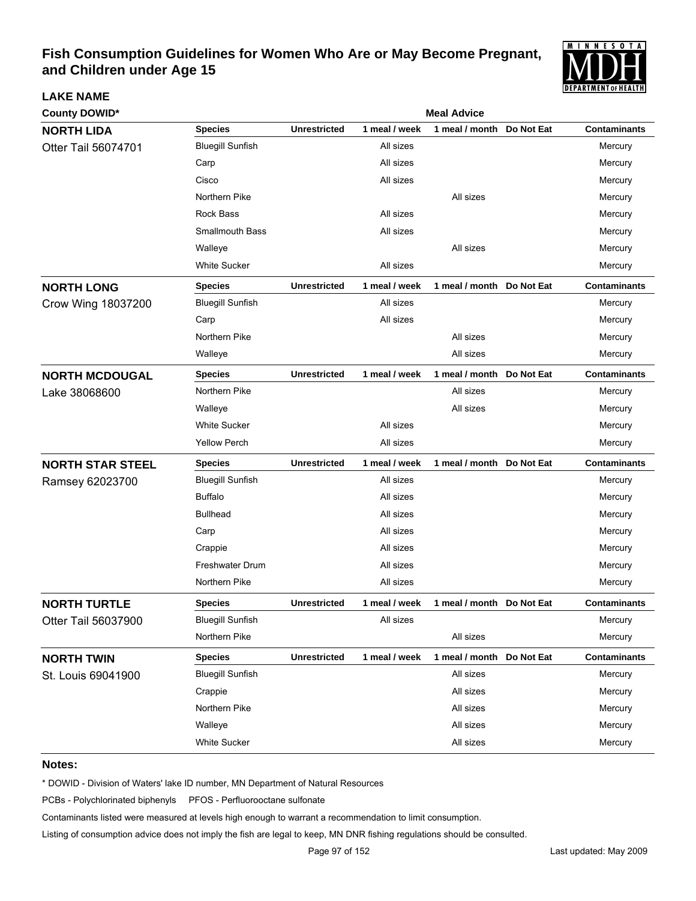

| <b>County DOWID*</b>    | <b>Meal Advice</b>      |                     |               |                            |            |                     |  |  |
|-------------------------|-------------------------|---------------------|---------------|----------------------------|------------|---------------------|--|--|
| <b>NORTH LIDA</b>       | <b>Species</b>          | <b>Unrestricted</b> | 1 meal / week | 1 meal / month             | Do Not Eat | <b>Contaminants</b> |  |  |
| Otter Tail 56074701     | <b>Bluegill Sunfish</b> |                     | All sizes     |                            |            | Mercury             |  |  |
|                         | Carp                    |                     | All sizes     |                            |            | Mercury             |  |  |
|                         | Cisco                   |                     | All sizes     |                            |            | Mercury             |  |  |
|                         | Northern Pike           |                     |               | All sizes                  |            | Mercury             |  |  |
|                         | Rock Bass               |                     | All sizes     |                            |            | Mercury             |  |  |
|                         | <b>Smallmouth Bass</b>  |                     | All sizes     |                            |            | Mercury             |  |  |
|                         | Walleye                 |                     |               | All sizes                  |            | Mercury             |  |  |
|                         | <b>White Sucker</b>     |                     | All sizes     |                            |            | Mercury             |  |  |
| <b>NORTH LONG</b>       | <b>Species</b>          | <b>Unrestricted</b> | 1 meal / week | 1 meal / month Do Not Eat  |            | <b>Contaminants</b> |  |  |
| Crow Wing 18037200      | <b>Bluegill Sunfish</b> |                     | All sizes     |                            |            | Mercury             |  |  |
|                         | Carp                    |                     | All sizes     |                            |            | Mercury             |  |  |
|                         | Northern Pike           |                     |               | All sizes                  |            | Mercury             |  |  |
|                         | Walleye                 |                     |               | All sizes                  |            | Mercury             |  |  |
| <b>NORTH MCDOUGAL</b>   | <b>Species</b>          | <b>Unrestricted</b> | 1 meal / week | 1 meal / month Do Not Eat  |            | <b>Contaminants</b> |  |  |
| Lake 38068600           | Northern Pike           |                     |               | All sizes                  |            | Mercury             |  |  |
|                         | Walleye                 |                     |               | All sizes                  |            | Mercury             |  |  |
|                         | <b>White Sucker</b>     |                     | All sizes     |                            |            | Mercury             |  |  |
|                         | <b>Yellow Perch</b>     |                     | All sizes     |                            |            | Mercury             |  |  |
| <b>NORTH STAR STEEL</b> | <b>Species</b>          | <b>Unrestricted</b> | 1 meal / week | 1 meal / month  Do Not Eat |            | <b>Contaminants</b> |  |  |
| Ramsey 62023700         | <b>Bluegill Sunfish</b> |                     | All sizes     |                            |            | Mercury             |  |  |
|                         | <b>Buffalo</b>          |                     | All sizes     |                            |            | Mercury             |  |  |
|                         | <b>Bullhead</b>         |                     | All sizes     |                            |            | Mercury             |  |  |
|                         | Carp                    |                     | All sizes     |                            |            | Mercury             |  |  |
|                         | Crappie                 |                     | All sizes     |                            |            | Mercury             |  |  |
|                         | <b>Freshwater Drum</b>  |                     | All sizes     |                            |            | Mercury             |  |  |
|                         | Northern Pike           |                     | All sizes     |                            |            | Mercury             |  |  |
| <b>NORTH TURTLE</b>     | <b>Species</b>          | <b>Unrestricted</b> | 1 meal / week | 1 meal / month Do Not Eat  |            | <b>Contaminants</b> |  |  |
| Otter Tail 56037900     | <b>Bluegill Sunfish</b> |                     | All sizes     |                            |            | Mercury             |  |  |
|                         | Northern Pike           |                     |               | All sizes                  |            | Mercury             |  |  |
| <b>NORTH TWIN</b>       | <b>Species</b>          | <b>Unrestricted</b> | 1 meal / week | 1 meal / month Do Not Eat  |            | <b>Contaminants</b> |  |  |
| St. Louis 69041900      | <b>Bluegill Sunfish</b> |                     |               | All sizes                  |            | Mercury             |  |  |
|                         | Crappie                 |                     |               | All sizes                  |            | Mercury             |  |  |
|                         | Northern Pike           |                     |               | All sizes                  |            | Mercury             |  |  |
|                         | Walleye                 |                     |               | All sizes                  |            | Mercury             |  |  |
|                         | White Sucker            |                     |               | All sizes                  |            | Mercury             |  |  |

#### **Notes:**

**LAKE NAME**

\* DOWID - Division of Waters' lake ID number, MN Department of Natural Resources

PCBs - Polychlorinated biphenyls PFOS - Perfluorooctane sulfonate

Contaminants listed were measured at levels high enough to warrant a recommendation to limit consumption.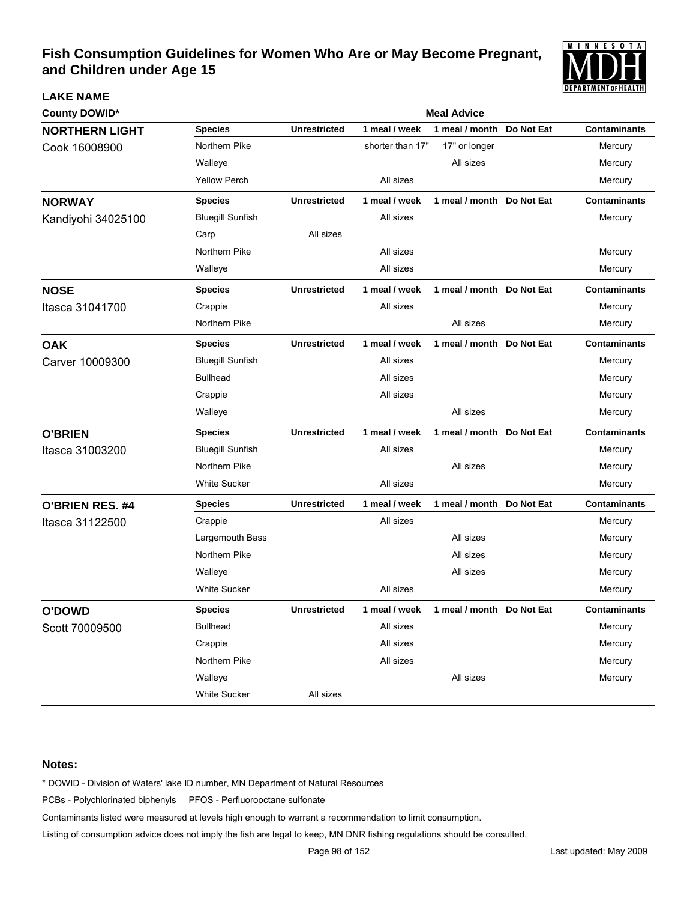

| <b>County DOWID*</b>   |                         |                     |                  | <b>Meal Advice</b>         |            |                     |
|------------------------|-------------------------|---------------------|------------------|----------------------------|------------|---------------------|
| <b>NORTHERN LIGHT</b>  | <b>Species</b>          | <b>Unrestricted</b> | 1 meal / week    | 1 meal / month             | Do Not Eat | <b>Contaminants</b> |
| Cook 16008900          | Northern Pike           |                     | shorter than 17" | 17" or longer              |            | Mercury             |
|                        | Walleye                 |                     |                  | All sizes                  |            | Mercury             |
|                        | <b>Yellow Perch</b>     |                     | All sizes        |                            |            | Mercury             |
| <b>NORWAY</b>          | <b>Species</b>          | <b>Unrestricted</b> | 1 meal / week    | 1 meal / month Do Not Eat  |            | <b>Contaminants</b> |
| Kandiyohi 34025100     | <b>Bluegill Sunfish</b> |                     | All sizes        |                            |            | Mercury             |
|                        | Carp                    | All sizes           |                  |                            |            |                     |
|                        | Northern Pike           |                     | All sizes        |                            |            | Mercury             |
|                        | Walleye                 |                     | All sizes        |                            |            | Mercury             |
| <b>NOSE</b>            | <b>Species</b>          | <b>Unrestricted</b> | 1 meal / week    | 1 meal / month Do Not Eat  |            | <b>Contaminants</b> |
| Itasca 31041700        | Crappie                 |                     | All sizes        |                            |            | Mercury             |
|                        | Northern Pike           |                     |                  | All sizes                  |            | Mercury             |
| <b>OAK</b>             | <b>Species</b>          | <b>Unrestricted</b> | 1 meal / week    | 1 meal / month             | Do Not Eat | <b>Contaminants</b> |
| Carver 10009300        | <b>Bluegill Sunfish</b> |                     | All sizes        |                            |            | Mercury             |
|                        | <b>Bullhead</b>         |                     | All sizes        |                            |            | Mercury             |
|                        | Crappie                 |                     | All sizes        |                            |            | Mercury             |
|                        | Walleye                 |                     |                  | All sizes                  |            | Mercury             |
| <b>O'BRIEN</b>         | <b>Species</b>          | <b>Unrestricted</b> | 1 meal / week    | 1 meal / month Do Not Eat  |            | <b>Contaminants</b> |
| Itasca 31003200        | <b>Bluegill Sunfish</b> |                     | All sizes        |                            |            | Mercury             |
|                        | Northern Pike           |                     |                  | All sizes                  |            | Mercury             |
|                        | <b>White Sucker</b>     |                     | All sizes        |                            |            | Mercury             |
| <b>O'BRIEN RES. #4</b> | <b>Species</b>          | <b>Unrestricted</b> | 1 meal / week    | 1 meal / month Do Not Eat  |            | <b>Contaminants</b> |
| Itasca 31122500        | Crappie                 |                     | All sizes        |                            |            | Mercury             |
|                        | Largemouth Bass         |                     |                  | All sizes                  |            | Mercury             |
|                        | Northern Pike           |                     |                  | All sizes                  |            | Mercury             |
|                        | Walleye                 |                     |                  | All sizes                  |            | Mercury             |
|                        | <b>White Sucker</b>     |                     | All sizes        |                            |            | Mercury             |
| <b>O'DOWD</b>          | <b>Species</b>          | <b>Unrestricted</b> | meal / week<br>1 | 1 meal / month  Do Not Eat |            | <b>Contaminants</b> |
| Scott 70009500         | <b>Bullhead</b>         |                     | All sizes        |                            |            | Mercury             |
|                        | Crappie                 |                     | All sizes        |                            |            | Mercury             |
|                        | Northern Pike           |                     | All sizes        |                            |            | Mercury             |
|                        | Walleye                 |                     |                  | All sizes                  |            | Mercury             |
|                        | White Sucker            | All sizes           |                  |                            |            |                     |

#### **Notes:**

**LAKE NAME**

\* DOWID - Division of Waters' lake ID number, MN Department of Natural Resources

PCBs - Polychlorinated biphenyls PFOS - Perfluorooctane sulfonate

Contaminants listed were measured at levels high enough to warrant a recommendation to limit consumption.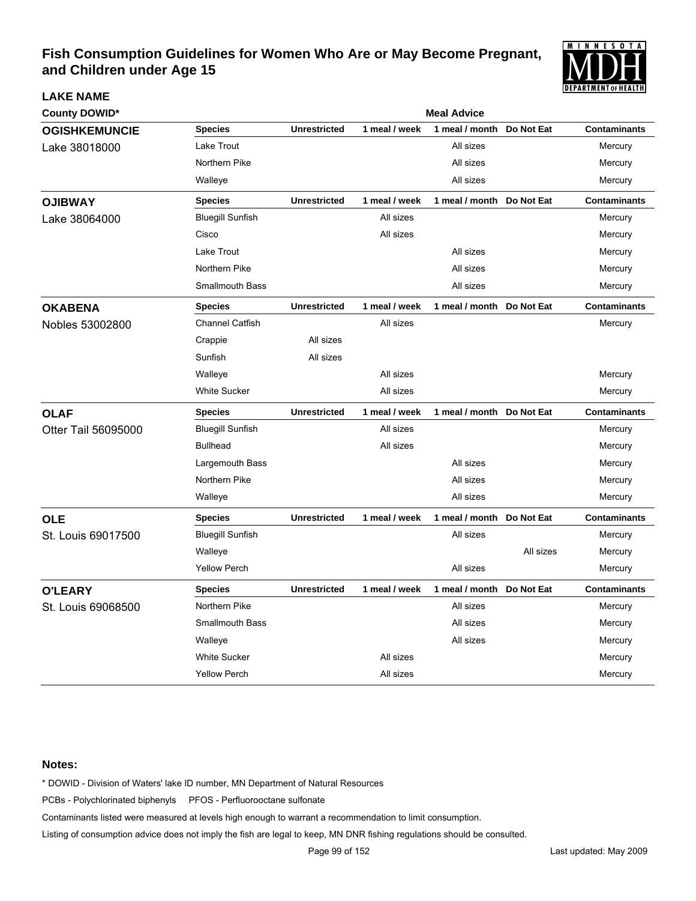

| <b>County DOWID*</b> |                         |                     |               | <b>Meal Advice</b> |            |                     |
|----------------------|-------------------------|---------------------|---------------|--------------------|------------|---------------------|
| <b>OGISHKEMUNCIE</b> | <b>Species</b>          | <b>Unrestricted</b> | 1 meal / week | 1 meal / month     | Do Not Eat | <b>Contaminants</b> |
| Lake 38018000        | Lake Trout              |                     |               | All sizes          |            | Mercury             |
|                      | Northern Pike           |                     |               | All sizes          |            | Mercury             |
|                      | Walleye                 |                     |               | All sizes          |            | Mercury             |
| <b>OJIBWAY</b>       | <b>Species</b>          | <b>Unrestricted</b> | 1 meal / week | 1 meal / month     | Do Not Eat | <b>Contaminants</b> |
| Lake 38064000        | <b>Bluegill Sunfish</b> |                     | All sizes     |                    |            | Mercury             |
|                      | Cisco                   |                     | All sizes     |                    |            | Mercury             |
|                      | Lake Trout              |                     |               | All sizes          |            | Mercury             |
|                      | Northern Pike           |                     |               | All sizes          |            | Mercury             |
|                      | <b>Smallmouth Bass</b>  |                     |               | All sizes          |            | Mercury             |
| <b>OKABENA</b>       | <b>Species</b>          | <b>Unrestricted</b> | 1 meal / week | 1 meal / month     | Do Not Eat | <b>Contaminants</b> |
| Nobles 53002800      | <b>Channel Catfish</b>  |                     | All sizes     |                    |            | Mercury             |
|                      | Crappie                 | All sizes           |               |                    |            |                     |
|                      | Sunfish                 | All sizes           |               |                    |            |                     |
|                      | Walleye                 |                     | All sizes     |                    |            | Mercury             |
|                      | <b>White Sucker</b>     |                     | All sizes     |                    |            | Mercury             |
| <b>OLAF</b>          | <b>Species</b>          | <b>Unrestricted</b> | 1 meal / week | 1 meal / month     | Do Not Eat | <b>Contaminants</b> |
| Otter Tail 56095000  | <b>Bluegill Sunfish</b> |                     | All sizes     |                    |            | Mercury             |
|                      | <b>Bullhead</b>         |                     | All sizes     |                    |            | Mercury             |
|                      | Largemouth Bass         |                     |               | All sizes          |            | Mercury             |
|                      | Northern Pike           |                     |               | All sizes          |            | Mercury             |
|                      | Walleye                 |                     |               | All sizes          |            | Mercury             |
| <b>OLE</b>           | <b>Species</b>          | <b>Unrestricted</b> | 1 meal / week | 1 meal / month     | Do Not Eat | <b>Contaminants</b> |
| St. Louis 69017500   | <b>Bluegill Sunfish</b> |                     |               | All sizes          |            | Mercury             |
|                      | Walleye                 |                     |               |                    | All sizes  | Mercury             |
|                      | <b>Yellow Perch</b>     |                     |               | All sizes          |            | Mercury             |
| <b>O'LEARY</b>       | <b>Species</b>          | <b>Unrestricted</b> | 1 meal / week | 1 meal / month     | Do Not Eat | <b>Contaminants</b> |
| St. Louis 69068500   | Northern Pike           |                     |               | All sizes          |            | Mercury             |
|                      | <b>Smallmouth Bass</b>  |                     |               | All sizes          |            | Mercury             |
|                      | Walleye                 |                     |               | All sizes          |            | Mercury             |
|                      | <b>White Sucker</b>     |                     | All sizes     |                    |            | Mercury             |
|                      | <b>Yellow Perch</b>     |                     | All sizes     |                    |            | Mercury             |

### **Notes:**

**LAKE NAME**

\* DOWID - Division of Waters' lake ID number, MN Department of Natural Resources

PCBs - Polychlorinated biphenyls PFOS - Perfluorooctane sulfonate

Contaminants listed were measured at levels high enough to warrant a recommendation to limit consumption.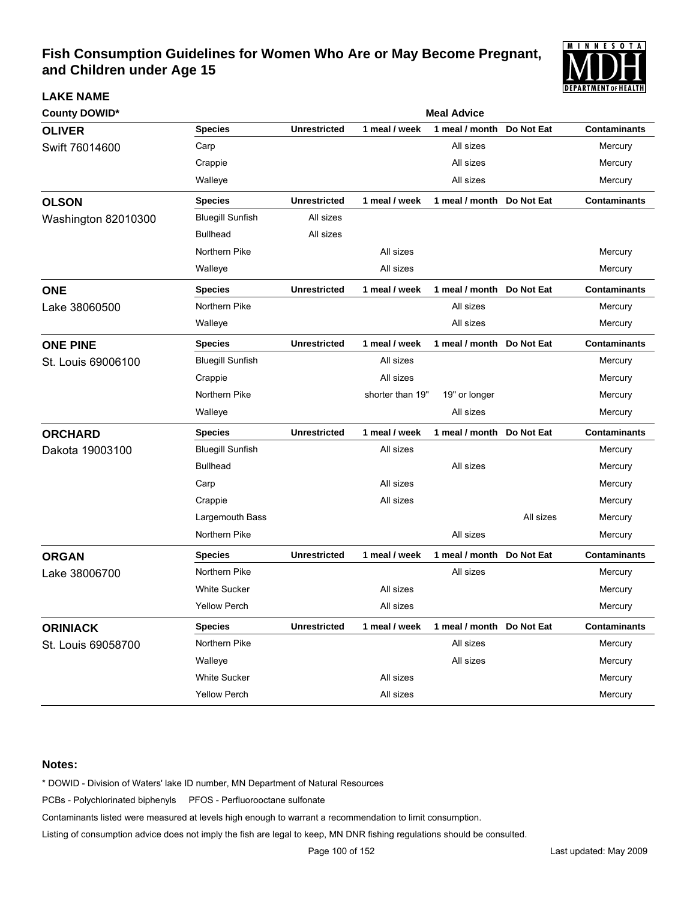

| County DOWID*       |                         | <b>Meal Advice</b>  |                  |                           |            |                     |  |  |  |
|---------------------|-------------------------|---------------------|------------------|---------------------------|------------|---------------------|--|--|--|
| <b>OLIVER</b>       | <b>Species</b>          | <b>Unrestricted</b> | 1 meal / week    | 1 meal / month            | Do Not Eat | <b>Contaminants</b> |  |  |  |
| Swift 76014600      | Carp                    |                     |                  | All sizes                 |            | Mercury             |  |  |  |
|                     | Crappie                 |                     |                  | All sizes                 |            | Mercury             |  |  |  |
|                     | Walleye                 |                     |                  | All sizes                 |            | Mercury             |  |  |  |
| <b>OLSON</b>        | <b>Species</b>          | <b>Unrestricted</b> | 1 meal / week    | 1 meal / month            | Do Not Eat | <b>Contaminants</b> |  |  |  |
| Washington 82010300 | <b>Bluegill Sunfish</b> | All sizes           |                  |                           |            |                     |  |  |  |
|                     | <b>Bullhead</b>         | All sizes           |                  |                           |            |                     |  |  |  |
|                     | Northern Pike           |                     | All sizes        |                           |            | Mercury             |  |  |  |
|                     | Walleye                 |                     | All sizes        |                           |            | Mercury             |  |  |  |
| <b>ONE</b>          | <b>Species</b>          | <b>Unrestricted</b> | 1 meal / week    | 1 meal / month Do Not Eat |            | <b>Contaminants</b> |  |  |  |
| Lake 38060500       | Northern Pike           |                     |                  | All sizes                 |            | Mercury             |  |  |  |
|                     | Walleye                 |                     |                  | All sizes                 |            | Mercury             |  |  |  |
| <b>ONE PINE</b>     | <b>Species</b>          | <b>Unrestricted</b> | 1 meal / week    | 1 meal / month            | Do Not Eat | <b>Contaminants</b> |  |  |  |
| St. Louis 69006100  | <b>Bluegill Sunfish</b> |                     | All sizes        |                           |            | Mercury             |  |  |  |
|                     | Crappie                 |                     | All sizes        |                           |            | Mercury             |  |  |  |
|                     | Northern Pike           |                     | shorter than 19" | 19" or longer             |            | Mercury             |  |  |  |
|                     | Walleye                 |                     |                  | All sizes                 |            | Mercury             |  |  |  |
| <b>ORCHARD</b>      | <b>Species</b>          | <b>Unrestricted</b> | 1 meal / week    | 1 meal / month            | Do Not Eat | <b>Contaminants</b> |  |  |  |
| Dakota 19003100     | <b>Bluegill Sunfish</b> |                     | All sizes        |                           |            | Mercury             |  |  |  |
|                     | <b>Bullhead</b>         |                     |                  | All sizes                 |            | Mercury             |  |  |  |
|                     | Carp                    |                     | All sizes        |                           |            | Mercury             |  |  |  |
|                     | Crappie                 |                     | All sizes        |                           |            | Mercury             |  |  |  |
|                     | Largemouth Bass         |                     |                  |                           | All sizes  | Mercury             |  |  |  |
|                     | Northern Pike           |                     |                  | All sizes                 |            | Mercury             |  |  |  |
| <b>ORGAN</b>        | <b>Species</b>          | <b>Unrestricted</b> | 1 meal / week    | 1 meal / month            | Do Not Eat | <b>Contaminants</b> |  |  |  |
| Lake 38006700       | Northern Pike           |                     |                  | All sizes                 |            | Mercury             |  |  |  |
|                     | <b>White Sucker</b>     |                     | All sizes        |                           |            | Mercury             |  |  |  |
|                     | <b>Yellow Perch</b>     |                     | All sizes        |                           |            | Mercury             |  |  |  |
| <b>ORINIACK</b>     | <b>Species</b>          | <b>Unrestricted</b> | 1 meal / week    | 1 meal / month Do Not Eat |            | <b>Contaminants</b> |  |  |  |
| St. Louis 69058700  | Northern Pike           |                     |                  | All sizes                 |            | Mercury             |  |  |  |
|                     | Walleye                 |                     |                  | All sizes                 |            | Mercury             |  |  |  |
|                     | <b>White Sucker</b>     |                     | All sizes        |                           |            | Mercury             |  |  |  |
|                     | Yellow Perch            |                     | All sizes        |                           |            | Mercury             |  |  |  |

#### **Notes:**

**LAKE NAME**

\* DOWID - Division of Waters' lake ID number, MN Department of Natural Resources

PCBs - Polychlorinated biphenyls PFOS - Perfluorooctane sulfonate

Contaminants listed were measured at levels high enough to warrant a recommendation to limit consumption.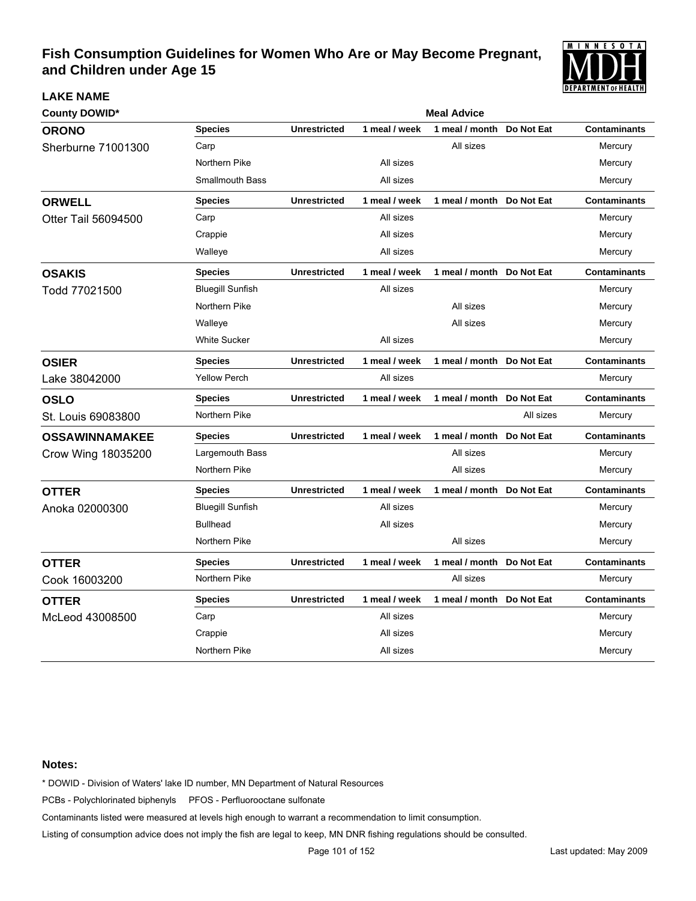

| <b>County DOWID*</b>  |                         | <b>Meal Advice</b>  |               |                           |            |                     |  |  |
|-----------------------|-------------------------|---------------------|---------------|---------------------------|------------|---------------------|--|--|
| <b>ORONO</b>          | <b>Species</b>          | <b>Unrestricted</b> | 1 meal / week | 1 meal / month            | Do Not Eat | <b>Contaminants</b> |  |  |
| Sherburne 71001300    | Carp                    |                     |               | All sizes                 |            | Mercury             |  |  |
|                       | Northern Pike           |                     | All sizes     |                           |            | Mercury             |  |  |
|                       | <b>Smallmouth Bass</b>  |                     | All sizes     |                           |            | Mercury             |  |  |
| <b>ORWELL</b>         | <b>Species</b>          | <b>Unrestricted</b> | 1 meal / week | 1 meal / month Do Not Eat |            | <b>Contaminants</b> |  |  |
| Otter Tail 56094500   | Carp                    |                     | All sizes     |                           |            | Mercury             |  |  |
|                       | Crappie                 |                     | All sizes     |                           |            | Mercury             |  |  |
|                       | Walleye                 |                     | All sizes     |                           |            | Mercury             |  |  |
| <b>OSAKIS</b>         | <b>Species</b>          | <b>Unrestricted</b> | 1 meal / week | 1 meal / month            | Do Not Eat | <b>Contaminants</b> |  |  |
| Todd 77021500         | <b>Bluegill Sunfish</b> |                     | All sizes     |                           |            | Mercury             |  |  |
|                       | Northern Pike           |                     |               | All sizes                 |            | Mercury             |  |  |
|                       | Walleye                 |                     |               | All sizes                 |            | Mercury             |  |  |
|                       | <b>White Sucker</b>     |                     | All sizes     |                           |            | Mercury             |  |  |
| <b>OSIER</b>          | <b>Species</b>          | <b>Unrestricted</b> | 1 meal / week | 1 meal / month Do Not Eat |            | <b>Contaminants</b> |  |  |
| Lake 38042000         | <b>Yellow Perch</b>     |                     | All sizes     |                           |            | Mercury             |  |  |
| <b>OSLO</b>           | <b>Species</b>          | <b>Unrestricted</b> | 1 meal / week | 1 meal / month Do Not Eat |            | <b>Contaminants</b> |  |  |
| St. Louis 69083800    | Northern Pike           |                     |               |                           | All sizes  | Mercury             |  |  |
| <b>OSSAWINNAMAKEE</b> | <b>Species</b>          | <b>Unrestricted</b> | 1 meal / week | 1 meal / month            | Do Not Eat | <b>Contaminants</b> |  |  |
| Crow Wing 18035200    | Largemouth Bass         |                     |               | All sizes                 |            | Mercury             |  |  |
|                       | Northern Pike           |                     |               | All sizes                 |            | Mercury             |  |  |
| <b>OTTER</b>          | <b>Species</b>          | <b>Unrestricted</b> | 1 meal / week | 1 meal / month            | Do Not Eat | <b>Contaminants</b> |  |  |
| Anoka 02000300        | <b>Bluegill Sunfish</b> |                     | All sizes     |                           |            | Mercury             |  |  |
|                       | <b>Bullhead</b>         |                     | All sizes     |                           |            | Mercury             |  |  |
|                       | Northern Pike           |                     |               | All sizes                 |            | Mercury             |  |  |
| <b>OTTER</b>          | <b>Species</b>          | <b>Unrestricted</b> | 1 meal / week | 1 meal / month            | Do Not Eat | <b>Contaminants</b> |  |  |
| Cook 16003200         | Northern Pike           |                     |               | All sizes                 |            | Mercury             |  |  |
| <b>OTTER</b>          | <b>Species</b>          | <b>Unrestricted</b> | 1 meal / week | 1 meal / month            | Do Not Eat | <b>Contaminants</b> |  |  |
| McLeod 43008500       | Carp                    |                     | All sizes     |                           |            | Mercury             |  |  |
|                       | Crappie                 |                     | All sizes     |                           |            | Mercury             |  |  |
|                       | Northern Pike           |                     | All sizes     |                           |            | Mercury             |  |  |

### **Notes:**

**LAKE NAME**

\* DOWID - Division of Waters' lake ID number, MN Department of Natural Resources

PCBs - Polychlorinated biphenyls PFOS - Perfluorooctane sulfonate

Contaminants listed were measured at levels high enough to warrant a recommendation to limit consumption.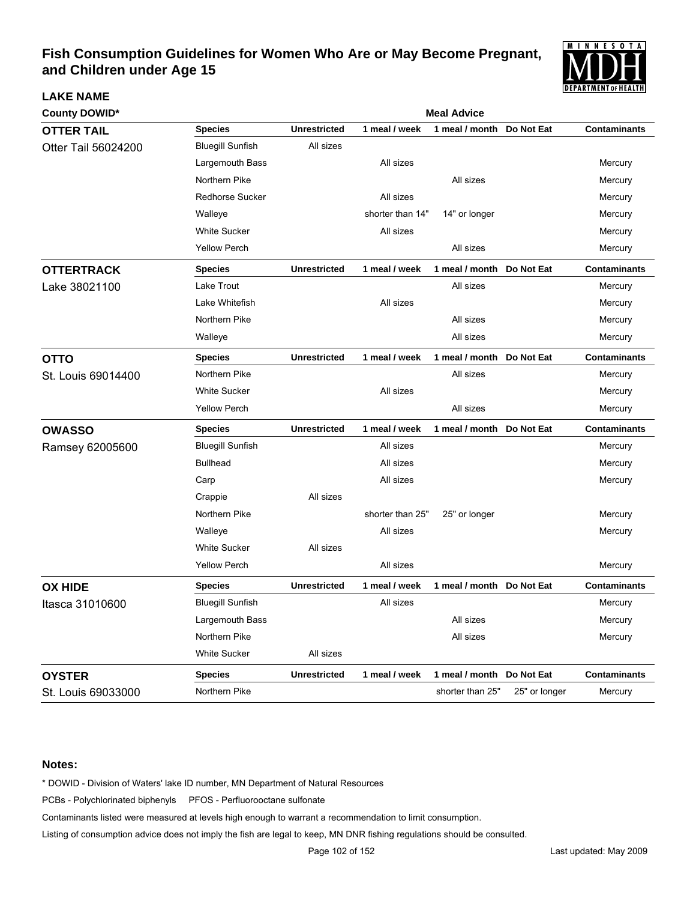

| <b>County DOWID*</b> |                         | <b>Meal Advice</b>  |                  |                           |               |                     |  |  |  |
|----------------------|-------------------------|---------------------|------------------|---------------------------|---------------|---------------------|--|--|--|
| <b>OTTER TAIL</b>    | <b>Species</b>          | <b>Unrestricted</b> | 1 meal / week    | 1 meal / month            | Do Not Eat    | <b>Contaminants</b> |  |  |  |
| Otter Tail 56024200  | <b>Bluegill Sunfish</b> | All sizes           |                  |                           |               |                     |  |  |  |
|                      | Largemouth Bass         |                     | All sizes        |                           |               | Mercury             |  |  |  |
|                      | Northern Pike           |                     |                  | All sizes                 |               | Mercury             |  |  |  |
|                      | <b>Redhorse Sucker</b>  |                     | All sizes        |                           |               | Mercury             |  |  |  |
|                      | Walleye                 |                     | shorter than 14" | 14" or longer             |               | Mercury             |  |  |  |
|                      | <b>White Sucker</b>     |                     | All sizes        |                           |               | Mercury             |  |  |  |
|                      | <b>Yellow Perch</b>     |                     |                  | All sizes                 |               | Mercury             |  |  |  |
| <b>OTTERTRACK</b>    | <b>Species</b>          | <b>Unrestricted</b> | 1 meal / week    | 1 meal / month Do Not Eat |               | <b>Contaminants</b> |  |  |  |
| Lake 38021100        | Lake Trout              |                     |                  | All sizes                 |               | Mercury             |  |  |  |
|                      | Lake Whitefish          |                     | All sizes        |                           |               | Mercury             |  |  |  |
|                      | Northern Pike           |                     |                  | All sizes                 |               | Mercury             |  |  |  |
|                      | Walleye                 |                     |                  | All sizes                 |               | Mercury             |  |  |  |
| <b>OTTO</b>          | <b>Species</b>          | <b>Unrestricted</b> | 1 meal / week    | 1 meal / month            | Do Not Eat    | <b>Contaminants</b> |  |  |  |
| St. Louis 69014400   | Northern Pike           |                     |                  | All sizes                 |               | Mercury             |  |  |  |
|                      | <b>White Sucker</b>     |                     | All sizes        |                           |               | Mercury             |  |  |  |
|                      | <b>Yellow Perch</b>     |                     |                  | All sizes                 |               | Mercury             |  |  |  |
| <b>OWASSO</b>        | <b>Species</b>          | <b>Unrestricted</b> | 1 meal / week    | 1 meal / month            | Do Not Eat    | <b>Contaminants</b> |  |  |  |
| Ramsey 62005600      | <b>Bluegill Sunfish</b> |                     | All sizes        |                           |               | Mercury             |  |  |  |
|                      | <b>Bullhead</b>         |                     | All sizes        |                           |               | Mercury             |  |  |  |
|                      | Carp                    |                     | All sizes        |                           |               | Mercury             |  |  |  |
|                      | Crappie                 | All sizes           |                  |                           |               |                     |  |  |  |
|                      | Northern Pike           |                     | shorter than 25" | 25" or longer             |               | Mercury             |  |  |  |
|                      | Walleye                 |                     | All sizes        |                           |               | Mercury             |  |  |  |
|                      | <b>White Sucker</b>     | All sizes           |                  |                           |               |                     |  |  |  |
|                      | <b>Yellow Perch</b>     |                     | All sizes        |                           |               | Mercury             |  |  |  |
| <b>OX HIDE</b>       | <b>Species</b>          | <b>Unrestricted</b> | 1 meal / week    | 1 meal / month Do Not Eat |               | <b>Contaminants</b> |  |  |  |
| Itasca 31010600      | <b>Bluegill Sunfish</b> |                     | All sizes        |                           |               | Mercury             |  |  |  |
|                      | Largemouth Bass         |                     |                  | All sizes                 |               | Mercury             |  |  |  |
|                      | Northern Pike           |                     |                  | All sizes                 |               | Mercury             |  |  |  |
|                      | <b>White Sucker</b>     | All sizes           |                  |                           |               |                     |  |  |  |
| <b>OYSTER</b>        | <b>Species</b>          | <b>Unrestricted</b> | 1 meal / week    | 1 meal / month            | Do Not Eat    | <b>Contaminants</b> |  |  |  |
| St. Louis 69033000   | Northern Pike           |                     |                  | shorter than 25"          | 25" or longer | Mercury             |  |  |  |

#### **Notes:**

**LAKE NAME**

\* DOWID - Division of Waters' lake ID number, MN Department of Natural Resources

PCBs - Polychlorinated biphenyls PFOS - Perfluorooctane sulfonate

Contaminants listed were measured at levels high enough to warrant a recommendation to limit consumption.

Listing of consumption advice does not imply the fish are legal to keep, MN DNR fishing regulations should be consulted.

Page 102 of 152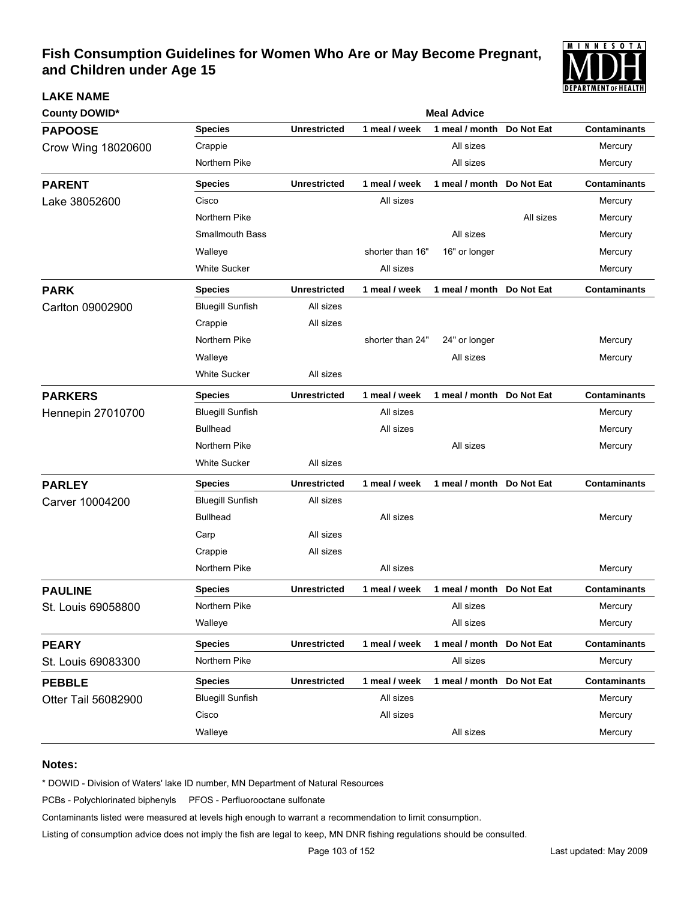

| <b>County DOWID*</b>     |                         | <b>Meal Advice</b>  |                  |                           |            |                     |  |  |
|--------------------------|-------------------------|---------------------|------------------|---------------------------|------------|---------------------|--|--|
| <b>PAPOOSE</b>           | <b>Species</b>          | <b>Unrestricted</b> | 1 meal / week    | 1 meal / month            | Do Not Eat | <b>Contaminants</b> |  |  |
| Crow Wing 18020600       | Crappie                 |                     |                  | All sizes                 |            | Mercury             |  |  |
|                          | Northern Pike           |                     |                  | All sizes                 |            | Mercury             |  |  |
| <b>PARENT</b>            | <b>Species</b>          | <b>Unrestricted</b> | 1 meal / week    | 1 meal / month Do Not Eat |            | <b>Contaminants</b> |  |  |
| Lake 38052600            | Cisco                   |                     | All sizes        |                           |            | Mercury             |  |  |
|                          | Northern Pike           |                     |                  |                           | All sizes  | Mercury             |  |  |
|                          | <b>Smallmouth Bass</b>  |                     |                  | All sizes                 |            | Mercury             |  |  |
|                          | Walleye                 |                     | shorter than 16" | 16" or longer             |            | Mercury             |  |  |
|                          | <b>White Sucker</b>     |                     | All sizes        |                           |            | Mercury             |  |  |
| <b>PARK</b>              | <b>Species</b>          | <b>Unrestricted</b> | 1 meal / week    | 1 meal / month Do Not Eat |            | <b>Contaminants</b> |  |  |
| Carlton 09002900         | <b>Bluegill Sunfish</b> | All sizes           |                  |                           |            |                     |  |  |
|                          | Crappie                 | All sizes           |                  |                           |            |                     |  |  |
|                          | Northern Pike           |                     | shorter than 24" | 24" or longer             |            | Mercury             |  |  |
|                          | Walleye                 |                     |                  | All sizes                 |            | Mercury             |  |  |
|                          | <b>White Sucker</b>     | All sizes           |                  |                           |            |                     |  |  |
| <b>PARKERS</b>           | <b>Species</b>          | <b>Unrestricted</b> | 1 meal / week    | 1 meal / month Do Not Eat |            | <b>Contaminants</b> |  |  |
| <b>Hennepin 27010700</b> | <b>Bluegill Sunfish</b> |                     | All sizes        |                           |            | Mercury             |  |  |
|                          | <b>Bullhead</b>         |                     | All sizes        |                           |            | Mercury             |  |  |
|                          | Northern Pike           |                     |                  | All sizes                 |            | Mercury             |  |  |
|                          | <b>White Sucker</b>     | All sizes           |                  |                           |            |                     |  |  |
| <b>PARLEY</b>            | <b>Species</b>          | <b>Unrestricted</b> | 1 meal / week    | 1 meal / month Do Not Eat |            | <b>Contaminants</b> |  |  |
| Carver 10004200          | <b>Bluegill Sunfish</b> | All sizes           |                  |                           |            |                     |  |  |
|                          | <b>Bullhead</b>         |                     | All sizes        |                           |            | Mercury             |  |  |
|                          | Carp                    | All sizes           |                  |                           |            |                     |  |  |
|                          | Crappie                 | All sizes           |                  |                           |            |                     |  |  |
|                          | Northern Pike           |                     | All sizes        |                           |            | Mercury             |  |  |
| <b>PAULINE</b>           | <b>Species</b>          | <b>Unrestricted</b> | 1 meal / week    | 1 meal / month Do Not Eat |            | <b>Contaminants</b> |  |  |
| St. Louis 69058800       | Northern Pike           |                     |                  | All sizes                 |            | Mercury             |  |  |
|                          | Walleye                 |                     |                  | All sizes                 |            | Mercury             |  |  |
| <b>PEARY</b>             | <b>Species</b>          | <b>Unrestricted</b> | 1 meal / week    | 1 meal / month Do Not Eat |            | <b>Contaminants</b> |  |  |
| St. Louis 69083300       | Northern Pike           |                     |                  | All sizes                 |            | Mercury             |  |  |
| <b>PEBBLE</b>            | <b>Species</b>          | <b>Unrestricted</b> | 1 meal / week    | 1 meal / month Do Not Eat |            | <b>Contaminants</b> |  |  |
| Otter Tail 56082900      | <b>Bluegill Sunfish</b> |                     | All sizes        |                           |            | Mercury             |  |  |
|                          | Cisco                   |                     | All sizes        |                           |            | Mercury             |  |  |
|                          | Walleye                 |                     |                  | All sizes                 |            | Mercury             |  |  |

#### **Notes:**

**LAKE NAME**

\* DOWID - Division of Waters' lake ID number, MN Department of Natural Resources

PCBs - Polychlorinated biphenyls PFOS - Perfluorooctane sulfonate

Contaminants listed were measured at levels high enough to warrant a recommendation to limit consumption.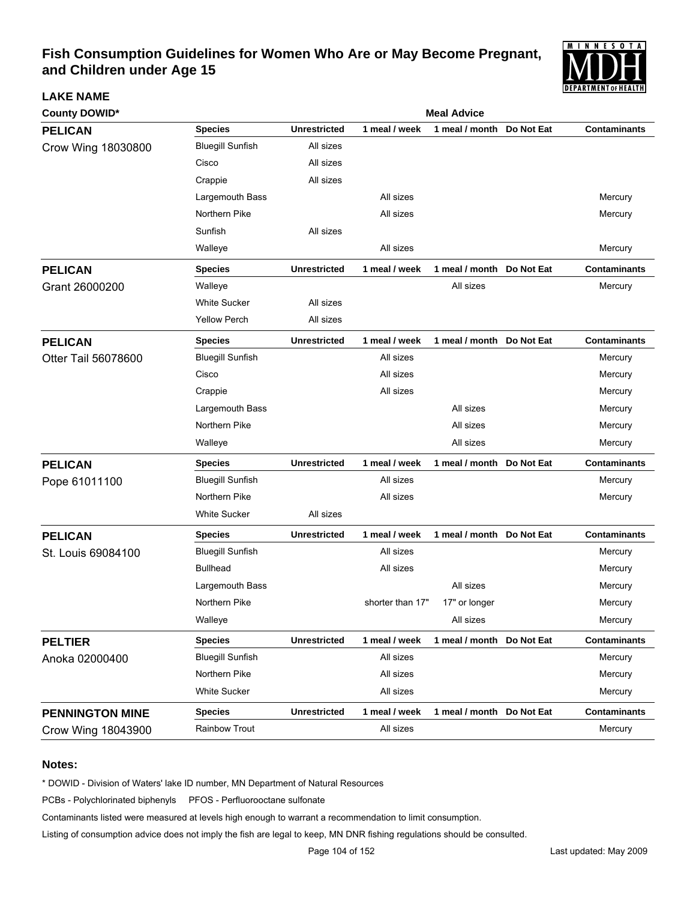

| <b>County DOWID*</b>   | <b>Meal Advice</b>      |                     |                  |                           |            |                     |  |
|------------------------|-------------------------|---------------------|------------------|---------------------------|------------|---------------------|--|
| <b>PELICAN</b>         | <b>Species</b>          | <b>Unrestricted</b> | 1 meal / week    | 1 meal / month            | Do Not Eat | <b>Contaminants</b> |  |
| Crow Wing 18030800     | <b>Bluegill Sunfish</b> | All sizes           |                  |                           |            |                     |  |
|                        | Cisco                   | All sizes           |                  |                           |            |                     |  |
|                        | Crappie                 | All sizes           |                  |                           |            |                     |  |
|                        | Largemouth Bass         |                     | All sizes        |                           |            | Mercury             |  |
|                        | Northern Pike           |                     | All sizes        |                           |            | Mercury             |  |
|                        | Sunfish                 | All sizes           |                  |                           |            |                     |  |
|                        | Walleye                 |                     | All sizes        |                           |            | Mercury             |  |
| <b>PELICAN</b>         | <b>Species</b>          | <b>Unrestricted</b> | 1 meal / week    | 1 meal / month Do Not Eat |            | <b>Contaminants</b> |  |
| Grant 26000200         | Walleye                 |                     |                  | All sizes                 |            | Mercury             |  |
|                        | <b>White Sucker</b>     | All sizes           |                  |                           |            |                     |  |
|                        | <b>Yellow Perch</b>     | All sizes           |                  |                           |            |                     |  |
| <b>PELICAN</b>         | <b>Species</b>          | <b>Unrestricted</b> | 1 meal / week    | 1 meal / month            | Do Not Eat | <b>Contaminants</b> |  |
| Otter Tail 56078600    | <b>Bluegill Sunfish</b> |                     | All sizes        |                           |            | Mercury             |  |
|                        | Cisco                   |                     | All sizes        |                           |            | Mercury             |  |
|                        | Crappie                 |                     | All sizes        |                           |            | Mercury             |  |
|                        | Largemouth Bass         |                     |                  | All sizes                 |            | Mercury             |  |
|                        | Northern Pike           |                     |                  | All sizes                 |            | Mercury             |  |
|                        | Walleye                 |                     |                  | All sizes                 |            | Mercury             |  |
| <b>PELICAN</b>         | <b>Species</b>          | <b>Unrestricted</b> | 1 meal / week    | 1 meal / month            | Do Not Eat | <b>Contaminants</b> |  |
| Pope 61011100          | <b>Bluegill Sunfish</b> |                     | All sizes        |                           |            | Mercury             |  |
|                        | Northern Pike           |                     | All sizes        |                           |            | Mercury             |  |
|                        | <b>White Sucker</b>     | All sizes           |                  |                           |            |                     |  |
| <b>PELICAN</b>         | <b>Species</b>          | <b>Unrestricted</b> | 1 meal / week    | 1 meal / month            | Do Not Eat | <b>Contaminants</b> |  |
| St. Louis 69084100     | <b>Bluegill Sunfish</b> |                     | All sizes        |                           |            | Mercury             |  |
|                        | <b>Bullhead</b>         |                     | All sizes        |                           |            | Mercury             |  |
|                        | Largemouth Bass         |                     |                  | All sizes                 |            | Mercury             |  |
|                        | Northern Pike           |                     | shorter than 17" | 17" or longer             |            | Mercury             |  |
|                        | Walleye                 |                     |                  | All sizes                 |            | Mercury             |  |
| <b>PELTIER</b>         | <b>Species</b>          | <b>Unrestricted</b> | 1 meal / week    | 1 meal / month Do Not Eat |            | <b>Contaminants</b> |  |
| Anoka 02000400         | <b>Bluegill Sunfish</b> |                     | All sizes        |                           |            | Mercury             |  |
|                        | Northern Pike           |                     | All sizes        |                           |            | Mercury             |  |
|                        | White Sucker            |                     | All sizes        |                           |            | Mercury             |  |
| <b>PENNINGTON MINE</b> | <b>Species</b>          | <b>Unrestricted</b> | 1 meal / week    | 1 meal / month Do Not Eat |            | <b>Contaminants</b> |  |
| Crow Wing 18043900     | Rainbow Trout           |                     | All sizes        |                           |            | Mercury             |  |

#### **Notes:**

**LAKE NAME**

\* DOWID - Division of Waters' lake ID number, MN Department of Natural Resources

PCBs - Polychlorinated biphenyls PFOS - Perfluorooctane sulfonate

Contaminants listed were measured at levels high enough to warrant a recommendation to limit consumption.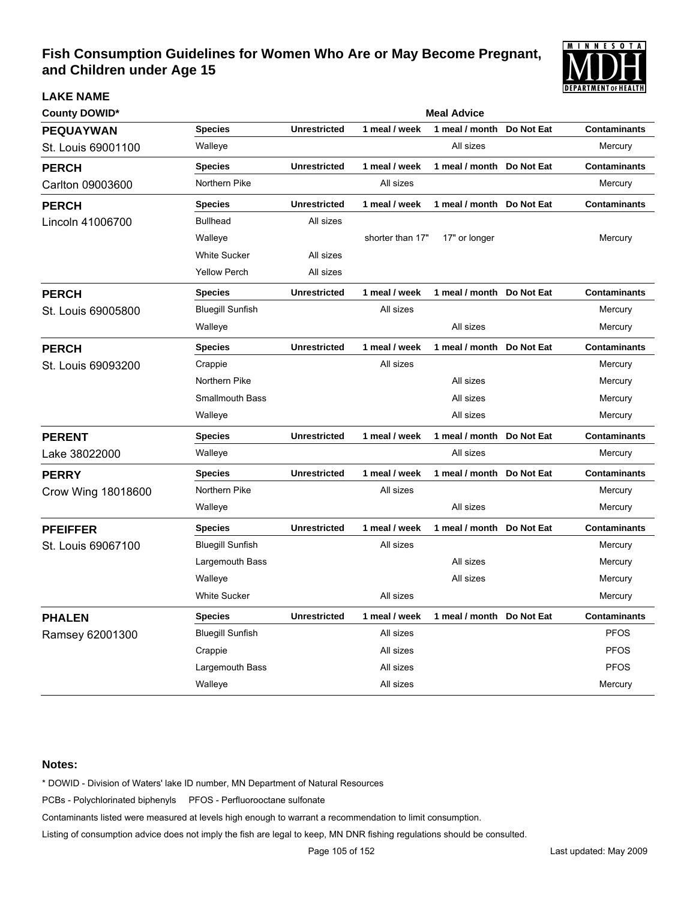

| <b>LAKE NAME</b>     |                         |                     |                  |                           |                   | ULPAK I MEN I OI MEAL I M |  |  |  |
|----------------------|-------------------------|---------------------|------------------|---------------------------|-------------------|---------------------------|--|--|--|
| <b>County DOWID*</b> | <b>Meal Advice</b>      |                     |                  |                           |                   |                           |  |  |  |
| <b>PEQUAYWAN</b>     | <b>Species</b>          | <b>Unrestricted</b> | 1 meal / week    | 1 meal / month            | Do Not Eat        | <b>Contaminants</b>       |  |  |  |
| St. Louis 69001100   | Walleye                 |                     |                  | All sizes                 |                   | Mercury                   |  |  |  |
| <b>PERCH</b>         | <b>Species</b>          | <b>Unrestricted</b> | 1 meal / week    | 1 meal / month Do Not Eat |                   | <b>Contaminants</b>       |  |  |  |
| Carlton 09003600     | Northern Pike           |                     | All sizes        |                           |                   | Mercury                   |  |  |  |
| <b>PERCH</b>         | <b>Species</b>          | <b>Unrestricted</b> | 1 meal / week    | 1 meal / month Do Not Eat |                   | <b>Contaminants</b>       |  |  |  |
| Lincoln 41006700     | <b>Bullhead</b>         | All sizes           |                  |                           |                   |                           |  |  |  |
|                      | Walleye                 |                     | shorter than 17" | 17" or longer             |                   | Mercury                   |  |  |  |
|                      | <b>White Sucker</b>     | All sizes           |                  |                           |                   |                           |  |  |  |
|                      | <b>Yellow Perch</b>     | All sizes           |                  |                           |                   |                           |  |  |  |
| <b>PERCH</b>         | <b>Species</b>          | <b>Unrestricted</b> | 1 meal / week    | 1 meal / month Do Not Eat |                   | <b>Contaminants</b>       |  |  |  |
| St. Louis 69005800   | <b>Bluegill Sunfish</b> |                     | All sizes        |                           |                   | Mercury                   |  |  |  |
|                      | Walleye                 |                     |                  | All sizes                 |                   | Mercury                   |  |  |  |
| <b>PERCH</b>         | <b>Species</b>          | <b>Unrestricted</b> | 1 meal / week    | 1 meal / month Do Not Eat |                   | <b>Contaminants</b>       |  |  |  |
| St. Louis 69093200   | Crappie                 |                     | All sizes        |                           |                   | Mercury                   |  |  |  |
|                      | Northern Pike           |                     |                  | All sizes                 |                   | Mercury                   |  |  |  |
|                      | <b>Smallmouth Bass</b>  |                     |                  | All sizes                 |                   | Mercury                   |  |  |  |
|                      | Walleye                 |                     |                  | All sizes                 |                   | Mercury                   |  |  |  |
| <b>PERENT</b>        | <b>Species</b>          | <b>Unrestricted</b> | 1 meal / week    | 1 meal / month            | Do Not Eat        | <b>Contaminants</b>       |  |  |  |
| Lake 38022000        | Walleye                 |                     |                  | All sizes                 |                   | Mercury                   |  |  |  |
| <b>PERRY</b>         | <b>Species</b>          | <b>Unrestricted</b> | 1 meal / week    | 1 meal / month            | <b>Do Not Eat</b> | <b>Contaminants</b>       |  |  |  |
| Crow Wing 18018600   | Northern Pike           |                     | All sizes        |                           |                   | Mercury                   |  |  |  |
|                      | Walleye                 |                     |                  | All sizes                 |                   | Mercury                   |  |  |  |
| <b>PFEIFFER</b>      | <b>Species</b>          | <b>Unrestricted</b> | 1 meal / week    | 1 meal / month            | Do Not Eat        | <b>Contaminants</b>       |  |  |  |
| St. Louis 69067100   | <b>Bluegill Sunfish</b> |                     | All sizes        |                           |                   | Mercury                   |  |  |  |
|                      | Largemouth Bass         |                     |                  | All sizes                 |                   | Mercury                   |  |  |  |
|                      | Walleye                 |                     |                  | All sizes                 |                   | Mercury                   |  |  |  |
|                      | <b>White Sucker</b>     |                     | All sizes        |                           |                   | Mercury                   |  |  |  |
| <b>PHALEN</b>        | <b>Species</b>          | <b>Unrestricted</b> | 1 meal / week    | 1 meal / month Do Not Eat |                   | <b>Contaminants</b>       |  |  |  |
| Ramsey 62001300      | <b>Bluegill Sunfish</b> |                     | All sizes        |                           |                   | <b>PFOS</b>               |  |  |  |
|                      | Crappie                 |                     | All sizes        |                           |                   | <b>PFOS</b>               |  |  |  |
|                      | Largemouth Bass         |                     | All sizes        |                           |                   | <b>PFOS</b>               |  |  |  |
|                      | Walleye                 |                     | All sizes        |                           |                   | Mercury                   |  |  |  |

### **Notes:**

\* DOWID - Division of Waters' lake ID number, MN Department of Natural Resources

PCBs - Polychlorinated biphenyls PFOS - Perfluorooctane sulfonate

Contaminants listed were measured at levels high enough to warrant a recommendation to limit consumption.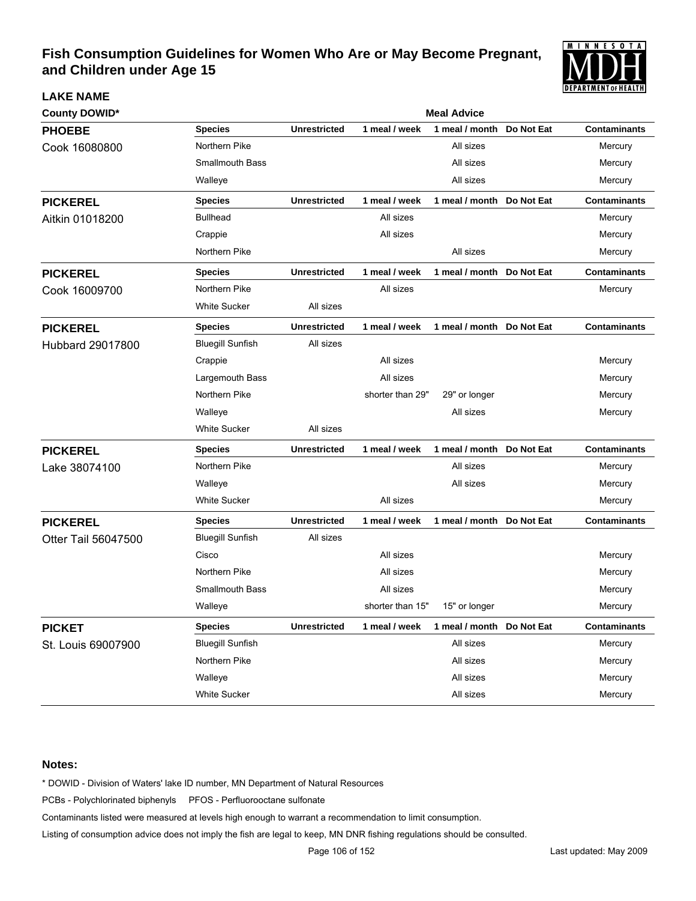

| <b>County DOWID*</b> |                         | <b>Meal Advice</b>  |                  |                            |            |                     |  |  |
|----------------------|-------------------------|---------------------|------------------|----------------------------|------------|---------------------|--|--|
| <b>PHOEBE</b>        | <b>Species</b>          | <b>Unrestricted</b> | 1 meal / week    | 1 meal / month             | Do Not Eat | <b>Contaminants</b> |  |  |
| Cook 16080800        | Northern Pike           |                     |                  | All sizes                  |            | Mercury             |  |  |
|                      | <b>Smallmouth Bass</b>  |                     |                  | All sizes                  |            | Mercury             |  |  |
|                      | Walleye                 |                     |                  | All sizes                  |            | Mercury             |  |  |
| <b>PICKEREL</b>      | <b>Species</b>          | <b>Unrestricted</b> | 1 meal / week    | 1 meal / month Do Not Eat  |            | <b>Contaminants</b> |  |  |
| Aitkin 01018200      | <b>Bullhead</b>         |                     | All sizes        |                            |            | Mercury             |  |  |
|                      | Crappie                 |                     | All sizes        |                            |            | Mercury             |  |  |
|                      | Northern Pike           |                     |                  | All sizes                  |            | Mercury             |  |  |
| <b>PICKEREL</b>      | <b>Species</b>          | <b>Unrestricted</b> | 1 meal / week    | 1 meal / month Do Not Eat  |            | <b>Contaminants</b> |  |  |
| Cook 16009700        | Northern Pike           |                     | All sizes        |                            |            | Mercury             |  |  |
|                      | <b>White Sucker</b>     | All sizes           |                  |                            |            |                     |  |  |
| <b>PICKEREL</b>      | <b>Species</b>          | <b>Unrestricted</b> | 1 meal / week    | 1 meal / month Do Not Eat  |            | <b>Contaminants</b> |  |  |
| Hubbard 29017800     | <b>Bluegill Sunfish</b> | All sizes           |                  |                            |            |                     |  |  |
|                      | Crappie                 |                     | All sizes        |                            |            | Mercury             |  |  |
|                      | Largemouth Bass         |                     | All sizes        |                            |            | Mercury             |  |  |
|                      | Northern Pike           |                     | shorter than 29" | 29" or longer              |            | Mercury             |  |  |
|                      | Walleye                 |                     |                  | All sizes                  |            | Mercury             |  |  |
|                      | <b>White Sucker</b>     | All sizes           |                  |                            |            |                     |  |  |
| <b>PICKEREL</b>      | <b>Species</b>          | <b>Unrestricted</b> | 1 meal / week    | 1 meal / month Do Not Eat  |            | <b>Contaminants</b> |  |  |
| Lake 38074100        | Northern Pike           |                     |                  | All sizes                  |            | Mercury             |  |  |
|                      | Walleye                 |                     |                  | All sizes                  |            | Mercury             |  |  |
|                      | White Sucker            |                     | All sizes        |                            |            | Mercury             |  |  |
| <b>PICKEREL</b>      | <b>Species</b>          | <b>Unrestricted</b> | 1 meal / week    | 1 meal / month Do Not Eat  |            | <b>Contaminants</b> |  |  |
| Otter Tail 56047500  | <b>Bluegill Sunfish</b> | All sizes           |                  |                            |            |                     |  |  |
|                      | Cisco                   |                     | All sizes        |                            |            | Mercury             |  |  |
|                      | Northern Pike           |                     | All sizes        |                            |            | Mercury             |  |  |
|                      | <b>Smallmouth Bass</b>  |                     | All sizes        |                            |            | Mercury             |  |  |
|                      | Walleye                 |                     | shorter than 15" | 15" or longer              |            | Mercury             |  |  |
| <b>PICKET</b>        | <b>Species</b>          | <b>Unrestricted</b> | 1 meal / week    | 1 meal / month  Do Not Eat |            | <b>Contaminants</b> |  |  |
| St. Louis 69007900   | <b>Bluegill Sunfish</b> |                     |                  | All sizes                  |            | Mercury             |  |  |
|                      | Northern Pike           |                     |                  | All sizes                  |            | Mercury             |  |  |
|                      | Walleye                 |                     |                  | All sizes                  |            | Mercury             |  |  |
|                      | White Sucker            |                     |                  | All sizes                  |            | Mercury             |  |  |

#### **Notes:**

**LAKE NAME**

\* DOWID - Division of Waters' lake ID number, MN Department of Natural Resources

PCBs - Polychlorinated biphenyls PFOS - Perfluorooctane sulfonate

Contaminants listed were measured at levels high enough to warrant a recommendation to limit consumption.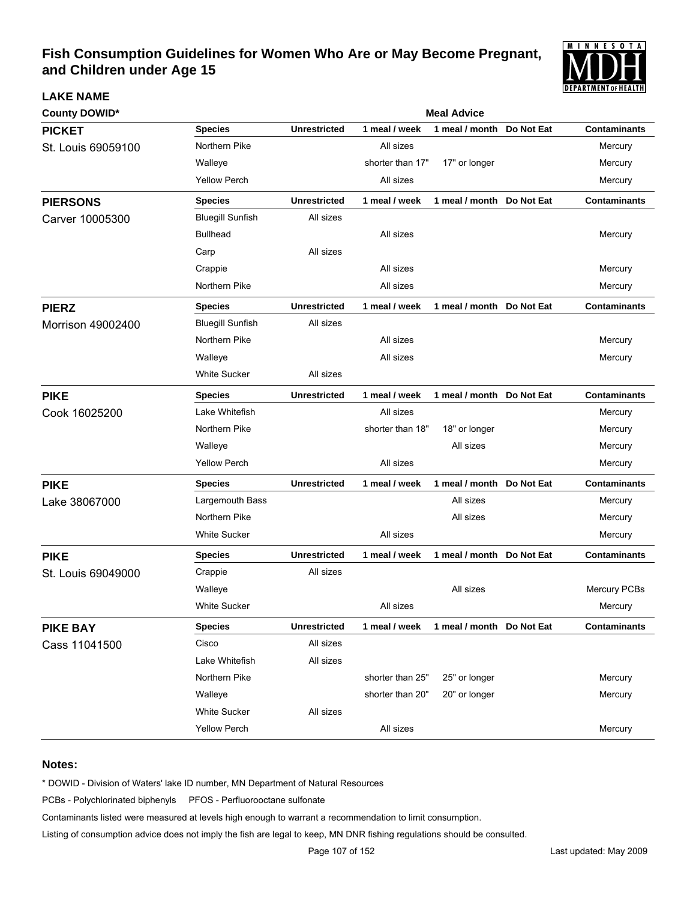

| <b>County DOWID*</b> |                         | <b>Meal Advice</b>  |                  |                            |  |                     |  |  |  |
|----------------------|-------------------------|---------------------|------------------|----------------------------|--|---------------------|--|--|--|
| <b>PICKET</b>        | <b>Species</b>          | <b>Unrestricted</b> | 1 meal / week    | 1 meal / month Do Not Eat  |  | <b>Contaminants</b> |  |  |  |
| St. Louis 69059100   | Northern Pike           |                     | All sizes        |                            |  | Mercury             |  |  |  |
|                      | Walleye                 |                     | shorter than 17" | 17" or longer              |  | Mercury             |  |  |  |
|                      | <b>Yellow Perch</b>     |                     | All sizes        |                            |  | Mercury             |  |  |  |
| <b>PIERSONS</b>      | <b>Species</b>          | <b>Unrestricted</b> | 1 meal / week    | 1 meal / month Do Not Eat  |  | <b>Contaminants</b> |  |  |  |
| Carver 10005300      | <b>Bluegill Sunfish</b> | All sizes           |                  |                            |  |                     |  |  |  |
|                      | <b>Bullhead</b>         |                     | All sizes        |                            |  | Mercury             |  |  |  |
|                      | Carp                    | All sizes           |                  |                            |  |                     |  |  |  |
|                      | Crappie                 |                     | All sizes        |                            |  | Mercury             |  |  |  |
|                      | Northern Pike           |                     | All sizes        |                            |  | Mercury             |  |  |  |
| <b>PIERZ</b>         | <b>Species</b>          | <b>Unrestricted</b> | 1 meal / week    | 1 meal / month Do Not Eat  |  | <b>Contaminants</b> |  |  |  |
| Morrison 49002400    | <b>Bluegill Sunfish</b> | All sizes           |                  |                            |  |                     |  |  |  |
|                      | Northern Pike           |                     | All sizes        |                            |  | Mercury             |  |  |  |
|                      | Walleye                 |                     | All sizes        |                            |  | Mercury             |  |  |  |
|                      | <b>White Sucker</b>     | All sizes           |                  |                            |  |                     |  |  |  |
| <b>PIKE</b>          | <b>Species</b>          | <b>Unrestricted</b> | 1 meal / week    | 1 meal / month  Do Not Eat |  | <b>Contaminants</b> |  |  |  |
| Cook 16025200        | Lake Whitefish          |                     | All sizes        |                            |  | Mercury             |  |  |  |
|                      | Northern Pike           |                     | shorter than 18" | 18" or longer              |  | Mercury             |  |  |  |
|                      | Walleye                 |                     |                  | All sizes                  |  | Mercury             |  |  |  |
|                      | <b>Yellow Perch</b>     |                     | All sizes        |                            |  | Mercury             |  |  |  |
| <b>PIKE</b>          | <b>Species</b>          | <b>Unrestricted</b> | 1 meal / week    | 1 meal / month Do Not Eat  |  | <b>Contaminants</b> |  |  |  |
| Lake 38067000        | Largemouth Bass         |                     |                  | All sizes                  |  | Mercury             |  |  |  |
|                      | Northern Pike           |                     |                  | All sizes                  |  | Mercury             |  |  |  |
|                      | <b>White Sucker</b>     |                     | All sizes        |                            |  | Mercury             |  |  |  |
| <b>PIKE</b>          | <b>Species</b>          | <b>Unrestricted</b> | 1 meal / week    | 1 meal / month Do Not Eat  |  | <b>Contaminants</b> |  |  |  |
| St. Louis 69049000   | Crappie                 | All sizes           |                  |                            |  |                     |  |  |  |
|                      | Walleye                 |                     |                  | All sizes                  |  | Mercury PCBs        |  |  |  |
|                      | <b>White Sucker</b>     |                     | All sizes        |                            |  | Mercury             |  |  |  |
| <b>PIKE BAY</b>      | <b>Species</b>          | <b>Unrestricted</b> | 1 meal / week    | 1 meal / month Do Not Eat  |  | <b>Contaminants</b> |  |  |  |
| Cass 11041500        | Cisco                   | All sizes           |                  |                            |  |                     |  |  |  |
|                      | Lake Whitefish          | All sizes           |                  |                            |  |                     |  |  |  |
|                      | Northern Pike           |                     | shorter than 25" | 25" or longer              |  | Mercury             |  |  |  |
|                      | Walleye                 |                     | shorter than 20" | 20" or longer              |  | Mercury             |  |  |  |
|                      | <b>White Sucker</b>     | All sizes           |                  |                            |  |                     |  |  |  |
|                      | <b>Yellow Perch</b>     |                     | All sizes        |                            |  | Mercury             |  |  |  |

#### **Notes:**

**LAKE NAME**

\* DOWID - Division of Waters' lake ID number, MN Department of Natural Resources

PCBs - Polychlorinated biphenyls PFOS - Perfluorooctane sulfonate

Contaminants listed were measured at levels high enough to warrant a recommendation to limit consumption.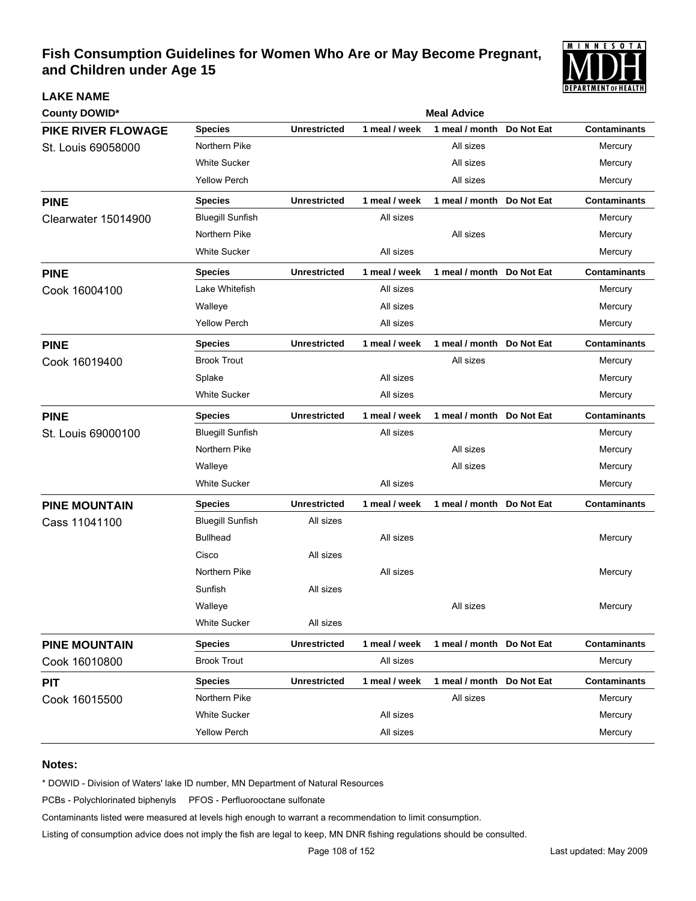

| <b>County DOWID*</b>      |                         |                     |               | <b>Meal Advice</b>         |            |                     |
|---------------------------|-------------------------|---------------------|---------------|----------------------------|------------|---------------------|
| <b>PIKE RIVER FLOWAGE</b> | <b>Species</b>          | <b>Unrestricted</b> | 1 meal / week | 1 meal / month             | Do Not Eat | <b>Contaminants</b> |
| St. Louis 69058000        | Northern Pike           |                     |               | All sizes                  |            | Mercury             |
|                           | <b>White Sucker</b>     |                     |               | All sizes                  |            | Mercury             |
|                           | <b>Yellow Perch</b>     |                     |               | All sizes                  |            | Mercury             |
| <b>PINE</b>               | <b>Species</b>          | <b>Unrestricted</b> | 1 meal / week | 1 meal / month Do Not Eat  |            | <b>Contaminants</b> |
| Clearwater 15014900       | <b>Bluegill Sunfish</b> |                     | All sizes     |                            |            | Mercury             |
|                           | Northern Pike           |                     |               | All sizes                  |            | Mercury             |
|                           | <b>White Sucker</b>     |                     | All sizes     |                            |            | Mercury             |
| <b>PINE</b>               | <b>Species</b>          | <b>Unrestricted</b> | 1 meal / week | 1 meal / month Do Not Eat  |            | <b>Contaminants</b> |
| Cook 16004100             | Lake Whitefish          |                     | All sizes     |                            |            | Mercury             |
|                           | Walleye                 |                     | All sizes     |                            |            | Mercury             |
|                           | <b>Yellow Perch</b>     |                     | All sizes     |                            |            | Mercury             |
| <b>PINE</b>               | <b>Species</b>          | <b>Unrestricted</b> | 1 meal / week | 1 meal / month             | Do Not Eat | <b>Contaminants</b> |
| Cook 16019400             | <b>Brook Trout</b>      |                     |               | All sizes                  |            | Mercury             |
|                           | Splake                  |                     | All sizes     |                            |            | Mercury             |
|                           | <b>White Sucker</b>     |                     | All sizes     |                            |            | Mercury             |
| <b>PINE</b>               | <b>Species</b>          | <b>Unrestricted</b> | 1 meal / week | 1 meal / month Do Not Eat  |            | <b>Contaminants</b> |
| St. Louis 69000100        | <b>Bluegill Sunfish</b> |                     | All sizes     |                            |            | Mercury             |
|                           | Northern Pike           |                     |               | All sizes                  |            | Mercury             |
|                           | Walleye                 |                     |               | All sizes                  |            | Mercury             |
|                           | <b>White Sucker</b>     |                     | All sizes     |                            |            | Mercury             |
| <b>PINE MOUNTAIN</b>      | <b>Species</b>          | <b>Unrestricted</b> | 1 meal / week | 1 meal / month  Do Not Eat |            | <b>Contaminants</b> |
| Cass 11041100             | <b>Bluegill Sunfish</b> | All sizes           |               |                            |            |                     |
|                           | <b>Bullhead</b>         |                     | All sizes     |                            |            | Mercury             |
|                           | Cisco                   | All sizes           |               |                            |            |                     |
|                           | Northern Pike           |                     | All sizes     |                            |            | Mercury             |
|                           | Sunfish                 | All sizes           |               |                            |            |                     |
|                           | Walleye                 |                     |               | All sizes                  |            | Mercury             |
|                           | <b>White Sucker</b>     | All sizes           |               |                            |            |                     |
| <b>PINE MOUNTAIN</b>      | <b>Species</b>          | <b>Unrestricted</b> | 1 meal / week | 1 meal / month Do Not Eat  |            | <b>Contaminants</b> |
| Cook 16010800             | <b>Brook Trout</b>      |                     | All sizes     |                            |            | Mercury             |
| <b>PIT</b>                | <b>Species</b>          | <b>Unrestricted</b> | 1 meal / week | 1 meal / month Do Not Eat  |            | <b>Contaminants</b> |
| Cook 16015500             | Northern Pike           |                     |               | All sizes                  |            | Mercury             |
|                           | <b>White Sucker</b>     |                     | All sizes     |                            |            | Mercury             |
|                           | <b>Yellow Perch</b>     |                     | All sizes     |                            |            | Mercury             |

#### **Notes:**

**LAKE NAME**

\* DOWID - Division of Waters' lake ID number, MN Department of Natural Resources

PCBs - Polychlorinated biphenyls PFOS - Perfluorooctane sulfonate

Contaminants listed were measured at levels high enough to warrant a recommendation to limit consumption.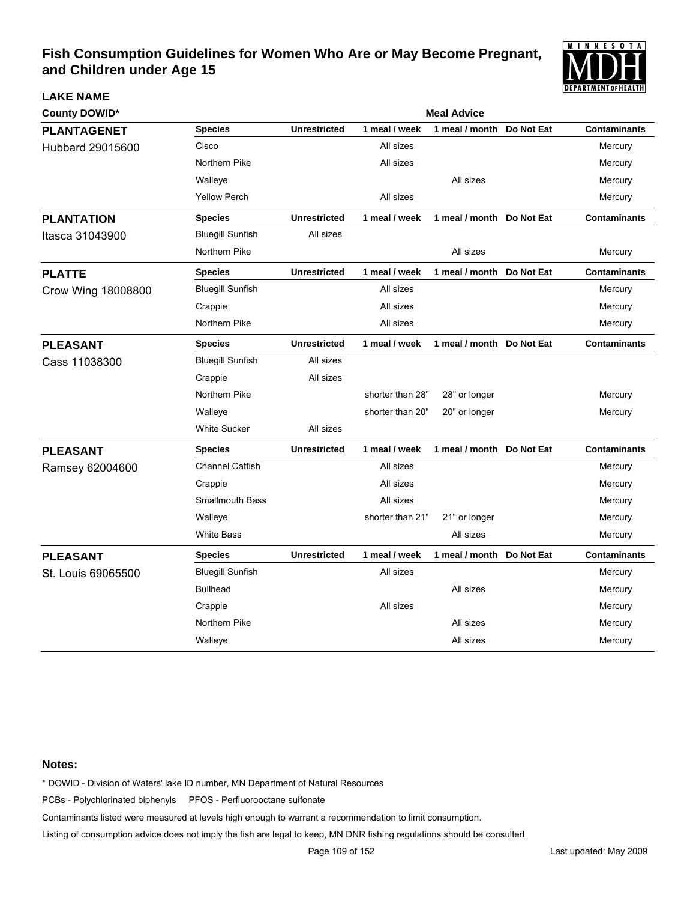

| <b>County DOWID*</b> |                         |                     |                  | <b>Meal Advice</b>        |            |                     |
|----------------------|-------------------------|---------------------|------------------|---------------------------|------------|---------------------|
| <b>PLANTAGENET</b>   | <b>Species</b>          | <b>Unrestricted</b> | 1 meal / week    | 1 meal / month            | Do Not Eat | <b>Contaminants</b> |
| Hubbard 29015600     | Cisco                   |                     | All sizes        |                           |            | Mercury             |
|                      | Northern Pike           |                     | All sizes        |                           |            | Mercury             |
|                      | Walleye                 |                     |                  | All sizes                 |            | Mercury             |
|                      | <b>Yellow Perch</b>     |                     | All sizes        |                           |            | Mercury             |
| <b>PLANTATION</b>    | <b>Species</b>          | <b>Unrestricted</b> | 1 meal / week    | 1 meal / month Do Not Eat |            | <b>Contaminants</b> |
| Itasca 31043900      | <b>Bluegill Sunfish</b> | All sizes           |                  |                           |            |                     |
|                      | Northern Pike           |                     |                  | All sizes                 |            | Mercury             |
| <b>PLATTE</b>        | <b>Species</b>          | <b>Unrestricted</b> | 1 meal / week    | 1 meal / month Do Not Eat |            | <b>Contaminants</b> |
| Crow Wing 18008800   | <b>Bluegill Sunfish</b> |                     | All sizes        |                           |            | Mercury             |
|                      | Crappie                 |                     | All sizes        |                           |            | Mercury             |
|                      | Northern Pike           |                     | All sizes        |                           |            | Mercury             |
| <b>PLEASANT</b>      | <b>Species</b>          | <b>Unrestricted</b> | 1 meal / week    | 1 meal / month Do Not Eat |            | <b>Contaminants</b> |
| Cass 11038300        | <b>Bluegill Sunfish</b> | All sizes           |                  |                           |            |                     |
|                      | Crappie                 | All sizes           |                  |                           |            |                     |
|                      | Northern Pike           |                     | shorter than 28" | 28" or longer             |            | Mercury             |
|                      | Walleye                 |                     | shorter than 20" | 20" or longer             |            | Mercury             |
|                      | White Sucker            | All sizes           |                  |                           |            |                     |
| <b>PLEASANT</b>      | <b>Species</b>          | <b>Unrestricted</b> | 1 meal / week    | 1 meal / month Do Not Eat |            | <b>Contaminants</b> |
| Ramsey 62004600      | Channel Catfish         |                     | All sizes        |                           |            | Mercury             |
|                      | Crappie                 |                     | All sizes        |                           |            | Mercury             |
|                      | <b>Smallmouth Bass</b>  |                     | All sizes        |                           |            | Mercury             |
|                      | Walleye                 |                     | shorter than 21" | 21" or longer             |            | Mercury             |
|                      | <b>White Bass</b>       |                     |                  | All sizes                 |            | Mercury             |
| <b>PLEASANT</b>      | <b>Species</b>          | <b>Unrestricted</b> | 1 meal / week    | 1 meal / month Do Not Eat |            | <b>Contaminants</b> |
| St. Louis 69065500   | <b>Bluegill Sunfish</b> |                     | All sizes        |                           |            | Mercury             |
|                      | <b>Bullhead</b>         |                     |                  | All sizes                 |            | Mercury             |
|                      | Crappie                 |                     | All sizes        |                           |            | Mercury             |
|                      | Northern Pike           |                     |                  | All sizes                 |            | Mercury             |
|                      | Walleye                 |                     |                  | All sizes                 |            | Mercury             |

### **Notes:**

**LAKE NAME**

\* DOWID - Division of Waters' lake ID number, MN Department of Natural Resources

PCBs - Polychlorinated biphenyls PFOS - Perfluorooctane sulfonate

Contaminants listed were measured at levels high enough to warrant a recommendation to limit consumption.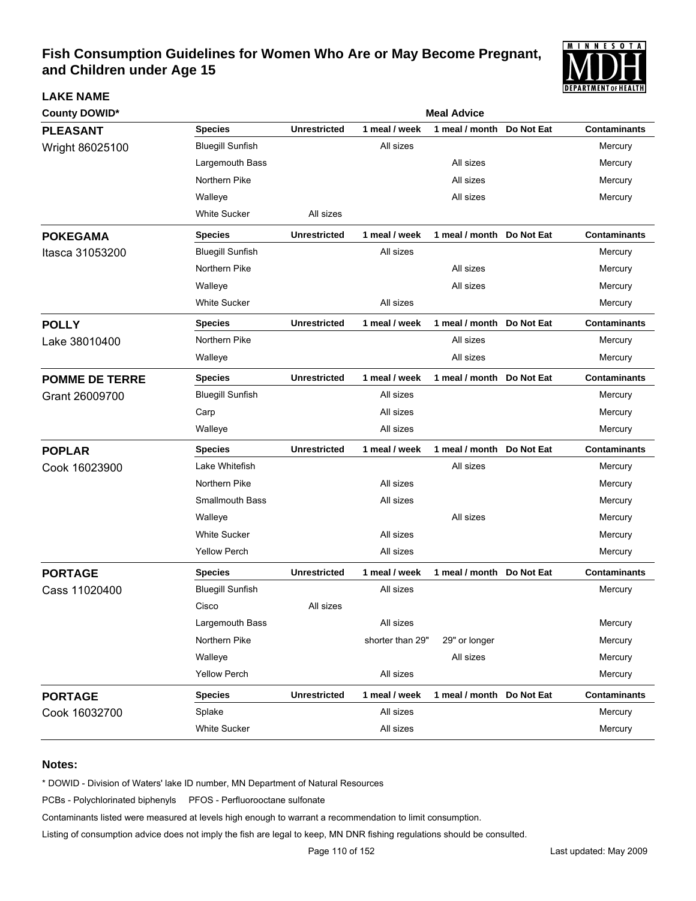

| <b>County DOWID*</b>  |                         | <b>Meal Advice</b>  |                  |                           |            |                     |  |  |
|-----------------------|-------------------------|---------------------|------------------|---------------------------|------------|---------------------|--|--|
| <b>PLEASANT</b>       | <b>Species</b>          | <b>Unrestricted</b> | 1 meal / week    | 1 meal / month            | Do Not Eat | <b>Contaminants</b> |  |  |
| Wright 86025100       | <b>Bluegill Sunfish</b> |                     | All sizes        |                           |            | Mercury             |  |  |
|                       | Largemouth Bass         |                     |                  | All sizes                 |            | Mercury             |  |  |
|                       | Northern Pike           |                     |                  | All sizes                 |            | Mercury             |  |  |
|                       | Walleye                 |                     |                  | All sizes                 |            | Mercury             |  |  |
|                       | <b>White Sucker</b>     | All sizes           |                  |                           |            |                     |  |  |
| <b>POKEGAMA</b>       | <b>Species</b>          | <b>Unrestricted</b> | 1 meal / week    | 1 meal / month Do Not Eat |            | <b>Contaminants</b> |  |  |
| Itasca 31053200       | <b>Bluegill Sunfish</b> |                     | All sizes        |                           |            | Mercury             |  |  |
|                       | Northern Pike           |                     |                  | All sizes                 |            | Mercury             |  |  |
|                       | Walleye                 |                     |                  | All sizes                 |            | Mercury             |  |  |
|                       | <b>White Sucker</b>     |                     | All sizes        |                           |            | Mercury             |  |  |
| <b>POLLY</b>          | <b>Species</b>          | <b>Unrestricted</b> | 1 meal / week    | 1 meal / month Do Not Eat |            | <b>Contaminants</b> |  |  |
| Lake 38010400         | Northern Pike           |                     |                  | All sizes                 |            | Mercury             |  |  |
|                       | Walleye                 |                     |                  | All sizes                 |            | Mercury             |  |  |
| <b>POMME DE TERRE</b> | <b>Species</b>          | <b>Unrestricted</b> | 1 meal / week    | 1 meal / month            | Do Not Eat | <b>Contaminants</b> |  |  |
| Grant 26009700        | <b>Bluegill Sunfish</b> |                     | All sizes        |                           |            | Mercury             |  |  |
|                       | Carp                    |                     | All sizes        |                           |            | Mercury             |  |  |
|                       | Walleye                 |                     | All sizes        |                           |            | Mercury             |  |  |
| <b>POPLAR</b>         | <b>Species</b>          | <b>Unrestricted</b> | 1 meal / week    | 1 meal / month Do Not Eat |            | <b>Contaminants</b> |  |  |
| Cook 16023900         | Lake Whitefish          |                     |                  | All sizes                 |            | Mercury             |  |  |
|                       | Northern Pike           |                     | All sizes        |                           |            | Mercury             |  |  |
|                       | <b>Smallmouth Bass</b>  |                     | All sizes        |                           |            | Mercury             |  |  |
|                       | Walleye                 |                     |                  | All sizes                 |            | Mercury             |  |  |
|                       | <b>White Sucker</b>     |                     | All sizes        |                           |            | Mercury             |  |  |
|                       | <b>Yellow Perch</b>     |                     | All sizes        |                           |            | Mercury             |  |  |
| <b>PORTAGE</b>        | <b>Species</b>          | <b>Unrestricted</b> | 1 meal / week    | 1 meal / month Do Not Eat |            | <b>Contaminants</b> |  |  |
| Cass 11020400         | <b>Bluegill Sunfish</b> |                     | All sizes        |                           |            | Mercury             |  |  |
|                       | Cisco                   | All sizes           |                  |                           |            |                     |  |  |
|                       | Largemouth Bass         |                     | All sizes        |                           |            | Mercury             |  |  |
|                       | Northern Pike           |                     | shorter than 29" | 29" or longer             |            | Mercury             |  |  |
|                       | Walleye                 |                     |                  | All sizes                 |            | Mercury             |  |  |
|                       | <b>Yellow Perch</b>     |                     | All sizes        |                           |            | Mercury             |  |  |
| <b>PORTAGE</b>        | <b>Species</b>          | <b>Unrestricted</b> | 1 meal / week    | 1 meal / month Do Not Eat |            | <b>Contaminants</b> |  |  |
| Cook 16032700         | Splake                  |                     | All sizes        |                           |            | Mercury             |  |  |
|                       | White Sucker            |                     | All sizes        |                           |            | Mercury             |  |  |

### **Notes:**

**LAKE NAME**

\* DOWID - Division of Waters' lake ID number, MN Department of Natural Resources

PCBs - Polychlorinated biphenyls PFOS - Perfluorooctane sulfonate

Contaminants listed were measured at levels high enough to warrant a recommendation to limit consumption.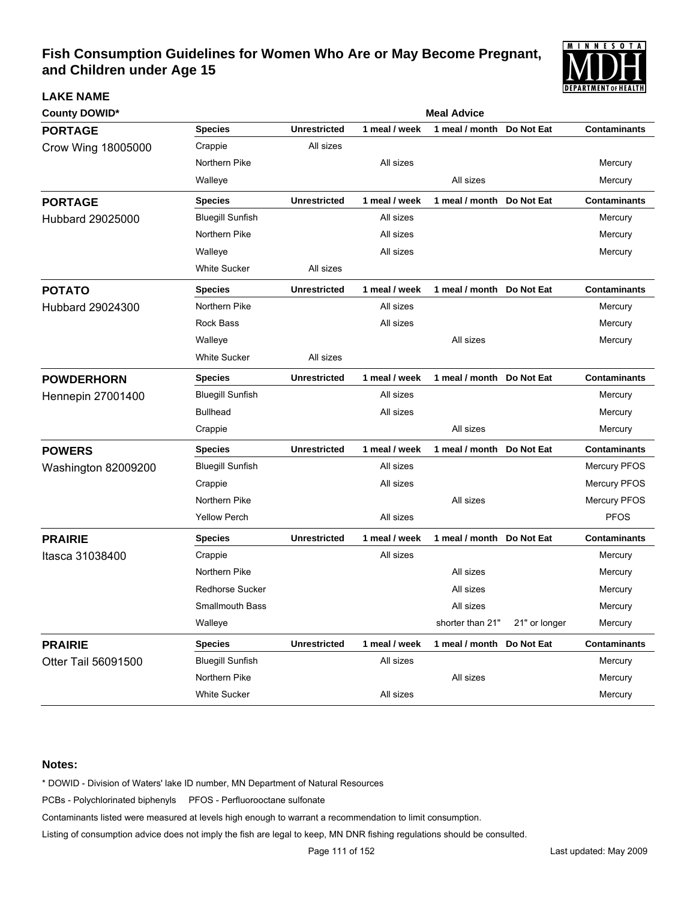

| <b>County DOWID*</b>     |                         | <b>Meal Advice</b>  |               |                           |               |                     |  |  |
|--------------------------|-------------------------|---------------------|---------------|---------------------------|---------------|---------------------|--|--|
| <b>PORTAGE</b>           | <b>Species</b>          | <b>Unrestricted</b> | 1 meal / week | 1 meal / month            | Do Not Eat    | Contaminants        |  |  |
| Crow Wing 18005000       | Crappie                 | All sizes           |               |                           |               |                     |  |  |
|                          | Northern Pike           |                     | All sizes     |                           |               | Mercury             |  |  |
|                          | Walleye                 |                     |               | All sizes                 |               | Mercury             |  |  |
| <b>PORTAGE</b>           | <b>Species</b>          | <b>Unrestricted</b> | 1 meal / week | 1 meal / month            | Do Not Eat    | <b>Contaminants</b> |  |  |
| <b>Hubbard 29025000</b>  | <b>Bluegill Sunfish</b> |                     | All sizes     |                           |               | Mercury             |  |  |
|                          | Northern Pike           |                     | All sizes     |                           |               | Mercury             |  |  |
|                          | Walleye                 |                     | All sizes     |                           |               | Mercury             |  |  |
|                          | White Sucker            | All sizes           |               |                           |               |                     |  |  |
| <b>POTATO</b>            | <b>Species</b>          | <b>Unrestricted</b> | 1 meal / week | 1 meal / month            | Do Not Eat    | <b>Contaminants</b> |  |  |
| Hubbard 29024300         | Northern Pike           |                     | All sizes     |                           |               | Mercury             |  |  |
|                          | <b>Rock Bass</b>        |                     | All sizes     |                           |               | Mercury             |  |  |
|                          | Walleye                 |                     |               | All sizes                 |               | Mercury             |  |  |
|                          | White Sucker            | All sizes           |               |                           |               |                     |  |  |
| <b>POWDERHORN</b>        | <b>Species</b>          | <b>Unrestricted</b> | 1 meal / week | 1 meal / month            | Do Not Eat    | <b>Contaminants</b> |  |  |
| <b>Hennepin 27001400</b> | <b>Bluegill Sunfish</b> |                     | All sizes     |                           |               | Mercury             |  |  |
|                          | <b>Bullhead</b>         |                     | All sizes     |                           |               | Mercury             |  |  |
|                          | Crappie                 |                     |               | All sizes                 |               | Mercury             |  |  |
| <b>POWERS</b>            | <b>Species</b>          | <b>Unrestricted</b> | 1 meal / week | 1 meal / month Do Not Eat |               | <b>Contaminants</b> |  |  |
| Washington 82009200      | <b>Bluegill Sunfish</b> |                     | All sizes     |                           |               | Mercury PFOS        |  |  |
|                          | Crappie                 |                     | All sizes     |                           |               | Mercury PFOS        |  |  |
|                          | Northern Pike           |                     |               | All sizes                 |               | Mercury PFOS        |  |  |
|                          | <b>Yellow Perch</b>     |                     | All sizes     |                           |               | <b>PFOS</b>         |  |  |
| <b>PRAIRIE</b>           | <b>Species</b>          | <b>Unrestricted</b> | 1 meal / week | 1 meal / month Do Not Eat |               | <b>Contaminants</b> |  |  |
| Itasca 31038400          | Crappie                 |                     | All sizes     |                           |               | Mercury             |  |  |
|                          | Northern Pike           |                     |               | All sizes                 |               | Mercury             |  |  |
|                          | <b>Redhorse Sucker</b>  |                     |               | All sizes                 |               | Mercury             |  |  |
|                          | <b>Smallmouth Bass</b>  |                     |               | All sizes                 |               | Mercury             |  |  |
|                          | Walleye                 |                     |               | shorter than 21"          | 21" or longer | Mercury             |  |  |
| <b>PRAIRIE</b>           | <b>Species</b>          | <b>Unrestricted</b> | 1 meal / week | 1 meal / month            | Do Not Eat    | <b>Contaminants</b> |  |  |
| Otter Tail 56091500      | <b>Bluegill Sunfish</b> |                     | All sizes     |                           |               | Mercury             |  |  |
|                          | Northern Pike           |                     |               | All sizes                 |               | Mercury             |  |  |
|                          | White Sucker            |                     | All sizes     |                           |               | Mercury             |  |  |

### **Notes:**

**LAKE NAME**

\* DOWID - Division of Waters' lake ID number, MN Department of Natural Resources

PCBs - Polychlorinated biphenyls PFOS - Perfluorooctane sulfonate

Contaminants listed were measured at levels high enough to warrant a recommendation to limit consumption.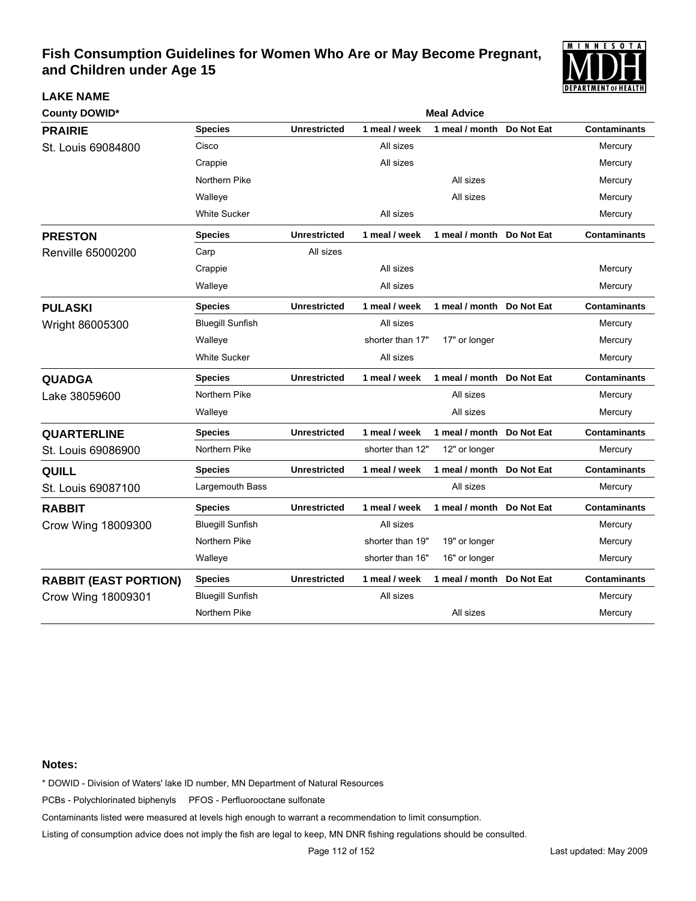

| <b>County DOWID*</b>         |                         | <b>Meal Advice</b>  |                  |                           |            |                     |  |  |
|------------------------------|-------------------------|---------------------|------------------|---------------------------|------------|---------------------|--|--|
| <b>PRAIRIE</b>               | <b>Species</b>          | <b>Unrestricted</b> | 1 meal / week    | 1 meal / month            | Do Not Eat | <b>Contaminants</b> |  |  |
| St. Louis 69084800           | Cisco                   |                     | All sizes        |                           |            | Mercury             |  |  |
|                              | Crappie                 |                     | All sizes        |                           |            | Mercury             |  |  |
|                              | Northern Pike           |                     |                  | All sizes                 |            | Mercury             |  |  |
|                              | Walleye                 |                     |                  | All sizes                 |            | Mercury             |  |  |
|                              | <b>White Sucker</b>     |                     | All sizes        |                           |            | Mercury             |  |  |
| <b>PRESTON</b>               | <b>Species</b>          | <b>Unrestricted</b> | 1 meal / week    | 1 meal / month Do Not Eat |            | <b>Contaminants</b> |  |  |
| Renville 65000200            | Carp                    | All sizes           |                  |                           |            |                     |  |  |
|                              | Crappie                 |                     | All sizes        |                           |            | Mercury             |  |  |
|                              | Walleye                 |                     | All sizes        |                           |            | Mercury             |  |  |
| <b>PULASKI</b>               | Species                 | <b>Unrestricted</b> | 1 meal / week    | 1 meal / month Do Not Eat |            | <b>Contaminants</b> |  |  |
| Wright 86005300              | <b>Bluegill Sunfish</b> |                     | All sizes        |                           |            | Mercury             |  |  |
|                              | Walleye                 |                     | shorter than 17" | 17" or longer             |            | Mercury             |  |  |
|                              | <b>White Sucker</b>     |                     | All sizes        |                           |            | Mercury             |  |  |
| <b>QUADGA</b>                | <b>Species</b>          | <b>Unrestricted</b> | 1 meal / week    | 1 meal / month Do Not Eat |            | <b>Contaminants</b> |  |  |
| Lake 38059600                | Northern Pike           |                     |                  | All sizes                 |            | Mercury             |  |  |
|                              | Walleye                 |                     |                  | All sizes                 |            | Mercury             |  |  |
| <b>QUARTERLINE</b>           | <b>Species</b>          | <b>Unrestricted</b> | 1 meal / week    | 1 meal / month            | Do Not Eat | <b>Contaminants</b> |  |  |
| St. Louis 69086900           | Northern Pike           |                     | shorter than 12" | 12" or longer             |            | Mercury             |  |  |
| QUILL                        | <b>Species</b>          | <b>Unrestricted</b> | 1 meal / week    | 1 meal / month            | Do Not Eat | <b>Contaminants</b> |  |  |
| St. Louis 69087100           | Largemouth Bass         |                     |                  | All sizes                 |            | Mercury             |  |  |
| <b>RABBIT</b>                | Species                 | <b>Unrestricted</b> | 1 meal / week    | 1 meal / month            | Do Not Eat | <b>Contaminants</b> |  |  |
| Crow Wing 18009300           | <b>Bluegill Sunfish</b> |                     | All sizes        |                           |            | Mercury             |  |  |
|                              | Northern Pike           |                     | shorter than 19" | 19" or longer             |            | Mercury             |  |  |
|                              | Walleye                 |                     | shorter than 16" | 16" or longer             |            | Mercury             |  |  |
| <b>RABBIT (EAST PORTION)</b> | <b>Species</b>          | <b>Unrestricted</b> | 1 meal / week    | 1 meal / month Do Not Eat |            | <b>Contaminants</b> |  |  |
| Crow Wing 18009301           | <b>Bluegill Sunfish</b> |                     | All sizes        |                           |            | Mercury             |  |  |
|                              | Northern Pike           |                     |                  | All sizes                 |            | Mercury             |  |  |

### **Notes:**

**LAKE NAME**

\* DOWID - Division of Waters' lake ID number, MN Department of Natural Resources

PCBs - Polychlorinated biphenyls PFOS - Perfluorooctane sulfonate

Contaminants listed were measured at levels high enough to warrant a recommendation to limit consumption.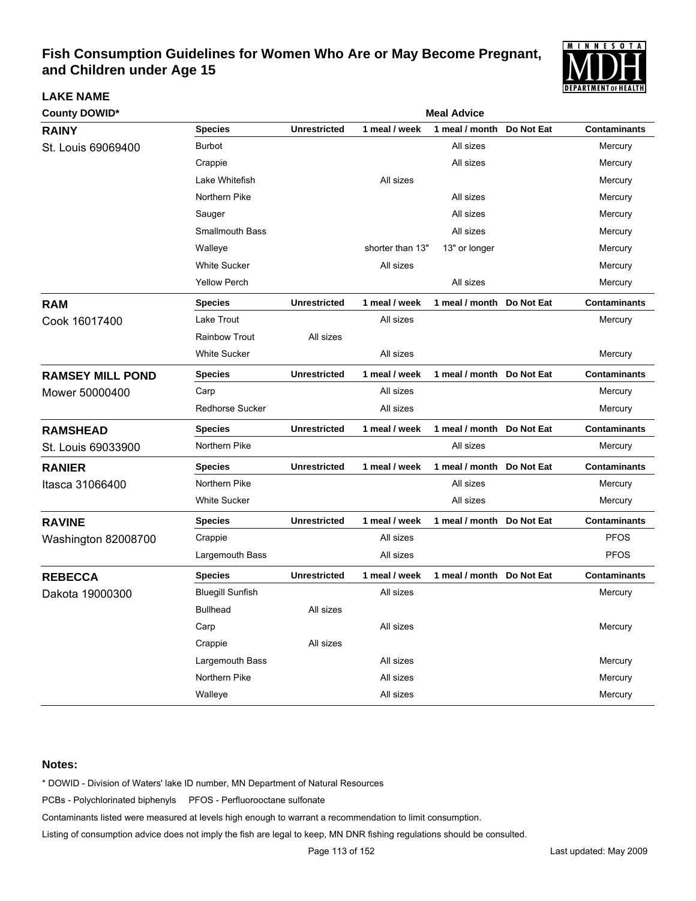

| <b>County DOWID*</b>    | <b>Meal Advice</b>      |                     |                  |                           |            |                     |  |  |
|-------------------------|-------------------------|---------------------|------------------|---------------------------|------------|---------------------|--|--|
| <b>RAINY</b>            | <b>Species</b>          | <b>Unrestricted</b> | 1 meal / week    | 1 meal / month            | Do Not Eat | <b>Contaminants</b> |  |  |
| St. Louis 69069400      | <b>Burbot</b>           |                     |                  | All sizes                 |            | Mercury             |  |  |
|                         | Crappie                 |                     |                  | All sizes                 |            | Mercury             |  |  |
|                         | Lake Whitefish          |                     | All sizes        |                           |            | Mercury             |  |  |
|                         | Northern Pike           |                     |                  | All sizes                 |            | Mercury             |  |  |
|                         | Sauger                  |                     |                  | All sizes                 |            | Mercury             |  |  |
|                         | <b>Smallmouth Bass</b>  |                     |                  | All sizes                 |            | Mercury             |  |  |
|                         | Walleye                 |                     | shorter than 13" | 13" or longer             |            | Mercury             |  |  |
|                         | <b>White Sucker</b>     |                     | All sizes        |                           |            | Mercury             |  |  |
|                         | <b>Yellow Perch</b>     |                     |                  | All sizes                 |            | Mercury             |  |  |
| <b>RAM</b>              | <b>Species</b>          | <b>Unrestricted</b> | 1 meal / week    | 1 meal / month            | Do Not Eat | <b>Contaminants</b> |  |  |
| Cook 16017400           | Lake Trout              |                     | All sizes        |                           |            | Mercury             |  |  |
|                         | Rainbow Trout           | All sizes           |                  |                           |            |                     |  |  |
|                         | <b>White Sucker</b>     |                     | All sizes        |                           |            | Mercury             |  |  |
| <b>RAMSEY MILL POND</b> | <b>Species</b>          | <b>Unrestricted</b> | 1 meal / week    | 1 meal / month Do Not Eat |            | <b>Contaminants</b> |  |  |
| Mower 50000400          | Carp                    |                     | All sizes        |                           |            | Mercury             |  |  |
|                         | Redhorse Sucker         |                     | All sizes        |                           |            | Mercury             |  |  |
| <b>RAMSHEAD</b>         | <b>Species</b>          | <b>Unrestricted</b> | 1 meal / week    | 1 meal / month            | Do Not Eat | <b>Contaminants</b> |  |  |
| St. Louis 69033900      | Northern Pike           |                     |                  | All sizes                 |            | Mercury             |  |  |
| <b>RANIER</b>           | <b>Species</b>          | <b>Unrestricted</b> | 1 meal / week    | 1 meal / month Do Not Eat |            | <b>Contaminants</b> |  |  |
| Itasca 31066400         | Northern Pike           |                     |                  | All sizes                 |            | Mercury             |  |  |
|                         | <b>White Sucker</b>     |                     |                  | All sizes                 |            | Mercury             |  |  |
| <b>RAVINE</b>           | <b>Species</b>          | <b>Unrestricted</b> | 1 meal / week    | 1 meal / month Do Not Eat |            | <b>Contaminants</b> |  |  |
| Washington 82008700     | Crappie                 |                     | All sizes        |                           |            | <b>PFOS</b>         |  |  |
|                         | Largemouth Bass         |                     | All sizes        |                           |            | <b>PFOS</b>         |  |  |
| <b>REBECCA</b>          | <b>Species</b>          | <b>Unrestricted</b> | 1 meal / week    | 1 meal / month Do Not Eat |            | <b>Contaminants</b> |  |  |
| Dakota 19000300         | <b>Bluegill Sunfish</b> |                     | All sizes        |                           |            | Mercury             |  |  |
|                         | <b>Bullhead</b>         | All sizes           |                  |                           |            |                     |  |  |
|                         | Carp                    |                     | All sizes        |                           |            | Mercury             |  |  |
|                         | Crappie                 | All sizes           |                  |                           |            |                     |  |  |
|                         | Largemouth Bass         |                     | All sizes        |                           |            | Mercury             |  |  |
|                         | Northern Pike           |                     | All sizes        |                           |            | Mercury             |  |  |
|                         | Walleye                 |                     | All sizes        |                           |            | Mercury             |  |  |

### **Notes:**

**LAKE NAME**

\* DOWID - Division of Waters' lake ID number, MN Department of Natural Resources

PCBs - Polychlorinated biphenyls PFOS - Perfluorooctane sulfonate

Contaminants listed were measured at levels high enough to warrant a recommendation to limit consumption.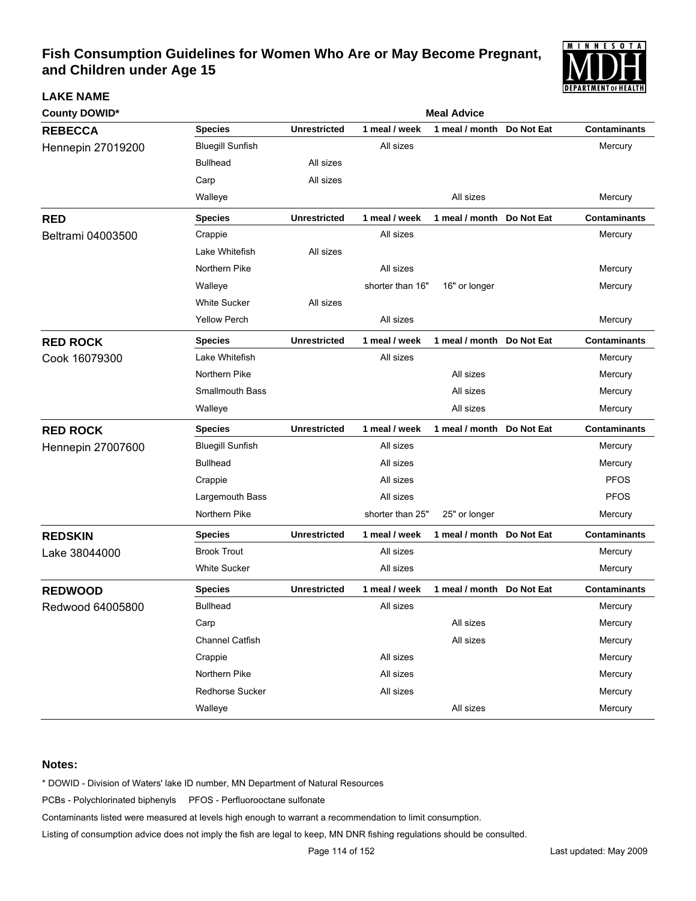

| <b>County DOWID*</b> |                         | <b>Meal Advice</b>  |                  |                           |            |                     |  |
|----------------------|-------------------------|---------------------|------------------|---------------------------|------------|---------------------|--|
| <b>REBECCA</b>       | <b>Species</b>          | <b>Unrestricted</b> | 1 meal / week    | 1 meal / month            | Do Not Eat | <b>Contaminants</b> |  |
| Hennepin 27019200    | <b>Bluegill Sunfish</b> |                     | All sizes        |                           |            | Mercury             |  |
|                      | <b>Bullhead</b>         | All sizes           |                  |                           |            |                     |  |
|                      | Carp                    | All sizes           |                  |                           |            |                     |  |
|                      | Walleye                 |                     |                  | All sizes                 |            | Mercury             |  |
| <b>RED</b>           | <b>Species</b>          | <b>Unrestricted</b> | 1 meal / week    | 1 meal / month Do Not Eat |            | <b>Contaminants</b> |  |
| Beltrami 04003500    | Crappie                 |                     | All sizes        |                           |            | Mercury             |  |
|                      | Lake Whitefish          | All sizes           |                  |                           |            |                     |  |
|                      | Northern Pike           |                     | All sizes        |                           |            | Mercury             |  |
|                      | Walleye                 |                     | shorter than 16" | 16" or longer             |            | Mercury             |  |
|                      | <b>White Sucker</b>     | All sizes           |                  |                           |            |                     |  |
|                      | <b>Yellow Perch</b>     |                     | All sizes        |                           |            | Mercury             |  |
| <b>RED ROCK</b>      | <b>Species</b>          | <b>Unrestricted</b> | 1 meal / week    | 1 meal / month Do Not Eat |            | <b>Contaminants</b> |  |
| Cook 16079300        | Lake Whitefish          |                     | All sizes        |                           |            | Mercury             |  |
|                      | Northern Pike           |                     |                  | All sizes                 |            | Mercury             |  |
|                      | <b>Smallmouth Bass</b>  |                     |                  | All sizes                 |            | Mercury             |  |
|                      | Walleye                 |                     |                  | All sizes                 |            | Mercury             |  |
| <b>RED ROCK</b>      | <b>Species</b>          | <b>Unrestricted</b> | 1 meal / week    | 1 meal / month Do Not Eat |            | <b>Contaminants</b> |  |
| Hennepin 27007600    | <b>Bluegill Sunfish</b> |                     | All sizes        |                           |            | Mercury             |  |
|                      | <b>Bullhead</b>         |                     | All sizes        |                           |            | Mercury             |  |
|                      | Crappie                 |                     | All sizes        |                           |            | <b>PFOS</b>         |  |
|                      | Largemouth Bass         |                     | All sizes        |                           |            | <b>PFOS</b>         |  |
|                      | Northern Pike           |                     | shorter than 25" | 25" or longer             |            | Mercury             |  |
| <b>REDSKIN</b>       | <b>Species</b>          | <b>Unrestricted</b> | 1 meal / week    | 1 meal / month            | Do Not Eat | <b>Contaminants</b> |  |
| Lake 38044000        | <b>Brook Trout</b>      |                     | All sizes        |                           |            | Mercury             |  |
|                      | <b>White Sucker</b>     |                     | All sizes        |                           |            | Mercury             |  |
| <b>REDWOOD</b>       | <b>Species</b>          | <b>Unrestricted</b> | 1 meal / week    | 1 meal / month            | Do Not Eat | <b>Contaminants</b> |  |
| Redwood 64005800     | <b>Bullhead</b>         |                     | All sizes        |                           |            | Mercury             |  |
|                      | Carp                    |                     |                  | All sizes                 |            | Mercury             |  |
|                      | Channel Catfish         |                     |                  | All sizes                 |            | Mercury             |  |
|                      | Crappie                 |                     | All sizes        |                           |            | Mercury             |  |
|                      | Northern Pike           |                     | All sizes        |                           |            | Mercury             |  |
|                      | Redhorse Sucker         |                     | All sizes        |                           |            | Mercury             |  |
|                      | Walleye                 |                     |                  | All sizes                 |            | Mercury             |  |

### **Notes:**

**LAKE NAME**

\* DOWID - Division of Waters' lake ID number, MN Department of Natural Resources

PCBs - Polychlorinated biphenyls PFOS - Perfluorooctane sulfonate

Contaminants listed were measured at levels high enough to warrant a recommendation to limit consumption.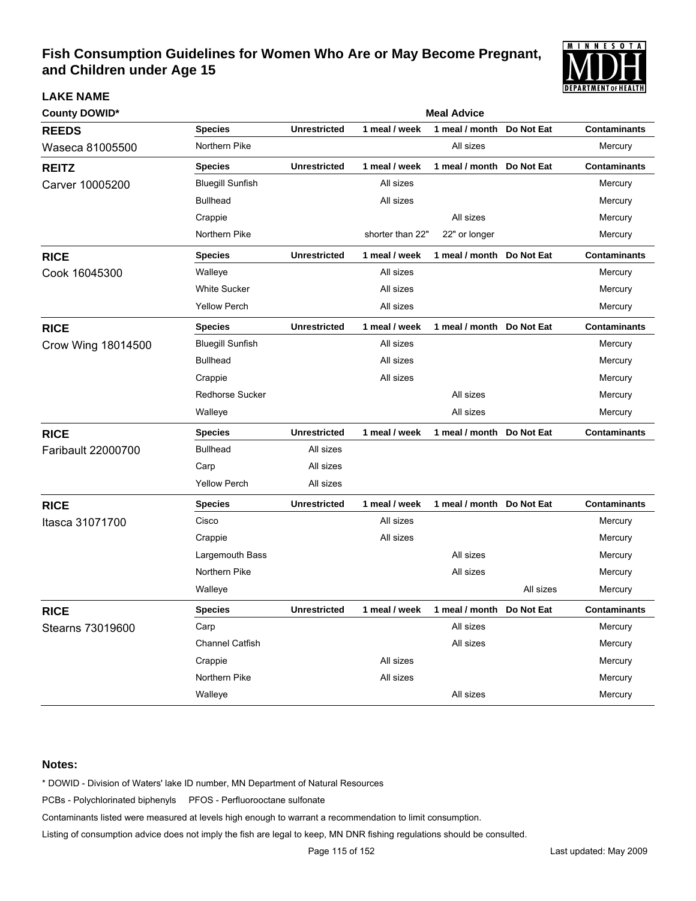

| <b>County DOWID*</b> |                         | <b>Meal Advice</b>  |                  |                            |            |                     |  |  |  |
|----------------------|-------------------------|---------------------|------------------|----------------------------|------------|---------------------|--|--|--|
| <b>REEDS</b>         | <b>Species</b>          | <b>Unrestricted</b> | 1 meal / week    | 1 meal / month             | Do Not Eat | <b>Contaminants</b> |  |  |  |
| Waseca 81005500      | Northern Pike           |                     |                  | All sizes                  |            | Mercury             |  |  |  |
| <b>REITZ</b>         | <b>Species</b>          | <b>Unrestricted</b> | 1 meal / week    | 1 meal / month             | Do Not Eat | <b>Contaminants</b> |  |  |  |
| Carver 10005200      | <b>Bluegill Sunfish</b> |                     | All sizes        |                            |            | Mercury             |  |  |  |
|                      | <b>Bullhead</b>         |                     | All sizes        |                            |            | Mercury             |  |  |  |
|                      | Crappie                 |                     |                  | All sizes                  |            | Mercury             |  |  |  |
|                      | Northern Pike           |                     | shorter than 22" | 22" or longer              |            | Mercury             |  |  |  |
| <b>RICE</b>          | <b>Species</b>          | <b>Unrestricted</b> | 1 meal / week    | 1 meal / month             | Do Not Eat | <b>Contaminants</b> |  |  |  |
| Cook 16045300        | Walleye                 |                     | All sizes        |                            |            | Mercury             |  |  |  |
|                      | <b>White Sucker</b>     |                     | All sizes        |                            |            | Mercury             |  |  |  |
|                      | <b>Yellow Perch</b>     |                     | All sizes        |                            |            | Mercury             |  |  |  |
| <b>RICE</b>          | <b>Species</b>          | <b>Unrestricted</b> | 1 meal / week    | 1 meal / month  Do Not Eat |            | <b>Contaminants</b> |  |  |  |
| Crow Wing 18014500   | <b>Bluegill Sunfish</b> |                     | All sizes        |                            |            | Mercury             |  |  |  |
|                      | <b>Bullhead</b>         |                     | All sizes        |                            |            | Mercury             |  |  |  |
|                      | Crappie                 |                     | All sizes        |                            |            | Mercury             |  |  |  |
|                      | <b>Redhorse Sucker</b>  |                     |                  | All sizes                  |            | Mercury             |  |  |  |
|                      | Walleye                 |                     |                  | All sizes                  |            | Mercury             |  |  |  |
| <b>RICE</b>          | <b>Species</b>          | <b>Unrestricted</b> | 1 meal / week    | 1 meal / month Do Not Eat  |            | <b>Contaminants</b> |  |  |  |
| Faribault 22000700   | <b>Bullhead</b>         | All sizes           |                  |                            |            |                     |  |  |  |
|                      | Carp                    | All sizes           |                  |                            |            |                     |  |  |  |
|                      | <b>Yellow Perch</b>     | All sizes           |                  |                            |            |                     |  |  |  |
| <b>RICE</b>          | <b>Species</b>          | <b>Unrestricted</b> | 1 meal / week    | 1 meal / month Do Not Eat  |            | <b>Contaminants</b> |  |  |  |
| Itasca 31071700      | Cisco                   |                     | All sizes        |                            |            | Mercury             |  |  |  |
|                      | Crappie                 |                     | All sizes        |                            |            | Mercury             |  |  |  |
|                      | Largemouth Bass         |                     |                  | All sizes                  |            | Mercury             |  |  |  |
|                      | Northern Pike           |                     |                  | All sizes                  |            | Mercury             |  |  |  |
|                      | Walleye                 |                     |                  |                            | All sizes  | Mercury             |  |  |  |
| <b>RICE</b>          | <b>Species</b>          | <b>Unrestricted</b> | 1 meal / week    | 1 meal / month Do Not Eat  |            | <b>Contaminants</b> |  |  |  |
| Stearns 73019600     | Carp                    |                     |                  | All sizes                  |            | Mercury             |  |  |  |
|                      | Channel Catfish         |                     |                  | All sizes                  |            | Mercury             |  |  |  |
|                      | Crappie                 |                     | All sizes        |                            |            | Mercury             |  |  |  |
|                      | Northern Pike           |                     | All sizes        |                            |            | Mercury             |  |  |  |
|                      | Walleye                 |                     |                  | All sizes                  |            | Mercury             |  |  |  |

### **Notes:**

**LAKE NAME**

\* DOWID - Division of Waters' lake ID number, MN Department of Natural Resources

PCBs - Polychlorinated biphenyls PFOS - Perfluorooctane sulfonate

Contaminants listed were measured at levels high enough to warrant a recommendation to limit consumption.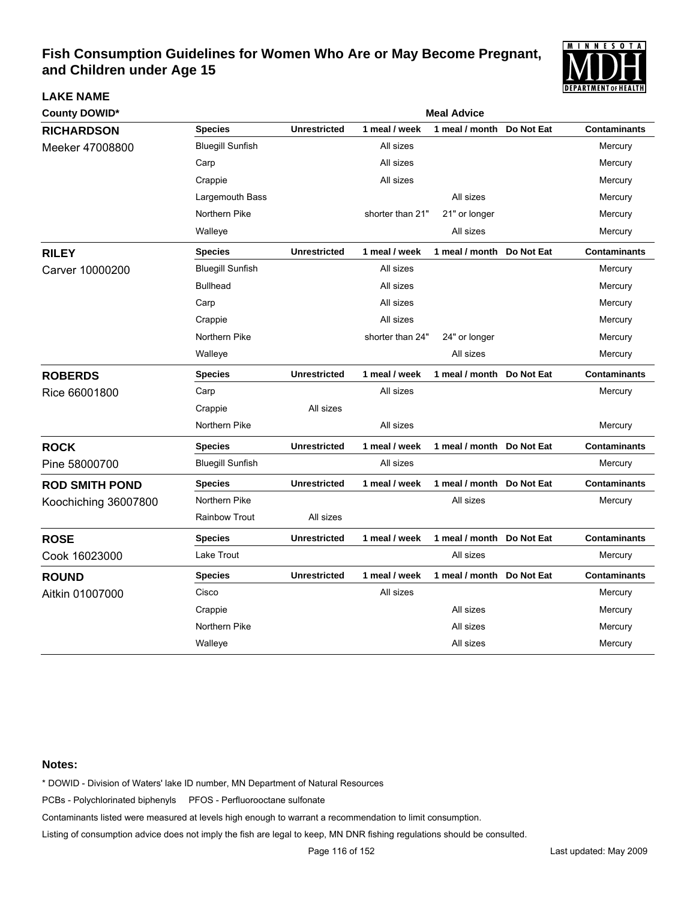

| <b>County DOWID*</b>  |                         |                     |                  | <b>Meal Advice</b>        |            |                     |
|-----------------------|-------------------------|---------------------|------------------|---------------------------|------------|---------------------|
| <b>RICHARDSON</b>     | <b>Species</b>          | <b>Unrestricted</b> | 1 meal / week    | 1 meal / month            | Do Not Eat | <b>Contaminants</b> |
| Meeker 47008800       | <b>Bluegill Sunfish</b> |                     | All sizes        |                           |            | Mercury             |
|                       | Carp                    |                     | All sizes        |                           |            | Mercury             |
|                       | Crappie                 |                     | All sizes        |                           |            | Mercury             |
|                       | Largemouth Bass         |                     |                  | All sizes                 |            | Mercury             |
|                       | Northern Pike           |                     | shorter than 21" | 21" or longer             |            | Mercury             |
|                       | Walleye                 |                     |                  | All sizes                 |            | Mercury             |
| <b>RILEY</b>          | <b>Species</b>          | <b>Unrestricted</b> | 1 meal / week    | 1 meal / month            | Do Not Eat | <b>Contaminants</b> |
| Carver 10000200       | <b>Bluegill Sunfish</b> |                     | All sizes        |                           |            | Mercury             |
|                       | <b>Bullhead</b>         |                     | All sizes        |                           |            | Mercury             |
|                       | Carp                    |                     | All sizes        |                           |            | Mercury             |
|                       | Crappie                 |                     | All sizes        |                           |            | Mercury             |
|                       | Northern Pike           |                     | shorter than 24" | 24" or longer             |            | Mercury             |
|                       | Walleye                 |                     |                  | All sizes                 |            | Mercury             |
| <b>ROBERDS</b>        | <b>Species</b>          | <b>Unrestricted</b> | 1 meal / week    | 1 meal / month Do Not Eat |            | <b>Contaminants</b> |
| Rice 66001800         | Carp                    |                     | All sizes        |                           |            | Mercury             |
|                       | Crappie                 | All sizes           |                  |                           |            |                     |
|                       | Northern Pike           |                     | All sizes        |                           |            | Mercury             |
| <b>ROCK</b>           | <b>Species</b>          | <b>Unrestricted</b> | 1 meal / week    | 1 meal / month Do Not Eat |            | <b>Contaminants</b> |
| Pine 58000700         | <b>Bluegill Sunfish</b> |                     | All sizes        |                           |            | Mercury             |
| <b>ROD SMITH POND</b> | <b>Species</b>          | <b>Unrestricted</b> | 1 meal / week    | 1 meal / month            | Do Not Eat | <b>Contaminants</b> |
| Koochiching 36007800  | Northern Pike           |                     |                  | All sizes                 |            | Mercury             |
|                       | <b>Rainbow Trout</b>    | All sizes           |                  |                           |            |                     |
| <b>ROSE</b>           | <b>Species</b>          | <b>Unrestricted</b> | 1 meal / week    | 1 meal / month Do Not Eat |            | <b>Contaminants</b> |
| Cook 16023000         | Lake Trout              |                     |                  | All sizes                 |            | Mercury             |
| <b>ROUND</b>          | <b>Species</b>          | <b>Unrestricted</b> | 1 meal / week    | 1 meal / month Do Not Eat |            | <b>Contaminants</b> |
| Aitkin 01007000       | Cisco                   |                     | All sizes        |                           |            | Mercury             |
|                       | Crappie                 |                     |                  | All sizes                 |            | Mercury             |
|                       | Northern Pike           |                     |                  | All sizes                 |            | Mercury             |
|                       | Walleye                 |                     |                  | All sizes                 |            | Mercury             |

### **Notes:**

**LAKE NAME**

\* DOWID - Division of Waters' lake ID number, MN Department of Natural Resources

PCBs - Polychlorinated biphenyls PFOS - Perfluorooctane sulfonate

Contaminants listed were measured at levels high enough to warrant a recommendation to limit consumption.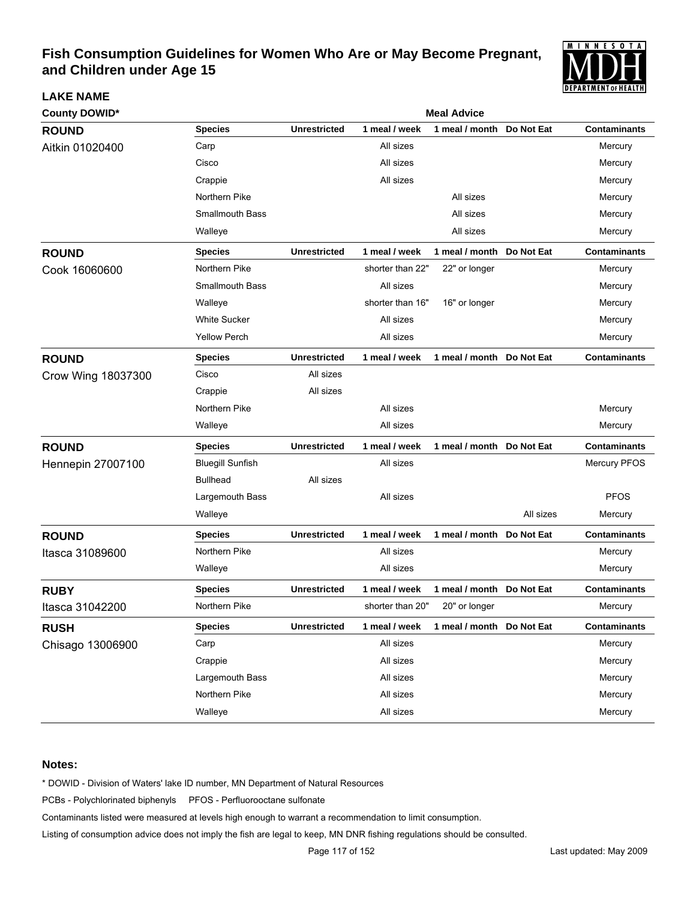

| <b>County DOWID*</b>     | <b>Meal Advice</b>      |                     |                  |                           |            |                     |  |  |
|--------------------------|-------------------------|---------------------|------------------|---------------------------|------------|---------------------|--|--|
| <b>ROUND</b>             | <b>Species</b>          | <b>Unrestricted</b> | 1 meal / week    | 1 meal / month            | Do Not Eat | <b>Contaminants</b> |  |  |
| Aitkin 01020400          | Carp                    |                     | All sizes        |                           |            | Mercury             |  |  |
|                          | Cisco                   |                     | All sizes        |                           |            | Mercury             |  |  |
|                          | Crappie                 |                     | All sizes        |                           |            | Mercury             |  |  |
|                          | Northern Pike           |                     |                  | All sizes                 |            | Mercury             |  |  |
|                          | <b>Smallmouth Bass</b>  |                     |                  | All sizes                 |            | Mercury             |  |  |
|                          | Walleye                 |                     |                  | All sizes                 |            | Mercury             |  |  |
| <b>ROUND</b>             | <b>Species</b>          | <b>Unrestricted</b> | 1 meal / week    | 1 meal / month            | Do Not Eat | <b>Contaminants</b> |  |  |
| Cook 16060600            | Northern Pike           |                     | shorter than 22" | 22" or longer             |            | Mercury             |  |  |
|                          | <b>Smallmouth Bass</b>  |                     | All sizes        |                           |            | Mercury             |  |  |
|                          | Walleye                 |                     | shorter than 16" | 16" or longer             |            | Mercury             |  |  |
|                          | <b>White Sucker</b>     |                     | All sizes        |                           |            | Mercury             |  |  |
|                          | <b>Yellow Perch</b>     |                     | All sizes        |                           |            | Mercury             |  |  |
| <b>ROUND</b>             | <b>Species</b>          | <b>Unrestricted</b> | 1 meal / week    | 1 meal / month Do Not Eat |            | Contaminants        |  |  |
| Crow Wing 18037300       | Cisco                   | All sizes           |                  |                           |            |                     |  |  |
|                          | Crappie                 | All sizes           |                  |                           |            |                     |  |  |
|                          | Northern Pike           |                     | All sizes        |                           |            | Mercury             |  |  |
|                          | Walleye                 |                     | All sizes        |                           |            | Mercury             |  |  |
| <b>ROUND</b>             | <b>Species</b>          | <b>Unrestricted</b> | 1 meal / week    | 1 meal / month Do Not Eat |            | <b>Contaminants</b> |  |  |
| <b>Hennepin 27007100</b> | <b>Bluegill Sunfish</b> |                     | All sizes        |                           |            | <b>Mercury PFOS</b> |  |  |
|                          | <b>Bullhead</b>         | All sizes           |                  |                           |            |                     |  |  |
|                          | Largemouth Bass         |                     | All sizes        |                           |            | <b>PFOS</b>         |  |  |
|                          | Walleye                 |                     |                  |                           | All sizes  | Mercury             |  |  |
| <b>ROUND</b>             | <b>Species</b>          | <b>Unrestricted</b> | 1 meal / week    | 1 meal / month Do Not Eat |            | <b>Contaminants</b> |  |  |
| Itasca 31089600          | Northern Pike           |                     | All sizes        |                           |            | Mercury             |  |  |
|                          | Walleye                 |                     | All sizes        |                           |            | Mercury             |  |  |
| <b>RUBY</b>              | <b>Species</b>          | <b>Unrestricted</b> | 1 meal / week    | 1 meal / month            | Do Not Eat | <b>Contaminants</b> |  |  |
| Itasca 31042200          | Northern Pike           |                     | shorter than 20" | 20" or longer             |            | Mercury             |  |  |
| <b>RUSH</b>              | <b>Species</b>          | <b>Unrestricted</b> | 1 meal / week    | 1 meal / month Do Not Eat |            | <b>Contaminants</b> |  |  |
| Chisago 13006900         | Carp                    |                     | All sizes        |                           |            | Mercury             |  |  |
|                          | Crappie                 |                     | All sizes        |                           |            | Mercury             |  |  |
|                          | Largemouth Bass         |                     | All sizes        |                           |            | Mercury             |  |  |
|                          | Northern Pike           |                     | All sizes        |                           |            | Mercury             |  |  |
|                          | Walleye                 |                     | All sizes        |                           |            | Mercury             |  |  |

### **Notes:**

**LAKE NAME**

\* DOWID - Division of Waters' lake ID number, MN Department of Natural Resources

PCBs - Polychlorinated biphenyls PFOS - Perfluorooctane sulfonate

Contaminants listed were measured at levels high enough to warrant a recommendation to limit consumption.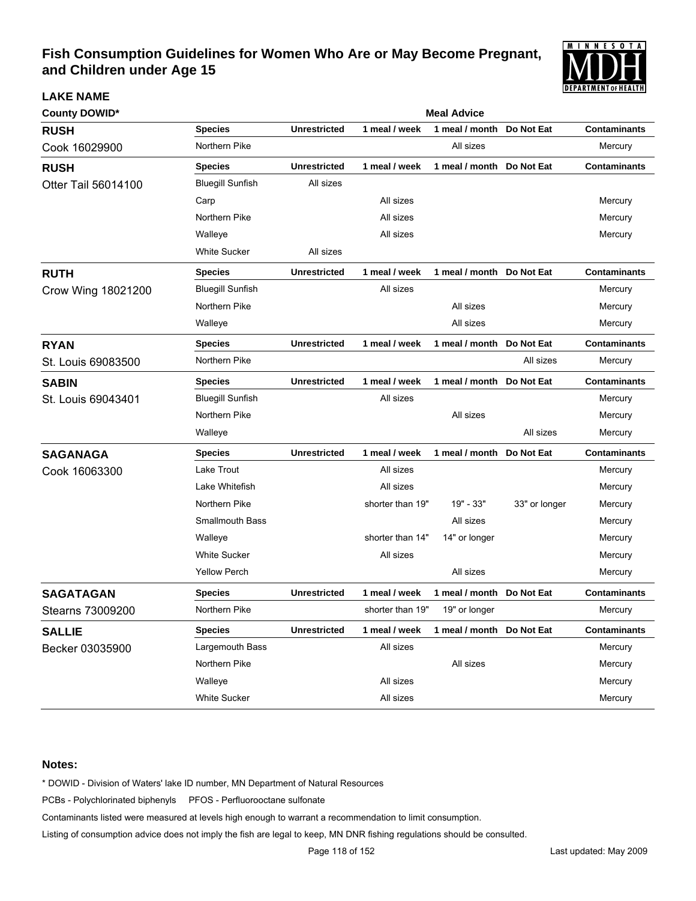

| <b>County DOWID*</b>       | <b>Meal Advice</b>      |                     |                  |                           |                   |                     |  |  |
|----------------------------|-------------------------|---------------------|------------------|---------------------------|-------------------|---------------------|--|--|
| <b>RUSH</b>                | <b>Species</b>          | <b>Unrestricted</b> | 1 meal / week    | 1 meal / month            | Do Not Eat        | <b>Contaminants</b> |  |  |
| Cook 16029900              | Northern Pike           |                     |                  | All sizes                 |                   | Mercury             |  |  |
| <b>RUSH</b>                | <b>Species</b>          | <b>Unrestricted</b> | 1 meal / week    | 1 meal / month            | Do Not Eat        | <b>Contaminants</b> |  |  |
| <b>Otter Tail 56014100</b> | <b>Bluegill Sunfish</b> | All sizes           |                  |                           |                   |                     |  |  |
|                            | Carp                    |                     | All sizes        |                           |                   | Mercury             |  |  |
|                            | Northern Pike           |                     | All sizes        |                           |                   | Mercury             |  |  |
|                            | Walleye                 |                     | All sizes        |                           |                   | Mercury             |  |  |
|                            | <b>White Sucker</b>     | All sizes           |                  |                           |                   |                     |  |  |
| <b>RUTH</b>                | <b>Species</b>          | <b>Unrestricted</b> | 1 meal / week    | 1 meal / month Do Not Eat |                   | <b>Contaminants</b> |  |  |
| Crow Wing 18021200         | <b>Bluegill Sunfish</b> |                     | All sizes        |                           |                   | Mercury             |  |  |
|                            | Northern Pike           |                     |                  | All sizes                 |                   | Mercury             |  |  |
|                            | Walleye                 |                     |                  | All sizes                 |                   | Mercury             |  |  |
| <b>RYAN</b>                | <b>Species</b>          | <b>Unrestricted</b> | 1 meal / week    | 1 meal / month            | Do Not Eat        | <b>Contaminants</b> |  |  |
| St. Louis 69083500         | Northern Pike           |                     |                  |                           | All sizes         | Mercury             |  |  |
| <b>SABIN</b>               | <b>Species</b>          | <b>Unrestricted</b> | 1 meal / week    | 1 meal / month Do Not Eat |                   | <b>Contaminants</b> |  |  |
| St. Louis 69043401         | <b>Bluegill Sunfish</b> |                     | All sizes        |                           |                   | Mercury             |  |  |
|                            | Northern Pike           |                     |                  | All sizes                 |                   | Mercury             |  |  |
|                            | Walleye                 |                     |                  |                           | All sizes         | Mercury             |  |  |
| <b>SAGANAGA</b>            | <b>Species</b>          | <b>Unrestricted</b> | 1 meal / week    | 1 meal / month            | Do Not Eat        | <b>Contaminants</b> |  |  |
| Cook 16063300              | Lake Trout              |                     | All sizes        |                           |                   | Mercury             |  |  |
|                            | Lake Whitefish          |                     | All sizes        |                           |                   | Mercury             |  |  |
|                            | Northern Pike           |                     | shorter than 19" | 19" - 33"                 | 33" or longer     | Mercury             |  |  |
|                            | <b>Smallmouth Bass</b>  |                     |                  | All sizes                 |                   | Mercury             |  |  |
|                            | Walleye                 |                     | shorter than 14" | 14" or longer             |                   | Mercury             |  |  |
|                            | <b>White Sucker</b>     |                     | All sizes        |                           |                   | Mercury             |  |  |
|                            | <b>Yellow Perch</b>     |                     |                  | All sizes                 |                   | Mercury             |  |  |
| <b>SAGATAGAN</b>           | <b>Species</b>          | <b>Unrestricted</b> | 1 meal / week    | 1 meal / month            | <b>Do Not Eat</b> | <b>Contaminants</b> |  |  |
| Stearns 73009200           | Northern Pike           |                     | shorter than 19" | 19" or longer             |                   | Mercury             |  |  |
| <b>SALLIE</b>              | <b>Species</b>          | <b>Unrestricted</b> | 1 meal / week    | 1 meal / month Do Not Eat |                   | <b>Contaminants</b> |  |  |
| Becker 03035900            | Largemouth Bass         |                     | All sizes        |                           |                   | Mercury             |  |  |
|                            | Northern Pike           |                     |                  | All sizes                 |                   | Mercury             |  |  |
|                            | Walleye                 |                     | All sizes        |                           |                   | Mercury             |  |  |
|                            | White Sucker            |                     | All sizes        |                           |                   | Mercury             |  |  |

### **Notes:**

**LAKE NAME**

\* DOWID - Division of Waters' lake ID number, MN Department of Natural Resources

PCBs - Polychlorinated biphenyls PFOS - Perfluorooctane sulfonate

Contaminants listed were measured at levels high enough to warrant a recommendation to limit consumption.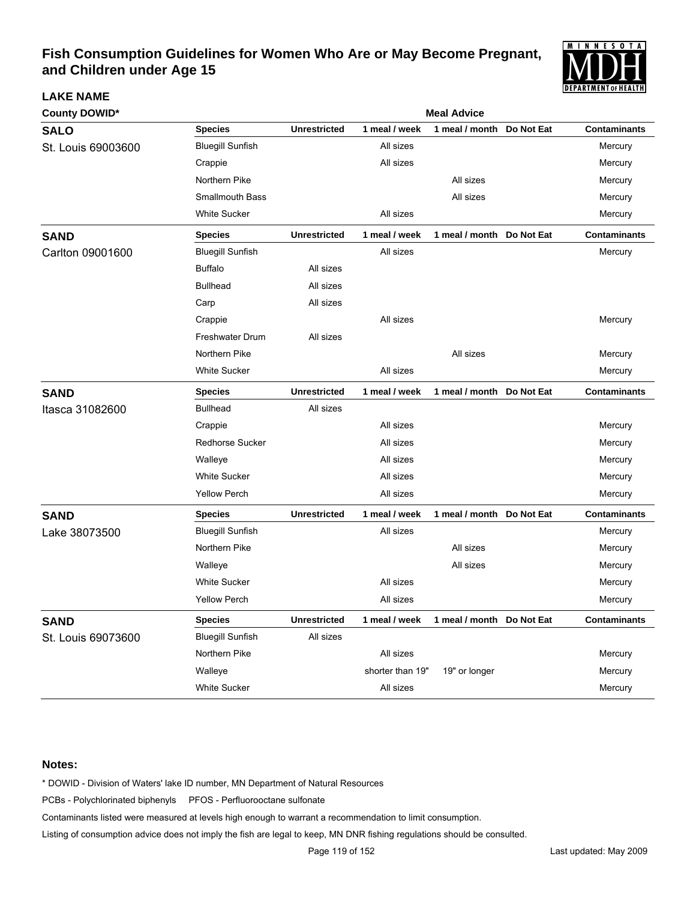

| <b>County DOWID*</b> |                         | <b>Meal Advice</b>  |                  |                           |            |                     |  |  |  |
|----------------------|-------------------------|---------------------|------------------|---------------------------|------------|---------------------|--|--|--|
| <b>SALO</b>          | <b>Species</b>          | <b>Unrestricted</b> | 1 meal / week    | 1 meal / month            | Do Not Eat | <b>Contaminants</b> |  |  |  |
| St. Louis 69003600   | <b>Bluegill Sunfish</b> |                     | All sizes        |                           |            | Mercury             |  |  |  |
|                      | Crappie                 |                     | All sizes        |                           |            | Mercury             |  |  |  |
|                      | Northern Pike           |                     |                  | All sizes                 |            | Mercury             |  |  |  |
|                      | <b>Smallmouth Bass</b>  |                     |                  | All sizes                 |            | Mercury             |  |  |  |
|                      | <b>White Sucker</b>     |                     | All sizes        |                           |            | Mercury             |  |  |  |
| <b>SAND</b>          | <b>Species</b>          | <b>Unrestricted</b> | 1 meal / week    | 1 meal / month Do Not Eat |            | <b>Contaminants</b> |  |  |  |
| Carlton 09001600     | <b>Bluegill Sunfish</b> |                     | All sizes        |                           |            | Mercury             |  |  |  |
|                      | <b>Buffalo</b>          | All sizes           |                  |                           |            |                     |  |  |  |
|                      | <b>Bullhead</b>         | All sizes           |                  |                           |            |                     |  |  |  |
|                      | Carp                    | All sizes           |                  |                           |            |                     |  |  |  |
|                      | Crappie                 |                     | All sizes        |                           |            | Mercury             |  |  |  |
|                      | Freshwater Drum         | All sizes           |                  |                           |            |                     |  |  |  |
|                      | Northern Pike           |                     |                  | All sizes                 |            | Mercury             |  |  |  |
|                      | <b>White Sucker</b>     |                     | All sizes        |                           |            | Mercury             |  |  |  |
| <b>SAND</b>          | <b>Species</b>          | <b>Unrestricted</b> | 1 meal / week    | 1 meal / month            | Do Not Eat | <b>Contaminants</b> |  |  |  |
| Itasca 31082600      | <b>Bullhead</b>         | All sizes           |                  |                           |            |                     |  |  |  |
|                      | Crappie                 |                     | All sizes        |                           |            | Mercury             |  |  |  |
|                      | <b>Redhorse Sucker</b>  |                     | All sizes        |                           |            | Mercury             |  |  |  |
|                      | Walleye                 |                     | All sizes        |                           |            | Mercury             |  |  |  |
|                      | <b>White Sucker</b>     |                     | All sizes        |                           |            | Mercury             |  |  |  |
|                      | <b>Yellow Perch</b>     |                     | All sizes        |                           |            | Mercury             |  |  |  |
| <b>SAND</b>          | <b>Species</b>          | <b>Unrestricted</b> | 1 meal / week    | 1 meal / month            | Do Not Eat | <b>Contaminants</b> |  |  |  |
| Lake 38073500        | <b>Bluegill Sunfish</b> |                     | All sizes        |                           |            | Mercury             |  |  |  |
|                      | Northern Pike           |                     |                  | All sizes                 |            | Mercury             |  |  |  |
|                      | Walleye                 |                     |                  | All sizes                 |            | Mercury             |  |  |  |
|                      | <b>White Sucker</b>     |                     | All sizes        |                           |            | Mercury             |  |  |  |
|                      | <b>Yellow Perch</b>     |                     | All sizes        |                           |            | Mercury             |  |  |  |
| <b>SAND</b>          | <b>Species</b>          | <b>Unrestricted</b> | 1 meal / week    | 1 meal / month Do Not Eat |            | <b>Contaminants</b> |  |  |  |
| St. Louis 69073600   | <b>Bluegill Sunfish</b> | All sizes           |                  |                           |            |                     |  |  |  |
|                      | Northern Pike           |                     | All sizes        |                           |            | Mercury             |  |  |  |
|                      | Walleye                 |                     | shorter than 19" | 19" or longer             |            | Mercury             |  |  |  |
|                      | <b>White Sucker</b>     |                     | All sizes        |                           |            | Mercury             |  |  |  |

### **Notes:**

**LAKE NAME**

\* DOWID - Division of Waters' lake ID number, MN Department of Natural Resources

PCBs - Polychlorinated biphenyls PFOS - Perfluorooctane sulfonate

Contaminants listed were measured at levels high enough to warrant a recommendation to limit consumption.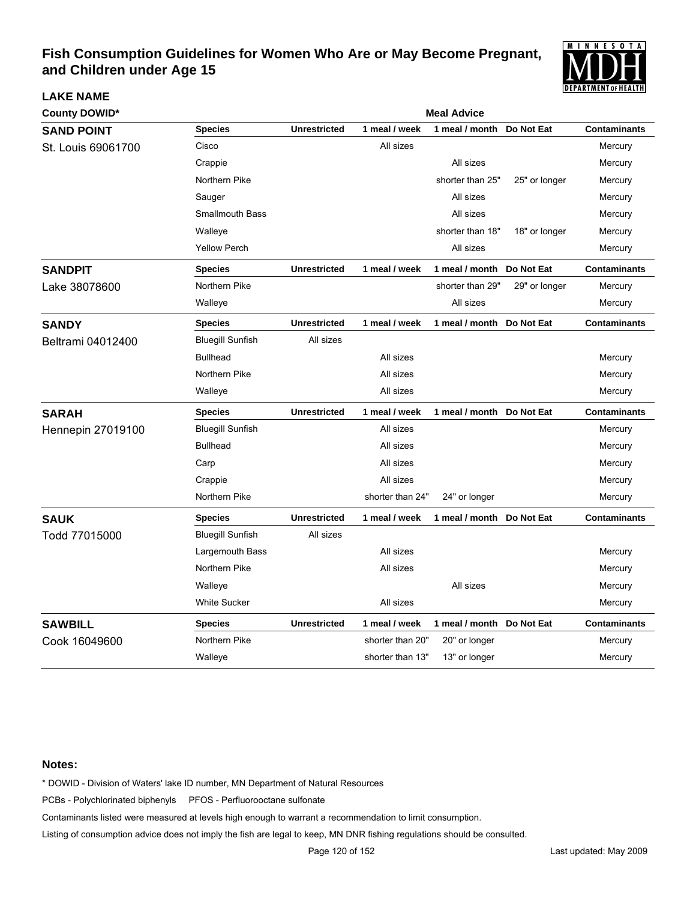

| <b>County DOWID*</b>     |                         |                     |                  | <b>Meal Advice</b>        |               |                     |
|--------------------------|-------------------------|---------------------|------------------|---------------------------|---------------|---------------------|
| <b>SAND POINT</b>        | <b>Species</b>          | <b>Unrestricted</b> | 1 meal / week    | 1 meal / month            | Do Not Eat    | <b>Contaminants</b> |
| St. Louis 69061700       | Cisco                   |                     | All sizes        |                           |               | Mercury             |
|                          | Crappie                 |                     |                  | All sizes                 |               | Mercury             |
|                          | Northern Pike           |                     |                  | shorter than 25"          | 25" or longer | Mercury             |
|                          | Sauger                  |                     |                  | All sizes                 |               | Mercury             |
|                          | Smallmouth Bass         |                     |                  | All sizes                 |               | Mercury             |
|                          | Walleye                 |                     |                  | shorter than 18"          | 18" or longer | Mercury             |
|                          | <b>Yellow Perch</b>     |                     |                  | All sizes                 |               | Mercury             |
| <b>SANDPIT</b>           | <b>Species</b>          | <b>Unrestricted</b> | 1 meal / week    | 1 meal / month            | Do Not Eat    | <b>Contaminants</b> |
| Lake 38078600            | Northern Pike           |                     |                  | shorter than 29"          | 29" or longer | Mercury             |
|                          | Walleye                 |                     |                  | All sizes                 |               | Mercury             |
| <b>SANDY</b>             | <b>Species</b>          | <b>Unrestricted</b> | 1 meal / week    | 1 meal / month            | Do Not Eat    | <b>Contaminants</b> |
| Beltrami 04012400        | <b>Bluegill Sunfish</b> | All sizes           |                  |                           |               |                     |
|                          | <b>Bullhead</b>         |                     | All sizes        |                           |               | Mercury             |
|                          | Northern Pike           |                     | All sizes        |                           |               | Mercury             |
|                          | Walleye                 |                     | All sizes        |                           |               | Mercury             |
| <b>SARAH</b>             | <b>Species</b>          | <b>Unrestricted</b> | 1 meal / week    | 1 meal / month Do Not Eat |               | <b>Contaminants</b> |
| <b>Hennepin 27019100</b> | <b>Bluegill Sunfish</b> |                     | All sizes        |                           |               | Mercury             |
|                          | <b>Bullhead</b>         |                     | All sizes        |                           |               | Mercury             |
|                          | Carp                    |                     | All sizes        |                           |               | Mercury             |
|                          | Crappie                 |                     | All sizes        |                           |               | Mercury             |
|                          | Northern Pike           |                     | shorter than 24" | 24" or longer             |               | Mercury             |
| <b>SAUK</b>              | <b>Species</b>          | <b>Unrestricted</b> | 1 meal / week    | 1 meal / month            | Do Not Eat    | <b>Contaminants</b> |
| Todd 77015000            | <b>Bluegill Sunfish</b> | All sizes           |                  |                           |               |                     |
|                          | Largemouth Bass         |                     | All sizes        |                           |               | Mercury             |
|                          | Northern Pike           |                     | All sizes        |                           |               | Mercury             |
|                          | Walleye                 |                     |                  | All sizes                 |               | Mercury             |
|                          | <b>White Sucker</b>     |                     | All sizes        |                           |               | Mercury             |
| <b>SAWBILL</b>           | <b>Species</b>          | <b>Unrestricted</b> | 1 meal / week    | 1 meal / month            | Do Not Eat    | <b>Contaminants</b> |
| Cook 16049600            | Northern Pike           |                     | shorter than 20" | 20" or longer             |               | Mercury             |
|                          | Walleye                 |                     | shorter than 13" | 13" or longer             |               | Mercury             |

### **Notes:**

**LAKE NAME**

\* DOWID - Division of Waters' lake ID number, MN Department of Natural Resources

PCBs - Polychlorinated biphenyls PFOS - Perfluorooctane sulfonate

Contaminants listed were measured at levels high enough to warrant a recommendation to limit consumption.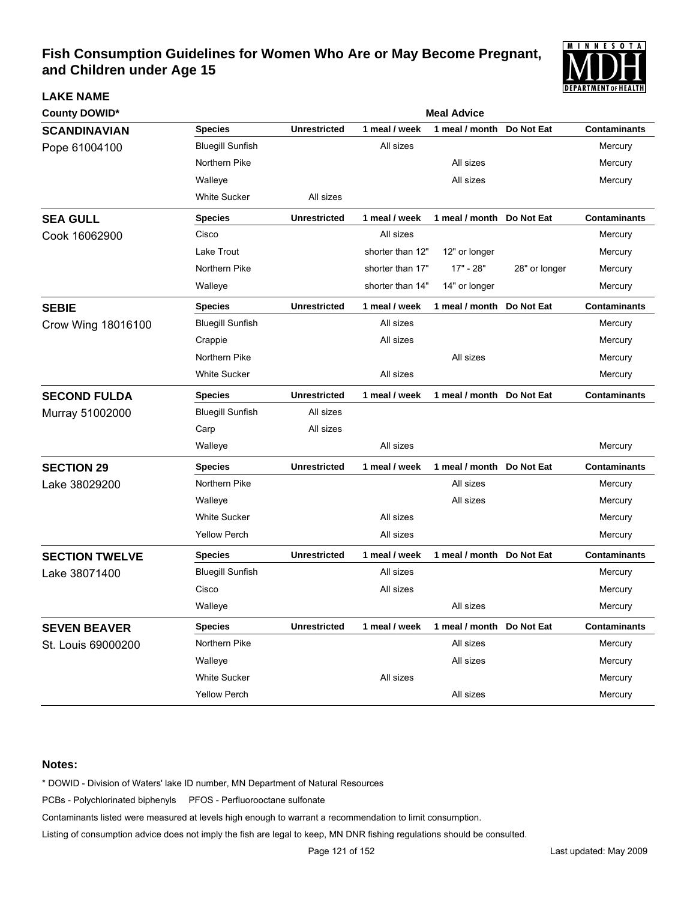

| <b>County DOWID*</b>  |                         | <b>Meal Advice</b>  |                  |                           |               |                     |  |  |
|-----------------------|-------------------------|---------------------|------------------|---------------------------|---------------|---------------------|--|--|
| <b>SCANDINAVIAN</b>   | <b>Species</b>          | <b>Unrestricted</b> | 1 meal / week    | 1 meal / month            | Do Not Eat    | <b>Contaminants</b> |  |  |
| Pope 61004100         | <b>Bluegill Sunfish</b> |                     | All sizes        |                           |               | Mercury             |  |  |
|                       | Northern Pike           |                     |                  | All sizes                 |               | Mercury             |  |  |
|                       | Walleye                 |                     |                  | All sizes                 |               | Mercury             |  |  |
|                       | <b>White Sucker</b>     | All sizes           |                  |                           |               |                     |  |  |
| <b>SEA GULL</b>       | <b>Species</b>          | <b>Unrestricted</b> | 1 meal / week    | 1 meal / month Do Not Eat |               | <b>Contaminants</b> |  |  |
| Cook 16062900         | Cisco                   |                     | All sizes        |                           |               | Mercury             |  |  |
|                       | Lake Trout              |                     | shorter than 12" | 12" or longer             |               | Mercury             |  |  |
|                       | Northern Pike           |                     | shorter than 17" | 17" - 28"                 | 28" or longer | Mercury             |  |  |
|                       | Walleye                 |                     | shorter than 14" | 14" or longer             |               | Mercury             |  |  |
| <b>SEBIE</b>          | <b>Species</b>          | <b>Unrestricted</b> | 1 meal / week    | 1 meal / month            | Do Not Eat    | <b>Contaminants</b> |  |  |
| Crow Wing 18016100    | <b>Bluegill Sunfish</b> |                     | All sizes        |                           |               | Mercury             |  |  |
|                       | Crappie                 |                     | All sizes        |                           |               | Mercury             |  |  |
|                       | Northern Pike           |                     |                  | All sizes                 |               | Mercury             |  |  |
|                       | <b>White Sucker</b>     |                     | All sizes        |                           |               | Mercury             |  |  |
| <b>SECOND FULDA</b>   | <b>Species</b>          | <b>Unrestricted</b> | 1 meal / week    | 1 meal / month Do Not Eat |               | <b>Contaminants</b> |  |  |
| Murray 51002000       | <b>Bluegill Sunfish</b> | All sizes           |                  |                           |               |                     |  |  |
|                       | Carp                    | All sizes           |                  |                           |               |                     |  |  |
|                       | Walleye                 |                     | All sizes        |                           |               | Mercury             |  |  |
| <b>SECTION 29</b>     | <b>Species</b>          | <b>Unrestricted</b> | 1 meal / week    | 1 meal / month Do Not Eat |               | <b>Contaminants</b> |  |  |
| Lake 38029200         | Northern Pike           |                     |                  | All sizes                 |               | Mercury             |  |  |
|                       | Walleye                 |                     |                  | All sizes                 |               | Mercury             |  |  |
|                       | <b>White Sucker</b>     |                     | All sizes        |                           |               | Mercury             |  |  |
|                       | <b>Yellow Perch</b>     |                     | All sizes        |                           |               | Mercury             |  |  |
| <b>SECTION TWELVE</b> | <b>Species</b>          | <b>Unrestricted</b> | 1 meal / week    | 1 meal / month Do Not Eat |               | <b>Contaminants</b> |  |  |
| Lake 38071400         | <b>Bluegill Sunfish</b> |                     | All sizes        |                           |               | Mercury             |  |  |
|                       | Cisco                   |                     | All sizes        |                           |               | Mercury             |  |  |
|                       | Walleye                 |                     |                  | All sizes                 |               | Mercury             |  |  |
| <b>SEVEN BEAVER</b>   | <b>Species</b>          | <b>Unrestricted</b> | 1 meal / week    | 1 meal / month Do Not Eat |               | <b>Contaminants</b> |  |  |
| St. Louis 69000200    | Northern Pike           |                     |                  | All sizes                 |               | Mercury             |  |  |
|                       | Walleye                 |                     |                  | All sizes                 |               | Mercury             |  |  |
|                       | White Sucker            |                     | All sizes        |                           |               | Mercury             |  |  |
|                       | <b>Yellow Perch</b>     |                     |                  | All sizes                 |               | Mercury             |  |  |

### **Notes:**

**LAKE NAME**

\* DOWID - Division of Waters' lake ID number, MN Department of Natural Resources

PCBs - Polychlorinated biphenyls PFOS - Perfluorooctane sulfonate

Contaminants listed were measured at levels high enough to warrant a recommendation to limit consumption.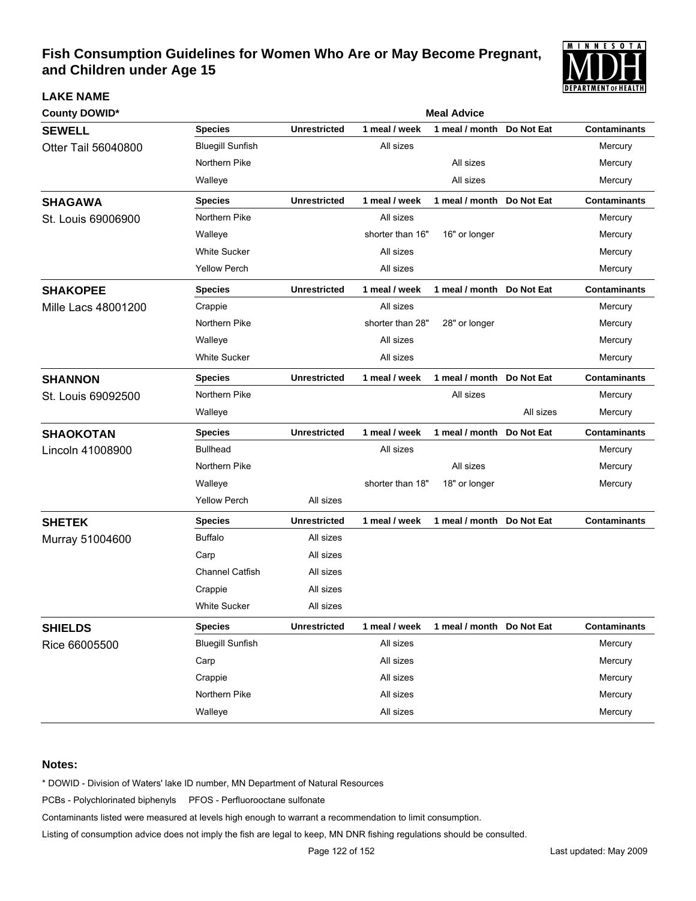

| <b>County DOWID*</b>       |                         | <b>Meal Advice</b>  |                  |                            |            |                     |  |  |  |
|----------------------------|-------------------------|---------------------|------------------|----------------------------|------------|---------------------|--|--|--|
| <b>SEWELL</b>              | <b>Species</b>          | <b>Unrestricted</b> | 1 meal / week    | 1 meal / month             | Do Not Eat | <b>Contaminants</b> |  |  |  |
| Otter Tail 56040800        | <b>Bluegill Sunfish</b> |                     | All sizes        |                            |            | Mercury             |  |  |  |
|                            | Northern Pike           |                     |                  | All sizes                  |            | Mercury             |  |  |  |
|                            | Walleye                 |                     |                  | All sizes                  |            | Mercury             |  |  |  |
| <b>SHAGAWA</b>             | <b>Species</b>          | <b>Unrestricted</b> | 1 meal / week    | 1 meal / month             | Do Not Eat | <b>Contaminants</b> |  |  |  |
| St. Louis 69006900         | Northern Pike           |                     | All sizes        |                            |            | Mercury             |  |  |  |
|                            | Walleye                 |                     | shorter than 16" | 16" or longer              |            | Mercury             |  |  |  |
|                            | <b>White Sucker</b>     |                     | All sizes        |                            |            | Mercury             |  |  |  |
|                            | <b>Yellow Perch</b>     |                     | All sizes        |                            |            | Mercury             |  |  |  |
| <b>SHAKOPEE</b>            | <b>Species</b>          | <b>Unrestricted</b> | 1 meal / week    | 1 meal / month Do Not Eat  |            | <b>Contaminants</b> |  |  |  |
| <b>Mille Lacs 48001200</b> | Crappie                 |                     | All sizes        |                            |            | Mercury             |  |  |  |
|                            | Northern Pike           |                     | shorter than 28" | 28" or longer              |            | Mercury             |  |  |  |
|                            | Walleye                 |                     | All sizes        |                            |            | Mercury             |  |  |  |
|                            | <b>White Sucker</b>     |                     | All sizes        |                            |            | Mercury             |  |  |  |
| <b>SHANNON</b>             | <b>Species</b>          | <b>Unrestricted</b> | 1 meal / week    | 1 meal / month Do Not Eat  |            | <b>Contaminants</b> |  |  |  |
| St. Louis 69092500         | Northern Pike           |                     |                  | All sizes                  |            | Mercury             |  |  |  |
|                            | Walleye                 |                     |                  |                            | All sizes  | Mercury             |  |  |  |
| <b>SHAOKOTAN</b>           | <b>Species</b>          | <b>Unrestricted</b> | 1 meal / week    | 1 meal / month Do Not Eat  |            | <b>Contaminants</b> |  |  |  |
| Lincoln 41008900           | <b>Bullhead</b>         |                     | All sizes        |                            |            | Mercury             |  |  |  |
|                            | Northern Pike           |                     |                  | All sizes                  |            | Mercury             |  |  |  |
|                            | Walleye                 |                     | shorter than 18" | 18" or longer              |            | Mercury             |  |  |  |
|                            | <b>Yellow Perch</b>     | All sizes           |                  |                            |            |                     |  |  |  |
| <b>SHETEK</b>              | <b>Species</b>          | <b>Unrestricted</b> | 1 meal / week    | 1 meal / month Do Not Eat  |            | <b>Contaminants</b> |  |  |  |
| Murray 51004600            | <b>Buffalo</b>          | All sizes           |                  |                            |            |                     |  |  |  |
|                            | Carp                    | All sizes           |                  |                            |            |                     |  |  |  |
|                            | <b>Channel Catfish</b>  | All sizes           |                  |                            |            |                     |  |  |  |
|                            | Crappie                 | All sizes           |                  |                            |            |                     |  |  |  |
|                            | <b>White Sucker</b>     | All sizes           |                  |                            |            |                     |  |  |  |
| <b>SHIELDS</b>             | <b>Species</b>          | <b>Unrestricted</b> | 1 meal / week    | 1 meal / month  Do Not Eat |            | <b>Contaminants</b> |  |  |  |
| Rice 66005500              | <b>Bluegill Sunfish</b> |                     | All sizes        |                            |            | Mercury             |  |  |  |
|                            | Carp                    |                     | All sizes        |                            |            | Mercury             |  |  |  |
|                            | Crappie                 |                     | All sizes        |                            |            | Mercury             |  |  |  |
|                            | Northern Pike           |                     | All sizes        |                            |            | Mercury             |  |  |  |
|                            | Walleye                 |                     | All sizes        |                            |            | Mercury             |  |  |  |

### **Notes:**

**LAKE NAME**

\* DOWID - Division of Waters' lake ID number, MN Department of Natural Resources

PCBs - Polychlorinated biphenyls PFOS - Perfluorooctane sulfonate

Contaminants listed were measured at levels high enough to warrant a recommendation to limit consumption.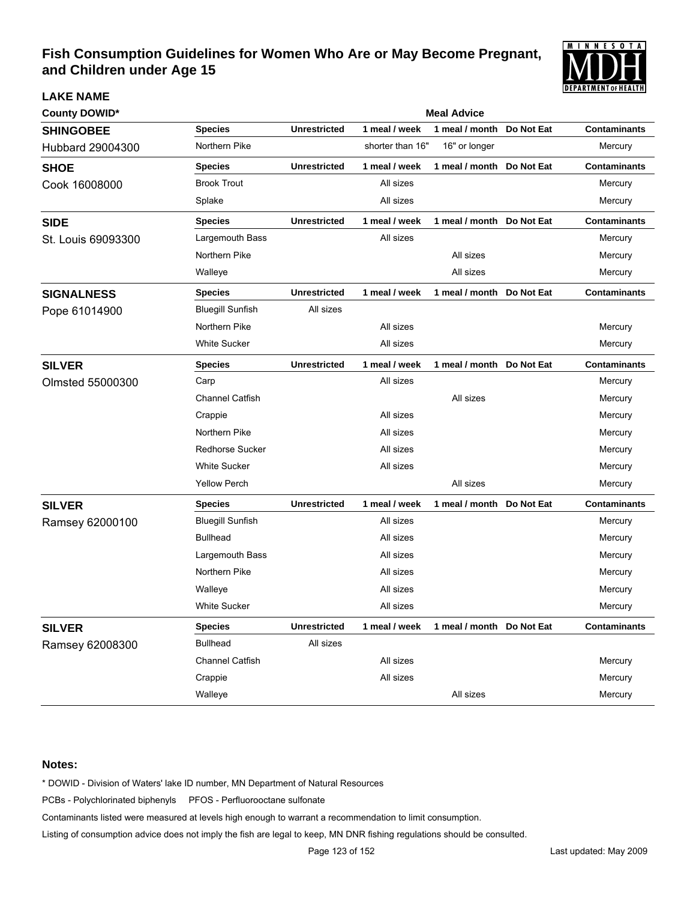

| <b>County DOWID*</b> |                         | <b>Meal Advice</b>  |                  |                           |            |                     |  |  |  |
|----------------------|-------------------------|---------------------|------------------|---------------------------|------------|---------------------|--|--|--|
| <b>SHINGOBEE</b>     | <b>Species</b>          | <b>Unrestricted</b> | 1 meal / week    | 1 meal / month            | Do Not Eat | <b>Contaminants</b> |  |  |  |
| Hubbard 29004300     | Northern Pike           |                     | shorter than 16" | 16" or longer             |            | Mercury             |  |  |  |
| <b>SHOE</b>          | <b>Species</b>          | <b>Unrestricted</b> | 1 meal / week    | 1 meal / month            | Do Not Eat | <b>Contaminants</b> |  |  |  |
| Cook 16008000        | <b>Brook Trout</b>      |                     | All sizes        |                           |            | Mercury             |  |  |  |
|                      | Splake                  |                     | All sizes        |                           |            | Mercury             |  |  |  |
| <b>SIDE</b>          | <b>Species</b>          | <b>Unrestricted</b> | 1 meal / week    | 1 meal / month            | Do Not Eat | <b>Contaminants</b> |  |  |  |
| St. Louis 69093300   | Largemouth Bass         |                     | All sizes        |                           |            | Mercury             |  |  |  |
|                      | Northern Pike           |                     |                  | All sizes                 |            | Mercury             |  |  |  |
|                      | Walleye                 |                     |                  | All sizes                 |            | Mercury             |  |  |  |
| <b>SIGNALNESS</b>    | <b>Species</b>          | <b>Unrestricted</b> | 1 meal / week    | 1 meal / month            | Do Not Eat | Contaminants        |  |  |  |
| Pope 61014900        | <b>Bluegill Sunfish</b> | All sizes           |                  |                           |            |                     |  |  |  |
|                      | Northern Pike           |                     | All sizes        |                           |            | Mercury             |  |  |  |
|                      | <b>White Sucker</b>     |                     | All sizes        |                           |            | Mercury             |  |  |  |
| <b>SILVER</b>        | <b>Species</b>          | <b>Unrestricted</b> | 1 meal / week    | 1 meal / month            | Do Not Eat | <b>Contaminants</b> |  |  |  |
| Olmsted 55000300     | Carp                    |                     | All sizes        |                           |            | Mercury             |  |  |  |
|                      | <b>Channel Catfish</b>  |                     |                  | All sizes                 |            | Mercury             |  |  |  |
|                      | Crappie                 |                     | All sizes        |                           |            | Mercury             |  |  |  |
|                      | Northern Pike           |                     | All sizes        |                           |            | Mercury             |  |  |  |
|                      | <b>Redhorse Sucker</b>  |                     | All sizes        |                           |            | Mercury             |  |  |  |
|                      | <b>White Sucker</b>     |                     | All sizes        |                           |            | Mercury             |  |  |  |
|                      | <b>Yellow Perch</b>     |                     |                  | All sizes                 |            | Mercury             |  |  |  |
| <b>SILVER</b>        | <b>Species</b>          | <b>Unrestricted</b> | 1 meal / week    | 1 meal / month            | Do Not Eat | <b>Contaminants</b> |  |  |  |
| Ramsey 62000100      | <b>Bluegill Sunfish</b> |                     | All sizes        |                           |            | Mercury             |  |  |  |
|                      | <b>Bullhead</b>         |                     | All sizes        |                           |            | Mercury             |  |  |  |
|                      | Largemouth Bass         |                     | All sizes        |                           |            | Mercury             |  |  |  |
|                      | Northern Pike           |                     | All sizes        |                           |            | Mercury             |  |  |  |
|                      | Walleye                 |                     | All sizes        |                           |            | Mercury             |  |  |  |
|                      | <b>White Sucker</b>     |                     | All sizes        |                           |            | Mercury             |  |  |  |
| <b>SILVER</b>        | <b>Species</b>          | <b>Unrestricted</b> | 1 meal / week    | 1 meal / month Do Not Eat |            | <b>Contaminants</b> |  |  |  |
| Ramsey 62008300      | <b>Bullhead</b>         | All sizes           |                  |                           |            |                     |  |  |  |
|                      | Channel Catfish         |                     | All sizes        |                           |            | Mercury             |  |  |  |
|                      | Crappie                 |                     | All sizes        |                           |            | Mercury             |  |  |  |
|                      | Walleye                 |                     |                  | All sizes                 |            | Mercury             |  |  |  |

### **Notes:**

**LAKE NAME**

\* DOWID - Division of Waters' lake ID number, MN Department of Natural Resources

PCBs - Polychlorinated biphenyls PFOS - Perfluorooctane sulfonate

Contaminants listed were measured at levels high enough to warrant a recommendation to limit consumption.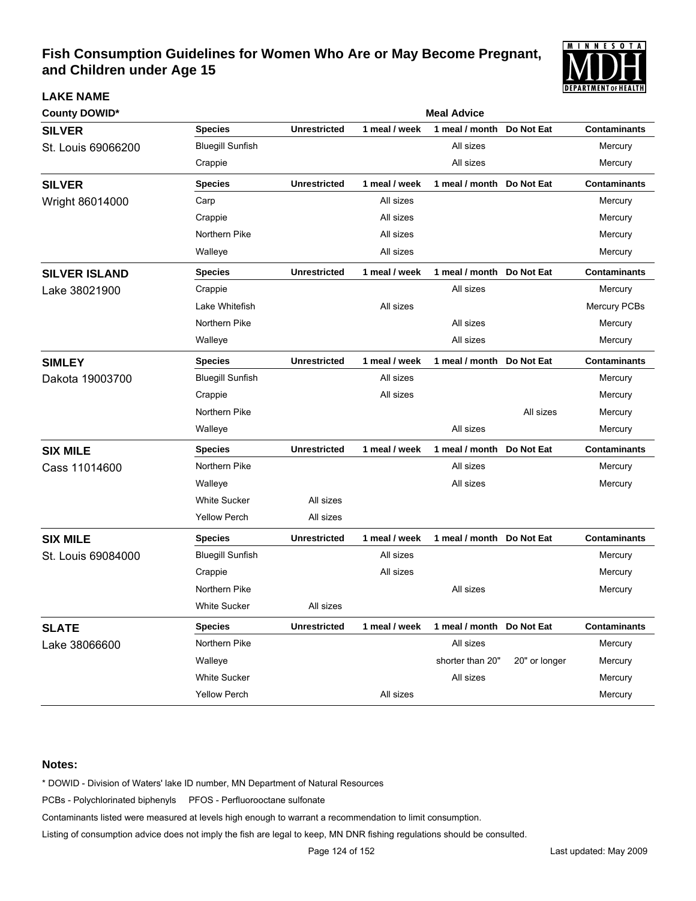

| County DOWID*        |                         |                     |               | <b>Meal Advice</b> |               |                     |
|----------------------|-------------------------|---------------------|---------------|--------------------|---------------|---------------------|
| <b>SILVER</b>        | <b>Species</b>          | <b>Unrestricted</b> | 1 meal / week | 1 meal / month     | Do Not Eat    | <b>Contaminants</b> |
| St. Louis 69066200   | <b>Bluegill Sunfish</b> |                     |               | All sizes          |               | Mercury             |
|                      | Crappie                 |                     |               | All sizes          |               | Mercury             |
| <b>SILVER</b>        | <b>Species</b>          | <b>Unrestricted</b> | 1 meal / week | 1 meal / month     | Do Not Eat    | <b>Contaminants</b> |
| Wright 86014000      | Carp                    |                     | All sizes     |                    |               | Mercury             |
|                      | Crappie                 |                     | All sizes     |                    |               | Mercury             |
|                      | Northern Pike           |                     | All sizes     |                    |               | Mercury             |
|                      | Walleye                 |                     | All sizes     |                    |               | Mercury             |
| <b>SILVER ISLAND</b> | <b>Species</b>          | <b>Unrestricted</b> | 1 meal / week | 1 meal / month     | Do Not Eat    | <b>Contaminants</b> |
| Lake 38021900        | Crappie                 |                     |               | All sizes          |               | Mercury             |
|                      | Lake Whitefish          |                     | All sizes     |                    |               | Mercury PCBs        |
|                      | Northern Pike           |                     |               | All sizes          |               | Mercury             |
|                      | Walleye                 |                     |               | All sizes          |               | Mercury             |
| <b>SIMLEY</b>        | <b>Species</b>          | <b>Unrestricted</b> | 1 meal / week | 1 meal / month     | Do Not Eat    | <b>Contaminants</b> |
| Dakota 19003700      | <b>Bluegill Sunfish</b> |                     | All sizes     |                    |               | Mercury             |
|                      | Crappie                 |                     | All sizes     |                    |               | Mercury             |
|                      | Northern Pike           |                     |               |                    | All sizes     | Mercury             |
|                      | Walleye                 |                     |               | All sizes          |               | Mercury             |
| <b>SIX MILE</b>      | <b>Species</b>          | <b>Unrestricted</b> | 1 meal / week | 1 meal / month     | Do Not Eat    | <b>Contaminants</b> |
| Cass 11014600        | Northern Pike           |                     |               | All sizes          |               | Mercury             |
|                      | Walleye                 |                     |               | All sizes          |               | Mercury             |
|                      | <b>White Sucker</b>     | All sizes           |               |                    |               |                     |
|                      | <b>Yellow Perch</b>     | All sizes           |               |                    |               |                     |
| <b>SIX MILE</b>      | <b>Species</b>          | <b>Unrestricted</b> | 1 meal / week | 1 meal / month     | Do Not Eat    | <b>Contaminants</b> |
| St. Louis 69084000   | <b>Bluegill Sunfish</b> |                     | All sizes     |                    |               | Mercury             |
|                      | Crappie                 |                     | All sizes     |                    |               | Mercury             |
|                      | Northern Pike           |                     |               | All sizes          |               | Mercury             |
|                      | <b>White Sucker</b>     | All sizes           |               |                    |               |                     |
| <b>SLATE</b>         | <b>Species</b>          | <b>Unrestricted</b> | 1 meal / week | 1 meal / month     | Do Not Eat    | <b>Contaminants</b> |
| Lake 38066600        | Northern Pike           |                     |               | All sizes          |               | Mercury             |
|                      | Walleye                 |                     |               | shorter than 20"   | 20" or longer | Mercury             |
|                      | <b>White Sucker</b>     |                     |               | All sizes          |               | Mercury             |
|                      | <b>Yellow Perch</b>     |                     | All sizes     |                    |               | Mercury             |

### **Notes:**

**LAKE NAME**

\* DOWID - Division of Waters' lake ID number, MN Department of Natural Resources

PCBs - Polychlorinated biphenyls PFOS - Perfluorooctane sulfonate

Contaminants listed were measured at levels high enough to warrant a recommendation to limit consumption.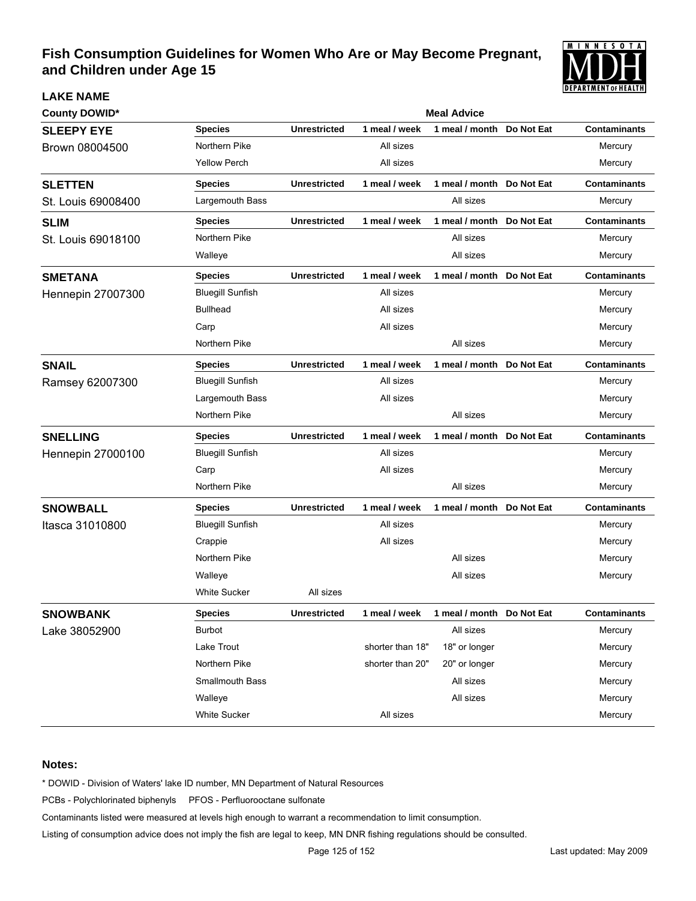

| <b>County DOWID*</b>     | <b>Meal Advice</b>      |                     |                  |                           |            |                     |  |  |
|--------------------------|-------------------------|---------------------|------------------|---------------------------|------------|---------------------|--|--|
| <b>SLEEPY EYE</b>        | <b>Species</b>          | <b>Unrestricted</b> | 1 meal / week    | 1 meal / month            | Do Not Eat | <b>Contaminants</b> |  |  |
| Brown 08004500           | Northern Pike           |                     | All sizes        |                           |            | Mercury             |  |  |
|                          | <b>Yellow Perch</b>     |                     | All sizes        |                           |            | Mercury             |  |  |
| <b>SLETTEN</b>           | <b>Species</b>          | <b>Unrestricted</b> | 1 meal / week    | 1 meal / month Do Not Eat |            | <b>Contaminants</b> |  |  |
| St. Louis 69008400       | Largemouth Bass         |                     |                  | All sizes                 |            | Mercury             |  |  |
| <b>SLIM</b>              | <b>Species</b>          | <b>Unrestricted</b> | 1 meal / week    | 1 meal / month Do Not Eat |            | <b>Contaminants</b> |  |  |
| St. Louis 69018100       | Northern Pike           |                     |                  | All sizes                 |            | Mercury             |  |  |
|                          | Walleye                 |                     |                  | All sizes                 |            | Mercury             |  |  |
| <b>SMETANA</b>           | <b>Species</b>          | <b>Unrestricted</b> | 1 meal / week    | 1 meal / month Do Not Eat |            | <b>Contaminants</b> |  |  |
| <b>Hennepin 27007300</b> | <b>Bluegill Sunfish</b> |                     | All sizes        |                           |            | Mercury             |  |  |
|                          | <b>Bullhead</b>         |                     | All sizes        |                           |            | Mercury             |  |  |
|                          | Carp                    |                     | All sizes        |                           |            | Mercury             |  |  |
|                          | Northern Pike           |                     |                  | All sizes                 |            | Mercury             |  |  |
| <b>SNAIL</b>             | <b>Species</b>          | <b>Unrestricted</b> | 1 meal / week    | 1 meal / month Do Not Eat |            | <b>Contaminants</b> |  |  |
| Ramsey 62007300          | <b>Bluegill Sunfish</b> |                     | All sizes        |                           |            | Mercury             |  |  |
|                          | Largemouth Bass         |                     | All sizes        |                           |            | Mercury             |  |  |
|                          | Northern Pike           |                     |                  | All sizes                 |            | Mercury             |  |  |
| <b>SNELLING</b>          | <b>Species</b>          | <b>Unrestricted</b> | 1 meal / week    | 1 meal / month Do Not Eat |            | <b>Contaminants</b> |  |  |
| <b>Hennepin 27000100</b> | <b>Bluegill Sunfish</b> |                     | All sizes        |                           |            | Mercury             |  |  |
|                          | Carp                    |                     | All sizes        |                           |            | Mercury             |  |  |
|                          | Northern Pike           |                     |                  | All sizes                 |            | Mercury             |  |  |
| <b>SNOWBALL</b>          | <b>Species</b>          | <b>Unrestricted</b> | 1 meal / week    | 1 meal / month Do Not Eat |            | <b>Contaminants</b> |  |  |
| Itasca 31010800          | <b>Bluegill Sunfish</b> |                     | All sizes        |                           |            | Mercury             |  |  |
|                          | Crappie                 |                     | All sizes        |                           |            | Mercury             |  |  |
|                          | Northern Pike           |                     |                  | All sizes                 |            | Mercury             |  |  |
|                          | Walleye                 |                     |                  | All sizes                 |            | Mercury             |  |  |
|                          | <b>White Sucker</b>     | All sizes           |                  |                           |            |                     |  |  |
| <b>SNOWBANK</b>          | <b>Species</b>          | <b>Unrestricted</b> | 1 meal / week    | 1 meal / month Do Not Eat |            | Contaminants        |  |  |
| Lake 38052900            | Burbot                  |                     |                  | All sizes                 |            | Mercury             |  |  |
|                          | Lake Trout              |                     | shorter than 18" | 18" or longer             |            | Mercury             |  |  |
|                          | Northern Pike           |                     | shorter than 20" | 20" or longer             |            | Mercury             |  |  |
|                          | Smallmouth Bass         |                     |                  | All sizes                 |            | Mercury             |  |  |
|                          | Walleye                 |                     |                  | All sizes                 |            | Mercury             |  |  |
|                          | White Sucker            |                     | All sizes        |                           |            | Mercury             |  |  |

### **Notes:**

**LAKE NAME**

\* DOWID - Division of Waters' lake ID number, MN Department of Natural Resources

PCBs - Polychlorinated biphenyls PFOS - Perfluorooctane sulfonate

Contaminants listed were measured at levels high enough to warrant a recommendation to limit consumption.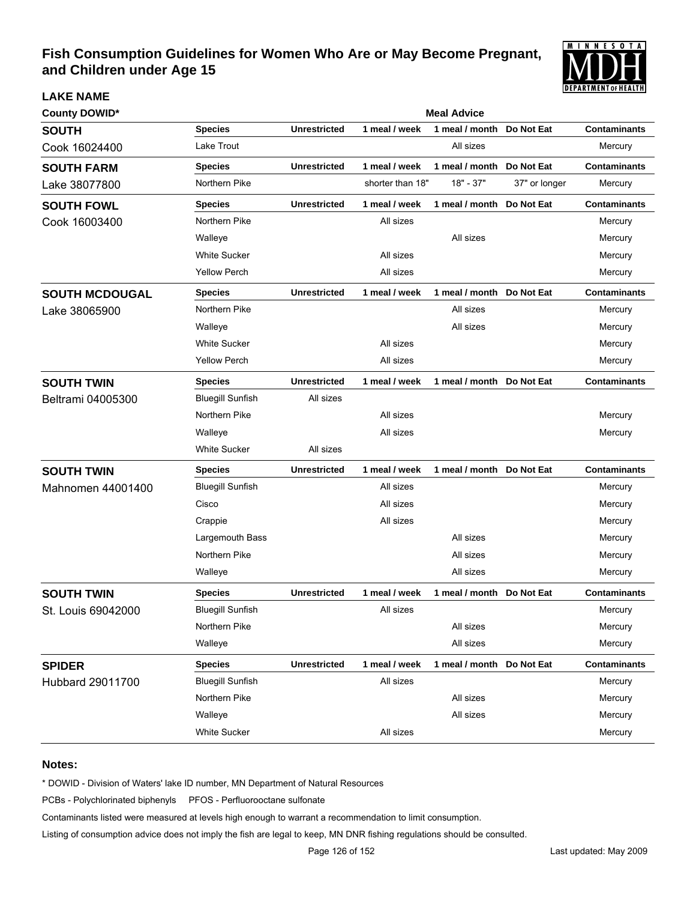

| <b>County DOWID*</b>  | <b>Meal Advice</b>      |                     |                  |                |               |                     |  |  |  |
|-----------------------|-------------------------|---------------------|------------------|----------------|---------------|---------------------|--|--|--|
| <b>SOUTH</b>          | <b>Species</b>          | <b>Unrestricted</b> | 1 meal / week    | 1 meal / month | Do Not Eat    | <b>Contaminants</b> |  |  |  |
| Cook 16024400         | Lake Trout              |                     |                  | All sizes      |               | Mercury             |  |  |  |
| <b>SOUTH FARM</b>     | <b>Species</b>          | <b>Unrestricted</b> | 1 meal / week    | 1 meal / month | Do Not Eat    | <b>Contaminants</b> |  |  |  |
| Lake 38077800         | Northern Pike           |                     | shorter than 18" | $18" - 37"$    | 37" or longer | Mercury             |  |  |  |
| <b>SOUTH FOWL</b>     | <b>Species</b>          | <b>Unrestricted</b> | 1 meal / week    | 1 meal / month | Do Not Eat    | <b>Contaminants</b> |  |  |  |
| Cook 16003400         | Northern Pike           |                     | All sizes        |                |               | Mercury             |  |  |  |
|                       | Walleye                 |                     |                  | All sizes      |               | Mercury             |  |  |  |
|                       | <b>White Sucker</b>     |                     | All sizes        |                |               | Mercury             |  |  |  |
|                       | <b>Yellow Perch</b>     |                     | All sizes        |                |               | Mercury             |  |  |  |
| <b>SOUTH MCDOUGAL</b> | <b>Species</b>          | <b>Unrestricted</b> | 1 meal / week    | 1 meal / month | Do Not Eat    | <b>Contaminants</b> |  |  |  |
| Lake 38065900         | Northern Pike           |                     |                  | All sizes      |               | Mercury             |  |  |  |
|                       | Walleye                 |                     |                  | All sizes      |               | Mercury             |  |  |  |
|                       | <b>White Sucker</b>     |                     | All sizes        |                |               | Mercury             |  |  |  |
|                       | <b>Yellow Perch</b>     |                     | All sizes        |                |               | Mercury             |  |  |  |
| <b>SOUTH TWIN</b>     | <b>Species</b>          | <b>Unrestricted</b> | 1 meal / week    | 1 meal / month | Do Not Eat    | <b>Contaminants</b> |  |  |  |
| Beltrami 04005300     | <b>Bluegill Sunfish</b> | All sizes           |                  |                |               |                     |  |  |  |
|                       | Northern Pike           |                     | All sizes        |                |               | Mercury             |  |  |  |
|                       | Walleye                 |                     | All sizes        |                |               | Mercury             |  |  |  |
|                       | <b>White Sucker</b>     | All sizes           |                  |                |               |                     |  |  |  |
| <b>SOUTH TWIN</b>     | <b>Species</b>          | <b>Unrestricted</b> | 1 meal / week    | 1 meal / month | Do Not Eat    | <b>Contaminants</b> |  |  |  |
| Mahnomen 44001400     | <b>Bluegill Sunfish</b> |                     | All sizes        |                |               | Mercury             |  |  |  |
|                       | Cisco                   |                     | All sizes        |                |               | Mercury             |  |  |  |
|                       | Crappie                 |                     | All sizes        |                |               | Mercury             |  |  |  |
|                       | Largemouth Bass         |                     |                  | All sizes      |               | Mercury             |  |  |  |
|                       | Northern Pike           |                     |                  | All sizes      |               | Mercury             |  |  |  |
|                       | Walleye                 |                     |                  | All sizes      |               | Mercury             |  |  |  |
| <b>SOUTH TWIN</b>     | <b>Species</b>          | <b>Unrestricted</b> | 1 meal / week    | 1 meal / month | Do Not Eat    | <b>Contaminants</b> |  |  |  |
| St. Louis 69042000    | <b>Bluegill Sunfish</b> |                     | All sizes        |                |               | Mercury             |  |  |  |
|                       | Northern Pike           |                     |                  | All sizes      |               | Mercury             |  |  |  |
|                       | Walleye                 |                     |                  | All sizes      |               | Mercury             |  |  |  |
| <b>SPIDER</b>         | <b>Species</b>          | <b>Unrestricted</b> | 1 meal / week    | 1 meal / month | Do Not Eat    | <b>Contaminants</b> |  |  |  |
| Hubbard 29011700      | <b>Bluegill Sunfish</b> |                     | All sizes        |                |               | Mercury             |  |  |  |
|                       | Northern Pike           |                     |                  | All sizes      |               | Mercury             |  |  |  |
|                       | Walleye                 |                     |                  | All sizes      |               | Mercury             |  |  |  |
|                       | White Sucker            |                     | All sizes        |                |               | Mercury             |  |  |  |

### **Notes:**

**LAKE NAME**

\* DOWID - Division of Waters' lake ID number, MN Department of Natural Resources

PCBs - Polychlorinated biphenyls PFOS - Perfluorooctane sulfonate

Contaminants listed were measured at levels high enough to warrant a recommendation to limit consumption.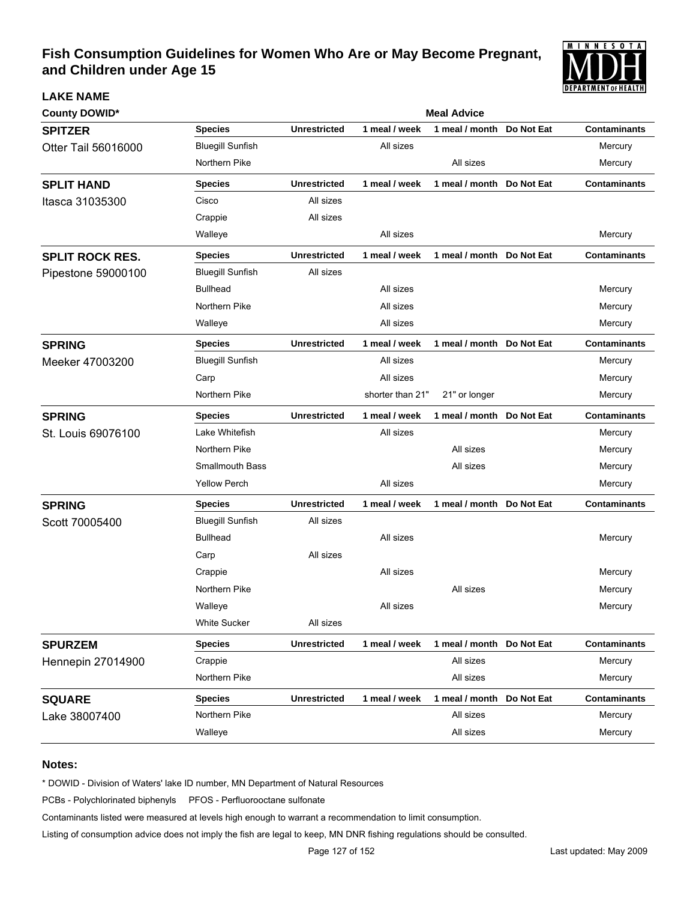

| <b>County DOWID*</b>     | <b>Meal Advice</b>      |                     |                  |                           |            |                     |  |  |
|--------------------------|-------------------------|---------------------|------------------|---------------------------|------------|---------------------|--|--|
| <b>SPITZER</b>           | <b>Species</b>          | <b>Unrestricted</b> | 1 meal / week    | 1 meal / month            | Do Not Eat | <b>Contaminants</b> |  |  |
| Otter Tail 56016000      | <b>Bluegill Sunfish</b> |                     | All sizes        |                           |            | Mercury             |  |  |
|                          | Northern Pike           |                     |                  | All sizes                 |            | Mercury             |  |  |
| <b>SPLIT HAND</b>        | <b>Species</b>          | <b>Unrestricted</b> | 1 meal / week    | 1 meal / month            | Do Not Eat | <b>Contaminants</b> |  |  |
| Itasca 31035300          | Cisco                   | All sizes           |                  |                           |            |                     |  |  |
|                          | Crappie                 | All sizes           |                  |                           |            |                     |  |  |
|                          | Walleye                 |                     | All sizes        |                           |            | Mercury             |  |  |
| <b>SPLIT ROCK RES.</b>   | <b>Species</b>          | <b>Unrestricted</b> | 1 meal / week    | 1 meal / month Do Not Eat |            | <b>Contaminants</b> |  |  |
| Pipestone 59000100       | <b>Bluegill Sunfish</b> | All sizes           |                  |                           |            |                     |  |  |
|                          | <b>Bullhead</b>         |                     | All sizes        |                           |            | Mercury             |  |  |
|                          | Northern Pike           |                     | All sizes        |                           |            | Mercury             |  |  |
|                          | Walleye                 |                     | All sizes        |                           |            | Mercury             |  |  |
| <b>SPRING</b>            | <b>Species</b>          | <b>Unrestricted</b> | 1 meal / week    | 1 meal / month Do Not Eat |            | <b>Contaminants</b> |  |  |
| Meeker 47003200          | <b>Bluegill Sunfish</b> |                     | All sizes        |                           |            | Mercury             |  |  |
|                          | Carp                    |                     | All sizes        |                           |            | Mercury             |  |  |
|                          | Northern Pike           |                     | shorter than 21" | 21" or longer             |            | Mercury             |  |  |
| <b>SPRING</b>            | <b>Species</b>          | <b>Unrestricted</b> | 1 meal / week    | 1 meal / month            | Do Not Eat | <b>Contaminants</b> |  |  |
| St. Louis 69076100       | Lake Whitefish          |                     | All sizes        |                           |            | Mercury             |  |  |
|                          | Northern Pike           |                     |                  | All sizes                 |            | Mercury             |  |  |
|                          | <b>Smallmouth Bass</b>  |                     |                  | All sizes                 |            | Mercury             |  |  |
|                          | <b>Yellow Perch</b>     |                     | All sizes        |                           |            | Mercury             |  |  |
| <b>SPRING</b>            | <b>Species</b>          | <b>Unrestricted</b> | 1 meal / week    | 1 meal / month Do Not Eat |            | <b>Contaminants</b> |  |  |
| Scott 70005400           | <b>Bluegill Sunfish</b> | All sizes           |                  |                           |            |                     |  |  |
|                          | <b>Bullhead</b>         |                     | All sizes        |                           |            | Mercury             |  |  |
|                          | Carp                    | All sizes           |                  |                           |            |                     |  |  |
|                          | Crappie                 |                     | All sizes        |                           |            | Mercury             |  |  |
|                          | Northern Pike           |                     |                  | All sizes                 |            | Mercury             |  |  |
|                          | Walleye                 |                     | All sizes        |                           |            | Mercury             |  |  |
|                          | <b>White Sucker</b>     | All sizes           |                  |                           |            |                     |  |  |
| <b>SPURZEM</b>           | <b>Species</b>          | <b>Unrestricted</b> | 1 meal / week    | 1 meal / month            | Do Not Eat | <b>Contaminants</b> |  |  |
| <b>Hennepin 27014900</b> | Crappie                 |                     |                  | All sizes                 |            | Mercury             |  |  |
|                          | Northern Pike           |                     |                  | All sizes                 |            | Mercury             |  |  |
| <b>SQUARE</b>            | <b>Species</b>          | <b>Unrestricted</b> | 1 meal / week    | 1 meal / month            | Do Not Eat | <b>Contaminants</b> |  |  |
| Lake 38007400            | Northern Pike           |                     |                  | All sizes                 |            | Mercury             |  |  |
|                          | Walleye                 |                     |                  | All sizes                 |            | Mercury             |  |  |

### **Notes:**

**LAKE NAME**

\* DOWID - Division of Waters' lake ID number, MN Department of Natural Resources

PCBs - Polychlorinated biphenyls PFOS - Perfluorooctane sulfonate

Contaminants listed were measured at levels high enough to warrant a recommendation to limit consumption.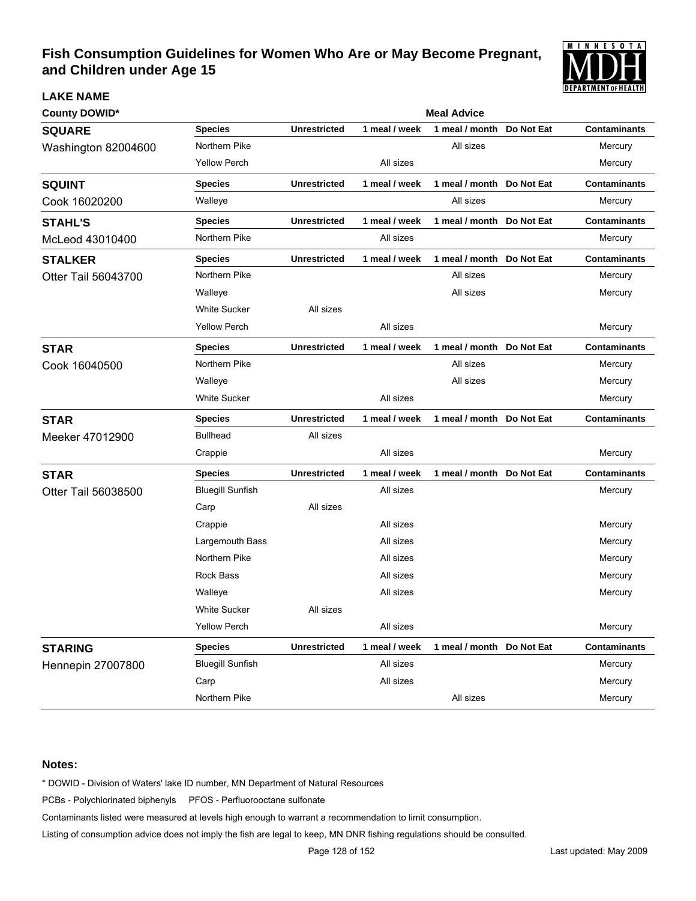

# **County DOWID\* Meal Advice Meal Advice Meal Advice Meal Advice Meal Advice SQUARE Species Unrestricted 1 meal / week 1 meal / month Do Not Eat Contaminants** Washington 82004600 Morthern Pike **All sizes** All sizes Mercury Yellow Perch All sizes Mercury **SQUINT Species Unrestricted 1 meal / week 1 meal / month Do Not Eat Contaminants** Cook 16020200 **Walleye** Walleye **Mulleye** All sizes All sizes Mercury **STAHL'S Species Unrestricted 1 meal / week 1 meal / month Do Not Eat Contaminants** McLeod 43010400 Morthern Pike All sizes All sizes All sizes Mercury **STALKER Species Unrestricted 1 meal / week 1 meal / month Do Not Eat Contaminants** Otter Tail 56043700 Northern Pike All sizes All sizes Mercury Walleye All sizes Mercury White Sucker **All sizes** Yellow Perch **All sizes** All sizes **All sizes** All sizes Mercury **STAR Species Unrestricted 1 meal / week 1 meal / month Do Not Eat Contaminants** Cook 16040500 **Northern Pike All sizes** All sizes Mercury Walleye All sizes Mercury White Sucker **Mercury All sizes All sizes** All sizes and the Mercury **STAR Species Unrestricted 1 meal / week 1 meal / month Do Not Eat Contaminants** Meeker 47012900 Bullhead All sizes Crappie **All sizes** All sizes **All sizes** All and the Mercury **STAR Species Unrestricted 1 meal / week 1 meal / month Do Not Eat Contaminants** Otter Tail 56038500 Bluegill Sunfish All sizes All sizes All sizes All sizes Mercury Carp **All sizes** Crappie All sizes Mercury Largemouth Bass **All sizes** All sizes **All sizes** Mercury Northern Pike **All sizes** All sizes **All sizes** Mercury Rock Bass All sizes Mercury Walleye All sizes Mercury White Sucker **All sizes** Yellow Perch All sizes Mercury **STARING Species Unrestricted 1 meal / week 1 meal / month Do Not Eat Contaminants** Hennepin 27007800 Bluegill Sunfish All sizes All sizes All sizes All sizes Mercury Carp **All sizes** All sizes and the Mercury Northern Pike All sizes All sizes Mercury All sizes All sizes All sizes Mercury

#### **Notes:**

**LAKE NAME**

\* DOWID - Division of Waters' lake ID number, MN Department of Natural Resources

PCBs - Polychlorinated biphenyls PFOS - Perfluorooctane sulfonate

Contaminants listed were measured at levels high enough to warrant a recommendation to limit consumption.

Listing of consumption advice does not imply the fish are legal to keep, MN DNR fishing regulations should be consulted.

Page 128 of 152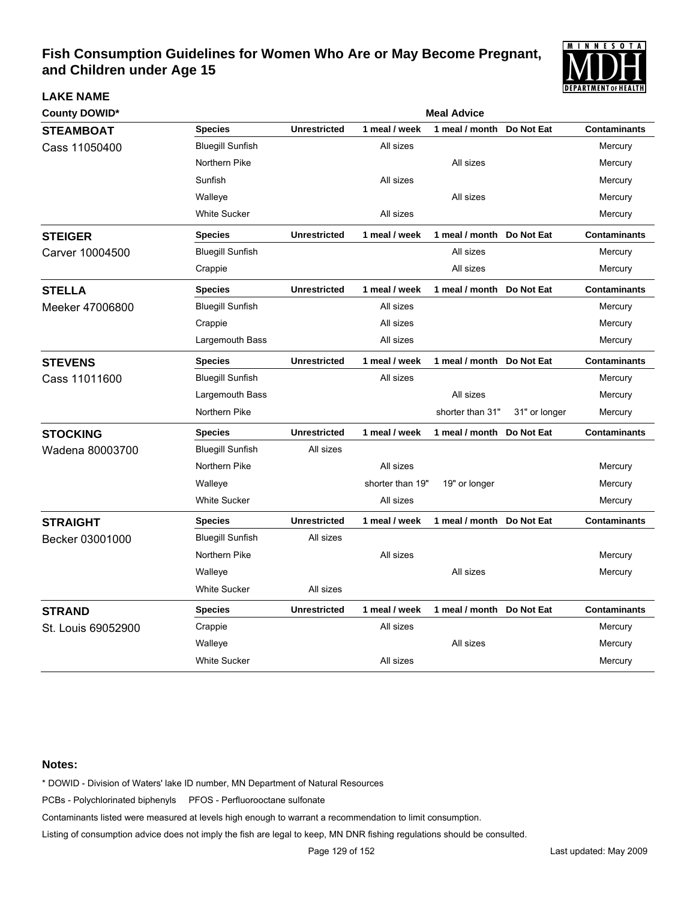

| <b>County DOWID*</b> |                         |                     |                  | <b>Meal Advice</b>        |               |                     |
|----------------------|-------------------------|---------------------|------------------|---------------------------|---------------|---------------------|
| <b>STEAMBOAT</b>     | <b>Species</b>          | <b>Unrestricted</b> | 1 meal / week    | 1 meal / month            | Do Not Eat    | <b>Contaminants</b> |
| Cass 11050400        | <b>Bluegill Sunfish</b> |                     | All sizes        |                           |               | Mercury             |
|                      | Northern Pike           |                     |                  | All sizes                 |               | Mercury             |
|                      | Sunfish                 |                     | All sizes        |                           |               | Mercury             |
|                      | Walleye                 |                     |                  | All sizes                 |               | Mercury             |
|                      | <b>White Sucker</b>     |                     | All sizes        |                           |               | Mercury             |
| <b>STEIGER</b>       | <b>Species</b>          | <b>Unrestricted</b> | 1 meal / week    | 1 meal / month Do Not Eat |               | <b>Contaminants</b> |
| Carver 10004500      | <b>Bluegill Sunfish</b> |                     |                  | All sizes                 |               | Mercury             |
|                      | Crappie                 |                     |                  | All sizes                 |               | Mercury             |
| <b>STELLA</b>        | <b>Species</b>          | <b>Unrestricted</b> | 1 meal / week    | 1 meal / month            | Do Not Eat    | <b>Contaminants</b> |
| Meeker 47006800      | <b>Bluegill Sunfish</b> |                     | All sizes        |                           |               | Mercury             |
|                      | Crappie                 |                     | All sizes        |                           |               | Mercury             |
|                      | Largemouth Bass         |                     | All sizes        |                           |               | Mercury             |
| <b>STEVENS</b>       | <b>Species</b>          | <b>Unrestricted</b> | 1 meal / week    | 1 meal / month Do Not Eat |               | <b>Contaminants</b> |
| Cass 11011600        | <b>Bluegill Sunfish</b> |                     | All sizes        |                           |               | Mercury             |
|                      | Largemouth Bass         |                     |                  | All sizes                 |               | Mercury             |
|                      | Northern Pike           |                     |                  | shorter than 31"          | 31" or longer | Mercury             |
| <b>STOCKING</b>      | <b>Species</b>          | <b>Unrestricted</b> | 1 meal / week    | 1 meal / month Do Not Eat |               | <b>Contaminants</b> |
| Wadena 80003700      | <b>Bluegill Sunfish</b> | All sizes           |                  |                           |               |                     |
|                      | Northern Pike           |                     | All sizes        |                           |               | Mercury             |
|                      | Walleye                 |                     | shorter than 19" | 19" or longer             |               | Mercury             |
|                      | <b>White Sucker</b>     |                     | All sizes        |                           |               | Mercury             |
| <b>STRAIGHT</b>      | <b>Species</b>          | <b>Unrestricted</b> | 1 meal / week    | 1 meal / month Do Not Eat |               | <b>Contaminants</b> |
| Becker 03001000      | <b>Bluegill Sunfish</b> | All sizes           |                  |                           |               |                     |
|                      | Northern Pike           |                     | All sizes        |                           |               | Mercury             |
|                      | Walleye                 |                     |                  | All sizes                 |               | Mercury             |
|                      | <b>White Sucker</b>     | All sizes           |                  |                           |               |                     |
| <b>STRAND</b>        | <b>Species</b>          | <b>Unrestricted</b> | 1 meal / week    | 1 meal / month Do Not Eat |               | <b>Contaminants</b> |
| St. Louis 69052900   | Crappie                 |                     | All sizes        |                           |               | Mercury             |
|                      | Walleye                 |                     |                  | All sizes                 |               | Mercury             |
|                      | <b>White Sucker</b>     |                     | All sizes        |                           |               | Mercury             |

### **Notes:**

**LAKE NAME**

\* DOWID - Division of Waters' lake ID number, MN Department of Natural Resources

PCBs - Polychlorinated biphenyls PFOS - Perfluorooctane sulfonate

Contaminants listed were measured at levels high enough to warrant a recommendation to limit consumption.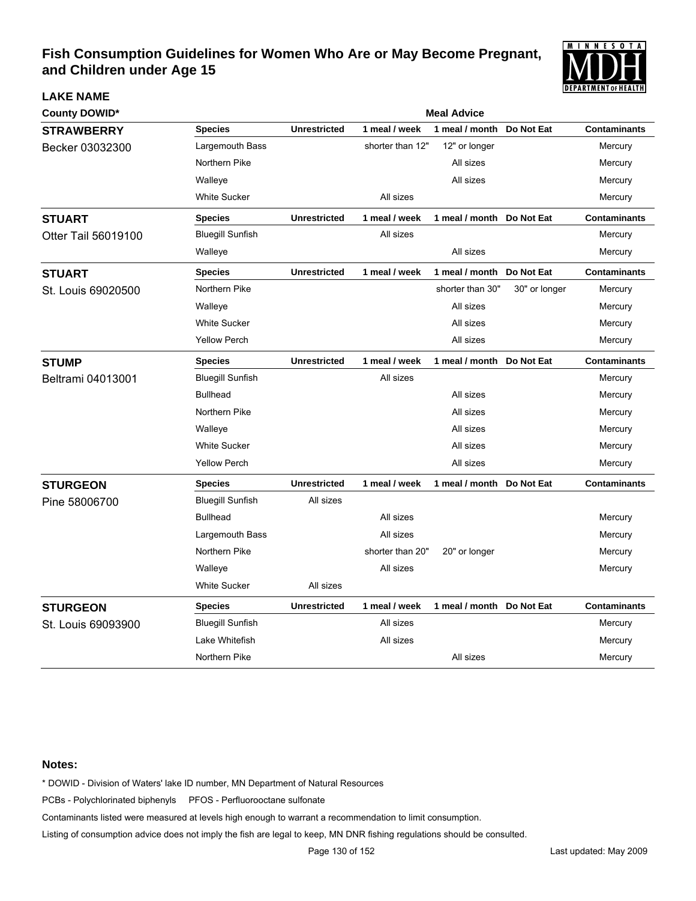

| <b>County DOWID*</b> |                         |                     |                  | <b>Meal Advice</b>        |               |                     |
|----------------------|-------------------------|---------------------|------------------|---------------------------|---------------|---------------------|
| <b>STRAWBERRY</b>    | <b>Species</b>          | <b>Unrestricted</b> | 1 meal / week    | 1 meal / month            | Do Not Eat    | <b>Contaminants</b> |
| Becker 03032300      | Largemouth Bass         |                     | shorter than 12" | 12" or longer             |               | Mercury             |
|                      | Northern Pike           |                     |                  | All sizes                 |               | Mercury             |
|                      | Walleye                 |                     |                  | All sizes                 |               | Mercury             |
|                      | <b>White Sucker</b>     |                     | All sizes        |                           |               | Mercury             |
| <b>STUART</b>        | <b>Species</b>          | <b>Unrestricted</b> | 1 meal / week    | 1 meal / month Do Not Eat |               | <b>Contaminants</b> |
| Otter Tail 56019100  | <b>Bluegill Sunfish</b> |                     | All sizes        |                           |               | Mercury             |
|                      | Walleye                 |                     |                  | All sizes                 |               | Mercury             |
| <b>STUART</b>        | <b>Species</b>          | <b>Unrestricted</b> | 1 meal / week    | 1 meal / month            | Do Not Eat    | <b>Contaminants</b> |
| St. Louis 69020500   | Northern Pike           |                     |                  | shorter than 30"          | 30" or longer | Mercury             |
|                      | Walleye                 |                     |                  | All sizes                 |               | Mercury             |
|                      | <b>White Sucker</b>     |                     |                  | All sizes                 |               | Mercury             |
|                      | <b>Yellow Perch</b>     |                     |                  | All sizes                 |               | Mercury             |
| <b>STUMP</b>         | <b>Species</b>          | <b>Unrestricted</b> | 1 meal / week    | 1 meal / month Do Not Eat |               | <b>Contaminants</b> |
| Beltrami 04013001    | <b>Bluegill Sunfish</b> |                     | All sizes        |                           |               | Mercury             |
|                      | <b>Bullhead</b>         |                     |                  | All sizes                 |               | Mercury             |
|                      | Northern Pike           |                     |                  | All sizes                 |               | Mercury             |
|                      | Walleye                 |                     |                  | All sizes                 |               | Mercury             |
|                      | <b>White Sucker</b>     |                     |                  | All sizes                 |               | Mercury             |
|                      | <b>Yellow Perch</b>     |                     |                  | All sizes                 |               | Mercury             |
| <b>STURGEON</b>      | <b>Species</b>          | <b>Unrestricted</b> | 1 meal / week    | 1 meal / month Do Not Eat |               | <b>Contaminants</b> |
| Pine 58006700        | <b>Bluegill Sunfish</b> | All sizes           |                  |                           |               |                     |
|                      | <b>Bullhead</b>         |                     | All sizes        |                           |               | Mercury             |
|                      | Largemouth Bass         |                     | All sizes        |                           |               | Mercury             |
|                      | Northern Pike           |                     | shorter than 20" | 20" or longer             |               | Mercury             |
|                      | Walleye                 |                     | All sizes        |                           |               | Mercury             |
|                      | <b>White Sucker</b>     | All sizes           |                  |                           |               |                     |
| <b>STURGEON</b>      | <b>Species</b>          | <b>Unrestricted</b> | 1 meal / week    | 1 meal / month Do Not Eat |               | <b>Contaminants</b> |
| St. Louis 69093900   | <b>Bluegill Sunfish</b> |                     | All sizes        |                           |               | Mercury             |
|                      | Lake Whitefish          |                     | All sizes        |                           |               | Mercury             |
|                      | Northern Pike           |                     |                  | All sizes                 |               | Mercury             |

### **Notes:**

**LAKE NAME**

\* DOWID - Division of Waters' lake ID number, MN Department of Natural Resources

PCBs - Polychlorinated biphenyls PFOS - Perfluorooctane sulfonate

Contaminants listed were measured at levels high enough to warrant a recommendation to limit consumption.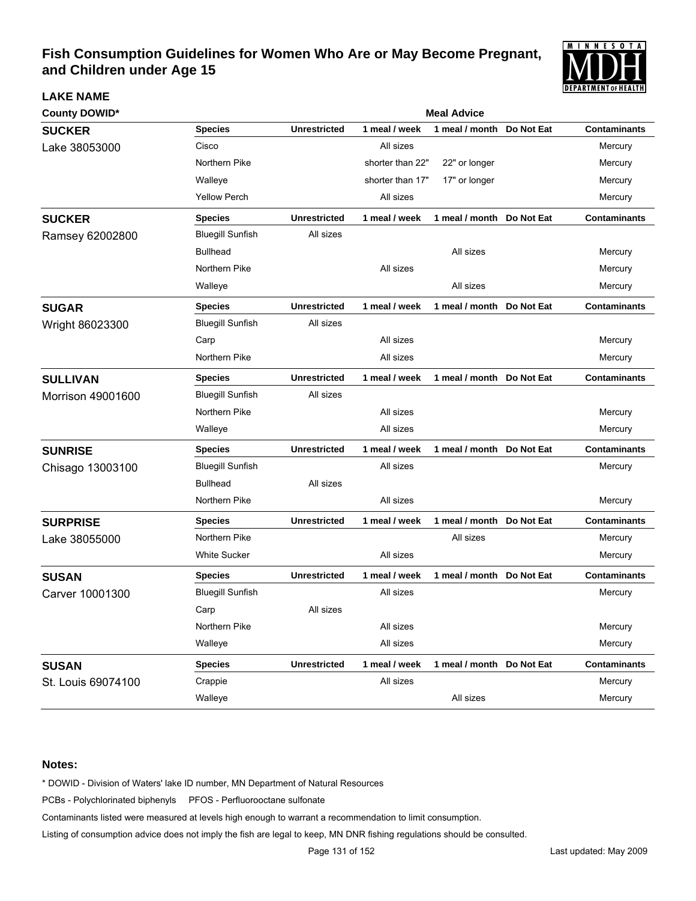

| <b>County DOWID*</b> |                         |                     |                  | <b>Meal Advice</b>         |                     |
|----------------------|-------------------------|---------------------|------------------|----------------------------|---------------------|
| <b>SUCKER</b>        | <b>Species</b>          | <b>Unrestricted</b> | 1 meal / week    | 1 meal / month Do Not Eat  | <b>Contaminants</b> |
| Lake 38053000        | Cisco                   |                     | All sizes        |                            | Mercury             |
|                      | Northern Pike           |                     | shorter than 22" | 22" or longer              | Mercury             |
|                      | Walleye                 |                     | shorter than 17" | 17" or longer              | Mercury             |
|                      | <b>Yellow Perch</b>     |                     | All sizes        |                            | Mercury             |
| <b>SUCKER</b>        | <b>Species</b>          | <b>Unrestricted</b> | 1 meal / week    | 1 meal / month Do Not Eat  | <b>Contaminants</b> |
| Ramsey 62002800      | <b>Bluegill Sunfish</b> | All sizes           |                  |                            |                     |
|                      | <b>Bullhead</b>         |                     |                  | All sizes                  | Mercury             |
|                      | Northern Pike           |                     | All sizes        |                            | Mercury             |
|                      | Walleye                 |                     |                  | All sizes                  | Mercury             |
| <b>SUGAR</b>         | <b>Species</b>          | <b>Unrestricted</b> | 1 meal / week    | 1 meal / month Do Not Eat  | <b>Contaminants</b> |
| Wright 86023300      | <b>Bluegill Sunfish</b> | All sizes           |                  |                            |                     |
|                      | Carp                    |                     | All sizes        |                            | Mercury             |
|                      | Northern Pike           |                     | All sizes        |                            | Mercury             |
| <b>SULLIVAN</b>      | <b>Species</b>          | <b>Unrestricted</b> | 1 meal / week    | 1 meal / month Do Not Eat  | <b>Contaminants</b> |
| Morrison 49001600    | <b>Bluegill Sunfish</b> | All sizes           |                  |                            |                     |
|                      | Northern Pike           |                     | All sizes        |                            | Mercury             |
|                      | Walleye                 |                     | All sizes        |                            | Mercury             |
| <b>SUNRISE</b>       | <b>Species</b>          | <b>Unrestricted</b> | 1 meal / week    | 1 meal / month Do Not Eat  | <b>Contaminants</b> |
| Chisago 13003100     | <b>Bluegill Sunfish</b> |                     | All sizes        |                            | Mercury             |
|                      | <b>Bullhead</b>         | All sizes           |                  |                            |                     |
|                      | Northern Pike           |                     | All sizes        |                            | Mercury             |
| <b>SURPRISE</b>      | <b>Species</b>          | <b>Unrestricted</b> | 1 meal / week    | 1 meal / month Do Not Eat  | <b>Contaminants</b> |
| Lake 38055000        | Northern Pike           |                     |                  | All sizes                  | Mercury             |
|                      | <b>White Sucker</b>     |                     | All sizes        |                            | Mercury             |
| <b>SUSAN</b>         | <b>Species</b>          | <b>Unrestricted</b> | 1 meal / week    | 1 meal / month Do Not Eat  | <b>Contaminants</b> |
| Carver 10001300      | <b>Bluegill Sunfish</b> |                     | All sizes        |                            | Mercury             |
|                      | Carp                    | All sizes           |                  |                            |                     |
|                      | Northern Pike           |                     | All sizes        |                            | Mercury             |
|                      | Walleye                 |                     | All sizes        |                            | Mercury             |
| <b>SUSAN</b>         | <b>Species</b>          | <b>Unrestricted</b> | 1 meal / week    | 1 meal / month  Do Not Eat | <b>Contaminants</b> |
| St. Louis 69074100   | Crappie                 |                     | All sizes        |                            | Mercury             |
|                      | Walleye                 |                     |                  | All sizes                  | Mercury             |

### **Notes:**

**LAKE NAME**

\* DOWID - Division of Waters' lake ID number, MN Department of Natural Resources

PCBs - Polychlorinated biphenyls PFOS - Perfluorooctane sulfonate

Contaminants listed were measured at levels high enough to warrant a recommendation to limit consumption.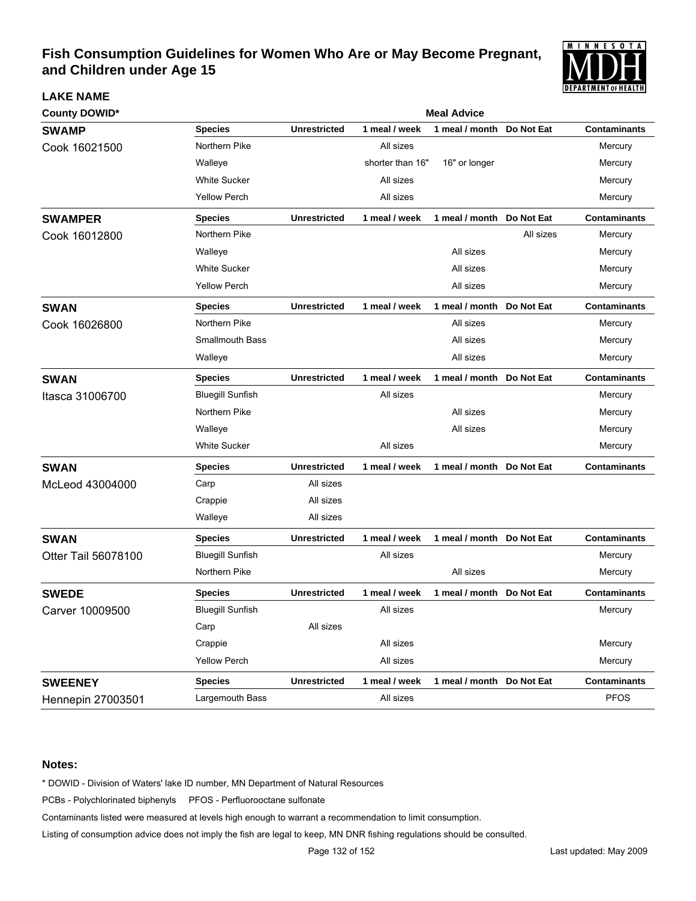

| <b>County DOWID*</b>       |                         | <b>Meal Advice</b>  |                  |                           |            |                     |  |  |  |
|----------------------------|-------------------------|---------------------|------------------|---------------------------|------------|---------------------|--|--|--|
| <b>SWAMP</b>               | <b>Species</b>          | <b>Unrestricted</b> | 1 meal / week    | 1 meal / month            | Do Not Eat | <b>Contaminants</b> |  |  |  |
| Cook 16021500              | Northern Pike           |                     | All sizes        |                           |            | Mercury             |  |  |  |
|                            | Walleye                 |                     | shorter than 16" | 16" or longer             |            | Mercury             |  |  |  |
|                            | <b>White Sucker</b>     |                     | All sizes        |                           |            | Mercury             |  |  |  |
|                            | <b>Yellow Perch</b>     |                     | All sizes        |                           |            | Mercury             |  |  |  |
| <b>SWAMPER</b>             | <b>Species</b>          | <b>Unrestricted</b> | 1 meal / week    | 1 meal / month Do Not Eat |            | <b>Contaminants</b> |  |  |  |
| Cook 16012800              | Northern Pike           |                     |                  |                           | All sizes  | Mercury             |  |  |  |
|                            | Walleye                 |                     |                  | All sizes                 |            | Mercury             |  |  |  |
|                            | <b>White Sucker</b>     |                     |                  | All sizes                 |            | Mercury             |  |  |  |
|                            | <b>Yellow Perch</b>     |                     |                  | All sizes                 |            | Mercury             |  |  |  |
| <b>SWAN</b>                | <b>Species</b>          | <b>Unrestricted</b> | 1 meal / week    | 1 meal / month Do Not Eat |            | <b>Contaminants</b> |  |  |  |
| Cook 16026800              | Northern Pike           |                     |                  | All sizes                 |            | Mercury             |  |  |  |
|                            | <b>Smallmouth Bass</b>  |                     |                  | All sizes                 |            | Mercury             |  |  |  |
|                            | Walleye                 |                     |                  | All sizes                 |            | Mercury             |  |  |  |
| <b>SWAN</b>                | <b>Species</b>          | <b>Unrestricted</b> | 1 meal / week    | 1 meal / month Do Not Eat |            | <b>Contaminants</b> |  |  |  |
| Itasca 31006700            | <b>Bluegill Sunfish</b> |                     | All sizes        |                           |            | Mercury             |  |  |  |
|                            | Northern Pike           |                     |                  | All sizes                 |            | Mercury             |  |  |  |
|                            | Walleye                 |                     |                  | All sizes                 |            | Mercury             |  |  |  |
|                            | White Sucker            |                     | All sizes        |                           |            | Mercury             |  |  |  |
| <b>SWAN</b>                | <b>Species</b>          | <b>Unrestricted</b> | 1 meal / week    | 1 meal / month Do Not Eat |            | <b>Contaminants</b> |  |  |  |
| McLeod 43004000            | Carp                    | All sizes           |                  |                           |            |                     |  |  |  |
|                            | Crappie                 | All sizes           |                  |                           |            |                     |  |  |  |
|                            | Walleye                 | All sizes           |                  |                           |            |                     |  |  |  |
| <b>SWAN</b>                | <b>Species</b>          | <b>Unrestricted</b> | 1 meal / week    | 1 meal / month Do Not Eat |            | <b>Contaminants</b> |  |  |  |
| <b>Otter Tail 56078100</b> | <b>Bluegill Sunfish</b> |                     | All sizes        |                           |            | Mercury             |  |  |  |
|                            | Northern Pike           |                     |                  | All sizes                 |            | Mercury             |  |  |  |
| <b>SWEDE</b>               | <b>Species</b>          | <b>Unrestricted</b> | 1 meal / week    | 1 meal / month Do Not Eat |            | <b>Contaminants</b> |  |  |  |
| Carver 10009500            | <b>Bluegill Sunfish</b> |                     | All sizes        |                           |            | Mercury             |  |  |  |
|                            | Carp                    | All sizes           |                  |                           |            |                     |  |  |  |
|                            | Crappie                 |                     | All sizes        |                           |            | Mercury             |  |  |  |
|                            | <b>Yellow Perch</b>     |                     | All sizes        |                           |            | Mercury             |  |  |  |
| <b>SWEENEY</b>             | <b>Species</b>          | <b>Unrestricted</b> | 1 meal / week    | 1 meal / month Do Not Eat |            | <b>Contaminants</b> |  |  |  |
| Hennepin 27003501          | Largemouth Bass         |                     | All sizes        |                           |            | <b>PFOS</b>         |  |  |  |

### **Notes:**

**LAKE NAME**

\* DOWID - Division of Waters' lake ID number, MN Department of Natural Resources

PCBs - Polychlorinated biphenyls PFOS - Perfluorooctane sulfonate

Contaminants listed were measured at levels high enough to warrant a recommendation to limit consumption.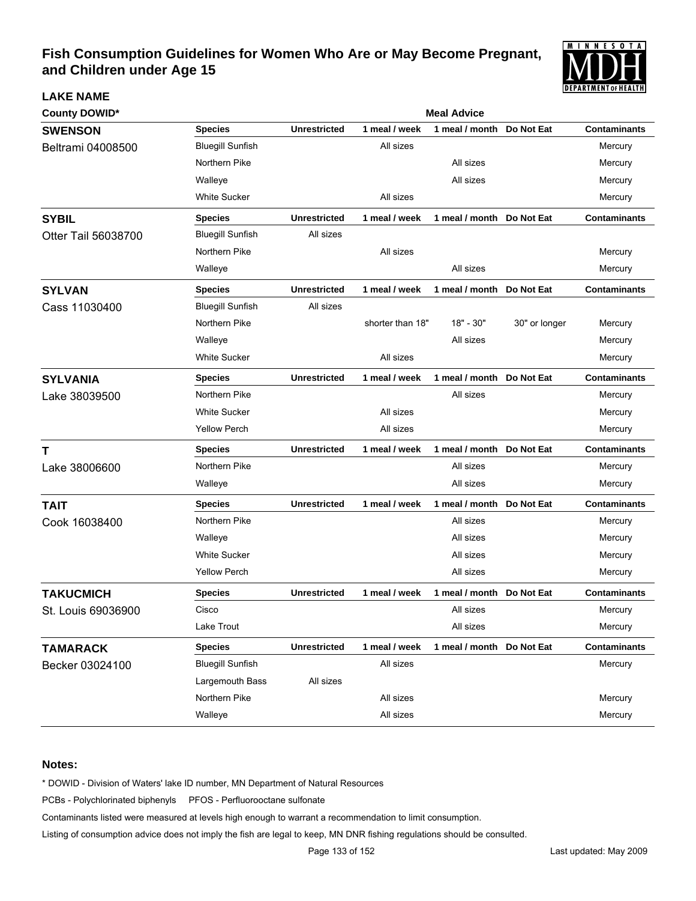

| <b>County DOWID*</b> | <b>Meal Advice</b>      |                     |                  |                           |               |                     |  |  |
|----------------------|-------------------------|---------------------|------------------|---------------------------|---------------|---------------------|--|--|
| <b>SWENSON</b>       | <b>Species</b>          | <b>Unrestricted</b> | 1 meal / week    | 1 meal / month            | Do Not Eat    | <b>Contaminants</b> |  |  |
| Beltrami 04008500    | <b>Bluegill Sunfish</b> |                     | All sizes        |                           |               | Mercury             |  |  |
|                      | Northern Pike           |                     |                  | All sizes                 |               | Mercury             |  |  |
|                      | Walleye                 |                     |                  | All sizes                 |               | Mercury             |  |  |
|                      | <b>White Sucker</b>     |                     | All sizes        |                           |               | Mercury             |  |  |
| <b>SYBIL</b>         | <b>Species</b>          | <b>Unrestricted</b> | 1 meal / week    | 1 meal / month Do Not Eat |               | <b>Contaminants</b> |  |  |
| Otter Tail 56038700  | <b>Bluegill Sunfish</b> | All sizes           |                  |                           |               |                     |  |  |
|                      | Northern Pike           |                     | All sizes        |                           |               | Mercury             |  |  |
|                      | Walleye                 |                     |                  | All sizes                 |               | Mercury             |  |  |
| <b>SYLVAN</b>        | <b>Species</b>          | <b>Unrestricted</b> | 1 meal / week    | 1 meal / month            | Do Not Eat    | Contaminants        |  |  |
| Cass 11030400        | <b>Bluegill Sunfish</b> | All sizes           |                  |                           |               |                     |  |  |
|                      | Northern Pike           |                     | shorter than 18" | 18" - 30"                 | 30" or longer | Mercury             |  |  |
|                      | Walleye                 |                     |                  | All sizes                 |               | Mercury             |  |  |
|                      | <b>White Sucker</b>     |                     | All sizes        |                           |               | Mercury             |  |  |
| <b>SYLVANIA</b>      | <b>Species</b>          | <b>Unrestricted</b> | 1 meal / week    | 1 meal / month            | Do Not Eat    | <b>Contaminants</b> |  |  |
| Lake 38039500        | Northern Pike           |                     |                  | All sizes                 |               | Mercury             |  |  |
|                      | <b>White Sucker</b>     |                     | All sizes        |                           |               | Mercury             |  |  |
|                      | <b>Yellow Perch</b>     |                     | All sizes        |                           |               | Mercury             |  |  |
| Т                    | <b>Species</b>          | <b>Unrestricted</b> | 1 meal / week    | 1 meal / month            | Do Not Eat    | <b>Contaminants</b> |  |  |
| Lake 38006600        | Northern Pike           |                     |                  | All sizes                 |               | Mercury             |  |  |
|                      | Walleye                 |                     |                  | All sizes                 |               | Mercury             |  |  |
| <b>TAIT</b>          | <b>Species</b>          | <b>Unrestricted</b> | 1 meal / week    | 1 meal / month            | Do Not Eat    | <b>Contaminants</b> |  |  |
| Cook 16038400        | Northern Pike           |                     |                  | All sizes                 |               | Mercury             |  |  |
|                      | Walleye                 |                     |                  | All sizes                 |               | Mercury             |  |  |
|                      | <b>White Sucker</b>     |                     |                  | All sizes                 |               | Mercury             |  |  |
|                      | <b>Yellow Perch</b>     |                     |                  | All sizes                 |               | Mercury             |  |  |
| <b>TAKUCMICH</b>     | <b>Species</b>          | <b>Unrestricted</b> | 1 meal / week    | 1 meal / month Do Not Eat |               | <b>Contaminants</b> |  |  |
| St. Louis 69036900   | Cisco                   |                     |                  | All sizes                 |               | Mercury             |  |  |
|                      | Lake Trout              |                     |                  | All sizes                 |               | Mercury             |  |  |
| <b>TAMARACK</b>      | <b>Species</b>          | <b>Unrestricted</b> | 1 meal / week    | 1 meal / month Do Not Eat |               | <b>Contaminants</b> |  |  |
| Becker 03024100      | <b>Bluegill Sunfish</b> |                     | All sizes        |                           |               | Mercury             |  |  |
|                      | Largemouth Bass         | All sizes           |                  |                           |               |                     |  |  |
|                      | Northern Pike           |                     | All sizes        |                           |               | Mercury             |  |  |
|                      | Walleye                 |                     | All sizes        |                           |               | Mercury             |  |  |

### **Notes:**

**LAKE NAME**

\* DOWID - Division of Waters' lake ID number, MN Department of Natural Resources

PCBs - Polychlorinated biphenyls PFOS - Perfluorooctane sulfonate

Contaminants listed were measured at levels high enough to warrant a recommendation to limit consumption.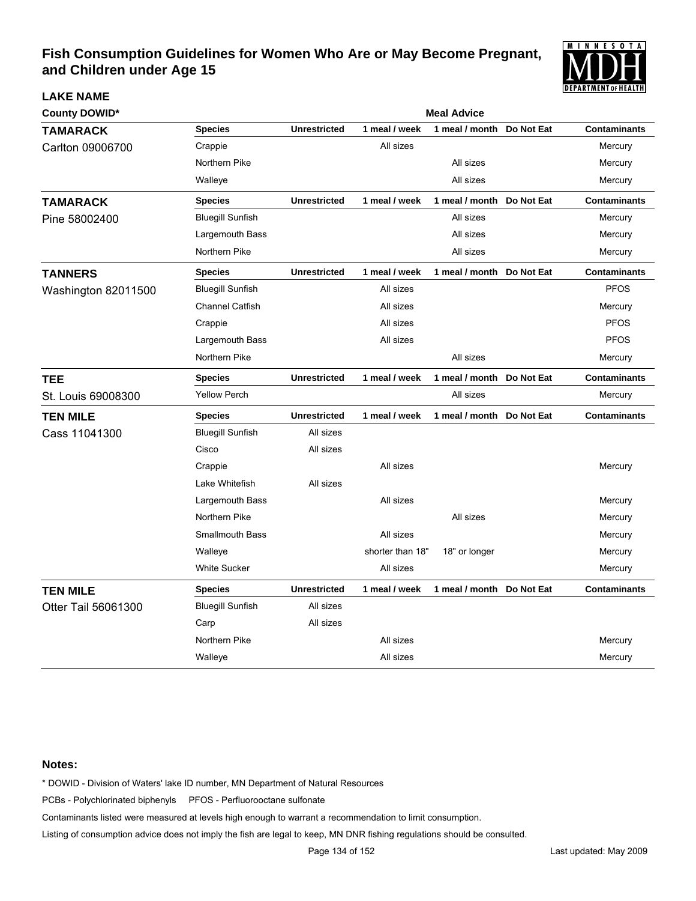

| <b>County DOWID*</b> |                         |                     |                  | <b>Meal Advice</b>        |            |                     |
|----------------------|-------------------------|---------------------|------------------|---------------------------|------------|---------------------|
| <b>TAMARACK</b>      | <b>Species</b>          | <b>Unrestricted</b> | 1 meal / week    | 1 meal / month            | Do Not Eat | <b>Contaminants</b> |
| Carlton 09006700     | Crappie                 |                     | All sizes        |                           |            | Mercury             |
|                      | Northern Pike           |                     |                  | All sizes                 |            | Mercury             |
|                      | Walleye                 |                     |                  | All sizes                 |            | Mercury             |
| <b>TAMARACK</b>      | <b>Species</b>          | <b>Unrestricted</b> | 1 meal / week    | 1 meal / month            | Do Not Eat | <b>Contaminants</b> |
| Pine 58002400        | <b>Bluegill Sunfish</b> |                     |                  | All sizes                 |            | Mercury             |
|                      | Largemouth Bass         |                     |                  | All sizes                 |            | Mercury             |
|                      | Northern Pike           |                     |                  | All sizes                 |            | Mercury             |
| <b>TANNERS</b>       | <b>Species</b>          | <b>Unrestricted</b> | 1 meal / week    | 1 meal / month            | Do Not Eat | <b>Contaminants</b> |
| Washington 82011500  | <b>Bluegill Sunfish</b> |                     | All sizes        |                           |            | <b>PFOS</b>         |
|                      | <b>Channel Catfish</b>  |                     | All sizes        |                           |            | Mercury             |
|                      | Crappie                 |                     | All sizes        |                           |            | <b>PFOS</b>         |
|                      | Largemouth Bass         |                     | All sizes        |                           |            | <b>PFOS</b>         |
|                      | Northern Pike           |                     |                  | All sizes                 |            | Mercury             |
| TEE                  | <b>Species</b>          | <b>Unrestricted</b> | 1 meal / week    | 1 meal / month Do Not Eat |            | <b>Contaminants</b> |
| St. Louis 69008300   | <b>Yellow Perch</b>     |                     |                  | All sizes                 |            | Mercury             |
| <b>TEN MILE</b>      | <b>Species</b>          | <b>Unrestricted</b> | 1 meal / week    | 1 meal / month Do Not Eat |            | <b>Contaminants</b> |
| Cass 11041300        | <b>Bluegill Sunfish</b> | All sizes           |                  |                           |            |                     |
|                      | Cisco                   | All sizes           |                  |                           |            |                     |
|                      | Crappie                 |                     | All sizes        |                           |            | Mercury             |
|                      | Lake Whitefish          | All sizes           |                  |                           |            |                     |
|                      | Largemouth Bass         |                     | All sizes        |                           |            | Mercury             |
|                      | Northern Pike           |                     |                  | All sizes                 |            | Mercury             |
|                      | <b>Smallmouth Bass</b>  |                     | All sizes        |                           |            | Mercury             |
|                      | Walleye                 |                     | shorter than 18" | 18" or longer             |            | Mercury             |
|                      | <b>White Sucker</b>     |                     | All sizes        |                           |            | Mercury             |
| <b>TEN MILE</b>      | <b>Species</b>          | <b>Unrestricted</b> | 1 meal / week    | 1 meal / month            | Do Not Eat | <b>Contaminants</b> |
| Otter Tail 56061300  | <b>Bluegill Sunfish</b> | All sizes           |                  |                           |            |                     |
|                      | Carp                    | All sizes           |                  |                           |            |                     |
|                      | Northern Pike           |                     | All sizes        |                           |            | Mercury             |
|                      | Walleye                 |                     | All sizes        |                           |            | Mercury             |

### **Notes:**

**LAKE NAME**

\* DOWID - Division of Waters' lake ID number, MN Department of Natural Resources

PCBs - Polychlorinated biphenyls PFOS - Perfluorooctane sulfonate

Contaminants listed were measured at levels high enough to warrant a recommendation to limit consumption.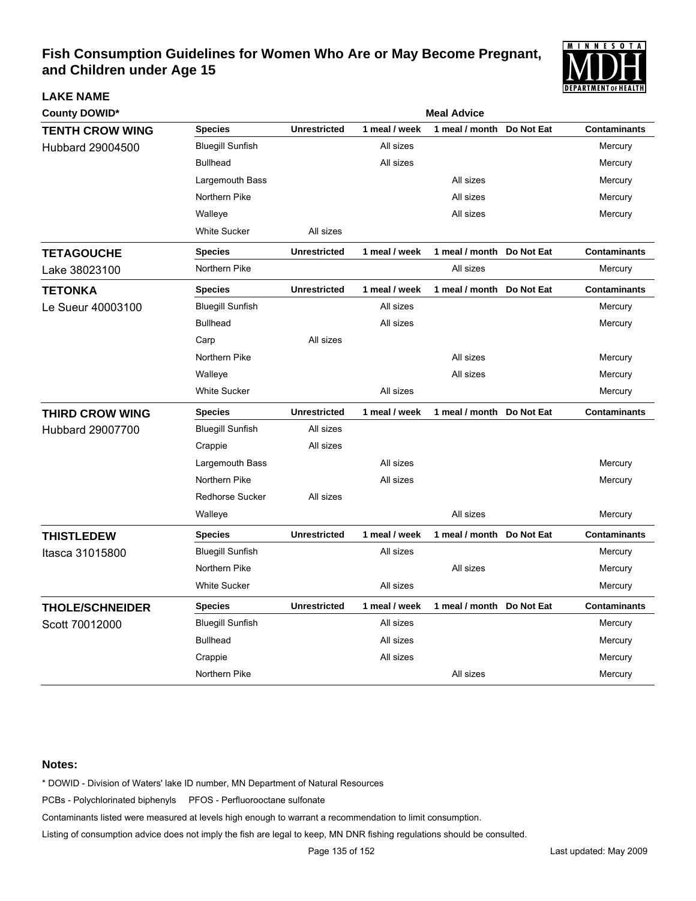

| <b>County DOWID*</b>   |                         | <b>Meal Advice</b>  |               |                           |            |                     |  |  |  |
|------------------------|-------------------------|---------------------|---------------|---------------------------|------------|---------------------|--|--|--|
| <b>TENTH CROW WING</b> | <b>Species</b>          | <b>Unrestricted</b> | 1 meal / week | 1 meal / month            | Do Not Eat | <b>Contaminants</b> |  |  |  |
| Hubbard 29004500       | <b>Bluegill Sunfish</b> |                     | All sizes     |                           |            | Mercury             |  |  |  |
|                        | <b>Bullhead</b>         |                     | All sizes     |                           |            | Mercury             |  |  |  |
|                        | Largemouth Bass         |                     |               | All sizes                 |            | Mercury             |  |  |  |
|                        | Northern Pike           |                     |               | All sizes                 |            | Mercury             |  |  |  |
|                        | Walleye                 |                     |               | All sizes                 |            | Mercury             |  |  |  |
|                        | <b>White Sucker</b>     | All sizes           |               |                           |            |                     |  |  |  |
| <b>TETAGOUCHE</b>      | <b>Species</b>          | <b>Unrestricted</b> | 1 meal / week | 1 meal / month Do Not Eat |            | <b>Contaminants</b> |  |  |  |
| Lake 38023100          | Northern Pike           |                     |               | All sizes                 |            | Mercury             |  |  |  |
| <b>TETONKA</b>         | <b>Species</b>          | <b>Unrestricted</b> | 1 meal / week | 1 meal / month Do Not Eat |            | <b>Contaminants</b> |  |  |  |
| Le Sueur 40003100      | <b>Bluegill Sunfish</b> |                     | All sizes     |                           |            | Mercury             |  |  |  |
|                        | <b>Bullhead</b>         |                     | All sizes     |                           |            | Mercury             |  |  |  |
|                        | Carp                    | All sizes           |               |                           |            |                     |  |  |  |
|                        | Northern Pike           |                     |               | All sizes                 |            | Mercury             |  |  |  |
|                        | Walleye                 |                     |               | All sizes                 |            | Mercury             |  |  |  |
|                        | <b>White Sucker</b>     |                     | All sizes     |                           |            | Mercury             |  |  |  |
| <b>THIRD CROW WING</b> | <b>Species</b>          | <b>Unrestricted</b> | 1 meal / week | 1 meal / month Do Not Eat |            | <b>Contaminants</b> |  |  |  |
| Hubbard 29007700       | <b>Bluegill Sunfish</b> | All sizes           |               |                           |            |                     |  |  |  |
|                        | Crappie                 | All sizes           |               |                           |            |                     |  |  |  |
|                        | Largemouth Bass         |                     | All sizes     |                           |            | Mercury             |  |  |  |
|                        | Northern Pike           |                     | All sizes     |                           |            | Mercury             |  |  |  |
|                        | <b>Redhorse Sucker</b>  | All sizes           |               |                           |            |                     |  |  |  |
|                        | Walleye                 |                     |               | All sizes                 |            | Mercury             |  |  |  |
| <b>THISTLEDEW</b>      | <b>Species</b>          | <b>Unrestricted</b> | 1 meal / week | 1 meal / month            | Do Not Eat | <b>Contaminants</b> |  |  |  |
| Itasca 31015800        | <b>Bluegill Sunfish</b> |                     | All sizes     |                           |            | Mercury             |  |  |  |
|                        | Northern Pike           |                     |               | All sizes                 |            | Mercury             |  |  |  |
|                        | <b>White Sucker</b>     |                     | All sizes     |                           |            | Mercury             |  |  |  |
| <b>THOLE/SCHNEIDER</b> | <b>Species</b>          | <b>Unrestricted</b> | 1 meal / week | 1 meal / month Do Not Eat |            | <b>Contaminants</b> |  |  |  |
| Scott 70012000         | <b>Bluegill Sunfish</b> |                     | All sizes     |                           |            | Mercury             |  |  |  |
|                        | <b>Bullhead</b>         |                     | All sizes     |                           |            | Mercury             |  |  |  |
|                        | Crappie                 |                     | All sizes     |                           |            | Mercury             |  |  |  |
|                        | Northern Pike           |                     |               | All sizes                 |            | Mercury             |  |  |  |

### **Notes:**

**LAKE NAME**

\* DOWID - Division of Waters' lake ID number, MN Department of Natural Resources

PCBs - Polychlorinated biphenyls PFOS - Perfluorooctane sulfonate

Contaminants listed were measured at levels high enough to warrant a recommendation to limit consumption.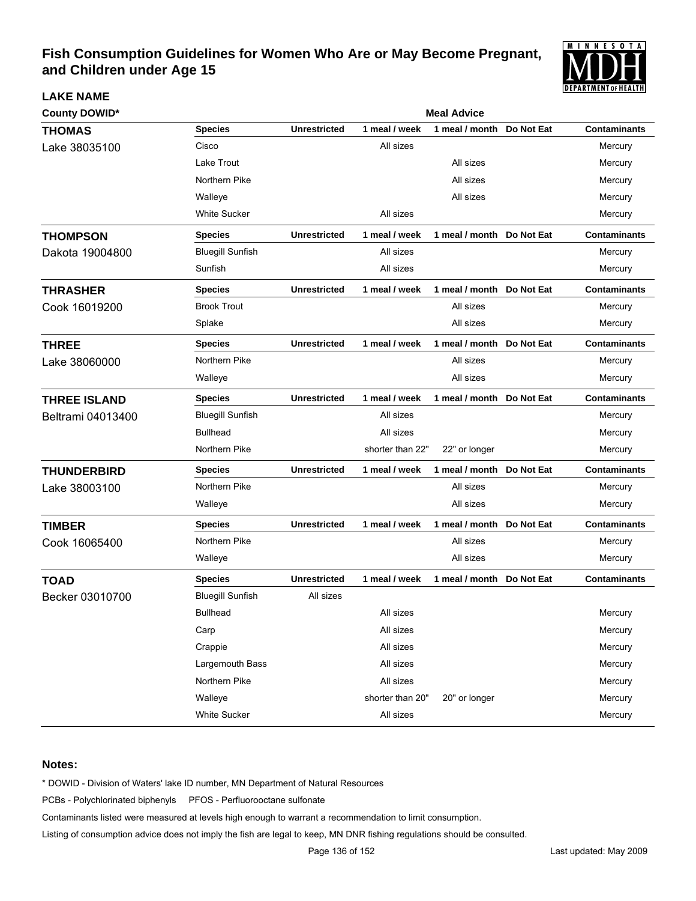

| <b>County DOWID*</b> |                         | <b>Meal Advice</b>  |                  |                           |            |                     |  |  |
|----------------------|-------------------------|---------------------|------------------|---------------------------|------------|---------------------|--|--|
| <b>THOMAS</b>        | <b>Species</b>          | <b>Unrestricted</b> | 1 meal / week    | 1 meal / month            | Do Not Eat | <b>Contaminants</b> |  |  |
| Lake 38035100        | Cisco                   |                     | All sizes        |                           |            | Mercury             |  |  |
|                      | Lake Trout              |                     |                  | All sizes                 |            | Mercury             |  |  |
|                      | Northern Pike           |                     |                  | All sizes                 |            | Mercury             |  |  |
|                      | Walleye                 |                     |                  | All sizes                 |            | Mercury             |  |  |
|                      | <b>White Sucker</b>     |                     | All sizes        |                           |            | Mercury             |  |  |
| <b>THOMPSON</b>      | <b>Species</b>          | <b>Unrestricted</b> | 1 meal / week    | 1 meal / month Do Not Eat |            | <b>Contaminants</b> |  |  |
| Dakota 19004800      | <b>Bluegill Sunfish</b> |                     | All sizes        |                           |            | Mercury             |  |  |
|                      | Sunfish                 |                     | All sizes        |                           |            | Mercury             |  |  |
| <b>THRASHER</b>      | <b>Species</b>          | <b>Unrestricted</b> | 1 meal / week    | 1 meal / month Do Not Eat |            | <b>Contaminants</b> |  |  |
| Cook 16019200        | <b>Brook Trout</b>      |                     |                  | All sizes                 |            | Mercury             |  |  |
|                      | Splake                  |                     |                  | All sizes                 |            | Mercury             |  |  |
| <b>THREE</b>         | <b>Species</b>          | <b>Unrestricted</b> | 1 meal / week    | 1 meal / month            | Do Not Eat | <b>Contaminants</b> |  |  |
| Lake 38060000        | Northern Pike           |                     |                  | All sizes                 |            | Mercury             |  |  |
|                      | Walleye                 |                     |                  | All sizes                 |            | Mercury             |  |  |
| <b>THREE ISLAND</b>  | <b>Species</b>          | <b>Unrestricted</b> | 1 meal / week    | 1 meal / month            | Do Not Eat | <b>Contaminants</b> |  |  |
| Beltrami 04013400    | <b>Bluegill Sunfish</b> |                     | All sizes        |                           |            | Mercury             |  |  |
|                      | <b>Bullhead</b>         |                     | All sizes        |                           |            | Mercury             |  |  |
|                      | Northern Pike           |                     | shorter than 22" | 22" or longer             |            | Mercury             |  |  |
| <b>THUNDERBIRD</b>   | <b>Species</b>          | <b>Unrestricted</b> | 1 meal / week    | 1 meal / month            | Do Not Eat | <b>Contaminants</b> |  |  |
| Lake 38003100        | Northern Pike           |                     |                  | All sizes                 |            | Mercury             |  |  |
|                      | Walleye                 |                     |                  | All sizes                 |            | Mercury             |  |  |
| <b>TIMBER</b>        | <b>Species</b>          | <b>Unrestricted</b> | 1 meal / week    | 1 meal / month            | Do Not Eat | <b>Contaminants</b> |  |  |
| Cook 16065400        | Northern Pike           |                     |                  | All sizes                 |            | Mercury             |  |  |
|                      | Walleye                 |                     |                  | All sizes                 |            | Mercury             |  |  |
| <b>TOAD</b>          | <b>Species</b>          | <b>Unrestricted</b> | 1 meal / week    | 1 meal / month Do Not Eat |            | <b>Contaminants</b> |  |  |
| Becker 03010700      | <b>Bluegill Sunfish</b> | All sizes           |                  |                           |            |                     |  |  |
|                      | <b>Bullhead</b>         |                     | All sizes        |                           |            | Mercury             |  |  |
|                      | Carp                    |                     | All sizes        |                           |            | Mercury             |  |  |
|                      | Crappie                 |                     | All sizes        |                           |            | Mercury             |  |  |
|                      | Largemouth Bass         |                     | All sizes        |                           |            | Mercury             |  |  |
|                      | Northern Pike           |                     | All sizes        |                           |            | Mercury             |  |  |
|                      | Walleye                 |                     | shorter than 20" | 20" or longer             |            | Mercury             |  |  |
|                      | White Sucker            |                     | All sizes        |                           |            | Mercury             |  |  |

### **Notes:**

**LAKE NAME**

\* DOWID - Division of Waters' lake ID number, MN Department of Natural Resources

PCBs - Polychlorinated biphenyls PFOS - Perfluorooctane sulfonate

Contaminants listed were measured at levels high enough to warrant a recommendation to limit consumption.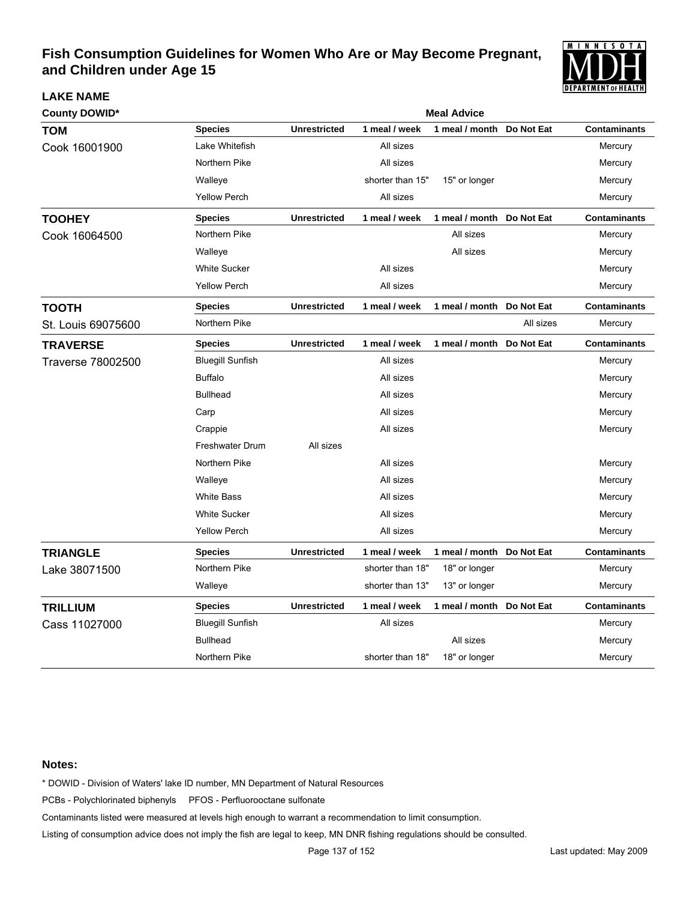

| <b>County DOWID*</b> |                         |                     |                  | <b>Meal Advice</b>        |            |                     |
|----------------------|-------------------------|---------------------|------------------|---------------------------|------------|---------------------|
| <b>TOM</b>           | <b>Species</b>          | <b>Unrestricted</b> | 1 meal / week    | 1 meal / month            | Do Not Eat | <b>Contaminants</b> |
| Cook 16001900        | Lake Whitefish          |                     | All sizes        |                           |            | Mercury             |
|                      | Northern Pike           |                     | All sizes        |                           |            | Mercury             |
|                      | Walleye                 |                     | shorter than 15" | 15" or longer             |            | Mercury             |
|                      | <b>Yellow Perch</b>     |                     | All sizes        |                           |            | Mercury             |
| <b>TOOHEY</b>        | <b>Species</b>          | <b>Unrestricted</b> | 1 meal / week    | 1 meal / month Do Not Eat |            | <b>Contaminants</b> |
| Cook 16064500        | Northern Pike           |                     |                  | All sizes                 |            | Mercury             |
|                      | Walleye                 |                     |                  | All sizes                 |            | Mercury             |
|                      | <b>White Sucker</b>     |                     | All sizes        |                           |            | Mercury             |
|                      | <b>Yellow Perch</b>     |                     | All sizes        |                           |            | Mercury             |
| <b>TOOTH</b>         | <b>Species</b>          | <b>Unrestricted</b> | 1 meal / week    | 1 meal / month            | Do Not Eat | <b>Contaminants</b> |
| St. Louis 69075600   | Northern Pike           |                     |                  |                           | All sizes  | Mercury             |
| <b>TRAVERSE</b>      | <b>Species</b>          | <b>Unrestricted</b> | 1 meal / week    | 1 meal / month            | Do Not Eat | <b>Contaminants</b> |
| Traverse 78002500    | <b>Bluegill Sunfish</b> |                     | All sizes        |                           |            | Mercury             |
|                      | <b>Buffalo</b>          |                     | All sizes        |                           |            | Mercury             |
|                      | <b>Bullhead</b>         |                     | All sizes        |                           |            | Mercury             |
|                      | Carp                    |                     | All sizes        |                           |            | Mercury             |
|                      | Crappie                 |                     | All sizes        |                           |            | Mercury             |
|                      | <b>Freshwater Drum</b>  | All sizes           |                  |                           |            |                     |
|                      | Northern Pike           |                     | All sizes        |                           |            | Mercury             |
|                      | Walleye                 |                     | All sizes        |                           |            | Mercury             |
|                      | <b>White Bass</b>       |                     | All sizes        |                           |            | Mercury             |
|                      | <b>White Sucker</b>     |                     | All sizes        |                           |            | Mercury             |
|                      | <b>Yellow Perch</b>     |                     | All sizes        |                           |            | Mercury             |
| <b>TRIANGLE</b>      | <b>Species</b>          | <b>Unrestricted</b> | 1 meal / week    | 1 meal / month Do Not Eat |            | <b>Contaminants</b> |
| Lake 38071500        | Northern Pike           |                     | shorter than 18" | 18" or longer             |            | Mercury             |
|                      | Walleye                 |                     | shorter than 13" | 13" or longer             |            | Mercury             |
| <b>TRILLIUM</b>      | <b>Species</b>          | <b>Unrestricted</b> | 1 meal / week    | 1 meal / month            | Do Not Eat | <b>Contaminants</b> |
| Cass 11027000        | <b>Bluegill Sunfish</b> |                     | All sizes        |                           |            | Mercury             |
|                      | <b>Bullhead</b>         |                     |                  | All sizes                 |            | Mercury             |
|                      | Northern Pike           |                     | shorter than 18" | 18" or longer             |            | Mercury             |

### **Notes:**

**LAKE NAME**

\* DOWID - Division of Waters' lake ID number, MN Department of Natural Resources

PCBs - Polychlorinated biphenyls PFOS - Perfluorooctane sulfonate

Contaminants listed were measured at levels high enough to warrant a recommendation to limit consumption.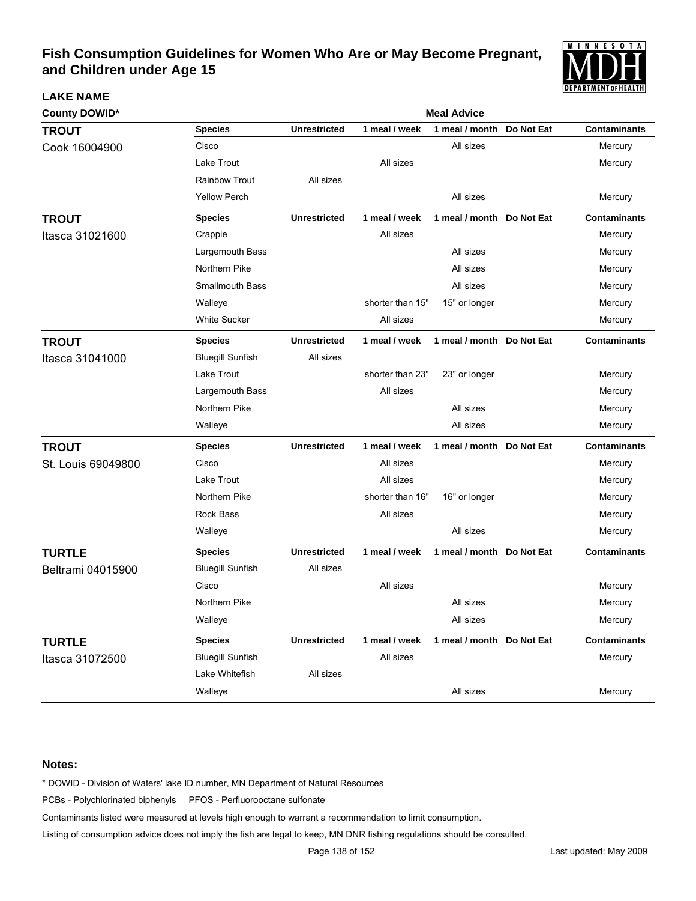

| <b>County DOWID*</b> |                         | <b>Meal Advice</b>  |                  |                           |            |                     |  |  |
|----------------------|-------------------------|---------------------|------------------|---------------------------|------------|---------------------|--|--|
| <b>TROUT</b>         | <b>Species</b>          | <b>Unrestricted</b> | 1 meal / week    | 1 meal / month            | Do Not Eat | <b>Contaminants</b> |  |  |
| Cook 16004900        | Cisco                   |                     |                  | All sizes                 |            | Mercury             |  |  |
|                      | Lake Trout              |                     | All sizes        |                           |            | Mercury             |  |  |
|                      | <b>Rainbow Trout</b>    | All sizes           |                  |                           |            |                     |  |  |
|                      | <b>Yellow Perch</b>     |                     |                  | All sizes                 |            | Mercury             |  |  |
| <b>TROUT</b>         | <b>Species</b>          | <b>Unrestricted</b> | 1 meal / week    | 1 meal / month Do Not Eat |            | <b>Contaminants</b> |  |  |
| Itasca 31021600      | Crappie                 |                     | All sizes        |                           |            | Mercury             |  |  |
|                      | Largemouth Bass         |                     |                  | All sizes                 |            | Mercury             |  |  |
|                      | Northern Pike           |                     |                  | All sizes                 |            | Mercury             |  |  |
|                      | Smallmouth Bass         |                     |                  | All sizes                 |            | Mercury             |  |  |
|                      | Walleye                 |                     | shorter than 15" | 15" or longer             |            | Mercury             |  |  |
|                      | <b>White Sucker</b>     |                     | All sizes        |                           |            | Mercury             |  |  |
| <b>TROUT</b>         | <b>Species</b>          | <b>Unrestricted</b> | 1 meal / week    | 1 meal / month Do Not Eat |            | <b>Contaminants</b> |  |  |
| Itasca 31041000      | <b>Bluegill Sunfish</b> | All sizes           |                  |                           |            |                     |  |  |
|                      | Lake Trout              |                     | shorter than 23" | 23" or longer             |            | Mercury             |  |  |
|                      | Largemouth Bass         |                     | All sizes        |                           |            | Mercury             |  |  |
|                      | Northern Pike           |                     |                  | All sizes                 |            | Mercury             |  |  |
|                      | Walleye                 |                     |                  | All sizes                 |            | Mercury             |  |  |
| <b>TROUT</b>         | <b>Species</b>          | <b>Unrestricted</b> | 1 meal / week    | 1 meal / month Do Not Eat |            | <b>Contaminants</b> |  |  |
| St. Louis 69049800   | Cisco                   |                     | All sizes        |                           |            | Mercury             |  |  |
|                      | Lake Trout              |                     | All sizes        |                           |            | Mercury             |  |  |
|                      | Northern Pike           |                     | shorter than 16" | 16" or longer             |            | Mercury             |  |  |
|                      | <b>Rock Bass</b>        |                     | All sizes        |                           |            | Mercury             |  |  |
|                      | Walleye                 |                     |                  | All sizes                 |            | Mercury             |  |  |
| <b>TURTLE</b>        | <b>Species</b>          | <b>Unrestricted</b> | 1 meal / week    | 1 meal / month Do Not Eat |            | <b>Contaminants</b> |  |  |
| Beltrami 04015900    | <b>Bluegill Sunfish</b> | All sizes           |                  |                           |            |                     |  |  |
|                      | Cisco                   |                     | All sizes        |                           |            | Mercury             |  |  |
|                      | Northern Pike           |                     |                  | All sizes                 |            | Mercury             |  |  |
|                      | Walleye                 |                     |                  | All sizes                 |            | Mercury             |  |  |
| <b>TURTLE</b>        | <b>Species</b>          | <b>Unrestricted</b> | 1 meal / week    | 1 meal / month Do Not Eat |            | <b>Contaminants</b> |  |  |
| Itasca 31072500      | <b>Bluegill Sunfish</b> |                     | All sizes        |                           |            | Mercury             |  |  |
|                      | Lake Whitefish          | All sizes           |                  |                           |            |                     |  |  |
|                      | Walleye                 |                     |                  | All sizes                 |            | Mercury             |  |  |

### **Notes:**

**LAKE NAME**

\* DOWID - Division of Waters' lake ID number, MN Department of Natural Resources

PCBs - Polychlorinated biphenyls PFOS - Perfluorooctane sulfonate

Contaminants listed were measured at levels high enough to warrant a recommendation to limit consumption.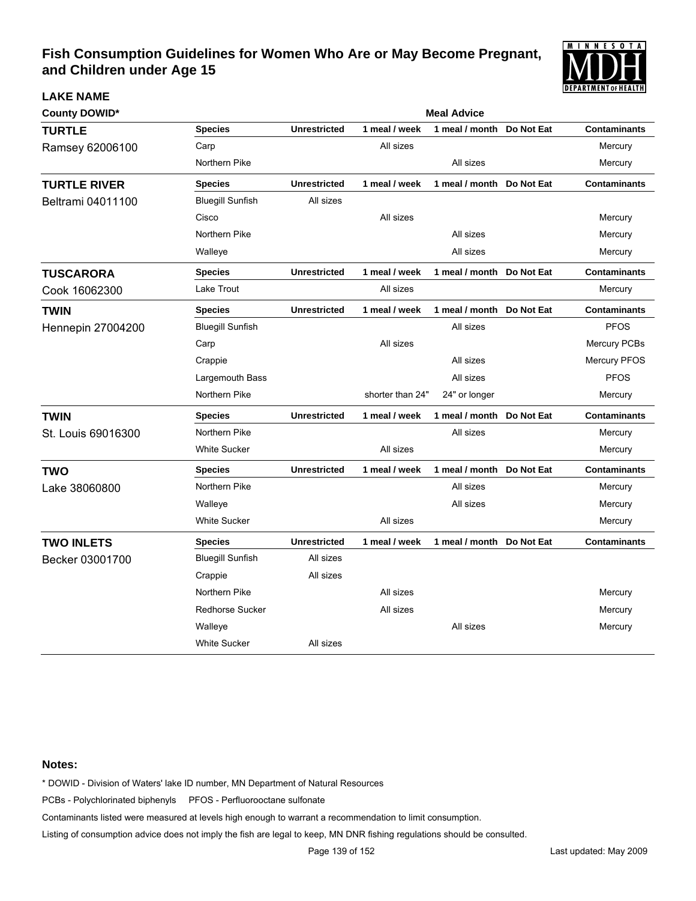

| <b>County DOWID*</b>     |                         | <b>Meal Advice</b>  |                  |                           |            |                     |  |  |
|--------------------------|-------------------------|---------------------|------------------|---------------------------|------------|---------------------|--|--|
| <b>TURTLE</b>            | <b>Species</b>          | <b>Unrestricted</b> | 1 meal / week    | 1 meal / month            | Do Not Eat | <b>Contaminants</b> |  |  |
| Ramsey 62006100          | Carp                    |                     | All sizes        |                           |            | Mercury             |  |  |
|                          | Northern Pike           |                     |                  | All sizes                 |            | Mercury             |  |  |
| <b>TURTLE RIVER</b>      | <b>Species</b>          | <b>Unrestricted</b> | 1 meal / week    | 1 meal / month            | Do Not Eat | <b>Contaminants</b> |  |  |
| Beltrami 04011100        | <b>Bluegill Sunfish</b> | All sizes           |                  |                           |            |                     |  |  |
|                          | Cisco                   |                     | All sizes        |                           |            | Mercury             |  |  |
|                          | Northern Pike           |                     |                  | All sizes                 |            | Mercury             |  |  |
|                          | Walleye                 |                     |                  | All sizes                 |            | Mercury             |  |  |
| <b>TUSCARORA</b>         | <b>Species</b>          | <b>Unrestricted</b> | 1 meal / week    | 1 meal / month Do Not Eat |            | <b>Contaminants</b> |  |  |
| Cook 16062300            | Lake Trout              |                     | All sizes        |                           |            | Mercury             |  |  |
| <b>TWIN</b>              | <b>Species</b>          | <b>Unrestricted</b> | 1 meal / week    | 1 meal / month Do Not Eat |            | <b>Contaminants</b> |  |  |
| <b>Hennepin 27004200</b> | <b>Bluegill Sunfish</b> |                     |                  | All sizes                 |            | <b>PFOS</b>         |  |  |
|                          | Carp                    |                     | All sizes        |                           |            | Mercury PCBs        |  |  |
|                          | Crappie                 |                     |                  | All sizes                 |            | Mercury PFOS        |  |  |
|                          | Largemouth Bass         |                     |                  | All sizes                 |            | <b>PFOS</b>         |  |  |
|                          | Northern Pike           |                     | shorter than 24" | 24" or longer             |            | Mercury             |  |  |
| <b>TWIN</b>              | <b>Species</b>          | <b>Unrestricted</b> | 1 meal / week    | 1 meal / month            | Do Not Eat | <b>Contaminants</b> |  |  |
| St. Louis 69016300       | Northern Pike           |                     |                  | All sizes                 |            | Mercury             |  |  |
|                          | <b>White Sucker</b>     |                     | All sizes        |                           |            | Mercury             |  |  |
| <b>TWO</b>               | <b>Species</b>          | <b>Unrestricted</b> | 1 meal / week    | 1 meal / month            | Do Not Eat | <b>Contaminants</b> |  |  |
| Lake 38060800            | Northern Pike           |                     |                  | All sizes                 |            | Mercury             |  |  |
|                          | Walleye                 |                     |                  | All sizes                 |            | Mercury             |  |  |
|                          | <b>White Sucker</b>     |                     | All sizes        |                           |            | Mercury             |  |  |
| <b>TWO INLETS</b>        | <b>Species</b>          | <b>Unrestricted</b> | 1 meal / week    | 1 meal / month Do Not Eat |            | <b>Contaminants</b> |  |  |
| Becker 03001700          | <b>Bluegill Sunfish</b> | All sizes           |                  |                           |            |                     |  |  |
|                          | Crappie                 | All sizes           |                  |                           |            |                     |  |  |
|                          | Northern Pike           |                     | All sizes        |                           |            | Mercury             |  |  |
|                          | <b>Redhorse Sucker</b>  |                     | All sizes        |                           |            | Mercury             |  |  |
|                          | Walleye                 |                     |                  | All sizes                 |            | Mercury             |  |  |
|                          | <b>White Sucker</b>     | All sizes           |                  |                           |            |                     |  |  |

### **Notes:**

**LAKE NAME**

\* DOWID - Division of Waters' lake ID number, MN Department of Natural Resources

PCBs - Polychlorinated biphenyls PFOS - Perfluorooctane sulfonate

Contaminants listed were measured at levels high enough to warrant a recommendation to limit consumption.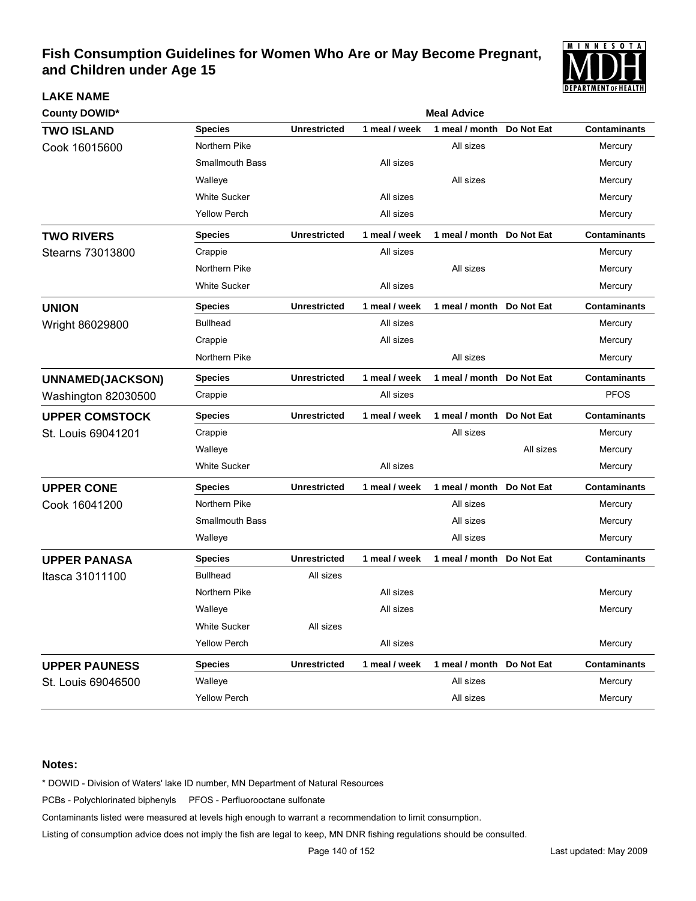

| <b>County DOWID*</b>    |                        |                     |               | <b>Meal Advice</b>        |            |                     |
|-------------------------|------------------------|---------------------|---------------|---------------------------|------------|---------------------|
| <b>TWO ISLAND</b>       | <b>Species</b>         | <b>Unrestricted</b> | 1 meal / week | 1 meal / month            | Do Not Eat | <b>Contaminants</b> |
| Cook 16015600           | Northern Pike          |                     |               | All sizes                 |            | Mercury             |
|                         | <b>Smallmouth Bass</b> |                     | All sizes     |                           |            | Mercury             |
|                         | Walleye                |                     |               | All sizes                 |            | Mercury             |
|                         | <b>White Sucker</b>    |                     | All sizes     |                           |            | Mercury             |
|                         | Yellow Perch           |                     | All sizes     |                           |            | Mercury             |
| <b>TWO RIVERS</b>       | <b>Species</b>         | <b>Unrestricted</b> | 1 meal / week | 1 meal / month Do Not Eat |            | <b>Contaminants</b> |
| Stearns 73013800        | Crappie                |                     | All sizes     |                           |            | Mercury             |
|                         | Northern Pike          |                     |               | All sizes                 |            | Mercury             |
|                         | <b>White Sucker</b>    |                     | All sizes     |                           |            | Mercury             |
| <b>UNION</b>            | <b>Species</b>         | <b>Unrestricted</b> | 1 meal / week | 1 meal / month Do Not Eat |            | <b>Contaminants</b> |
| Wright 86029800         | <b>Bullhead</b>        |                     | All sizes     |                           |            | Mercury             |
|                         | Crappie                |                     | All sizes     |                           |            | Mercury             |
|                         | Northern Pike          |                     |               | All sizes                 |            | Mercury             |
| <b>UNNAMED(JACKSON)</b> | <b>Species</b>         | <b>Unrestricted</b> | 1 meal / week | 1 meal / month            | Do Not Eat | <b>Contaminants</b> |
| Washington 82030500     | Crappie                |                     | All sizes     |                           |            | <b>PFOS</b>         |
| <b>UPPER COMSTOCK</b>   | <b>Species</b>         | <b>Unrestricted</b> | 1 meal / week | 1 meal / month Do Not Eat |            | <b>Contaminants</b> |
| St. Louis 69041201      | Crappie                |                     |               | All sizes                 |            | Mercury             |
|                         | Walleye                |                     |               |                           | All sizes  | Mercury             |
|                         | <b>White Sucker</b>    |                     | All sizes     |                           |            | Mercury             |
| <b>UPPER CONE</b>       | <b>Species</b>         | <b>Unrestricted</b> | 1 meal / week | 1 meal / month Do Not Eat |            | <b>Contaminants</b> |
| Cook 16041200           | Northern Pike          |                     |               | All sizes                 |            | Mercury             |
|                         | <b>Smallmouth Bass</b> |                     |               | All sizes                 |            | Mercury             |
|                         | Walleye                |                     |               | All sizes                 |            | Mercury             |
| <b>UPPER PANASA</b>     | <b>Species</b>         | <b>Unrestricted</b> | 1 meal / week | 1 meal / month Do Not Eat |            | <b>Contaminants</b> |
| Itasca 31011100         | <b>Bullhead</b>        | All sizes           |               |                           |            |                     |
|                         | Northern Pike          |                     | All sizes     |                           |            | Mercury             |
|                         | Walleye                |                     | All sizes     |                           |            | Mercury             |
|                         | White Sucker           | All sizes           |               |                           |            |                     |
|                         | <b>Yellow Perch</b>    |                     | All sizes     |                           |            | Mercury             |
| <b>UPPER PAUNESS</b>    | <b>Species</b>         | <b>Unrestricted</b> | 1 meal / week | 1 meal / month Do Not Eat |            | <b>Contaminants</b> |
| St. Louis 69046500      | Walleye                |                     |               | All sizes                 |            | Mercury             |
|                         | Yellow Perch           |                     |               | All sizes                 |            | Mercury             |

### **Notes:**

**LAKE NAME**

\* DOWID - Division of Waters' lake ID number, MN Department of Natural Resources

PCBs - Polychlorinated biphenyls PFOS - Perfluorooctane sulfonate

Contaminants listed were measured at levels high enough to warrant a recommendation to limit consumption.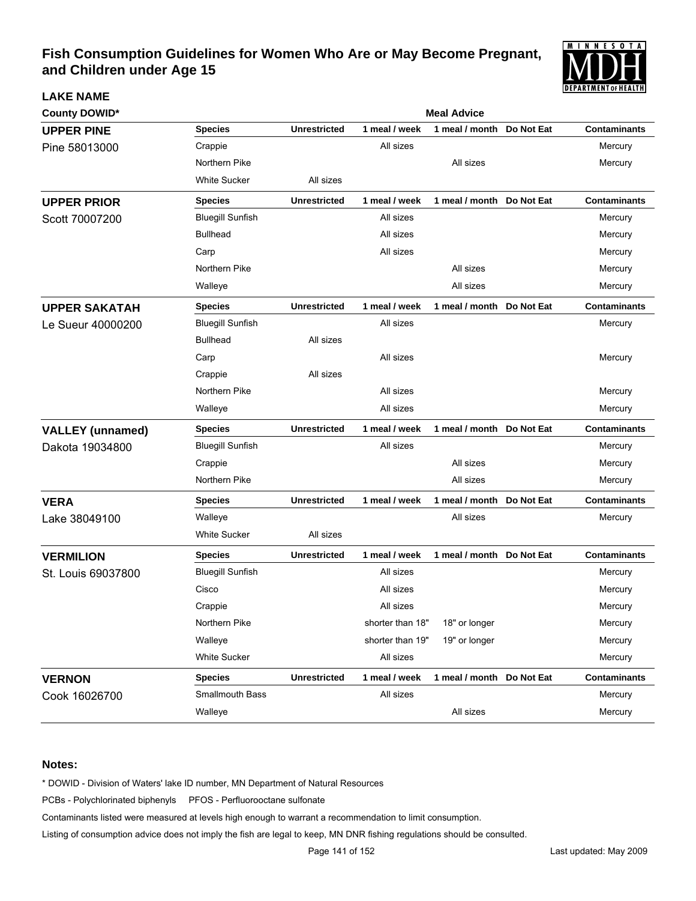

| <b>LAKE NAME</b>        |                         |                     |                  |                           |            | I PLEAN I MEN I VENE ALI N |  |
|-------------------------|-------------------------|---------------------|------------------|---------------------------|------------|----------------------------|--|
| <b>County DOWID*</b>    |                         | <b>Meal Advice</b>  |                  |                           |            |                            |  |
| <b>UPPER PINE</b>       | <b>Species</b>          | <b>Unrestricted</b> | 1 meal / week    | 1 meal / month            | Do Not Eat | <b>Contaminants</b>        |  |
| Pine 58013000           | Crappie                 |                     | All sizes        |                           |            | Mercury                    |  |
|                         | Northern Pike           |                     |                  | All sizes                 |            | Mercury                    |  |
|                         | <b>White Sucker</b>     | All sizes           |                  |                           |            |                            |  |
| <b>UPPER PRIOR</b>      | <b>Species</b>          | <b>Unrestricted</b> | 1 meal / week    | 1 meal / month            | Do Not Eat | <b>Contaminants</b>        |  |
| Scott 70007200          | <b>Bluegill Sunfish</b> |                     | All sizes        |                           |            | Mercury                    |  |
|                         | <b>Bullhead</b>         |                     | All sizes        |                           |            | Mercury                    |  |
|                         | Carp                    |                     | All sizes        |                           |            | Mercury                    |  |
|                         | Northern Pike           |                     |                  | All sizes                 |            | Mercury                    |  |
|                         | Walleye                 |                     |                  | All sizes                 |            | Mercury                    |  |
| <b>UPPER SAKATAH</b>    | <b>Species</b>          | <b>Unrestricted</b> | 1 meal / week    | 1 meal / month            | Do Not Eat | <b>Contaminants</b>        |  |
| Le Sueur 40000200       | <b>Bluegill Sunfish</b> |                     | All sizes        |                           |            | Mercury                    |  |
|                         | <b>Bullhead</b>         | All sizes           |                  |                           |            |                            |  |
|                         | Carp                    |                     | All sizes        |                           |            | Mercury                    |  |
|                         | Crappie                 | All sizes           |                  |                           |            |                            |  |
|                         | Northern Pike           |                     | All sizes        |                           |            | Mercury                    |  |
|                         | Walleye                 |                     | All sizes        |                           |            | Mercury                    |  |
| <b>VALLEY</b> (unnamed) | <b>Species</b>          | <b>Unrestricted</b> | 1 meal / week    | 1 meal / month Do Not Eat |            | <b>Contaminants</b>        |  |
| Dakota 19034800         | <b>Bluegill Sunfish</b> |                     | All sizes        |                           |            | Mercury                    |  |
|                         | Crappie                 |                     |                  | All sizes                 |            | Mercury                    |  |
|                         | Northern Pike           |                     |                  | All sizes                 |            | Mercury                    |  |
| <b>VERA</b>             | <b>Species</b>          | <b>Unrestricted</b> | 1 meal / week    | 1 meal / month            | Do Not Eat | <b>Contaminants</b>        |  |
| Lake 38049100           | Walleye                 |                     |                  | All sizes                 |            | Mercury                    |  |
|                         | <b>White Sucker</b>     | All sizes           |                  |                           |            |                            |  |
| <b>VERMILION</b>        | <b>Species</b>          | <b>Unrestricted</b> | 1 meal / week    | 1 meal / month            | Do Not Eat | <b>Contaminants</b>        |  |
| St. Louis 69037800      | <b>Bluegill Sunfish</b> |                     | All sizes        |                           |            | Mercury                    |  |
|                         | Cisco                   |                     | All sizes        |                           |            | Mercury                    |  |
|                         | Crappie                 |                     | All sizes        |                           |            | Mercury                    |  |
|                         | Northern Pike           |                     | shorter than 18" | 18" or longer             |            | Mercury                    |  |
|                         | Walleye                 |                     | shorter than 19" | 19" or longer             |            | Mercury                    |  |
|                         | <b>White Sucker</b>     |                     | All sizes        |                           |            | Mercury                    |  |
| <b>VERNON</b>           | <b>Species</b>          | <b>Unrestricted</b> | 1 meal / week    | 1 meal / month Do Not Eat |            | <b>Contaminants</b>        |  |
| Cook 16026700           | Smallmouth Bass         |                     | All sizes        |                           |            | Mercury                    |  |
|                         | Walleye                 |                     |                  | All sizes                 |            | Mercury                    |  |

### **Notes:**

\* DOWID - Division of Waters' lake ID number, MN Department of Natural Resources

PCBs - Polychlorinated biphenyls PFOS - Perfluorooctane sulfonate

Contaminants listed were measured at levels high enough to warrant a recommendation to limit consumption.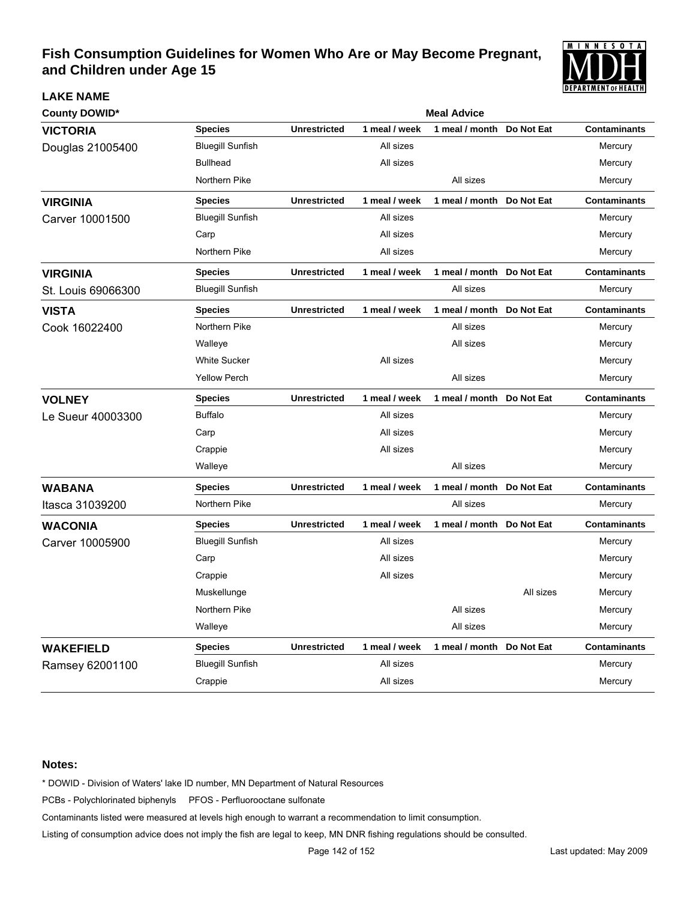

| <b>County DOWID*</b> |                         | <b>Meal Advice</b>  |               |                           |            |                     |  |  |  |
|----------------------|-------------------------|---------------------|---------------|---------------------------|------------|---------------------|--|--|--|
| <b>VICTORIA</b>      | <b>Species</b>          | <b>Unrestricted</b> | 1 meal / week | 1 meal / month            | Do Not Eat | <b>Contaminants</b> |  |  |  |
| Douglas 21005400     | <b>Bluegill Sunfish</b> |                     | All sizes     |                           |            | Mercury             |  |  |  |
|                      | <b>Bullhead</b>         |                     | All sizes     |                           |            | Mercury             |  |  |  |
|                      | Northern Pike           |                     |               | All sizes                 |            | Mercury             |  |  |  |
| <b>VIRGINIA</b>      | <b>Species</b>          | <b>Unrestricted</b> | 1 meal / week | 1 meal / month            | Do Not Eat | <b>Contaminants</b> |  |  |  |
| Carver 10001500      | <b>Bluegill Sunfish</b> |                     | All sizes     |                           |            | Mercury             |  |  |  |
|                      | Carp                    |                     | All sizes     |                           |            | Mercury             |  |  |  |
|                      | Northern Pike           |                     | All sizes     |                           |            | Mercury             |  |  |  |
| <b>VIRGINIA</b>      | <b>Species</b>          | <b>Unrestricted</b> | 1 meal / week | 1 meal / month Do Not Eat |            | <b>Contaminants</b> |  |  |  |
| St. Louis 69066300   | <b>Bluegill Sunfish</b> |                     |               | All sizes                 |            | Mercury             |  |  |  |
| <b>VISTA</b>         | <b>Species</b>          | <b>Unrestricted</b> | 1 meal / week | 1 meal / month            | Do Not Eat | <b>Contaminants</b> |  |  |  |
| Cook 16022400        | Northern Pike           |                     |               | All sizes                 |            | Mercury             |  |  |  |
|                      | Walleye                 |                     |               | All sizes                 |            | Mercury             |  |  |  |
|                      | <b>White Sucker</b>     |                     | All sizes     |                           |            | Mercury             |  |  |  |
|                      | <b>Yellow Perch</b>     |                     |               | All sizes                 |            | Mercury             |  |  |  |
| <b>VOLNEY</b>        | <b>Species</b>          | <b>Unrestricted</b> | 1 meal / week | 1 meal / month Do Not Eat |            | <b>Contaminants</b> |  |  |  |
| Le Sueur 40003300    | <b>Buffalo</b>          |                     | All sizes     |                           |            | Mercury             |  |  |  |
|                      | Carp                    |                     | All sizes     |                           |            | Mercury             |  |  |  |
|                      | Crappie                 |                     | All sizes     |                           |            | Mercury             |  |  |  |
|                      | Walleye                 |                     |               | All sizes                 |            | Mercury             |  |  |  |
| <b>WABANA</b>        | <b>Species</b>          | <b>Unrestricted</b> | 1 meal / week | 1 meal / month            | Do Not Eat | <b>Contaminants</b> |  |  |  |
| Itasca 31039200      | Northern Pike           |                     |               | All sizes                 |            | Mercury             |  |  |  |
| <b>WACONIA</b>       | <b>Species</b>          | <b>Unrestricted</b> | 1 meal / week | 1 meal / month            | Do Not Eat | <b>Contaminants</b> |  |  |  |
| Carver 10005900      | <b>Bluegill Sunfish</b> |                     | All sizes     |                           |            | Mercury             |  |  |  |
|                      | Carp                    |                     | All sizes     |                           |            | Mercury             |  |  |  |
|                      | Crappie                 |                     | All sizes     |                           |            | Mercury             |  |  |  |
|                      | Muskellunge             |                     |               |                           | All sizes  | Mercury             |  |  |  |
|                      | Northern Pike           |                     |               | All sizes                 |            | Mercury             |  |  |  |
|                      | Walleye                 |                     |               | All sizes                 |            | Mercury             |  |  |  |
| <b>WAKEFIELD</b>     | <b>Species</b>          | <b>Unrestricted</b> | 1 meal / week | 1 meal / month            | Do Not Eat | <b>Contaminants</b> |  |  |  |
| Ramsey 62001100      | <b>Bluegill Sunfish</b> |                     | All sizes     |                           |            | Mercury             |  |  |  |
|                      | Crappie                 |                     | All sizes     |                           |            | Mercury             |  |  |  |

#### **Notes:**

**LAKE NAME**

\* DOWID - Division of Waters' lake ID number, MN Department of Natural Resources

PCBs - Polychlorinated biphenyls PFOS - Perfluorooctane sulfonate

Contaminants listed were measured at levels high enough to warrant a recommendation to limit consumption.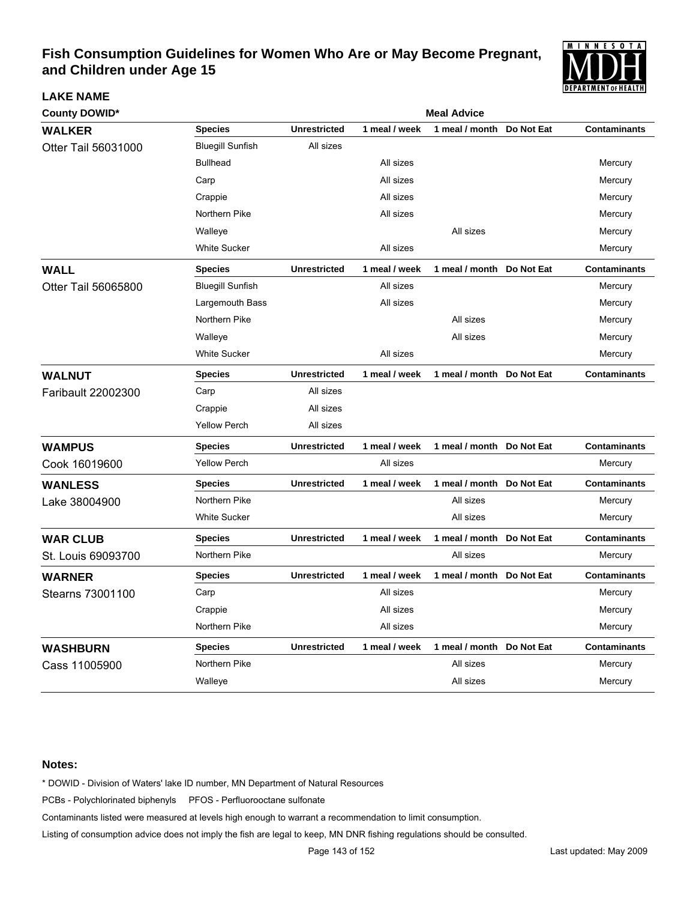

| <b>County DOWID*</b> | <b>Meal Advice</b>      |                     |               |                           |            |                     |  |  |
|----------------------|-------------------------|---------------------|---------------|---------------------------|------------|---------------------|--|--|
| <b>WALKER</b>        | <b>Species</b>          | <b>Unrestricted</b> | 1 meal / week | 1 meal / month            | Do Not Eat | <b>Contaminants</b> |  |  |
| Otter Tail 56031000  | <b>Bluegill Sunfish</b> | All sizes           |               |                           |            |                     |  |  |
|                      | <b>Bullhead</b>         |                     | All sizes     |                           |            | Mercury             |  |  |
|                      | Carp                    |                     | All sizes     |                           |            | Mercury             |  |  |
|                      | Crappie                 |                     | All sizes     |                           |            | Mercury             |  |  |
|                      | Northern Pike           |                     | All sizes     |                           |            | Mercury             |  |  |
|                      | Walleye                 |                     |               | All sizes                 |            | Mercury             |  |  |
|                      | White Sucker            |                     | All sizes     |                           |            | Mercury             |  |  |
| <b>WALL</b>          | <b>Species</b>          | <b>Unrestricted</b> | 1 meal / week | 1 meal / month            | Do Not Eat | <b>Contaminants</b> |  |  |
| Otter Tail 56065800  | <b>Bluegill Sunfish</b> |                     | All sizes     |                           |            | Mercury             |  |  |
|                      | Largemouth Bass         |                     | All sizes     |                           |            | Mercury             |  |  |
|                      | Northern Pike           |                     |               | All sizes                 |            | Mercury             |  |  |
|                      | Walleye                 |                     |               | All sizes                 |            | Mercury             |  |  |
|                      | <b>White Sucker</b>     |                     | All sizes     |                           |            | Mercury             |  |  |
| <b>WALNUT</b>        | <b>Species</b>          | <b>Unrestricted</b> | 1 meal / week | 1 meal / month Do Not Eat |            | <b>Contaminants</b> |  |  |
| Faribault 22002300   | Carp                    | All sizes           |               |                           |            |                     |  |  |
|                      | Crappie                 | All sizes           |               |                           |            |                     |  |  |
|                      | <b>Yellow Perch</b>     | All sizes           |               |                           |            |                     |  |  |
| <b>WAMPUS</b>        | <b>Species</b>          | <b>Unrestricted</b> | 1 meal / week | 1 meal / month Do Not Eat |            | <b>Contaminants</b> |  |  |
| Cook 16019600        | <b>Yellow Perch</b>     |                     | All sizes     |                           |            | Mercury             |  |  |
| <b>WANLESS</b>       | <b>Species</b>          | <b>Unrestricted</b> | 1 meal / week | 1 meal / month            | Do Not Eat | <b>Contaminants</b> |  |  |
| Lake 38004900        | Northern Pike           |                     |               | All sizes                 |            | Mercury             |  |  |
|                      | <b>White Sucker</b>     |                     |               | All sizes                 |            | Mercury             |  |  |
| <b>WAR CLUB</b>      | <b>Species</b>          | <b>Unrestricted</b> | 1 meal / week | 1 meal / month            | Do Not Eat | <b>Contaminants</b> |  |  |
| St. Louis 69093700   | Northern Pike           |                     |               | All sizes                 |            | Mercury             |  |  |
| <b>WARNER</b>        | <b>Species</b>          | <b>Unrestricted</b> | 1 meal / week | 1 meal / month Do Not Eat |            | <b>Contaminants</b> |  |  |
| Stearns 73001100     | Carp                    |                     | All sizes     |                           |            | Mercury             |  |  |
|                      | Crappie                 |                     | All sizes     |                           |            | Mercury             |  |  |
|                      | Northern Pike           |                     | All sizes     |                           |            | Mercury             |  |  |
| <b>WASHBURN</b>      | <b>Species</b>          | <b>Unrestricted</b> | 1 meal / week | 1 meal / month Do Not Eat |            | <b>Contaminants</b> |  |  |
| Cass 11005900        | Northern Pike           |                     |               | All sizes                 |            | Mercury             |  |  |
|                      | Walleye                 |                     |               | All sizes                 |            | Mercury             |  |  |

### **Notes:**

**LAKE NAME**

\* DOWID - Division of Waters' lake ID number, MN Department of Natural Resources

PCBs - Polychlorinated biphenyls PFOS - Perfluorooctane sulfonate

Contaminants listed were measured at levels high enough to warrant a recommendation to limit consumption.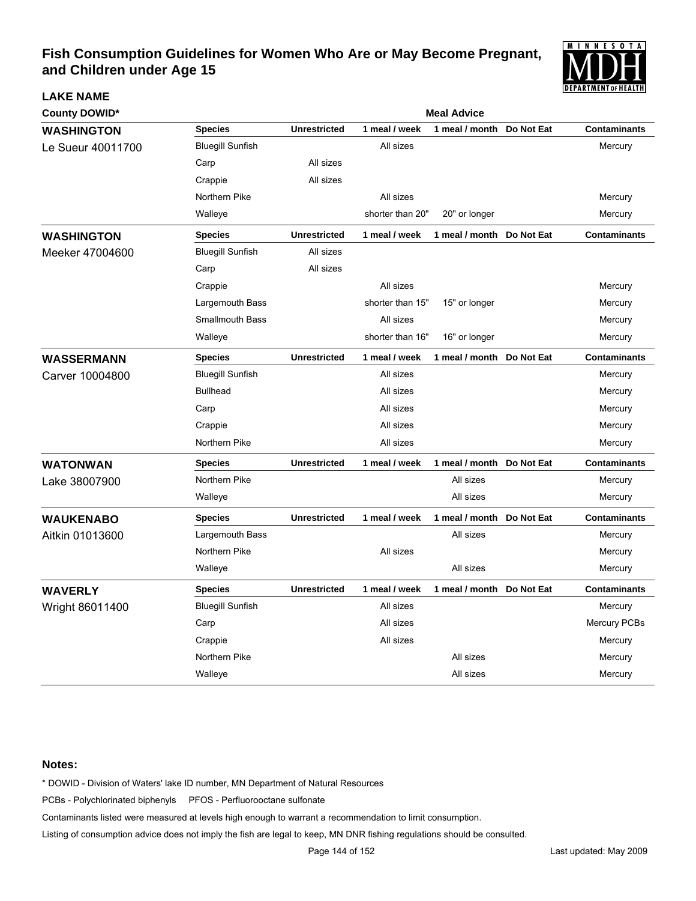

| <b>County DOWID*</b> |                         | <b>Meal Advice</b>  |                  |                |            |                     |  |  |
|----------------------|-------------------------|---------------------|------------------|----------------|------------|---------------------|--|--|
| <b>WASHINGTON</b>    | <b>Species</b>          | <b>Unrestricted</b> | 1 meal / week    | 1 meal / month | Do Not Eat | <b>Contaminants</b> |  |  |
| Le Sueur 40011700    | <b>Bluegill Sunfish</b> |                     | All sizes        |                |            | Mercury             |  |  |
|                      | Carp                    | All sizes           |                  |                |            |                     |  |  |
|                      | Crappie                 | All sizes           |                  |                |            |                     |  |  |
|                      | Northern Pike           |                     | All sizes        |                |            | Mercury             |  |  |
|                      | Walleye                 |                     | shorter than 20" | 20" or longer  |            | Mercury             |  |  |
| <b>WASHINGTON</b>    | <b>Species</b>          | <b>Unrestricted</b> | 1 meal / week    | 1 meal / month | Do Not Eat | <b>Contaminants</b> |  |  |
| Meeker 47004600      | <b>Bluegill Sunfish</b> | All sizes           |                  |                |            |                     |  |  |
|                      | Carp                    | All sizes           |                  |                |            |                     |  |  |
|                      | Crappie                 |                     | All sizes        |                |            | Mercury             |  |  |
|                      | Largemouth Bass         |                     | shorter than 15" | 15" or longer  |            | Mercury             |  |  |
|                      | <b>Smallmouth Bass</b>  |                     | All sizes        |                |            | Mercury             |  |  |
|                      | Walleye                 |                     | shorter than 16" | 16" or longer  |            | Mercury             |  |  |
| <b>WASSERMANN</b>    | <b>Species</b>          | <b>Unrestricted</b> | 1 meal / week    | 1 meal / month | Do Not Eat | <b>Contaminants</b> |  |  |
| Carver 10004800      | <b>Bluegill Sunfish</b> |                     | All sizes        |                |            | Mercury             |  |  |
|                      | <b>Bullhead</b>         |                     | All sizes        |                |            | Mercury             |  |  |
|                      | Carp                    |                     | All sizes        |                |            | Mercury             |  |  |
|                      | Crappie                 |                     | All sizes        |                |            | Mercury             |  |  |
|                      | Northern Pike           |                     | All sizes        |                |            | Mercury             |  |  |
| <b>WATONWAN</b>      | <b>Species</b>          | <b>Unrestricted</b> | 1 meal / week    | 1 meal / month | Do Not Eat | <b>Contaminants</b> |  |  |
| Lake 38007900        | Northern Pike           |                     |                  | All sizes      |            | Mercury             |  |  |
|                      | Walleye                 |                     |                  | All sizes      |            | Mercury             |  |  |
| <b>WAUKENABO</b>     | <b>Species</b>          | <b>Unrestricted</b> | 1 meal / week    | 1 meal / month | Do Not Eat | <b>Contaminants</b> |  |  |
| Aitkin 01013600      | Largemouth Bass         |                     |                  | All sizes      |            | Mercury             |  |  |
|                      | Northern Pike           |                     | All sizes        |                |            | Mercury             |  |  |
|                      | Walleye                 |                     |                  | All sizes      |            | Mercury             |  |  |
| <b>WAVERLY</b>       | <b>Species</b>          | <b>Unrestricted</b> | 1 meal / week    | 1 meal / month | Do Not Eat | <b>Contaminants</b> |  |  |
| Wright 86011400      | <b>Bluegill Sunfish</b> |                     | All sizes        |                |            | Mercury             |  |  |
|                      | Carp                    |                     | All sizes        |                |            | <b>Mercury PCBs</b> |  |  |
|                      | Crappie                 |                     | All sizes        |                |            | Mercury             |  |  |
|                      | Northern Pike           |                     |                  | All sizes      |            | Mercury             |  |  |
|                      | Walleye                 |                     |                  | All sizes      |            | Mercury             |  |  |

### **Notes:**

**LAKE NAME**

\* DOWID - Division of Waters' lake ID number, MN Department of Natural Resources

PCBs - Polychlorinated biphenyls PFOS - Perfluorooctane sulfonate

Contaminants listed were measured at levels high enough to warrant a recommendation to limit consumption.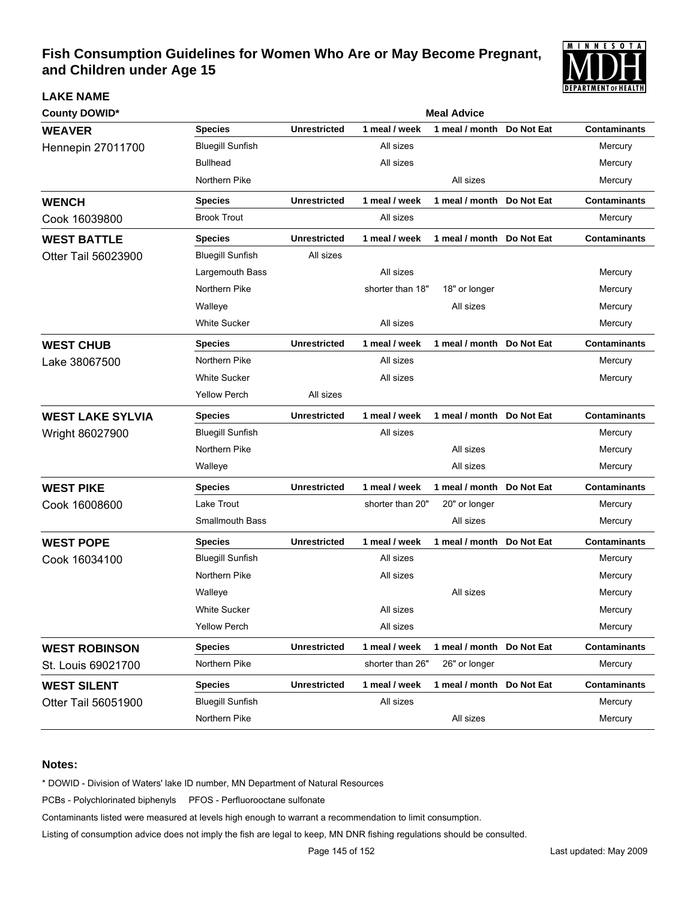

| <b>County DOWID*</b>     |                         | <b>Meal Advice</b>  |                  |                           |            |                     |  |  |  |
|--------------------------|-------------------------|---------------------|------------------|---------------------------|------------|---------------------|--|--|--|
| <b>WEAVER</b>            | <b>Species</b>          | <b>Unrestricted</b> | 1 meal / week    | 1 meal / month            | Do Not Eat | <b>Contaminants</b> |  |  |  |
| <b>Hennepin 27011700</b> | <b>Bluegill Sunfish</b> |                     | All sizes        |                           |            | Mercury             |  |  |  |
|                          | <b>Bullhead</b>         |                     | All sizes        |                           |            | Mercury             |  |  |  |
|                          | Northern Pike           |                     |                  | All sizes                 |            | Mercury             |  |  |  |
| <b>WENCH</b>             | <b>Species</b>          | <b>Unrestricted</b> | 1 meal / week    | 1 meal / month Do Not Eat |            | <b>Contaminants</b> |  |  |  |
| Cook 16039800            | <b>Brook Trout</b>      |                     | All sizes        |                           |            | Mercury             |  |  |  |
| <b>WEST BATTLE</b>       | <b>Species</b>          | <b>Unrestricted</b> | 1 meal / week    | 1 meal / month Do Not Eat |            | <b>Contaminants</b> |  |  |  |
| Otter Tail 56023900      | <b>Bluegill Sunfish</b> | All sizes           |                  |                           |            |                     |  |  |  |
|                          | Largemouth Bass         |                     | All sizes        |                           |            | Mercury             |  |  |  |
|                          | Northern Pike           |                     | shorter than 18" | 18" or longer             |            | Mercury             |  |  |  |
|                          | Walleye                 |                     |                  | All sizes                 |            | Mercury             |  |  |  |
|                          | <b>White Sucker</b>     |                     | All sizes        |                           |            | Mercury             |  |  |  |
| <b>WEST CHUB</b>         | <b>Species</b>          | <b>Unrestricted</b> | 1 meal / week    | 1 meal / month Do Not Eat |            | <b>Contaminants</b> |  |  |  |
| Lake 38067500            | Northern Pike           |                     | All sizes        |                           |            | Mercury             |  |  |  |
|                          | <b>White Sucker</b>     |                     | All sizes        |                           |            | Mercury             |  |  |  |
|                          | <b>Yellow Perch</b>     | All sizes           |                  |                           |            |                     |  |  |  |
| <b>WEST LAKE SYLVIA</b>  | <b>Species</b>          | <b>Unrestricted</b> | 1 meal / week    | 1 meal / month Do Not Eat |            | <b>Contaminants</b> |  |  |  |
| Wright 86027900          | <b>Bluegill Sunfish</b> |                     | All sizes        |                           |            | Mercury             |  |  |  |
|                          | Northern Pike           |                     |                  | All sizes                 |            | Mercury             |  |  |  |
|                          | Walleye                 |                     |                  | All sizes                 |            | Mercury             |  |  |  |
| <b>WEST PIKE</b>         | <b>Species</b>          | <b>Unrestricted</b> | 1 meal / week    | 1 meal / month Do Not Eat |            | <b>Contaminants</b> |  |  |  |
| Cook 16008600            | Lake Trout              |                     | shorter than 20" | 20" or longer             |            | Mercury             |  |  |  |
|                          | <b>Smallmouth Bass</b>  |                     |                  | All sizes                 |            | Mercury             |  |  |  |
| <b>WEST POPE</b>         | <b>Species</b>          | <b>Unrestricted</b> | 1 meal / week    | 1 meal / month            | Do Not Eat | <b>Contaminants</b> |  |  |  |
| Cook 16034100            | <b>Bluegill Sunfish</b> |                     | All sizes        |                           |            | Mercury             |  |  |  |
|                          | Northern Pike           |                     | All sizes        |                           |            | Mercury             |  |  |  |
|                          | Walleye                 |                     |                  | All sizes                 |            | Mercury             |  |  |  |
|                          | <b>White Sucker</b>     |                     | All sizes        |                           |            | Mercury             |  |  |  |
|                          | <b>Yellow Perch</b>     |                     | All sizes        |                           |            | Mercury             |  |  |  |
| <b>WEST ROBINSON</b>     | <b>Species</b>          | <b>Unrestricted</b> | 1 meal / week    | 1 meal / month Do Not Eat |            | <b>Contaminants</b> |  |  |  |
| St. Louis 69021700       | Northern Pike           |                     | shorter than 26" | 26" or longer             |            | Mercury             |  |  |  |
| <b>WEST SILENT</b>       | <b>Species</b>          | <b>Unrestricted</b> | 1 meal / week    | 1 meal / month Do Not Eat |            | <b>Contaminants</b> |  |  |  |
| Otter Tail 56051900      | <b>Bluegill Sunfish</b> |                     | All sizes        |                           |            | Mercury             |  |  |  |
|                          | Northern Pike           |                     |                  | All sizes                 |            | Mercury             |  |  |  |

#### **Notes:**

**LAKE NAME**

\* DOWID - Division of Waters' lake ID number, MN Department of Natural Resources

PCBs - Polychlorinated biphenyls PFOS - Perfluorooctane sulfonate

Contaminants listed were measured at levels high enough to warrant a recommendation to limit consumption.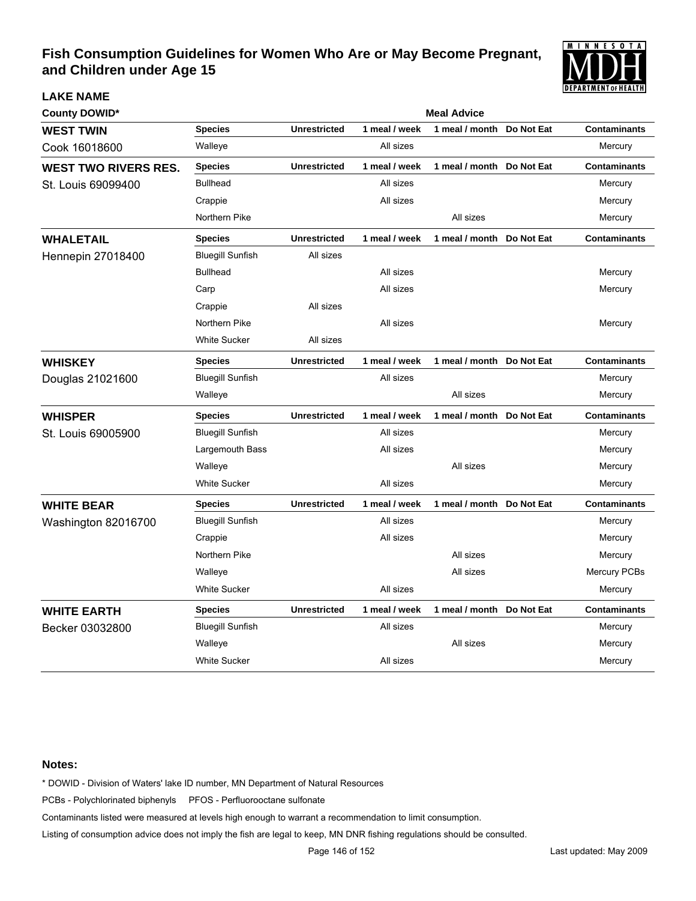

| <b>County DOWID*</b>        |                         | <b>Meal Advice</b>  |               |                           |            |                     |  |
|-----------------------------|-------------------------|---------------------|---------------|---------------------------|------------|---------------------|--|
| <b>WEST TWIN</b>            | <b>Species</b>          | <b>Unrestricted</b> | 1 meal / week | 1 meal / month            | Do Not Eat | <b>Contaminants</b> |  |
| Cook 16018600               | Walleye                 |                     | All sizes     |                           |            | Mercury             |  |
| <b>WEST TWO RIVERS RES.</b> | <b>Species</b>          | <b>Unrestricted</b> | 1 meal / week | 1 meal / month Do Not Eat |            | <b>Contaminants</b> |  |
| St. Louis 69099400          | <b>Bullhead</b>         |                     | All sizes     |                           |            | Mercury             |  |
|                             | Crappie                 |                     | All sizes     |                           |            | Mercury             |  |
|                             | Northern Pike           |                     |               | All sizes                 |            | Mercury             |  |
| <b>WHALETAIL</b>            | <b>Species</b>          | <b>Unrestricted</b> | 1 meal / week | 1 meal / month Do Not Eat |            | <b>Contaminants</b> |  |
| <b>Hennepin 27018400</b>    | <b>Bluegill Sunfish</b> | All sizes           |               |                           |            |                     |  |
|                             | <b>Bullhead</b>         |                     | All sizes     |                           |            | Mercury             |  |
|                             | Carp                    |                     | All sizes     |                           |            | Mercury             |  |
|                             | Crappie                 | All sizes           |               |                           |            |                     |  |
|                             | Northern Pike           |                     | All sizes     |                           |            | Mercury             |  |
|                             | <b>White Sucker</b>     | All sizes           |               |                           |            |                     |  |
| <b>WHISKEY</b>              | <b>Species</b>          | <b>Unrestricted</b> | 1 meal / week | 1 meal / month Do Not Eat |            | <b>Contaminants</b> |  |
| Douglas 21021600            | <b>Bluegill Sunfish</b> |                     | All sizes     |                           |            | Mercury             |  |
|                             | Walleye                 |                     |               | All sizes                 |            | Mercury             |  |
| <b>WHISPER</b>              | <b>Species</b>          | <b>Unrestricted</b> | 1 meal / week | 1 meal / month Do Not Eat |            | <b>Contaminants</b> |  |
| St. Louis 69005900          | <b>Bluegill Sunfish</b> |                     | All sizes     |                           |            | Mercury             |  |
|                             | Largemouth Bass         |                     | All sizes     |                           |            | Mercury             |  |
|                             | Walleye                 |                     |               | All sizes                 |            | Mercury             |  |
|                             | <b>White Sucker</b>     |                     | All sizes     |                           |            | Mercury             |  |
| <b>WHITE BEAR</b>           | <b>Species</b>          | <b>Unrestricted</b> | 1 meal / week | 1 meal / month Do Not Eat |            | <b>Contaminants</b> |  |
| Washington 82016700         | <b>Bluegill Sunfish</b> |                     | All sizes     |                           |            | Mercury             |  |
|                             | Crappie                 |                     | All sizes     |                           |            | Mercury             |  |
|                             | Northern Pike           |                     |               | All sizes                 |            | Mercury             |  |
|                             | Walleye                 |                     |               | All sizes                 |            | Mercury PCBs        |  |
|                             | <b>White Sucker</b>     |                     | All sizes     |                           |            | Mercury             |  |
| <b>WHITE EARTH</b>          | <b>Species</b>          | <b>Unrestricted</b> | 1 meal / week | 1 meal / month Do Not Eat |            | <b>Contaminants</b> |  |
| Becker 03032800             | <b>Bluegill Sunfish</b> |                     | All sizes     |                           |            | Mercury             |  |
|                             | Walleye                 |                     |               | All sizes                 |            | Mercury             |  |
|                             | White Sucker            |                     | All sizes     |                           |            | Mercury             |  |

#### **Notes:**

**LAKE NAME**

\* DOWID - Division of Waters' lake ID number, MN Department of Natural Resources

PCBs - Polychlorinated biphenyls PFOS - Perfluorooctane sulfonate

Contaminants listed were measured at levels high enough to warrant a recommendation to limit consumption.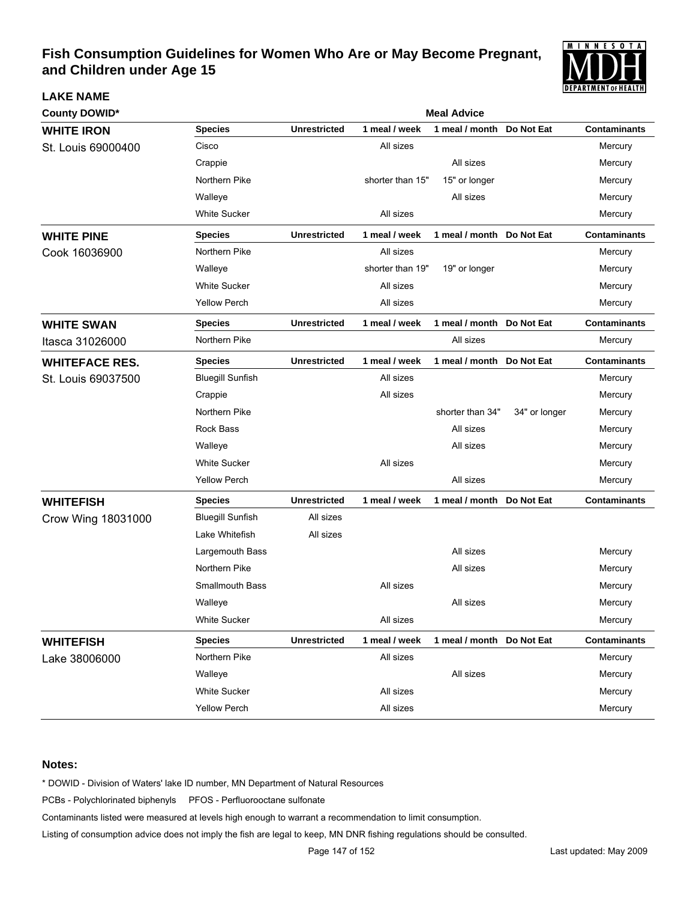

| <b>LAKE NAME</b>      |                         |                     |                  |                           |               | I VEFAN I MEN I VI FIEAL I FI |
|-----------------------|-------------------------|---------------------|------------------|---------------------------|---------------|-------------------------------|
| <b>County DOWID*</b>  |                         |                     |                  | <b>Meal Advice</b>        |               |                               |
| <b>WHITE IRON</b>     | <b>Species</b>          | <b>Unrestricted</b> | 1 meal / week    | 1 meal / month            | Do Not Eat    | <b>Contaminants</b>           |
| St. Louis 69000400    | Cisco                   |                     | All sizes        |                           |               | Mercury                       |
|                       | Crappie                 |                     |                  | All sizes                 |               | Mercury                       |
|                       | Northern Pike           |                     | shorter than 15" | 15" or longer             |               | Mercury                       |
|                       | Walleye                 |                     |                  | All sizes                 |               | Mercury                       |
|                       | <b>White Sucker</b>     |                     | All sizes        |                           |               | Mercury                       |
| <b>WHITE PINE</b>     | <b>Species</b>          | <b>Unrestricted</b> | 1 meal / week    | 1 meal / month Do Not Eat |               | <b>Contaminants</b>           |
| Cook 16036900         | Northern Pike           |                     | All sizes        |                           |               | Mercury                       |
|                       | Walleye                 |                     | shorter than 19" | 19" or longer             |               | Mercury                       |
|                       | <b>White Sucker</b>     |                     | All sizes        |                           |               | Mercury                       |
|                       | <b>Yellow Perch</b>     |                     | All sizes        |                           |               | Mercury                       |
| <b>WHITE SWAN</b>     | <b>Species</b>          | <b>Unrestricted</b> | 1 meal / week    | 1 meal / month Do Not Eat |               | <b>Contaminants</b>           |
| Itasca 31026000       | Northern Pike           |                     |                  | All sizes                 |               | Mercury                       |
| <b>WHITEFACE RES.</b> | <b>Species</b>          | <b>Unrestricted</b> | 1 meal / week    | 1 meal / month            | Do Not Eat    | <b>Contaminants</b>           |
| St. Louis 69037500    | <b>Bluegill Sunfish</b> |                     | All sizes        |                           |               | Mercury                       |
|                       | Crappie                 |                     | All sizes        |                           |               | Mercury                       |
|                       | Northern Pike           |                     |                  | shorter than 34"          | 34" or longer | Mercury                       |
|                       | <b>Rock Bass</b>        |                     |                  | All sizes                 |               | Mercury                       |
|                       | Walleye                 |                     |                  | All sizes                 |               | Mercury                       |
|                       | <b>White Sucker</b>     |                     | All sizes        |                           |               | Mercury                       |
|                       | <b>Yellow Perch</b>     |                     |                  | All sizes                 |               | Mercury                       |
| <b>WHITEFISH</b>      | <b>Species</b>          | <b>Unrestricted</b> | 1 meal / week    | 1 meal / month            | Do Not Eat    | <b>Contaminants</b>           |
| Crow Wing 18031000    | <b>Bluegill Sunfish</b> | All sizes           |                  |                           |               |                               |
|                       | Lake Whitefish          | All sizes           |                  |                           |               |                               |
|                       | Largemouth Bass         |                     |                  | All sizes                 |               | Mercury                       |
|                       | Northern Pike           |                     |                  | All sizes                 |               | Mercury                       |
|                       | <b>Smallmouth Bass</b>  |                     | All sizes        |                           |               | Mercury                       |
|                       | Walleye                 |                     |                  | All sizes                 |               | Mercury                       |
|                       | <b>White Sucker</b>     |                     | All sizes        |                           |               | Mercury                       |
| <b>WHITEFISH</b>      | <b>Species</b>          | <b>Unrestricted</b> | 1 meal / week    | 1 meal / month Do Not Eat |               | <b>Contaminants</b>           |
| Lake 38006000         | Northern Pike           |                     | All sizes        |                           |               | Mercury                       |
|                       | Walleye                 |                     |                  | All sizes                 |               | Mercury                       |
|                       | <b>White Sucker</b>     |                     | All sizes        |                           |               | Mercury                       |
|                       | <b>Yellow Perch</b>     |                     | All sizes        |                           |               | Mercury                       |

#### **Notes:**

\* DOWID - Division of Waters' lake ID number, MN Department of Natural Resources

PCBs - Polychlorinated biphenyls PFOS - Perfluorooctane sulfonate

Contaminants listed were measured at levels high enough to warrant a recommendation to limit consumption.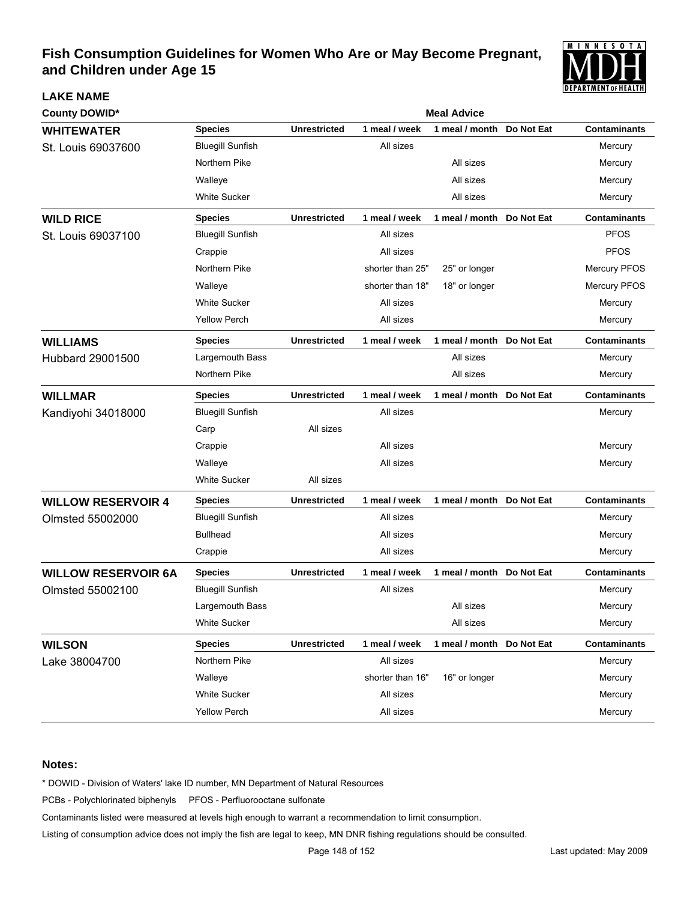

| <b>County DOWID*</b>       | <b>Meal Advice</b>      |                     |                  |                           |            |                     |
|----------------------------|-------------------------|---------------------|------------------|---------------------------|------------|---------------------|
| <b>WHITEWATER</b>          | <b>Species</b>          | <b>Unrestricted</b> | 1 meal / week    | 1 meal / month            | Do Not Eat | <b>Contaminants</b> |
| St. Louis 69037600         | <b>Bluegill Sunfish</b> |                     | All sizes        |                           |            | Mercury             |
|                            | Northern Pike           |                     |                  | All sizes                 |            | Mercury             |
|                            | Walleye                 |                     |                  | All sizes                 |            | Mercury             |
|                            | <b>White Sucker</b>     |                     |                  | All sizes                 |            | Mercury             |
| <b>WILD RICE</b>           | <b>Species</b>          | <b>Unrestricted</b> | 1 meal / week    | 1 meal / month Do Not Eat |            | <b>Contaminants</b> |
| St. Louis 69037100         | <b>Bluegill Sunfish</b> |                     | All sizes        |                           |            | <b>PFOS</b>         |
|                            | Crappie                 |                     | All sizes        |                           |            | <b>PFOS</b>         |
|                            | Northern Pike           |                     | shorter than 25" | 25" or longer             |            | Mercury PFOS        |
|                            | Walleye                 |                     | shorter than 18" | 18" or longer             |            | Mercury PFOS        |
|                            | <b>White Sucker</b>     |                     | All sizes        |                           |            | Mercury             |
|                            | <b>Yellow Perch</b>     |                     | All sizes        |                           |            | Mercury             |
| <b>WILLIAMS</b>            | <b>Species</b>          | <b>Unrestricted</b> | 1 meal / week    | 1 meal / month Do Not Eat |            | <b>Contaminants</b> |
| Hubbard 29001500           | Largemouth Bass         |                     |                  | All sizes                 |            | Mercury             |
|                            | Northern Pike           |                     |                  | All sizes                 |            | Mercury             |
| <b>WILLMAR</b>             | <b>Species</b>          | <b>Unrestricted</b> | 1 meal / week    | 1 meal / month Do Not Eat |            | <b>Contaminants</b> |
| Kandiyohi 34018000         | <b>Bluegill Sunfish</b> |                     | All sizes        |                           |            | Mercury             |
|                            | Carp                    | All sizes           |                  |                           |            |                     |
|                            | Crappie                 |                     | All sizes        |                           |            | Mercury             |
|                            | Walleye                 |                     | All sizes        |                           |            | Mercury             |
|                            | <b>White Sucker</b>     | All sizes           |                  |                           |            |                     |
| <b>WILLOW RESERVOIR 4</b>  | <b>Species</b>          | <b>Unrestricted</b> | 1 meal / week    | 1 meal / month Do Not Eat |            | <b>Contaminants</b> |
| Olmsted 55002000           | <b>Bluegill Sunfish</b> |                     | All sizes        |                           |            | Mercury             |
|                            | <b>Bullhead</b>         |                     | All sizes        |                           |            | Mercury             |
|                            | Crappie                 |                     | All sizes        |                           |            | Mercury             |
| <b>WILLOW RESERVOIR 6A</b> | <b>Species</b>          | <b>Unrestricted</b> | 1 meal / week    | 1 meal / month Do Not Eat |            | <b>Contaminants</b> |
| Olmsted 55002100           | <b>Bluegill Sunfish</b> |                     | All sizes        |                           |            | Mercury             |
|                            | <b>Largemouth Bass</b>  |                     |                  | All sizes                 |            | Mercury             |
|                            | White Sucker            |                     |                  | All sizes                 |            | Mercury             |
| <b>WILSON</b>              | <b>Species</b>          | <b>Unrestricted</b> | 1 meal / week    | 1 meal / month Do Not Eat |            | <b>Contaminants</b> |
| Lake 38004700              | Northern Pike           |                     | All sizes        |                           |            | Mercury             |
|                            | Walleye                 |                     | shorter than 16" | 16" or longer             |            | Mercury             |
|                            | <b>White Sucker</b>     |                     | All sizes        |                           |            | Mercury             |
|                            | <b>Yellow Perch</b>     |                     | All sizes        |                           |            | Mercury             |

#### **Notes:**

**LAKE NAME**

\* DOWID - Division of Waters' lake ID number, MN Department of Natural Resources

PCBs - Polychlorinated biphenyls PFOS - Perfluorooctane sulfonate

Contaminants listed were measured at levels high enough to warrant a recommendation to limit consumption.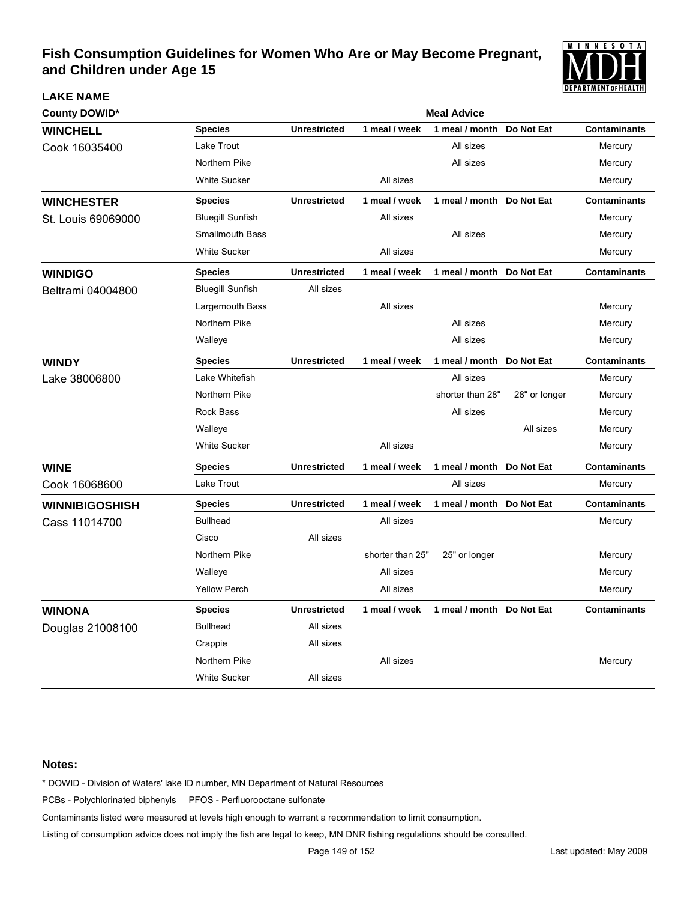

| <b>County DOWID*</b>  | <b>Meal Advice</b>      |                     |                  |                           |               |                     |
|-----------------------|-------------------------|---------------------|------------------|---------------------------|---------------|---------------------|
| <b>WINCHELL</b>       | <b>Species</b>          | <b>Unrestricted</b> | 1 meal / week    | 1 meal / month            | Do Not Eat    | <b>Contaminants</b> |
| Cook 16035400         | Lake Trout              |                     |                  | All sizes                 |               | Mercury             |
|                       | Northern Pike           |                     |                  | All sizes                 |               | Mercury             |
|                       | <b>White Sucker</b>     |                     | All sizes        |                           |               | Mercury             |
| <b>WINCHESTER</b>     | <b>Species</b>          | <b>Unrestricted</b> | 1 meal / week    | 1 meal / month Do Not Eat |               | <b>Contaminants</b> |
| St. Louis 69069000    | <b>Bluegill Sunfish</b> |                     | All sizes        |                           |               | Mercury             |
|                       | <b>Smallmouth Bass</b>  |                     |                  | All sizes                 |               | Mercury             |
|                       | <b>White Sucker</b>     |                     | All sizes        |                           |               | Mercury             |
| <b>WINDIGO</b>        | <b>Species</b>          | <b>Unrestricted</b> | 1 meal / week    | 1 meal / month Do Not Eat |               | <b>Contaminants</b> |
| Beltrami 04004800     | <b>Bluegill Sunfish</b> | All sizes           |                  |                           |               |                     |
|                       | Largemouth Bass         |                     | All sizes        |                           |               | Mercury             |
|                       | Northern Pike           |                     |                  | All sizes                 |               | Mercury             |
|                       | Walleye                 |                     |                  | All sizes                 |               | Mercury             |
| <b>WINDY</b>          | <b>Species</b>          | <b>Unrestricted</b> | 1 meal / week    | 1 meal / month Do Not Eat |               | <b>Contaminants</b> |
| Lake 38006800         | Lake Whitefish          |                     |                  | All sizes                 |               | Mercury             |
|                       | Northern Pike           |                     |                  | shorter than 28"          | 28" or longer | Mercury             |
|                       | <b>Rock Bass</b>        |                     |                  | All sizes                 |               | Mercury             |
|                       | Walleye                 |                     |                  |                           | All sizes     | Mercury             |
|                       | <b>White Sucker</b>     |                     | All sizes        |                           |               | Mercury             |
| <b>WINE</b>           | <b>Species</b>          | <b>Unrestricted</b> | 1 meal / week    | 1 meal / month Do Not Eat |               | <b>Contaminants</b> |
| Cook 16068600         | Lake Trout              |                     |                  | All sizes                 |               | Mercury             |
| <b>WINNIBIGOSHISH</b> | <b>Species</b>          | <b>Unrestricted</b> | 1 meal / week    | 1 meal / month            | Do Not Eat    | <b>Contaminants</b> |
| Cass 11014700         | <b>Bullhead</b>         |                     | All sizes        |                           |               | Mercury             |
|                       | Cisco                   | All sizes           |                  |                           |               |                     |
|                       | Northern Pike           |                     | shorter than 25" | 25" or longer             |               | Mercury             |
|                       | Walleye                 |                     | All sizes        |                           |               | Mercury             |
|                       | <b>Yellow Perch</b>     |                     | All sizes        |                           |               | Mercury             |
| <b>WINONA</b>         | <b>Species</b>          | <b>Unrestricted</b> | 1 meal / week    | 1 meal / month Do Not Eat |               | <b>Contaminants</b> |
| Douglas 21008100      | <b>Bullhead</b>         | All sizes           |                  |                           |               |                     |
|                       | Crappie                 | All sizes           |                  |                           |               |                     |
|                       | Northern Pike           |                     | All sizes        |                           |               | Mercury             |
|                       | <b>White Sucker</b>     | All sizes           |                  |                           |               |                     |

#### **Notes:**

**LAKE NAME**

\* DOWID - Division of Waters' lake ID number, MN Department of Natural Resources

PCBs - Polychlorinated biphenyls PFOS - Perfluorooctane sulfonate

Contaminants listed were measured at levels high enough to warrant a recommendation to limit consumption.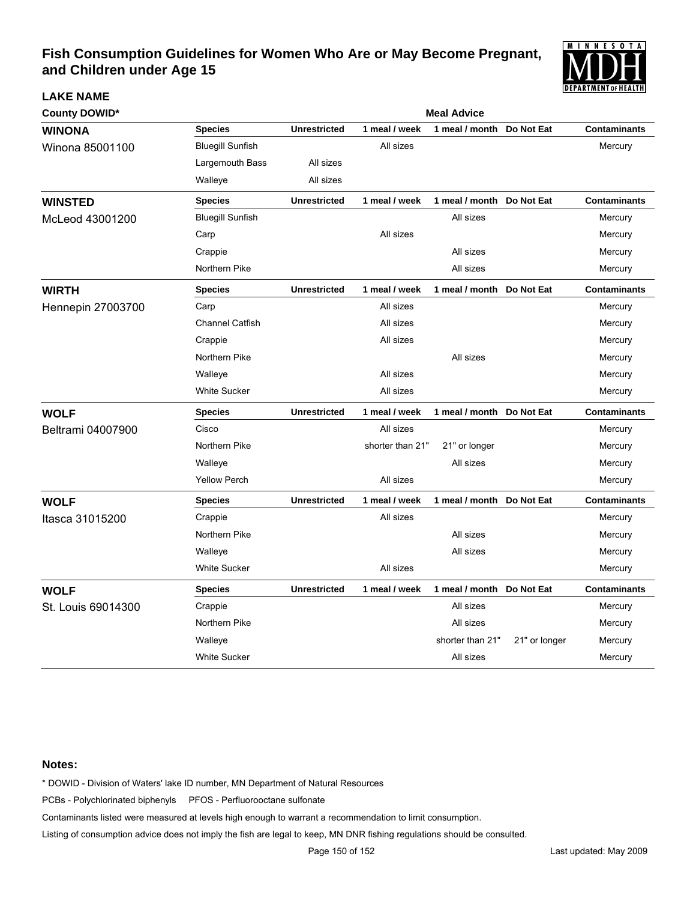

| <b>County DOWID*</b>     | <b>Meal Advice</b>      |                     |                  |                           |               |                     |  |  |  |
|--------------------------|-------------------------|---------------------|------------------|---------------------------|---------------|---------------------|--|--|--|
| <b>WINONA</b>            | <b>Species</b>          | <b>Unrestricted</b> | 1 meal / week    | 1 meal / month            | Do Not Eat    | <b>Contaminants</b> |  |  |  |
| Winona 85001100          | <b>Bluegill Sunfish</b> |                     | All sizes        |                           |               | Mercury             |  |  |  |
|                          | Largemouth Bass         | All sizes           |                  |                           |               |                     |  |  |  |
|                          | Walleye                 | All sizes           |                  |                           |               |                     |  |  |  |
| <b>WINSTED</b>           | <b>Species</b>          | <b>Unrestricted</b> | 1 meal / week    | 1 meal / month Do Not Eat |               | <b>Contaminants</b> |  |  |  |
| McLeod 43001200          | <b>Bluegill Sunfish</b> |                     |                  | All sizes                 |               | Mercury             |  |  |  |
|                          | Carp                    |                     | All sizes        |                           |               | Mercury             |  |  |  |
|                          | Crappie                 |                     |                  | All sizes                 |               | Mercury             |  |  |  |
|                          | Northern Pike           |                     |                  | All sizes                 |               | Mercury             |  |  |  |
| <b>WIRTH</b>             | <b>Species</b>          | <b>Unrestricted</b> | 1 meal / week    | 1 meal / month Do Not Eat |               | <b>Contaminants</b> |  |  |  |
| <b>Hennepin 27003700</b> | Carp                    |                     | All sizes        |                           |               | Mercury             |  |  |  |
|                          | <b>Channel Catfish</b>  |                     | All sizes        |                           |               | Mercury             |  |  |  |
|                          | Crappie                 |                     | All sizes        |                           |               | Mercury             |  |  |  |
|                          | Northern Pike           |                     |                  | All sizes                 |               | Mercury             |  |  |  |
|                          | Walleye                 |                     | All sizes        |                           |               | Mercury             |  |  |  |
|                          | <b>White Sucker</b>     |                     | All sizes        |                           |               | Mercury             |  |  |  |
| <b>WOLF</b>              | <b>Species</b>          | <b>Unrestricted</b> | 1 meal / week    | 1 meal / month Do Not Eat |               | <b>Contaminants</b> |  |  |  |
| Beltrami 04007900        | Cisco                   |                     | All sizes        |                           |               | Mercury             |  |  |  |
|                          | Northern Pike           |                     | shorter than 21" | 21" or longer             |               | Mercury             |  |  |  |
|                          | Walleye                 |                     |                  | All sizes                 |               | Mercury             |  |  |  |
|                          | <b>Yellow Perch</b>     |                     | All sizes        |                           |               | Mercury             |  |  |  |
| <b>WOLF</b>              | <b>Species</b>          | <b>Unrestricted</b> | 1 meal / week    | 1 meal / month Do Not Eat |               | <b>Contaminants</b> |  |  |  |
| Itasca 31015200          | Crappie                 |                     | All sizes        |                           |               | Mercury             |  |  |  |
|                          | Northern Pike           |                     |                  | All sizes                 |               | Mercury             |  |  |  |
|                          | Walleye                 |                     |                  | All sizes                 |               | Mercury             |  |  |  |
|                          | <b>White Sucker</b>     |                     | All sizes        |                           |               | Mercury             |  |  |  |
| <b>WOLF</b>              | <b>Species</b>          | <b>Unrestricted</b> | 1 meal / week    | 1 meal / month            | Do Not Eat    | <b>Contaminants</b> |  |  |  |
| St. Louis 69014300       | Crappie                 |                     |                  | All sizes                 |               | Mercury             |  |  |  |
|                          | Northern Pike           |                     |                  | All sizes                 |               | Mercury             |  |  |  |
|                          | Walleye                 |                     |                  | shorter than 21"          | 21" or longer | Mercury             |  |  |  |
|                          | <b>White Sucker</b>     |                     |                  | All sizes                 |               | Mercury             |  |  |  |

#### **Notes:**

**LAKE NAME**

\* DOWID - Division of Waters' lake ID number, MN Department of Natural Resources

PCBs - Polychlorinated biphenyls PFOS - Perfluorooctane sulfonate

Contaminants listed were measured at levels high enough to warrant a recommendation to limit consumption.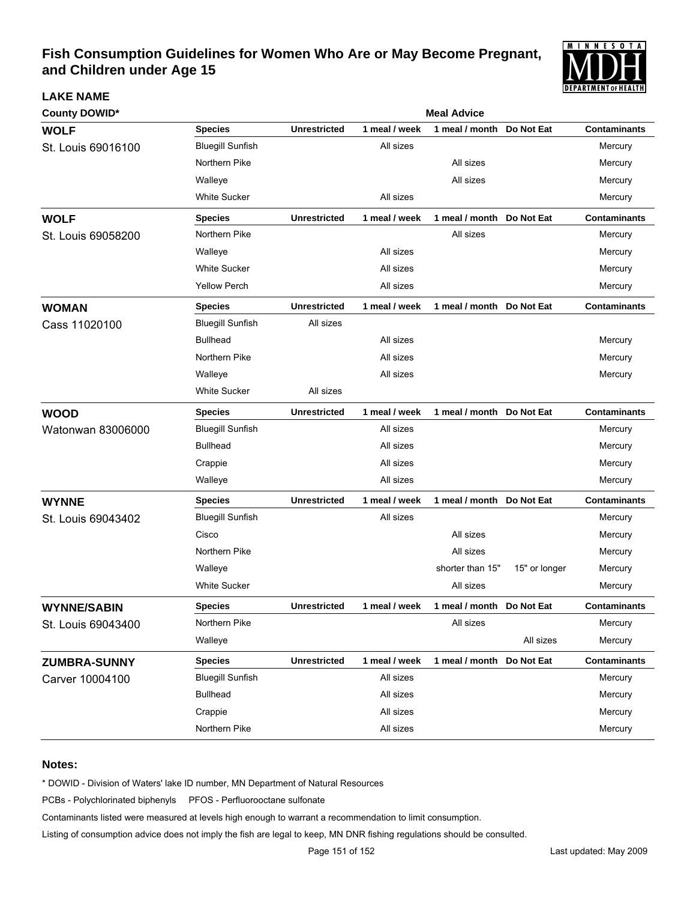

| <b>County DOWID*</b> | <b>Meal Advice</b>      |                     |               |                           |               |                     |  |  |
|----------------------|-------------------------|---------------------|---------------|---------------------------|---------------|---------------------|--|--|
| <b>WOLF</b>          | <b>Species</b>          | <b>Unrestricted</b> | 1 meal / week | 1 meal / month            | Do Not Eat    | <b>Contaminants</b> |  |  |
| St. Louis 69016100   | <b>Bluegill Sunfish</b> |                     | All sizes     |                           |               | Mercury             |  |  |
|                      | Northern Pike           |                     |               | All sizes                 |               | Mercury             |  |  |
|                      | Walleye                 |                     |               | All sizes                 |               | Mercury             |  |  |
|                      | <b>White Sucker</b>     |                     | All sizes     |                           |               | Mercury             |  |  |
| <b>WOLF</b>          | <b>Species</b>          | <b>Unrestricted</b> | 1 meal / week | 1 meal / month Do Not Eat |               | <b>Contaminants</b> |  |  |
| St. Louis 69058200   | Northern Pike           |                     |               | All sizes                 |               | Mercury             |  |  |
|                      | Walleye                 |                     | All sizes     |                           |               | Mercury             |  |  |
|                      | White Sucker            |                     | All sizes     |                           |               | Mercury             |  |  |
|                      | <b>Yellow Perch</b>     |                     | All sizes     |                           |               | Mercury             |  |  |
| <b>WOMAN</b>         | <b>Species</b>          | <b>Unrestricted</b> | 1 meal / week | 1 meal / month Do Not Eat |               | <b>Contaminants</b> |  |  |
| Cass 11020100        | <b>Bluegill Sunfish</b> | All sizes           |               |                           |               |                     |  |  |
|                      | <b>Bullhead</b>         |                     | All sizes     |                           |               | Mercury             |  |  |
|                      | Northern Pike           |                     | All sizes     |                           |               | Mercury             |  |  |
|                      | Walleye                 |                     | All sizes     |                           |               | Mercury             |  |  |
|                      | White Sucker            | All sizes           |               |                           |               |                     |  |  |
| <b>WOOD</b>          | <b>Species</b>          | <b>Unrestricted</b> | 1 meal / week | 1 meal / month Do Not Eat |               | <b>Contaminants</b> |  |  |
| Watonwan 83006000    | <b>Bluegill Sunfish</b> |                     | All sizes     |                           |               | Mercury             |  |  |
|                      | <b>Bullhead</b>         |                     | All sizes     |                           |               | Mercury             |  |  |
|                      | Crappie                 |                     | All sizes     |                           |               | Mercury             |  |  |
|                      | Walleye                 |                     | All sizes     |                           |               | Mercury             |  |  |
| <b>WYNNE</b>         | <b>Species</b>          | <b>Unrestricted</b> | 1 meal / week | 1 meal / month            | Do Not Eat    | <b>Contaminants</b> |  |  |
| St. Louis 69043402   | <b>Bluegill Sunfish</b> |                     | All sizes     |                           |               | Mercury             |  |  |
|                      | Cisco                   |                     |               | All sizes                 |               | Mercury             |  |  |
|                      | Northern Pike           |                     |               | All sizes                 |               | Mercury             |  |  |
|                      | Walleye                 |                     |               | shorter than 15"          | 15" or longer | Mercury             |  |  |
|                      | <b>White Sucker</b>     |                     |               | All sizes                 |               | Mercury             |  |  |
| <b>WYNNE/SABIN</b>   | <b>Species</b>          | <b>Unrestricted</b> | 1 meal / week | 1 meal / month Do Not Eat |               | <b>Contaminants</b> |  |  |
| St. Louis 69043400   | Northern Pike           |                     |               | All sizes                 |               | Mercury             |  |  |
|                      | Walleye                 |                     |               |                           | All sizes     | Mercury             |  |  |
| <b>ZUMBRA-SUNNY</b>  | <b>Species</b>          | <b>Unrestricted</b> | 1 meal / week | 1 meal / month Do Not Eat |               | <b>Contaminants</b> |  |  |
| Carver 10004100      | <b>Bluegill Sunfish</b> |                     | All sizes     |                           |               | Mercury             |  |  |
|                      | <b>Bullhead</b>         |                     | All sizes     |                           |               | Mercury             |  |  |
|                      | Crappie                 |                     | All sizes     |                           |               | Mercury             |  |  |
|                      | Northern Pike           |                     | All sizes     |                           |               | Mercury             |  |  |

#### **Notes:**

**LAKE NAME**

\* DOWID - Division of Waters' lake ID number, MN Department of Natural Resources

PCBs - Polychlorinated biphenyls PFOS - Perfluorooctane sulfonate

Contaminants listed were measured at levels high enough to warrant a recommendation to limit consumption.